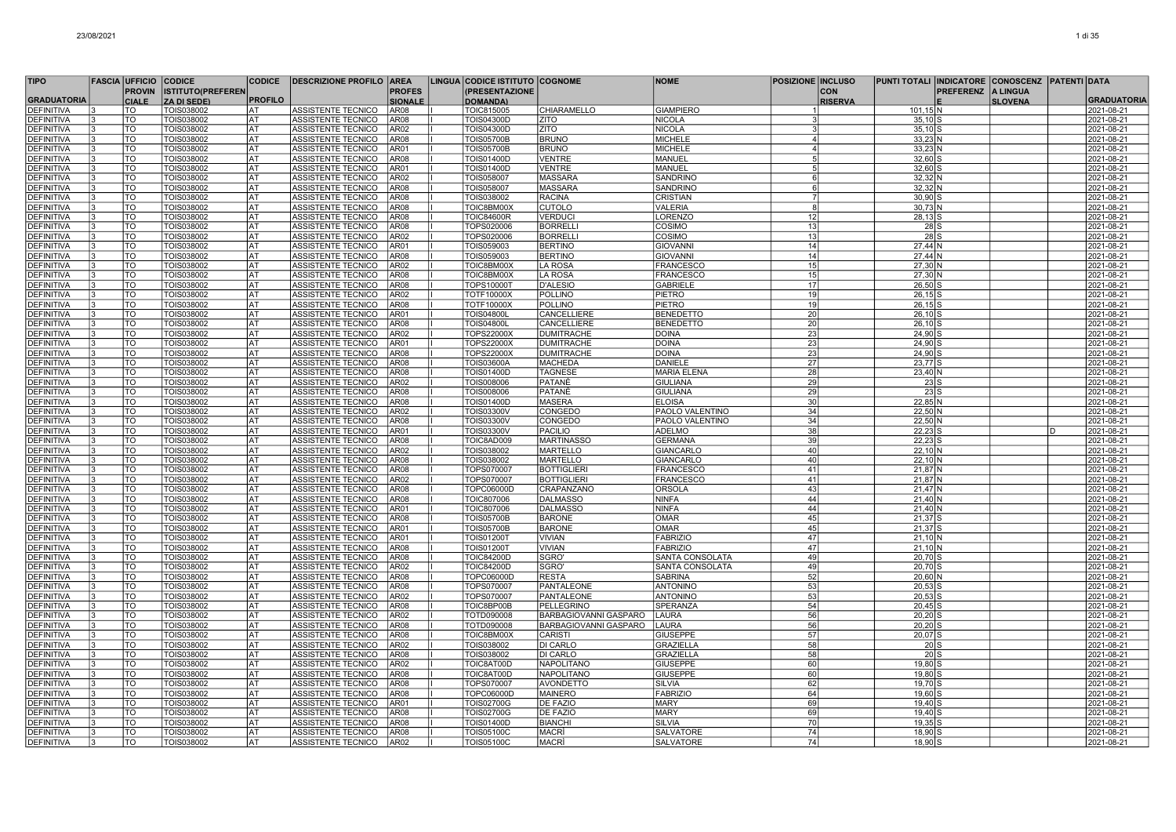| <b>TIPO</b>        | <b>FASCIA UFFICIO</b> |                          | <b>CODICE</b>            | <b>CODICE</b>  | <b>DESCRIZIONE PROFILO AREA</b> |                | LINGUA CODICE ISTITUTO COGNOME |                       | <b>NOME</b>        | <b>POSIZIONE INCLUSO</b> |                | PUNTI TOTALI INDICATORE CONOSCENZ PATENTI DATA |                  |                 |   |                    |
|--------------------|-----------------------|--------------------------|--------------------------|----------------|---------------------------------|----------------|--------------------------------|-----------------------|--------------------|--------------------------|----------------|------------------------------------------------|------------------|-----------------|---|--------------------|
|                    |                       | <b>PROVIN</b>            | <b>ISTITUTO(PREFEREN</b> |                |                                 | <b>PROFES</b>  | <b>PRESENTAZIONE</b>           |                       |                    |                          | <b>CON</b>     |                                                | <b>PREFERENZ</b> | <b>A LINGUA</b> |   |                    |
| <b>GRADUATORIA</b> |                       | <b>CIALE</b>             | <b>ZA DI SEDE)</b>       | <b>PROFILO</b> |                                 | <b>SIONALE</b> | <b>DOMANDA)</b>                |                       |                    |                          | <b>RISERVA</b> |                                                |                  | <b>SLOVENA</b>  |   | <b>GRADUATORIA</b> |
| <b>DEFINITIVA</b>  |                       | TO                       | TOIS038002               | AT             | ASSISTENTE TECNICO              | AR08           | TOIC815005                     | <b>CHIARAMELLO</b>    | <b>GIAMPIERO</b>   |                          |                | $101, 15$ N                                    |                  |                 |   | 2021-08-21         |
| <b>DEFINITIVA</b>  |                       | TO                       | TOIS038002               | IAT            | ASSISTENTE TECNICO              | AR08           | TOIS04300D                     | ZITO                  | <b>NICOLA</b>      |                          |                | $35,10$ S                                      |                  |                 |   | 2021-08-21         |
| <b>DEFINITIVA</b>  |                       | TO                       | TOIS038002               | lat            | ASSISTENTE TECNICO              | AR02           | TOIS04300D                     | <b>ZITO</b>           | NICOLA             |                          |                | $35,10$ S                                      |                  |                 |   | 2021-08-21         |
| <b>DEFINITIVA</b>  | 3                     | TO                       | TOIS038002               | lat            | ASSISTENTE TECNICO              | <b>AR08</b>    | <b>TOIS05700B</b>              | <b>BRUNO</b>          | <b>MICHELE</b>     | $\overline{\mathbf{4}}$  |                | $33.23 \text{ N}$                              |                  |                 |   | 2021-08-21         |
| <b>DEFINITIVA</b>  |                       | $\overline{10}$          | TOIS038002               | <b>AT</b>      | ASSISTENTE TECNICO              | <b>AR01</b>    | <b>TOIS05700B</b>              | <b>BRUNO</b>          | <b>MICHELE</b>     | $\boldsymbol{\Lambda}$   |                | $33,23$ N                                      |                  |                 |   | 2021-08-21         |
| DEFINITIVA         |                       | TO                       | TOIS038002               | <b>AT</b>      | ASSISTENTE TECNICO              | AR08           | TOIS01400D                     | <b>VENTRE</b>         | MANUEL             |                          |                | 32,60 S                                        |                  |                 |   | 2021-08-21         |
| <b>DEFINITIVA</b>  |                       | <b>TO</b>                | TOIS038002               | lat            | ASSISTENTE TECNICO              | AR01           | TOIS01400D                     | <b>VENTRE</b>         | MANUEL             |                          |                | $32,60$ S                                      |                  |                 |   | 2021-08-21         |
| <b>DEFINITIVA</b>  |                       | TO                       | TOIS038002               | AT             | ASSISTENTE TECNICO              | AR02           | TOIS058007                     | <b>MASSARA</b>        | SANDRINC           |                          |                | 32,32 N                                        |                  |                 |   | 2021-08-21         |
| <b>DEFINITIVA</b>  |                       | TO                       | TOIS038002               | AT             | ASSISTENTE TECNICO              | AR08           | TOIS058007                     | <b>MASSARA</b>        | SANDRINC           | 6                        |                | $32,32$ N                                      |                  |                 |   | 2021-08-21         |
| <b>DEFINITIVA</b>  |                       | $\overline{10}$          | TOIS038002               | lat            | ASSISTENTE TECNICO              | <b>AR08</b>    | TOIS038002                     | <b>RACINA</b>         | <b>CRISTIAN</b>    | $\overline{7}$           |                | 30.90 S                                        |                  |                 |   | 2021-08-21         |
| DEFINITIVA         |                       | TO                       | TOIS038002               | l AT           | ASSISTENTE TECNICO              | AR08           | TOIC8BM00X                     | <b>CUTOLO</b>         | <b>VALERIA</b>     | $\mathsf{R}$             |                | $30,73$ N                                      |                  |                 |   | 2021-08-21         |
| <b>DEFINITIVA</b>  |                       | $\overline{TO}$          | TOIS038002               | <b>AT</b>      | ASSISTENTE TECNICO              | AR08           | <b>TOIC84600R</b>              | <b>VERDUCI</b>        | <b>LORENZO</b>     | 12                       |                | $28,13$ S                                      |                  |                 |   | 2021-08-21         |
| <b>EFINITIVA</b>   |                       | <b>TO</b>                | TOIS038002               | <b>AT</b>      | <b>ASSISTENTE TECNICO</b>       | AR08           | TOPS020006                     | <b>BORRELLI</b>       | COSIMO             | 13                       |                | $28$ $S$                                       |                  |                 |   | 2021-08-21         |
| DEFINITIVA         |                       | TO                       | TOIS038002               | lat            | ASSISTENTE TECNICO              | AR02           | TOPS020006                     | <b>BORRELLI</b>       | COSIMO             | 13                       |                | $28$ $S$                                       |                  |                 |   | 2021-08-21         |
| DEFINITIVA         |                       | TO                       | TOIS038002               | AT             | ASSISTENTE TECNICO              | AR01           | TOIS059003                     | <b>BERTINO</b>        | <b>GIOVANN</b>     | 14                       |                | 27,44 N                                        |                  |                 |   | 2021-08-21         |
| DEFINITIVA         | 3                     | TO                       | TOIS038002               | lat            | ASSISTENTE TECNICO              | AR08           | TOIS059003                     | <b>BERTINO</b>        | <b>GIOVANNI</b>    | 14                       |                | 27.44 N                                        |                  |                 |   | 2021-08-21         |
| <b>DEFINITIVA</b>  |                       | <b>TO</b>                | TOIS038002               | lat            | ASSISTENTE TECNICO              | AR02           | TOIC8BM00X                     | LA ROSA               | <b>FRANCESCO</b>   | 15 <sup>1</sup>          |                | 27,30 N                                        |                  |                 |   | 2021-08-21         |
| <b>DEFINITIVA</b>  |                       | TO                       | TOIS038002               | l AT           | ASSISTENTE TECNICO              | AR08           | TOIC8BM00X                     | LA ROSA               | <b>FRANCESCO</b>   | 15                       |                | 27,30 N                                        |                  |                 |   | 2021-08-21         |
| <b>DEFINITIVA</b>  |                       | lto                      | TOIS038002               | <b>AT</b>      | ASSISTENTE TECNICO              | AR08           | TOPS10000T                     | D'ALESIO              | <b>GABRIELE</b>    | $\overline{17}$          |                | $26,50$ S                                      |                  |                 |   | 2021-08-21         |
| DEFINITIVA         |                       | TO                       | TOIS038002               | AT             | ASSISTENTE TECNICO              | AR02           | TOTF10000X                     | <b>POLLINO</b>        | PIETRO             | 19                       |                | $26,15$ S                                      |                  |                 |   | 2021-08-21         |
| <b>DEFINITIVA</b>  |                       | TO                       | TOIS038002               | lat            | ASSISTENTE TECNICO              | AR08           | TOTF10000X                     | <b>POLLINO</b>        | PIETRO             | 19                       |                | $26, 15$ S                                     |                  |                 |   | 2021-08-21         |
| <b>DEFINITIVA</b>  |                       | <b>TO</b>                | TOIS038002               | lat            | ASSISTENTE TECNICO              | AR01           | <b>TOIS04800I</b>              | CANCELLIERE           | <b>BENEDETTO</b>   | 20                       |                | $26.10$ S                                      |                  |                 |   | 2021-08-21         |
| DEFINITIVA         |                       | TO                       | TOIS038002               | AT             | ASSISTENTE TECNICO              | AR08           | <b>TOIS04800L</b>              | CANCELLIERE           | <b>BENEDETTO</b>   | 20 <sub>l</sub>          |                | $26,10$ S                                      |                  |                 |   | 2021-08-21         |
| <b>DEFINITIVA</b>  |                       | <b>TO</b>                | TOIS038002               | l AT           | ASSISTENTE TECNICO              | AR02           | TOPS22000>                     | <b>DUMITRACHE</b>     | <b>DOINA</b>       | 23                       |                | 24,90 S                                        |                  |                 |   | 2021-08-21         |
| <b>DEFINITIVA</b>  |                       | $\overline{10}$          | TOIS038002               | <b>AT</b>      | ASSISTENTE TECNICO              | <b>AR01</b>    | TOPS22000X                     | <b>DUMITRACHE</b>     | <b>DOINA</b>       | 23                       |                | 24,90 S                                        |                  |                 |   | 2021-08-21         |
| <b>EFINITIVA</b>   |                       | <b>TO</b>                | TOIS038002               | <b>AT</b>      | ASSISTENTE TECNICO              | AR08           | TOPS22000X                     | <b>DUMITRACHE</b>     | <b>DOINA</b>       | $\overline{23}$          |                | 24,90                                          |                  |                 |   | 2021-08-21         |
| DEFINITIVA         |                       | TO                       | TOIS038002               | lat            | ASSISTENTE TECNICO              | <b>AR08</b>    | <b>TOIS03600A</b>              | <b>MACHEDA</b>        | DANIELE            | <b>27</b>                |                | 23.77 S                                        |                  |                 |   | 2021-08-21         |
| <b>DEFINITIVA</b>  |                       | $\overline{\mathrm{ro}}$ | TOIS038002               | lat            | <b>ASSISTENTE TECNICO</b>       | <b>AR08</b>    | <b>TOIS01400D</b>              | <b>TAGNESE</b>        | <b>MARIA ELENA</b> | 28                       |                | $23,40$ N                                      |                  |                 |   | 2021-08-21         |
| DEFINITIVA         |                       | TO                       | TOIS038002               | lat            | ASSISTENTE TECNICO              | AR02           | TOIS008006                     | PATANÈ                | <b>GIULIANA</b>    | 29                       |                | $23$ $S$                                       |                  |                 |   | 2021-08-21         |
| <b>DEFINITIVA</b>  |                       | <b>TO</b>                | TOIS038002               | lat            | ASSISTENTE TECNICO              | <b>AR08</b>    | <b>TOIS008006</b>              | PATANÈ                | <b>GIULIANA</b>    | <b>29</b>                |                | 23S                                            |                  |                 |   | 2021-08-21         |
| DEFINITIVA         |                       | TO                       | TOIS038002               | l AT           | ASSISTENTE TECNICO              | AR08           | TOIS01400D                     | <b>MASERA</b>         | <b>ELOISA</b>      | 30 <sup>1</sup>          |                | 22,85 N                                        |                  |                 |   | 2021-08-21         |
| <b>DEFINITIVA</b>  |                       | <b>TO</b>                | TOIS038002               | <b>AT</b>      | ASSISTENTE TECNICO              | AR02           | <b>TOIS03300V</b>              | CONGEDO               | PAOLO VALENTINO    | 34                       |                | $22,50$ N                                      |                  |                 |   | 2021-08-21         |
| <b>DEFINITIVA</b>  |                       | <b>TO</b>                | TOIS038002               | <b>AT</b>      | ASSISTENTE TECNICO              | <b>AR08</b>    | TOIS03300V                     | CONGEDO               | PAOLO VALENTINO    | 34                       |                | 22.50 N                                        |                  |                 |   | 2021-08-21         |
| DEFINITIVA         |                       | TO                       | TOIS038002               | lat            | ASSISTENTE TECNICO              | AR01           | TOIS03300V                     | PACILIO               | <b>ADELMO</b>      | 38                       |                | 22,23                                          |                  |                 | D | 2021-08-21         |
| <b>DEFINITIVA</b>  |                       | TO                       | TOIS038002               | AT             | ASSISTENTE TECNICO              | AR08           | TOIC8AD009                     | <b>MARTINASSO</b>     | <b>GERMANA</b>     | 39                       |                | 22,23                                          |                  |                 |   | 2021-08-21         |
| DEFINITIVA         |                       | TO                       | TOIS038002               | lat            | ASSISTENTE TECNICO              | AR02           | TOIS038002                     | <b>MARTELLO</b>       | GIANCARLO          | 40                       |                | 22.10 N                                        |                  |                 |   | 2021-08-21         |
| DEFINITIVA         |                       | TO                       | TOIS038002               | lat            | ASSISTENTE TECNICO              | AR08           | TOIS038002                     | <b>MARTELLO</b>       | <b>GIANCARLO</b>   | 40                       |                | 22,10 N                                        |                  |                 |   | 2021-08-21         |
| <b>DEFINITIVA</b>  |                       | <b>TO</b>                | TOIS038002               | <b>AT</b>      | ASSISTENTE TECNICO              | <b>AR08</b>    | TOPS070007                     | <b>BOTTIGLIERI</b>    | <b>FRANCESCO</b>   | 41                       |                | $21,87$ N                                      |                  |                 |   | 2021-08-21         |
| <b>EFINITIVA</b>   |                       | lto                      | TOIS038002               | <b>AT</b>      | ASSISTENTE TECNICO              | AR02           | TOPS070007                     | <b>BOTTIGLIERI</b>    | <b>FRANCESCO</b>   | 41                       |                | 21,87 N                                        |                  |                 |   | 2021-08-21         |
| <b>JEFINITIVA</b>  |                       | TO                       | TOIS038002               | AT             | ASSISTENTE TECNICO              | AR08           | TOPC06000D                     | CRAPANZANO            | <b>ORSOLA</b>      | 43                       |                | $21,47$ N                                      |                  |                 |   | 2021-08-21         |
| <b>EFINITIVA</b>   |                       | TO                       | TOIS038002               | AT             | ASSISTENTE TECNICO              | AR08           | TOIC807006                     | <b>DALMASSO</b>       | <b>NINFA</b>       | 44                       |                | 21,40 N                                        |                  |                 |   | 2021-08-21         |
| <b>DEFINITIVA</b>  |                       | <b>TO</b>                | TOIS038002               | lat            | ASSISTENTE TECNICO              | AR01           | <b>TOIC807006</b>              | <b>DALMASSO</b>       | <b>NINFA</b>       | 44                       |                | $21.40 \text{ N}$                              |                  |                 |   | 2021-08-21         |
| DEFINITIVA         |                       | TO                       | TOIS038002               | lat            | ASSISTENTE TECNICO              | AR08           | <b>TOIS05700B</b>              | <b>BARONE</b>         | OMAR               | 45                       |                | $21,37$ S                                      |                  |                 |   | 2021-08-21         |
| DEFINITIVA         | ١R                    | TO                       | TOIS038002               | l AT           | ASSISTENTE TECNICO              | AR01           | TOIS05700B                     | <b>BARONE</b>         | OMAR               | 45                       |                | $21,37$ S                                      |                  |                 |   | 2021-08-21         |
| <b>DEFINITIVA</b>  |                       | TO                       | TOIS038002               | <b>AT</b>      | ASSISTENTE TECNICO              | <b>AR01</b>    | <b>TOIS01200T</b>              | <b>VIVIAN</b>         | <b>FABRIZIO</b>    | 47                       |                | $21,10$ N                                      |                  |                 |   | 2021-08-21         |
| DEFINITIVA         |                       | TO                       | TOIS038002               | AT             | ASSISTENTE TECNICO              | AR08           | <b>TOIS01200T</b>              | <b>VIVIAN</b>         | <b>FABRIZIO</b>    | 47                       |                | $21,10$ N                                      |                  |                 |   | 2021-08-21         |
| <b>DEFINITIVA</b>  |                       | <b>TO</b>                | TOIS038002               | lat            | ASSISTENTE TECNICO              | <b>AR08</b>    | <b>TOIC84200D</b>              | SGRO'                 | SANTA CONSOLATA    | 49                       |                | $20,70$ S                                      |                  |                 |   | 2021-08-21         |
| <b>DEFINITIVA</b>  |                       | TO                       | TOIS038002               | AT             | ASSISTENTE TECNICO              | AR02           | <b>TOIC84200D</b>              | SGRO'                 | SANTA CONSOLATA    | 49                       |                | $20,70$ S                                      |                  |                 |   | 2021-08-21         |
| <b>DEFINITIVA</b>  |                       | TO                       | TOIS038002               | AT             | ASSISTENTE TECNICO              | AR08           | TOPC06000D                     | <b>RESTA</b>          | <b>SABRINA</b>     | 52                       |                | $20,60$ N                                      |                  |                 |   | 2021-08-21         |
| <b>DEFINITIVA</b>  |                       | <b>TO</b>                | TOIS038002               | lat            | ASSISTENTE TECNICO              | <b>AR08</b>    | TOPS070007                     | PANTALEONE            | <b>ANTONINC</b>    | 53 <sub>1</sub>          |                | $20,53$ S                                      |                  |                 |   | 2021-08-21         |
| DEFINITIVA         |                       | $\overline{10}$          | TOIS038002               | <b>AT</b>      | ASSISTENTE TECNICO              | <b>AR02</b>    | TOPS070007                     | <b>PANTALEONE</b>     | <b>ANTONINO</b>    | 53                       |                | $20,53$ S                                      |                  |                 |   | 2021-08-21         |
| <b>JEFINITIVA</b>  |                       | TO                       | TOIS038002               | <b>AT</b>      | ASSISTENTE TECNICO              | AR08           | TOIC8BP00B                     | PELLEGRINO            | SPERANZA           | 54                       |                | $20,45$ S                                      |                  |                 |   | 2021-08-21         |
| <b>DEFINITIVA</b>  |                       | TO                       | TOIS038002               | lat            | ASSISTENTE TECNICO              | AR02           | TOTD090008                     | BARBAGIOVANNI GASPARO | LAURA              | <b>56</b>                |                | 20.20 S                                        |                  |                 |   | 2021-08-21         |
| <b>DEFINITIVA</b>  |                       | TO                       | TOIS038002               | AT             | ASSISTENTE TECNICO              | AR08           | TOTD090008                     | BARBAGIOVANNI GASPARO | LAURA              | 56                       |                | $20,20$ S                                      |                  |                 |   | 2021-08-21         |
| DEFINITIVA         |                       | TO                       | TOIS038002               | AT             | ASSISTENTE TECNICO              | AR08           | TOIC8BM00X                     | CARISTI               | <b>GIUSEPPE</b>    | 57                       |                | $20,07$ S                                      |                  |                 |   | 2021-08-21         |
| <b>DEFINITIVA</b>  |                       | <b>TO</b>                | TOIS038002               | lat            | ASSISTENTE TECNICO              | AR02           | TOIS038002                     | DI CARLO              | <b>GRAZIELLA</b>   | <b>58</b>                |                | $20$ <sub>s</sub>                              |                  |                 |   | 2021-08-21         |
| <b>DEFINITIVA</b>  | 3                     | TO                       | TOIS038002               | l AT           | ASSISTENTE TECNICO              | AR08           | TOIS038002                     | DI CARLO              | <b>GRAZIELLA</b>   | 58                       |                | $20$ S                                         |                  |                 |   | 2021-08-21         |
| <b>DEFINITIVA</b>  |                       | $\overline{10}$          | TOIS038002               | <b>AT</b>      | ASSISTENTE TECNICO              | AR02           | TOIC8AT00D                     | <b>NAPOLITANO</b>     | <b>GIUSEPPE</b>    | 60                       |                | 19,80                                          |                  |                 |   | 2021-08-21         |
| <b>DEFINITIVA</b>  |                       | <b>TO</b>                | TOIS038002               | <b>AT</b>      | ASSISTENTE TECNICO              | AR08           | TOIC8AT00D                     | NAPOLITANO            | <b>GIUSEPPE</b>    | 60                       |                | 19.80                                          |                  |                 |   | 2021-08-21         |
| DEFINITIVA         |                       | TO                       | TOIS038002               | lat            | ASSISTENTE TECNICO              | AR08           | TOPS070007                     | AVONDETTO             | SILVIA             | 62                       |                | 19,70 S                                        |                  |                 |   | 2021-08-21         |
| <b>DEFINITIVA</b>  |                       | TO                       | TOIS038002               | AT             | ASSISTENTE TECNICO              | AR08           | TOPC06000D                     | <b>MAINERO</b>        | <b>FABRIZIO</b>    | 64                       |                | 19,60                                          |                  |                 |   | 2021-08-21         |
| DEFINITIVA         |                       | TO                       | TOIS038002               | lat            | ASSISTENTE TECNICO              | AR01           | <b>TOIS02700G</b>              | DE FAZIO              | <b>MARY</b>        | 69                       |                | $19,40$ S                                      |                  |                 |   | 2021-08-21         |
| DEFINITIVA         |                       | TO                       | TOIS038002               | lat            | ASSISTENTE TECNICO              | AR08           | <b>TOIS02700G</b>              | DE FAZIO              | <b>MARY</b>        | 69                       |                | $19,40$ S                                      |                  |                 |   | 2021-08-21         |
| DEFINITIVA         |                       | TO                       | TOIS038002               | l AT           | ASSISTENTE TECNICO              | AR08           | TOIS01400D                     | <b>BIANCHI</b>        | <b>SILVIA</b>      | 70                       |                | $19,35$ S                                      |                  |                 |   | 2021-08-21         |
| DEFINITIVA         |                       | <b>TO</b>                | TOIS038002               | <b>AT</b>      | ASSISTENTE TECNICO              | AR08           | <b>TOIS05100C</b>              | <b>MACRI</b>          | SALVATORE          | 74                       |                | 18,90 S                                        |                  |                 |   | 2021-08-21         |
| <b>DEFINITIVA</b>  |                       | <b>TO</b>                | TOIS038002               | AT             | ASSISTENTE TECNICO              | AR02           | <b>TOIS05100C</b>              | <b>MACRI</b>          | SALVATORE          | <b>74</b>                |                | 18,90 S                                        |                  |                 |   | 2021-08-21         |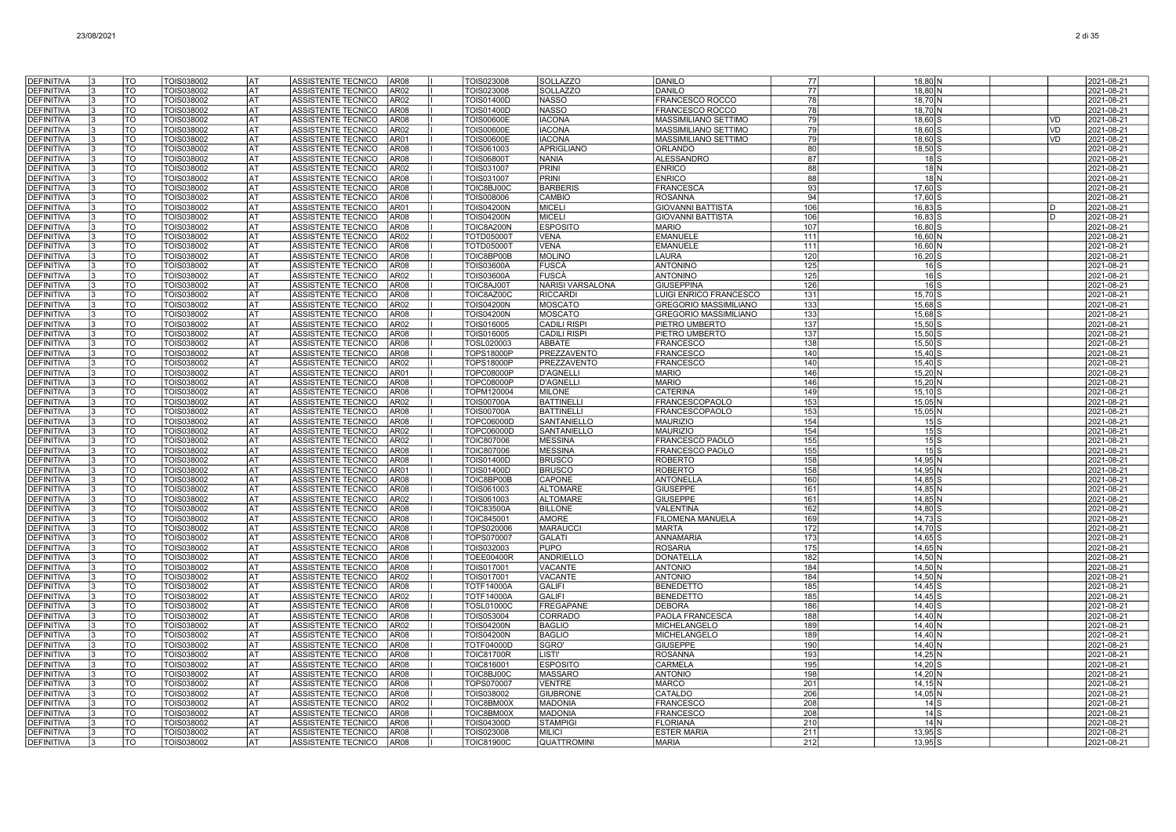| <b>DEFINITIVA</b>                      | TO                     | TOIS038002               | lat             | ASSISTENTE TECNICO                              | AR08                                 | TOIS023008                      | <b>SOLLAZZO</b>                  | <b>DANILO</b>                        | 77         | $18,80$ N              | 2021-08-21               |
|----------------------------------------|------------------------|--------------------------|-----------------|-------------------------------------------------|--------------------------------------|---------------------------------|----------------------------------|--------------------------------------|------------|------------------------|--------------------------|
| <b>DEFINITIVA</b>                      | <b>TO</b>              | TOIS038002               | AT              | <b>ASSISTENTE TECNICO</b>                       | AR02                                 | <b>FOIS023008</b>               | <b>SOLLAZZO</b>                  | <b>DANILO</b>                        | 77         | 18.80 N                | 2021-08-21               |
| <b>DEFINITIVA</b>                      | <b>TO</b>              | TOIS038002               | <b>AT</b>       | <b>ASSISTENTE TECNICO</b>                       | AR <sub>02</sub>                     | <b>COIS01400D</b>               | <b>NASSO</b>                     | FRANCESCO ROCCO                      | 78         | 18.70 N                | 2021-08-21               |
| <b>DEFINITIVA</b>                      | TO                     | TOIS038002               | lat             | ASSISTENTE TECNICO                              | AR <sub>08</sub>                     | TOIS01400D                      | NASSO                            | FRANCESCO ROCCO                      | 78         | 18,70 N                | 2021-08-21               |
| <b>DEFINITIVA</b>                      | TO                     | TOIS038002               | AT              | ASSISTENTE TECNICO                              | AR08                                 | <b>TOIS00600E</b>               | <b>IACONA</b>                    | <b>MASSIMILIANO SETTIMO</b>          | 79         | 18,60 S                | <b>VD</b><br>2021-08-21  |
| <b>DEFINITIVA</b>                      | TO                     | TOIS038002               | <b>AT</b>       | ASSISTENTE TECNICO                              | AR02                                 | <b>TOIS00600E</b>               | <b>IACONA</b>                    | MASSIMILIANO SETTIMO                 | 79         | 18,60 S                | 2021-08-21<br>VD         |
| <b>DEFINITIVA</b>                      | <b>TO</b><br><b>TO</b> | TOIS038002               | lat<br>lat      | ASSISTENTE TECNICO                              | AR01                                 | <b>TOIS00600E</b>               | <b>IACONA</b>                    | MASSIMILIANO SETTIMO                 | 79         | 18,60 S                | <b>VD</b><br>2021-08-21  |
| <b>DEFINITIVA</b><br><b>DEFINITIVA</b> | TO                     | TOIS038002<br>TOIS038002 | <b>AT</b>       | <b>ASSISTENTE TECNICO</b><br>ASSISTENTE TECNICO | AR08<br>AR08                         | TOIS061003<br><b>TOIS06800T</b> | <b>APRIGLIANO</b><br>NANIA       | <b>ORLANDO</b><br><b>ALESSANDRO</b>  | 80<br>87   | $18,50$ S<br>$18$ $S$  | 2021-08-21<br>2021-08-21 |
| DEFINITIVA                             | <b>TO</b>              | TOIS038002               | lat             | ASSISTENTE TECNICO                              | AR02                                 | TOIS031007                      | PRINI                            | <b>ENRICO</b>                        | 88         | $18$ N                 | 2021-08-21               |
| <b>DEFINITIVA</b>                      | <b>TO</b>              | TOIS038002               | AT              | <b>ASSISTENTE TECNICO</b>                       | AR08                                 | <b>FOIS031007</b>               | <b>PRINI</b>                     | <b>ENRICO</b>                        | 88         | 18 <sub>N</sub>        | 2021-08-21               |
| <b>DEFINITIVA</b>                      | TO                     | TOIS038002               | AT              | <b>ASSISTENTE TECNICO</b>                       | AR08                                 | TOIC8BJ00C                      | <b>BARBERIS</b>                  | <b>FRANCESCA</b>                     | 93         | $17,60$ S              | 2021-08-21               |
| <b>DEFINITIVA</b>                      | TO                     | TOIS038002               | AT              | ASSISTENTE TECNICO                              | AR08                                 | TOIS008006                      | CAMBIO                           | <b>ROSANNA</b>                       | 94         | 17,60 S                | 2021-08-21               |
| <b>DEFINITIVA</b>                      | TO                     | TOIS038002               | AT              | ASSISTENTE TECNICO                              | AR01                                 | <b>TOIS04200N</b>               | <b>MICELI</b>                    | <b>GIOVANNI BATTISTA</b>             | 106        | $16,83$ S              | 2021-08-21               |
| <b>DEFINITIVA</b>                      | TO                     | TOIS038002               | AT              | ASSISTENTE TECNICO                              | AR08                                 | <b>TOIS04200N</b>               | MICELI                           | <b>GIOVANNI BATTISTA</b>             | 106        | $16,83$ S              | 2021-08-21<br>ID         |
| <b>DEFINITIVA</b>                      | <b>TO</b>              | TOIS038002               | l AT            | ASSISTENTE TECNICO                              | AR08                                 | TOIC8A200N                      | <b>ESPOSITO</b>                  | <b>MARIO</b>                         | 107        | 16.80 S                | 2021-08-21               |
| <b>DEFINITIVA</b>                      | <b>TO</b><br>Το        | TOIS038002               | lat             | ASSISTENTE TECNICO                              | AR02                                 | <b>TOTD05000T</b>               | <b>VENA</b>                      | <b>EMANUELE</b>                      | 111        | $16,60$ N              | 2021-08-21               |
| <b>DEFINITIVA</b><br><b>DEFINITIVA</b> | <b>TO</b>              | TOIS038002<br>TOIS038002 | <b>AT</b><br>AT | ASSISTENTE TECNICO<br>ASSISTENTE TECNICO        | AR <sub>08</sub><br>AR <sub>08</sub> | <b>TOTD05000T</b><br>TOIC8BP00B | <b>VENA</b><br>MOLINO            | <b>EMANUELE</b><br>LAURA             | 111<br>120 | $16,60$ N<br>$16,20$ S | 2021-08-21<br>2021-08-21 |
| <b>DEFINITIVA</b>                      | <b>TO</b>              | TOIS038002               | lat             | <b>ASSISTENTE TECNICO</b>                       | AR <sub>08</sub>                     | <b>TOIS03600A</b>               | lFUSCÀ                           | <b>ANTONINO</b>                      | 125        | $16$ $S$               | 2021-08-21               |
| <b>DEFINITIVA</b>                      | <b>TO</b>              | TOIS038002               | l AT            | ASSISTENTE TECNICO                              | AR02                                 | <b>TOIS03600A</b>               | FUSCÀ                            | <b>ANTONINO</b>                      | 125        | $16$ s                 | 2021-08-21               |
| <b>DEFINITIVA</b>                      | TO                     | TOIS038002               | AT              | ASSISTENTE TECNICO                              | AR <sub>08</sub>                     | TOIC8AJ001                      | NARISI VARSALONA                 | <b>GIUSEPPINA</b>                    | 126        | $16$ $S$               | 2021-08-21               |
| <b>DEFINITIVA</b>                      | TO                     | TOIS038002               | lat             | <b>ASSISTENTE TECNICO</b>                       | AR <sub>08</sub>                     | TOIC8AZ00C                      | <b>RICCARDI</b>                  | LUIGI ENRICO FRANCESCO               | 131        | $15,70$ S              | 2021-08-21               |
| <b>DEFINITIVA</b>                      | TO                     | TOIS038002               | AT              | ASSISTENTE TECNICO                              | AR02                                 | <b>TOIS04200N</b>               | MOSCATO                          | <b>GREGORIO MASSIMILIANO</b>         | 133        | 15,68 S                | 2021-08-21               |
| <b>DEFINITIVA</b>                      | <b>TO</b>              | TOIS038002               | lat             | ASSISTENTE TECNICO                              | AR08                                 | <b>TOIS04200N</b>               | <b>MOSCATO</b>                   | <b>GREGORIO MASSIMILIANO</b>         | 133        | $15,68$ S              | 2021-08-21               |
| <b>DEFINITIVA</b>                      | <b>TO</b>              | TOIS038002               | <b>AT</b>       | ASSISTENTE TECNICO                              | AR02                                 | TOIS016005                      | <b>CADILI RISPI</b>              | PIETRO UMBERTO                       | 137        | $15,50$ S              | 2021-08-21               |
| DEFINITIVA                             | <b>TO</b>              | TOIS038002               | lat             | ASSISTENTE TECNICO                              | AR08                                 | TOIS016005                      | <b>CADILI RISPI</b>              | PIETRO UMBERTO                       | 137        | $15,50$ S              | 2021-08-21               |
| <b>DEFINITIVA</b><br><b>DEFINITIVA</b> | TO<br><b>TO</b>        | TOIS038002<br>TOIS038002 | AT<br>lat       | ASSISTENTE TECNICO<br><b>ASSISTENTE TECNICO</b> | AR08<br>AR08                         | TOSL020003<br><b>TOPS18000P</b> | ABBATE<br>PREZZAVENTO            | <b>FRANCESCO</b><br><b>FRANCESCO</b> | 138<br>140 | $15,50$ S<br>$15.40$ S | 2021-08-21<br>2021-08-21 |
| <b>DEFINITIVA</b>                      | <b>TO</b>              | TOIS038002               | AT              | ASSISTENTE TECNICO                              | AR02                                 | <b>TOPS18000P</b>               | PREZZAVENTO                      | <b>FRANCESCO</b>                     | 140        | $15,40$ S              | 2021-08-21               |
| <b>DEFINITIVA</b>                      | TO                     | TOIS038002               | AT              | ASSISTENTE TECNICO                              | AR01                                 | <b>TOPC08000P</b>               | <b>D'AGNELLI</b>                 | <b>MARIO</b>                         | 146        | $15,20$ N              | 2021-08-21               |
| <b>DEFINITIVA</b>                      | TO<br>13               | TOIS038002               | AT              | <b>ASSISTENTE TECNICO</b>                       | AR08                                 | <b>TOPC08000P</b>               | <b>D'AGNELLI</b>                 | <b>MARIO</b>                         | 146        | $15,20$ N              | 2021-08-21               |
| <b>DEFINITIVA</b>                      | TO                     | TOIS038002               | AT              | ASSISTENTE TECNICO                              | AR08                                 | TOPM120004                      | <b>MILONE</b>                    | <b>CATERINA</b>                      | 149        | $15,10$ S              | 2021-08-21               |
| <b>DEFINITIVA</b>                      | <b>TO</b>              | TOIS038002               | lat             | ASSISTENTE TECNICO                              | AR02                                 | <b>TOIS00700A</b>               | <b>BATTINELLI</b>                | FRANCESCOPAOLO                       | 153        | $15,05$ N              | 2021-08-21               |
| DEFINITIVA                             | <b>TO</b>              | TOIS038002               | <b>AT</b>       | ASSISTENTE TECNICO                              | <b>AR08</b>                          | <b>TOIS00700A</b>               | <b>BATTINELLI</b>                | FRANCESCOPAOLO                       | 153        | 15,05 N                | 2021-08-21               |
| <b>DEFINITIVA</b>                      | <b>TO</b>              | TOIS038002               | lat             | ASSISTENTE TECNICO                              | AR <sub>08</sub>                     | <b>TOPC06000D</b>               | SANTANIELLO                      | <b>MAURIZIO</b>                      | 154        | $15$ S                 | 2021-08-21               |
| <b>DEFINITIVA</b>                      | lto                    | TOIS038002               | lat             | ASSISTENTE TECNICO                              | AR <sub>02</sub>                     | <b>TOPC06000D</b>               | <b>SANTANIELLO</b>               | <b>MAURIZIO</b>                      | 154        | $15$ S                 | 2021-08-21               |
| <b>DEFINITIVA</b><br><b>DEFINITIVA</b> | TO<br><b>TO</b>        | TOIS038002<br>TOIS038002 | AT<br>AT        | ASSISTENTE TECNICO<br>ASSISTENTE TECNICO        | AR <sub>02</sub><br>AR08             | TOIC807006<br>TOIC807006        | <b>MESSINA</b><br><b>MESSINA</b> | FRANCESCO PAOLO<br>FRANCESCO PAOLO   | 155<br>155 | 15S<br>$15$ S          | 2021-08-21<br>2021-08-21 |
| <b>DEFINITIVA</b>                      | TO                     | TOIS038002               | lat             | ASSISTENTE TECNICO                              | AR08                                 | <b>FOIS01400D</b>               | <b>BRUSCO</b>                    | <b>ROBERTO</b>                       | 158        | $14,95$ N              | 2021-08-21               |
| DEFINITIVA                             | TO                     | TOIS038002               | AT              | ASSISTENTE TECNICO                              | AR01                                 | TOIS01400D                      | <b>BRUSCO</b>                    | <b>ROBERTO</b>                       | 158        | 14,95 N                | 2021-08-21               |
| <b>DEFINITIVA</b>                      | <b>TO</b>              | TOIS038002               | lat             | ASSISTENTE TECNICO                              | AR <sub>08</sub>                     | TOIC8BP00B                      | <b>CAPONE</b>                    | <b>ANTONELLA</b>                     | 160        | 14.85 S                | 2021-08-21               |
| <b>DEFINITIVA</b>                      | TO<br>IЗ               | TOIS038002               | lat             | ASSISTENTE TECNICO                              | AR08                                 | TOIS061003                      | <b>ALTOMARE</b>                  | <b>GIUSEPPE</b>                      | 161        | 14,85 N                | 2021-08-21               |
| <b>DEFINITIVA</b>                      | <b>TO</b>              | TOIS038002               | <b>AT</b>       | ASSISTENTE TECNICO                              | <b>AR02</b>                          | TOIS061003                      | <b>ALTOMARE</b>                  | <b>GIUSEPPE</b>                      | 161        | 14,85 N                | 2021-08-21               |
| <b>DEFINITIVA</b>                      | <b>TO</b>              | TOIS038002               | <b>AT</b>       | ASSISTENTE TECNICO                              | AR08                                 | <b>TOIC83500A</b>               | <b>BILLONE</b>                   | VALENTINA                            | 162        | 14,80 S                | 2021-08-21               |
| <b>DEFINITIVA</b>                      | <b>TO</b>              | TOIS038002               | lat             | ASSISTENTE TECNICO                              | AR08                                 | <b>TOIC845001</b>               | <b>AMORE</b>                     | <b>FILOMENA MANUELA</b>              | 169        | 14,73 S                | 2021-08-21               |
| DEFINITIVA                             | TO                     | TOIS038002               | AT              | <b>ASSISTENTE TECNICO</b>                       | AR08                                 | TOPS020006                      | <b>MARAUCCI</b>                  | MARTA                                | 172        | 14,70 S                | 2021-08-21               |
| <b>DEFINITIVA</b><br>DEFINITIVA        | <b>TO</b><br>TO        | TOIS038002<br>TOIS038002 | AT<br>AT        | ASSISTENTE TECNICO<br>ASSISTENTE TECNICO        | AR08<br>AR08                         | TOPS070007<br>TOIS032003        | <b>GALATI</b><br><b>PUPO</b>     | <b>ANNAMARIA</b><br><b>ROSARIA</b>   | 173<br>175 | $14,65$ S<br>14,65 N   | 2021-08-21<br>2021-08-21 |
| DEFINITIVA                             | TO<br>13               | TOIS038002               | AT              | ASSISTENTE TECNICO                              | AR08                                 | TOEE00400F                      | ANDRIELLO                        | <b>DONATELL</b>                      | 182        | 14,50 N                | 2021-08-21               |
| <b>DEFINITIVA</b>                      | TO                     | TOIS038002               | AT              | ASSISTENTE TECNICO                              | AR08                                 | TOIS017001                      | VACANTE                          | <b>ANTONIO</b>                       | 184        | 14,50 N                | 2021-08-21               |
| <b>DEFINITIVA</b>                      | <b>TO</b><br>IЗ        | TOIS038002               | lat             | ASSISTENTE TECNICO                              | AR02                                 | TOIS017001                      | <b>VACANTE</b>                   | <b>ANTONIO</b>                       | 184        | 14.50 N                | 2021-08-21               |
| DEFINITIVA                             | <b>TO</b>              | TOIS038002               | lat             | ASSISTENTE TECNICO                              | AR08                                 | <b>TOTF14000A</b>               | <b>GALIFI</b>                    | <b>BENEDETTO</b>                     | 185        | $14,45$ S              | 2021-08-21               |
| <b>DEFINITIVA</b>                      | <b>TO</b>              | TOIS038002               | <b>AT</b>       | ASSISTENTE TECNICO                              | AR <sub>02</sub>                     | <b>TOTF14000A</b>               | <b>GALIFI</b>                    | <b>BENEDETTO</b>                     | 185        | $14,45$ S              | 2021-08-21               |
| <b>DEFINITIVA</b>                      | lto                    | TOIS038002               | lat             | <b>ASSISTENTE TECNICO</b>                       | AR <sub>08</sub>                     | <b>TOSL01000C</b>               | FREGAPANE                        | <b>DEBORA</b>                        | 186        | $14,40$ S              | 2021-08-21               |
| <b>DEFINITIVA</b>                      | TO                     | TOIS038002               | lat             | ASSISTENTE TECNICO                              | AR <sub>08</sub>                     | TOIS053004                      | <b>CORRADO</b>                   | PAOLA FRANCESCA                      | 188        | $14,40$ N              | 2021-08-21               |
| <b>DEFINITIVA</b>                      | $\overline{10}$        | TOIS038002               | lat             | ASSISTENTE TECNICO                              | AR02                                 | <b>FOIS04200N</b>               | <b>BAGLIO</b>                    | <b>MICHELANGELO</b>                  | 189        | 14,40 N                | 2021-08-21               |
| <b>DEFINITIVA</b>                      | <b>TO</b>              | TOIS038002               | lat             | ASSISTENTE TECNICO                              | AR <sub>08</sub>                     | <b>TOIS04200N</b>               | <b>BAGLIO</b>                    | <b>MICHELANGELO</b>                  | 189        | $14,40$ N              | 2021-08-21               |
| DEFINITIVA<br><b>DEFINITIVA</b>        | TO<br>TO               | TOIS038002<br>TOIS038002 | AT<br> AT       | ASSISTENTE TECNICO<br>ASSISTENTE TECNICO        | AR08<br>AR08                         | TOTF04000D<br><b>TOIC81700F</b> | SGRO'<br>LISTI'                  | <b>GIUSEPPE</b><br><b>ROSANNA</b>    | 190<br>193 | $14,40$ N<br>$14,25$ N | 2021-08-21<br>2021-08-21 |
| <b>DEFINITIVA</b>                      | <b>TO</b>              | TOIS038002               | lat             | ASSISTENTE TECNICO                              | AR08                                 | TOIC816001                      | <b>ESPOSITO</b>                  | <b>CARMELA</b>                       | 195        | 14.20 S                | 2021-08-21               |
| <b>DEFINITIVA</b>                      | <b>TO</b>              | TOIS038002               | lat             | ASSISTENTE TECNICO                              | <b>AR08</b>                          | TOIC8BJ00C                      | MASSARO                          | <b>ANTONIO</b>                       | 198        | 14,20 N                | 2021-08-21               |
| DEFINITIVA                             | <b>TO</b>              | TOIS038002               | lat             | ASSISTENTE TECNICO                              | AR08                                 | TOPS070007                      | <b>VENTRE</b>                    | <b>MARCO</b>                         | 201        | $14,15$ N              | 2021-08-21               |
| <b>DEFINITIVA</b>                      | <b>TO</b>              | TOIS038002               | lat             | <b>ASSISTENTE TECNICO</b>                       | AR08                                 | TOIS038002                      | GIUBRONE                         | CATALDO                              | 206        | 14,05 N                | 2021-08-21               |
| DEFINITIVA                             | <b>TO</b>              | TOIS038002               | AT              | <b>ASSISTENTE TECNICO</b>                       | AR02                                 | TOIC8BM00X                      | <b>MADONIA</b>                   | FRANCESCC                            | 208        | $14$ $S$               | 2021-08-21               |
| <b>DEFINITIVA</b>                      | TO                     | TOIS038002               | AT              | <b>ASSISTENTE TECNICO</b>                       | AR08                                 | TOIC8BM00X                      | <b>MADONIA</b>                   | FRANCESCO                            | 208        | $14$ S                 | 2021-08-21               |
| <b>DEFINITIVA</b>                      | <b>TO</b>              | <b>FOIS038002</b>        | AT              | ASSISTENTE TECNICO                              | AR08                                 | <b>FOIS04300D</b>               | <b>STAMPIGI</b>                  | FLORIANA                             | 210        | $14$ N                 | 2021-08-21               |
| <b>DEFINITIVA</b>                      | TO<br>13               | TOIS038002               | AT              | ASSISTENTE TECNICO                              | AR <sub>08</sub>                     | TOIS023008                      | <b>MILICI</b>                    | <b>ESTER MARIA</b>                   | 211        | $13,95$ S              | 2021-08-21               |
| DEFINITIVA                             | TO<br>13               | TOIS038002               | AT              | ASSISTENTE TECNICO                              | AR <sub>08</sub>                     | <b>TOIC81900C</b>               | <b>QUATTROMINI</b>               | <b>MARIA</b>                         | 212        | $13,95$ S              | 2021-08-21               |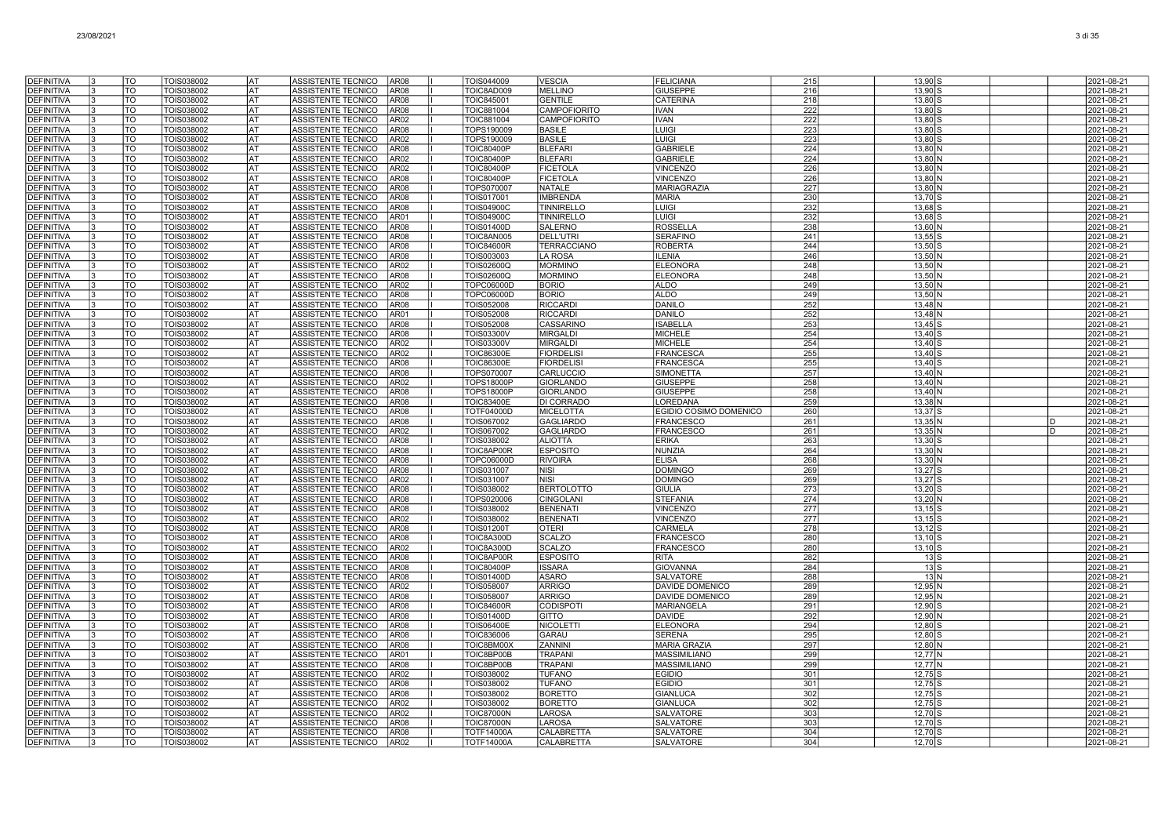| DEFINITIVA                             | TO              | TOIS038002               | AT                | ASSISTENTE TECNICO<br>AR <sub>08</sub>                                           | TOIS044009                             | <b>VESCIA</b>                       | <b>FELICIANA</b>                     | 215        | 13,90 S                |              | 2021-08-21               |
|----------------------------------------|-----------------|--------------------------|-------------------|----------------------------------------------------------------------------------|----------------------------------------|-------------------------------------|--------------------------------------|------------|------------------------|--------------|--------------------------|
| <b>DEFINITIVA</b>                      | TO              | TOIS038002               | AT                | ASSISTENTE TECNICO<br>AR08                                                       | TOIC8AD009                             | <b>MELLINO</b>                      | <b>GIUSEPPE</b>                      | 216        | 13,90                  |              | 2021-08-21               |
| <b>DEFINITIVA</b>                      | TO              | TOIS038002               | lat               | ASSISTENTE TECNICO<br>AR <sub>08</sub>                                           | <b>TOIC845001</b>                      | <b>GENTILE</b>                      | <b>CATERINA</b>                      | 218        | 13.80                  |              | 2021-08-21               |
| <b>DEFINITIVA</b>                      | TO              | TOIS038002               | <b>IAT</b>        | ASSISTENTE TECNICO<br>AR <sub>08</sub>                                           | <b>TOIC881004</b>                      | <b>CAMPOFIORITO</b>                 | <b>IVAN</b>                          | 222        | 13,80                  |              | 2021-08-21               |
| <b>DEFINITIVA</b>                      | TO              | TOIS038002               | AT                | ASSISTENTE TECNICO<br>AR <sub>02</sub>                                           | <b>TOIC881004</b>                      | CAMPOFIORITO                        | <b>IVAN</b>                          | 222        | 13,80                  |              | 2021-08-21               |
| <b>DEFINITIVA</b>                      | TO              | TOIS038002               | <b>IAT</b>        | ASSISTENTE TECNICO<br>AR <sub>08</sub>                                           | TOPS190009                             | <b>BASILE</b>                       | LUIGI                                | 223        | $13,80$ \$             |              | 2021-08-21               |
| <b>DEFINITIVA</b>                      | TO              | TOIS038002               | <b>IAT</b>        | ASSISTENTE TECNICO<br>AR <sub>02</sub>                                           | TOPS190009                             | <b>BASILE</b>                       | LUIGI                                | 223        | 13.80 S                |              | 2021-08-21               |
| <b>DEFINITIVA</b>                      | TO              | TOIS038002               | <b>IAT</b>        | <b>ASSISTENTE TECNICO</b><br>AR <sub>08</sub>                                    | <b>TOIC80400P</b>                      | <b>BLEFARI</b>                      | <b>GABRIELE</b>                      | 224        | 13,80 N                |              | 2021-08-21               |
| <b>DEFINITIVA</b>                      | $\overline{TO}$ | TOIS038002               | <b>AT</b>         | ASSISTENTE TECNICO<br>AR <sub>02</sub>                                           | <b>TOIC80400P</b>                      | <b>BLEFARI</b>                      | <b>GABRIELE</b>                      | 224        | 13,80 N                |              | 2021-08-21               |
| DEFINITIVA                             | <b>TO</b>       | TOIS038002               | <b>AT</b>         | ASSISTENTE TECNICO<br>AR <sub>02</sub>                                           | <b>TOIC80400P</b>                      | <b>FICETOLA</b>                     | <b>VINCENZO</b>                      | 226        | 13,80 N                |              | 2021-08-21               |
| <b>DEFINITIVA</b>                      | TO              | TOIS038002               | <b>AT</b>         | ASSISTENTE TECNICO<br>AR08                                                       | <b>TOIC80400P</b>                      | <b>FICETOLA</b>                     | <b>VINCENZO</b>                      | 226        | $13,80$ N              |              | 2021-08-21               |
| <b>DEFINITIVA</b><br><b>DEFINITIVA</b> | <b>TO</b><br>TO | TOIS038002<br>TOIS038002 | lat<br>I AT       | ASSISTENTE TECNICO<br>AR08<br>ASSISTENTE TECNICO<br>AR08                         | TOPS070007<br>TOIS017001               | <b>NATALE</b><br><b>IMBRENDA</b>    | <b>MARIAGRAZIA</b><br><b>MARIA</b>   | 227<br>230 | 13,80 N<br>13,70 \$    |              | 2021-08-21<br>2021-08-21 |
| <b>DEFINITIVA</b>                      | TO              | TOIS038002               | lat               | ASSISTENTE TECNICO<br>AR <sub>08</sub>                                           | <b>TOIS04900C</b>                      | <b>TINNIRELLO</b>                   | LUIGI                                | 232        | 13,68                  |              | 2021-08-21               |
| DEFINITIVA                             | TO              | TOIS038002               | AT                | ASSISTENTE TECNICO<br>AR01                                                       | <b>TOIS04900C</b>                      | <b>TINNIRELLO</b>                   | <b>LUIGI</b>                         | 232        | $13,68$ S              |              | 2021-08-21               |
| <b>DEFINITIVA</b>                      | TO              | TOIS038002               | lat               | ASSISTENTE TECNICO<br>AR08                                                       | <b>TOIS01400D</b>                      | SALERNO                             | <b>ROSSELLA</b>                      | 238        | 13.60 N                |              | 2021-08-21               |
| <b>DEFINITIVA</b>                      | TO<br>l3        | TOIS038002               | lat               | ASSISTENTE TECNICO<br>AR <sub>08</sub>                                           | TOIC8AN005                             | <b>DELL'UTRI</b>                    | <b>SERAFINO</b>                      | 241        | $13,55$ S              |              | 2021-08-21               |
| <b>DEFINITIVA</b>                      | <b>TO</b>       | TOIS038002               | <b>AT</b>         | ASSISTENTE TECNICO<br>AR <sub>08</sub>                                           | <b>TOIC84600R</b>                      | <b>TERRACCIANO</b>                  | <b>ROBERTA</b>                       | 244        | $13,50$ S              |              | 2021-08-21               |
| <b>DEFINITIVA</b>                      | <b>TO</b>       | TOIS038002               | lat               | ASSISTENTE TECNICO<br>AR <sub>08</sub>                                           | TOIS003003                             | <b>LA ROSA</b>                      | <b>ILENIA</b>                        | 246        | $13,50$ N              |              | 2021-08-21               |
| DEFINITIVA                             | lto             | TOIS038002               | <b>AT</b>         | ASSISTENTE TECNICO<br>AR <sub>02</sub>                                           | <b>TOIS02600Q</b>                      | <b>MORMINC</b>                      | <b>ELEONORA</b>                      | 248        | $13,50$ N              |              | 2021-08-21               |
| <b>DEFINITIVA</b>                      | TO              | TOIS038002               | lat               | ASSISTENTE TECNICO<br>AR <sub>08</sub>                                           | <b>TOIS02600Q</b>                      | <b>MORMINC</b>                      | <b>ELEONORA</b>                      | 248        | 13,50 N                |              | 2021-08-21               |
| <b>DEFINITIVA</b>                      | TO              | TOIS038002               | I AT              | <b>ASSISTENTE TECNICO</b><br>AR <sub>02</sub>                                    | TOPC06000D                             | <b>BORIO</b>                        | <b>ALDO</b>                          | 249        | $13,50$ N              |              | 2021-08-21               |
| <b>DEFINITIVA</b>                      | <b>TO</b>       | TOIS038002               | lat               | ASSISTENTE TECNICO<br>AR <sub>08</sub>                                           | TOPC06000D                             | <b>BORIO</b>                        | <b>ALDO</b>                          | 249        | $13,50$ N              |              | 2021-08-21               |
| DEFINITIVA                             | TO              | TOIS038002               | AT                | AR <sub>08</sub><br>ASSISTENTE TECNICO                                           | TOIS052008                             | <b>RICCARDI</b>                     | <b>DANILO</b>                        | 252        | $13,48$ N              |              | 2021-08-21               |
| <b>DEFINITIVA</b>                      | TO              | TOIS038002               | <b>AT</b>         | ASSISTENTE TECNICO<br>AR01                                                       | <b>TOIS052008</b>                      | <b>RICCARDI</b>                     | <b>DANILO</b>                        | 252        | $13,48$ N              |              | 2021-08-21               |
| <b>DEFINITIVA</b>                      | TO<br><b>TO</b> | TOIS038002<br>TOIS038002 | l AT<br><b>AT</b> | ASSISTENTE TECNICO<br>AR <sub>08</sub><br>ASSISTENTE TECNICO<br>AR <sub>08</sub> | TOIS052008<br>TOIS03300V               | <b>CASSARINO</b><br><b>MIRGALDI</b> | <b>ISABELLA</b><br><b>MICHELE</b>    | 253<br>254 | $13,45$ S<br>$13,40$ S |              | 2021-08-21               |
| <b>DEFINITIVA</b><br>DEFINITIVA        | <b>TO</b>       | TOIS038002               | AT                | ASSISTENTE TECNICO<br>AR02                                                       | TOIS03300V                             | <b>MIRGALDI</b>                     | <b>MICHELE</b>                       | 254        | 13,40                  |              | 2021-08-21<br>2021-08-21 |
| <b>DEFINITIVA</b>                      | <b>TO</b>       | TOIS038002               | <b>AT</b>         | ASSISTENTE TECNICO<br>AR02                                                       | <b>TOIC86300E</b>                      | <b>FIORDELIS</b>                    | <b>FRANCESCA</b>                     | 255        | 13,40                  |              | 2021-08-21               |
| DEFINITIVA                             | TO              | TOIS038002               | lat               | <b>ASSISTENTE TECNICO</b><br>AR08                                                | <b>TOIC86300E</b>                      | <b>FIORDELISI</b>                   | <b>FRANCESCA</b>                     | 255        | $13.40$ :              |              | 2021-08-21               |
| <b>DEFINITIVA</b>                      | TO              | TOIS038002               | lat               | ASSISTENTE TECNICO<br>AR08                                                       | TOPS070007                             | CARLUCCIO                           | <b>SIMONETTA</b>                     | 257        | $13,40$ N              |              | 2021-08-21               |
| <b>DEFINITIVA</b>                      | TO              | TOIS038002               | lat               | ASSISTENTE TECNICO<br>AR02                                                       | <b>TOPS18000P</b>                      | <b>GIORLANDO</b>                    | <b>GIUSEPPE</b>                      | 258        | $13,40$ N              |              | 2021-08-21               |
| DEFINITIVA                             | TO<br>13        | TOIS038002               | AT                | ASSISTENTE TECNICO<br>AR08                                                       | <b>TOPS18000P</b>                      | <b>GIORLANDO</b>                    | <b>GIUSEPPE</b>                      | 258        | $13,40$ N              |              | 2021-08-21               |
| <b>DEFINITIVA</b>                      | TO              | TOIS038002               | AT                | ASSISTENTE TECNICO<br>AR08                                                       | <b>TOIC83400E</b>                      | <b>DI CORRADO</b>                   | <b>LOREDANA</b>                      | 259        | 13,38 N                |              | 2021-08-21               |
| <b>DEFINITIVA</b>                      | TO              | TOIS038002               | l AT              | ASSISTENTE TECNICO<br>AR <sub>08</sub>                                           | TOTF04000D                             | <b>MICELOTTA</b>                    | EGIDIO COSIMO DOMENICO               | 260        | 13.37 S                |              | 2021-08-21               |
| <b>DEFINITIVA</b>                      | TO              | TOIS038002               | <b>AT</b>         | ASSISTENTE TECNICO<br>AR <sub>08</sub>                                           | TOIS067002                             | <b>GAGLIARDO</b>                    | <b>FRANCESCO</b>                     | 261        | 13,35 N                | <sub>D</sub> | 2021-08-21               |
| DEFINITIVA                             | <b>TO</b>       | TOIS038002               | <b>AT</b>         | ASSISTENTE TECNICO<br>AR <sub>02</sub>                                           | TOIS067002                             | <b>GAGLIARDO</b>                    | <b>FRANCESCO</b>                     | 261        | $13,35$ N              | D            | 2021-08-21               |
| <b>DEFINITIVA</b>                      | lto             | TOIS038002               | <b>AT</b>         | ASSISTENTE TECNICO<br>AR <sub>08</sub>                                           | TOIS038002                             | <b>ALIOTTA</b>                      | <b>ERIKA</b>                         | 263        | $13,30$ S              |              | 2021-08-21               |
| <b>DEFINITIVA</b><br><b>DEFINITIVA</b> | TO<br>TO        | TOIS038002<br>TOIS038002 | lat<br>lat        | ASSISTENTE TECNICO<br>AR <sub>08</sub><br>ASSISTENTE TECNICO<br>AR <sub>08</sub> | TOIC8AP00R<br>TOPC06000D               | <b>ESPOSITO</b><br><b>RIVOIRA</b>   | <b>NUNZIA</b><br><b>ELISA</b>        | 264<br>268 | $13,30$ N<br>$13,30$ N |              | 2021-08-21<br>2021-08-21 |
| <b>DEFINITIVA</b>                      | TO              | TOIS038002               | AT                | ASSISTENTE TECNICO<br>AR <sub>08</sub>                                           | TOIS031007                             | <b>NISI</b>                         | <b>DOMINGC</b>                       | 269        | $13,27$ S              |              | 2021-08-21               |
| <b>DEFINITIVA</b>                      | TO              | TOIS038002               | lat               | AR <sub>02</sub><br>ASSISTENTE TECNICO                                           | TOIS031007                             | <b>NISI</b>                         | <b>DOMINGO</b>                       | 269        | $13,27$ S              |              |                          |
| <b>DEFINITIVA</b>                      | TO              | TOIS038002               |                   | ASSISTENTE TECNICO<br>AR <sub>08</sub>                                           |                                        |                                     |                                      |            |                        |              |                          |
| <b>DEFINITIVA</b>                      | TO              |                          |                   |                                                                                  |                                        |                                     |                                      |            |                        |              | 2021-08-21               |
| <b>DEFINITIVA</b>                      |                 |                          | <b>AT</b><br>lat  | AR08                                                                             | TOIS038002                             | <b>BERTOLOTTO</b>                   | <b>GIULIA</b>                        | 273        | $13,20$ S              |              | 2021-08-21               |
| <b>DEFINITIVA</b>                      | TO              | TOIS038002<br>TOIS038002 | <b>AT</b>         | <b>ASSISTENTE TECNICO</b><br>ASSISTENTE TECNICO<br>AR <sub>08</sub>              | TOPS020006<br>TOIS038002               | <b>CINGOLANI</b><br><b>BENENATI</b> | <b>STEFANIA</b><br><b>VINCENZO</b>   | 274<br>277 | 13,20 N<br>$13,15$ S   |              | 2021-08-21<br>2021-08-21 |
|                                        | lto             | TOIS038002               | <b>AT</b>         | ASSISTENTE TECNICO<br>AR <sub>02</sub>                                           | TOIS038002                             | <b>BENENATI</b>                     | <b>VINCENZO</b>                      | 277        | $13,15$ S              |              | 2021-08-21               |
| DEFINITIVA                             | <b>TO</b>       | TOIS038002               | <b>AT</b>         | ASSISTENTE TECNICO<br>AR08                                                       | <b>TOIS01200T</b>                      | <b>OTERI</b>                        | <b>CARMELA</b>                       | 278        | $13,12$ S              |              | 2021-08-21               |
| <b>DEFINITIVA</b>                      | TO              | TOIS038002               | lat               | ASSISTENTE TECNICO<br>AR08                                                       | TOIC8A300D                             | <b>SCALZO</b>                       | <b>FRANCESCO</b>                     | 280        | 13.10                  |              | 2021-08-21               |
| <b>DEFINITIVA</b>                      | TO              | TOIS038002               | lat               | ASSISTENTE TECNICO<br>AR02                                                       | TOIC8A300D                             | <b>SCALZO</b>                       | <b>FRANCESCO</b>                     | 280        | $13,10$ S              |              | 2021-08-21               |
| <b>DEFINITIVA</b>                      | TO              | TOIS038002               | AT                | ASSISTENTE TECNICO<br>AR08                                                       | TOIC8AP00R                             | <b>ESPOSITO</b>                     | <b>RITA</b>                          | 282        | $13$ S                 |              | 2021-08-21               |
| <b>DEFINITIVA</b>                      | TO              | TOIS038002               | lat               | ASSISTENTE TECNICO<br>AR08                                                       | <b>TOIC80400P</b>                      | <b>ISSARA</b>                       | <b>GIOVANNA</b>                      | 284        | $13$ S                 |              | 2021-08-21               |
| <b>DEFINITIVA</b>                      | TO              | TOIS038002               | lat               | ASSISTENTE TECNICO<br>AR <sub>08</sub>                                           | <b>TOIS01400D</b>                      | ASARO                               | <b>SALVATORE</b>                     | 288        | 13 N                   |              | 2021-08-21               |
| <b>DEFINITIVA</b>                      | TO              | TOIS038002               | lat               | ASSISTENTE TECNICO<br>AR02                                                       | <b>TOIS058007</b>                      | <b>ARRIGO</b>                       | <b>DAVIDE DOMENICO</b>               | 289        | $12,95$ <sub>N</sub>   |              | 2021-08-21               |
| <b>DEFINITIVA</b>                      | TO              | TOIS038002               | <b>AT</b>         | ASSISTENTE TECNICO<br>AR <sub>08</sub>                                           | TOIS058007                             | <b>ARRIGO</b>                       | DAVIDE DOMENICO                      | 289        | 12,95 N                |              | 2021-08-21               |
| <b>DEFINITIVA</b>                      | <b>TO</b>       | TOIS038002               | <b>AT</b>         | ASSISTENTE TECNICO<br>AR <sub>08</sub>                                           | <b>TOIC84600R</b>                      | CODISPOTI                           | <b>MARIANGELA</b>                    | 291        | 12,90 S                |              | 2021-08-21               |
| <b>DEFINITIVA</b>                      | TO              | TOIS038002               | <b>AT</b>         | ASSISTENTE TECNICO<br>AR <sub>08</sub>                                           | <b>TOIS01400D</b>                      | GITTO                               | <b>DAVIDE</b>                        | 292        | 12,90 N                |              | 2021-08-21               |
| <b>DEFINITIVA</b><br><b>DEFINITIVA</b> | TO<br>TO        | TOIS038002<br>TOIS038002 | <b>AT</b><br>l AT | ASSISTENTE TECNICO<br>AR <sub>08</sub><br>ASSISTENTE TECNICO<br>AR <sub>08</sub> | <b>TOIS06400E</b><br><b>TOIC836006</b> | <b>NICOLETTI</b><br>GARAU           | <b>ELEONORA</b><br><b>SERENA</b>     | 294<br>295 | 12,80<br>12,80         |              | 2021-08-21               |
| <b>DEFINITIVA</b>                      | TO              | TOIS038002               | lat               | ASSISTENTE TECNICO<br>AR <sub>08</sub>                                           | TOIC8BM00X                             | ZANNINI                             | <b>MARIA GRAZIA</b>                  | 297        | 12,80                  |              | 2021-08-21<br>2021-08-21 |
| <b>DEFINITIVA</b>                      | TO              | TOIS038002               | AT                | ASSISTENTE TECNICO<br>AR01                                                       | TOIC8BP00B                             | <b>TRAPAN</b>                       | <b>MASSIMILIANO</b>                  | 299        | 12,77 N                |              | 2021-08-21               |
| <b>DEFINITIVA</b>                      | TO              | TOIS038002               | <b>IAT</b>        | ASSISTENTE TECNICO<br>AR <sub>08</sub>                                           | TOIC8BP00B                             | <b>TRAPANI</b>                      | <b>MASSIMILIANO</b>                  | 299        | 12,77 N                |              | 2021-08-21               |
| <b>DEFINITIVA</b>                      | TO              | TOIS038002               | lat               | ASSISTENTE TECNICO<br>AR02                                                       | TOIS038002                             | <b>TUFANO</b>                       | <b>EGIDIO</b>                        | 301        | $12,75$ S              |              | 2021-08-21               |
| <b>DEFINITIVA</b>                      | <b>TO</b>       | TOIS038002               | <b>AT</b>         | ASSISTENTE TECNICO<br>AR <sub>08</sub>                                           | TOIS038002                             | <b>TUFANO</b>                       | <b>EGIDIO</b>                        | 301        | $12,75$ S              |              | 2021-08-21               |
| <b>DEFINITIVA</b>                      | <b>TO</b>       | TOIS038002               | <b>AT</b>         | ASSISTENTE TECNICO<br>AR <sub>08</sub>                                           | TOIS038002                             | <b>BORETTO</b>                      | <b>GIANLUCA</b>                      | 302        | $12,75$ S              |              | 2021-08-21               |
| DEFINITIVA                             | <b>TO</b>       | TOIS038002               | lat               | ASSISTENTE TECNICO<br>AR02                                                       | TOIS038002                             | <b>BORETTO</b>                      | <b>GIANLUCA</b>                      | 302        | 12,75                  |              | 2021-08-21               |
| DEFINITIVA                             | TO              | TOIS038002               | lat               | ASSISTENTE TECNICO<br>AR02                                                       | <b>TOIC87000N</b>                      | LAROSA                              | SALVATORE                            | 303        | 12,70                  |              | 2021-08-21               |
| <b>DEFINITIVA</b>                      | TO              | TOIS038002               | lat<br>l AT       | <b>ASSISTENTE TECNICO</b><br>AR08                                                | <b>TOIC87000N</b>                      | LAROSA                              | <b>SALVATORE</b>                     | 303        | 12.70                  |              | 2021-08-21               |
| <b>DEFINITIVA</b><br>DEFINITIVA        | TO<br> TO<br>ıз | TOIS038002<br>TOIS038002 | AT                | ASSISTENTE TECNICO<br>AR <sub>08</sub><br>ASSISTENTE TECNICO<br>AR <sub>02</sub> | <b>TOTF14000A</b><br><b>TOTF14000A</b> | CALABRETTA<br><b>CALABRETTA</b>     | <b>SALVATORE</b><br><b>SALVATORE</b> | 304<br>304 | 12,70<br>12,70 S       |              | 2021-08-21<br>2021-08-21 |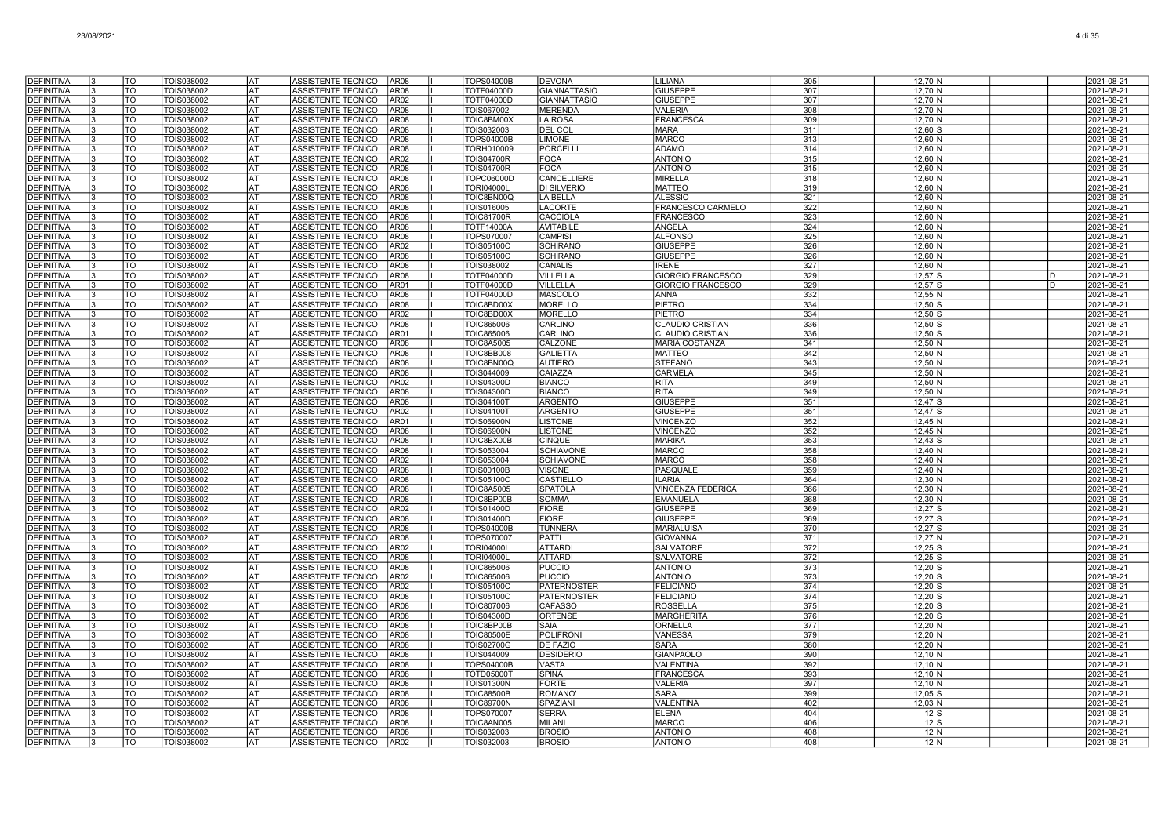| <b>DEFINITIVA</b>                      | TO                     | TOIS038002                      | lat                      | ASSISTENTE TECNICO                       | AR <sub>08</sub>                     | <b>TOPS04000B</b>                      | DEVONA                            | LILIANA                             | 305        | $12,70$ N                    |    | 2021-08-21               |
|----------------------------------------|------------------------|---------------------------------|--------------------------|------------------------------------------|--------------------------------------|----------------------------------------|-----------------------------------|-------------------------------------|------------|------------------------------|----|--------------------------|
| <b>DEFINITIVA</b>                      | <b>TO</b>              | <b>TOIS038002</b>               | lat                      | ASSISTENTE TECNICO                       | AR <sub>08</sub>                     | <b>TOTF04000D</b>                      | <b>GIANNATTASIO</b>               | <b>GIUSEPPE</b>                     | 307        | $12,70$ N                    |    | 2021-08-21               |
| <b>DEFINITIVA</b>                      | T <sub>O</sub>         | TOIS038002                      | <b>AT</b>                | ASSISTENTE TECNICO                       | AR02                                 | <b>TOTF04000D</b>                      | <b>GIANNATTASIO</b>               | <b>GIUSEPPE</b>                     | 307        | 12,70 N                      |    | 2021-08-21               |
| <b>DEFINITIVA</b>                      | TO                     | TOIS038002                      | AT)                      | ASSISTENTE TECNICO                       | AR08                                 | TOIS067002                             | <b>MERENDA</b>                    | VALERIA                             | 308        | 12,70 N                      |    | 2021-08-21               |
| <b>DEFINITIVA</b>                      | TO                     | TOIS038002                      | lat                      | ASSISTENTE TECNICO                       | AR <sub>08</sub>                     | TOIC8BM00X                             | LA ROSA                           | <b>FRANCESCA</b>                    | 309        | 12,70 N                      |    | 2021-08-21               |
| DEFINITIVA                             | TO                     | TOIS038002                      | <b>IAT</b>               | ASSISTENTE TECNICO                       | AR <sub>08</sub>                     | TOIS032003                             | DEL COL                           | <b>MARA</b>                         | 311        | $12,60$ S                    |    | 2021-08-21               |
| <b>DEFINITIVA</b>                      | TO                     | TOIS038002                      | AT                       | ASSISTENTE TECNICO                       | AR <sub>08</sub>                     | <b>TOPS04000E</b>                      | <b>LIMONE</b>                     | <b>MARCC</b>                        | 313        | 12,60 N                      |    | 2021-08-21               |
| <b>DEFINITIVA</b>                      | TO                     | TOIS038002                      | <b>IAT</b>               | ASSISTENTE TECNICO                       | AR <sub>08</sub>                     | TORH010009                             | PORCELLI                          | ADAMO                               | 314        | $12,60$ N                    |    | 2021-08-21               |
| <b>DEFINITIVA</b>                      | TO                     | TOIS038002                      | lat                      | ASSISTENTE TECNICO                       | AR02                                 | <b>TOIS04700R</b>                      | <b>FOCA</b>                       | <b>ANTONIC</b>                      | 315        | 12.60 N                      |    | 2021-08-21               |
| <b>DEFINITIVA</b>                      | <b>TO</b>              | TOIS038002                      | <b>AT</b><br><b>AT</b>   | ASSISTENTE TECNICO                       | AR <sub>08</sub>                     | <b>TOIS04700R</b>                      | <b>FOCA</b>                       | <b>ANTONIO</b>                      | 315        | 12,60 N                      |    | 2021-08-21               |
| <b>DEFINITIVA</b><br><b>DEFINITIVA</b> | $\overline{10}$<br>TO  | TOIS038002<br>TOIS038002        | AT                       | ASSISTENTE TECNICO<br>ASSISTENTE TECNICO | AR <sub>08</sub><br>AR08             | TOPC06000D<br><b>TORI04000L</b>        | CANCELLIERE<br><b>DI SILVERIO</b> | <b>MIRELLA</b><br><b>MATTEO</b>     | 318<br>319 | $12,60$ N<br>12,60 N         |    | 2021-08-21<br>2021-08-21 |
| <b>DEFINITIVA</b>                      | TO                     | TOIS038002                      | lat                      | ASSISTENTE TECNICO                       | AR <sub>08</sub>                     | TOIC8BN00Q                             | <b>LA BELLA</b>                   | <b>ALESSIO</b>                      | 321        | 12.60 N                      |    | 2021-08-21               |
| <b>DEFINITIVA</b>                      | TO                     | TOIS038002                      | l AT                     | ASSISTENTE TECNICO                       | AR08                                 | TOIS016005                             | LACORTE                           | FRANCESCO CARMELO                   | 322        | $12,60$ N                    |    | 2021-08-21               |
| <b>DEFINITIVA</b>                      | TO                     | TOIS038002                      | AT                       | ASSISTENTE TECNICO                       | AR <sub>08</sub>                     | <b>TOIC81700R</b>                      | CACCIOLA                          | <b>FRANCESCO</b>                    | 323        | $12,60$ N                    |    | 2021-08-21               |
| <b>DEFINITIVA</b>                      | TO                     | TOIS038002                      | lat                      | ASSISTENTE TECNICO                       | AR08                                 | <b>TOTF14000A</b>                      | AVITABILE                         | ANGELA                              | 324        | $12,60$ N                    |    | 2021-08-21               |
| DEFINITIVA                             | TO                     | TOIS038002                      | AT                       | ASSISTENTE TECNICO                       | AR <sub>08</sub>                     | TOPS070007                             | <b>CAMPISI</b>                    | <b>ALFONSO</b>                      | 325        | 12,60 N                      |    | 2021-08-21               |
| <b>DEFINITIVA</b>                      | TO                     | TOIS038002                      | lat                      | ASSISTENTE TECNICO                       | AR <sub>02</sub>                     | TOIS05100C                             | <b>SCHIRANO</b>                   | <b>GIUSEPPE</b>                     | 326        | 12,60 N                      |    | 2021-08-21               |
| <b>DEFINITIVA</b>                      | <b>TO</b>              | TOIS038002                      | <b>AT</b>                | ASSISTENTE TECNICO                       | AR <sub>08</sub>                     | <b>TOIS05100C</b>                      | <b>SCHIRANO</b>                   | <b>GIUSEPPE</b>                     | 326        | 12,60 N                      |    | 2021-08-21               |
| <b>DEFINITIVA</b>                      | $\overline{\text{TO}}$ | TOIS038002                      | <b>AT</b>                | ASSISTENTE TECNICO                       | AR <sub>08</sub>                     | TOIS038002                             | CANALIS                           | <b>IRENE</b>                        | 327        | 12,60 N                      |    | 2021-08-21               |
| <b>DEFINITIVA</b>                      | <b>TO</b>              | TOIS038002                      | <b>AT</b>                | ASSISTENTE TECNICO                       | AR <sub>08</sub>                     | <b>TOTF04000D</b>                      | VILLELLA                          | <b>GIORGIO FRANCESCO</b>            | 329        | $12,57$ S                    | D  | 2021-08-21               |
| <b>DEFINITIVA</b>                      | TO                     | TOIS038002                      | lat                      | ASSISTENTE TECNICO                       | AR01                                 | TOTF04000D                             | <b>VILLELLA</b>                   | <b>GIORGIO FRANCESCO</b>            | 329        | $12,57$ S                    | In | 2021-08-21               |
| DEFINITIVA                             | TO                     | TOIS038002                      | <b>IAT</b>               | ASSISTENTE TECNICO                       | AR08                                 | <b>TOTF04000D</b>                      | MASCOLO                           | <b>ANNA</b>                         | 332        | 12,55N                       |    | 2021-08-21               |
| <b>DEFINITIVA</b><br><b>DEFINITIVA</b> | TO<br>TO               | TOIS038002<br>TOIS038002        | <b>IAT</b><br><b>IAT</b> | ASSISTENTE TECNICO<br>ASSISTENTE TECNICO | AR <sub>08</sub><br>AR <sub>02</sub> | TOIC8BD00X<br>TOIC8BD00X               | MORELLO<br><b>MORELLO</b>         | <b>PIETRO</b><br><b>PIETRO</b>      | 334<br>334 | $12,50$ S<br>$12,50$ S       |    | 2021-08-21<br>2021-08-21 |
| <b>DEFINITIVA</b>                      | TO                     | TOIS038002                      | lat                      | ASSISTENTE TECNICO                       | AR08                                 | TOIC865006                             | CARLINO                           | <b>CLAUDIO CRISTIAN</b>             | 336        | $12,50$ S                    |    | 2021-08-21               |
| <b>DEFINITIVA</b>                      | TO                     | TOIS038002                      | <b>AT</b>                | ASSISTENTE TECNICO                       | AR01                                 | <b>TOIC865006</b>                      | CARLINO                           | <b>CLAUDIO CRISTIAN</b>             | 336        | $12,50$ S                    |    | 2021-08-21               |
| <b>DEFINITIVA</b>                      | <b>TO</b>              | TOIS038002                      | lat                      | ASSISTENTE TECNICO                       | AR08                                 | <b>TOIC8A5005</b>                      | CALZONE                           | <b>MARIA COSTANZA</b>               | 341        | 12,50 N                      |    | 2021-08-21               |
| <b>DEFINITIVA</b>                      | $\overline{10}$        | TOIS038002                      | <b>AT</b>                | ASSISTENTE TECNICO                       | AR08                                 | TOIC8BB008                             | <b>GALIETTA</b>                   | <b>MATTEO</b>                       | 342        | $12,50$ N                    |    | 2021-08-21               |
| <b>DEFINITIVA</b>                      | TO                     | TOIS038002                      | lat                      | ASSISTENTE TECNICO                       | AR08                                 | TOIC8BN00Q                             | AUTIERO                           | <b>STEFANO</b>                      | 343        | 12.50 N                      |    | 2021-08-21               |
| <b>DEFINITIVA</b>                      | TO                     | TOIS038002                      | AT                       | <b>ASSISTENTE TECNICO</b>                | AR08                                 | TOIS044009                             | CAIAZZA                           | CARMELA                             | 345        | $12,50$ N                    |    | 2021-08-21               |
| <b>DEFINITIVA</b>                      | TO                     | TOIS038002                      | lat                      | <b>ASSISTENTE TECNICO</b>                | AR02                                 | <b>TOIS04300D</b>                      | <b>BIANCO</b>                     | <b>RITA</b>                         | 349        | $12,50$ N                    |    | 2021-08-21               |
| <b>DEFINITIVA</b>                      | TO                     | TOIS038002                      | AT                       | ASSISTENTE TECNICO                       | AR08                                 | <b>TOIS04300D</b>                      | <b>BIANCO</b>                     | <b>RITA</b>                         | 349        | $12,50$ N                    |    | 2021-08-21               |
| <b>DEFINITIVA</b>                      | TO                     | TOIS038002                      | AT                       | ASSISTENTE TECNICO                       | AR08                                 | <b>TOIS04100T</b>                      | <b>ARGENTO</b>                    | <b>GIUSEPPE</b>                     | 351        | $12,47$ S                    |    | 2021-08-21               |
| <b>DEFINITIVA</b>                      | TO                     | TOIS038002                      | l AT<br><b>AT</b>        | ASSISTENTE TECNICO                       | AR02                                 | <b>TOIS04100T</b>                      | ARGENTO                           | <b>GIUSEPPE</b>                     | 351        | 12.47 S                      |    | 2021-08-21               |
| <b>DEFINITIVA</b>                      | TO<br>$\overline{10}$  | TOIS038002<br><b>TOIS038002</b> | <b>AT</b>                | ASSISTENTE TECNICO                       | AR01<br>AR08                         | <b>TOIS06900N</b>                      | <b>LISTONE</b><br><b>LISTONE</b>  | <b>VINCENZO</b>                     | 352        | $12,45$ N                    |    | 2021-08-21               |
| <b>DEFINITIVA</b><br><b>DEFINITIVA</b> | <b>TO</b>              | TOIS038002                      | <b>AT</b>                | ASSISTENTE TECNICO<br>ASSISTENTE TECNICO | AR <sub>08</sub>                     | <b>TOIS06900N</b><br>TOIC8BX00B        | <b>CINQUE</b>                     | <b>VINCENZO</b><br><b>MARIKA</b>    | 352<br>353 | $12,45$ N<br>$12,43$ S       |    | 2021-08-21<br>2021-08-21 |
| <b>DEFINITIVA</b>                      | TO                     | TOIS038002                      | lat                      | ASSISTENTE TECNICO                       | AR <sub>08</sub>                     | TOIS053004                             | <b>SCHIAVONE</b>                  | <b>MARCO</b>                        | 358        | 12,40 N                      |    | 2021-08-21               |
| <b>DEFINITIVA</b>                      | <b>TO</b>              | TOIS038002                      | l AT                     | ASSISTENTE TECNICO                       | AR <sub>02</sub>                     | TOIS053004                             | <b>SCHIAVONE</b>                  | <b>MARCC</b>                        | 358        | $12,40$ N                    |    | 2021-08-21               |
| <b>DEFINITIVA</b>                      | TO                     | TOIS038002                      | lat                      | ASSISTENTE TECNICO                       | AR <sub>08</sub>                     | <b>TOIS00100B</b>                      | <b>VISONE</b>                     | PASQUALE                            | 359        | 12,40 N                      |    | 2021-08-21               |
| <b>DEFINITIVA</b>                      | TO                     | TOIS038002                      | <b>AT</b>                | ASSISTENTE TECNICO                       | AR <sub>08</sub>                     | <b>TOIS05100C</b>                      | <b>CASTIELLO</b>                  | <b>ILARIA</b>                       | 364        | $12,30$ N                    |    | 2021-08-21               |
| <b>DEFINITIVA</b>                      | TO                     | TOIS038002                      | <b>IAT</b>               | ASSISTENTE TECNICO                       | AR <sub>08</sub>                     | <b>TOIC8A5005</b>                      | <b>SPATOLA</b>                    | <b>VINCENZA FEDERICA</b>            | 366        | $12.30\text{N}$              |    | 2021-08-21               |
| <b>DEFINITIVA</b>                      | TO                     | TOIS038002                      | <b>AT</b>                | ASSISTENTE TECNICO                       | AR <sub>08</sub>                     | TOIC8BP00B                             | <b>SOMMA</b>                      | <b>EMANUELA</b>                     | 368        | $12,30$ N                    |    | 2021-08-21               |
| <b>DEFINITIVA</b>                      | $\overline{10}$        | TOIS038002                      | <b>AT</b>                | ASSISTENTE TECNICO                       | AR <sub>02</sub>                     | <b>TOIS01400D</b>                      | <b>FIORE</b>                      | <b>GIUSEPPE</b>                     | 369        | $12,27$ S                    |    | 2021-08-21               |
| <b>DEFINITIVA</b>                      | <b>TO</b>              | TOIS038002                      | <b>AT</b>                | ASSISTENTE TECNICO                       | AR08                                 | TOIS01400D                             | FIORE                             | <b>GIUSEPPE</b>                     | 369        | $12,27$ S                    |    | 2021-08-21               |
| <b>DEFINITIVA</b>                      | TO                     | TOIS038002                      | <b>AT</b>                | ASSISTENTE TECNICO                       | AR <sub>08</sub>                     | TOPS04000B                             | <b>TUNNERA</b>                    | <b>MARIALUISA</b>                   | 370        | $12,27$ S                    |    | 2021-08-21               |
| <b>DEFINITIVA</b><br><b>DEFINITIVA</b> | $\overline{10}$<br>TO  | TOIS038002<br>TOIS038002        | <b>AT</b><br>lat         | ASSISTENTE TECNICO<br>ASSISTENTE TECNICO | AR <sub>08</sub><br>AR02             | <b>TOPS070007</b><br><b>TORI04000L</b> | PATTI<br><b>ATTARDI</b>           | <b>GIOVANNA</b><br><b>SALVATORE</b> | 371<br>372 | 12,27 N<br>12,25             |    | 2021-08-21<br>2021-08-21 |
| <b>DEFINITIVA</b>                      | TO                     | TOIS038002                      | AT                       | ASSISTENTE TECNICO                       | AR <sub>08</sub>                     | <b>TORI04000L</b>                      | <b>ATTARDI</b>                    | SALVATORE                           | 372        | $12,25$ S                    |    | 2021-08-21               |
| <b>DEFINITIVA</b>                      | TO                     | TOIS038002                      | AT)                      | ASSISTENTE TECNICO                       | AR08                                 | <b>TOIC865006</b>                      | PUCCIO                            | <b>ANTONIO</b>                      | 373        | $12,20$ S                    |    | 2021-08-21               |
| <b>DEFINITIVA</b>                      | TO                     | TOIS038002                      | lat                      | ASSISTENTE TECNICO                       | AR <sub>02</sub>                     | <b>TOIC865006</b>                      | PUCCIO                            | <b>ANTONIO</b>                      | 373        | $12,20$ S                    |    | 2021-08-21               |
| <b>DEFINITIVA</b>                      | TO                     | TOIS038002                      | <b>AT</b>                | ASSISTENTE TECNICO                       | AR <sub>02</sub>                     | TOIS05100C                             | PATERNOSTER                       | <b>FELICIANO</b>                    | 374        | $12,20$ S                    |    | 2021-08-21               |
| <b>DEFINITIVA</b>                      | TO                     | TOIS038002                      | <b>AT</b>                | ASSISTENTE TECNICO                       | AR <sub>08</sub>                     | <b>TOIS05100C</b>                      | <b>PATERNOSTER</b>                | <b>FELICIANO</b>                    | 374        | $12,20$ S                    |    | 2021-08-21               |
| <b>DEFINITIVA</b>                      | TO                     | TOIS038002                      | <b>AT</b>                | ASSISTENTE TECNICO                       | AR <sub>08</sub>                     | <b>TOIC807006</b>                      | <b>CAFASSO</b>                    | <b>ROSSELLA</b>                     | 375        | $12,20$ S                    |    | 2021-08-21               |
| <b>DEFINITIVA</b>                      | TO                     | TOIS038002                      | <b>AT</b>                | ASSISTENTE TECNICO                       | AR08                                 | <b>TOIS04300D</b>                      | ORTENSE                           | <b>MARGHERITA</b>                   | 376        | $12,20$ S                    |    | 2021-08-21               |
| <b>DEFINITIVA</b>                      | TO                     | TOIS038002                      | lat                      | ASSISTENTE TECNICO                       | AR <sub>08</sub>                     | TOIC8BP00B                             | <b>SAIA</b>                       | ORNELLA                             | 377        | $12,20$ N                    |    | 2021-08-21               |
| <b>DEFINITIVA</b>                      | TO                     | TOIS038002                      | AT                       | ASSISTENTE TECNICO                       | AR <sub>08</sub>                     | <b>TOIC80500E</b>                      | POLIFRONI                         | VANESSA                             | 379        | $12,20$ N                    |    | 2021-08-21               |
| <b>DEFINITIVA</b>                      | TO                     | TOIS038002                      | AT                       | ASSISTENTE TECNICO                       | AR08                                 | <b>TOIS02700G</b>                      | <b>DE FAZIO</b>                   | <b>SARA</b>                         | 380        | $12,20$ N                    |    | 2021-08-21               |
| <b>DEFINITIVA</b><br><b>DEFINITIVA</b> | TO<br>TO               | TOIS038002<br>TOIS038002        | lat<br><b>IAT</b>        | ASSISTENTE TECNICO<br>ASSISTENTE TECNICO | AR <sub>08</sub><br>AR <sub>08</sub> | TOIS044009<br><b>TOPS04000B</b>        | DESIDERIO<br><b>VASTA</b>         | <b>GIANPAOLO</b><br>VALENTINA       | 390<br>392 | $12.10\text{N}$<br>$12,10$ N |    | 2021-08-21<br>2021-08-21 |
| <b>DEFINITIVA</b>                      | $\overline{10}$        | TOIS038002                      | <b>AT</b>                | ASSISTENTE TECNICO                       | AR08                                 | <b>TOTD05000T</b>                      | <b>SPINA</b>                      | <b>FRANCESCA</b>                    | 393        | $12,10$ N                    |    | 2021-08-21               |
| DEFINITIVA                             | <b>OT</b>              | TOIS038002                      | <b>AT</b>                | ASSISTENTE TECNICO                       | AR <sub>08</sub>                     | <b>TOIS01300N</b>                      | FORTE                             | <b>VALERIA</b>                      | 397        | $12,10$ N                    |    | 2021-08-21               |
| <b>DEFINITIVA</b>                      | TO                     | TOIS038002                      | lat                      | ASSISTENTE TECNICO                       | AR08                                 | <b>TOIC88500B</b>                      | <b>ROMANO</b>                     | <b>SARA</b>                         | 399        | $12,05$ S                    |    | 2021-08-21               |
| <b>DEFINITIVA</b>                      | TO                     | TOIS038002                      | AT                       | ASSISTENTE TECNICO                       | AR08                                 | <b>FOIC89700N</b>                      | SPAZIANI                          | VALENTINA                           | 402        | 12,03 N                      |    | 2021-08-21               |
| DEFINITIVA                             | TO                     | TOIS038002                      | <b>AT</b>                | ASSISTENTE TECNICO                       | AR08                                 | TOPS070007                             | <b>SERRA</b>                      | <b>ELENA</b>                        | 404        | $12$ $S$                     |    | 2021-08-21               |
| DEFINITIVA                             | TO                     | TOIS038002                      | AT                       | ASSISTENTE TECNICO                       | AR08                                 | TOIC8AN005                             | MILANI                            | <b>MARCC</b>                        | 406        | $12$ S                       |    | 2021-08-21               |
| <b>DEFINITIVA</b>                      | TO                     | TOIS038002                      | AT                       | ASSISTENTE TECNICO                       | AR <sub>08</sub>                     | TOIS032003                             | <b>BROSIO</b>                     | <b>ANTONIC</b>                      | 408        | $121$ N                      |    | 2021-08-21               |
| <b>DEFINITIVA</b>                      | TO                     | TOIS038002                      | lat                      | ASSISTENTE TECNICO                       | AR02                                 | TOIS032003                             | <b>BROSIO</b>                     | <b>ANTONIO</b>                      | 408        | 12 <sub>IN</sub>             |    | 2021-08-21               |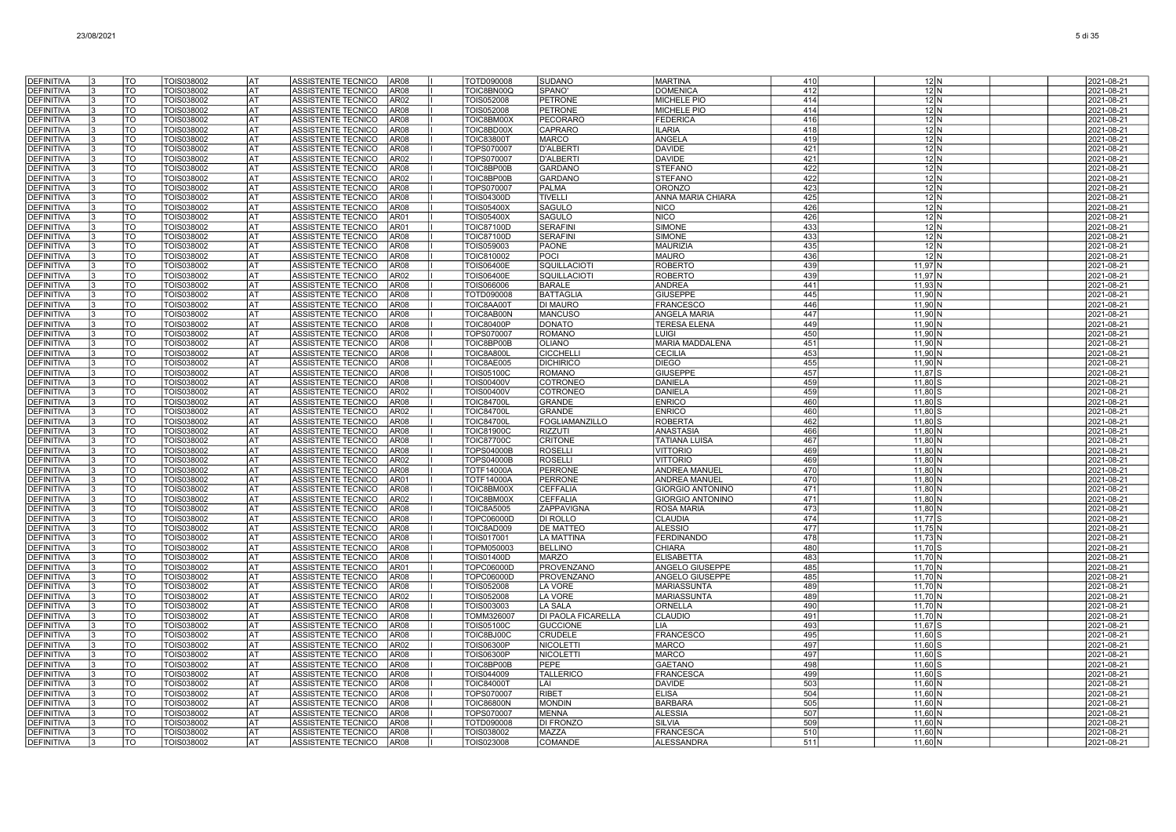| <b>DEFINITIVA</b>                      | TO                       | TOIS038002               | AT        | ASSISTENTE TECNICO<br>AR <sub>08</sub>                                        | TOTD090008                             | <b>SUDANO</b>                       | <b>MARTINA</b>                           | 410        | 12 <sub>N</sub>                          | 2021-08-21               |
|----------------------------------------|--------------------------|--------------------------|-----------|-------------------------------------------------------------------------------|----------------------------------------|-------------------------------------|------------------------------------------|------------|------------------------------------------|--------------------------|
| <b>DEFINITIVA</b>                      | TO                       | TOIS038002               | AT        | AR08<br>ASSISTENTE TECNICO                                                    | TOIC8BN00Q                             | SPANO'                              | <b>DOMENICA</b>                          | 412        | 12 N                                     | 2021-08-21               |
| <b>DEFINITIVA</b>                      | TO                       | TOIS038002               | IAT       | AR02<br>ASSISTENTE TECNICO                                                    | TOIS052008                             | <b>PETRONE</b>                      | MICHELE PIO                              | 414        | 12 N                                     | 2021-08-21               |
| <b>DEFINITIVA</b>                      | TO                       | TOIS038002               | AT        | <b>ASSISTENTE TECNICO</b><br>AR08                                             | TOIS052008                             | <b>PETRONE</b>                      | <b>MICHELE PIO</b>                       | 414        | 12 N                                     | 2021-08-21               |
| <b>DEFINITIVA</b>                      | TO                       | TOIS038002               | AT        | <b>ASSISTENTE TECNICO</b><br>AR08                                             | TOIC8BM00X                             | PECORARC                            | <b>FEDERICA</b>                          | 416        | 12N                                      | 2021-08-21               |
| <b>DEFINITIVA</b>                      | TO                       | TOIS038002               | lat       | ASSISTENTE TECNICO<br><b>AR08</b>                                             | TOIC8BD00X                             | CAPRARO                             | <b>ILARIA</b>                            | 418        | 12 N                                     | 2021-08-21               |
| <b>DEFINITIVA</b>                      | TO                       | TOIS038002               | <b>AT</b> | ASSISTENTE TECNICO<br>AR08                                                    | <b>TOIC83800T</b>                      | <b>MARCO</b>                        | ANGELA                                   | 419        | $12$ N                                   | 2021-08-21               |
| DEFINITIVA                             | TO                       | TOIS038002               | lat       | <b>ASSISTENTE TECNICO</b><br><b>AR08</b>                                      | TOPS070007                             | <b>D'ALBERT</b>                     | <b>DAVIDE</b>                            | 421        | 12 N                                     | 2021-08-21               |
| <b>DEFINITIVA</b><br><b>DEFINITIVA</b> | TO<br>TO                 | TOIS038002<br>TOIS038002 | AT<br>AT  | ASSISTENTE TECNICO<br>AR02<br>ASSISTENTE TECNICO<br>AR08                      | <b>TOPS070007</b><br>TOIC8BP00B        | <b>D'ALBERTI</b><br><b>GARDANO</b>  | <b>DAVIDE</b><br><b>STEFANO</b>          | 421<br>422 | 12 N<br>12N                              | 2021-08-21<br>2021-08-21 |
| <b>DEFINITIVA</b>                      | TO                       | TOIS038002               | AT        | ASSISTENTE TECNICO<br>AR02                                                    | TOIC8BP00B                             | <b>GARDANO</b>                      | <b>STEFANO</b>                           | 422        | 12 N                                     | 2021-08-21               |
| <b>DEFINITIVA</b>                      | TO                       | TOIS038002               | AT        | ASSISTENTE TECNICO<br>AR08                                                    | TOPS070007                             | <b>PALMA</b>                        | <b>ORONZO</b>                            | 423        | 12 N                                     | 2021-08-21               |
| <b>DEFINITIVA</b>                      | TO                       | TOIS038002               | AT        | AR08<br><b>ASSISTENTE TECNICO</b>                                             | <b>TOIS04300D</b>                      | <b>TIVELLI</b>                      | ANNA MARIA CHIARA                        | 425        | 12 N                                     | 2021-08-21               |
| <b>DEFINITIVA</b>                      | TO                       | TOIS038002               | AT        | ASSISTENTE TECNICO<br>AR08                                                    | <b>TOIS05400X</b>                      | <b>SAGULO</b>                       | <b>NICO</b>                              | 426        | 12N                                      | 2021-08-21               |
| <b>DEFINITIVA</b>                      | TO                       | TOIS038002               | AT        | <b>ASSISTENTE TECNICO</b><br>AR01                                             | <b>TOIS05400X</b>                      | <b>SAGULO</b>                       | <b>NICO</b>                              | 426        | 12N                                      | 2021-08-21               |
| <b>DEFINITIVA</b>                      | TO                       | TOIS038002               | <b>AT</b> | ASSISTENTE TECNICO<br><b>AR01</b>                                             | <b>TOIC87100D</b>                      | <b>SERAFINI</b>                     | <b>SIMONE</b>                            | 433        | 12N                                      | 2021-08-21               |
| <b>DEFINITIVA</b>                      | TO                       | TOIS038002               | <b>AT</b> | ASSISTENTE TECNICO<br><b>AR08</b>                                             | <b>TOIC87100D</b>                      | <b>SERAFINI</b>                     | <b>SIMONE</b>                            | 433        | 12N                                      | 2021-08-21               |
| <b>DEFINITIVA</b>                      | TO                       | TOIS038002               | AT        | ASSISTENTE TECNICO<br><b>AR08</b>                                             | TOIS059003                             | PAONE                               | <b>MAURIZIA</b>                          | 435        | 12 N                                     | 2021-08-21               |
| <b>DEFINITIVA</b><br><b>DEFINITIVA</b> | TO<br>TO                 | TOIS038002<br>TOIS038002 | AT<br>AT  | ASSISTENTE TECNICO<br><b>AR08</b><br><b>ASSISTENTE TECNICO</b><br><b>AR08</b> | TOIC810002<br><b>TOIS06400E</b>        | POCI<br>SQUILLACIOTI                | <b>MAURO</b><br><b>ROBERTO</b>           | 436<br>439 | 12N<br>11.97 N                           | 2021-08-21<br>2021-08-21 |
| DEFINITIVA                             | TO                       | TOIS038002               | AT        | AR02<br>ASSISTENTE TECNICO                                                    | <b>TOIS06400E</b>                      | SQUILLACIOTI                        | <b>ROBERTO</b>                           | 439        | 11,97 N                                  | 2021-08-21               |
| <b>DEFINITIVA</b>                      | TO                       | TOIS038002               | AT        | <b>AR08</b><br><b>ASSISTENTE TECNICO</b>                                      | TOIS066006                             | <b>BARALE</b>                       | <b>ANDREA</b>                            | 441        | $11,93$ N                                | 2021-08-21               |
| <b>DEFINITIVA</b>                      | TO                       | TOIS038002               | <b>AT</b> | <b>ASSISTENTE TECNICO</b><br>AR08                                             | TOTD090008                             | <b>BATTAGLIA</b>                    | <b>GIUSEPPE</b>                          | 445        | 11,90   N                                | 2021-08-21               |
| <b>DEFINITIVA</b>                      | TO                       | TOIS038002               | AT        | <b>ASSISTENTE TECNICO</b><br>AR08                                             | TOIC8AA00T                             | <b>DI MAURO</b>                     | <b>FRANCESCO</b>                         | 446        | 11.90 N                                  | 2021-08-21               |
| <b>DEFINITIVA</b>                      | TO                       | TOIS038002               | l AT      | ASSISTENTE TECNICO<br>AR08                                                    | TOIC8AB00N                             | <b>MANCUSO</b>                      | <b>ANGELA MARIA</b>                      | 447        | 11,90 N                                  | 2021-08-21               |
| <b>DEFINITIVA</b>                      | $\overline{\mathsf{co}}$ | TOIS038002               | <b>AT</b> | ASSISTENTE TECNICO<br><b>AR08</b>                                             | <b>TOIC80400P</b>                      | <b>DONATO</b>                       | <b>TERESA ELENA</b>                      | 449        | 11,90 N                                  | 2021-08-21               |
| <b>DEFINITIVA</b>                      | $\overline{\mathrm{TO}}$ | TOIS038002               | <b>AT</b> | ASSISTENTE TECNICO<br>AR08                                                    | TOPS070007                             | <b>ROMANO</b>                       | LUIGI                                    | 450        | $11,90$ N                                | 2021-08-21               |
| <b>DEFINITIVA</b><br><b>DEFINITIVA</b> | TO<br>TO                 | TOIS038002<br>TOIS038002 | AT<br>AT  | ASSISTENTE TECNICO<br>AR08<br>ASSISTENTE TECNICO<br>AR08                      | TOIC8BP00B<br>TOIC8A800L               | <b>OLIANO</b><br><b>CICCHELLI</b>   | <b>MARIA MADDALENA</b><br><b>CECILIA</b> | 451<br>453 | 11.90 <sup>IN</sup><br>11.90 N           | 2021-08-21<br>2021-08-21 |
| <b>DEFINITIVA</b>                      | TO                       | TOIS038002               | AT        | ASSISTENTE TECNICO<br>AR08                                                    | TOIC8AE005                             | <b>DICHIRICO</b>                    | <b>DIEGO</b>                             | 455        | 11,90   M                                | 2021-08-21               |
| DEFINITIVA                             | TO                       | TOIS038002               | AT        | ASSISTENTE TECNICO<br>AR08                                                    | <b>TOIS05100C</b>                      | <b>ROMANO</b>                       | <b>GIUSEPPE</b>                          | 457        | 11,87 S                                  | 2021-08-21               |
| <b>DEFINITIVA</b>                      | TO                       | TOIS038002               | AT        | ASSISTENTE TECNICO<br>AR08                                                    | <b>TOIS00400V</b>                      | COTRONEO                            | <b>DANIELA</b>                           | 459        | 11,80 \$                                 | 2021-08-21               |
| <b>DEFINITIVA</b>                      | TO                       | TOIS038002               | AT        | ASSISTENTE TECNICO<br>AR02                                                    | <b>TOIS00400V</b>                      | COTRONEO                            | <b>DANIELA</b>                           | 459        | 11,80                                    | 2021-08-21               |
| <b>DEFINITIVA</b>                      | TO                       | TOIS038002               | <b>AT</b> | ASSISTENTE TECNICO<br>AR08                                                    | <b>TOIC84700L</b>                      | <b>GRANDE</b>                       | <b>ENRICO</b>                            | 460        | 11,80 S                                  | 2021-08-21               |
| <b>DEFINITIVA</b>                      | TO                       | TOIS038002               | <b>AT</b> | ASSISTENTE TECNICO<br>AR02                                                    | <b>TOIC84700L</b>                      | <b>GRANDE</b>                       | <b>ENRICO</b>                            | 460        | 11,80                                    | 2021-08-21               |
| <b>DEFINITIVA</b>                      | $\overline{\mathrm{TO}}$ | TOIS038002               | lat       | <b>AR08</b><br><b>ASSISTENTE TECNICO</b>                                      | <b>TOIC84700L</b>                      | <b>FOGLIAMANZILLO</b>               | <b>ROBERTA</b>                           | 462        | $11,80$ S                                | 2021-08-21               |
| <b>DEFINITIVA</b><br><b>DEFINITIVA</b> | TO<br>TO                 | TOIS038002<br>TOIS038002 | AT<br>AT  | ASSISTENTE TECNICO<br><b>AR08</b><br>ASSISTENTE TECNICO<br><b>AR08</b>        | <b>TOIC81900C</b><br><b>TOIC87700C</b> | <b>RIZZUTI</b><br><b>CRITONE</b>    | <b>ANASTASIA</b><br><b>TATIANA LUISA</b> | 466<br>467 | 11.80 <sub>h</sub><br>11.80 <sub>N</sub> | 2021-08-21               |
| <b>DEFINITIVA</b>                      | TO                       | TOIS038002               | AT        | AR08<br>ASSISTENTE TECNICO                                                    | TOPS04000B                             | <b>ROSELLI</b>                      | <b>VITTORIO</b>                          | 469        | $11,80$ M                                | 2021-08-21<br>2021-08-21 |
| <b>DEFINITIVA</b>                      | TO                       | TOIS038002               | AT        | AR02<br>ASSISTENTE TECNICO                                                    | TOPS04000B                             | <b>ROSELLI</b>                      | <b>VITTORIO</b>                          | 469        | $11,80$ M                                | 2021-08-21               |
| <b>DEFINITIVA</b>                      | TO                       | TOIS038002               | AT        | AR08<br>ASSISTENTE TECNICO                                                    | <b>TOTF14000A</b>                      | <b>PERRONE</b>                      | <b>ANDREA MANUEL</b>                     | 470        | $11,80$ N                                | 2021-08-21               |
| <b>DEFINITIVA</b>                      | TO                       | TOIS038002               | AT        | <b>ASSISTENTE TECNICO</b><br>AR01                                             | <b>TOTF14000A</b>                      | PERRONE                             | <b>ANDREA MANUEL</b>                     | 470        | 11.80N                                   | 2021-08-21               |
| <b>DEFINITIVA</b>                      | TO                       | TOIS038002               | <b>AT</b> | ASSISTENTE TECNICO<br>AR08                                                    | TOIC8BM00X                             | <b>CEFFALIA</b>                     | <b>GIORGIO ANTONINO</b>                  | 471        | $11,80$ N                                | 2021-08-21               |
| <b>DEFINITIVA</b>                      | TO                       | <b>TOIS038002</b>        | <b>AT</b> | ASSISTENTE TECNICO<br>AR02                                                    | TOIC8BM00X                             | <b>CEFFALIA</b>                     | <b>GIORGIO ANTONINO</b>                  | 471        | $11,80$ N                                | 2021-08-21               |
| <b>DEFINITIVA</b>                      | TO                       | TOIS038002               | lat       | <b>ASSISTENTE TECNICO</b><br><b>AR08</b>                                      | <b>TOIC8A5005</b>                      | ZAPPAVIGNA                          | <b>ROSA MARIA</b>                        | 473        | $11,80$ N                                | 2021-08-21               |
| DEFINITIVA                             | TO                       | TOIS038002               | AT        | ASSISTENTE TECNICO<br>AR08                                                    | <b>TOPC06000D</b>                      | DI ROLLO                            | <b>CLAUDIA</b>                           | 474        | $11,77$ S                                | 2021-08-21               |
| <b>DEFINITIVA</b>                      | TO                       | TOIS038002               | AT<br>AT  | ASSISTENTE TECNICO<br>AR08                                                    | TOIC8AD009                             | DE MATTEO                           | <b>ALESSIO</b>                           | 477        | 11.75 N                                  | 2021-08-21               |
| <b>DEFINITIVA</b><br>DEFINITIVA        | TO<br>TO                 | TOIS038002<br>TOIS038002 | AT        | ASSISTENTE TECNICO<br>AR08<br>ASSISTENTE TECNICO<br>AR08                      | TOIS017001<br>TOPM050003               | <b>LA MATTINA</b><br><b>BELLINO</b> | <b>FERDINANDO</b><br><b>CHIARA</b>       | 478<br>480 | $11,73$ N<br>$11,70$ $\mid$              | 2021-08-21<br>2021-08-21 |
| <b>DEFINITIVA</b>                      | TO                       | TOIS038002               | AT        | ASSISTENTE TECNICO<br>AR08                                                    | <b>TOIS01400D</b>                      | <b>MARZO</b>                        | <b>ELISABETTA</b>                        | 483        | 11,70 N                                  | 2021-08-21               |
| DEFINITIVA                             | TO                       | TOIS038002               | AT        | <b>ASSISTENTE TECNICO</b><br>AR01                                             | TOPC06000D                             | <b>PROVENZANO</b>                   | ANGELO GIUSEPPE                          | 485        | 11.70 <sup>IN</sup>                      | 2021-08-21               |
| <b>DEFINITIVA</b>                      | TO                       | TOIS038002               | AT        | <b>ASSISTENTE TECNICO</b><br>AR08                                             | <b>TOPC06000D</b>                      | <b>PROVENZANO</b>                   | <b>ANGELO GIUSEPPE</b>                   | 485        | 11.70 N                                  | 2021-08-21               |
| <b>DEFINITIVA</b>                      | TO                       | TOIS038002               | <b>AT</b> | ASSISTENTE TECNICO<br><b>AR08</b>                                             | <b>TOIS052008</b>                      | <b>LA VORE</b>                      | <b>MARIASSUNTA</b>                       | 489        | 11,70N                                   | 2021-08-21               |
| <b>DEFINITIVA</b>                      | TO                       | TOIS038002               | lat       | ASSISTENTE TECNICO<br>AR02                                                    | TOIS052008                             | <b>LA VORE</b>                      | <b>MARIASSUNTA</b>                       | 489        | $11,70$ N                                | 2021-08-21               |
| <b>DEFINITIVA</b>                      | TO                       | TOIS038002               | <b>AT</b> | ASSISTENTE TECNICO<br>AR08                                                    | TOIS003003                             | <b>LA SALA</b>                      | ORNELLA                                  | 490        | $11,70$ N                                | 2021-08-21               |
| <b>DEFINITIVA</b>                      | TO                       | TOIS038002               | AT        | ASSISTENTE TECNICO<br><b>AR08</b>                                             | TOMM326007                             | DI PAOLA FICARELLA                  | <b>CLAUDIO</b>                           | 491        | $11,70$ M                                | 2021-08-21               |
| <b>DEFINITIVA</b>                      | TO                       | TOIS038002               | AT        | ASSISTENTE TECNICO<br>AR08                                                    | <b>TOIS05100C</b>                      | <b>GUCCIONE</b>                     | <b>LIA</b>                               | 493        | 11.67 S                                  | 2021-08-21               |
| <b>DEFINITIVA</b><br><b>DEFINITIVA</b> | TO<br>TO                 | TOIS038002<br>TOIS038002 | AT<br>AT  | ASSISTENTE TECNICO<br><b>AR08</b><br>AR02<br>ASSISTENTE TECNICO               | TOIC8BJ00C<br><b>TOIS06300P</b>        | <b>CRUDELE</b><br><b>NICOLETTI</b>  | <b>FRANCESCO</b><br><b>MARCO</b>         | 495<br>497 | 11,60<br>11,60                           | 2021-08-21<br>2021-08-21 |
| <b>DEFINITIVA</b>                      | TO                       | TOIS038002               | <b>AT</b> | ASSISTENTE TECNICO<br>AR08                                                    | <b>TOIS06300P</b>                      | <b>NICOLETTI</b>                    | <b>MARCO</b>                             | 497        | 11,60                                    | 2021-08-21               |
| <b>DEFINITIVA</b>                      | TO                       | TOIS038002               | <b>AT</b> | ASSISTENTE TECNICO<br><b>AR08</b>                                             | TOIC8BP00B                             | <b>PEPE</b>                         | <b>GAETANO</b>                           | 498        | 11.60                                    | 2021-08-21               |
| <b>DEFINITIVA</b>                      | TO                       | TOIS038002               | l AT      | ASSISTENTE TECNICO<br>AR08                                                    | TOIS044009                             | <b>TALLERICO</b>                    | <b>FRANCESCA</b>                         | 499        | 11,60 S                                  | 2021-08-21               |
| <b>DEFINITIVA</b>                      | TO                       | TOIS038002               | lat       | ASSISTENTE TECNICO<br>AR08                                                    | <b>TOIC84000T</b>                      | LAI                                 | <b>DAVIDE</b>                            | 503        | 11,60   $N$                              | 2021-08-21               |
| <b>DEFINITIVA</b>                      | TO                       | TOIS038002               | <b>AT</b> | ASSISTENTE TECNICO<br>AR08                                                    | <b>TOPS070007</b>                      | <b>RIBET</b>                        | <b>ELISA</b>                             | 504        | $11,60$ N                                | 2021-08-21               |
| <b>DEFINITIVA</b>                      | TO                       | TOIS038002               | AT        | ASSISTENTE TECNICO<br>AR08                                                    | <b>TOIC86800N</b>                      | <b>MONDIN</b>                       | <b>BARBARA</b>                           | 505        | 11.601                                   | 2021-08-21               |
| <b>DEFINITIVA</b>                      | TO                       | TOIS038002               | AT        | ASSISTENTE TECNICO<br>AR08                                                    | TOPS070007                             | <b>MENNA</b>                        | <b>ALESSIA</b>                           | 507        | 11,60 N                                  | 2021-08-21               |
| DEFINITIVA<br><b>DEFINITIVA</b>        | TO<br>TO                 | TOIS038002<br>TOIS038002 | AT<br>AT  | ASSISTENTE TECNICO<br>AR08<br>ASSISTENTE TECNICO<br><b>AR08</b>               | TOTD090008<br>TOIS038002               | DI FRONZO<br>MAZZA                  | <b>SILVIA</b><br><b>FRANCESCA</b>        | 509<br>510 | 11,60                                    | 2021-08-21               |
| <b>DEFINITIVA</b>                      | TO                       | TOIS038002               | <b>AT</b> | ASSISTENTE TECNICO<br><b>AR08</b>                                             | TOIS023008                             | COMANDE                             | <b>ALESSANDRA</b>                        | 511        | 11,60<br>$11,60$ N                       | 2021-08-21<br>2021-08-21 |
|                                        |                          |                          |           |                                                                               |                                        |                                     |                                          |            |                                          |                          |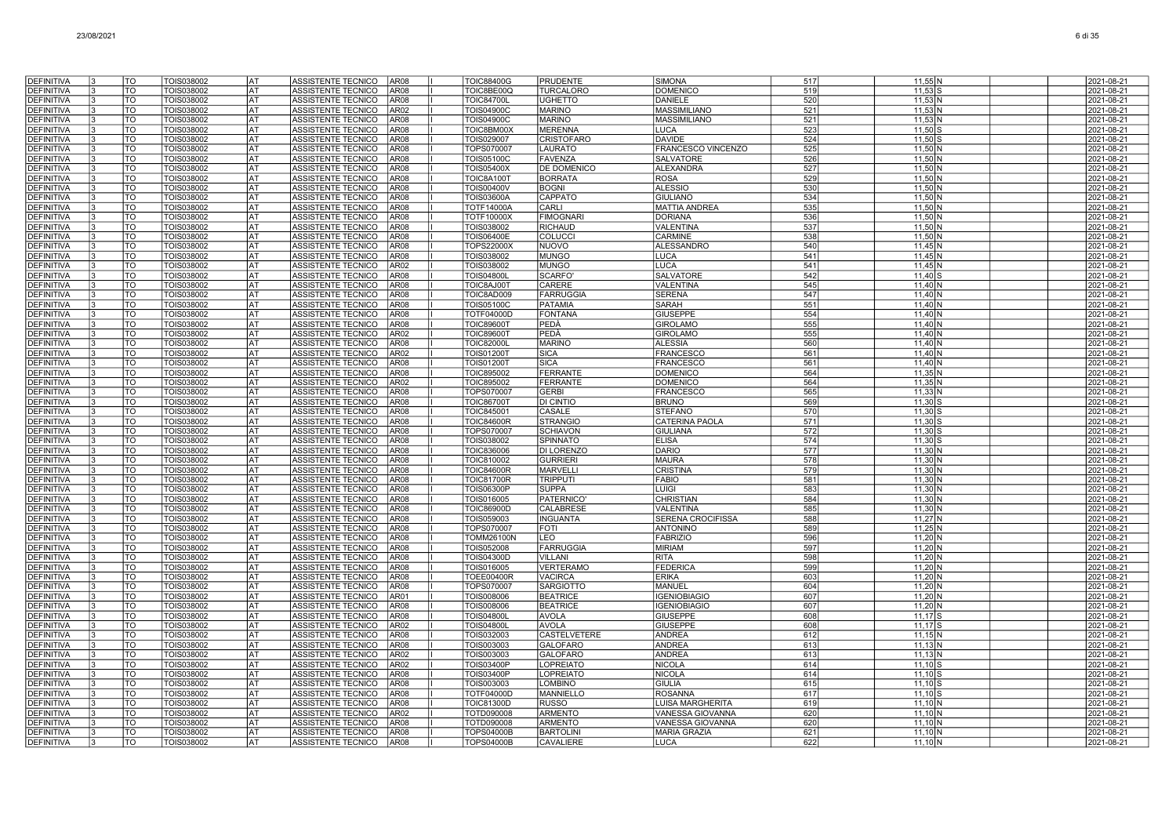| <b>DEFINITIVA</b>                      | l٩      | <b>TO</b>              | TOIS038002               | lat               | ASSISTENTE TECNICO<br><b>AR08</b>                                             | <b>TOIC88400G</b>                      | <b>PRUDENTE</b>                     | <b>SIMONA</b>                           | 517        | $11,55$ N              | 2021-08-21               |
|----------------------------------------|---------|------------------------|--------------------------|-------------------|-------------------------------------------------------------------------------|----------------------------------------|-------------------------------------|-----------------------------------------|------------|------------------------|--------------------------|
| <b>DEFINITIVA</b>                      |         | $\overline{10}$        | <b>TOIS038002</b>        | <b>AT</b>         | AR08<br>ASSISTENTE TECNICO                                                    | TOIC8BE00Q                             | <b>TURCALORO</b>                    | <b>DOMENICO</b>                         | 519        | $11,53$ S              | 2021-08-21               |
| <b>DEFINITIVA</b>                      | 13      | <b>TO</b>              | TOIS038002               | lat               | <b>AR08</b><br>ASSISTENTE TECNICO                                             | <b>TOIC84700L</b>                      | <b>UGHETTO</b>                      | <b>DANIELE</b>                          | 520        | $11,53$ N              | 2021-08-21               |
| <b>DEFINITIVA</b>                      |         | TO                     | TOIS038002               | <b>AT</b>         | ASSISTENTE TECNICO<br>AR02                                                    | <b>TOIS04900C</b>                      | <b>MARINO</b>                       | <b>MASSIMILIANO</b>                     | 521        | 11,53 N                | 2021-08-21               |
| <b>DEFINITIVA</b>                      |         | <b>TO</b>              | TOIS038002               | AT                | ASSISTENTE TECNICO<br>AR08                                                    | <b>TOIS04900C</b>                      | <b>MARINO</b>                       | <b>MASSIMILIANO</b>                     | 521        | $11,53$ N              | 2021-08-21               |
| <b>DEFINITIVA</b>                      |         | TO                     | TOIS038002               | <b>AT</b>         | ASSISTENTE TECNICO<br>AR08                                                    | TOIC8BM00>                             | <b>MERENNA</b>                      | <b>LUCA</b>                             | 523        | $11,50$ S              | 2021-08-21               |
| <b>DEFINITIVA</b>                      |         | TO                     | TOIS038002               | AT                | AR08<br>ASSISTENTE TECNICO                                                    | TOIS029007                             | <b>CRISTOFARO</b>                   | <b>DAVIDE</b>                           | 524        | $11,50$ S              | 2021-08-21               |
| <b>DEFINITIVA</b>                      |         | TO                     | TOIS038002               | IAT               | <b>ASSISTENTE TECNICO</b><br><b>AR08</b>                                      | TOPS070007                             | <b>LAURATO</b>                      | FRANCESCO VINCENZO                      | 525        | $11,50$ N              | 2021-08-21               |
| <b>DEFINITIVA</b>                      | IЗ      | TO                     | TOIS038002               | AT                | <b>ASSISTENTE TECNICO</b><br>AR08                                             | <b>TOIS05100C</b>                      | <b>FAVENZA</b>                      | <b>SALVATORE</b>                        | 526        | 11.50 N                | 2021-08-21               |
| <b>DEFINITIVA</b>                      |         | <b>TO</b>              | TOIS038002               | l AT              | ASSISTENTE TECNICO<br><b>AR08</b>                                             | <b>TOIS05400X</b>                      | DE DOMENICO                         | <b>ALEXANDRA</b>                        | 527        | 11,50 N                | 2021-08-21               |
| <b>DEFINITIVA</b>                      |         | $\overline{10}$        | TOIS038002               | lat               | ASSISTENTE TECNICO<br><b>AR08</b>                                             | <b>TOIC8A100T</b>                      | <b>BORRATA</b>                      | <b>ROSA</b>                             | 529        | $11,50$ N              | 2021-08-21               |
| <b>DEFINITIVA</b>                      |         | <b>TO</b><br><b>TO</b> | TOIS038002<br>TOIS038002 | AT<br>AT          | ASSISTENTE TECNICO<br>AR08<br>ASSISTENTE TECNICO                              | <b>TOIS00400V</b><br><b>TOIS03600A</b> | <b>BOGNI</b><br>CAPPATO             | <b>ALESSIO</b>                          | 530<br>534 | $11,50$ N<br>11.50 N   | 2021-08-21<br>2021-08-21 |
| DEFINITIVA<br><b>DEFINITIVA</b>        |         | <b>TO</b>              |                          | AT                | AR08<br>ASSISTENTE TECNICO<br>AR08                                            | <b>TOTF14000A</b>                      | CARLI                               | <b>GIULIANO</b><br><b>MATTIA ANDREA</b> | 535        |                        |                          |
| <b>DEFINITIVA</b>                      |         | TO                     | TOIS038002<br>TOIS038002 | AT                | ASSISTENTE TECNICO<br>AR08                                                    | <b>TOTF10000X</b>                      | <b>FIMOGNARI</b>                    | <b>DORIANA</b>                          | 536        | $11,50$ N<br>$11,50$ N | 2021-08-21<br>2021-08-21 |
| <b>DEFINITIVA</b>                      | 13      | <b>TO</b>              | TOIS038002               | AT                | AR08<br>ASSISTENTE TECNICO                                                    | TOIS038002                             | <b>RICHAUD</b>                      | <b>VALENTINA</b>                        | 537        | $11,50$ N              | 2021-08-21               |
| <b>DEFINITIVA</b>                      | 13      | TO                     | TOIS038002               | AT                | <b>ASSISTENTE TECNICO</b><br>AR08                                             | <b>TOIS06400E</b>                      | <b>COLUCCI</b>                      | CARMINE                                 | 538        | $11,50$ N              | 2021-08-21               |
| <b>DEFINITIVA</b>                      | I٩      | <b>TO</b>              | TOIS038002               | <b>AT</b>         | ASSISTENTE TECNICO<br>AR08                                                    | <b>TOPS22000X</b>                      | <b>NUOVO</b>                        | <b>ALESSANDRO</b>                       | 540        | $11,45$ N              | 2021-08-21               |
| <b>DEFINITIVA</b>                      |         | <b>TO</b>              | TOIS038002               | <b>AT</b>         | ASSISTENTE TECNICO<br><b>AR08</b>                                             | TOIS038002                             | <b>MUNGO</b>                        | <b>LUCA</b>                             | 541        | $11,45$ N              | 2021-08-21               |
| <b>DEFINITIVA</b>                      | I٩      | TO                     | TOIS038002               | AT                | ASSISTENTE TECNICO<br>AR02                                                    | TOIS038002                             | <b>MUNGO</b>                        | <b>LUCA</b>                             | 541        | $11,45$ N              | 2021-08-21               |
| <b>DEFINITIVA</b>                      |         | <b>TO</b>              | TOIS038002               | <b>AT</b>         | ASSISTENTE TECNICO<br><b>AR08</b>                                             | <b>TOIS04800L</b>                      | <b>SCARFO</b>                       | <b>SALVATORE</b>                        | 542        | $11.40$ S              | 2021-08-21               |
| <b>DEFINITIVA</b>                      |         | <b>TO</b>              | TOIS038002               | AT                | ASSISTENTE TECNICO<br><b>AR08</b>                                             | TOIC8AJ00T                             | <b>CARERE</b>                       | <b>VALENTINA</b>                        | 545        | 11.40 N                | 2021-08-21               |
| <b>DEFINITIVA</b>                      |         | TO                     | TOIS038002               | <b>AT</b>         | ASSISTENTE TECNICO<br><b>AR08</b>                                             | TOIC8AD009                             | <b>FARRUGGIA</b>                    | <b>SERENA</b>                           | 547        | $11,40$ N              | 2021-08-21               |
| <b>DEFINITIVA</b>                      |         | TO                     | TOIS038002               | <b>AT</b>         | ASSISTENTE TECNICO<br>AR08                                                    | <b>TOIS05100C</b>                      | PATAMIA                             | <b>SARAH</b>                            | 551        | $11,40$ N              | 2021-08-21               |
| <b>DEFINITIVA</b>                      |         | TO                     | TOIS038002               | AT                | ASSISTENTE TECNICO<br>AR08                                                    | <b>TOTF04000D</b>                      | FONTANA                             | <b>GIUSEPPE</b>                         | 554        | $11,40$ N              | 2021-08-21               |
| <b>DEFINITIVA</b>                      | I٩      | TO                     | TOIS038002               | <b>AT</b>         | ASSISTENTE TECNICO<br>AR08                                                    | <b>TOIC896001</b>                      | PEDÀ                                | <b>GIROLAMC</b>                         | 555        | $11,40$ N              | 2021-08-21               |
| <b>DEFINITIVA</b>                      | l3      | <b>TO</b>              | TOIS038002               | l AT              | ASSISTENTE TECNICO<br>AR02                                                    | <b>TOIC89600T</b>                      | PEDÀ                                | <b>GIROLAMO</b>                         | 555        | $11,40$ N              | 2021-08-21               |
| <b>DEFINITIVA</b>                      |         | <b>TO</b>              | TOIS038002               | lat               | ASSISTENTE TECNICO<br>AR08                                                    | <b>TOIC82000L</b>                      | <b>MARINO</b>                       | <b>ALESSIA</b>                          | 560        | $11,40$ N              | 2021-08-21               |
| <b>DEFINITIVA</b>                      |         | lto                    | TOIS038002               | lat               | <b>ASSISTENTE TECNICO</b><br>AR02                                             | <b>TOIS01200T</b>                      | <b>SICA</b>                         | <b>FRANCESCC</b>                        | 561        | $11.40\text{N}$        | 2021-08-21               |
| DEFINITIVA<br><b>DEFINITIVA</b>        |         | <b>TO</b><br>TO        | TOIS038002<br>TOIS038002 | AT<br>AT          | ASSISTENTE TECNICO<br>AR08<br>ASSISTENTE TECNICO<br>AR08                      | <b>TOIS01200T</b><br>TOIC895002        | <b>SICA</b><br><b>FERRANTE</b>      | <b>FRANCESCC</b><br><b>DOMENICO</b>     | 561<br>564 | 11.40 N                | 2021-08-21<br>2021-08-21 |
| <b>DEFINITIVA</b>                      | 13      | TO                     | TOIS038002               | AT                | <b>ASSISTENTE TECNICO</b><br>AR02                                             | TOIC895002                             | <b>FERRANTE</b>                     | DOMENICO                                | 564        | $11,35$ N<br>$11,35$ N | 2021-08-21               |
| <b>DEFINITIVA</b>                      | 13      | TO                     | TOIS038002               | AT                | ASSISTENTE TECNICO<br>AR08                                                    | <b>TOPS070007</b>                      | <b>GERBI</b>                        | <b>FRANCESCO</b>                        | 565        | $11,33$ N              | 2021-08-21               |
| <b>DEFINITIVA</b>                      | 13      | TO                     | TOIS038002               | AT                | ASSISTENTE TECNICO<br>AR08                                                    | <b>TOIC86700T</b>                      | <b>DI CINTIO</b>                    | <b>BRUNO</b>                            | 569        | $11,30$ S              | 2021-08-21               |
| <b>DEFINITIVA</b>                      |         | <b>TO</b>              | TOIS038002               | <b>AT</b>         | ASSISTENTE TECNICO<br>AR08                                                    | <b>TOIC845001</b>                      | CASALE                              | <b>STEFANO</b>                          | 570        | $11.30$ S              | 2021-08-21               |
| <b>DEFINITIVA</b>                      |         | <b>TO</b>              | TOIS038002               | l AT              | ASSISTENTE TECNICO<br>AR08                                                    | <b>TOIC84600R</b>                      | <b>STRANGIO</b>                     | CATERINA PAOLA                          | 571        | $11,30$ S              | 2021-08-21               |
| <b>DEFINITIVA</b>                      |         | <b>TO</b>              | TOIS038002               | <b>AT</b>         | <b>AR08</b><br>ASSISTENTE TECNICO                                             | TOPS070007                             | <b>SCHIAVON</b>                     | <b>GIULIANA</b>                         | 572        | $11,30$ S              | 2021-08-21               |
| <b>DEFINITIVA</b>                      |         | <b>TO</b>              | TOIS038002               | lat               | ASSISTENTE TECNICO<br><b>AR08</b>                                             | TOIS038002                             | <b>SPINNATO</b>                     | <b>ELISA</b>                            | 574        | $11,30$ S              | 2021-08-21               |
| <b>DEFINITIVA</b>                      |         | <b>TO</b>              | TOIS038002               | AT                | ASSISTENTE TECNICO<br><b>AR08</b>                                             | <b>TOIC836006</b>                      | <b>DI LORENZO</b>                   | <b>DARIO</b>                            | 577        | $11,30$ N              | 2021-08-21               |
| <b>DEFINITIVA</b>                      |         | <b>TO</b>              | TOIS038002               | AT                | <b>ASSISTENTE TECNICO</b><br>AR08                                             | TOIC810002                             | <b>GURRIERI</b>                     | <b>MAURA</b>                            | 578        | $11,30$ N              | 2021-08-21               |
| <b>DEFINITIVA</b>                      |         | TO                     | TOIS038002               | AT                | AR08<br>ASSISTENTE TECNICO                                                    | <b>TOIC84600F</b>                      | <b>MARVELL</b>                      | <b>CRISTINA</b>                         | 579        | $11,30$ N              | 2021-08-21               |
| <b>DEFINITIVA</b>                      |         | TO                     | TOIS038002               | AT                | <b>ASSISTENTE TECNICO</b><br>AR08                                             | <b>TOIC81700R</b>                      | <b>TRIPPUTI</b>                     | <b>FABIO</b>                            | 581        | $11,30$ N              | 2021-08-21               |
| <b>DEFINITIVA</b>                      |         | <b>TO</b>              | TOIS038002               | AT                | <b>ASSISTENTE TECNICO</b><br>AR08                                             | <b>TOIS06300P</b>                      | <b>SUPPA</b>                        | <b>LUIGI</b>                            | 583        | 11.30 <sub>N</sub>     | 2021-08-21               |
| <b>DEFINITIVA</b>                      |         | <b>TO</b>              | TOIS038002               | l AT<br><b>AT</b> | ASSISTENTE TECNICO<br>AR08                                                    | TOIS016005                             | <b>PATERNICO</b>                    | <b>CHRISTIAN</b>                        | 584        | $11,30$ N              | 2021-08-21               |
| <b>DEFINITIVA</b>                      |         | <b>TO</b><br><b>TO</b> | TOIS038002               | <b>AT</b>         | <b>ASSISTENTE TECNICO</b><br><b>AR08</b><br><b>ASSISTENTE TECNICO</b><br>AR08 | <b>TOIC86900D</b>                      | <b>CALABRESE</b>                    | VALENTINA<br><b>SERENA CROCIFISSA</b>   | 585        | $11,30$ N<br>$11,27$ N | 2021-08-21               |
| <b>DEFINITIVA</b><br><b>DEFINITIVA</b> |         | <b>TO</b>              | TOIS038002<br>TOIS038002 | <b>AT</b>         | <b>ASSISTENTE TECNICO</b><br>AR08                                             | TOIS059003<br><b>TOPS070007</b>        | <b>INGUANTA</b><br>FOTI             | <b>ANTONINO</b>                         | 588<br>589 | $11,25$ N              | 2021-08-21<br>2021-08-21 |
| <b>DEFINITIVA</b>                      |         | $\overline{10}$        | TOIS038002               | AT                | ASSISTENTE TECNICO<br>AR08                                                    | <b>TOMM26100N</b>                      | LEO                                 | <b>FABRIZIO</b>                         | 596        | $11,20$ N              | 2021-08-21               |
| DEFINITIVA                             |         | TO                     | TOIS038002               | AT                | ASSISTENTE TECNICO<br>AR08                                                    | TOIS052008                             | <b>FARRUGGIA</b>                    | <b>MIRIAM</b>                           | 597        | $11,20$ N              | 2021-08-21               |
| DEFINITIVA                             | 13      | TO                     | TOIS038002               | AT                | ASSISTENTE TECNICO<br>AR08                                                    | <b>TOIS04300D</b>                      | <b>VILLANI</b>                      | <b>RITA</b>                             | 598        | $11,20$ N              | 2021-08-21               |
| <b>DEFINITIVA</b>                      | l3      | TO                     | TOIS038002               | AT                | ASSISTENTE TECNICO<br>AR08                                                    | TOIS016005                             | <b>VERTERAMO</b>                    | <b>FEDERICA</b>                         | 599        | 11,20 N                | 2021-08-21               |
| <b>DEFINITIVA</b>                      | 3       | TO                     | TOIS038002               | AT                | ASSISTENTE TECNICO<br>AR08                                                    | <b>TOEE00400R</b>                      | <b>VACIRCA</b>                      | <b>ERIKA</b>                            | 603        | 11.20 N                | 2021-08-21               |
| <b>DEFINITIVA</b>                      |         | <b>TO</b>              | TOIS038002               | l AT              | ASSISTENTE TECNICO<br>AR08                                                    | TOPS070007                             | <b>SARGIOTTO</b>                    | MANUEI                                  | 604        | $11,20$ N              | 2021-08-21               |
| <b>DEFINITIVA</b>                      |         | <b>TO</b>              | TOIS038002               | l AT              | ASSISTENTE TECNICO<br>AR01                                                    | <b>TOIS008006</b>                      | <b>BEATRICE</b>                     | <b>IGENIOBIAGIO</b>                     | 607        | $11,20$ N              | 2021-08-21               |
| <b>DEFINITIVA</b>                      |         | <b>TO</b>              | TOIS038002               | lat               | ASSISTENTE TECNICO<br><b>AR08</b>                                             | <b>TOIS008006</b>                      | <b>BEATRICE</b>                     | <b>IGENIOBIAGIO</b>                     | 607        | $11,20$ N              | 2021-08-21               |
| <b>DEFINITIVA</b>                      |         | <b>TO</b>              | TOIS038002               | AT                | ASSISTENTE TECNICO<br><b>AR08</b>                                             | <b>TOIS04800L</b>                      | <b>AVOLA</b>                        | <b>GIUSEPPE</b>                         | 608        | $11,17$ S              | 2021-08-21               |
| <b>DEFINITIVA</b>                      |         | <b>TO</b>              | TOIS038002               | AT                | ASSISTENTE TECNICO<br>AR02                                                    | <b>TOIS04800I</b>                      | <b>AVOLA</b>                        | <b>GIUSEPPE</b>                         | 608        | $11.17$ S              | 2021-08-21               |
| <b>DEFINITIVA</b>                      |         | TO                     | TOIS038002               | <b>AT</b>         | AR08<br>ASSISTENTE TECNICO                                                    | TOIS032003                             | <b>CASTELVETERE</b>                 | <b>ANDREA</b>                           | 612        | $11,15$ N              | 2021-08-21               |
| <b>DEFINITIVA</b>                      | 13      | TO                     | TOIS038002               | AT                | <b>ASSISTENTE TECNICO</b><br>AR08                                             | TOIS003003                             | GALOFARO                            | <b>ANDREA</b>                           | 613        | $11,13$ N              | 2021-08-21               |
| <b>DEFINITIVA</b><br><b>DEFINITIVA</b> | l3<br>3 | <b>TO</b><br>TO        | TOIS038002<br>TOIS038002 | AT<br>lat         | <b>ASSISTENTE TECNICO</b><br>AR02<br><b>ASSISTENTE TECNICO</b><br>AR02        | TOIS003003<br><b>TOIS03400P</b>        | <b>GALOFARO</b><br><b>LOPREIATO</b> | <b>ANDREA</b><br><b>NICOLA</b>          | 613<br>614 | $11.13$ N<br>$11.10$ S | 2021-08-21               |
| <b>DEFINITIVA</b>                      |         | <b>TO</b>              | TOIS038002               | <b>AT</b>         | ASSISTENTE TECNICO<br><b>AR08</b>                                             | <b>TOIS03400P</b>                      | <b>LOPREIATO</b>                    | <b>NICOLA</b>                           | 614        | $11,10$ S              | 2021-08-21<br>2021-08-21 |
| <b>DEFINITIVA</b>                      |         | <b>TO</b>              | TOIS038002               | lat               | <b>ASSISTENTE TECNICO</b><br><b>AR08</b>                                      | TOIS003003                             | <b>LOMBINO</b>                      | <b>GIULIA</b>                           | 615        | $11,10$ S              | 2021-08-21               |
| <b>DEFINITIVA</b>                      |         | <b>TO</b>              | TOIS038002               | AT                | ASSISTENTE TECNICO<br>AR08                                                    | <b>TOTF04000D</b>                      | <b>MANNIELLO</b>                    | <b>ROSANNA</b>                          | 617        | $11,10$ S              | 2021-08-21               |
| DEFINITIVA                             |         | <b>TO</b>              | TOIS038002               | AT                | ASSISTENTE TECNICO<br>AR08                                                    | <b>TOIC81300D</b>                      | <b>RUSSO</b>                        | <b>UISA MARGHERITA</b>                  | 619        | $11.10 \text{N}$       | 2021-08-21               |
| <b>DEFINITIVA</b>                      |         | <b>TO</b>              | <b>FOIS038002</b>        | AT                | AR02<br>ASSISTENTE TECNICO                                                    | TOTD090008                             | <b>ARMENTO</b>                      | /ANESSA GIOVANNA                        | 620        | $11,10$ N              | 2021-08-21               |
| <b>DEFINITIVA</b>                      |         | TO                     | TOIS038002               | AT                | ASSISTENTE TECNICO<br>AR08                                                    | TOTD090008                             | <b>ARMENTO</b>                      | VANESSA GIOVANNA                        | 620        | $11,10$ N              | 2021-08-21               |
| <b>DEFINITIVA</b>                      | 13      | TO                     | TOIS038002               | AT                | <b>ASSISTENTE TECNICO</b><br>AR08                                             | <b>TOPS04000B</b>                      | <b>BARTOLIN</b>                     | <b>MARIA GRAZIA</b>                     | 621        | $11.10$ N              | 2021-08-21               |
| <b>DEFINITIVA</b>                      | 13      | <b>TO</b>              | TOIS038002               | AT                | ASSISTENTE TECNICO<br>AR08                                                    | <b>TOPS04000B</b>                      | <b>CAVALIERE</b>                    | <b>LUCA</b>                             | 622        | $11.10 \text{N}$       | 2021-08-21               |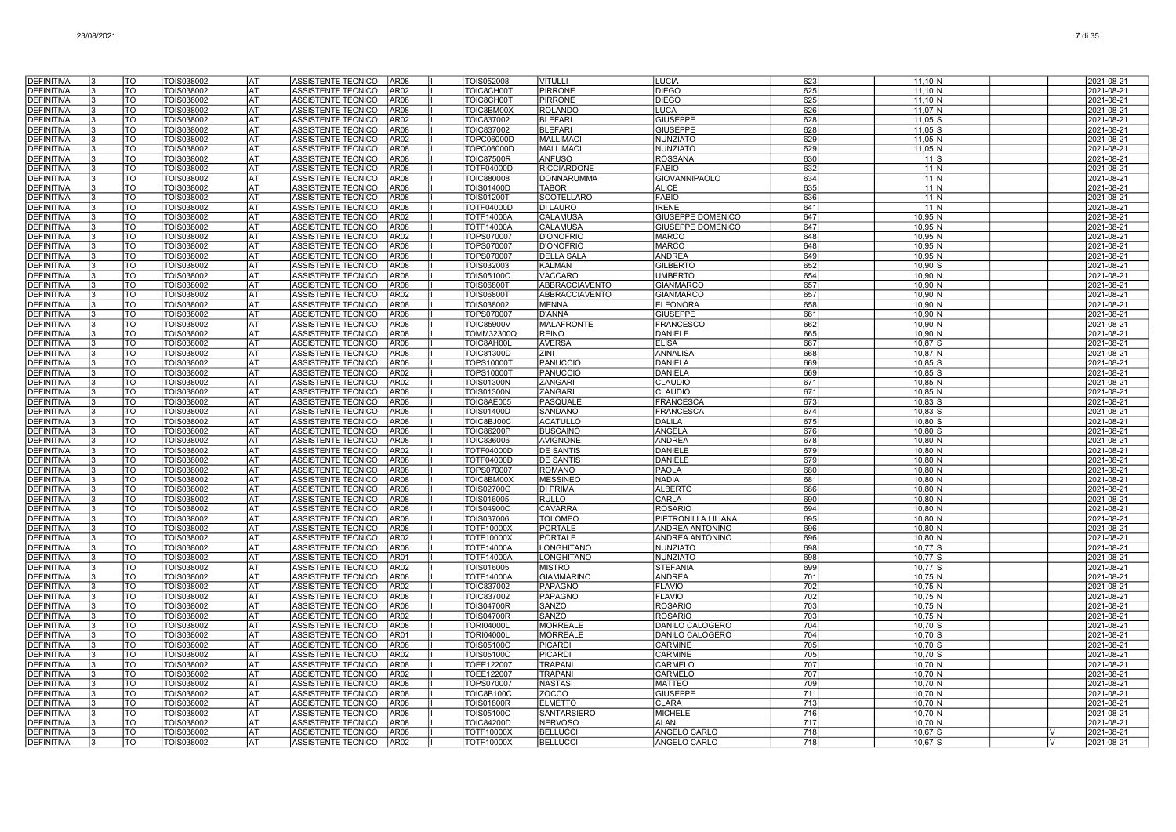| <b>DEFINITIVA</b>                      | TO                             | TOIS038002               | lat                    | ASSISTENTE TECNICO<br>AR08                                             | TOIS052008                             | <b>VITULLI</b>                    | <b>LUCIA</b>                                         | 623        | $11,10$ N                       |   | 2021-08-21               |
|----------------------------------------|--------------------------------|--------------------------|------------------------|------------------------------------------------------------------------|----------------------------------------|-----------------------------------|------------------------------------------------------|------------|---------------------------------|---|--------------------------|
| <b>DEFINITIVA</b>                      | TO                             | TOIS038002               | AT                     | ASSISTENTE TECNICO<br>AR02                                             | TOIC8CH00T                             | <b>PIRRONE</b>                    | <b>DIEGO</b>                                         | 625        | $11,10$ N                       |   | 2021-08-21               |
| <b>DEFINITIVA</b>                      | TO                             | TOIS038002               | AT                     | <b>AR08</b><br>ASSISTENTE TECNICO                                      | TOIC8CH00T                             | <b>PIRRONE</b>                    | <b>DIEGO</b>                                         | 625        | $11.10$ N                       |   | 2021-08-21               |
| <b>DEFINITIVA</b>                      | TO                             | TOIS038002               | AT                     | <b>AR08</b><br>ASSISTENTE TECNICO                                      | TOIC8BM00X                             | <b>ROLANDO</b>                    | <b>LUCA</b>                                          | 626        | 11.07 N                         |   | 2021-08-21               |
| <b>DEFINITIVA</b>                      | TO                             | TOIS038002               | AT                     | ASSISTENTE TECNICO<br>AR02                                             | TOIC837002                             | <b>BLEFARI</b>                    | <b>GIUSEPPE</b>                                      | 628        | $11,05$ S                       |   | 2021-08-21               |
| <b>DEFINITIVA</b>                      | TO                             | TOIS038002               | AT                     | <b>ASSISTENTE TECNICO</b><br>AR08                                      | <b>TOIC837002</b>                      | <b>BLEFARI</b>                    | <b>GIUSEPPE</b>                                      | 628        | $11.05$ S                       |   | 2021-08-21               |
| DEFINITIVA                             | TO                             | TOIS038002               | AT                     | ASSISTENTE TECNICO<br>AR02                                             | <b>TOPC06000D</b>                      | <b>MALLIMAC</b>                   | <b>NUNZIATC</b>                                      | 629        | 11.05N                          |   | 2021-08-21               |
| <b>DEFINITIVA</b>                      | TO                             | TOIS038002               | <b>AT</b>              | ASSISTENTE TECNICO<br>AR08                                             | TOPC06000D                             | <b>MALLIMAC</b>                   | <b>NUNZIATO</b>                                      | 629        | 11,05 N                         |   | 2021-08-21               |
| <b>DEFINITIVA</b>                      | $\overline{\text{TO}}$         | <b>TOIS038002</b>        | <b>AT</b>              | <b>ASSISTENTE TECNICO</b><br>AR08                                      | <b>TOIC87500R</b>                      | <b>ANFUSO</b>                     | <b>ROSSANA</b>                                       | 630        | 11S                             |   | 2021-08-21               |
| DEFINITIVA                             | TO<br>TO                       | TOIS038002               | lat<br><b>AT</b>       | <b>ASSISTENTE TECNICO</b><br><b>AR08</b>                               | <b>TOTF04000D</b>                      | <b>RICCIARDONE</b>                | <b>FABIO</b>                                         | 632        | $11$ N                          |   | 2021-08-21               |
| <b>DEFINITIVA</b><br><b>DEFINITIVA</b> | TO                             | TOIS038002<br>TOIS038002 | AT                     | <b>ASSISTENTE TECNICO</b><br>AR08<br><b>ASSISTENTE TECNICO</b><br>AR08 | <b>TOIC880008</b><br><b>TOIS01400D</b> | <b>DONNARUMMA</b><br><b>TABOR</b> | <b>GIOVANNIPAOLO</b><br><b>ALICE</b>                 | 634<br>635 | 11 N<br>11 <sub>N</sub>         |   | 2021-08-21<br>2021-08-21 |
| <b>DEFINITIVA</b>                      | TO                             | TOIS038002               | AT                     | ASSISTENTE TECNICO<br>AR08                                             | <b>TOIS01200T</b>                      | <b>SCOTELLARO</b>                 | <b>FABIO</b>                                         | 636        | 11N                             |   | 2021-08-21               |
| <b>DEFINITIVA</b>                      | TO                             | TOIS038002               | AT                     | ASSISTENTE TECNICO<br>AR08                                             | <b>TOTF04000D</b>                      | <b>DI LAURO</b>                   | <b>IRENE</b>                                         | 641        | 11 N                            |   | 2021-08-21               |
| <b>DEFINITIVA</b>                      | TO                             | TOIS038002               | AT                     | ASSISTENTE TECNICO<br>AR02                                             | <b>TOTF14000A</b>                      | <b>CALAMUSA</b>                   | <b>GIUSEPPE DOMENICO</b>                             | 647        | $10.95$ N                       |   | 2021-08-21               |
| DEFINITIVA                             | TO                             | TOIS038002               | AT                     | <b>ASSISTENTE TECNICO</b><br>AR08                                      | <b>TOTF14000A</b>                      | <b>CALAMUSA</b>                   | <b>GIUSEPPE DOMENICO</b>                             | 647        | 10.95 N                         |   | 2021-08-21               |
| <b>DEFINITIVA</b>                      | TO                             | TOIS038002               | <b>AT</b>              | ASSISTENTE TECNICO<br>AR02                                             | TOPS070007                             | <b>D'ONOFRIO</b>                  | <b>MARCO</b>                                         | 648        | $10,95$ N                       |   | 2021-08-21               |
| <b>DEFINITIVA</b>                      | $\overline{\mathrm{TO}}$       | <b>TOIS038002</b>        | <b>AT</b>              | ASSISTENTE TECNICO<br>AR08                                             | TOPS070007                             | <b>D'ONOFRIO</b>                  | <b>MARCO</b>                                         | 648        | $10,95$ N                       |   | 2021-08-21               |
| <b>DEFINITIVA</b>                      | <b>TO</b>                      | TOIS038002               | <b>AT</b>              | AR08<br>ASSISTENTE TECNICO                                             | TOPS070007                             | <b>DELLA SALA</b>                 | <b>ANDREA</b>                                        | 649        | $10,95$ N                       |   | 2021-08-21               |
| <b>DEFINITIVA</b>                      | TO                             | TOIS038002               | AT                     | ASSISTENTE TECNICO<br><b>AR08</b>                                      | TOIS032003                             | <b>KALMAN</b>                     | <b>GILBERTO</b>                                      | 652        | 10,90                           |   | 2021-08-21               |
| <b>DEFINITIVA</b>                      | TO                             | TOIS038002               | AT                     | ASSISTENTE TECNICO<br>AR08                                             | <b>TOIS05100C</b>                      | VACCARO                           | <b>UMBERTO</b>                                       | 654        | 10.90 <sup>IN</sup>             |   | 2021-08-21               |
| DEFINITIVA                             | TO                             | TOIS038002               | AT                     | AR08<br>ASSISTENTE TECNICO                                             | TOIS068001                             | ABBRACCIAVENTO                    | <b>GIANMARCC</b>                                     | 657        | $10,90$ M                       |   | 2021-08-21               |
| <b>DEFINITIVA</b><br><b>DEFINITIVA</b> | TO<br>TO                       | TOIS038002<br>TOIS038002 | AT<br>AT               | ASSISTENTE TECNICO<br>AR02<br>ASSISTENTE TECNICO<br>AR08               | <b>TOIS068001</b><br>TOIS038002        | ABBRACCIAVENTO<br><b>MENNA</b>    | <b>GIANMARCO</b><br><b>ELEONORA</b>                  | 657<br>658 | $10,90$ N<br>10.90 <sup>1</sup> |   | 2021-08-21<br>2021-08-21 |
| <b>DEFINITIVA</b>                      | TO                             | TOIS038002               | AT                     | <b>ASSISTENTE TECNICO</b><br>AR08                                      | TOPS070007                             | <b>D'ANNA</b>                     | <b>GIUSEPPE</b>                                      | 661        | 10.90 <sup>1</sup>              |   | 2021-08-21               |
| <b>DEFINITIVA</b>                      | TO                             | TOIS038002               | <b>AT</b>              | <b>ASSISTENTE TECNICO</b><br>AR08                                      | <b>TOIC85900V</b>                      | <b>MALAFRONTE</b>                 | <b>FRANCESCC</b>                                     | 662        | $10,90$ N                       |   | 2021-08-21               |
| <b>DEFINITIVA</b>                      | $\overline{\mathrm{TO}}$       | TOIS038002               | l AT                   | ASSISTENTE TECNICO<br>AR08                                             | TOMM32300Q                             | <b>REINO</b>                      | <b>DANIELE</b>                                       | 665        | $10,90$ N                       |   | 2021-08-21               |
| <b>DEFINITIVA</b>                      | <b>TO</b>                      | TOIS038002               | <b>AT</b>              | ASSISTENTE TECNICO<br>AR08                                             | TOIC8AH00L                             | <b>AVERSA</b>                     | <b>ELISA</b>                                         | 667        | 10.87 S                         |   | 2021-08-21               |
| <b>DEFINITIVA</b>                      | TO                             | TOIS038002               | AT                     | ASSISTENTE TECNICO<br>AR08                                             | <b>TOIC81300D</b>                      | ZINI                              | <b>ANNALISA</b>                                      | 668        | $10,87$ N                       |   | 2021-08-21               |
| <b>DEFINITIVA</b>                      | TO                             | TOIS038002               | AT                     | ASSISTENTE TECNICO<br>AR08                                             | TOPS10000T                             | <b>PANUCCIO</b>                   | DANIELA                                              | 669        | 10,85                           |   | 2021-08-21               |
| <b>DEFINITIVA</b>                      | TO                             | TOIS038002               | AТ                     | ASSISTENTE TECNICO<br>AR02                                             | TOPS10000T                             | <b>PANUCCIO</b>                   | DANIELA                                              | 669        | 10,85                           |   | 2021-08-21               |
| DEFINITIVA                             | TO                             | TOIS038002               | AT                     | ASSISTENTE TECNICO<br>AR02                                             | <b>TOIS01300N</b>                      | ZANGARI                           | <b>CLAUDIO</b>                                       | 671        | $10,85$ N                       |   | 2021-08-21               |
| <b>DEFINITIVA</b>                      | TO                             | TOIS038002               | AT                     | ASSISTENTE TECNICO<br>AR08                                             | <b>TOIS01300N</b>                      | ZANGARI                           | <b>CLAUDIO</b>                                       | 671        | $10,85$ N                       |   | 2021-08-21               |
| <b>DEFINITIVA</b>                      | TO                             | TOIS038002               | AT<br>AT               | <b>ASSISTENTE TECNICO</b><br>AR08                                      | TOIC8AE005                             | PASQUALE                          | <b>FRANCESCA</b>                                     | 673        | $10.83$ S                       |   | 2021-08-21               |
| <b>DEFINITIVA</b><br><b>DEFINITIVA</b> | TO<br>$\overline{\mathrm{TO}}$ | TOIS038002<br>TOIS038002 | <b>AT</b>              | ASSISTENTE TECNICO<br>AR08<br>ASSISTENTE TECNICO<br>AR08               | <b>TOIS01400D</b><br>TOIC8BJ00C        | SANDANO<br><b>ACATULLO</b>        | <b>FRANCESCA</b><br><b>DALILA</b>                    | 674<br>675 | $10,83$ S<br>10,80              |   | 2021-08-21<br>2021-08-21 |
| <b>DEFINITIVA</b>                      | <b>TO</b>                      | TOIS038002               | lat                    | <b>AR08</b><br>ASSISTENTE TECNICO                                      | <b>TOIC86200P</b>                      | <b>BUSCAINO</b>                   | ANGELA                                               | 676        | $10,80$ \$                      |   | 2021-08-21               |
| <b>DEFINITIVA</b>                      | TO                             | TOIS038002               | <b>AT</b>              | ASSISTENTE TECNICO<br><b>AR08</b>                                      | <b>TOIC836006</b>                      | <b>AVIGNONE</b>                   | <b>ANDREA</b>                                        | 678        | 10,80                           |   | 2021-08-21               |
| <b>DEFINITIVA</b>                      | TO                             | TOIS038002               | AT                     | ASSISTENTE TECNICO<br>AR02                                             | TOTF04000D                             | <b>DE SANTIS</b>                  | <b>DANIELE</b>                                       | 679        | $10,80$ N                       |   | 2021-08-21               |
| <b>DEFINITIVA</b>                      | TO                             | <b>TOIS038002</b>        | AT                     | AR08<br>ASSISTENTE TECNICO                                             | TOTF04000D                             | <b>DE SANTIS</b>                  | <b>DANIELE</b>                                       | 679        | $10,80$ M                       |   | 2021-08-21               |
| <b>DEFINITIVA</b>                      | TO                             | TOIS038002               | AT                     | ASSISTENTE TECNICO<br>AR08                                             | <b>TOPS070007</b>                      | <b>ROMANO</b>                     | <b>PAOLA</b>                                         | 680        | $10,80$ N                       |   | 2021-08-21               |
| <b>DEFINITIVA</b>                      | TO                             | TOIS038002               | <b>AT</b>              | <b>ASSISTENTE TECNICO</b><br>AR08                                      | TOIC8BM00X                             | <b>MESSINEO</b>                   | <b>NADIA</b>                                         | 681        | $10,80$ M                       |   | 2021-08-21               |
| <b>DEFINITIVA</b>                      | TO                             | TOIS038002               | AT                     | <b>ASSISTENTE TECNICO</b><br>AR08                                      | <b>TOIS02700G</b>                      | <b>DI PRIMA</b>                   | <b>ALBERTC</b>                                       | 686        | 10.80N                          |   | 2021-08-21               |
| <b>DEFINITIVA</b>                      | TO                             | TOIS038002               | l AT                   | ASSISTENTE TECNICO<br>AR08                                             | TOIS016005                             | <b>RULLO</b>                      | CARLA                                                | 690        | $10,80$ N                       |   | 2021-08-21               |
| <b>DEFINITIVA</b>                      | TO                             | TOIS038002               | <b>AT</b>              | <b>ASSISTENTE TECNICO</b><br>AR08                                      | <b>TOIS04900C</b>                      | <b>CAVARRA</b>                    | <b>ROSARIO</b>                                       | 694        | $10,80$ N                       |   | 2021-08-21               |
| <b>DEFINITIVA</b><br><b>DEFINITIVA</b> | <b>TO</b><br>TO                | TOIS038002<br>TOIS038002 | <b>AT</b><br><b>AT</b> | <b>ASSISTENTE TECNICO</b><br>AR08<br><b>ASSISTENTE TECNICO</b><br>AR08 | TOIS037006<br><b>TOTF10000X</b>        | <b>TOLOMEO</b><br><b>PORTALE</b>  | <b>PIETRONILLA LILIANA</b><br><b>ANDREA ANTONINO</b> | 695<br>696 | $10,80$ N<br>10,80              |   | 2021-08-21<br>2021-08-21 |
| <b>DEFINITIVA</b>                      | $\overline{\text{TO}}$         | TOIS038002               | AT                     | ASSISTENTE TECNICO<br>AR02                                             | <b>TOTF10000X</b>                      | <b>PORTALE</b>                    | ANDREA ANTONINO                                      | 696        | $10,80$ N                       |   | 2021-08-21               |
| <b>DEFINITIVA</b>                      | TO                             | TOIS038002               | AT                     | ASSISTENTE TECNICO<br>AR08                                             | <b>TOTF14000A</b>                      | LONGHITANO                        | <b>NUNZIATO</b>                                      | 698        | $10,77$ \$                      |   | 2021-08-21               |
| DEFINITIVA                             | TO                             | TOIS038002               | AT                     | ASSISTENTE TECNICO<br>AR01                                             | <b>TOTF14000A</b>                      | LONGHITANO                        | <b>NUNZIATC</b>                                      | 698        | $10,77$ S                       |   | 2021-08-21               |
| <b>DEFINITIVA</b>                      | TO                             | TOIS038002               | AT                     | ASSISTENTE TECNICO<br>AR02                                             | TOIS016005                             | <b>MISTRO</b>                     | <b>STEFANIA</b>                                      | 699        | $10,77$ S                       |   | 2021-08-21               |
| DEFINITIVA                             | TO                             | TOIS038002               | AT                     | <b>ASSISTENTE TECNICO</b><br>AR08                                      | <b>TOTF14000A</b>                      | <b>GIAMMARINO</b>                 | <b>ANDREA</b>                                        | 701        | $10.75$ N                       |   | 2021-08-21               |
| <b>DEFINITIVA</b>                      | TO                             | TOIS038002               | <b>AT</b>              | ASSISTENTE TECNICO<br>AR02                                             | <b>TOIC837002</b>                      | PAPAGNO                           | <b>FLAVIO</b>                                        | 702        | $10,75$ N                       |   | 2021-08-21               |
| <b>DEFINITIVA</b>                      | TO                             | TOIS038002               | <b>AT</b>              | ASSISTENTE TECNICO<br>AR08                                             | TOIC837002                             | <b>PAPAGNO</b>                    | <b>FLAVIO</b>                                        | 702        | $10,75$ N                       |   | 2021-08-21               |
| <b>DEFINITIVA</b>                      | TO                             | TOIS038002               | <b>AT</b>              | AR08<br>ASSISTENTE TECNICO                                             | <b>TOIS04700R</b>                      | SANZO                             | <b>ROSARIO</b>                                       | 703        | $10,75$ N                       |   | 2021-08-21               |
| <b>DEFINITIVA</b>                      | TO                             | TOIS038002               | <b>AT</b>              | ASSISTENTE TECNICO<br>AR02                                             | <b>TOIS04700R</b>                      | SANZO                             | <b>ROSARIO</b>                                       | 703        | $10,75$ <sup>N</sup>            |   | 2021-08-21               |
| <b>DEFINITIVA</b>                      | $\overline{\mathrm{TO}}$       | TOIS038002               | AT                     | ASSISTENTE TECNICO<br>AR08                                             | <b>TORI04000L</b>                      | <b>MORREALE</b>                   | DANILO CALOGERO                                      | 704        | $10,70$ S                       |   | 2021-08-21               |
| <b>DEFINITIVA</b>                      | TO                             | TOIS038002               | AT<br><b>AT</b>        | ASSISTENTE TECNICO<br>AR01                                             | <b>TORI04000L</b>                      | <b>MORREALE</b><br><b>PICARDI</b> | DANILO CALOGERO                                      | 704        | 10,70                           |   | 2021-08-21               |
| <b>DEFINITIVA</b><br><b>DEFINITIVA</b> | TO<br>TO                       | TOIS038002<br>TOIS038002 | <b>AT</b>              | ASSISTENTE TECNICO<br>AR08<br>ASSISTENTE TECNICO<br>AR02               | <b>TOIS05100C</b><br><b>TOIS05100C</b> | <b>PICARDI</b>                    | CARMINE<br><b>CARMINE</b>                            | 705<br>705 | 10,70<br>$10,70$ S              |   | 2021-08-21<br>2021-08-21 |
| <b>DEFINITIVA</b>                      | TO                             | TOIS038002               | AT                     | <b>ASSISTENTE TECNICO</b><br>AR08                                      | TOEE122007                             | <b>TRAPANI</b>                    | CARMELC                                              | 707        | 10.70 M                         |   | 2021-08-21               |
| <b>DEFINITIVA</b>                      | TO                             | TOIS038002               | l AT                   | <b>ASSISTENTE TECNICO</b><br>AR02                                      | TOEE122007                             | <b>TRAPANI</b>                    | CARMELO                                              | 707        | $10,70$ N                       |   | 2021-08-21               |
| <b>DEFINITIVA</b>                      | TO                             | TOIS038002               | lat                    | ASSISTENTE TECNICO<br>AR08                                             | TOPS070007                             | <b>NASTASI</b>                    | <b>MATTEO</b>                                        | 709        | $10,70$ N                       |   | 2021-08-21               |
| <b>DEFINITIVA</b>                      | TO                             | TOIS038002               | l AT                   | <b>ASSISTENTE TECNICO</b><br>AR08                                      | <b>TOIC8B100C</b>                      | ZOCCO                             | <b>GIUSEPPE</b>                                      | 711        | $10,70$ N                       |   | 2021-08-21               |
| DEFINITIVA                             | TO                             | TOIS038002               | AT                     | <b>ASSISTENTE TECNICO</b><br>AR08                                      | <b>TOIS01800R</b>                      | <b>ELMETTO</b>                    | <b>CLARA</b>                                         | 713        | 10.70                           |   | 2021-08-21               |
| <b>DEFINITIVA</b>                      | TO                             | TOIS038002               | AT                     | ASSISTENTE TECNICO<br>AR08                                             | TOIS05100C                             | <b>SANTARSIERO</b>                | <b>MICHELE</b>                                       | 716        | $10.70$ <sub>N</sub>            |   | 2021-08-21               |
| <b>DEFINITIVA</b>                      | TO                             | TOIS038002               | AT                     | ASSISTENTE TECNICO<br>AR08                                             | <b>TOIC84200D</b>                      | <b>NERVOSO</b>                    | <b>ALAN</b>                                          | 717        | 10,70                           |   | 2021-08-21               |
| <b>DEFINITIVA</b>                      | TO                             | TOIS038002               | AT                     | ASSISTENTE TECNICO<br><b>AR08</b>                                      | <b>TOTF10000X</b>                      | <b>BELLUCCI</b>                   | ANGELO CARLO                                         | 718        | 10,67                           | v | 2021-08-21               |
| <b>DEFINITIVA</b>                      | TO                             | TOIS038002               | <b>AT</b>              | ASSISTENTE TECNICO<br>AR02                                             | <b>TOTF10000X</b>                      | <b>BELLUCCI</b>                   | ANGELO CARLO                                         | 718        | $10,67$ S                       | V | 2021-08-21               |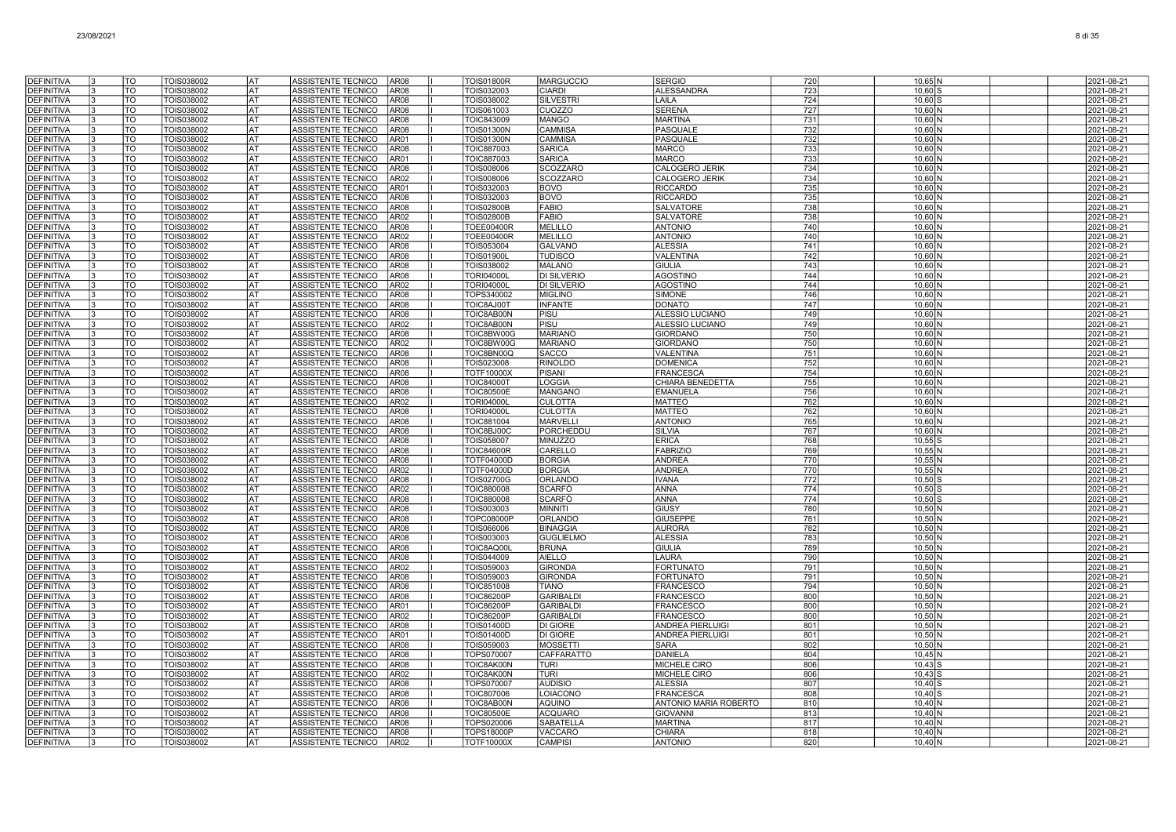| <b>DEFINITIVA</b>                      | <b>TO</b><br>TOIS038002                     | lat        | ASSISTENTE TECNICO                       | AR <sub>08</sub>                     | <b>TOIS01800R</b>               | <b>MARGUCCIO</b>                | <b>SERGIO</b>                      | 720        | 10,65 N                      | 2021-08-21               |
|----------------------------------------|---------------------------------------------|------------|------------------------------------------|--------------------------------------|---------------------------------|---------------------------------|------------------------------------|------------|------------------------------|--------------------------|
| <b>DEFINITIVA</b>                      | $\overline{10}$<br><b>TOIS038002</b>        | lat        | ASSISTENTE TECNICO                       | AR08                                 | TOIS032003                      | <b>CIARDI</b>                   | <b>ALESSANDRA</b>                  | 723        | $10,60$ S                    | 2021-08-21               |
| <b>DEFINITIVA</b>                      | T <sub>O</sub><br>TOIS038002                | <b>AT</b>  | ASSISTENTE TECNICO                       | AR08                                 | TOIS038002                      | <b>SILVESTRI</b>                | LAILA                              | 724        | $10,60$ S                    | 2021-08-21               |
| <b>DEFINITIVA</b>                      | $\overline{10}$<br>TOIS038002               | l AT       | ASSISTENTE TECNICO                       | AR08                                 | TOIS061003                      | <b>CUOZZO</b>                   | <b>SERENA</b>                      | 727        | 10,60 N                      | 2021-08-21               |
| <b>DEFINITIVA</b>                      | TO<br>TOIS038002                            | AT         | ASSISTENTE TECNICO                       | AR <sub>08</sub>                     | <b>TOIC843009</b>               | <b>MANGO</b>                    | <b>MARTINA</b>                     | 731        | $10,60$ N                    | 2021-08-21               |
| DEFINITIVA                             | TO<br>TOIS038002                            | lat        | ASSISTENTE TECNICO                       | AR <sub>08</sub>                     | <b>TOIS01300N</b>               | CAMMISA                         | PASQUALE                           | 732        | $10,60$ N                    | 2021-08-21               |
| <b>DEFINITIVA</b>                      | TO<br>TOIS038002                            | AT         | ASSISTENTE TECNICO                       | AR01                                 | <b>TOIS01300N</b>               | <b>CAMMISA</b>                  | PASQUALE                           | 732        | $10,60$ N                    | 2021-08-21               |
| <b>DEFINITIVA</b>                      | TO<br>TOIS038002                            | lat        | ASSISTENTE TECNICO                       | AR <sub>08</sub>                     | <b>TOIC887003</b>               | <b>SARICA</b>                   | <b>MARCO</b>                       | 733        | $10,60$ N                    | 2021-08-21               |
| <b>DEFINITIVA</b>                      | TOIS038002<br>TO                            | lat        | ASSISTENTE TECNICO                       | AR01                                 | TOIC887003                      | <b>SARICA</b>                   | <b>MARCO</b>                       | 733        | $10,60$ N                    | 2021-08-21               |
| <b>DEFINITIVA</b>                      | TO<br>TOIS038002                            | <b>AT</b>  | ASSISTENTE TECNICO                       | AR <sub>08</sub>                     | <b>TOIS008006</b>               | <b>SCOZZARO</b>                 | CALOGERO JERIK                     | 734        | 10,60 N                      | 2021-08-21               |
| <b>DEFINITIVA</b>                      | $\overline{10}$<br>TOIS038002               | <b>AT</b>  | ASSISTENTE TECNICO                       | AR <sub>02</sub>                     | <b>TOIS008006</b>               | <b>SCOZZARO</b>                 | CALOGERO JERIK                     | 734        | $10,60$ N                    | 2021-08-21               |
| <b>DEFINITIVA</b><br><b>DEFINITIVA</b> | <b>TO</b><br>TOIS038002<br>TO<br>TOIS038002 | lat<br>AT  | ASSISTENTE TECNICO<br>ASSISTENTE TECNICO | AR01<br>AR <sub>08</sub>             | TOIS032003<br>TOIS032003        | <b>BOVO</b><br><b>BOVO</b>      | <b>RICCARDO</b><br><b>RICCARDO</b> | 735<br>735 | $10,60$ N<br>$10.60\text{N}$ | 2021-08-21<br>2021-08-21 |
| <b>DEFINITIVA</b>                      | TO                                          | AT         | ASSISTENTE TECNICO                       |                                      | <b>TOIS02800B</b>               | <b>FABIO</b>                    | <b>SALVATORE</b>                   | 738        |                              | 2021-08-21               |
| <b>DEFINITIVA</b>                      | TOIS038002<br>TO<br>TOIS038002              | AT         | ASSISTENTE TECNICO                       | AR08<br>AR <sub>02</sub>             | TOIS02800B                      | <b>FABIO</b>                    | <b>SALVATORE</b>                   | 738        | $10,60$ N<br>$10,60$ N       | 2021-08-21               |
| <b>DEFINITIVA</b>                      | TOIS038002<br>TO                            | AT         | ASSISTENTE TECNICO                       | AR08                                 | <b>TOEE00400R</b>               | <b>MELILLO</b>                  | <b>ANTONIO</b>                     | 740        | $10,60$ N                    | 2021-08-21               |
| DEFINITIVA                             | TO<br>TOIS038002                            | lat        | ASSISTENTE TECNICO                       | AR <sub>02</sub>                     | <b>TOEE00400R</b>               | <b>MELILLO</b>                  | <b>ANTONIO</b>                     | 740        | $10,60$ N                    | 2021-08-21               |
| <b>DEFINITIVA</b>                      | TO<br>TOIS038002                            | <b>AT</b>  | ASSISTENTE TECNICO                       | AR <sub>08</sub>                     | TOIS053004                      | <b>GALVANO</b>                  | <b>ALESSIA</b>                     | 741        | $10.60\text{N}$              | 2021-08-21               |
| <b>DEFINITIVA</b>                      | <b>TO</b><br>TOIS038002                     | <b>AT</b>  | ASSISTENTE TECNICO                       | AR <sub>08</sub>                     | <b>TOIS01900L</b>               | <b>TUDISCO</b>                  | VALENTINA                          | 742        | $10,60$ N                    | 2021-08-21               |
| <b>DEFINITIVA</b>                      | $\overline{\text{TO}}$<br>TOIS038002        | <b>AT</b>  | ASSISTENTE TECNICO                       | AR08                                 | TOIS038002                      | <b>MALANO</b>                   | <b>GIULIA</b>                      | 743        | $10,60$ N                    | 2021-08-21               |
| <b>DEFINITIVA</b>                      | TO<br>TOIS038002                            | lat        | ASSISTENTE TECNICO                       | AR <sub>08</sub>                     | <b>TORI04000L</b>               | <b>DI SILVERIO</b>              | <b>AGOSTINO</b>                    | 744        | $10.60\text{N}$              | 2021-08-21               |
| <b>DEFINITIVA</b>                      | TO<br>TOIS038002                            | lat        | ASSISTENTE TECNICO                       | AR <sub>02</sub>                     | <b>TORI04000L</b>               | <b>DI SILVERIO</b>              | <b>AGOSTINO</b>                    | 744        | $10,60$ N                    | 2021-08-21               |
| <b>DEFINITIVA</b>                      | <b>TO</b><br>TOIS038002                     | lat        | ASSISTENTE TECNICO                       | AR08                                 | TOPS340002                      | <b>MIGLINO</b>                  | <b>SIMONE</b>                      | 746        | $10,60$ N                    | 2021-08-21               |
| <b>DEFINITIVA</b>                      | TO<br>TOIS038002                            | IAT        | ASSISTENTE TECNICO                       | AR <sub>08</sub>                     | TOIC8AJ00T                      | <b>INFANTE</b>                  | <b>DONATO</b>                      | 747        | $10,60$ N                    | 2021-08-21               |
| <b>DEFINITIVA</b>                      | TO<br>TOIS038002                            | lat        | ASSISTENTE TECNICO                       | AR <sub>08</sub>                     | TOIC8AB00N                      | PISU                            | ALESSIO LUCIANO                    | 749        | $10,60$ N                    | 2021-08-21               |
| <b>DEFINITIVA</b>                      | TO<br>TOIS038002                            | lat        | <b>ASSISTENTE TECNICO</b>                | AR02                                 | TOIC8AB00N                      | PISU                            | ALESSIO LUCIANO                    | 749        | 10,60 N                      | 2021-08-21               |
| <b>DEFINITIVA</b>                      | TO<br>TOIS038002                            | <b>AT</b>  | ASSISTENTE TECNICO                       | AR <sub>08</sub>                     | TOIC8BW00G                      | <b>MARIANO</b>                  | <b>GIORDANO</b>                    | 750        | 10,60 N                      | 2021-08-21               |
| <b>DEFINITIVA</b>                      | $\overline{TO}$<br>TOIS038002               | <b>AT</b>  | ASSISTENTE TECNICO                       | AR <sub>02</sub>                     | TOIC8BW00G                      | <b>MARIANO</b>                  | <b>GIORDANO</b>                    | 750        | 10,60 N                      | 2021-08-21               |
| <b>DEFINITIVA</b>                      | TO<br>TOIS038002                            | lat        | ASSISTENTE TECNICO                       | AR <sub>08</sub>                     | TOIC8BN00Q                      | <b>SACCO</b>                    | <b>VALENTINA</b>                   | 751        | $10.60\text{N}$              | 2021-08-21               |
| <b>DEFINITIVA</b><br><b>DEFINITIVA</b> | TO<br>TOIS038002<br>TO<br>TOIS038002        | l AT<br>AT | ASSISTENTE TECNICO<br>ASSISTENTE TECNICO | AR08<br>AR <sub>08</sub>             | TOIS023008<br><b>TOTF10000X</b> | <b>RINOLDO</b><br><b>PISANI</b> | <b>DOMENICA</b><br>FRANCESCA       | 752<br>754 | $10.60\text{N}$<br>$10,60$ N | 2021-08-21<br>2021-08-21 |
| <b>DEFINITIVA</b>                      | TO<br>TOIS038002                            | <b>AT</b>  | ASSISTENTE TECNICO                       | AR <sub>08</sub>                     | TOIC84000T                      | LOGGIA                          | CHIARA BENEDETTA                   | 755        | $10,60$ N                    | 2021-08-21               |
| <b>DEFINITIVA</b>                      | TO<br>TOIS038002                            | <b>AT</b>  | ASSISTENTE TECNICO                       | AR <sub>08</sub>                     | <b>TOIC80500E</b>               | <b>MANGANO</b>                  | EMANUELA                           | 756        | $10,60$ N                    | 2021-08-21               |
| <b>DEFINITIVA</b>                      | TO<br>TOIS038002                            | AT         | ASSISTENTE TECNICO                       | AR02                                 | <b>TORI04000L</b>               | <b>CULOTTA</b>                  | <b>MATTEO</b>                      | 762        | $10,60$ N                    | 2021-08-21               |
| <b>DEFINITIVA</b>                      | TO<br>TOIS038002                            | <b>AT</b>  | ASSISTENTE TECNICO                       | AR08                                 | <b>TORI04000I</b>               | <b>CULOTTA</b>                  | <b>MATTEO</b>                      | 762        | $10,60$ N                    | 2021-08-21               |
| <b>DEFINITIVA</b>                      | TO<br>TOIS038002                            | <b>AT</b>  | ASSISTENTE TECNICO                       | AR <sub>08</sub>                     | <b>TOIC881004</b>               | <b>MARVELL</b>                  | <b>ANTONIO</b>                     | 765        | 10,60 N                      | 2021-08-21               |
| <b>DEFINITIVA</b>                      | $\overline{\text{TO}}$<br>TOIS038002        | AT         | ASSISTENTE TECNICO                       | AR <sub>08</sub>                     | TOIC8BJ00C                      | PORCHEDDU                       | <b>SILVIA</b>                      | 767        | 10,60 N                      | 2021-08-21               |
| <b>DEFINITIVA</b>                      | TO<br>TOIS038002                            | <b>AT</b>  | ASSISTENTE TECNICO                       | AR <sub>08</sub>                     | <b>TOIS058007</b>               | <b>MINUZZO</b>                  | <b>ERICA</b>                       | 768        | $10,55$ S                    | 2021-08-21               |
| <b>DEFINITIVA</b>                      | TO<br>TOIS038002                            | lat        | <b>ASSISTENTE TECNICO</b>                | AR <sub>08</sub>                     | <b>TOIC84600R</b>               | CARELLO                         | <b>FABRIZIO</b>                    | 769        |                              |                          |
| <b>DEFINITIVA</b>                      |                                             |            |                                          |                                      |                                 |                                 |                                    |            | $10,55$ N                    | 2021-08-21               |
| <b>DEFINITIVA</b>                      | <b>TO</b><br>TOIS038002                     | AT         | ASSISTENTE TECNICO                       | AR <sub>08</sub>                     | <b>TOTF04000D</b>               | <b>BORGIA</b>                   | <b>ANDREA</b>                      | 770        | $10,55$ N                    | 2021-08-21               |
|                                        | TO<br>TOIS038002                            | lat        | ASSISTENTE TECNICO                       | AR <sub>02</sub>                     | TOTF04000D                      | <b>BORGIA</b>                   | <b>ANDREA</b>                      | 770        | $10,55$ N                    | 2021-08-21               |
| <b>DEFINITIVA</b>                      | TO<br>TOIS038002                            | AT         | ASSISTENTE TECNICO                       | AR <sub>08</sub>                     | <b>TOIS02700G</b>               | ORLANDC                         | <b>IVANA</b>                       | 772        | $10,50$ S                    | 2021-08-21               |
| <b>DEFINITIVA</b>                      | TO<br>TOIS038002                            | lat        | ASSISTENTE TECNICO                       | AR <sub>02</sub>                     | <b>TOIC880008</b>               | SCARFO                          | <b>ANNA</b>                        | 774        | $10.50$ S                    | 2021-08-21               |
| <b>DEFINITIVA</b>                      | TO<br>TOIS038002                            | l AT       | ASSISTENTE TECNICO                       | AR <sub>08</sub>                     | <b>TOIC880008</b>               | SCARFO                          | <b>ANNA</b>                        | 774        | $10,50$ S                    | 2021-08-21               |
| <b>DEFINITIVA</b>                      | $\overline{10}$<br>TOIS038002               | <b>AT</b>  | ASSISTENTE TECNICO                       | AR <sub>08</sub>                     | TOIS003003                      | <b>MINNITI</b>                  | <b>GIUSY</b>                       | 780        | $10,50$ N                    | 2021-08-21               |
| <b>DEFINITIVA</b>                      | <b>TO</b><br>TOIS038002                     | lat        | ASSISTENTE TECNICO                       | AR <sub>08</sub>                     | <b>TOPC08000P</b>               | ORLANDO                         | GIUSEPPE                           | 781        | 10,50 N                      | 2021-08-21               |
| DEFINITIVA                             | TO<br>TOIS038002                            | lat        | ASSISTENTE TECNICO                       | AR <sub>08</sub>                     | TOIS066006                      | <b>BINAGGIA</b>                 | <b>AURORA</b>                      | 782        | $10,50$ N                    | 2021-08-21               |
| <b>DEFINITIVA</b>                      | $\overline{10}$<br>TOIS038002               | AT         | ASSISTENTE TECNICO                       | AR08                                 | TOIS003003                      | <b>GUGLIELMO</b>                | <b>ALESSIA</b>                     | 783        | $10,50$ N                    | 2021-08-21               |
| DEFINITIVA<br><b>DEFINITIVA</b>        | TO<br>TOIS038002<br>TO<br>TOIS038002        | AT<br>AT   | ASSISTENTE TECNICO<br>ASSISTENTE TECNICO | AR <sub>08</sub><br>AR <sub>08</sub> | TOIC8AQ00I<br>TOIS044009        | <b>BRUNA</b><br><b>AIELLO</b>   | <b>GIULIA</b><br>LAURA             | 789<br>790 | $10,50$ N<br>$10,50$ N       | 2021-08-21<br>2021-08-21 |
| <b>DEFINITIVA</b>                      | TO<br>TOIS038002                            | AT         | ASSISTENTE TECNICO                       | AR02                                 | TOIS059003                      | <b>GIRONDA</b>                  | <b>FORTUNATO</b>                   | 791        | 10,50 N                      | 2021-08-21               |
| <b>DEFINITIVA</b>                      | TO<br>TOIS038002                            | lat        | ASSISTENTE TECNICO                       | AR <sub>08</sub>                     | TOIS059003                      | <b>GIRONDA</b>                  | <b>FORTUNATO</b>                   | 791        | $10.50\text{N}$              | 2021-08-21               |
| <b>DEFINITIVA</b>                      | TO<br>TOIS038002                            | l AT       | ASSISTENTE TECNICO                       | AR <sub>08</sub>                     | TOIC851008                      | <b>TIANO</b>                    | <b>FRANCESCO</b>                   | 794        | 10,50 N                      | 2021-08-21               |
| <b>DEFINITIVA</b>                      | TO<br>TOIS038002                            | <b>AT</b>  | ASSISTENTE TECNICO                       | AR <sub>08</sub>                     | <b>TOIC86200P</b>               | <b>GARIBALDI</b>                | <b>FRANCESCO</b>                   | 800        | 10,50 N                      | 2021-08-21               |
| <b>DEFINITIVA</b>                      | <b>TO</b><br>TOIS038002                     | <b>AT</b>  | ASSISTENTE TECNICO                       | AR01                                 | <b>TOIC86200P</b>               | <b>GARIBALDI</b>                | <b>FRANCESCO</b>                   | 800        | $10,50$ N                    | 2021-08-21               |
| <b>DEFINITIVA</b>                      | TO<br>TOIS038002                            | AT.        | ASSISTENTE TECNICO                       | AR <sub>02</sub>                     | <b>TOIC86200P</b>               | <b>GARIBALDI</b>                | <b>FRANCESCO</b>                   | 800        | 10,50 N                      | 2021-08-21               |
| <b>DEFINITIVA</b>                      | TO<br>TOIS038002                            | AT         | ASSISTENTE TECNICO                       | AR <sub>08</sub>                     | <b>TOIS01400D</b>               | <b>DI GIORE</b>                 | <b>ANDREA PIERLUIGI</b>            | 801        | $10,50$ N                    | 2021-08-21               |
| <b>DEFINITIVA</b>                      | TO<br>TOIS038002                            | lat        | ASSISTENTE TECNICO                       | AR01                                 | <b>TOIS01400D</b>               | <b>DI GIORE</b>                 | <b>ANDREA PIERLUIGI</b>            | 801        | $10,50$ N                    | 2021-08-21               |
| <b>DEFINITIVA</b>                      | TO<br>TOIS038002                            | AT         | ASSISTENTE TECNICO                       | AR08                                 | TOIS059003                      | <b>MOSSETTI</b>                 | <b>SARA</b>                        | 802        | $10,50$ N                    | 2021-08-21               |
| <b>DEFINITIVA</b>                      | TO<br>TOIS038002                            | lat        | ASSISTENTE TECNICO                       | AR <sub>08</sub>                     | TOPS070007                      | <b>CAFFARATTO</b>               | <b>DANIELA</b>                     | 804        | $10.45$ N                    | 2021-08-21               |
| <b>DEFINITIVA</b>                      | TO<br>TOIS038002                            | lat        | ASSISTENTE TECNICO                       | AR <sub>08</sub>                     | TOIC8AK00N                      | <b>TURI</b>                     | <b>MICHELE CIRO</b>                | 806        | $10,43$ S                    | 2021-08-21               |
| <b>DEFINITIVA</b>                      | $\overline{10}$<br>TOIS038002               | <b>AT</b>  | ASSISTENTE TECNICO                       | AR <sub>02</sub>                     | TOIC8AK00N                      | <b>TURI</b>                     | MICHELE CIRO                       | 806        | $10,43$ S                    | 2021-08-21               |
| <b>DEFINITIVA</b>                      | <b>OT</b><br>TOIS038002                     | <b>AT</b>  | ASSISTENTE TECNICO                       | AR <sub>08</sub>                     | TOPS070007                      | <b>AUDISIO</b>                  | <b>ALESSIA</b>                     | 807        | $10,40$ S                    | 2021-08-21               |
| <b>DEFINITIVA</b><br><b>DEFINITIVA</b> | TO<br>TOIS038002<br>TO                      | lat<br>AT  | ASSISTENTE TECNICO                       | AR08                                 | <b>TOIC807006</b>               | LOIACONO                        | <b>FRANCESCA</b>                   | 808        | $10,40$ S                    | 2021-08-21               |
| DEFINITIVA                             | TOIS038002<br>TO<br>TOIS038002              | <b>AT</b>  | ASSISTENTE TECNICO<br>ASSISTENTE TECNICO | AR08<br>AR08                         | TOIC8AB00N                      | AQUINO<br><b>ACQUARO</b>        | ANTONIO MARIA ROBERTO<br>GIOVANN   | 810<br>813 | $10,40$ N<br>$10,40$ N       | 2021-08-21<br>2021-08-21 |
| DEFINITIVA                             | TO<br>TOIS038002                            | AT         | ASSISTENTE TECNICO                       | AR <sub>08</sub>                     | TOIC80500E<br>TOPS020006        | SABATELLA                       | <b>MARTINA</b>                     | 817        | $10,40$ N                    | 2021-08-21               |
| <b>DEFINITIVA</b>                      | TO<br>TOIS038002                            | AT         | ASSISTENTE TECNICO                       | AR <sub>08</sub>                     | <b>TOPS18000P</b>               | <b>VACCARO</b>                  | <b>CHIARA</b>                      | 818        | $10.40$ N                    | 2021-08-21               |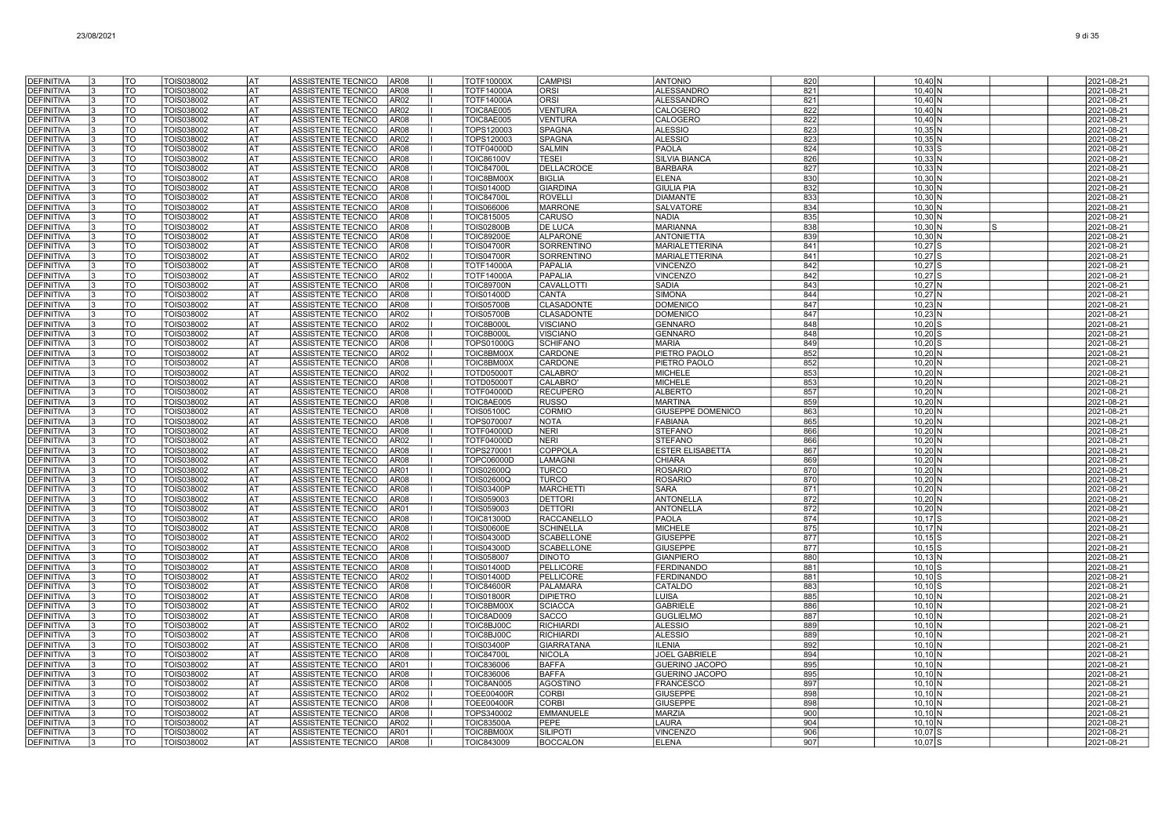| <b>DEFINITIVA</b>                      | TO                    | TOIS038002               | lat              | ASSISTENTE TECNICO<br>AR <sub>08</sub>                                           | <b>TOTF10000X</b>                      | <b>CAMPISI</b>                     | <b>ANTONIO</b>                            | 820        | $10,40$ N              | 2021-08-21               |
|----------------------------------------|-----------------------|--------------------------|------------------|----------------------------------------------------------------------------------|----------------------------------------|------------------------------------|-------------------------------------------|------------|------------------------|--------------------------|
| <b>DEFINITIVA</b>                      | TO                    | TOIS038002               | l AT             | ASSISTENTE TECNICO<br>AR08                                                       | <b>TOTF14000A</b>                      | ORSI                               | <b>ALESSANDRO</b>                         | 821        | $10,40$ N              | 2021-08-21               |
| <b>DEFINITIVA</b>                      | TO                    | TOIS038002               | lat              | ASSISTENTE TECNICO<br>AR02                                                       | <b>TOTF14000A</b>                      | <b>ORSI</b>                        | <b>ALESSANDRO</b>                         | 821        | $10.40$ N              | 2021-08-21               |
| <b>DEFINITIVA</b>                      | TO                    | TOIS038002               | lat              | ASSISTENTE TECNICO<br>AR02                                                       | TOIC8AE005                             | VENTURA                            | CALOGERO                                  | 822        | $10,40$ N              | 2021-08-21               |
| <b>DEFINITIVA</b>                      | TO                    | TOIS038002               | AT               | ASSISTENTE TECNICO<br>AR <sub>08</sub>                                           | TOIC8AE005                             | <b>VENTURA</b>                     | CALOGERO                                  | 822        | $10,40$ N              | 2021-08-21               |
| <b>DEFINITIVA</b>                      | TO                    | TOIS038002               | lat              | ASSISTENTE TECNICO<br>AR <sub>08</sub>                                           | TOPS120003                             | <b>SPAGNA</b>                      | <b>ALESSIO</b>                            | 823        | $10,35$ N              | 2021-08-21               |
| DEFINITIVA<br><b>DEFINITIVA</b>        | TO<br>TO              | TOIS038002<br>TOIS038002 | lat<br><b>AT</b> | ASSISTENTE TECNICO<br>AR02<br>ASSISTENTE TECNICO<br>AR <sub>08</sub>             | TOPS120003<br><b>TOTF04000D</b>        | <b>SPAGNA</b><br><b>SALMIN</b>     | <b>ALESSIO</b><br><b>PAOLA</b>            | 823<br>824 | $10,35$ N<br>$10,33$ S | 2021-08-21<br>2021-08-21 |
| <b>DEFINITIVA</b>                      | <b>TO</b>             | TOIS038002               | <b>AT</b>        | ASSISTENTE TECNICO<br>AR <sub>08</sub>                                           | <b>TOIC86100V</b>                      | <b>TESEI</b>                       | <b>SILVIA BIANCA</b>                      | 826        | $10,33$ N              | 2021-08-21               |
| <b>DEFINITIVA</b>                      | TO                    | TOIS038002               | lat              | ASSISTENTE TECNICO<br>AR <sub>08</sub>                                           | <b>TOIC84700L</b>                      | <b>DELLACROCE</b>                  | <b>BARBARA</b>                            | 827        | $10,33$ N              | 2021-08-21               |
| <b>DEFINITIVA</b>                      | TO                    | TOIS038002               | lat              | ASSISTENTE TECNICO<br>AR08                                                       | TOIC8BM00X                             | <b>BIGLIA</b>                      | <b>ELENA</b>                              | 830        | $10,30$ N              | 2021-08-21               |
| <b>DEFINITIVA</b>                      | TO                    | TOIS038002               | AT               | ASSISTENTE TECNICO<br>AR08                                                       | <b>TOIS01400D</b>                      | <b>GIARDINA</b>                    | <b>GIULIA PIA</b>                         | 832        | $10,30$ N              | 2021-08-21               |
| DEFINITIVA                             | TO                    | TOIS038002               | AT               | ASSISTENTE TECNICO<br>AR08                                                       | <b>TOIC84700L</b>                      | <b>ROVELLI</b>                     | <b>DIAMANTE</b>                           | 833        | $10,30$ N              | 2021-08-21               |
| <b>DEFINITIVA</b>                      | TO                    | TOIS038002               | AT               | ASSISTENTE TECNICO<br>AR <sub>08</sub>                                           | TOIS066006                             | <b>MARRONE</b>                     | SALVATORE                                 | 834        | $10,30$ N              | 2021-08-21               |
| <b>DEFINITIVA</b>                      | TO                    | TOIS038002               | AT               | ASSISTENTE TECNICO<br>AR <sub>08</sub>                                           | TOIC815005                             | <b>CARUSO</b>                      | <b>NADIA</b>                              | 835        | $10,30$ N              | 2021-08-21               |
| DEFINITIVA                             | TO                    | TOIS038002               | <b>AT</b>        | ASSISTENTE TECNICO<br>AR <sub>08</sub>                                           | <b>TOIS02800B</b>                      | <b>DE LUCA</b>                     | <b>MARIANNA</b>                           | 838        | $10,30$ N              | 2021-08-21               |
| <b>DEFINITIVA</b>                      | TO                    | TOIS038002               | l AT             | ASSISTENTE TECNICO<br>AR <sub>08</sub>                                           | <b>TOIC89200E</b>                      | <b>ALPARONE</b>                    | ANTONIETTA                                | 839        | $10,30$ N              | 2021-08-21               |
| <b>DEFINITIVA</b>                      | $\overline{10}$<br>TO | TOIS038002               | lat<br>lat       | ASSISTENTE TECNICO<br>AR <sub>08</sub>                                           | <b>TOIS04700R</b>                      | SORRENTINO                         | <b>MARIALETTERINA</b>                     | 841        | $10,27$ S              | 2021-08-21               |
| <b>DEFINITIVA</b><br><b>DEFINITIVA</b> | TO                    | TOIS038002<br>TOIS038002 | lat              | ASSISTENTE TECNICO<br>AR <sub>02</sub><br>AR <sub>08</sub><br>ASSISTENTE TECNICO | <b>TOIS04700R</b><br><b>TOTF14000A</b> | SORRENTINO<br>PAPALIA              | <b>MARIALETTERINA</b><br><b>VINCENZO</b>  | 841<br>842 | $10,27$ S<br>$10.27$ S | 2021-08-21<br>2021-08-21 |
| <b>DEFINITIVA</b>                      | TO                    | TOIS038002               | <b>AT</b>        | ASSISTENTE TECNICO<br>AR <sub>02</sub>                                           | <b>TOTF14000A</b>                      | <b>PAPALIA</b>                     | <b>VINCENZO</b>                           | 842        | $10,27$ S              | 2021-08-21               |
| DEFINITIVA                             | TO                    | TOIS038002               | AT               | ASSISTENTE TECNICO<br>AR <sub>08</sub>                                           | <b>TOIC89700N</b>                      | CAVALLOTTI                         | <b>SADIA</b>                              | 843        | $10,27$ N              | 2021-08-21               |
| <b>DEFINITIVA</b>                      | TO                    | TOIS038002               | AT               | AR <sub>08</sub><br>ASSISTENTE TECNICO                                           | <b>TOIS01400D</b>                      | <b>CANTA</b>                       | <b>SIMONA</b>                             | 844        | $10,27$ N              | 2021-08-21               |
| <b>DEFINITIVA</b>                      | TO                    | TOIS038002               | lat              | ASSISTENTE TECNICO<br>AR <sub>08</sub>                                           | <b>TOIS05700B</b>                      | <b>CLASADONTE</b>                  | <b>DOMENICO</b>                           | 847        | $10,23$ N              | 2021-08-21               |
| <b>DEFINITIVA</b>                      | TO                    | TOIS038002               | lat              | ASSISTENTE TECNICO<br>AR <sub>02</sub>                                           | <b>TOIS05700B</b>                      | <b>CLASADONTE</b>                  | <b>DOMENICC</b>                           | 847        | $10,23$ N              | 2021-08-21               |
| <b>DEFINITIVA</b>                      | TO                    | TOIS038002               | <b>AT</b>        | ASSISTENTE TECNICO<br>AR02                                                       | <b>TOIC8B000L</b>                      | <b>VISCIANO</b>                    | <b>GENNARO</b>                            | 848        | $10,20$ S              | 2021-08-21               |
| <b>DEFINITIVA</b>                      | $\overline{10}$       | TOIS038002               | <b>AT</b>        | ASSISTENTE TECNICO<br>AR <sub>08</sub>                                           | TOIC8B000L                             | <b>VISCIANO</b>                    | <b>GENNARO</b>                            | 848        | $10,20$ S              | 2021-08-21               |
| <b>DEFINITIVA</b><br><b>DEFINITIVA</b> | TO<br>TO              | TOIS038002<br>TOIS038002 | lat<br><b>AT</b> | ASSISTENTE TECNICO<br>AR <sub>08</sub><br>ASSISTENTE TECNICO<br>AR02             | <b>TOPS01000G</b><br>TOIC8BM00X        | <b>SCHIFANO</b><br>CARDONE         | <b>MARIA</b><br>PIETRO PAOLO              | 849<br>852 | $10,20$ S              | 2021-08-21<br>2021-08-21 |
| <b>DEFINITIVA</b>                      | TO                    | TOIS038002               | AT               | ASSISTENTE TECNICO<br>AR08                                                       | TOIC8BM00X                             | CARDONE                            | PIETRO PAOLO                              | 852        | $10,20$ N<br>$10,20$ N | 2021-08-21               |
| DEFINITIVA                             | TO                    | TOIS038002               | <b>AT</b>        | ASSISTENTE TECNICO<br>AR02                                                       | TOTD05000T                             | CALABRO                            | <b>MICHELE</b>                            | 853        | $10,20$ N              | 2021-08-21               |
| <b>DEFINITIVA</b>                      | TO                    | TOIS038002               | AT               | ASSISTENTE TECNICO<br>AR08                                                       | TOTD050001                             | <b>CALABRO</b>                     | <b>MICHELE</b>                            | 853        | $10,20$ N              | 2021-08-21               |
| DEFINITIVA                             | TO                    | TOIS038002               | lat              | ASSISTENTE TECNICO<br>AR <sub>08</sub>                                           | <b>TOTF04000D</b>                      | <b>RECUPERO</b>                    | <b>ALBERTO</b>                            | 857        | $10,20$ N              | 2021-08-21               |
| <b>DEFINITIVA</b>                      | TO                    | TOIS038002               | AT               | ASSISTENTE TECNICO<br>AR08                                                       | TOIC8AE005                             | <b>RUSSO</b>                       | <b>MARTINA</b>                            | 859        | $10,20$ N              | 2021-08-21               |
| <b>DEFINITIVA</b>                      | <b>TO</b>             | TOIS038002               | <b>AT</b>        | ASSISTENTE TECNICO<br>AR08                                                       | <b>TOIS05100C</b>                      | CORMIO                             | GIUSEPPE DOMENICO                         | 863        | 10,20 N                | 2021-08-21               |
| <b>DEFINITIVA</b>                      | $\overline{10}$       | TOIS038002               | <b>AT</b>        | ASSISTENTE TECNICO<br>AR08                                                       | TOPS070007                             | <b>NOTA</b>                        | <b>FABIANA</b>                            | 865        | 10,20 N                | 2021-08-21               |
| <b>DEFINITIVA</b>                      | TO                    | TOIS038002               | AT               | ASSISTENTE TECNICO<br>AR08                                                       | <b>TOTF04000D</b>                      | <b>NERI</b>                        | STEFANC                                   | 866        | $10,20$ N              | 2021-08-21               |
| <b>DEFINITIVA</b><br><b>DEFINITIVA</b> | TO<br>TO              | TOIS038002               | lat<br>lat       | ASSISTENTE TECNICO<br>AR <sub>02</sub><br>AR <sub>08</sub>                       | TOTF04000D                             | <b>NERI</b><br>COPPOLA             | <b>STEFANO</b><br><b>ESTER ELISABETTA</b> | 866        | 10,20 N                | 2021-08-21               |
| <b>DEFINITIVA</b>                      | TO                    | TOIS038002<br>TOIS038002 | AT               | ASSISTENTE TECNICO<br>AR <sub>08</sub><br>ASSISTENTE TECNICO                     | TOPS270001<br>TOPC06000D               | LAMAGNI                            | <b>CHIARA</b>                             | 867<br>869 | $10,20$ N<br>$10,20$ N | 2021-08-21<br>2021-08-21 |
| <b>DEFINITIVA</b>                      | TO                    | TOIS038002               | lat              | AR01<br>ASSISTENTE TECNICO                                                       | <b>TOIS02600Q</b>                      | <b>TURCO</b>                       | <b>ROSARIC</b>                            | 870        | $10,20$ N              | 2021-08-21               |
| <b>DEFINITIVA</b>                      | TO                    | TOIS038002               | lat              | ASSISTENTE TECNICO<br>AR <sub>08</sub>                                           | TOIS02600Q                             | <b>TURCO</b>                       | <b>ROSARIO</b>                            | 870        | $10.20\text{N}$        | 2021-08-21               |
| <b>DEFINITIVA</b>                      | TO                    | TOIS038002               | lat              | <b>ASSISTENTE TECNICO</b><br>AR <sub>08</sub>                                    | <b>TOIS03400P</b>                      | <b>MARCHETTI</b>                   | <b>SARA</b>                               | 871        | $10,20$ N              | 2021-08-21               |
| <b>DEFINITIVA</b>                      | <b>TO</b>             | TOIS038002               | <b>AT</b>        | ASSISTENTE TECNICO<br>AR <sub>08</sub>                                           | TOIS059003                             | <b>DETTORI</b>                     | <b>ANTONELLA</b>                          | 872        | $10,20$ N              | 2021-08-21               |
| DEFINITIVA                             | $\overline{10}$       | TOIS038002               | <b>AT</b>        | ASSISTENTE TECNICO<br>AR01                                                       | TOIS059003                             | <b>DETTORI</b>                     | <b>ANTONELLA</b>                          | 872        | 10,20 N                | 2021-08-21               |
| <b>DEFINITIVA</b>                      | TO                    | TOIS038002               | lat              | ASSISTENTE TECNICO<br>AR08                                                       | <b>TOIC81300D</b>                      | <b>RACCANELLO</b>                  | <b>PAOLA</b>                              | 874        | $10,17$ S              | 2021-08-21               |
| <b>DEFINITIVA</b>                      | TO                    | TOIS038002               | lat              | ASSISTENTE TECNICO<br>AR <sub>08</sub>                                           | <b>TOIS00600E</b>                      | <b>SCHINELLA</b>                   | <b>MICHELE</b>                            | 875        | $10.17$ N              | 2021-08-21               |
| <b>DEFINITIVA</b>                      | TO                    | TOIS038002               | AT               | ASSISTENTE TECNICO<br>AR02                                                       | <b>TOIS04300D</b>                      | <b>SCABELLONE</b>                  | <b>GIUSEPPE</b>                           | 877        | $10,15$ S              | 2021-08-21               |
| DEFINITIVA<br><b>DEFINITIVA</b>        | TO<br>TO              | TOIS038002<br>TOIS038002 | AT<br>AT         | ASSISTENTE TECNICO<br>AR <sub>08</sub><br>ASSISTENTE TECNICO<br>AR <sub>08</sub> | <b>TOIS04300D</b><br><b>TOIS058007</b> | <b>SCABELLONE</b><br><b>DINOTO</b> | <b>GIUSEPPE</b><br><b>GIANPIERC</b>       | 877<br>880 | $10,15$ S<br>$10.13$ N | 2021-08-21<br>2021-08-21 |
| DEFINITIVA                             | TO                    | TOIS038002               | <b>AT</b>        | ASSISTENTE TECNICO<br>AR08                                                       | <b>TOIS01400D</b>                      | PELLICORE                          | <b>FERDINANDO</b>                         | 881        | $10.10$ S              | 2021-08-21               |
| <b>DEFINITIVA</b>                      | TO                    | TOIS038002               | lat              | ASSISTENTE TECNICO<br>AR <sub>02</sub>                                           | <b>TOIS01400D</b>                      | PELLICORE                          | <b>FERDINANDO</b>                         | 881        | $10,10$ S              | 2021-08-21               |
| <b>DEFINITIVA</b>                      | <b>TO</b>             | <b>TOIS038002</b>        | <b>AT</b>        | ASSISTENTE TECNICO<br>AR <sub>08</sub>                                           | <b>TOIC84600R</b>                      | <b>PALAMARA</b>                    | CATALDO                                   | 883        | $10,10$ S              | 2021-08-21               |
| <b>DEFINITIVA</b>                      | TO                    | TOIS038002               | <b>AT</b>        | ASSISTENTE TECNICO<br>AR08                                                       | <b>TOIS01800R</b>                      | <b>DIPIETRO</b>                    | <b>LUISA</b>                              | 885        | $10,10$ N              | 2021-08-21               |
| <b>DEFINITIVA</b>                      | <b>TO</b>             | TOIS038002               | lat              | ASSISTENTE TECNICO<br>AR <sub>02</sub>                                           | TOIC8BM00X                             | <b>SCIACCA</b>                     | <b>GABRIELE</b>                           | 886        | $10,10$ N              | 2021-08-21               |
| <b>DEFINITIVA</b>                      | TO                    | TOIS038002               | AT               | ASSISTENTE TECNICO<br>AR <sub>08</sub>                                           | TOIC8AD009                             | <b>SACCO</b>                       | <b>GUGLIELMO</b>                          | 887        | $10.10$ N              | 2021-08-21               |
| <b>DEFINITIVA</b>                      | TO                    | TOIS038002               | lat              | ASSISTENTE TECNICO<br>AR <sub>02</sub>                                           | TOIC8BJ00C                             | <b>RICHIARD</b>                    | <b>ALESSIO</b>                            | 889        | $10,10$ N              | 2021-08-21               |
| <b>DEFINITIVA</b>                      | TO                    | TOIS038002               | AT               | ASSISTENTE TECNICO<br>AR <sub>08</sub>                                           | TOIC8BJ00C                             | <b>RICHIARDI</b>                   | <b>ALESSIO</b>                            | 889        | $10,10$ N              | 2021-08-21               |
| <b>DEFINITIVA</b><br><b>DEFINITIVA</b> | TO<br>TO              | TOIS038002<br>TOIS038002 | lat<br>lat       | ASSISTENTE TECNICO<br>AR <sub>08</sub><br>ASSISTENTE TECNICO<br>AR <sub>08</sub> | <b>TOIS03400P</b><br><b>TOIC84700I</b> | <b>GIARRATANA</b><br><b>NICOLA</b> | <b>ILENIA</b><br><b>JOEL GABRIELE</b>     | 892<br>894 | $10,10$ N<br>$10.10$ N | 2021-08-21<br>2021-08-21 |
| <b>DEFINITIVA</b>                      | TO                    | TOIS038002               | lat              | ASSISTENTE TECNICO<br>AR01                                                       | <b>TOIC836006</b>                      | <b>BAFFA</b>                       | <b>GUERINO JACOPO</b>                     | 895        | $10,10$ N              | 2021-08-21               |
| <b>DEFINITIVA</b>                      | <b>TO</b>             | <b>TOIS038002</b>        | <b>AT</b>        | <b>ASSISTENTE TECNICO</b><br>AR <sub>08</sub>                                    | <b>TOIC836006</b>                      | <b>BAFFA</b>                       | <b>GUERINO JACOPO</b>                     | 895        | $10,10$ N              | 2021-08-21               |
| <b>DEFINITIVA</b>                      | TO                    | TOIS038002               | <b>AT</b>        | ASSISTENTE TECNICO<br>AR <sub>08</sub>                                           | TOIC8AN005                             | <b>AGOSTINO</b>                    | <b>FRANCESCO</b>                          | 897        | $10,10$ N              | 2021-08-21               |
| <b>DEFINITIVA</b>                      | TO                    | TOIS038002               | <b>AT</b>        | ASSISTENTE TECNICO<br>AR02                                                       | <b>TOEE00400R</b>                      | <b>CORBI</b>                       | <b>GIUSEPPE</b>                           | 898        | $10,10$ N              | 2021-08-21               |
| <b>DEFINITIVA</b>                      | TO                    | TOIS038002               | AT               | ASSISTENTE TECNICO<br>AR08                                                       | <b>TOEE00400R</b>                      | <b>CORBI</b>                       | <b>GIUSEPPE</b>                           | 898        | $10,10$ N              | 2021-08-21               |
| DEFINITIVA                             | TO                    | TOIS038002               | AT               | ASSISTENTE TECNICO<br>AR08                                                       | TOPS340002                             | <b>EMMANUELE</b>                   | MARZIA                                    | 900        | $10,10$ N              | 2021-08-21               |
| DEFINITIVA                             | TO                    | TOIS038002               | AT               | ASSISTENTE TECNICO<br>AR <sub>02</sub>                                           | <b>TOIC83500A</b>                      | PEPE                               | LAURA                                     | 904        | $10,10$ N              | 2021-08-21               |
| <b>DEFINITIVA</b>                      | TO                    | TOIS038002               | <b>AT</b>        | ASSISTENTE TECNICO<br>AR01                                                       | TOIC8BM00X                             | <b>SILIPOT</b>                     | <b>VINCENZO</b>                           | 906        | $10.07$ S              | 2021-08-21               |
| <b>DEFINITIVA</b>                      | TO                    | TOIS038002               | lat              | ASSISTENTE TECNICO<br>AR <sub>08</sub>                                           | <b>TOIC843009</b>                      | <b>BOCCALON</b>                    | <b>ELENA</b>                              | 907        | $10.07$ S              | 2021-08-21               |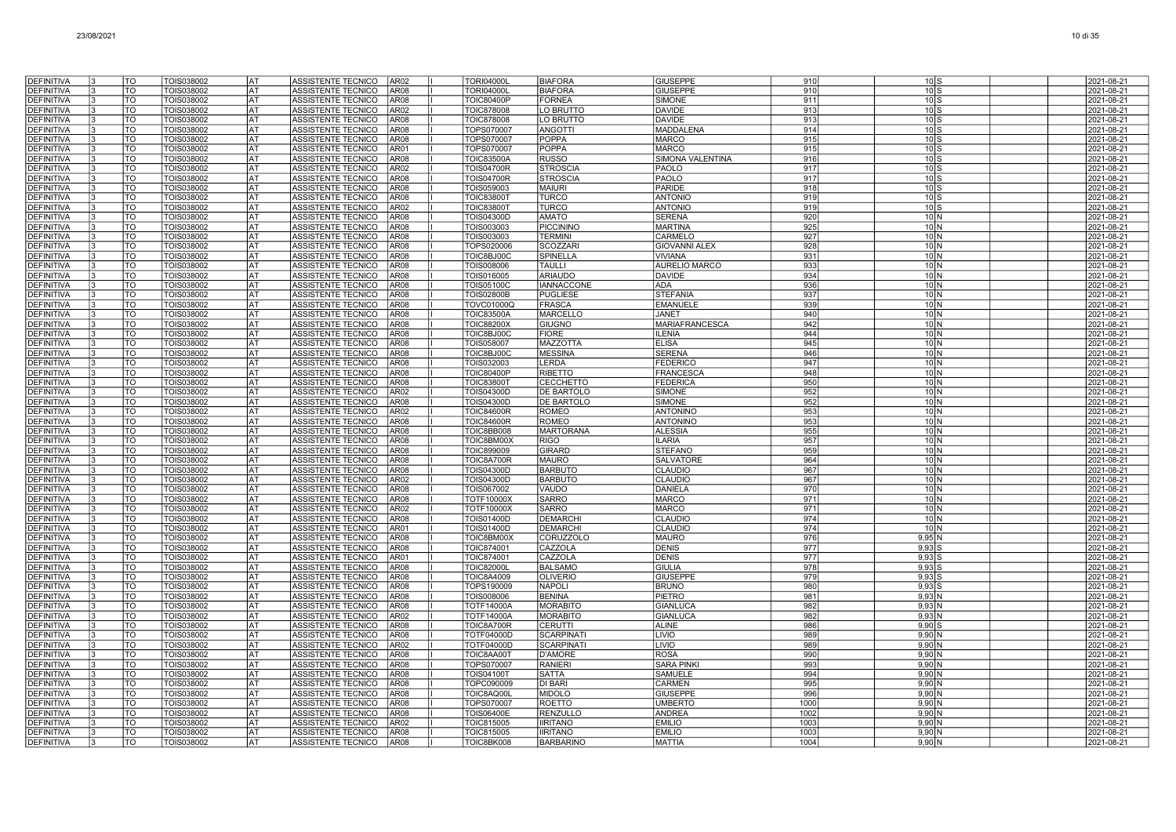| <b>DEFINITIVA</b>                      |    | TO                     | TOIS038002                      | AT               | ASSISTENTE TECNICO                                     | AR <sub>02</sub>                     | <b>TORI04000L</b>                      | <b>BIAFORA</b>                     | <b>GIUSEPPE</b>                    | 910          | $10\text{S}$                       | 2021-08-21               |
|----------------------------------------|----|------------------------|---------------------------------|------------------|--------------------------------------------------------|--------------------------------------|----------------------------------------|------------------------------------|------------------------------------|--------------|------------------------------------|--------------------------|
| <b>DEFINITIVA</b>                      |    | $\overline{10}$        | TOIS038002                      | <b>AT</b>        | ASSISTENTE TECNICO                                     | AR08                                 | <b>TORI04000L</b>                      | <b>BIAFORA</b>                     | <b>GIUSEPPE</b>                    | 910          | 10S                                | 2021-08-21               |
| <b>DEFINITIVA</b>                      |    | TO                     | TOIS038002                      | lat              | ASSISTENTE TECNICO                                     | AR <sub>08</sub>                     | <b>TOIC80400P</b>                      | <b>FORNEA</b>                      | <b>SIMONE</b>                      | 911          | 10 S                               | 2021-08-21               |
| <b>DEFINITIVA</b>                      |    | <b>TO</b>              | TOIS038002                      | lat              | ASSISTENTE TECNICO                                     | AR <sub>02</sub>                     | <b>TOIC878008</b>                      | LO BRUTTO                          | <b>DAVIDE</b>                      | 913          | $10\text{S}$                       | 2021-08-21               |
| <b>DEFINITIVA</b>                      |    | <b>TO</b>              | TOIS038002                      | AT               | ASSISTENTE TECNICO                                     | AR <sub>08</sub>                     | TOIC878008                             | LO BRUTTO                          | <b>DAVIDE</b>                      | 913          | $10$ S                             | 2021-08-21               |
| <b>DEFINITIVA</b>                      |    | TO                     | TOIS038002                      | AT               | ASSISTENTE TECNICO                                     | AR <sub>08</sub>                     | TOPS070007                             | <b>ANGOTTI</b>                     | MADDALENA                          | 914          | $10$ S                             | 2021-08-21               |
| <b>DEFINITIVA</b>                      |    | TO                     | TOIS038002                      | AT               | ASSISTENTE TECNICO                                     | AR <sub>08</sub>                     | TOPS070007                             | <b>POPPA</b>                       | <b>MARCO</b>                       | 915          | $10\text{S}$                       | 2021-08-21               |
| <b>DEFINITIVA</b>                      |    | <b>TO</b>              | TOIS038002                      | lat              | <b>ASSISTENTE TECNICO</b>                              | AR01                                 | TOPS070007                             | POPPA                              | <b>MARCO</b>                       | 915          | 10 <sub>l</sub>                    | 2021-08-21               |
| <b>DEFINITIVA</b>                      |    | <b>TO</b>              | TOIS038002                      | lat              | ASSISTENTE TECNICO                                     | AR08                                 | <b>TOIC83500A</b>                      | <b>RUSSO</b>                       | SIMONA VALENTINA                   | 916          | $10\text{S}$                       | 2021-08-21               |
| <b>DEFINITIVA</b>                      |    | <b>TO</b>              | TOIS038002                      | <b>AT</b>        | ASSISTENTE TECNICO                                     | <b>AR02</b>                          | <b>TOIS04700R</b>                      | <b>STROSCIA</b>                    | PAOLO                              | 917          | 10S                                | 2021-08-21               |
| <b>DEFINITIVA</b><br>DEFINITIVA        |    | lto:<br>TO             | TOIS038002<br>TOIS038002        | <b>AT</b><br>lat | <b>ASSISTENTE TECNICO</b><br><b>ASSISTENTE TECNICO</b> | AR08<br>AR08                         | <b>TOIS04700R</b><br>TOIS059003        | <b>STROSCIA</b><br><b>MAIURI</b>   | PAOLO<br><b>PARIDE</b>             | 917<br>918   | 10 <sub>l</sub><br>10 <sub>1</sub> | 2021-08-21<br>2021-08-21 |
| <b>DEFINITIVA</b>                      | ıз | TO                     | TOIS038002                      | lat              | ASSISTENTE TECNICO                                     | AR <sub>08</sub>                     | <b>TOIC83800T</b>                      | <b>TURCO</b>                       | <b>ANTONIO</b>                     | 919          | $10\text{S}$                       | 2021-08-21               |
| <b>DEFINITIVA</b>                      |    | TO                     | TOIS038002                      | lat              | ASSISTENTE TECNICO                                     | AR <sub>02</sub>                     | <b>TOIC83800T</b>                      | <b>TURCO</b>                       | <b>ANTONIO</b>                     | 919          | $10$ S                             | 2021-08-21               |
| <b>DEFINITIVA</b>                      | l3 | TO                     | TOIS038002                      | AT               | ASSISTENTE TECNICO                                     | AR <sub>08</sub>                     | TOIS04300D                             | <b>AMATO</b>                       | <b>SERENA</b>                      | 920          | 10 N                               | 2021-08-21               |
| <b>DEFINITIVA</b>                      | 13 | TO                     | TOIS038002                      | lat              | ASSISTENTE TECNICO                                     | AR <sub>08</sub>                     | TOIS003003                             | <b>PICCININO</b>                   | <b>MARTINA</b>                     | 925          | 10 <sup>1</sup>                    | 2021-08-21               |
| <b>DEFINITIVA</b>                      | 3  | TO                     | TOIS038002                      | lat              | ASSISTENTE TECNICO                                     | AR <sub>08</sub>                     | TOIS003003                             | <b>TERMINI</b>                     | CARMELO                            | 927          | 10 <sub>1</sub>                    | 2021-08-21               |
| <b>DEFINITIVA</b>                      |    | TO                     | TOIS038002                      | AT               | ASSISTENTE TECNICO                                     | <b>AR08</b>                          | TOPS020006                             | SCOZZARI                           | <b>GIOVANNI ALEX</b>               | 928          | 10 <sub>1</sub>                    | 2021-08-21               |
| <b>DEFINITIVA</b>                      |    | <b>TO</b>              | TOIS038002                      | <b>AT</b>        | ASSISTENTE TECNICO                                     | AR <sub>08</sub>                     | TOIC8BJ00C                             | SPINELLA                           | <b>VIVIANA</b>                     | 931          | 10 <sub>N</sub>                    | 2021-08-21               |
| <b>DEFINITIVA</b>                      |    | lto                    | TOIS038002                      | <b>AT</b>        | ASSISTENTE TECNICO                                     | AR <sub>08</sub>                     | TOIS008006                             | <b>TAULLI</b>                      | <b>AURELIO MARCO</b>               | 933          | 10 <sup>1</sup>                    | 2021-08-21               |
| <b>DEFINITIVA</b>                      |    | <b>TO</b>              | TOIS038002                      | lat              | <b>ASSISTENTE TECNICO</b>                              | AR <sub>08</sub>                     | TOIS016005                             | <b>ARIAUDO</b>                     | <b>DAVIDE</b>                      | 934          | 10 <sub>1</sub>                    | 2021-08-21               |
| <b>DEFINITIVA</b>                      |    | <b>TO</b>              | TOIS038002                      | lat              | ASSISTENTE TECNICO                                     | AR <sub>08</sub>                     | <b>TOIS05100C</b>                      | <b>IANNACCONE</b>                  | <b>ADA</b>                         | 936          | $101$ N                            | 2021-08-21               |
| <b>DEFINITIVA</b>                      |    | TO                     | TOIS038002                      | AT               | ASSISTENTE TECNICO                                     | AR <sub>08</sub><br>AR <sub>08</sub> | TOIS02800B                             | <b>PUGLIESE</b>                    | <b>STEFANIA</b>                    | 937          | $10\vert N$                        | 2021-08-21               |
| <b>DEFINITIVA</b><br><b>DEFINITIVA</b> | l3 | TO<br>TO               | TOIS038002<br>TOIS038002        | AT<br> AT        | ASSISTENTE TECNICO<br>ASSISTENTE TECNICO               | AR <sub>08</sub>                     | <b>TOVC01000C</b><br><b>TOIC83500A</b> | <b>FRASCA</b><br><b>MARCELLC</b>   | <b>EMANUELE</b><br>JANET           | 939<br>940   | $10\vert N$<br>10 <sup>1</sup>     | 2021-08-21<br>2021-08-21 |
| <b>DEFINITIVA</b>                      |    | <b>TO</b>              | TOIS038002                      | lat              | <b>ASSISTENTE TECNICO</b>                              | AR08                                 | <b>TOIC88200X</b>                      | <b>GIUGNO</b>                      | <b>MARIAFRANCESCA</b>              | 942          | 10 <sub>1</sub>                    | 2021-08-21               |
| <b>DEFINITIVA</b>                      |    | <b>TO</b>              | TOIS038002                      | AT               | ASSISTENTE TECNICO                                     | AR08                                 | TOIC8BJ00C                             | <b>FIORE</b>                       | <b>ILENIA</b>                      | 944          | $10\vert N$                        | 2021-08-21               |
| <b>DEFINITIVA</b>                      |    | <b>TO</b>              | TOIS038002                      | <b>AT</b>        | <b>ASSISTENTE TECNICO</b>                              | AR08                                 | TOIS058007                             | MAZZOTTA                           | <b>ELISA</b>                       | 945          | 10 <sup>1</sup>                    | 2021-08-21               |
| <b>DEFINITIVA</b>                      |    | lto                    | TOIS038002                      | lat              | ASSISTENTE TECNICO                                     | AR08                                 | TOIC8BJ00C                             | <b>MESSINA</b>                     | <b>SERENA</b>                      | 946          | $101$ N                            | 2021-08-21               |
| DEFINITIVA                             |    | TO                     | TOIS038002                      | lat              | ASSISTENTE TECNICO                                     | AR <sub>08</sub>                     | TOIS032003                             | <b>LERDA</b>                       | <b>FEDERICO</b>                    | 947          | 10 <sub>1</sub>                    | 2021-08-21               |
| <b>DEFINITIVA</b>                      |    | TO                     | TOIS038002                      | lat              | ASSISTENTE TECNICO                                     | AR <sub>08</sub>                     | <b>TOIC80400P</b>                      | <b>RIBETTO</b>                     | <b>FRANCESCA</b>                   | 948          | 10 N                               | 2021-08-21               |
| <b>DEFINITIVA</b>                      |    | TO                     | TOIS038002                      | lat              | ASSISTENTE TECNICO                                     | AR <sub>08</sub>                     | <b>TOIC83800T</b>                      | <b>CECCHETTO</b>                   | FEDERICA                           | 950          | 10 <sub>N</sub>                    | 2021-08-21               |
| <b>DEFINITIVA</b>                      | 13 | TO                     | TOIS038002                      | AT               | ASSISTENTE TECNICO                                     | AR02                                 | TOIS04300D                             | DE BARTOLO                         | <b>SIMONE</b>                      | 952          | 10 N                               | 2021-08-21               |
| <b>DEFINITIVA</b>                      | 13 | TO<br>TO               | TOIS038002                      | AT               | ASSISTENTE TECNICO                                     | AR08<br>AR <sub>02</sub>             | TOIS04300D                             | DE BARTOLO<br><b>ROMEO</b>         | SIMONE                             | 952          | 10 <sup>1</sup>                    | 2021-08-21               |
| <b>DEFINITIVA</b><br><b>DEFINITIVA</b> |    | TO                     | TOIS038002<br>TOIS038002        | lat<br> AT       | ASSISTENTE TECNICO<br>ASSISTENTE TECNICO               | AR08                                 | <b>TOIC84600R</b><br><b>TOIC84600R</b> | <b>ROMEO</b>                       | <b>ANTONINO</b><br><b>ANTONINO</b> | 953<br>953   | 10 <sub>1</sub><br>10 <sub>1</sub> | 2021-08-21<br>2021-08-21 |
| <b>DEFINITIVA</b>                      |    | <b>TO</b>              | TOIS038002                      | <b>AT</b>        | ASSISTENTE TECNICO                                     | AR <sub>08</sub>                     | TOIC8BB008                             | <b>MARTORANA</b>                   | <b>ALESSIA</b>                     | 955          | 10 <sup>1</sup>                    | 2021-08-21               |
| <b>DEFINITIVA</b>                      |    | lto                    | TOIS038002                      | <b>AT</b>        | ASSISTENTE TECNICO                                     | AR <sub>08</sub>                     | TOIC8BM00X                             | <b>RIGO</b>                        | <b>ILARIA</b>                      | 957          | 10 <sup>1</sup>                    | 2021-08-21               |
| DEFINITIVA                             |    | <b>TO</b>              | TOIS038002                      | lat              | ASSISTENTE TECNICO                                     | AR <sub>08</sub>                     | <b>TOIC899009</b>                      | <b>GIRARD</b>                      | <b>STEFANO</b>                     | 959          | 10 N                               | 2021-08-21               |
| <b>DEFINITIVA</b>                      |    | <b>TO</b>              | TOIS038002                      | lat              | ASSISTENTE TECNICO                                     | AR <sub>08</sub>                     | TOIC8A700R                             | <b>MAURO</b>                       | <b>SALVATORE</b>                   | 964          | 10 N                               | 2021-08-21               |
| <b>DEFINITIVA</b>                      |    | TO                     | TOIS038002                      | AT               | ASSISTENTE TECNICO                                     | AR <sub>08</sub>                     | TOIS04300D                             | <b>BARBUTO</b>                     | <b>CLAUDIO</b>                     | 967          | 10 <sup>1</sup>                    | 2021-08-21               |
| <b>DEFINITIVA</b>                      |    | TO                     | TOIS038002                      | AT               | ASSISTENTE TECNICO                                     | AR <sub>02</sub>                     | <b>TOIS04300D</b>                      | <b>BARBUTO</b>                     | <b>CLAUDIO</b>                     | 967          | 10 <sup>1</sup>                    | 2021-08-21               |
| <b>DEFINITIVA</b>                      |    | TO                     | TOIS038002                      | AT               | ASSISTENTE TECNICO                                     | AR <sub>08</sub>                     | TOIS067002                             | VAUDO                              | <b>DANIELA</b>                     | 970          | 10 N                               | 2021-08-21               |
| <b>DEFINITIVA</b>                      |    | <b>TO</b>              | TOIS038002                      | lat              | <b>ASSISTENTE TECNICO</b>                              | AR08                                 | TOTF10000X                             | SARRO                              | <b>MARCO</b>                       | 971          | 10 <sub>1</sub>                    | 2021-08-21               |
| <b>DEFINITIVA</b>                      |    | <b>TO</b><br>TO        | TOIS038002<br>TOIS038002        | AT<br><b>AT</b>  | ASSISTENTE TECNICO<br>ASSISTENTE TECNICO               | AR02<br>AR08                         | TOTF10000X<br><b>TOIS01400D</b>        | <b>SARRO</b><br><b>DEMARCHI</b>    | <b>MARCO</b><br><b>CLAUDIO</b>     | 971<br>974   | 10 <sub>1</sub><br>10N             | 2021-08-21<br>2021-08-21 |
| <b>DEFINITIVA</b><br><b>DEFINITIVA</b> |    | <b>TO</b>              | TOIS038002                      | lat              | <b>ASSISTENTE TECNICO</b>                              | AR01                                 | <b>TOIS01400D</b>                      | <b>DEMARCHI</b>                    | <b>CLAUDIO</b>                     | 974          | 10 <sup>1</sup>                    | 2021-08-21               |
| <b>DEFINITIVA</b>                      |    | TO                     | TOIS038002                      | lat              | ASSISTENTE TECNICO                                     | AR <sub>08</sub>                     | TOIC8BM00X                             | CORUZZOLO                          | <b>MAURO</b>                       | 976          | 9.95N                              | 2021-08-21               |
| <b>DEFINITIVA</b>                      |    | TO                     | TOIS038002                      | <b>AT</b>        | ASSISTENTE TECNICO                                     | AR08                                 | TOIC874001                             | CAZZOLA                            | DENIS                              | 977          | 9,93                               | 2021-08-21               |
| <b>DEFINITIVA</b>                      | l3 | TO                     | TOIS038002                      | AT               | ASSISTENTE TECNICO                                     | AR01                                 | TOIC874001                             | CAZZOLA                            | <b>DENIS</b>                       | 977          | $9,93$ $\mid$                      | 2021-08-21               |
| <b>DEFINITIVA</b>                      | 13 | TO                     | TOIS038002                      | lat              | ASSISTENTE TECNICO                                     | AR <sub>08</sub>                     | <b>TOIC82000L</b>                      | <b>BALSAMO</b>                     | <b>GIULIA</b>                      | 978          | $9,93$ S                           | 2021-08-21               |
| <b>DEFINITIVA</b>                      | l3 | TO                     | TOIS038002                      | AT               | ASSISTENTE TECNICO                                     | AR08                                 | <b>TOIC8A4009</b>                      | <b>OLIVERIO</b>                    | <b>GIUSEPPE</b>                    | 979          | $9,93$ S                           | 2021-08-21               |
| <b>DEFINITIVA</b>                      | I٩ | TO                     | TOIS038002                      | lat              | ASSISTENTE TECNICO                                     | AR08                                 | TOPS190009                             | <b>NAPOLI</b>                      | <b>BRUNO</b>                       | 980          | $9,93$ S                           | 2021-08-21               |
| <b>DEFINITIVA</b>                      |    | TO                     | TOIS038002                      | AT               | ASSISTENTE TECNICO                                     | AR08                                 | TOIS008006                             | <b>BENINA</b>                      | PIETRO                             | 981          | 9,93N                              | 2021-08-21               |
| <b>DEFINITIVA</b><br><b>DEFINITIVA</b> |    | <b>TO</b><br><b>TO</b> | TOIS038002<br>TOIS038002        | <b>AT</b><br> AT | ASSISTENTE TECNICO<br>ASSISTENTE TECNICO               | AR <sub>08</sub><br>AR <sub>02</sub> | <b>TOTF14000A</b><br><b>TOTF14000A</b> | <b>MORABITO</b><br><b>MORABITO</b> | <b>GIANLUCA</b><br><b>GIANLUCA</b> | 982<br>982   | 9,93N<br>9,93N                     | 2021-08-21<br>2021-08-21 |
| <b>DEFINITIVA</b>                      |    | <b>TO</b>              | TOIS038002                      | lat              | ASSISTENTE TECNICO                                     | AR <sub>08</sub>                     | TOIC8A700R                             | <b>CERUTTI</b>                     | <b>ALINE</b>                       | 986          | $9.90$ S                           | 2021-08-21               |
| <b>DEFINITIVA</b>                      |    | <b>TO</b>              | TOIS038002                      | AT               | ASSISTENTE TECNICO                                     | AR <sub>08</sub>                     | TOTF04000D                             | <b>SCARPINAT</b>                   | <b>LIVIO</b>                       | 989          | 9,90N                              | 2021-08-21               |
| <b>DEFINITIVA</b>                      |    | TO                     | TOIS038002                      | AT               | ASSISTENTE TECNICO                                     | AR <sub>02</sub>                     | TOTF04000D                             | <b>SCARPINATI</b>                  | <b>LIVIO</b>                       | 989          | 9,90 N                             | 2021-08-21               |
| <b>DEFINITIVA</b>                      |    | TO                     | TOIS038002                      | AT               | ASSISTENTE TECNICO                                     | AR <sub>08</sub>                     | <b>TOIC8AA001</b>                      | <b>D'AMORE</b>                     | <b>ROSA</b>                        | 990          | 9,90N                              | 2021-08-21               |
| <b>DEFINITIVA</b>                      |    | TO                     | TOIS038002                      | AT               | ASSISTENTE TECNICO                                     | AR <sub>08</sub>                     | TOPS070007                             | <b>RANIERI</b>                     | <b>SARA PINK</b>                   | 993          | 9,90N                              | 2021-08-21               |
| <b>DEFINITIVA</b>                      |    | <b>TO</b>              | TOIS038002                      | lat              | <b>ASSISTENTE TECNICO</b>                              | AR <sub>08</sub>                     | <b>TOIS04100T</b>                      | <b>SATTA</b>                       | SAMUELE                            | 994          | $9,90$ N                           | 2021-08-21               |
| <b>DEFINITIVA</b>                      |    | <b>TO</b>              | TOIS038002                      | AT               | ASSISTENTE TECNICO                                     | AR08                                 | TOPC090009                             | DI BARI                            | <b>CARMEN</b>                      | 995          | $9,90$ N                           | 2021-08-21               |
| <b>DEFINITIVA</b>                      |    | <b>TO</b>              | TOIS038002                      | <b>AT</b>        | ASSISTENTE TECNICO                                     | AR08                                 | TOIC8AQ00L                             | <b>MIDOLO</b>                      | <b>GIUSEPPE</b>                    | 996          | $9,90$ N                           | 2021-08-21               |
| <b>DEFINITIVA</b>                      |    | <b>TO</b>              | TOIS038002                      | lat              | <b>ASSISTENTE TECNICO</b>                              | AR08                                 | TOPS070007                             | <b>ROETTO</b>                      | <b>UMBERTC</b>                     | 1000         | 9.90                               | 2021-08-21               |
| <b>DEFINITIVA</b>                      |    | TO                     | TOIS038002                      | lat              | ASSISTENTE TECNICO                                     | AR <sub>08</sub>                     | <b>TOIS06400E</b>                      | <b>RENZULLO</b>                    | <b>ANDREA</b>                      | 1002         | $9,90$ N                           | 2021-08-21               |
| <b>DEFINITIVA</b><br><b>DEFINITIVA</b> | l3 | TO<br>TO               | <b>FOIS038002</b><br>TOIS038002 | AT<br>lat        | ASSISTENTE TECNICO<br>ASSISTENTE TECNICO               | AR02<br>AR <sub>08</sub>             | <b>FOIC815005</b><br>TOIC815005        | <b>IIRITANO</b><br><b>IIRITANO</b> | <b>MILIO</b><br><b>EMILIO</b>      | 1003<br>1003 | $9,90$  <br>9,90 N                 | 2021-08-21<br>2021-08-21 |
| DEFINITIVA                             | 13 | TO                     | TOIS038002                      | lat              | ASSISTENTE TECNICO                                     | AR <sub>08</sub>                     | TOIC8BK008                             | <b>BARBARINO</b>                   | <b>MATTIA</b>                      | 1004         | 9,90N                              | 2021-08-21               |
|                                        |    |                        |                                 |                  |                                                        |                                      |                                        |                                    |                                    |              |                                    |                          |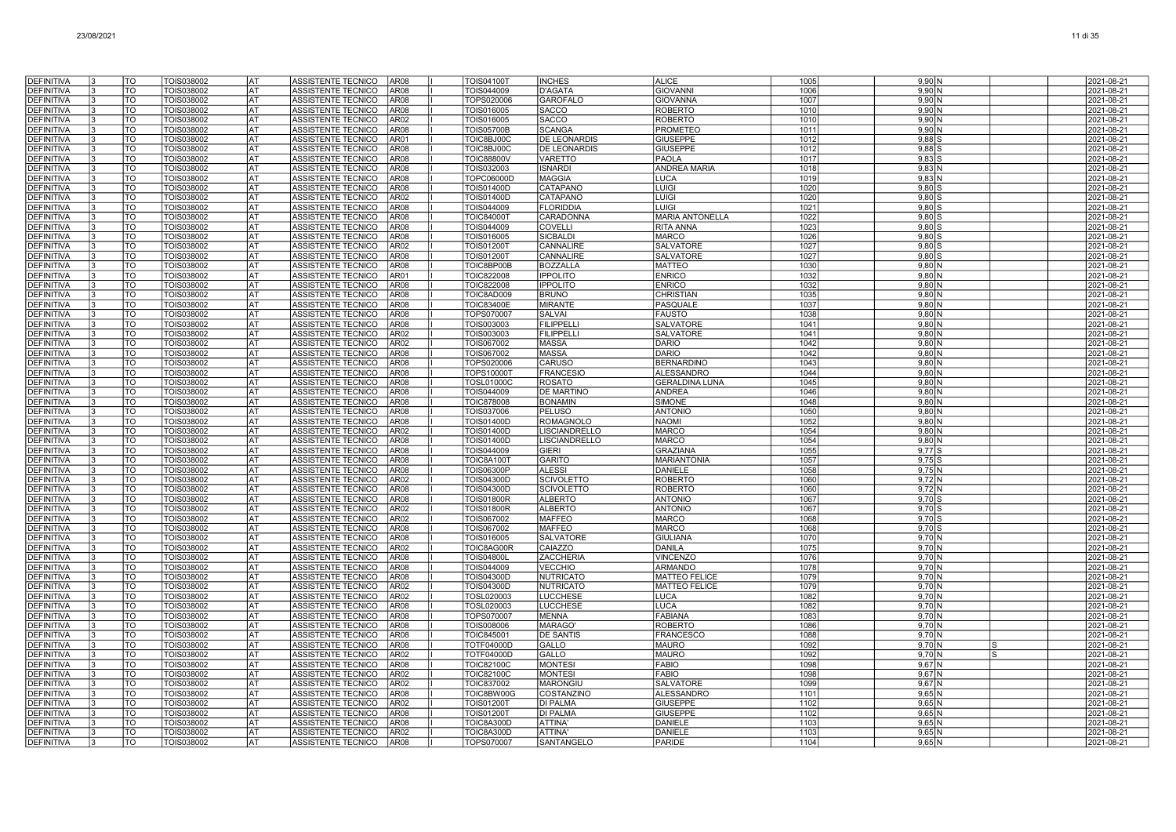| <b>DEFINITIVA</b>                      | TO              | TOIS038002               | <b>AT</b>       | ASSISTENTE TECNICO<br>AR <sub>08</sub>                                           | <b>TOIS04100T</b>                      | <b>INCHES</b>                              | <b>ALICE</b>                       | 1005         | 9,90 N                        | 2021-08-21               |
|----------------------------------------|-----------------|--------------------------|-----------------|----------------------------------------------------------------------------------|----------------------------------------|--------------------------------------------|------------------------------------|--------------|-------------------------------|--------------------------|
| <b>DEFINITIVA</b>                      | <b>TO</b>       | TOIS038002               | lat             | ASSISTENTE TECNICO<br>AR <sub>08</sub>                                           | TOIS044009                             | <b>D'AGATA</b>                             | <b>GIOVANNI</b>                    | 1006         | 9.90N                         | 2021-08-21               |
| <b>DEFINITIVA</b>                      | TO              | TOIS038002               | lat             | ASSISTENTE TECNICO<br>AR <sub>08</sub>                                           | TOPS020006                             | <b>GAROFALO</b>                            | <b>GIOVANNA</b>                    | 1007         | $9,90$ N                      | 2021-08-21               |
| <b>DEFINITIVA</b>                      | $\overline{10}$ | TOIS038002               | lat             | ASSISTENTE TECNICO<br>AR <sub>08</sub>                                           | TOIS016005                             | <b>SACCO</b>                               | <b>ROBERTO</b>                     | 1010         | $9,90$ N                      | 2021-08-21               |
| <b>DEFINITIVA</b>                      | TO              | TOIS038002               | l AT            | ASSISTENTE TECNICO<br>AR <sub>02</sub>                                           | TOIS016005                             | <b>SACCO</b>                               | <b>ROBERTO</b>                     | 1010         | $9,90$ N                      | 2021-08-21               |
| <b>DEFINITIVA</b>                      | TO              | TOIS038002               | AT              | ASSISTENTE TECNICO<br>AR <sub>08</sub>                                           | <b>TOIS05700B</b>                      | <b>SCANGA</b>                              | <b>PROMETEC</b>                    | 1011         | 9,90 N                        | 2021-08-21               |
| <b>DEFINITIVA</b><br><b>DEFINITIVA</b> | TO<br>TO        | TOIS038002<br>TOIS038002 | AT<br>lat       | ASSISTENTE TECNICO<br>AR01<br>ASSISTENTE TECNICO<br>AR <sub>08</sub>             | TOIC8BJ00C<br>TOIC8BJ00C               | <b>DE LEONARDIS</b><br><b>DE LEONARDIS</b> | <b>GIUSEPPE</b><br><b>GIUSEPPE</b> | 1012<br>1012 | $9,88$ $S$<br>$9.88$ S        | 2021-08-21<br>2021-08-21 |
| <b>DEFINITIVA</b>                      | TO              | TOIS038002               | <b>AT</b>       | ASSISTENTE TECNICO<br>AR <sub>08</sub>                                           | <b>TOIC88800V</b>                      | VARETTO                                    | <b>PAOLA</b>                       | 1017         | $9,83$ $S$                    | 2021-08-21               |
| <b>DEFINITIVA</b>                      | TO              | TOIS038002               | <b>AT</b>       | <b>ASSISTENTE TECNICO</b><br>AR <sub>08</sub>                                    | TOIS032003                             | <b>ISNARDI</b>                             | <b>ANDREA MARIA</b>                | 1018         | $9,83$ N                      | 2021-08-21               |
| <b>DEFINITIVA</b>                      | TO              | TOIS038002               | lat             | ASSISTENTE TECNICO<br>AR08                                                       | <b>TOPC06000D</b>                      | <b>MAGGIA</b>                              | LUCA                               | 1019         | 9,83 N                        | 2021-08-21               |
| <b>DEFINITIVA</b>                      | TO              | TOIS038002               | AT              | ASSISTENTE TECNICO<br>AR08                                                       | <b>TOIS01400D</b>                      | CATAPANO                                   | <b>LUIGI</b>                       | 1020         | $9.80$ S                      | 2021-08-21               |
| <b>DEFINITIVA</b>                      | TO              | TOIS038002               | <b>AT</b>       | ASSISTENTE TECNICO<br>AR <sub>02</sub>                                           | TOIS01400D                             | CATAPANO                                   | LUIGI                              | 1020         | $9,80$ S                      | 2021-08-21               |
| <b>DEFINITIVA</b>                      | TO              | TOIS038002               | AT              | ASSISTENTE TECNICO<br>AR <sub>08</sub>                                           | TOIS044009                             | <b>FLORIDDIA</b>                           | LUIGI                              | 1021         | $9,80$ S                      | 2021-08-21               |
| <b>DEFINITIVA</b>                      | TO              | TOIS038002               | AT<br><b>AT</b> | ASSISTENTE TECNICO<br>AR <sub>08</sub>                                           | <b>TOIC84000T</b>                      | CARADONNA                                  | <b>MARIA ANTONELLA</b>             | 1022         | $9,80$ S                      | 2021-08-21               |
| <b>DEFINITIVA</b><br><b>DEFINITIVA</b> | TO<br>TO        | TOIS038002<br>TOIS038002 | lat             | ASSISTENTE TECNICO<br>AR <sub>08</sub><br>ASSISTENTE TECNICO<br>AR <sub>08</sub> | TOIS044009<br>TOIS016005               | <b>COVELLI</b><br><b>SICBALDI</b>          | <b>RITA ANNA</b><br><b>MARCO</b>   | 1023<br>1026 | $9,80$ S<br>$9.80$ S          | 2021-08-21<br>2021-08-21 |
| <b>DEFINITIVA</b>                      | TO              | TOIS038002               | lat             | ASSISTENTE TECNICO<br>AR <sub>02</sub>                                           | <b>TOIS01200T</b>                      | CANNALIRE                                  | SALVATORE                          | 1027         | $9,80$ S                      | 2021-08-21               |
| <b>DEFINITIVA</b>                      | TO              | TOIS038002               | AT              | AR08<br>ASSISTENTE TECNICO                                                       | <b>TOIS01200T</b>                      | CANNALIRE                                  | SALVATORE                          | 1027         | $9,80$ S                      | 2021-08-21               |
| <b>DEFINITIVA</b>                      | $\overline{10}$ | TOIS038002               | lat             | ASSISTENTE TECNICO<br>AR <sub>08</sub>                                           | TOIC8BP00B                             | <b>BOZZALLA</b>                            | <b>MATTEO</b>                      | 1030         | $9,80$ N                      | 2021-08-21               |
| <b>DEFINITIVA</b>                      | TO              | TOIS038002               | lat             | ASSISTENTE TECNICO<br>AR01                                                       | <b>TOIC822008</b>                      | <b>IPPOLITO</b>                            | <b>ENRICO</b>                      | 1032         | $9,80$ N                      | 2021-08-21               |
| <b>DEFINITIVA</b>                      | TO              | TOIS038002               | AT              | ASSISTENTE TECNICO<br>AR <sub>08</sub>                                           | TOIC822008                             | <b>IPPOLITO</b>                            | <b>ENRICO</b>                      | 1032         | $9,80$ N                      | 2021-08-21               |
| <b>DEFINITIVA</b>                      | TO              | TOIS038002               | lat             | ASSISTENTE TECNICO<br>AR <sub>08</sub>                                           | TOIC8AD009                             | <b>BRUNO</b>                               | <b>CHRISTIAN</b>                   | 1035         | $9,80$ N                      | 2021-08-21               |
| <b>DEFINITIVA</b><br><b>DEFINITIVA</b> | TO<br>TO        | TOIS038002<br>TOIS038002 | AT              | AR <sub>08</sub><br>ASSISTENTE TECNICO<br>ASSISTENTE TECNICO<br>AR <sub>08</sub> | <b>TOIC83400E</b><br><b>TOPS07000</b>  | <b>MIRANTE</b><br><b>SALVAI</b>            | PASQUALE<br><b>FAUSTO</b>          | 1037<br>1038 | $9,80$ N<br>9.80 <sub>N</sub> | 2021-08-21<br>2021-08-21 |
| <b>DEFINITIVA</b>                      | TO              | TOIS038002               | lat<br>l AT     | ASSISTENTE TECNICO<br>AR <sub>08</sub>                                           | TOIS003003                             | <b>FILIPPELL</b>                           | <b>SALVATORE</b>                   | 1041         | $9,80$ N                      | 2021-08-21               |
| <b>DEFINITIVA</b>                      | $\overline{10}$ | <b>TOIS038002</b>        | <b>AT</b>       | ASSISTENTE TECNICO<br>AR <sub>02</sub>                                           | TOIS003003                             | <b>FILIPPELLI</b>                          | SALVATORE                          | 1041         | $9,80$ N                      | 2021-08-21               |
| <b>DEFINITIVA</b>                      | <b>TO</b>       | TOIS038002               | lat             | ASSISTENTE TECNICO<br>AR <sub>02</sub>                                           | TOIS067002                             | <b>MASSA</b>                               | <b>DARIO</b>                       | 1042         | $9,80$ N                      | 2021-08-21               |
| <b>DEFINITIVA</b>                      | TO              | TOIS038002               | lat             | ASSISTENTE TECNICO<br>AR <sub>08</sub>                                           | TOIS067002                             | <b>MASSA</b>                               | <b>DARIO</b>                       | 1042         | $9,80$ N                      | 2021-08-21               |
| <b>DEFINITIVA</b>                      | TO              | TOIS038002               | AT              | ASSISTENTE TECNICO<br>AR08                                                       | TOPS020006                             | CARUSO                                     | <b>BERNARDINO</b>                  | 1043         | $9,80$ N                      | 2021-08-21               |
| <b>DEFINITIVA</b>                      | TO              | TOIS038002               | AT              | ASSISTENTE TECNICO<br>AR08                                                       | TOPS100001                             | <b>FRANCESIO</b>                           | <b>ALESSANDRO</b>                  | 1044         | $9,80$ N                      | 2021-08-21               |
| DEFINITIVA                             | TO              | TOIS038002               | AT              | ASSISTENTE TECNICO<br>AR <sub>08</sub>                                           | <b>TOSL01000C</b>                      | <b>ROSATO</b>                              | <b>GERALDINA LUNA</b>              | 1045         | $9,80$ N                      | 2021-08-21               |
| <b>DEFINITIVA</b><br><b>DEFINITIVA</b> | TO<br>TO        | TOIS038002<br>TOIS038002 | AT<br>lat       | ASSISTENTE TECNICO<br>AR08<br>ASSISTENTE TECNICO<br>AR <sub>08</sub>             | TOIS044009<br><b>TOIC878008</b>        | <b>DE MARTINO</b><br><b>BONAMIN</b>        | ANDREA<br><b>SIMONE</b>            | 1046<br>1048 | $9,80$ N<br>9.80 <sub>N</sub> | 2021-08-21<br>2021-08-21 |
| <b>DEFINITIVA</b>                      | TO              | TOIS038002               | lat             | ASSISTENTE TECNICO<br>AR <sub>08</sub>                                           | TOIS037006                             | <b>PELUSO</b>                              | <b>ANTONIC</b>                     | 1050         | $9,80$ N                      | 2021-08-21               |
| <b>DEFINITIVA</b>                      | $\overline{10}$ | TOIS038002               | <b>AT</b>       | AR08<br>ASSISTENTE TECNICO                                                       | <b>TOIS01400D</b>                      | ROMAGNOLO                                  | <b>NAOMI</b>                       | 1052         | $9,80$ N                      | 2021-08-21               |
| <b>DEFINITIVA</b>                      | <b>TO</b>       | TOIS038002               | <b>AT</b>       | AR <sub>02</sub><br>ASSISTENTE TECNICO                                           | <b>TOIS01400D</b>                      | <b>LISCIANDRELLO</b>                       | <b>MARCO</b>                       | 1054         | $9,80$ N                      | 2021-08-21               |
| <b>DEFINITIVA</b>                      | TO              | TOIS038002               | lat             | ASSISTENTE TECNICO<br>AR <sub>08</sub>                                           | <b>TOIS01400D</b>                      | <b>LISCIANDRELLO</b>                       | <b>MARCO</b>                       | 1054         | $9,80$ N                      | 2021-08-21               |
| <b>DEFINITIVA</b>                      | $\overline{10}$ | TOIS038002               | <b>AT</b>       | ASSISTENTE TECNICO<br>AR <sub>08</sub>                                           | TOIS044009                             | <b>GIERI</b>                               | <b>GRAZIANA</b>                    | 1055         | $9,77$ S                      | 2021-08-21               |
| <b>DEFINITIVA</b>                      | TO              | TOIS038002               | lat             | ASSISTENTE TECNICO<br>AR <sub>08</sub>                                           | TOIC8A100 <sup>-</sup>                 | <b>GARITO</b>                              | <b>MARIANTONIA</b>                 | 1057         | $9,75$ $S$                    | 2021-08-21               |
| <b>DEFINITIVA</b><br><b>DEFINITIVA</b> | TO<br>TO        | TOIS038002<br>TOIS038002 | AT<br>lat       | ASSISTENTE TECNICO<br>AR <sub>08</sub><br>ASSISTENTE TECNICO<br>AR <sub>02</sub> | <b>TOIS06300F</b><br><b>TOIS04300D</b> | <b>ALESS</b><br><b>SCIVOLETTO</b>          | <b>DANIELE</b><br><b>ROBERTC</b>   | 1058<br>1060 | $9,75$ N<br>$9.72$ N          | 2021-08-21<br>2021-08-21 |
| <b>DEFINITIVA</b>                      | TO              | TOIS038002               | lat             | ASSISTENTE TECNICO<br>AR <sub>08</sub>                                           | <b>TOIS04300D</b>                      | <b>SCIVOLETTO</b>                          | <b>ROBERTO</b>                     | 1060         | $9,72$ N                      | 2021-08-21               |
| <b>DEFINITIVA</b>                      | TO              | TOIS038002               | <b>AT</b>       | ASSISTENTE TECNICO<br>AR <sub>08</sub>                                           | <b>TOIS01800R</b>                      | <b>ALBERTO</b>                             | <b>ANTONIO</b>                     | 1067         | $9,70$ S                      | 2021-08-21               |
| <b>DEFINITIVA</b>                      | $\overline{10}$ | TOIS038002               | <b>AT</b>       | ASSISTENTE TECNICO<br>AR <sub>02</sub>                                           | <b>TOIS01800R</b>                      | <b>ALBERTO</b>                             | <b>ANTONIO</b>                     | 1067         | $9,70$ $S$                    | 2021-08-21               |
| <b>DEFINITIVA</b>                      | <b>TO</b>       | TOIS038002               | lat             | ASSISTENTE TECNICO<br>AR02                                                       | TOIS067002                             | <b>MAFFEO</b>                              | <b>MARCO</b>                       | 1068         | $9,70$ S                      | 2021-08-21               |
| <b>DEFINITIVA</b>                      | TO              | TOIS038002               | lat             | ASSISTENTE TECNICO<br>AR <sub>08</sub>                                           | TOIS067002                             | <b>MAFFEO</b>                              | <b>MARCO</b>                       | 1068         | $9,70$ S                      | 2021-08-21               |
| <b>DEFINITIVA</b>                      | TO              | TOIS038002               | AT              | ASSISTENTE TECNICO<br>AR08                                                       | TOIS016005                             | <b>SALVATORE</b>                           | <b>GIULIANA</b>                    | 1070         | 9.70 <sub>N</sub>             | 2021-08-21               |
| DEFINITIVA<br><b>DEFINITIVA</b>        | TO<br>TO        | TOIS038002<br>TOIS038002 | AT<br>AT        | ASSISTENTE TECNICO<br>AR <sub>02</sub><br>AR <sub>08</sub><br>ASSISTENTE TECNICO | TOIC8AG00F<br><b>TOIS04800L</b>        | CAIAZZO<br><b>ZACCHERIA</b>                | DANILA<br><b>VINCENZO</b>          | 1075<br>1076 | $9,70$ N<br>$9,70$ N          | 2021-08-21<br>2021-08-21 |
| <b>DEFINITIVA</b>                      | TO              | TOIS038002               | <b>AT</b>       | ASSISTENTE TECNICO<br>AR <sub>08</sub>                                           | TOIS044009                             | <b>VECCHIO</b>                             | <b>ARMANDO</b>                     | 1078         | 9.70 <sub>N</sub>             | 2021-08-21               |
| <b>DEFINITIVA</b>                      | TO              | TOIS038002               | lat             | ASSISTENTE TECNICO<br>AR <sub>08</sub>                                           | <b>TOIS04300D</b>                      | <b>NUTRICATO</b>                           | <b>MATTEO FELICE</b>               | 1079         | 9.70 N                        | 2021-08-21               |
| <b>DEFINITIVA</b>                      | <b>TO</b>       | TOIS038002               | <b>AT</b>       | ASSISTENTE TECNICO<br>AR <sub>02</sub>                                           | <b>TOIS04300D</b>                      | <b>NUTRICATO</b>                           | <b>MATTEO FELICE</b>               | 1079         | $9,70$ N                      | 2021-08-21               |
| <b>DEFINITIVA</b>                      | TO              | TOIS038002               | <b>AT</b>       | ASSISTENTE TECNICO<br>AR <sub>02</sub>                                           | TOSL020003                             | <b>LUCCHESE</b>                            | <b>LUCA</b>                        | 1082         | $9,70$ N                      | 2021-08-21               |
| <b>DEFINITIVA</b>                      | <b>TO</b>       | TOIS038002               | lat             | ASSISTENTE TECNICO<br>AR <sub>08</sub>                                           | TOSL020003                             | <b>LUCCHESE</b>                            | <b>LUCA</b>                        | 1082         | $9,70$ N                      | 2021-08-21               |
| <b>DEFINITIVA</b>                      | TO              | TOIS038002               | lat             | AR <sub>08</sub><br>ASSISTENTE TECNICO                                           | TOPS070007                             | <b>MENNA</b>                               | <b>FABIANA</b>                     | 1083         | 9.70 <sub>N</sub>             | 2021-08-21               |
| <b>DEFINITIVA</b>                      | TO              | TOIS038002               | AT              | ASSISTENTE TECNICO<br>AR <sub>08</sub>                                           | <b>TOIS008006</b>                      | <b>MARAGO</b>                              | <b>ROBERTO</b>                     | 1086<br>1088 | $9,70$ N                      | 2021-08-21               |
| <b>DEFINITIVA</b><br><b>DEFINITIVA</b> | TO<br>TO        | TOIS038002<br>TOIS038002 | AT<br>lat       | ASSISTENTE TECNICO<br>AR <sub>08</sub><br>ASSISTENTE TECNICO<br>AR <sub>08</sub> | <b>TOIC845001</b><br><b>TOTF04000D</b> | <b>DE SANTIS</b><br><b>GALLO</b>           | <b>FRANCESCO</b><br><b>MAURO</b>   | 1092         | $9,70$ N<br>$9,70$ N          | 2021-08-21<br>2021-08-21 |
| <b>DEFINITIVA</b>                      | TO              | TOIS038002               | lat             | ASSISTENTE TECNICO<br>AR <sub>02</sub>                                           | <b>TOTF04000D</b>                      | GALLO                                      | <b>MAURO</b>                       | 1092         | 9.70 N                        | 2021-08-21               |
| <b>DEFINITIVA</b>                      | TO              | TOIS038002               | lat             | ASSISTENTE TECNICO<br>AR <sub>08</sub>                                           | <b>TOIC82100C</b>                      | <b>MONTES</b>                              | <b>FABIO</b>                       | 1098         | $9.67$ N                      | 2021-08-21               |
| <b>DEFINITIVA</b>                      | <b>TO</b>       | TOIS038002               | <b>AT</b>       | ASSISTENTE TECNICO<br>AR <sub>02</sub>                                           | <b>TOIC82100C</b>                      | <b>MONTESI</b>                             | <b>FABIO</b>                       | 1098         | $9,67$ N                      | 2021-08-21               |
| DEFINITIVA                             | TO              | TOIS038002               | <b>AT</b>       | ASSISTENTE TECNICO<br>AR <sub>02</sub>                                           | <b>TOIC837002</b>                      | <b>MARONGIL</b>                            | SALVATORE                          | 1099         | $9,67$ N                      | 2021-08-21               |
| <b>DEFINITIVA</b>                      | TO              | TOIS038002               | <b>AT</b>       | ASSISTENTE TECNICO<br>AR08                                                       | TOIC8BW00G                             | <b>COSTANZINO</b>                          | <b>ALESSANDRO</b>                  | 1101         | $9,65$ N                      | 2021-08-21               |
| <b>DEFINITIVA</b>                      | TO<br>TO        | TOIS038002               | AT<br>AT        | ASSISTENTE TECNICO<br>AR02                                                       | <b>TOIS01200T</b>                      | DI PALMA                                   | <b>GIUSEPPE</b>                    | 1102         | $9,65$ N                      | 2021-08-21               |
| DEFINITIVA<br>DEFINITIVA               | TO              | TOIS038002<br>TOIS038002 | AT              | ASSISTENTE TECNICO<br>AR08<br>ASSISTENTE TECNICO<br>AR <sub>08</sub>             | <b>TOIS01200T</b><br>TOIC8A300D        | DI PALMA<br>ATTINA'                        | GIUSEPPE<br><b>DANIELE</b>         | 1102<br>1103 | $9,65$ N<br>$9,65$ N          | 2021-08-21<br>2021-08-21 |
| <b>DEFINITIVA</b>                      | TO              | TOIS038002               | AT              | ASSISTENTE TECNICO<br>AR <sub>02</sub>                                           | TOIC8A300D                             | <b>ATTINA</b>                              | <b>DANIELE</b>                     | 1103         | $9,65$ N                      | 2021-08-21               |
| <b>DEFINITIVA</b>                      | TO              | TOIS038002               | lat             | ASSISTENTE TECNICO<br>AR <sub>08</sub>                                           | <b>TOPS070007</b>                      | <b>SANTANGELO</b>                          | <b>PARIDE</b>                      | 1104         | $9.65$ N                      | 2021-08-21               |
|                                        |                 |                          |                 |                                                                                  |                                        |                                            |                                    |              |                               |                          |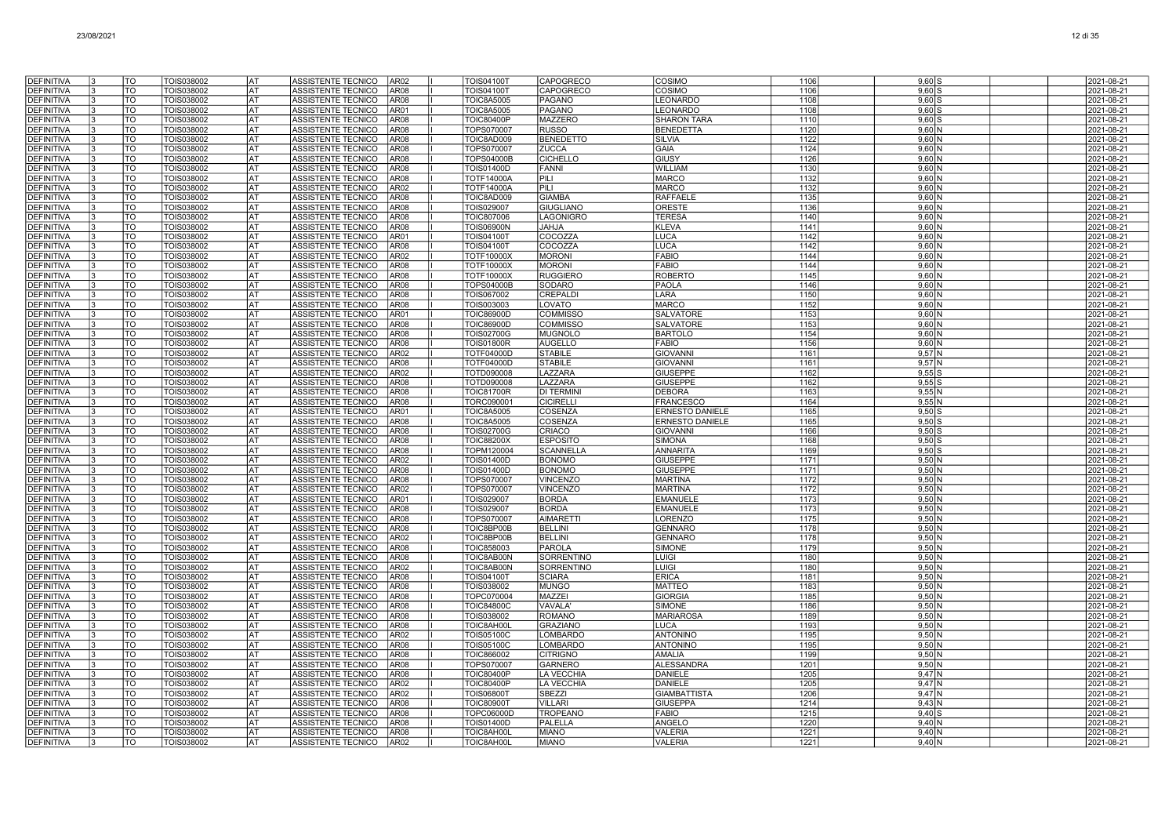| <b>DEFINITIVA</b>                      | TO                             | TOIS038002               | lat                    | ASSISTENTE TECNICO<br>AR <sub>02</sub>                                 | <b>TOIS04100T</b>                      | CAPOGRECO                          | COSIMO                                           | 1106         | $9,60$ S                   | 2021-08-21               |
|----------------------------------------|--------------------------------|--------------------------|------------------------|------------------------------------------------------------------------|----------------------------------------|------------------------------------|--------------------------------------------------|--------------|----------------------------|--------------------------|
| <b>DEFINITIVA</b>                      | TO                             | TOIS038002               | AT                     | ASSISTENTE TECNICO<br><b>AR08</b>                                      | <b>TOIS04100T</b>                      | CAPOGRECO                          | COSIMO                                           | 1106         | 9,60                       | 2021-08-21               |
| <b>DEFINITIVA</b>                      | TO                             | TOIS038002               | AT                     | <b>AR08</b><br>ASSISTENTE TECNICO                                      | <b>TOIC8A5005</b>                      | PAGANO                             | <b>LEONARDO</b>                                  | 1108         | $9.60$ s                   | 2021-08-21               |
| <b>DEFINITIVA</b>                      | TO                             | TOIS038002               | AT                     | ASSISTENTE TECNICO<br>AR01                                             | <b>TOIC8A5005</b>                      | PAGANO                             | LEONARDO                                         | 1108         | $9,60$ \$                  | 2021-08-21               |
| <b>DEFINITIVA</b>                      | TO                             | TOIS038002               | AT                     | <b>ASSISTENTE TECNICO</b><br><b>AR08</b>                               | <b>TOIC80400P</b>                      | <b>MAZZERO</b>                     | <b>SHARON TARA</b>                               | 1110         | $9,60$ \$                  | 2021-08-21               |
| <b>DEFINITIVA</b>                      | TO                             | TOIS038002               | AT                     | <b>ASSISTENTE TECNICO</b><br>AR08                                      | TOPS070007                             | <b>RUSSO</b>                       | <b>BENEDETTA</b>                                 | 1120         | 9,60N                      | 2021-08-21               |
| <b>DEFINITIVA</b>                      | TO                             | TOIS038002               | AT                     | ASSISTENTE TECNICO<br>AR08                                             | TOIC8AD009                             | <b>BENEDETTO</b>                   | <b>SILVIA</b>                                    | 1122         | $9,60$ N                   | 2021-08-21               |
| <b>DEFINITIVA</b>                      | TO                             | TOIS038002               | <b>AT</b>              | ASSISTENTE TECNICO<br>AR08                                             | TOPS070007                             | ZUCCA                              | <b>GAIA</b>                                      | 1124         | $9,60$ N                   | 2021-08-21               |
| <b>DEFINITIVA</b>                      | $\overline{\text{TO}}$         | <b>TOIS038002</b>        | <b>AT</b>              | <b>ASSISTENTE TECNICO</b><br>AR08                                      | <b>TOPS04000B</b>                      | <b>CICHELLO</b>                    | GIUSY                                            | 1126         | $9,60$ N                   | 2021-08-21               |
| DEFINITIVA                             | TO<br>TO                       | TOIS038002               | lat<br>AT              | <b>ASSISTENTE TECNICO</b><br><b>AR08</b>                               | <b>TOIS01400D</b>                      | <b>FANNI</b><br>PILI               | <b>WILLIAM</b>                                   | 1130         | $9,60$ N                   | 2021-08-21               |
| <b>DEFINITIVA</b><br><b>DEFINITIVA</b> | TO                             | TOIS038002<br>TOIS038002 | AT                     | <b>ASSISTENTE TECNICO</b><br>AR08<br><b>ASSISTENTE TECNICO</b><br>AR02 | <b>TOTF14000A</b><br><b>TOTF14000A</b> | PILI                               | <b>MARCO</b><br><b>MARCO</b>                     | 1132<br>1132 | 9,60N<br>9.60 <sub>N</sub> | 2021-08-21<br>2021-08-21 |
| <b>DEFINITIVA</b>                      | TO                             | TOIS038002               | AT                     | ASSISTENTE TECNICO<br>AR08                                             | TOIC8AD009                             | <b>GIAMBA</b>                      | <b>RAFFAELE</b>                                  | 1135         | 9,60N                      | 2021-08-21               |
| <b>DEFINITIVA</b>                      | TO                             | TOIS038002               | AT                     | <b>ASSISTENTE TECNICO</b><br>AR08                                      | TOIS029007                             | <b>GIUGLIANO</b>                   | <b>ORESTE</b>                                    | 1136         | 9,60 N                     | 2021-08-21               |
| <b>DEFINITIVA</b>                      | TO                             | TOIS038002               | AT                     | <b>ASSISTENTE TECNICO</b><br>AR08                                      | <b>TOIC807006</b>                      | LAGONIGRO                          | <b>TERESA</b>                                    | 1140         | $9,60$ N                   | 2021-08-21               |
| DEFINITIVA                             | TO                             | TOIS038002               | AT                     | ASSISTENTE TECNICO<br>AR08                                             | <b>TOIS06900N</b>                      | <b>ALHAL</b>                       | <b>KLEVA</b>                                     | 1141         | $9,60$ N                   | 2021-08-21               |
| <b>DEFINITIVA</b>                      | TO                             | TOIS038002               | <b>AT</b>              | ASSISTENTE TECNICO<br>AR01                                             | <b>TOIS04100T</b>                      | COCOZZA                            | <b>LUCA</b>                                      | 1142         | $9,60$ N                   | 2021-08-21               |
| <b>DEFINITIVA</b>                      | $\overline{\text{TO}}$         | <b>TOIS038002</b>        | <b>AT</b>              | ASSISTENTE TECNICO<br>AR08                                             | <b>TOIS04100T</b>                      | COCOZZA                            | <b>LUCA</b>                                      | 1142         | $9,60$ N                   | 2021-08-21               |
| <b>DEFINITIVA</b>                      | <b>TO</b>                      | TOIS038002               | <b>AT</b>              | AR02<br>ASSISTENTE TECNICO                                             | <b>TOTF10000X</b>                      | <b>MORONI</b>                      | <b>FABIO</b>                                     | 1144         | 9,60N                      | 2021-08-21               |
| <b>DEFINITIVA</b>                      | TO                             | TOIS038002               | AT                     | ASSISTENTE TECNICO<br><b>AR08</b>                                      | <b>TOTF10000X</b>                      | <b>MORONI</b>                      | <b>FABIO</b>                                     | 1144         | $9,60$ $N$                 | 2021-08-21               |
| <b>DEFINITIVA</b>                      | TO                             | TOIS038002               | AT                     | ASSISTENTE TECNICO<br>AR08                                             | <b>TOTF10000X</b>                      | <b>RUGGIERO</b>                    | <b>ROBERTO</b>                                   | 1145         | $9,60$ N                   | 2021-08-21               |
| DEFINITIVA                             | TO                             | TOIS038002               | AT                     | AR08<br>ASSISTENTE TECNICO                                             | TOPS04000B                             | SODARO                             | <b>PAOLA</b>                                     | 1146         | 9,60N                      | 2021-08-21               |
| <b>DEFINITIVA</b><br><b>DEFINITIVA</b> | TO<br>TO                       | TOIS038002<br>TOIS038002 | AT<br>AT               | <b>ASSISTENTE TECNICO</b><br>AR08<br>ASSISTENTE TECNICO<br>AR08        | TOIS067002<br>TOIS003003               | <b>CREPALDI</b><br>LOVATO          | LARA<br><b>MARCO</b>                             | 1150<br>1152 | $9,60$ N<br>$9,60$ N       | 2021-08-21<br>2021-08-21 |
| <b>DEFINITIVA</b>                      | TO                             | TOIS038002               | AT                     | <b>ASSISTENTE TECNICO</b><br>AR01                                      | <b>TOIC86900D</b>                      | <b>COMMISSO</b>                    | <b>SALVATORE</b>                                 | 1153         | 9.60 <sub>N</sub>          | 2021-08-21               |
| <b>DEFINITIVA</b>                      | TO                             | TOIS038002               | <b>AT</b>              | ASSISTENTE TECNICO<br>AR08                                             | <b>TOIC86900D</b>                      | <b>COMMISSC</b>                    | <b>SALVATORE</b>                                 | 1153         | $9,60$ N                   | 2021-08-21               |
| <b>DEFINITIVA</b>                      | $\overline{\mathrm{TO}}$       | TOIS038002               | l AT                   | ASSISTENTE TECNICO<br>AR08                                             | <b>TOIS02700G</b>                      | <b>MUGNOLO</b>                     | <b>BARTOLO</b>                                   | 1154         | $9,60$ N                   | 2021-08-21               |
| <b>DEFINITIVA</b>                      | <b>TO</b>                      | TOIS038002               | <b>AT</b>              | ASSISTENTE TECNICO<br>AR08                                             | <b>TOIS01800R</b>                      | <b>AUGELLO</b>                     | <b>FABIO</b>                                     | 1156         | $9,60$ N                   | 2021-08-21               |
| DEFINITIVA                             | TO                             | TOIS038002               | AT                     | <b>ASSISTENTE TECNICO</b><br>AR02                                      | <b>TOTF04000D</b>                      | <b>STABILE</b>                     | <b>GIOVANNI</b>                                  | 1161         | $9,57$ N                   | 2021-08-21               |
| <b>DEFINITIVA</b>                      | TO                             | TOIS038002               | AT                     | ASSISTENTE TECNICO<br>AR08                                             | TOTF04000D                             | <b>STABILE</b>                     | <b>GIOVANNI</b>                                  | 1161         | $9,57$ N                   | 2021-08-21               |
| <b>DEFINITIVA</b>                      | TO                             | TOIS038002               | AТ                     | ASSISTENTE TECNICO<br>AR02                                             | TOTD090008                             | LAZZARA                            | <b>GIUSEPPE</b>                                  | 1162         | $9,55$ S                   | 2021-08-21               |
| DEFINITIVA                             | TO                             | TOIS038002               | AT                     | ASSISTENTE TECNICO<br>AR08                                             | TOTD090008                             | LAZZARA                            | GIUSEPPE                                         | 1162         | $9,55$ S                   | 2021-08-21               |
| <b>DEFINITIVA</b>                      | TO                             | TOIS038002               | AT                     | ASSISTENTE TECNICO<br>AR08                                             | <b>TOIC81700R</b>                      | <b>DI TERMIN</b>                   | <b>DEBORA</b>                                    | 1163         | 9,55N                      | 2021-08-21               |
| <b>DEFINITIVA</b>                      | TO                             | TOIS038002               | AT<br>AT               | <b>ASSISTENTE TECNICO</b><br>AR08                                      | TORC090001                             | <b>CICIRELLI</b>                   | <b>FRANCESCO</b>                                 | 1164         | 9.55N                      | 2021-08-21               |
| <b>DEFINITIVA</b><br><b>DEFINITIVA</b> | TO<br>$\overline{\mathrm{TO}}$ | TOIS038002<br>TOIS038002 | <b>AT</b>              | ASSISTENTE TECNICO<br>AR01<br>AR08<br>ASSISTENTE TECNICO               | <b>TOIC8A5005</b><br><b>TOIC8A5005</b> | COSENZA<br>COSENZA                 | <b>ERNESTO DANIELE</b><br><b>ERNESTO DANIELE</b> | 1165<br>1165 | $9,50$ S<br>$9,50$ \$      | 2021-08-21<br>2021-08-21 |
| <b>DEFINITIVA</b>                      | <b>TO</b>                      | TOIS038002               | lat                    | <b>AR08</b><br><b>ASSISTENTE TECNICO</b>                               | <b>TOIS02700G</b>                      | CRIACO                             | <b>GIOVANN</b>                                   | 1166         | $9,50$ S                   | 2021-08-21               |
| <b>DEFINITIVA</b>                      | TO                             | TOIS038002               | <b>AT</b>              | ASSISTENTE TECNICO<br><b>AR08</b>                                      | <b>TOIC88200X</b>                      | <b>ESPOSITO</b>                    | <b>SIMONA</b>                                    | 1168         | 9,50                       | 2021-08-21               |
| <b>DEFINITIVA</b>                      | TO                             | TOIS038002               | AT                     | ASSISTENTE TECNICO<br>AR08                                             | TOPM120004                             | <b>SCANNELLA</b>                   | <b>ANNARITA</b>                                  | 1169         | $9,50$ S                   | 2021-08-21               |
| <b>DEFINITIVA</b>                      | TO                             | <b>TOIS038002</b>        | AT                     | AR02<br>ASSISTENTE TECNICO                                             | TOIS01400D                             | <b>BONOMO</b>                      | <b>GIUSEPPE</b>                                  | 1171         | 9,50N                      | 2021-08-21               |
| <b>DEFINITIVA</b>                      | TO                             | TOIS038002               | AT                     | AR08<br><b>ASSISTENTE TECNICO</b>                                      | <b>TOIS01400D</b>                      | <b>BONOMO</b>                      | <b>GIUSEPPE</b>                                  | 1171         | $9,50$ N                   | 2021-08-21               |
| <b>DEFINITIVA</b>                      | TO                             | TOIS038002               | AT                     | ASSISTENTE TECNICO<br>AR08                                             | TOPS070007                             | <b>VINCENZO</b>                    | <b>MARTINA</b>                                   | 1172         | 9,50N                      | 2021-08-21               |
| <b>DEFINITIVA</b>                      | TO                             | TOIS038002               | AT                     | ASSISTENTE TECNICO<br>AR02                                             | TOPS070007                             | <b>VINCENZO</b>                    | <b>MARTINA</b>                                   | 1172         | 9.50 <sub>N</sub>          | 2021-08-21               |
| <b>DEFINITIVA</b>                      | TO                             | TOIS038002               | l AT                   | ASSISTENTE TECNICO<br>AR01                                             | TOIS029007                             | <b>BORDA</b>                       | <b>EMANUELE</b>                                  | 1173         | 9,50N                      | 2021-08-21               |
| <b>DEFINITIVA</b>                      | TO                             | TOIS038002               | <b>AT</b>              | <b>ASSISTENTE TECNICO</b><br><b>AR08</b>                               | TOIS029007                             | <b>BORDA</b>                       | <b>EMANUELE</b>                                  | 1173         | $9,50$ N                   | 2021-08-21               |
| <b>DEFINITIVA</b><br><b>DEFINITIVA</b> | TO<br>TO                       | TOIS038002<br>TOIS038002 | <b>AT</b><br><b>AT</b> | ASSISTENTE TECNICO<br>AR08<br><b>ASSISTENTE TECNICO</b><br>AR08        | TOPS070007<br>TOIC8BP00B               | <b>AIMARETTI</b><br><b>BELLINI</b> | <b>LORENZO</b><br><b>GENNARO</b>                 | 1175<br>1178 | $9,50$ N<br>9,50N          | 2021-08-21<br>2021-08-21 |
| <b>DEFINITIVA</b>                      | $\overline{\text{TO}}$         | TOIS038002               | AT                     | ASSISTENTE TECNICO<br>AR02                                             | TOIC8BP00B                             | <b>BELLINI</b>                     | <b>GENNARO</b>                                   | 1178         | $9,50$ N                   | 2021-08-21               |
| <b>DEFINITIVA</b>                      | TO                             | TOIS038002               | AT                     | ASSISTENTE TECNICO<br>AR08                                             | TOIC858003                             | PAROLA                             | <b>SIMONE</b>                                    | 1179         | 9,50N                      | 2021-08-21               |
| DEFINITIVA                             | TO                             | TOIS038002               | AT                     | <b>ASSISTENTE TECNICO</b><br>AR08                                      | TOIC8AB00N                             | SORRENTINO                         | <b>LUIGI</b>                                     | 1180         | 9,50 N                     | 2021-08-21               |
| <b>DEFINITIVA</b>                      | TO                             | TOIS038002               | AT                     | <b>ASSISTENTE TECNICO</b><br>AR02                                      | TOIC8AB00N                             | SORRENTINO                         | LUIGI                                            | 1180         | $9,50$ N                   | 2021-08-21               |
| DEFINITIVA                             | TO                             | TOIS038002               | AT                     | ASSISTENTE TECNICO<br>AR08                                             | <b>TOIS04100T</b>                      | <b>SCIARA</b>                      | <b>ERICA</b>                                     | 1181         | 9.50 <sub>N</sub>          | 2021-08-21               |
| <b>DEFINITIVA</b>                      | TO                             | TOIS038002               | <b>AT</b>              | ASSISTENTE TECNICO<br>AR08                                             | TOIS038002                             | <b>MUNGO</b>                       | <b>MATTEC</b>                                    | 1183         | 9,50N                      | 2021-08-21               |
| <b>DEFINITIVA</b>                      | TO                             | TOIS038002               | <b>AT</b>              | ASSISTENTE TECNICO<br>AR08                                             | TOPC070004                             | <b>MAZZEI</b>                      | <b>GIORGIA</b>                                   | 1185         | $9,50$ N                   | 2021-08-21               |
| <b>DEFINITIVA</b>                      | TO                             | TOIS038002               | <b>AT</b>              | ASSISTENTE TECNICO<br>AR08                                             | <b>TOIC84800C</b>                      | <b>VAVALA</b>                      | <b>SIMONE</b>                                    | 1186         | 9,50N                      | 2021-08-21               |
| <b>DEFINITIVA</b>                      | TO<br>$\overline{\mathrm{TO}}$ | TOIS038002<br>TOIS038002 | <b>AT</b>              | ASSISTENTE TECNICO<br><b>AR08</b>                                      | TOIS038002                             | <b>ROMANO</b><br><b>GRAZIANO</b>   | <b>MARIAROSA</b><br><b>LUCA</b>                  | 1189         | 9,50N                      | 2021-08-21               |
| <b>DEFINITIVA</b>                      | TO                             | TOIS038002               | AT<br>AT               | ASSISTENTE TECNICO<br>AR08<br>ASSISTENTE TECNICO<br>AR02               | TOIC8AH00L<br><b>TOIS05100C</b>        | LOMBARDO                           | <b>ANTONINO</b>                                  | 1193<br>1195 | $9,50$ N<br>9,50N          | 2021-08-21<br>2021-08-21 |
| <b>DEFINITIVA</b><br><b>DEFINITIVA</b> | TO                             | TOIS038002               | <b>AT</b>              | <b>ASSISTENTE TECNICO</b><br>AR08                                      | TOIS05100C                             | <b>LOMBARDO</b>                    | <b>ANTONINO</b>                                  | 1195         | 9,50 N                     | 2021-08-21               |
| <b>DEFINITIVA</b>                      | TO                             | TOIS038002               | <b>AT</b>              | <b>ASSISTENTE TECNICO</b><br>AR08                                      | <b>TOIC866002</b>                      | <b>CITRIGNO</b>                    | AMALIA                                           | 1199         | $9,50$ N                   | 2021-08-21               |
| <b>DEFINITIVA</b>                      | TO                             | TOIS038002               | AT                     | <b>ASSISTENTE TECNICO</b><br>AR08                                      | TOPS070007                             | <b>GARNERO</b>                     | <b>ALESSANDRA</b>                                | 1201         | 9.50 <sub>N</sub>          | 2021-08-21               |
| <b>DEFINITIVA</b>                      | TO                             | TOIS038002               | l AT                   | ASSISTENTE TECNICO<br>AR08                                             | <b>TOIC80400P</b>                      | LA VECCHIA                         | <b>DANIELE</b>                                   | 1205         | $9,47$ N                   | 2021-08-21               |
| <b>DEFINITIVA</b>                      | TO                             | TOIS038002               | lat                    | ASSISTENTE TECNICO<br>AR02                                             | <b>TOIC80400P</b>                      | LA VECCHIA                         | <b>DANIELE</b>                                   | 1205         | 9,47N                      | 2021-08-21               |
| <b>DEFINITIVA</b>                      | TO                             | TOIS038002               | l AT                   | ASSISTENTE TECNICO<br>AR02                                             | <b>TOIS06800T</b>                      | <b>SBEZZI</b>                      | <b>GIAMBATTISTA</b>                              | 1206         | 9,47N                      | 2021-08-21               |
| DEFINITIVA                             | TO                             | TOIS038002               | AT                     | ASSISTENTE TECNICO<br>AR08                                             | <b>TOIC80900T</b>                      | <b>VILLARI</b>                     | <b>GIUSEPPA</b>                                  | 1214         | 9.43N                      | 2021-08-21               |
| <b>DEFINITIVA</b>                      | TO                             | TOIS038002               | AT                     | ASSISTENTE TECNICO<br>AR08                                             | <b>TOPC06000D</b>                      | <b>TROPEANO</b>                    | <b>FABIO</b>                                     | 1215         | $9,40$ S                   | 2021-08-21               |
| <b>DEFINITIVA</b>                      | TO                             | TOIS038002               | AT                     | ASSISTENTE TECNICO<br>AR08                                             | TOIS01400D                             | PALELLA                            | ANGELC                                           | 1220         | $9,40$ $N$                 | 2021-08-21               |
| <b>DEFINITIVA</b><br><b>DEFINITIVA</b> | TO<br>TO                       | TOIS038002               | AT<br><b>AT</b>        | <b>ASSISTENTE TECNICO</b><br>AR08                                      | TOIC8AH00L                             | <b>MIANO</b>                       | <b>VALERIA</b>                                   | 1221         | 9,40 N                     | 2021-08-21               |
|                                        |                                | TOIS038002               |                        | ASSISTENTE TECNICO<br>AR02                                             | TOIC8AH00I                             | <b>MIANO</b>                       | <b>VALERIA</b>                                   | 1221         | 9,40N                      | 2021-08-21               |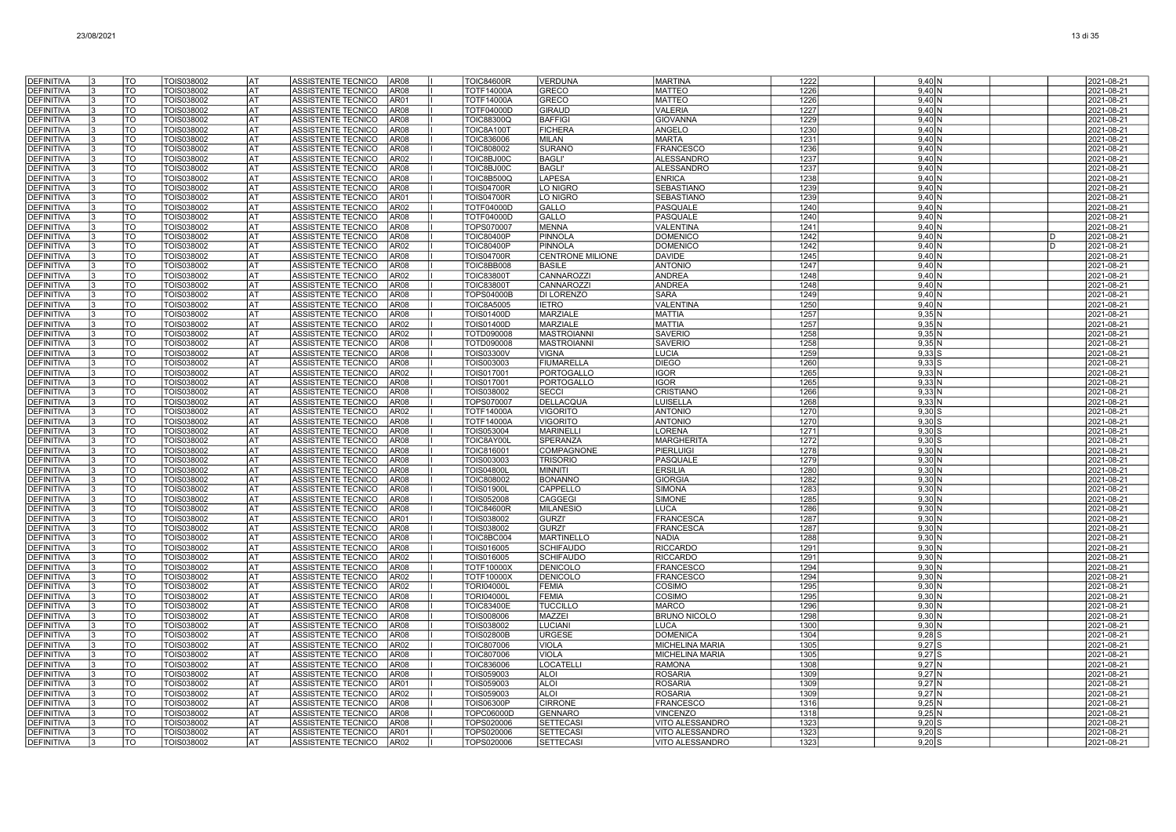| <b>DEFINITIVA</b>                      | TO                                    | TOIS038002               | AT                     | ASSISTENTE TECNICO<br><b>AR08</b>                                      | <b>TOIC84600R</b>                      | <b>VERDUNA</b>                  | <b>MARTINA</b>                                   | 1222         | $9,40$ N             |              | 2021-08-21               |
|----------------------------------------|---------------------------------------|--------------------------|------------------------|------------------------------------------------------------------------|----------------------------------------|---------------------------------|--------------------------------------------------|--------------|----------------------|--------------|--------------------------|
| <b>DEFINITIVA</b>                      | TO                                    | TOIS038002               | <b>AT</b>              | ASSISTENTE TECNICO<br>AR08                                             | <b>TOTF14000A</b>                      | <b>GRECO</b>                    | <b>MATTEO</b>                                    | 1226         | $9,40$ N             |              | 2021-08-21               |
| <b>DEFINITIVA</b>                      | TO                                    | TOIS038002               | lat                    | ASSISTENTE TECNICO<br>AR01                                             | <b>TOTF14000A</b>                      | GRECO                           | <b>MATTEO</b>                                    | 1226         | 9,40 N               |              | 2021-08-21               |
| <b>DEFINITIVA</b>                      | TO                                    | TOIS038002               | lat                    | ASSISTENTE TECNICO<br><b>AR08</b>                                      | TOTF04000D                             | <b>GIRAUD</b>                   | <b>VALERIA</b>                                   | 1227         | 9,40N                |              | 2021-08-21               |
| <b>DEFINITIVA</b>                      | TO                                    | TOIS038002               | AT                     | ASSISTENTE TECNICO<br><b>AR08</b>                                      | TOIC88300Q                             | <b>BAFFIGI</b>                  | <b>GIOVANNA</b>                                  | 1229         | 9.40N                |              | 2021-08-21               |
| <b>DEFINITIVA</b>                      | TO                                    | TOIS038002               | AT                     | ASSISTENTE TECNICO<br><b>AR08</b>                                      | <b>TOIC8A100T</b>                      | <b>FICHERA</b>                  | ANGELO                                           | 1230         | $9,40$ N             |              | 2021-08-21               |
| <b>DEFINITIVA</b>                      | TO                                    | TOIS038002               | AT                     | ASSISTENTE TECNICO<br>AR08                                             | <b>TOIC836006</b>                      | <b>MILAN</b>                    | <b>MARTA</b>                                     | 1231         | 9,40N                |              | 2021-08-21               |
| <b>DEFINITIVA</b>                      | TO                                    | TOIS038002               | AT                     | <b>ASSISTENTE TECNICO</b><br>AR08                                      | TOIC808002                             | <b>SURANO</b>                   | <b>FRANCESCO</b>                                 | 1236         | 9,40 N               |              | 2021-08-21               |
| <b>DEFINITIVA</b>                      | TO                                    | TOIS038002               | AT                     | <b>ASSISTENTE TECNICO</b><br>AR02                                      | TOIC8BJ00C                             | <b>BAGLI'</b>                   | <b>ALESSANDRO</b>                                | 1237         | 9,40N                |              | 2021-08-21               |
| <b>DEFINITIVA</b>                      | TO                                    | TOIS038002               | AT                     | ASSISTENTE TECNICO<br><b>AR08</b>                                      | TOIC8BJ00C                             | <b>BAGLI</b>                    | <b>ALESSANDRO</b>                                | 1237         | 9.40N                |              | 2021-08-21               |
| <b>DEFINITIVA</b>                      | TO                                    | TOIS038002               | l AT                   | ASSISTENTE TECNICO<br>AR08                                             | <b>TOIC8B500Q</b>                      | LAPESA                          | <b>ENRICA</b>                                    | 1238         | $9,40$ N             |              | 2021-08-21               |
| <b>DEFINITIVA</b>                      | TO<br>$\overline{\mathrm{TO}}$        | TOIS038002               | <b>AT</b><br><b>AT</b> | <b>ASSISTENTE TECNICO</b><br>AR08                                      | <b>TOIS04700R</b>                      | LO NIGRC                        | SEBASTIANO                                       | 1239         | $9,40$ N             |              | 2021-08-21               |
| <b>DEFINITIVA</b><br>DEFINITIVA        | TO                                    | TOIS038002<br>TOIS038002 | AT                     | <b>ASSISTENTE TECNICO</b><br>AR01<br>ASSISTENTE TECNICO<br>AR02        | <b>TOIS04700R</b><br>TOTF04000D        | LO NIGRO<br>GALLO               | <b>SEBASTIANO</b><br><b>PASQUALE</b>             | 1239<br>1240 | $9,40$ N<br>$9,40$ N |              | 2021-08-21<br>2021-08-21 |
| <b>DEFINITIVA</b>                      | TO                                    | TOIS038002               | AT                     | ASSISTENTE TECNICO<br>AR08                                             | TOTF04000D                             | GALLO                           | <b>PASQUALE</b>                                  | 1240         | 9.40 <sub>N</sub>    |              | 2021-08-21               |
| DEFINITIVA                             | TO                                    | TOIS038002               | AT                     | <b>ASSISTENTE TECNICO</b><br>AR08                                      | TOPS070007                             | <b>MENNA</b>                    | VALENTINA                                        | 1241         | 9,40N                |              | 2021-08-21               |
| <b>DEFINITIVA</b>                      | TO                                    | TOIS038002               | AT                     | <b>ASSISTENTE TECNICO</b><br>AR08                                      | <b>TOIC80400P</b>                      | PINNOLA                         | <b>DOMENICC</b>                                  | 1242         | 9,40 N               | D            | 2021-08-21               |
| <b>DEFINITIVA</b>                      | TO                                    | TOIS038002               | AT                     | <b>ASSISTENTE TECNICO</b><br>AR02                                      | <b>TOIC80400P</b>                      | <b>PINNOLA</b>                  | <b>DOMENICC</b>                                  | 1242         | 9.40 <sub>N</sub>    | <sub>D</sub> | 2021-08-21               |
| <b>DEFINITIVA</b>                      | TO                                    | TOIS038002               | AT                     | ASSISTENTE TECNICO<br>AR08                                             | <b>TOIS04700R</b>                      | <b>CENTRONE MILIONE</b>         | <b>DAVIDE</b>                                    | 1245         | $9,40$ N             |              | 2021-08-21               |
| <b>DEFINITIVA</b>                      | $\overline{\mathrm{TO}}$              | <b>TOIS038002</b>        | <b>AT</b>              | <b>AR08</b><br>ASSISTENTE TECNICO                                      | TOIC8BB008                             | <b>BASILE</b>                   | <b>ANTONIO</b>                                   | 1247         | $9,40$ N             |              | 2021-08-21               |
| <b>DEFINITIVA</b>                      | <b>TO</b>                             | TOIS038002               | lat                    | ASSISTENTE TECNICO<br><b>AR02</b>                                      | <b>TOIC83800T</b>                      | CANNAROZZI                      | <b>ANDREA</b>                                    | 1248         | $9,40$ N             |              | 2021-08-21               |
| <b>DEFINITIVA</b>                      | TO                                    | TOIS038002               | <b>AT</b>              | ASSISTENTE TECNICO<br><b>AR08</b>                                      | <b>TOIC83800T</b>                      | CANNAROZZI                      | <b>ANDREA</b>                                    | 1248         | 9,40N                |              | 2021-08-21               |
| <b>DEFINITIVA</b>                      | <b>TO</b>                             | TOIS038002               | AT                     | ASSISTENTE TECNICO<br>AR08                                             | <b>TOPS04000B</b>                      | DI LORENZO                      | <b>SARA</b>                                      | 1249         | 9,40N                |              | 2021-08-21               |
| <b>DEFINITIVA</b>                      | TO                                    | TOIS038002               | AT                     | ASSISTENTE TECNICO<br>AR08                                             | <b>TOIC8A5005</b>                      | <b>IETRO</b>                    | VALENTINA                                        | 1250         | 9,40N                |              | 2021-08-21               |
| <b>DEFINITIVA</b>                      | TO                                    | TOIS038002               | AT                     | <b>ASSISTENTE TECNICO</b><br>AR08                                      | <b>TOIS01400D</b>                      | <b>MARZIALE</b>                 | <b>MATTIA</b>                                    | 1257         | 9,35N                |              | 2021-08-21               |
| <b>DEFINITIVA</b>                      | TO                                    | TOIS038002               | <b>AT</b>              | <b>ASSISTENTE TECNICO</b><br>AR02                                      | <b>TOIS01400D</b>                      | <b>MARZIALE</b>                 | <b>MATTIA</b>                                    | 1257         | $9,35$ N             |              | 2021-08-21               |
| <b>DEFINITIVA</b>                      | TO                                    | TOIS038002               | AT                     | <b>ASSISTENTE TECNICO</b><br>AR02                                      | TOTD090008                             | <b>MASTROIANN</b>               | <b>SAVERIO</b>                                   | 1258         | $9.35$ N             |              | 2021-08-21               |
| <b>DEFINITIVA</b>                      | TO                                    | TOIS038002               | <b>AT</b>              | ASSISTENTE TECNICO<br>AR08                                             | TOTD090008                             | <b>MASTROIANNI</b>              | <b>SAVERIO</b>                                   | 1258         | 9,35N                |              | 2021-08-21               |
| <b>DEFINITIVA</b>                      | $\overline{\mathrm{TO}}$<br><b>TO</b> | TOIS038002               | <b>AT</b>              | <b>ASSISTENTE TECNICO</b><br><b>AR08</b>                               | <b>TOIS03300V</b>                      | <b>VIGNA</b>                    | <b>LUCIA</b>                                     | 1259         | $9,33$ S             |              | 2021-08-21               |
| <b>DEFINITIVA</b><br>DEFINITIVA        | TO                                    | TOIS038002<br>TOIS038002 | <b>AT</b><br>AT        | <b>ASSISTENTE TECNICO</b><br>AR08<br><b>ASSISTENTE TECNICO</b><br>AR02 | TOIS003003<br>TOIS017001               | <b>FIUMARELLA</b><br>PORTOGALLO | <b>DIEGO</b><br><b>IGOR</b>                      | 1260<br>1265 | $9,33$ S<br>9,33N    |              | 2021-08-21<br>2021-08-21 |
| <b>DEFINITIVA</b>                      | TO                                    | TOIS038002               | AT                     | ASSISTENTE TECNICO<br>AR08                                             | TOIS017001                             | PORTOGALLO                      | <b>IGOR</b>                                      | 1265         | $9,33$ N             |              | 2021-08-21               |
| DEFINITIVA                             | TO                                    | TOIS038002               | AT                     | AR08<br>ASSISTENTE TECNICO                                             | TOIS038002                             | <b>SECCI</b>                    | <b>CRISTIANO</b>                                 | 1266         | 9,33 N               |              | 2021-08-21               |
| <b>DEFINITIVA</b>                      | TO                                    | TOIS038002               | AT                     | <b>ASSISTENTE TECNICO</b><br>AR08                                      | TOPS070007                             | <b>DELLACQUA</b>                | LUISELLA                                         | 1268         | 9,33 N               |              | 2021-08-21               |
| <b>DEFINITIVA</b>                      | TO                                    | TOIS038002               | AT                     | <b>ASSISTENTE TECNICO</b><br>AR02                                      | <b>TOTF14000A</b>                      | <b>VIGORITO</b>                 | <b>ANTONIO</b>                                   | 1270         | $9.30$ S             |              | 2021-08-21               |
| <b>DEFINITIVA</b>                      | TO                                    | TOIS038002               | AT                     | <b>ASSISTENTE TECNICO</b><br>AR08                                      | <b>TOTF14000A</b>                      | <b>VIGORITO</b>                 | <b>ANTONIO</b>                                   | 1270         | $9,30$ S             |              | 2021-08-21               |
| <b>DEFINITIVA</b>                      | TO                                    | TOIS038002               | <b>AT</b>              | ASSISTENTE TECNICO<br><b>AR08</b>                                      | TOIS053004                             | <b>MARINELLI</b>                | LORENA                                           | 1271         | $9,30$ \$            |              | 2021-08-21               |
| <b>DEFINITIVA</b>                      | TO                                    | TOIS038002               | lat                    | ASSISTENTE TECNICO<br><b>AR08</b>                                      | TOIC8AY00L                             | SPERANZA                        | <b>MARGHERITA</b>                                | 1272         | $9,30$ S             |              | 2021-08-21               |
| <b>DEFINITIVA</b>                      | TO                                    | TOIS038002               | <b>AT</b>              | ASSISTENTE TECNICO<br><b>AR08</b>                                      | <b>TOIC816001</b>                      | COMPAGNONE                      | <b>PIERLUIG</b>                                  | 1278         | 9,30 N               |              | 2021-08-21               |
| <b>DEFINITIVA</b>                      | TO                                    | TOIS038002               | AT                     | ASSISTENTE TECNICO<br><b>AR08</b>                                      | TOIS003003                             | <b>TRISORIO</b>                 | PASQUALE                                         | 1279         | 9.30 N               |              | 2021-08-21               |
| <b>DEFINITIVA</b>                      | TO                                    | TOIS038002               | AT                     | ASSISTENTE TECNICO<br>AR08                                             | <b>TOIS04800L</b>                      | <b>MINNITI</b>                  | <b>ERSILIA</b>                                   | 1280         | 9,30 N               |              | 2021-08-21               |
| <b>DEFINITIVA</b>                      | TO                                    | TOIS038002               | AT                     | <b>ASSISTENTE TECNICO</b><br>AR08                                      | <b>TOIC808002</b>                      | <b>BONANNO</b>                  | <b>GIORGIA</b>                                   | 1282         | 9,30 N               |              | 2021-08-21               |
| <b>DEFINITIVA</b>                      | TO                                    | TOIS038002               | AT                     | <b>ASSISTENTE TECNICO</b><br>AR08                                      | <b>TOIS01900L</b>                      | CAPPELLO                        | <b>SIMONA</b>                                    | 1283         | $9,30$ N             |              | 2021-08-21               |
| <b>DEFINITIVA</b><br><b>DEFINITIVA</b> | TO<br>TO                              | TOIS038002<br>TOIS038002 | AT<br>l AT             | ASSISTENTE TECNICO<br>AR08<br>ASSISTENTE TECNICO<br>AR08               | TOIS052008<br><b>TOIC84600R</b>        | CAGGEGI<br><b>MILANESIC</b>     | <b>SIMONE</b><br><b>LUCA</b>                     | 1285<br>1286 | $9,30$ N<br>$9,30$ N |              | 2021-08-21<br>2021-08-21 |
| <b>DEFINITIVA</b>                      | TO                                    | <b>TOIS038002</b>        | l AT                   | <b>ASSISTENTE TECNICO</b><br>AR01                                      | TOIS038002                             | <b>GURZI'</b>                   | <b>FRANCESCA</b>                                 | 1287         | $9,30$ N             |              | 2021-08-21               |
| <b>DEFINITIVA</b>                      | TO                                    | TOIS038002               | lat                    | <b>ASSISTENTE TECNICO</b><br>AR08                                      | TOIS038002                             | <b>GURZI'</b>                   | <b>FRANCESCA</b>                                 | 1287         | $9,30$ N             |              | 2021-08-21               |
| <b>DEFINITIVA</b>                      | TO                                    | TOIS038002               | AT                     | ASSISTENTE TECNICO<br>AR08                                             | TOIC8BC004                             | <b>MARTINELLO</b>               | <b>NADIA</b>                                     | 1288         | 9,30N                |              | 2021-08-21               |
| <b>DEFINITIVA</b>                      | TO                                    | TOIS038002               | AT                     | ASSISTENTE TECNICO<br>AR08                                             | TOIS016005                             | <b>SCHIFAUDO</b>                | <b>RICCARDO</b>                                  | 1291         | $9,30$ N             |              | 2021-08-21               |
| DEFINITIVA                             | TO                                    | TOIS038002               | AT                     | AR02<br>ASSISTENTE TECNICO                                             | TOIS016005                             | <b>SCHIFAUDO</b>                | <b>RICCARDO</b>                                  | 1291         | 9,30 N               |              | 2021-08-21               |
| <b>DEFINITIVA</b>                      | TO                                    | TOIS038002               | AT                     | <b>ASSISTENTE TECNICO</b><br>AR08                                      | <b>TOTF10000X</b>                      | <b>DENICOLO</b>                 | <b>FRANCESCO</b>                                 | 1294         | 9,30 N               |              | 2021-08-21               |
| DEFINITIVA                             | TO                                    | TOIS038002               | AT                     | ASSISTENTE TECNICO<br>AR02                                             | <b>TOTF10000X</b>                      | <b>DENICOLO</b>                 | <b>FRANCESCO</b>                                 | 1294         | $9,30$ N             |              | 2021-08-21               |
| DEFINITIVA                             | TO                                    | TOIS038002               | AT                     | ASSISTENTE TECNICO<br>AR02                                             | <b>TORI04000L</b>                      | <b>FEMIA</b>                    | COSIMO                                           | 1295         | $9,30$ N             |              | 2021-08-21               |
| <b>DEFINITIVA</b>                      | TO                                    | TOIS038002               | <b>AT</b>              | ASSISTENTE TECNICO<br>AR08                                             | <b>TORI04000L</b>                      | <b>FEMIA</b>                    | COSIMO                                           | 1295         | $9,30$ N             |              | 2021-08-21               |
| <b>DEFINITIVA</b>                      | TO                                    | TOIS038002               | <b>AT</b>              | <b>ASSISTENTE TECNICO</b><br><b>AR08</b>                               | <b>TOIC83400E</b>                      | <b>TUCCILLO</b>                 | <b>MARCO</b>                                     | 1296         | $9,30$ N             |              | 2021-08-21               |
| <b>DEFINITIVA</b>                      | $\overline{\mathrm{TO}}$              | TOIS038002               | AT                     | ASSISTENTE TECNICO<br><b>AR08</b>                                      | TOIS008006                             | MAZZEI                          | <b>BRUNO NICOLO</b>                              | 1298         | $9,30$ N             |              | 2021-08-21               |
| <b>DEFINITIVA</b>                      | TO                                    | TOIS038002               | AT                     | <b>AR08</b><br><b>ASSISTENTE TECNICO</b>                               | TOIS038002                             | <b>LUCIANI</b>                  | <b>LUCA</b>                                      | 1300         | 9.30N                |              | 2021-08-21               |
| DEFINITIVA                             | TO                                    | TOIS038002               | AT                     | AR08<br>ASSISTENTE TECNICO                                             | <b>TOIS02800B</b>                      | <b>URGESE</b>                   | <b>DOMENICA</b>                                  | 1304         | $9,28$ $\frac{8}{3}$ |              | 2021-08-21               |
| DEFINITIVA                             | TO                                    | TOIS038002               | AT                     | AR02<br>ASSISTENTE TECNICO<br>AR08                                     | <b>TOIC807006</b>                      | <b>VIOLA</b><br><b>VIOLA</b>    | <b>MICHELINA MARIA</b><br><b>MICHELINA MARIA</b> | 1305         | $9,27$ $S$           |              | 2021-08-21               |
| <b>DEFINITIVA</b><br><b>DEFINITIVA</b> | TO<br>TO                              | TOIS038002<br>TOIS038002 | <b>AT</b><br><b>AT</b> | ASSISTENTE TECNICO<br><b>ASSISTENTE TECNICO</b><br>AR08                | <b>TOIC807006</b><br><b>TOIC836006</b> | <b>LOCATELLI</b>                | <b>RAMONA</b>                                    | 1305<br>1308 | $9.27$ S<br>9.27N    |              | 2021-08-21<br>2021-08-21 |
| <b>DEFINITIVA</b>                      | TO                                    | TOIS038002               | <b>AT</b>              | ASSISTENTE TECNICO<br>AR08                                             | TOIS059003                             | <b>ALOI</b>                     | <b>ROSARIA</b>                                   | 1309         | 9.27 N               |              | 2021-08-21               |
| <b>DEFINITIVA</b>                      | TO                                    | TOIS038002               | <b>AT</b>              | ASSISTENTE TECNICO<br>AR01                                             | TOIS059003                             | <b>ALOI</b>                     | <b>ROSARIA</b>                                   | 1309         | $9,27$ N             |              | 2021-08-21               |
| <b>DEFINITIVA</b>                      | TO                                    | TOIS038002               | lat                    | <b>ASSISTENTE TECNICO</b><br>AR02                                      | TOIS059003                             | <b>ALOI</b>                     | <b>ROSARIA</b>                                   | 1309         | $9,27$ N             |              | 2021-08-21               |
| DEFINITIVA                             | TO                                    | TOIS038002               | AT                     | <b>ASSISTENTE TECNICO</b><br>AR08                                      | <b>TOIS06300P</b>                      | <b>CIRRONE</b>                  | <b>FRANCESCO</b>                                 | 1316         | 9.25N                |              | 2021-08-21               |
| <b>DEFINITIVA</b>                      | TO                                    | TOIS038002               | AT                     | ASSISTENTE TECNICO<br>AR08                                             | TOPC06000D                             | <b>GENNARO</b>                  | <b>VINCENZO</b>                                  | 1318         | 9.25N                |              | 2021-08-21               |
| <b>DEFINITIVA</b>                      | TO                                    | TOIS038002               | AТ                     | ASSISTENTE TECNICO<br>AR08                                             | TOPS020006                             | <b>SETTECAS</b>                 | VITO ALESSANDRO                                  | 1323         | 9,20                 |              | 2021-08-21               |
| <b>DEFINITIVA</b>                      | TO                                    | TOIS038002               | AT                     | ASSISTENTE TECNICO<br>AR01                                             | TOPS020006                             | <b>SETTECAS</b>                 | VITO ALESSANDRO                                  | 1323         | 9,20                 |              | 2021-08-21               |
| <b>DEFINITIVA</b>                      | TO                                    | TOIS038002               | AT                     | ASSISTENTE TECNICO<br>AR02                                             | TOPS020006                             | <b>SETTECASI</b>                | VITO ALESSANDRO                                  | 1323         | $9,20$ S             |              | 2021-08-21               |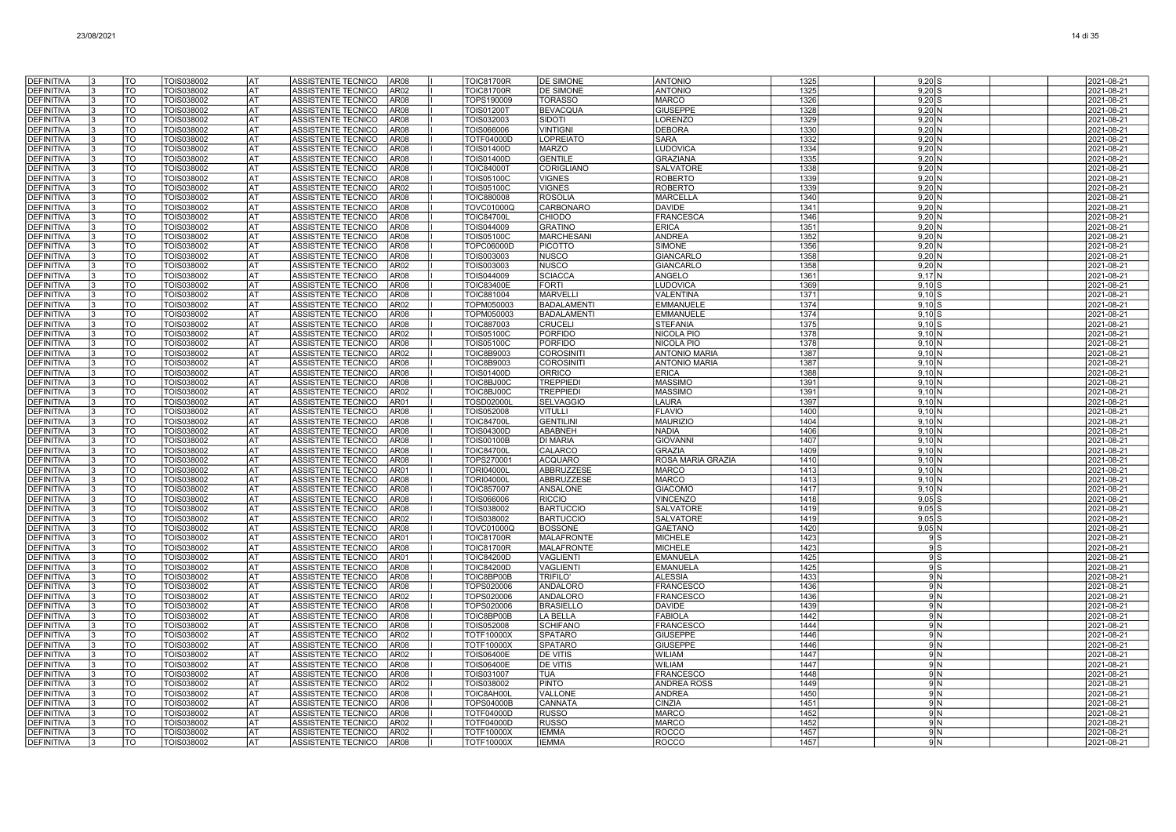| DEFINITIVA                             | TO                     | TOIS038002                      | AT)               | ASSISTENTE TECNICO                              | AR <sub>08</sub>                     | <b>TOIC81700R</b>                      | <b>DE SIMONE</b>                    | <b>ANTONIO</b>                            | 1325         | $9,20$ S                             | 2021-08-21               |
|----------------------------------------|------------------------|---------------------------------|-------------------|-------------------------------------------------|--------------------------------------|----------------------------------------|-------------------------------------|-------------------------------------------|--------------|--------------------------------------|--------------------------|
| <b>DEFINITIVA</b>                      | TO                     | TOIS038002                      | l AT              | ASSISTENTE TECNICO                              | AR <sub>02</sub>                     | <b>TOIC81700R</b>                      | <b>DE SIMONE</b>                    | <b>ANTONIO</b>                            | 1325         | $9,20$ S                             | 2021-08-21               |
| <b>DEFINITIVA</b>                      | TO                     | TOIS038002                      | <b>AT</b>         | ASSISTENTE TECNICO                              | AR08                                 | TOPS190009                             | <b>TORASSO</b>                      | <b>MARCO</b>                              | 1326         | $9,20$ S                             | 2021-08-21               |
| <b>DEFINITIVA</b>                      | <b>TO</b>              | TOIS038002                      | <b>AT</b>         | ASSISTENTE TECNICO                              | AR <sub>08</sub>                     | <b>TOIS01200T</b>                      | <b>BEVACQUA</b>                     | <b>GIUSEPPE</b>                           | 1328         | $9,20$ N                             | 2021-08-21               |
| <b>DEFINITIVA</b>                      | <b>TO</b>              | TOIS038002                      | <b>AT</b>         | ASSISTENTE TECNICO                              | AR <sub>08</sub>                     | TOIS032003                             | SIDOTI                              | <b>LORENZO</b>                            | 1329         | 9.20 <sub>N</sub>                    | 2021-08-21               |
| <b>DEFINITIVA</b>                      | TO                     | TOIS038002                      | lat               | ASSISTENTE TECNICO                              | AR <sub>08</sub>                     | TOIS066006                             | <b>VINTIGNI</b>                     | <b>DEBORA</b>                             | 1330         | $9.20\text{N}$                       | 2021-08-21               |
| <b>DEFINITIVA</b>                      | <b>TO</b>              | TOIS038002                      | <b>AT</b>         | ASSISTENTE TECNICO                              | AR08                                 | <b>TOTF04000D</b>                      | <b>LOPREIATO</b>                    | <b>SARA</b>                               | 1332         | $9,20$ N                             | 2021-08-21               |
| <b>DEFINITIVA</b>                      | TO                     | TOIS038002                      | <b>AT</b>         | ASSISTENTE TECNICO                              | AR <sub>08</sub>                     | <b>TOIS01400D</b>                      | <b>MARZO</b>                        | LUDOVICA                                  | 1334         | $9,20$ N                             | 2021-08-21               |
| <b>DEFINITIVA</b>                      | TO                     | TOIS038002                      | <b>AT</b>         | ASSISTENTE TECNICO                              | AR <sub>08</sub>                     | <b>TOIS01400D</b>                      | <b>GENTILE</b>                      | <b>GRAZIANA</b>                           | 1335         | $9,20$ N                             | 2021-08-21               |
| <b>DEFINITIVA</b>                      | TO                     | TOIS038002                      | <b>AT</b>         | ASSISTENTE TECNICO                              | AR <sub>08</sub>                     | <b>TOIC84000T</b>                      | <b>CORIGLIANO</b>                   | <b>SALVATORE</b>                          | 1338         | $9,20$ N                             | 2021-08-21               |
| <b>DEFINITIVA</b>                      | TO                     | TOIS038002                      | <b>AT</b>         | ASSISTENTE TECNICO                              | AR <sub>08</sub>                     | <b>TOIS05100C</b>                      | <b>VIGNES</b>                       | <b>ROBERTO</b>                            | 1339         | $9,20$ N                             | 2021-08-21               |
| <b>DEFINITIVA</b>                      | <b>TO</b><br><b>TO</b> | TOIS038002                      | lat<br><b>AT</b>  | ASSISTENTE TECNICO                              | AR02                                 | <b>TOIS05100C</b>                      | <b>VIGNES</b>                       | <b>ROBERTO</b>                            | 1339<br>1340 | $9,20$ N                             | 2021-08-21<br>2021-08-21 |
| DEFINITIVA<br>DEFINITIVA               | TO                     | TOIS038002<br>TOIS038002        | lat               | ASSISTENTE TECNICO<br>ASSISTENTE TECNICO        | AR08<br>AR08                         | <b>TOIC880008</b><br><b>TOVC01000Q</b> | <b>ROSOLIA</b><br><b>CARBONARO</b>  | <b>MARCELLA</b><br><b>DAVIDE</b>          | 1341         | $9,20$ N<br>9.20 <sub>N</sub>        | 2021-08-21               |
| <b>DEFINITIVA</b>                      | TO                     | TOIS038002                      | lat               | <b>ASSISTENTE TECNICO</b>                       | AR <sub>08</sub>                     | <b>TOIC84700L</b>                      | <b>CHIODO</b>                       | <b>FRANCESCA</b>                          | 1346         | $9,20$ N                             | 2021-08-21               |
| <b>DEFINITIVA</b>                      | <b>TO</b>              | TOIS038002                      | AT)               | ASSISTENTE TECNICO                              | AR08                                 | TOIS044009                             | <b>GRATINO</b>                      | <b>ERICA</b>                              | 1351         | $9,20$ N                             | 2021-08-21               |
| <b>DEFINITIVA</b>                      | TO                     | TOIS038002                      | AT                | ASSISTENTE TECNICO                              | AR <sub>08</sub>                     | <b>TOIS05100C</b>                      | <b>MARCHESANI</b>                   | <b>ANDREA</b>                             | 1352         | $9,20$ N                             | 2021-08-21               |
| <b>DEFINITIVA</b>                      | TO                     | TOIS038002                      | AT                | ASSISTENTE TECNICO                              | AR08                                 | <b>TOPC06000D</b>                      | <b>PICOTTO</b>                      | <b>SIMONE</b>                             | 1356         | $9,20$ N                             | 2021-08-21               |
| <b>DEFINITIVA</b>                      | TO                     | TOIS038002                      | lat               | ASSISTENTE TECNICO                              | AR <sub>08</sub>                     | TOIS003003                             | <b>NUSCO</b>                        | <b>GIANCARLO</b>                          | 1358         | $9,20$ N                             | 2021-08-21               |
| <b>DEFINITIVA</b>                      | TO                     | TOIS038002                      | l AT              | ASSISTENTE TECNICO                              | AR <sub>02</sub>                     | TOIS003003                             | <b>NUSCO</b>                        | <b>GIANCARLO</b>                          | 1358         | 9,20 N                               | 2021-08-21               |
| <b>DEFINITIVA</b>                      | <b>TO</b>              | TOIS038002                      | lat               | ASSISTENTE TECNICO                              | AR <sub>08</sub>                     | TOIS044009                             | <b>SCIACCA</b>                      | ANGELO                                    | 1361         | $9,17$ N                             | 2021-08-21               |
| <b>DEFINITIVA</b>                      | <b>ITO</b>             | TOIS038002                      | <b>AT</b>         | ASSISTENTE TECNICO                              | AR08                                 | <b>TOIC83400E</b>                      | <b>FORTI</b>                        | <b>LUDOVICA</b>                           | 1369         | $9,10$ S                             | 2021-08-21               |
| <b>DEFINITIVA</b>                      | <b>TO</b>              | TOIS038002                      | lat               | ASSISTENTE TECNICO                              | AR <sub>08</sub>                     | <b>TOIC881004</b>                      | <b>MARVELL</b>                      | <b>VALENTINA</b>                          | 1371         | $9.10$ s                             | 2021-08-21               |
| <b>DEFINITIVA</b>                      | TO                     | TOIS038002                      | lat               | ASSISTENTE TECNICO                              | AR <sub>02</sub>                     | TOPM050003                             | <b>BADALAMENTI</b>                  | <b>EMMANUELE</b>                          | 1374         | $9.10$ S                             | 2021-08-21               |
| <b>DEFINITIVA</b>                      | TO                     | TOIS038002                      | AT                | ASSISTENTE TECNICO                              | AR <sub>08</sub>                     | TOPM050003                             | <b>BADALAMENTI</b>                  | <b>EMMANUELE</b>                          | 1374         | $9,10$ \$                            | 2021-08-21               |
| <b>DEFINITIVA</b>                      | TO                     | TOIS038002                      | lat               | ASSISTENTE TECNICO                              | AR <sub>08</sub>                     | <b>TOIC887003</b>                      | <b>CRUCELI</b>                      | <b>STEFANIA</b>                           | 1375         | $9,10$ S                             | 2021-08-21               |
| <b>DEFINITIVA</b>                      | TO                     | TOIS038002                      | AT                | ASSISTENTE TECNICO                              | AR <sub>02</sub>                     | <b>TOIS05100C</b>                      | PORFIDO                             | <b>NICOLA PIO</b>                         | 1378         | 9,10 N                               | 2021-08-21               |
| <b>DEFINITIVA</b><br><b>DEFINITIVA</b> | TO<br>TO               | TOIS038002<br>TOIS038002        | l AT<br><b>AT</b> | <b>ASSISTENTE TECNICO</b><br>ASSISTENTE TECNICO | AR <sub>08</sub><br>AR <sub>02</sub> | <b>TOIS05100C</b><br><b>TOIC8B9003</b> | <b>PORFIDO</b><br><b>COROSINITI</b> | <b>NICOLA PIO</b><br><b>ANTONIO MARIA</b> | 1378<br>1387 | $9.10 \text{N}$<br>9.10 <sub>N</sub> | 2021-08-21               |
| <b>DEFINITIVA</b>                      | TO                     | TOIS038002                      | <b>AT</b>         | ASSISTENTE TECNICO                              | AR <sub>08</sub>                     | <b>TOIC8B9003</b>                      | <b>COROSINITI</b>                   | <b>ANTONIO MARIA</b>                      | 1387         | $9,10$ N                             | 2021-08-21<br>2021-08-21 |
| <b>DEFINITIVA</b>                      | lto                    | TOIS038002                      | <b>AT</b>         | ASSISTENTE TECNICO                              | AR <sub>08</sub>                     | <b>TOIS01400D</b>                      | <b>ORRICO</b>                       | <b>ERICA</b>                              | 1388         | 9.10 <sub>N</sub>                    | 2021-08-21               |
| DEFINITIVA                             | TO                     | TOIS038002                      | lat               | <b>ASSISTENTE TECNICO</b>                       | AR08                                 | TOIC8BJ00C                             | <b>TREPPIEDI</b>                    | <b>MASSIMO</b>                            | 1391         | 9.10 <sub>N</sub>                    | 2021-08-21               |
| <b>DEFINITIVA</b>                      | TO                     | TOIS038002                      | lat               | ASSISTENTE TECNICO                              | AR02                                 | TOIC8BJ00C                             | <b>TREPPIEDI</b>                    | <b>MASSIMO</b>                            | 1391         | 9.10 <sub>N</sub>                    | 2021-08-21               |
| <b>DEFINITIVA</b>                      | TO                     | TOIS038002                      | AT                | ASSISTENTE TECNICO                              | AR01                                 | <b>TOSD02000L</b>                      | <b>SELVAGGIO</b>                    | LAURA                                     | 1397         | 9,10 N                               | 2021-08-21               |
| <b>DEFINITIVA</b>                      | TO                     | TOIS038002                      | lat               | ASSISTENTE TECNICO                              | AR08                                 | TOIS052008                             | VITULLI                             | <b>FLAVIO</b>                             | 1400         | 9,10 N                               | 2021-08-21               |
| <b>DEFINITIVA</b>                      | TO                     | TOIS038002                      | <b>AT</b>         | ASSISTENTE TECNICO                              | AR <sub>08</sub>                     | <b>TOIC84700L</b>                      | <b>GENTILINI</b>                    | <b>MAURIZIO</b>                           | 1404         | 9,10 N                               | 2021-08-21               |
| <b>DEFINITIVA</b>                      | TO                     | TOIS038002                      | l AT              | ASSISTENTE TECNICO                              | AR <sub>08</sub>                     | <b>TOIS04300D</b>                      | ABABNEH                             | <b>NADIA</b>                              | 1406         | $9.10 \text{N}$                      | 2021-08-21               |
| <b>DEFINITIVA</b>                      | TO                     | TOIS038002                      | <b>AT</b>         | ASSISTENTE TECNICO                              | AR <sub>08</sub>                     | <b>TOIS00100B</b>                      | <b>DI MARIA</b>                     | <b>GIOVANNI</b>                           | 1407         | $9,10$ N                             | 2021-08-21               |
| <b>DEFINITIVA</b>                      | Ττο                    | TOIS038002                      | <b>AT</b>         | ASSISTENTE TECNICO                              | AR08                                 | <b>TOIC84700L</b>                      | <b>CALARCO</b>                      | <b>GRAZIA</b>                             | 1409         | $9,10$ N                             | 2021-08-21               |
| <b>DEFINITIVA</b>                      | lto                    | TOIS038002                      | <b>AT</b>         | ASSISTENTE TECNICO                              | AR <sub>08</sub>                     | TOPS270001                             | <b>ACQUARO</b>                      | ROSA MARIA GRAZIA                         | 1410         | 9.10 <sub>N</sub>                    | 2021-08-21               |
| <b>DEFINITIVA</b>                      | TO                     | TOIS038002                      | lat               | ASSISTENTE TECNICO                              | AR01                                 | <b>TORI04000L</b>                      | ABBRUZZESE                          | <b>MARCO</b>                              | 1413         | 9.10 <sub>N</sub>                    | 2021-08-21               |
| <b>DEFINITIVA</b>                      | TO<br>TO               | TOIS038002                      | lat<br>lat        | ASSISTENTE TECNICO                              | AR <sub>08</sub><br>AR <sub>08</sub> | <b>TORI04000</b>                       | ABBRUZZESE                          | <b>MARCO</b>                              | 1413<br>1417 | 9,10 N                               | 2021-08-21               |
| <b>DEFINITIVA</b><br><b>DEFINITIVA</b> | TO                     | TOIS038002<br>TOIS038002        | <b>IAT</b>        | ASSISTENTE TECNICO<br>ASSISTENTE TECNICO        | AR <sub>08</sub>                     | TOIC857007<br>TOIS066006               | ANSALONE<br><b>RICCIO</b>           | <b>GIACOMO</b><br><b>VINCENZO</b>         | 1418         | 9,10 N<br>$9,05$ S                   | 2021-08-21<br>2021-08-21 |
| <b>DEFINITIVA</b>                      | TO                     | TOIS038002                      | <b>AT</b>         | ASSISTENTE TECNICO                              | AR <sub>08</sub>                     | TOIS038002                             | <b>BARTUCCIO</b>                    | <b>SALVATORE</b>                          | 1419         | $9,05$ S                             | 2021-08-21               |
| <b>DEFINITIVA</b>                      | TO                     | TOIS038002                      | l AT              | <b>ASSISTENTE TECNICO</b>                       | AR <sub>02</sub>                     | TOIS038002                             | <b>BARTUCCIO</b>                    | <b>SALVATORI</b>                          | 1419         | $9.05$ S                             | 2021-08-21               |
| <b>DEFINITIVA</b>                      | <b>TO</b>              | TOIS038002                      | <b>AT</b>         | ASSISTENTE TECNICO                              | AR <sub>08</sub>                     | TOVC01000Q                             | <b>BOSSONE</b>                      | <b>GAETANO</b>                            | 1420         | $9,05$ N                             | 2021-08-21               |
| <b>DEFINITIVA</b>                      | Ττο                    | TOIS038002                      | <b>AT</b>         | ASSISTENTE TECNICO                              | AR01                                 | <b>TOIC81700R</b>                      | <b>MALAFRONTE</b>                   | <b>MICHELE</b>                            | 1423         | 9S                                   | 2021-08-21               |
| DEFINITIVA                             | TO                     | TOIS038002                      | lat               | ASSISTENTE TECNICO                              | AR08                                 | <b>TOIC81700R</b>                      | <b>MALAFRONTE</b>                   | <b>MICHELE</b>                            | 1423         | 9S                                   | 2021-08-21               |
| <b>DEFINITIVA</b>                      | TO                     | TOIS038002                      | lat               | ASSISTENTE TECNICO                              | AR01                                 | <b>TOIC84200D</b>                      | <b>VAGLIENTI</b>                    | <b>EMANUELA</b>                           | 1425         | 9 S                                  | 2021-08-21               |
| <b>DEFINITIVA</b>                      | TO                     | TOIS038002                      | lat               | ASSISTENTE TECNICO                              | AR08                                 | <b>TOIC84200D</b>                      | VAGLIENTI                           | <b>EMANUELA</b>                           | 1425         | 9S                                   | 2021-08-21               |
| <b>DEFINITIVA</b>                      | TO                     | TOIS038002                      | lat               | ASSISTENTE TECNICO                              | AR <sub>08</sub>                     | TOIC8BP00B                             | TRIFILO'                            | <b>ALESSIA</b>                            | 1433         | 9N                                   | 2021-08-21               |
| <b>DEFINITIVA</b>                      | TO                     | TOIS038002                      | lat               | ASSISTENTE TECNICO                              | AR08                                 | TOPS020006                             | ANDALORO                            | <b>FRANCESCO</b>                          | 1436         | 9N                                   | 2021-08-21               |
| <b>DEFINITIVA</b>                      | TO                     | TOIS038002                      | <b>AT</b>         | ASSISTENTE TECNICO                              | AR <sub>02</sub>                     | TOPS020006                             | ANDALORO                            | <b>FRANCESCO</b>                          | 1436         | 9 N                                  | 2021-08-21               |
| <b>DEFINITIVA</b>                      | TO                     | TOIS038002                      | l AT<br><b>AT</b> | ASSISTENTE TECNICO                              | AR <sub>08</sub>                     | TOPS020006                             | <b>BRASIELLO</b>                    | <b>DAVIDE</b>                             | 1439         | 9 N                                  | 2021-08-21               |
| <b>DEFINITIVA</b>                      | <b>TO</b><br>Ττο       | TOIS038002<br><b>TOIS038002</b> | <b>AT</b>         | ASSISTENTE TECNICO                              | AR08                                 | TOIC8BP00B                             | LA BELLA<br><b>SCHIFANO</b>         | <b>FABIOLA</b><br><b>FRANCESCO</b>        | 1442<br>1444 | 9N<br>9N                             | 2021-08-21<br>2021-08-21 |
| <b>DEFINITIVA</b><br><b>DEFINITIVA</b> | <b>TO</b>              | TOIS038002                      | <b>AT</b>         | ASSISTENTE TECNICO<br>ASSISTENTE TECNICO        | AR <sub>08</sub><br>AR <sub>02</sub> | TOIS052008<br><b>TOTF10000X</b>        | <b>SPATARO</b>                      | <b>GIUSEPPE</b>                           | 1446         | 9 N                                  | 2021-08-21               |
| <b>DEFINITIVA</b>                      | <b>TO</b>              | TOIS038002                      | lat               | ASSISTENTE TECNICO                              | AR <sub>08</sub>                     | <b>TOTF10000X</b>                      | <b>SPATARO</b>                      | <b>GIUSEPPE</b>                           | 1446         | 9 N                                  | 2021-08-21               |
| <b>DEFINITIVA</b>                      | <b>TO</b>              | TOIS038002                      | lat               | ASSISTENTE TECNICO                              | AR <sub>02</sub>                     | <b>TOIS06400E</b>                      | <b>DE VITIS</b>                     | <b>WILIAM</b>                             | 1447         | 9 N                                  | 2021-08-21               |
| <b>DEFINITIVA</b>                      | TO                     | TOIS038002                      | lat               | ASSISTENTE TECNICO                              | AR <sub>08</sub>                     | <b>TOIS06400E</b>                      | <b>DE VITIS</b>                     | <b>WILIAM</b>                             | 1447         | 9 N                                  | 2021-08-21               |
| <b>DEFINITIVA</b>                      | TO                     | TOIS038002                      | <b>IAT</b>        | ASSISTENTE TECNICO                              | AR <sub>08</sub>                     | TOIS031007                             | TUA                                 | <b>FRANCESCO</b>                          | 1448         | 9 N                                  | 2021-08-21               |
| <b>DEFINITIVA</b>                      | TO                     | TOIS038002                      | <b>AT</b>         | ASSISTENTE TECNICO                              | AR <sub>02</sub>                     | TOIS038002                             | <b>PINTO</b>                        | <b>ANDREA ROSS</b>                        | 1449         | 9N                                   | 2021-08-21               |
| <b>DEFINITIVA</b>                      | TO                     | TOIS038002                      | <b>AT</b>         | ASSISTENTE TECNICO                              | AR <sub>08</sub>                     | TOIC8AH00L                             | VALLONE                             | <b>ANDREA</b>                             | 1450         | 9N                                   | 2021-08-21               |
| <b>DEFINITIVA</b>                      | lto                    | TOIS038002                      | <b>AT</b>         | ASSISTENTE TECNICO                              | AR <sub>08</sub>                     | <b>TOPS04000B</b>                      | <b>CANNATA</b>                      | <b>CINZIA</b>                             | 1451         | 9N                                   | 2021-08-21               |
| DEFINITIVA                             | <b>TO</b>              | TOIS038002                      | <b>AT</b>         | ASSISTENTE TECNICO                              | AR <sub>08</sub>                     | TOTF04000D                             | <b>RUSSO</b>                        | <b>MARCO</b>                              | 1452         | 9N                                   | 2021-08-21               |
| <b>DEFINITIVA</b>                      | TO                     | TOIS038002                      | lat               | ASSISTENTE TECNICO                              | AR02                                 | <b>TOTF04000D</b>                      | <b>RUSSO</b>                        | <b>MARCC</b>                              | 1452         | 9 N                                  | 2021-08-21               |
| <b>DEFINITIVA</b>                      | TO                     | TOIS038002                      | lat               | ASSISTENTE TECNICO                              | AR02                                 | <b>TOTF10000X</b>                      | <b>IEMMA</b>                        | <b>ROCCO</b>                              | 1457         | 9 N                                  | 2021-08-21               |
| DEFINITIVA                             | TO                     | TOIS038002                      | AT                | ASSISTENTE TECNICO                              | AR <sub>08</sub>                     | <b>TOTF10000X</b>                      | <b>IEMMA</b>                        | ROCCO                                     | 1457         | 9 N                                  | 2021-08-21               |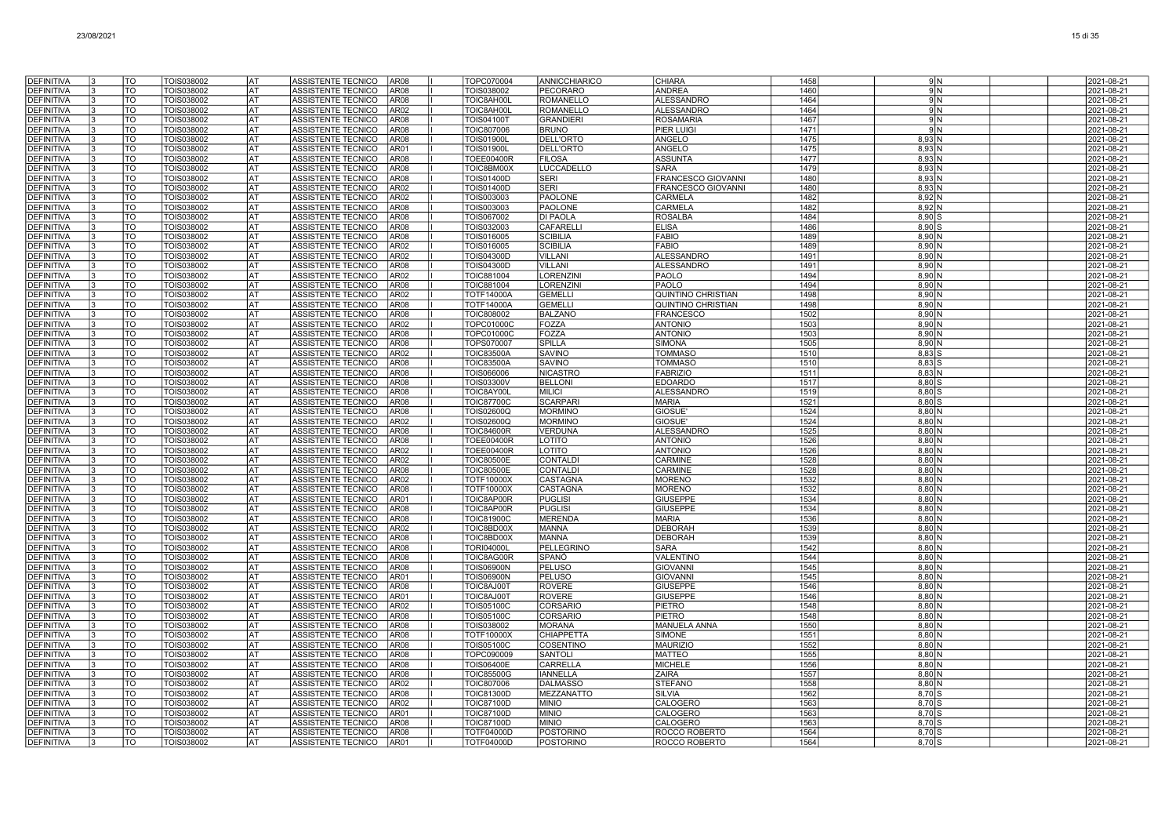| <b>DEFINITIVA</b>                      | TO              | TOIS038002               | lat               | ASSISTENTE TECNICO<br>AR <sub>08</sub>                                           | TOPC070004                             | <b>ANNICCHIARICO</b>                 | <b>CHIARA</b>                       | 1458         | 9 N                           | 2021-08-21               |
|----------------------------------------|-----------------|--------------------------|-------------------|----------------------------------------------------------------------------------|----------------------------------------|--------------------------------------|-------------------------------------|--------------|-------------------------------|--------------------------|
| <b>DEFINITIVA</b>                      | TO              | TOIS038002               | lat               | AR <sub>08</sub><br><b>ASSISTENTE TECNICO</b>                                    | TOIS038002                             | <b>PECORARO</b>                      | <b>ANDREA</b>                       | 1460         | 9 N                           | 2021-08-21               |
| <b>DEFINITIVA</b>                      | <b>TO</b>       | TOIS038002               | l AT              | ASSISTENTE TECNICO<br>AR <sub>08</sub>                                           | TOIC8AH00L                             | <b>ROMANELLO</b>                     | <b>ALESSANDRO</b>                   | 1464         | 9N                            | 2021-08-21               |
| <b>DEFINITIVA</b>                      | TO              | TOIS038002               | <b>IAT</b>        | ASSISTENTE TECNICO<br>AR <sub>02</sub>                                           | TOIC8AH00L                             | <b>ROMANELLO</b>                     | <b>ALESSANDRO</b>                   | 1464         | 9N                            | 2021-08-21               |
| <b>DEFINITIVA</b>                      | TO              | TOIS038002               | <b>IAT</b>        | ASSISTENTE TECNICO<br>AR <sub>08</sub>                                           | <b>TOIS04100T</b>                      | <b>GRANDIERI</b>                     | <b>ROSAMARIA</b>                    | 1467         | 9 N                           | 2021-08-21               |
| <b>DEFINITIVA</b>                      | TO              | TOIS038002               | <b>AT</b>         | ASSISTENTE TECNICO<br>AR <sub>08</sub>                                           | <b>TOIC807006</b>                      | <b>BRUNO</b>                         | <b>PIER LUIGI</b>                   | 1471         | 9 N                           | 2021-08-21               |
| <b>DEFINITIVA</b><br><b>DEFINITIVA</b> | TO<br><b>TO</b> | TOIS038002<br>TOIS038002 | l AT<br><b>AT</b> | ASSISTENTE TECNICO<br>AR08<br>ASSISTENTE TECNICO<br>AR01                         | <b>TOIS01900L</b><br><b>TOIS01900L</b> | <b>DELL'ORTO</b><br><b>DELL'ORTO</b> | <b>ANGELO</b><br><b>ANGELO</b>      | 1475<br>1475 | 8.93 N                        | 2021-08-21               |
| <b>DEFINITIVA</b>                      | TO              | TOIS038002               | <b>AT</b>         | ASSISTENTE TECNICO<br>AR08                                                       | <b>TOEE00400R</b>                      | <b>FILOSA</b>                        | <b>ASSUNTA</b>                      | 1477         | 8,93 N<br>$8,93$ N            | 2021-08-21<br>2021-08-21 |
| DEFINITIVA                             | <b>TO</b>       | TOIS038002               | <b>AT</b>         | ASSISTENTE TECNICO<br>AR08                                                       | TOIC8BM00X                             | LUCCADELLO                           | <b>SARA</b>                         | 1479         | 8,93 N                        | 2021-08-21               |
| <b>DEFINITIVA</b>                      | TO              | TOIS038002               | lat               | ASSISTENTE TECNICO<br>AR08                                                       | <b>TOIS01400D</b>                      | <b>SERI</b>                          | <b>FRANCESCO GIOVANNI</b>           | 1480         | 8.93 <sub>N</sub>             | 2021-08-21               |
| <b>DEFINITIVA</b>                      | TO              | TOIS038002               | l AT              | ASSISTENTE TECNICO<br>AR02                                                       | <b>TOIS01400D</b>                      | SERI                                 | FRANCESCO GIOVANNI                  | 1480         | $8,93$ N                      | 2021-08-21               |
| DEFINITIVA                             | TO              | TOIS038002               | lat               | ASSISTENTE TECNICO<br>AR02                                                       | TOIS003003                             | PAOLONE                              | <b>CARMELA</b>                      | 1482         | $8,92$ N                      | 2021-08-21               |
| DEFINITIVA                             | TO              | TOIS038002               | AT                | ASSISTENTE TECNICO<br>AR08                                                       | TOIS003003                             | <b>PAOLONE</b>                       | CARMELA                             | 1482         | 8,92 N                        | 2021-08-21               |
| DEFINITIVA                             | TO              | TOIS038002               | lat               | ASSISTENTE TECNICO<br>AR08                                                       | TOIS067002                             | <b>DI PAOLA</b>                      | <b>ROSALBA</b>                      | 1484         | 8.90 S                        | 2021-08-21               |
| <b>DEFINITIVA</b><br><b>DEFINITIVA</b> | TO<br>TO<br>I٩  | TOIS038002<br>TOIS038002 | lat<br>lat        | ASSISTENTE TECNICO<br>AR08<br>ASSISTENTE TECNICO<br>AR <sub>08</sub>             | TOIS032003<br>TOIS016005               | <b>CAFARELLI</b><br><b>SCIBILIA</b>  | <b>ELISA</b><br><b>FABIO</b>        | 1486<br>1489 | 8.90 S<br>$8,90$ N            | 2021-08-21               |
| <b>DEFINITIVA</b>                      | $\overline{TO}$ | TOIS038002               | <b>AT</b>         | ASSISTENTE TECNICO<br>AR <sub>02</sub>                                           | <b>TOIS016005</b>                      | <b>SCIBILIA</b>                      | <b>FABIO</b>                        | 1489         | $8,90$ N                      | 2021-08-21<br>2021-08-21 |
| <b>DEFINITIVA</b>                      | lto             | TOIS038002               | <b>AT</b>         | ASSISTENTE TECNICO<br>AR <sub>02</sub>                                           | TOIS04300D                             | <b>VILLANI</b>                       | <b>ALESSANDRO</b>                   | 1491         | $8,90$ N                      | 2021-08-21               |
| DEFINITIVA                             | <b>TO</b>       | TOIS038002               | <b>IAT</b>        | ASSISTENTE TECNICO<br>AR <sub>08</sub>                                           | <b>TOIS04300D</b>                      | <b>VILLANI</b>                       | <b>ALESSANDRO</b>                   | 1491         | $8,90$ N                      | 2021-08-21               |
| <b>DEFINITIVA</b>                      | <b>TO</b>       | TOIS038002               | lat               | ASSISTENTE TECNICO<br>AR <sub>02</sub>                                           | <b>TOIC881004</b>                      | <b>LORENZINI</b>                     | <b>PAOLO</b>                        | 1494         | $8,90$ N                      | 2021-08-21               |
| <b>DEFINITIVA</b>                      | TO              | TOIS038002               | lat               | <b>ASSISTENTE TECNICO</b><br>AR <sub>08</sub>                                    | TOIC881004                             | <b>LORENZINI</b>                     | PAOLO                               | 1494         | $8,90$ N                      | 2021-08-21               |
| <b>DEFINITIVA</b>                      | TO              | TOIS038002               | lat               | ASSISTENTE TECNICO<br>AR <sub>02</sub>                                           | <b>TOTF14000A</b>                      | <b>GEMELLI</b>                       | <b>QUINTINO CHRISTIAN</b>           | 1498         | $8,90$ N                      | 2021-08-21               |
| DEFINITIVA                             | TO              | TOIS038002               | AT                | AR <sub>08</sub><br>ASSISTENTE TECNICO                                           | <b>TOTF14000A</b>                      | <b>GEMELL</b>                        | QUINTINO CHRISTIAN                  | 1498         | $8,90$ N                      | 2021-08-21               |
| <b>DEFINITIVA</b><br><b>DEFINITIVA</b> | TO<br>TO        | TOIS038002               | <b>AT</b><br>l AT | ASSISTENTE TECNICO<br>AR <sub>08</sub><br>ASSISTENTE TECNICO<br>AR02             | <b>TOIC808002</b><br><b>TOPC01000C</b> | <b>BALZANO</b><br>FOZZA              | <b>FRANCESCO</b><br><b>ANTONIO</b>  | 1502<br>1503 | $8,90$ N<br>$8,90$ N          | 2021-08-21               |
| <b>DEFINITIVA</b>                      | <b>TO</b>       | TOIS038002<br>TOIS038002 | <b>AT</b>         | ASSISTENTE TECNICO<br>AR08                                                       | <b>TOPC01000C</b>                      | FOZZA                                | <b>ANTONIO</b>                      | 1503         | $8,90$ N                      | 2021-08-21<br>2021-08-21 |
| <b>DEFINITIVA</b>                      | <b>TO</b>       | TOIS038002               | lat               | ASSISTENTE TECNICO<br>AR08                                                       | <b>TOPS070007</b>                      | <b>SPILLA</b>                        | <b>SIMONA</b>                       | 1505         | $8,90$ N                      | 2021-08-21               |
| DEFINITIVA                             | <b>TO</b>       | TOIS038002               | <b>AT</b>         | ASSISTENTE TECNICO<br>AR02                                                       | <b>TOIC83500A</b>                      | <b>SAVINO</b>                        | <b>TOMMASO</b>                      | 1510         | $8,83$ S                      | 2021-08-21               |
| DEFINITIVA                             | TO              | TOIS038002               | lat               | ASSISTENTE TECNICO<br>AR08                                                       | <b>TOIC83500A</b>                      | <b>SAVINO</b>                        | <b>TOMMASO</b>                      | 1510         | 8.83                          | 2021-08-21               |
| <b>DEFINITIVA</b>                      | TO              | TOIS038002               | lat               | <b>ASSISTENTE TECNICO</b><br>AR08                                                | TOIS066006                             | <b>NICASTRO</b>                      | <b>FABRIZIO</b>                     | 1511         | $8,83$ N                      | 2021-08-21               |
| <b>DEFINITIVA</b>                      | <b>TO</b>       | TOIS038002               | lat               | ASSISTENTE TECNICO<br>AR08                                                       | <b>TOIS03300V</b>                      | <b>BELLONI</b>                       | <b>EDOARDO</b>                      | 1517         | 8,80                          | 2021-08-21               |
| <b>DEFINITIVA</b><br><b>DEFINITIVA</b> | TO<br>TO        | TOIS038002               | lat<br>lat        | ASSISTENTE TECNICO<br>AR08<br>AR08                                               | TOIC8AY00L                             | <b>MILICI</b><br><b>SCARPARI</b>     | <b>ALESSANDRO</b><br><b>MARIA</b>   | 1519<br>1521 | 8,80                          | 2021-08-21               |
| <b>DEFINITIVA</b>                      | TO              | TOIS038002<br>TOIS038002 | lat               | ASSISTENTE TECNICO<br>ASSISTENTE TECNICO<br>AR08                                 | <b>TOIC87700C</b><br><b>TOIS02600Q</b> | <b>MORMINO</b>                       | <b>GIOSUE</b>                       | 1524         | $8,80$ S<br>8.80 <sub>N</sub> | 2021-08-21<br>2021-08-21 |
| <b>DEFINITIVA</b>                      | TO              | TOIS038002               | l AT              | ASSISTENTE TECNICO<br>AR <sub>02</sub>                                           | TOIS02600Q                             | <b>MORMINO</b>                       | <b>GIOSUE</b>                       | 1524         | $8,80$ N                      | 2021-08-21               |
| <b>DEFINITIVA</b>                      | <b>TO</b>       | TOIS038002               | <b>AT</b>         | AR08<br>ASSISTENTE TECNICO                                                       | <b>TOIC84600R</b>                      | <b>VERDUNA</b>                       | <b>ALESSANDRO</b>                   | 1525         | $8,80$ N                      | 2021-08-21               |
| <b>DEFINITIVA</b>                      | <b>TO</b>       | TOIS038002               | <b>AT</b>         | AR <sub>08</sub><br>ASSISTENTE TECNICO                                           | <b>TOEE00400R</b>                      | LOTITO                               | <b>ANTONIO</b>                      | 1526         | $8,80$ N                      | 2021-08-21               |
| <b>DEFINITIVA</b>                      | <b>TO</b>       | TOIS038002               | <b>AT</b>         | ASSISTENTE TECNICO<br>AR <sub>02</sub>                                           | <b>TOEE00400R</b>                      | LOTITO                               | <b>ANTONIO</b>                      | 1526         | $8,80$ N                      | 2021-08-21               |
| <b>DEFINITIVA</b>                      | TO              | TOIS038002               | lat               | AR <sub>02</sub><br><b>ASSISTENTE TECNICO</b>                                    | <b>TOIC80500E</b>                      | <b>CONTALD</b>                       | CARMINE                             | 1528         | 8.80 <sub>N</sub>             | 2021-08-21               |
| <b>DEFINITIVA</b>                      | TO              | TOIS038002               | lat               | ASSISTENTE TECNICO<br>AR <sub>08</sub>                                           | <b>TOIC80500E</b>                      | <b>CONTALD</b>                       | CARMINE                             | 1528         | $8,80$ N                      | 2021-08-21               |
| <b>DEFINITIVA</b><br>DEFINITIVA        | TO<br>TO        | TOIS038002<br>TOIS038002 | AT<br> AT         | ASSISTENTE TECNICO<br>AR <sub>02</sub><br>ASSISTENTE TECNICO<br>AR08             | <b>TOTF10000X</b><br><b>TOTF10000X</b> | <b>CASTAGNA</b><br>CASTAGNA          | <b>MORENO</b><br><b>MORENO</b>      | 1532<br>1532 | $8,80$ N<br>$8,80$ N          | 2021-08-21<br>2021-08-21 |
| <b>DEFINITIVA</b>                      | TO              | TOIS038002               | <b>AT</b>         | ASSISTENTE TECNICO<br>AR01                                                       | TOIC8AP00R                             | <b>PUGLISI</b>                       | <b>GIUSEPPE</b>                     | 1534         | 8.80 <sub>N</sub>             | 2021-08-21               |
| <b>DEFINITIVA</b>                      | TO              | TOIS038002               | lat               | ASSISTENTE TECNICO<br>AR <sub>08</sub>                                           | TOIC8AP00R                             | <b>PUGLISI</b>                       | <b>GIUSEPPE</b>                     | 1534         | 8.80 <sub>N</sub>             | 2021-08-21               |
| <b>DEFINITIVA</b>                      | TO              | TOIS038002               | <b>AT</b>         | ASSISTENTE TECNICO<br>AR <sub>08</sub>                                           | <b>TOIC81900C</b>                      | <b>MERENDA</b>                       | <b>MARIA</b>                        | 1536         | $8,80$ N                      | 2021-08-21               |
| <b>DEFINITIVA</b>                      | <b>TO</b>       | TOIS038002               | <b>AT</b>         | ASSISTENTE TECNICO<br>AR <sub>02</sub>                                           | TOIC8BD00X                             | <b>MANNA</b>                         | <b>DEBORAH</b>                      | 1539         | $8,80$ N                      | 2021-08-21               |
| <b>DEFINITIVA</b>                      | <b>TO</b>       | TOIS038002               | <b>IAT</b>        | ASSISTENTE TECNICO<br>AR08                                                       | TOIC8BD00X                             | <b>MANNA</b>                         | <b>DEBORAH</b>                      | 1539         | $8,80$ N                      | 2021-08-21               |
| DEFINITIVA                             | TO              | TOIS038002               | lat               | ASSISTENTE TECNICO<br>AR08                                                       | <b>TORI04000L</b>                      | PELLEGRINO                           | <b>SARA</b>                         | 1542         | 8.80 <sub>N</sub>             | 2021-08-21               |
| <b>DEFINITIVA</b><br><b>DEFINITIVA</b> | TO<br>TO        | TOIS038002<br>TOIS038002 | lat<br>AT)        | ASSISTENTE TECNICO<br>AR <sub>08</sub><br>ASSISTENTE TECNICO<br>AR08             | TOIC8AG00R<br><b>TOIS06900N</b>        | SPANÓ<br>PELUSO                      | <b>VALENTINO</b><br><b>GIOVANNI</b> | 1544<br>1545 | $8,80$ N<br>$8,80$ N          | 2021-08-21<br>2021-08-21 |
| <b>DEFINITIVA</b>                      | TO              | TOIS038002               | AT                | ASSISTENTE TECNICO<br>AR01                                                       | <b>TOIS06900N</b>                      | <b>PELUSO</b>                        | <b>GIOVANN</b>                      | 1545         | $8,80$ N                      | 2021-08-21               |
| <b>DEFINITIVA</b>                      | TO              | TOIS038002               | lat               | ASSISTENTE TECNICO<br>AR08                                                       | TOIC8AJ00T                             | <b>ROVERE</b>                        | <b>GIUSEPPE</b>                     | 1546         | $8,80$ N                      | 2021-08-21               |
| <b>DEFINITIVA</b>                      | TO              | TOIS038002               | AT                | ASSISTENTE TECNICO<br>AR01                                                       | TOIC8AJ00T                             | <b>ROVERE</b>                        | <b>GIUSEPPE</b>                     | 1546         | $8,80$ N                      | 2021-08-21               |
| <b>DEFINITIVA</b>                      | TO              | TOIS038002               | l AT              | ASSISTENTE TECNICO<br>AR <sub>02</sub>                                           | <b>TOIS05100C</b>                      | CORSARIO                             | <b>PIETRO</b>                       | 1548         | $8,80$ N                      | 2021-08-21               |
| <b>DEFINITIVA</b>                      | <b>TO</b>       | TOIS038002               | <b>AT</b>         | ASSISTENTE TECNICO<br>AR08                                                       | <b>TOIS05100C</b>                      | CORSARIO                             | <b>PIETRO</b>                       | 1548         | $8,80$ N                      | 2021-08-21               |
| <b>DEFINITIVA</b>                      | TO              | TOIS038002               | <b>AT</b>         | ASSISTENTE TECNICO<br>AR <sub>08</sub>                                           | TOIS038002                             | <b>MORANA</b>                        | MANUELA ANNA                        | 1550         | $8,80$ N                      | 2021-08-21               |
| <b>DEFINITIVA</b>                      | <b>TO</b>       | TOIS038002               | <b>AT</b>         | ASSISTENTE TECNICO<br>AR <sub>08</sub>                                           | <b>TOTF10000X</b>                      | <b>CHIAPPETTA</b>                    | <b>SIMONE</b>                       | 1551         | 8,80N                         | 2021-08-21               |
| <b>DEFINITIVA</b><br><b>DEFINITIVA</b> | TO<br>TO        | TOIS038002<br>TOIS038002 | lat<br>lat        | ASSISTENTE TECNICO<br>AR <sub>08</sub><br>ASSISTENTE TECNICO<br>AR <sub>08</sub> | <b>TOIS05100C</b><br>TOPC090009        | <b>COSENTINO</b><br>SANTOLI          | <b>MAURIZIO</b><br><b>MATTEO</b>    | 1552<br>1555 | 8.80 <sub>N</sub><br>$8,80$ N | 2021-08-21<br>2021-08-21 |
| <b>DEFINITIVA</b>                      | TO              | TOIS038002               | <b>AT</b>         | AR <sub>08</sub><br>ASSISTENTE TECNICO                                           | <b>TOIS06400E</b>                      | CARRELLA                             | <b>MICHELE</b>                      | 1556         | $8,80$ N                      | 2021-08-21               |
| <b>DEFINITIVA</b>                      | TO              | TOIS038002               | lat               | AR <sub>08</sub><br>ASSISTENTE TECNICO                                           | <b>TOIC85500G</b>                      | <b>IANNELLA</b>                      | <b>ZAIRA</b>                        | 1557         | $8,80$ N                      | 2021-08-21               |
| <b>DEFINITIVA</b>                      | TO              | TOIS038002               | <b>IAT</b>        | ASSISTENTE TECNICO<br>AR <sub>02</sub>                                           | <b>TOIC807006</b>                      | <b>DALMASSC</b>                      | <b>STEFANO</b>                      | 1558         | $8,80$ N                      | 2021-08-21               |
| <b>DEFINITIVA</b>                      | TO              | TOIS038002               | lat               | ASSISTENTE TECNICO<br>AR <sub>08</sub>                                           | <b>TOIC81300D</b>                      | <b>MEZZANATTO</b>                    | SILVIA                              | 1562         | 8.70 S                        | 2021-08-21               |
| <b>DEFINITIVA</b>                      | <b>TO</b>       | TOIS038002               | <b>AT</b>         | ASSISTENTE TECNICO<br>AR02                                                       | <b>TOIC87100D</b>                      | <b>MINIO</b>                         | CALOGERO                            | 1563         | 8,70 S                        | 2021-08-21               |
| <b>DEFINITIVA</b>                      | <b>TO</b>       | TOIS038002               | <b>AT</b>         | ASSISTENTE TECNICO<br>AR01                                                       | <b>TOIC87100D</b>                      | <b>MINIO</b>                         | CALOGERO                            | 1563         | $8,70$ \$                     | 2021-08-21               |
| <b>DEFINITIVA</b>                      | <b>TO</b>       | TOIS038002               | <b>AT</b>         | ASSISTENTE TECNICO<br>AR08                                                       | <b>TOIC87100D</b>                      | <b>MINIO</b>                         | <b>CALOGERO</b>                     | 1563         | 8,70                          | 2021-08-21               |
| DEFINITIVA<br><b>DEFINITIVA</b>        | TO<br>TO<br>3   | TOIS038002<br>TOIS038002 | lat<br>l AT       | ASSISTENTE TECNICO<br>AR <sub>08</sub><br>ASSISTENTE TECNICO<br>AR <sub>01</sub> | <b>TOTF04000D</b><br>TOTF04000D        | <b>POSTORINO</b><br><b>POSTORINO</b> | ROCCO ROBERTO<br>ROCCO ROBERTO      | 1564<br>1564 | 8,70<br>$8,70$ S              | 2021-08-21<br>2021-08-21 |
|                                        |                 |                          |                   |                                                                                  |                                        |                                      |                                     |              |                               |                          |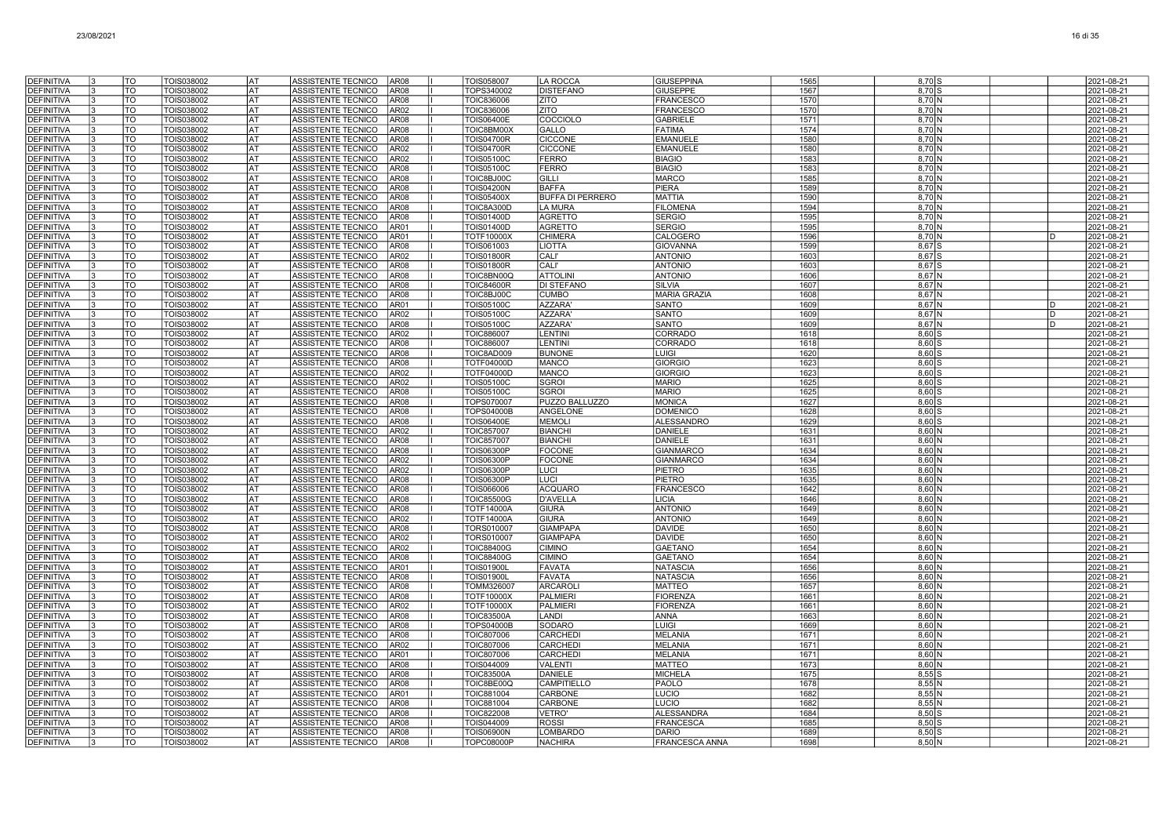| <b>DEFINITIVA</b>                      | TO                       | TOIS038002               | lat              | ASSISTENTE TECNICO<br>AR <sub>08</sub>                                      | TOIS058007                             | <b>LA ROCCA</b>                           | <b>GIUSEPPINA</b>                | 1565         | $8,70$ S           |   | 2021-08-21               |
|----------------------------------------|--------------------------|--------------------------|------------------|-----------------------------------------------------------------------------|----------------------------------------|-------------------------------------------|----------------------------------|--------------|--------------------|---|--------------------------|
| <b>DEFINITIVA</b>                      | $\overline{10}$          | <b>TOIS038002</b>        | lat              | AR08<br>ASSISTENTE TECNICO                                                  | TOPS340002                             | <b>DISTEFANO</b>                          | <b>GIUSEPPE</b>                  | 1567         | $8,70$ S           |   | 2021-08-21               |
| <b>DEFINITIVA</b>                      | T <sub>O</sub>           | TOIS038002               | <b>AT</b>        | AR08<br>ASSISTENTE TECNICO                                                  | <b>TOIC836006</b>                      | ZITO                                      | <b>FRANCESCO</b>                 | 1570         | 8,70 N             |   | 2021-08-21               |
| <b>DEFINITIVA</b>                      | $\overline{10}$          | TOIS038002               | lat              | ASSISTENTE TECNICO<br>AR <sub>02</sub>                                      | <b>TOIC836006</b>                      | ZITO                                      | <b>FRANCESCO</b>                 | 1570         | $8,70$ N           |   | 2021-08-21               |
| <b>DEFINITIVA</b>                      | TO                       | TOIS038002               | AT               | ASSISTENTE TECNICO<br>AR <sub>08</sub>                                      | <b>TOIS06400E</b>                      | COCCIOLO                                  | <b>GABRIELE</b>                  | 1571         | $8,70$ N           |   | 2021-08-21               |
| DEFINITIVA                             | TO                       | TOIS038002               | lat              | ASSISTENTE TECNICO<br>AR <sub>08</sub>                                      | TOIC8BM00>                             | GALLO                                     | <b>FATIMA</b>                    | 1574         | 8,70 N             |   | 2021-08-21               |
| <b>DEFINITIVA</b>                      | TO                       | TOIS038002               | AT               | ASSISTENTE TECNICO<br>AR <sub>08</sub>                                      | <b>TOIS04700R</b>                      | <b>CICCONE</b>                            | <b>EMANUELI</b>                  | 1580         | $8,70$ N           |   | 2021-08-21               |
| <b>DEFINITIVA</b>                      | TO                       | TOIS038002               | lat              | ASSISTENTE TECNICO<br>AR <sub>02</sub>                                      | <b>TOIS04700R</b>                      | <b>CICCONE</b>                            | <b>EMANUELE</b>                  | 1580         | $8,70$ N           |   | 2021-08-21               |
| <b>DEFINITIVA</b>                      | TO                       | TOIS038002               | lat              | ASSISTENTE TECNICO<br>AR <sub>02</sub>                                      | <b>TOIS05100C</b>                      | <b>FERRO</b>                              | <b>BIAGIO</b>                    | 1583         | 8.70 N             |   | 2021-08-21               |
| <b>DEFINITIVA</b>                      | TO                       | TOIS038002               | l AT             | ASSISTENTE TECNICO<br>AR <sub>08</sub>                                      | <b>TOIS05100C</b>                      | <b>FERRO</b>                              | <b>BIAGIO</b>                    | 1583         | 8,70 N             |   | 2021-08-21               |
| <b>DEFINITIVA</b>                      | $\overline{10}$          | TOIS038002               | <b>AT</b>        | ASSISTENTE TECNICO<br>AR <sub>08</sub>                                      | TOIC8BJ00C                             | GILLI                                     | <b>MARCO</b>                     | 1585         | $8,70$ N           |   | 2021-08-21               |
| <b>DEFINITIVA</b>                      | TO                       | TOIS038002               | lat<br>lat       | ASSISTENTE TECNICO<br>AR08                                                  | <b>TOIS04200N</b>                      | <b>BAFFA</b>                              | PIERA                            | 1589         | $8,70$ N           |   | 2021-08-21               |
| <b>DEFINITIVA</b><br><b>DEFINITIVA</b> | TO<br>TO                 | TOIS038002               | <b>AT</b>        | ASSISTENTE TECNICO<br>AR <sub>08</sub><br>AR08                              | <b>TOIS05400X</b>                      | <b>BUFFA DI PERRERO</b><br><b>LA MURA</b> | <b>MATTIA</b><br><b>FILOMENA</b> | 1590<br>1594 | 8.70 N             |   | 2021-08-21               |
| DEFINITIVA                             | TO                       | TOIS038002<br>TOIS038002 | <b>AT</b>        | ASSISTENTE TECNICO<br>ASSISTENTE TECNICO<br>AR <sub>08</sub>                | TOIC8A300D<br><b>TOIS01400D</b>        | <b>AGRETTO</b>                            | <b>SERGIO</b>                    | 1595         | 8,70 N<br>8,70 N   |   | 2021-08-21<br>2021-08-21 |
| <b>DEFINITIVA</b>                      | TO                       | TOIS038002               | AT               | ASSISTENTE TECNICO<br>AR01                                                  | <b>TOIS01400D</b>                      | <b>AGRETTO</b>                            | <b>SERGIO</b>                    | 1595         | 8,70 N             |   | 2021-08-21               |
| DEFINITIVA                             | TO                       | TOIS038002               | <b>AT</b>        | ASSISTENTE TECNICO<br>AR01                                                  | <b>TOTF10000X</b>                      | <b>CHIMERA</b>                            | CALOGERO                         | 1596         | 8,70 N             | D | 2021-08-21               |
| <b>DEFINITIVA</b>                      | TO                       | TOIS038002               | <b>AT</b>        | ASSISTENTE TECNICO<br>AR <sub>08</sub>                                      | TOIS061003                             | <b>LIOTTA</b>                             | <b>GIOVANNA</b>                  | 1599         | 8,67 S             |   | 2021-08-21               |
| <b>DEFINITIVA</b>                      | <b>TO</b>                | TOIS038002               | <b>AT</b>        | AR <sub>02</sub><br>ASSISTENTE TECNICO                                      | <b>TOIS01800R</b>                      | <b>CALI'</b>                              | <b>ANTONIO</b>                   | 1603         | $8,67$ S           |   | 2021-08-21               |
| <b>DEFINITIVA</b>                      | $\overline{10}$          | TOIS038002               | <b>AT</b>        | AR08<br>ASSISTENTE TECNICO                                                  | <b>TOIS01800R</b>                      | CALI'                                     | <b>ANTONIO</b>                   | 1603         | 8,67 S             |   | 2021-08-21               |
| <b>DEFINITIVA</b>                      | <b>TO</b>                | TOIS038002               | AT               | ASSISTENTE TECNICO<br>AR08                                                  | TOIC8BN00C                             | <b>ATTOLINI</b>                           | <b>ANTONIO</b>                   | 1606         | $8,67$ N           |   | 2021-08-21               |
| <b>DEFINITIVA</b>                      | TO                       | TOIS038002               | lat              | ASSISTENTE TECNICO<br>AR <sub>08</sub>                                      | <b>TOIC84600R</b>                      | <b>DI STEFANO</b>                         | <b>SILVIA</b>                    | 1607         | 8.67 N             |   | 2021-08-21               |
| <b>DEFINITIVA</b>                      | TO                       | TOIS038002               | lat              | ASSISTENTE TECNICO<br>AR <sub>08</sub>                                      | TOIC8BJ00C                             | <b>CUMBO</b>                              | <b>MARIA GRAZIA</b>              | 1608         | 8,67 N             |   | 2021-08-21               |
| <b>DEFINITIVA</b>                      | TO                       | TOIS038002               | AT               | ASSISTENTE TECNICO<br>AR01                                                  | TOIS05100C                             | <b>AZZARA</b>                             | SANTO                            | 1609         | $8,67$ N           | D | 2021-08-21               |
| <b>DEFINITIVA</b>                      | TO                       | TOIS038002               | lat              | ASSISTENTE TECNICO<br>AR <sub>02</sub>                                      | <b>TOIS05100C</b>                      | <b>AZZARA</b>                             | <b>SANTO</b>                     | 1609         | 8,67 N             | D | 2021-08-21               |
| DEFINITIVA                             | TO                       | TOIS038002               | lat              | ASSISTENTE TECNICO<br>AR <sub>08</sub>                                      | <b>TOIS05100C</b>                      | <b>AZZARA</b>                             | <b>SANTO</b>                     | 1609         | $8,67$ N           | D | 2021-08-21               |
| <b>DEFINITIVA</b>                      | TO                       | TOIS038002               | l AT             | ASSISTENTE TECNICO<br>AR <sub>02</sub>                                      | <b>TOIC886007</b>                      | LENTINI                                   | CORRADO                          | 1618         | $8,60$ $S$         |   | 2021-08-21               |
| <b>DEFINITIVA</b>                      | <b>TO</b>                | TOIS038002               | <b>AT</b>        | ASSISTENTE TECNICO<br>AR <sub>08</sub>                                      | <b>TOIC886007</b>                      | <b>LENTINI</b>                            | <b>CORRADO</b>                   | 1618         | $8,60$ S           |   | 2021-08-21               |
| <b>DEFINITIVA</b>                      | TO                       | TOIS038002               | <b>AT</b>        | ASSISTENTE TECNICO<br>AR <sub>08</sub>                                      | TOIC8AD009                             | <b>BUNONE</b>                             | <b>LUIGI</b>                     | 1620         | $8,60$ S           |   | 2021-08-21               |
| <b>DEFINITIVA</b><br><b>DEFINITIVA</b> | TO<br>TO                 | TOIS038002<br>TOIS038002 | lat<br>AT        | ASSISTENTE TECNICO<br>AR08<br>ASSISTENTE TECNICO<br>AR <sub>02</sub>        | <b>TOTF04000D</b><br><b>TOTF04000D</b> | MANCO<br><b>MANCO</b>                     | <b>GIORGIO</b><br><b>GIORGIO</b> | 1623<br>1623 | $8,60$ S<br>8.60 S |   | 2021-08-21<br>2021-08-21 |
| DEFINITIVA                             | TO                       | TOIS038002               | AT               | ASSISTENTE TECNICO<br>AR02                                                  | <b>TOIS05100C</b>                      | <b>SGROI</b>                              | <b>MARIO</b>                     | 1625         | $8,60$ S           |   | 2021-08-21               |
| <b>DEFINITIVA</b>                      | TO                       | TOIS038002               | AT               | ASSISTENTE TECNICO<br>AR08                                                  | <b>TOIS05100C</b>                      | <b>SGROI</b>                              | <b>MARIO</b>                     | 1625         | $8,60$ S           |   | 2021-08-21               |
| <b>DEFINITIVA</b>                      | TO                       | TOIS038002               | AT               | ASSISTENTE TECNICO<br>AR08                                                  | TOPS070007                             | PUZZO BALLUZZO                            | <b>MONICA</b>                    | 1627         | $8,60$ S           |   | 2021-08-21               |
| <b>DEFINITIVA</b>                      | TO                       | TOIS038002               | AT               | ASSISTENTE TECNICO<br>AR <sub>08</sub>                                      | <b>TOPS04000B</b>                      | <b>ANGELONE</b>                           | <b>DOMENICC</b>                  | 1628         | $8,60$ S           |   | 2021-08-21               |
| <b>DEFINITIVA</b>                      | TO                       | TOIS038002               | l AT             | ASSISTENTE TECNICO<br>AR <sub>08</sub>                                      | <b>TOIS06400E</b>                      | <b>MEMOLI</b>                             | <b>ALESSANDRO</b>                | 1629         | $8,60$ $S$         |   | 2021-08-21               |
| <b>DEFINITIVA</b>                      | TO                       | TOIS038002               | <b>AT</b>        | ASSISTENTE TECNICO<br>AR <sub>02</sub>                                      | <b>TOIC857007</b>                      | <b>BIANCHI</b>                            | DANIELE                          | 1631         | $8,60$ N           |   | 2021-08-21               |
| <b>DEFINITIVA</b>                      | $\overline{\text{TO}}$   | TOIS038002               | <b>AT</b>        | ASSISTENTE TECNICO<br>AR08                                                  | <b>TOIC857007</b>                      | <b>BIANCHI</b>                            | <b>DANIELE</b>                   | 1631         | 8,60 N             |   | 2021-08-21               |
| <b>DEFINITIVA</b>                      | TO                       | TOIS038002               | lat              | <b>ASSISTENTE TECNICO</b><br>AR <sub>08</sub>                               | <b>TOIS06300P</b>                      | <b>FOCONE</b>                             | <b>GIANMARCO</b>                 | 1634         | 8.60 <sub>N</sub>  |   | 2021-08-21               |
| <b>DEFINITIVA</b>                      | TO                       | TOIS038002               | AT               | ASSISTENTE TECNICO<br>AR <sub>02</sub>                                      | <b>TOIS06300P</b>                      | FOCONE                                    | <b>GIANMARCO</b>                 | 1634         | 8.60 N             |   | 2021-08-21               |
| <b>DEFINITIVA</b>                      | $\overline{10}$          | TOIS038002               | lat              | ASSISTENTE TECNICO<br>AR <sub>02</sub>                                      | <b>TOIS06300F</b>                      | LUCI                                      | PIETRO                           | 1635         | $8,60$ N           |   | 2021-08-21               |
| <b>DEFINITIVA</b>                      | TO                       | TOIS038002               | lat              | AR <sub>08</sub><br>ASSISTENTE TECNICO                                      | <b>TOIS06300F</b>                      | LUCI                                      | <b>PIETRO</b>                    | 1635         | $8,60$ N           |   | 2021-08-21               |
| <b>DEFINITIVA</b>                      | TO                       | TOIS038002               | lat              | ASSISTENTE TECNICO<br>AR <sub>08</sub>                                      | <b>TOIS066006</b>                      | <b>ACQUARO</b>                            | <b>FRANCESCO</b>                 | 1642         | 8,60 N             |   | 2021-08-21               |
| <b>DEFINITIVA</b><br><b>DEFINITIVA</b> | TO<br>TO                 | TOIS038002<br>TOIS038002 | lat<br><b>AT</b> | <b>ASSISTENTE TECNICO</b><br>AR08<br>ASSISTENTE TECNICO<br>AR <sub>08</sub> | <b>TOIC85500G</b><br><b>TOTF14000A</b> | <b>D'AVELLA</b><br><b>GIURA</b>           | <b>LICIA</b><br><b>ANTONIO</b>   | 1646<br>1649 | 8,60 N<br>8,60 N   |   | 2021-08-21<br>2021-08-21 |
| <b>DEFINITIVA</b>                      | <b>TO</b>                | TOIS038002               | <b>AT</b>        | ASSISTENTE TECNICO<br>AR <sub>02</sub>                                      | <b>TOTF14000A</b>                      | <b>GIURA</b>                              | <b>ANTONIO</b>                   | 1649         | 8,60 N             |   | 2021-08-21               |
| <b>DEFINITIVA</b>                      | TO                       | TOIS038002               | AT               | ASSISTENTE TECNICO<br>AR <sub>08</sub>                                      | <b>TORS010007</b>                      | <b>GIAMPAPA</b>                           | <b>DAVIDE</b>                    | 1650         | $8,60$ N           |   | 2021-08-21               |
| <b>DEFINITIVA</b>                      | TO                       | TOIS038002               | lat              | ASSISTENTE TECNICO<br>AR02                                                  | TORS010007                             | <b>GIAMPAPA</b>                           | <b>DAVIDE</b>                    | 1650         | 8.60 <sub>N</sub>  |   | 2021-08-21               |
| <b>DEFINITIVA</b>                      | TO                       | TOIS038002               | <b>AT</b>        | ASSISTENTE TECNICO<br>AR02                                                  | <b>TOIC88400G</b>                      | <b>CIMINO</b>                             | <b>GAETANO</b>                   | 1654         | $8,60$ N           |   | 2021-08-21               |
| <b>DEFINITIVA</b>                      | TO                       | TOIS038002               | AT               | ASSISTENTE TECNICO<br>AR08                                                  | <b>TOIC88400G</b>                      | <b>CIMINO</b>                             | <b>GAETANO</b>                   | 1654         | $8,60$ N           |   | 2021-08-21               |
| <b>DEFINITIVA</b>                      | TO                       | TOIS038002               | AT               | ASSISTENTE TECNICO<br>AR01                                                  | <b>TOIS01900L</b>                      | FAVATA                                    | <b>NATASCIA</b>                  | 1656         | $8,60$ N           |   | 2021-08-21               |
| DEFINITIVA                             | TO                       | TOIS038002               | <b>AT</b>        | ASSISTENTE TECNICO<br>AR <sub>08</sub>                                      | <b>TOIS01900L</b>                      | <b>FAVATA</b>                             | <b>NATASCIA</b>                  | 1656         | $8,60$ N           |   | 2021-08-21               |
| <b>DEFINITIVA</b>                      | TO                       | TOIS038002               | <b>AT</b>        | ASSISTENTE TECNICO<br>AR <sub>08</sub>                                      | TOMM326007                             | ARCAROL                                   | <b>MATTEO</b>                    | 1657         | $8,60$ N           |   | 2021-08-21               |
| <b>DEFINITIVA</b>                      | TO                       | TOIS038002               | lat              | ASSISTENTE TECNICO<br>AR <sub>08</sub>                                      | <b>TOTF10000X</b>                      | <b>PALMIERI</b>                           | <b>FIORENZA</b>                  | 1661         | $8,60$ N           |   | 2021-08-21               |
| <b>DEFINITIVA</b>                      | $\overline{\mathrm{TO}}$ | TOIS038002               | lat              | AR <sub>02</sub><br>ASSISTENTE TECNICO                                      | <b>TOTF10000X</b>                      | <b>PALMIERI</b>                           | <b>FIORENZA</b>                  | 1661         | 8,60 N             |   | 2021-08-21               |
| <b>DEFINITIVA</b>                      | TO                       | TOIS038002               | <b>AT</b>        | ASSISTENTE TECNICO<br>AR <sub>08</sub>                                      | <b>TOIC83500A</b>                      | LANDI                                     | ANNA                             | 1663         | 8,60 N             |   | 2021-08-21               |
| <b>DEFINITIVA</b>                      | TO                       | TOIS038002               | lat              | ASSISTENTE TECNICO<br>AR <sub>08</sub>                                      | <b>TOPS04000B</b>                      | SODARO                                    | <b>LUIGI</b>                     | 1669         | 8.60 N             |   | 2021-08-21               |
| <b>DEFINITIVA</b>                      | TO                       | TOIS038002               | lat              | ASSISTENTE TECNICO<br>AR <sub>08</sub>                                      | TOIC807006                             | CARCHED                                   | MELANIA                          | 1671         | $8,60$ N           |   | 2021-08-21               |
| <b>DEFINITIVA</b>                      | TO                       | TOIS038002               | lat              | ASSISTENTE TECNICO<br>AR <sub>02</sub>                                      | TOIC807006                             | CARCHEDI                                  | <b>MELANIA</b>                   | 1671         | $8,60$ N           |   | 2021-08-21               |
| <b>DEFINITIVA</b><br><b>DEFINITIVA</b> | TO<br>TO                 | TOIS038002<br>TOIS038002 | lat<br> AT       | ASSISTENTE TECNICO<br>AR01<br>ASSISTENTE TECNICO<br>AR <sub>08</sub>        | <b>TOIC807006</b><br>TOIS044009        | <b>CARCHEDI</b><br><b>VALENTI</b>         | <b>MELANIA</b><br><b>MATTEO</b>  | 1671<br>1673 | 8,60 N<br>8,60 N   |   | 2021-08-21<br>2021-08-21 |
| <b>DEFINITIVA</b>                      | TO                       | TOIS038002               | l AT             | ASSISTENTE TECNICO<br>AR <sub>08</sub>                                      | <b>TOIC83500A</b>                      | <b>DANIELE</b>                            | <b>MICHELA</b>                   | 1675         | $8,55$ $S$         |   | 2021-08-21               |
| <b>DEFINITIVA</b>                      | TO                       | TOIS038002               | <b>AT</b>        | ASSISTENTE TECNICO<br>AR <sub>08</sub>                                      | TOIC8BE00Q                             | <b>CAMPITIELLO</b>                        | PAOLO                            | 1678         | 8,55 N             |   | 2021-08-21               |
| <b>DEFINITIVA</b>                      | TO                       | TOIS038002               | <b>AT</b>        | ASSISTENTE TECNICO<br>AR01                                                  | <b>TOIC881004</b>                      | CARBONE                                   | LUCIO                            | 1682         | $8,55$ N           |   | 2021-08-21               |
| <b>DEFINITIVA</b>                      | TO                       | TOIS038002               | <b>AT</b>        | ASSISTENTE TECNICO<br>AR08                                                  | <b>TOIC881004</b>                      | CARBONE                                   | LUCIO                            | 1682         | $8,55$ N           |   | 2021-08-21               |
| <b>DEFINITIVA</b>                      | TO                       | TOIS038002               | AT               | ASSISTENTE TECNICO<br>AR08                                                  | <b>TOIC822008</b>                      | <b>/ETRO'</b>                             | <b>ALESSANDRA</b>                | 1684         | $8,50$ S           |   | 2021-08-21               |
| <b>DEFINITIVA</b>                      | TO                       | TOIS038002               | <b>AT</b>        | ASSISTENTE TECNICO<br>AR08                                                  | TOIS044009                             | <b>ROSS</b>                               | FRANCESCA                        | 1685         | $8,50$ S           |   | 2021-08-21               |
| <b>DEFINITIVA</b>                      | TO                       | TOIS038002               | <b>AT</b>        | ASSISTENTE TECNICO<br>AR <sub>08</sub>                                      | <b>TOIS06900N</b>                      | <b>LOMBARDO</b>                           | <b>DARIO</b>                     | 1689         | $8,50$ S           |   | 2021-08-21               |
| <b>DEFINITIVA</b>                      | TO                       | TOIS038002               | lat              | ASSISTENTE TECNICO<br>AR08                                                  | <b>TOPC08000F</b>                      | <b>NACHIRA</b>                            | <b>FRANCESCA ANNA</b>            | 1698         | 8,50 N             |   | 2021-08-21               |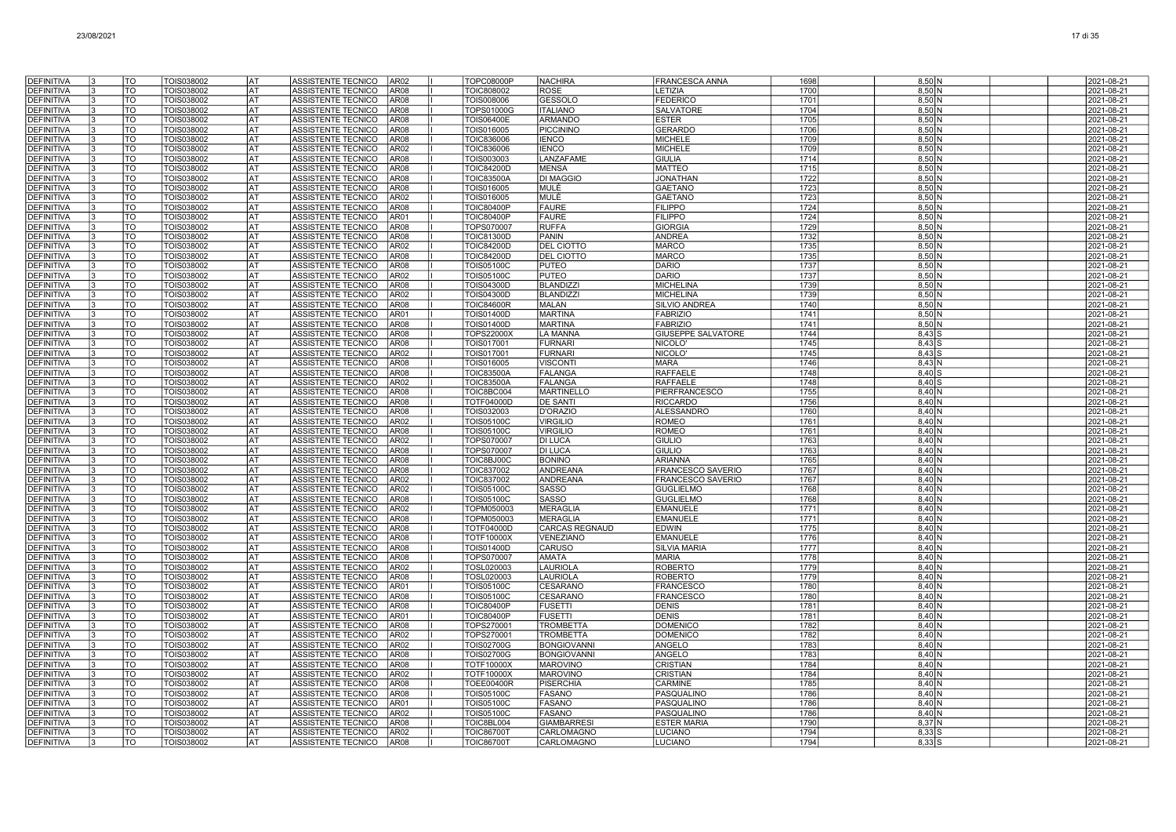| <b>DEFINITIVA</b>                      | TO                           | TOIS038002               | AT)              | ASSISTENTE TECNICO                              | AR <sub>02</sub>                     | <b>TOPC08000P</b>                      | <b>NACHIRA</b>                          | <b>FRANCESCA ANNA</b>               | 1698         | $8,50$ N                 | 2021-08-21               |
|----------------------------------------|------------------------------|--------------------------|------------------|-------------------------------------------------|--------------------------------------|----------------------------------------|-----------------------------------------|-------------------------------------|--------------|--------------------------|--------------------------|
| <b>DEFINITIVA</b>                      | TO                           | TOIS038002               | l AT             | ASSISTENTE TECNICO                              | AR <sub>08</sub>                     | <b>TOIC808002</b>                      | <b>ROSE</b>                             | LETIZIA                             | 1700         | $8,50$ N                 | 2021-08-21               |
| <b>DEFINITIVA</b>                      | TO                           | TOIS038002               | <b>AT</b>        | ASSISTENTE TECNICO                              | AR08                                 | TOIS008006                             | <b>GESSOLO</b>                          | <b>FEDERICO</b>                     | 1701         | 8,50 N                   | 2021-08-21               |
| <b>DEFINITIVA</b>                      | TO                           | TOIS038002               | <b>AT</b>        | ASSISTENTE TECNICO                              | AR <sub>08</sub>                     | <b>TOPS01000G</b>                      | <b>ITALIANO</b>                         | SALVATORE                           | 1704         | 8,50 N                   | 2021-08-21               |
| <b>DEFINITIVA</b>                      | TO                           | TOIS038002               | lat              | ASSISTENTE TECNICO                              | AR <sub>08</sub>                     | <b>TOIS06400E</b>                      | <b>ARMANDO</b>                          | <b>ESTER</b>                        | 1705         | $8,50$ N                 | 2021-08-21               |
| <b>DEFINITIVA</b>                      | $\overline{10}$              | TOIS038002               | AT               | ASSISTENTE TECNICO                              | AR <sub>08</sub>                     | TOIS016005                             | <b>PICCININO</b>                        | <b>GERARDO</b>                      | 1706         | 8,50 N                   | 2021-08-21               |
| <b>DEFINITIVA</b>                      | TO                           | TOIS038002               | lat              | ASSISTENTE TECNICO                              | AR <sub>08</sub>                     | <b>TOIC836006</b>                      | <b>IENCO</b>                            | <b>MICHELE</b>                      | 1709         | 8,50 N                   | 2021-08-21               |
| <b>DEFINITIVA</b>                      | TO                           | TOIS038002               | AT               | ASSISTENTE TECNICO                              | AR <sub>02</sub>                     | TOIC836006                             | <b>IENCO</b>                            | <b>MICHELE</b>                      | 1709         | $8,50$ N                 | 2021-08-21               |
| <b>DEFINITIVA</b>                      | TO                           | TOIS038002               | AT               | ASSISTENTE TECNICO                              | AR <sub>08</sub>                     | TOIS003003                             | LANZAFAME                               | <b>GIULIA</b>                       | 1714         | $8,50$ N                 | 2021-08-21               |
| <b>DEFINITIVA</b>                      | TO                           | TOIS038002               | lat              | ASSISTENTE TECNICO                              | AR <sub>08</sub>                     | <b>TOIC84200D</b>                      | <b>MENSA</b>                            | <b>MATTEO</b>                       | 1715         | 8,50 N                   | 2021-08-21               |
| <b>DEFINITIVA</b>                      | TO<br><b>TO</b>              | TOIS038002               | <b>AT</b><br>lat | ASSISTENTE TECNICO                              | AR <sub>08</sub>                     | <b>TOIC83500A</b>                      | <b>DI MAGGIO</b>                        | <b>JONATHAN</b>                     | 1722         | 8,50 N                   | 2021-08-21               |
| <b>DEFINITIVA</b><br>DEFINITIVA        | TO                           | TOIS038002<br>TOIS038002 | lat              | <b>ASSISTENTE TECNICO</b><br>ASSISTENTE TECNICO | AR08<br>AR <sub>02</sub>             | TOIS016005<br>TOIS016005               | MULÈ<br><b>MULÈ</b>                     | <b>GAETANO</b><br><b>GAETANC</b>    | 1723<br>1723 | 8,50 N<br>8,50 N         | 2021-08-21<br>2021-08-21 |
| DEFINITIVA                             | TO                           | TOIS038002               | AT               | ASSISTENTE TECNICO                              | AR08                                 | <b>TOIC80400P</b>                      | <b>FAURE</b>                            | <b>FILIPPO</b>                      | 1724         | 8,50 N                   | 2021-08-21               |
| <b>DEFINITIVA</b>                      | TO                           | TOIS038002               | <b>AT</b>        | ASSISTENTE TECNICO                              | AR01                                 | <b>TOIC80400P</b>                      | <b>FAURE</b>                            | <b>FILIPPO</b>                      | 1724         | 8,50 N                   | 2021-08-21               |
| DEFINITIVA                             | TO                           | TOIS038002               | AT               | ASSISTENTE TECNICO                              | AR <sub>08</sub>                     | TOPS070007                             | <b>RUFFA</b>                            | GIORGIA                             | 1729         | 8,50 N                   | 2021-08-21               |
| <b>DEFINITIVA</b>                      | TO                           | TOIS038002               | AT               | ASSISTENTE TECNICO                              | AR <sub>08</sub>                     | <b>TOIC81300D</b>                      | PANIN                                   | ANDREA                              | 1732         | 8,50 N                   | 2021-08-21               |
| <b>DEFINITIVA</b>                      | TO                           | TOIS038002               | lat              | ASSISTENTE TECNICO                              | AR02                                 | <b>TOIC84200D</b>                      | <b>DEL CIOTTO</b>                       | <b>MARCO</b>                        | 1735         | 8.50 N                   | 2021-08-21               |
| <b>DEFINITIVA</b>                      | TO                           | TOIS038002               | l AT             | ASSISTENTE TECNICO                              | AR <sub>08</sub>                     | <b>TOIC84200D</b>                      | <b>DEL CIOTTO</b>                       | <b>MARCO</b>                        | 1735         | 8,50 N                   | 2021-08-21               |
| <b>DEFINITIVA</b>                      | $\overline{10}$              | TOIS038002               | <b>AT</b>        | ASSISTENTE TECNICO                              | AR <sub>08</sub>                     | <b>TOIS05100C</b>                      | <b>PUTEO</b>                            | <b>DARIO</b>                        | 1737         | $8,50$ N                 | 2021-08-21               |
| <b>DEFINITIVA</b>                      | <b>TO</b>                    | TOIS038002               | <b>AT</b>        | ASSISTENTE TECNICO                              | AR <sub>02</sub>                     | <b>TOIS05100C</b>                      | <b>PUTEO</b>                            | <b>DARIO</b>                        | 1737         | $8,50$ N                 | 2021-08-21               |
| <b>DEFINITIVA</b>                      | $\overline{10}$              | TOIS038002               | AT)              | ASSISTENTE TECNICO                              | AR <sub>08</sub>                     | <b>TOIS04300D</b>                      | <b>BLANDIZZI</b>                        | <b>MICHELINA</b>                    | 1739         | $8,50$ N                 | 2021-08-21               |
| <b>DEFINITIVA</b>                      | TO                           | TOIS038002               | AT               | ASSISTENTE TECNICO                              | AR <sub>02</sub>                     | TOIS04300D                             | <b>BLANDIZZI</b>                        | <b>MICHELINA</b>                    | 1739         | $8,50$ N                 | 2021-08-21               |
| DEFINITIVA                             | TO                           | TOIS038002               | lat              | ASSISTENTE TECNICO                              | AR <sub>08</sub>                     | <b>TOIC84600R</b>                      | <b>MALAN</b>                            | SILVIO ANDREA                       | 1740         | 8,50 N                   | 2021-08-21               |
| <b>DEFINITIVA</b>                      | TO                           | TOIS038002               | AT               | ASSISTENTE TECNICO                              | AR01                                 | <b>TOIS01400D</b>                      | <b>MARTINA</b>                          | <b>FABRIZIO</b>                     | 1741         | 8,50 N                   | 2021-08-21               |
| <b>DEFINITIVA</b>                      | TO                           | TOIS038002               | lat              | ASSISTENTE TECNICO                              | AR <sub>08</sub>                     | <b>TOIS01400D</b>                      | <b>MARTINA</b>                          | <b>FABRIZIO</b>                     | 1741         | 8.50 N                   | 2021-08-21               |
| <b>DEFINITIVA</b>                      | TO                           | TOIS038002               | lat              | ASSISTENTE TECNICO                              | AR <sub>08</sub>                     | TOPS22000X                             | <b>LA MANNA</b>                         | <b>GIUSEPPE SALVATORE</b>           | 1744         | $8,43$ $S$               | 2021-08-21               |
| <b>DEFINITIVA</b>                      | <b>TO</b><br>$\overline{10}$ | TOIS038002               | <b>AT</b>        | ASSISTENTE TECNICO                              | AR <sub>08</sub>                     | TOIS017001                             | <b>FURNARI</b>                          | NICOLO <sup>®</sup>                 | 1745<br>1745 | $8,43$ $S$               | 2021-08-21               |
| <b>DEFINITIVA</b><br>DEFINITIVA        | TO                           | TOIS038002<br>TOIS038002 | <b>AT</b><br> AT | ASSISTENTE TECNICO<br>ASSISTENTE TECNICO        | AR <sub>02</sub><br>AR08             | TOIS017001<br>TOIS016005               | <b>FURNARI</b><br><b>VISCONTI</b>       | <b>NICOLO</b><br><b>MARA</b>        | 1746         | $8,43$ $S$<br>8,43 N     | 2021-08-21<br>2021-08-21 |
| <b>DEFINITIVA</b>                      | TO                           | TOIS038002               | lat              | ASSISTENTE TECNICO                              | AR <sub>08</sub>                     | <b>TOIC83500A</b>                      | <b>FALANGA</b>                          | <b>RAFFAELE</b>                     | 1748         | $8.40$ S                 | 2021-08-21               |
| <b>DEFINITIVA</b>                      | TO                           | TOIS038002               | <b>AT</b>        | ASSISTENTE TECNICO                              | AR <sub>02</sub>                     | TOIC83500A                             | <b>FALANGA</b>                          | RAFFAELE                            | 1748         | $8,40$ S                 | 2021-08-21               |
| <b>DEFINITIVA</b>                      | TO                           | TOIS038002               | AT               | ASSISTENTE TECNICO                              | AR <sub>08</sub>                     | TOIC8BC004                             | <b>MARTINELLO</b>                       | PIERFRANCESCO                       | 1755         | $8,40$ N                 | 2021-08-21               |
| <b>DEFINITIVA</b>                      | TO                           | TOIS038002               | AT               | ASSISTENTE TECNICO                              | AR08                                 | <b>TOTF04000D</b>                      | <b>DE SANTI</b>                         | <b>RICCARDO</b>                     | 1756         | $8,40$ N                 | 2021-08-21               |
| <b>DEFINITIVA</b>                      | TO                           | TOIS038002               | AT               | ASSISTENTE TECNICO                              | AR08                                 | TOIS032003                             | <b>D'ORAZIO</b>                         | ALESSANDRO                          | 1760         | 8,40 N                   | 2021-08-21               |
| <b>DEFINITIVA</b>                      | TO                           | TOIS038002               | l AT             | ASSISTENTE TECNICO                              | AR <sub>02</sub>                     | <b>TOIS05100C</b>                      | <b>VIRGILIO</b>                         | <b>ROMEO</b>                        | 1761         | $8.40\text{N}$           | 2021-08-21               |
| <b>DEFINITIVA</b>                      | TO                           | TOIS038002               | <b>AT</b>        | ASSISTENTE TECNICO                              | AR <sub>08</sub>                     | <b>TOIS05100C</b>                      | <b>VIRGILIO</b>                         | <b>ROMEO</b>                        | 1761         | $8,40$ N                 | 2021-08-21               |
| <b>DEFINITIVA</b>                      | TO                           | TOIS038002               | <b>AT</b>        | ASSISTENTE TECNICO                              | AR <sub>02</sub>                     | TOPS070007                             | <b>DI LUCA</b>                          | <b>GIULIO</b>                       | 1763         | $8,40$ N                 | 2021-08-21               |
| <b>DEFINITIVA</b>                      | TO                           | TOIS038002               | lat              | ASSISTENTE TECNICO                              | AR <sub>08</sub>                     | <b>TOPS070007</b>                      | <b>DI LUCA</b>                          | <b>GIULIO</b>                       | 1763         | $8.40\text{N}$           | 2021-08-21               |
| <b>DEFINITIVA</b>                      | TO                           | TOIS038002               | AT               | ASSISTENTE TECNICO                              | AR <sub>08</sub>                     | TOIC8BJ00C                             | <b>BONINO</b>                           | <b>ARIANNA</b>                      | 1765         | 8,40 N                   | 2021-08-21               |
| <b>DEFINITIVA</b>                      | $\overline{10}$              | TOIS038002               | AT)              | ASSISTENTE TECNICO                              | AR <sub>08</sub>                     | TOIC837002                             | <b>ANDREANA</b>                         | FRANCESCO SAVERIO                   | 1767         | 8,40 N                   | 2021-08-21               |
| <b>DEFINITIVA</b>                      | TO                           | TOIS038002               | lat              | ASSISTENTE TECNICO                              | AR <sub>02</sub>                     | TOIC837002                             | <b>ANDREANA</b>                         | <b>FRANCESCO SAVERIO</b>            | 1767         | $8,40$ N                 | 2021-08-21               |
| DEFINITIVA                             | TO                           | TOIS038002               | AT<br>l AT       | ASSISTENTE TECNICO                              | AR <sub>02</sub>                     | <b>TOIS05100C</b>                      | <b>SASSO</b>                            | <b>GUGLIELMO</b>                    | 1768         | 8,40 N                   | 2021-08-21               |
| <b>DEFINITIVA</b><br><b>DEFINITIVA</b> | TO<br>TO                     | TOIS038002<br>TOIS038002 | lat              | ASSISTENTE TECNICO<br>ASSISTENTE TECNICO        | AR <sub>08</sub><br>AR <sub>02</sub> | <b>TOIS05100C</b><br>TOPM050003        | <b>SASSO</b><br><b>MERAGLIA</b>         | <b>GUGLIELMO</b><br><b>EMANUELE</b> | 1768<br>1771 | 8,40 N<br>8,40 N         | 2021-08-21<br>2021-08-21 |
| <b>DEFINITIVA</b>                      | $\overline{\text{TO}}$       | TOIS038002               | <b>AT</b>        | ASSISTENTE TECNICO                              | AR <sub>08</sub>                     | TOPM050003                             | <b>MERAGLIA</b>                         | <b>EMANUELE</b>                     | 1771         | $8,40$ N                 | 2021-08-21               |
| <b>DEFINITIVA</b>                      | TO                           | TOIS038002               | lat              | ASSISTENTE TECNICO                              | AR <sub>08</sub>                     | <b>TOTF04000D</b>                      | <b>CARCAS REGNAUD</b>                   | <b>EDWIN</b>                        | 1775         | 8,40 N                   | 2021-08-21               |
| <b>DEFINITIVA</b>                      | TO                           | TOIS038002               | AT               | ASSISTENTE TECNICO                              | AR <sub>08</sub>                     | TOTF10000X                             | VENEZIANO                               | <b>EMANUELE</b>                     | 1776         | $8.40\text{N}$           | 2021-08-21               |
| <b>DEFINITIVA</b>                      | TO                           | TOIS038002               | AT               | ASSISTENTE TECNICO                              | AR08                                 | <b>TOIS01400D</b>                      | CARUSO                                  | <b>SILVIA MARIA</b>                 | 1777         | $8,40$ N                 | 2021-08-21               |
| DEFINITIVA                             | TO                           | TOIS038002               | AT               | ASSISTENTE TECNICO                              | AR <sub>08</sub>                     | TOPS070007                             | AMATA                                   | <b>MARIA</b>                        | 1778         | $8,40$ N                 | 2021-08-21               |
| <b>DEFINITIVA</b>                      | TO                           | TOIS038002               | AT               | ASSISTENTE TECNICO                              | AR02                                 | TOSL020003                             | <b>LAURIOLA</b>                         | <b>ROBERTO</b>                      | 1779         | 8,40 N                   | 2021-08-21               |
| <b>DEFINITIVA</b>                      | TO                           | TOIS038002               | lat              | ASSISTENTE TECNICO                              | AR <sub>08</sub>                     | TOSL020003                             | <b>LAURIOLA</b>                         | <b>ROBERTO</b>                      | 1779         | $8.40\text{N}$           | 2021-08-21               |
| <b>DEFINITIVA</b>                      | TO                           | TOIS038002               | l AT             | ASSISTENTE TECNICO                              | AR01                                 | <b>TOIS05100C</b>                      | CESARANO                                | <b>FRANCESCO</b>                    | 1780         | 8,40 N                   | 2021-08-21               |
| <b>DEFINITIVA</b>                      | TO                           | TOIS038002               | <b>AT</b>        | ASSISTENTE TECNICO                              | AR <sub>08</sub>                     | <b>TOIS05100C</b>                      | CESARANO                                | <b>FRANCESCO</b>                    | 1780         | $8,40$ N                 | 2021-08-21               |
| <b>DEFINITIVA</b>                      | <b>TO</b>                    | TOIS038002               | <b>AT</b>        | ASSISTENTE TECNICO                              | AR <sub>08</sub>                     | <b>TOIC80400P</b>                      | <b>FUSETTI</b>                          | <b>DENIS</b>                        | 1781         | 8,40 N                   | 2021-08-21               |
| <b>DEFINITIVA</b>                      | TO                           | TOIS038002               | AT               | ASSISTENTE TECNICO                              | AR01                                 | <b>TOIC80400P</b>                      | <b>FUSETTI</b>                          | <b>DENIS</b>                        | 1781         | 8,40 N                   | 2021-08-21               |
| <b>DEFINITIVA</b>                      | TO                           | TOIS038002               | AT               | <b>ASSISTENTE TECNICO</b>                       | AR <sub>08</sub>                     | TOPS270001                             | <b>TROMBETTA</b>                        | <b>DOMENICO</b>                     | 1782         | $8,40$ N                 | 2021-08-21               |
| <b>DEFINITIVA</b>                      | TO                           | TOIS038002               | lat              | ASSISTENTE TECNICO                              | AR <sub>02</sub>                     | TOPS270001                             | <b>TROMBETTA</b>                        | <b>DOMENICO</b>                     | 1782         | $8,40$ N                 | 2021-08-21               |
| <b>DEFINITIVA</b><br><b>DEFINITIVA</b> | TO<br>TO                     | TOIS038002<br>TOIS038002 | AT<br>lat        | ASSISTENTE TECNICO<br>ASSISTENTE TECNICO        | AR <sub>02</sub><br>AR <sub>08</sub> | <b>TOIS02700G</b><br><b>TOIS02700G</b> | <b>BONGIOVANN</b><br><b>BONGIOVANNI</b> | ANGELO<br><b>ANGELO</b>             | 1783<br>1783 | 8,40 N<br>$8.40\text{N}$ | 2021-08-21<br>2021-08-21 |
| <b>DEFINITIVA</b>                      | TO                           | TOIS038002               | lat              | ASSISTENTE TECNICO                              | AR <sub>08</sub>                     | <b>TOTF10000X</b>                      | <b>MAROVINO</b>                         | <b>CRISTIAN</b>                     | 1784         | $8.40\text{N}$           | 2021-08-21               |
| <b>DEFINITIVA</b>                      | $\overline{10}$              | <b>TOIS038002</b>        | <b>AT</b>        | ASSISTENTE TECNICO                              | AR <sub>02</sub>                     | <b>TOTF10000X</b>                      | <b>MAROVINO</b>                         | <b>CRISTIAN</b>                     | 1784         | $8,40$ N                 | 2021-08-21               |
| <b>DEFINITIVA</b>                      | TO                           | TOIS038002               | <b>AT</b>        | ASSISTENTE TECNICO                              | AR <sub>08</sub>                     | <b>TOEE00400R</b>                      | <b>PISERCHIA</b>                        | CARMINE                             | 1785         | $8,40$ N                 | 2021-08-21               |
| <b>DEFINITIVA</b>                      | TO                           | TOIS038002               | lat              | ASSISTENTE TECNICO                              | AR08                                 | <b>TOIS05100C</b>                      | <b>FASANO</b>                           | PASQUALINO                          | 1786         | 8,40 N                   | 2021-08-21               |
| <b>DEFINITIVA</b>                      | TO                           | TOIS038002               | AT               | ASSISTENTE TECNICO                              | AR01                                 | <b>TOIS05100C</b>                      | <b>FASANO</b>                           | PASQUALINO                          | 1786         | $8,40$ N                 | 2021-08-21               |
| DEFINITIVA                             | TO                           | TOIS038002               | AT               | ASSISTENTE TECNICO                              | AR02                                 | <b>TOIS05100C</b>                      | FASANO                                  | PASQUALINO                          | 1786         | $8,40$ N                 | 2021-08-21               |
| DEFINITIVA                             | TO                           | TOIS038002               | AT               | ASSISTENTE TECNICO                              | AR <sub>08</sub>                     | TOIC8BL004                             | <b>GIAMBARRES</b>                       | <b>ESTER MARIA</b>                  | 1790         | $8,37$ N                 | 2021-08-21               |
| <b>DEFINITIVA</b>                      | TO                           | TOIS038002               | AT               | ASSISTENTE TECNICO                              | AR <sub>02</sub>                     | <b>TOIC86700T</b>                      | CARLOMAGNO                              | LUCIANO                             | 1794         | $8,33$ S                 | 2021-08-21               |
| <b>DEFINITIVA</b>                      | TO                           | TOIS038002               | lat              | ASSISTENTE TECNICO                              | AR <sub>08</sub>                     | <b>TOIC86700T</b>                      | <b>CARLOMAGNO</b>                       | LUCIANO                             | 1794         | 8.33 S                   | 2021-08-21               |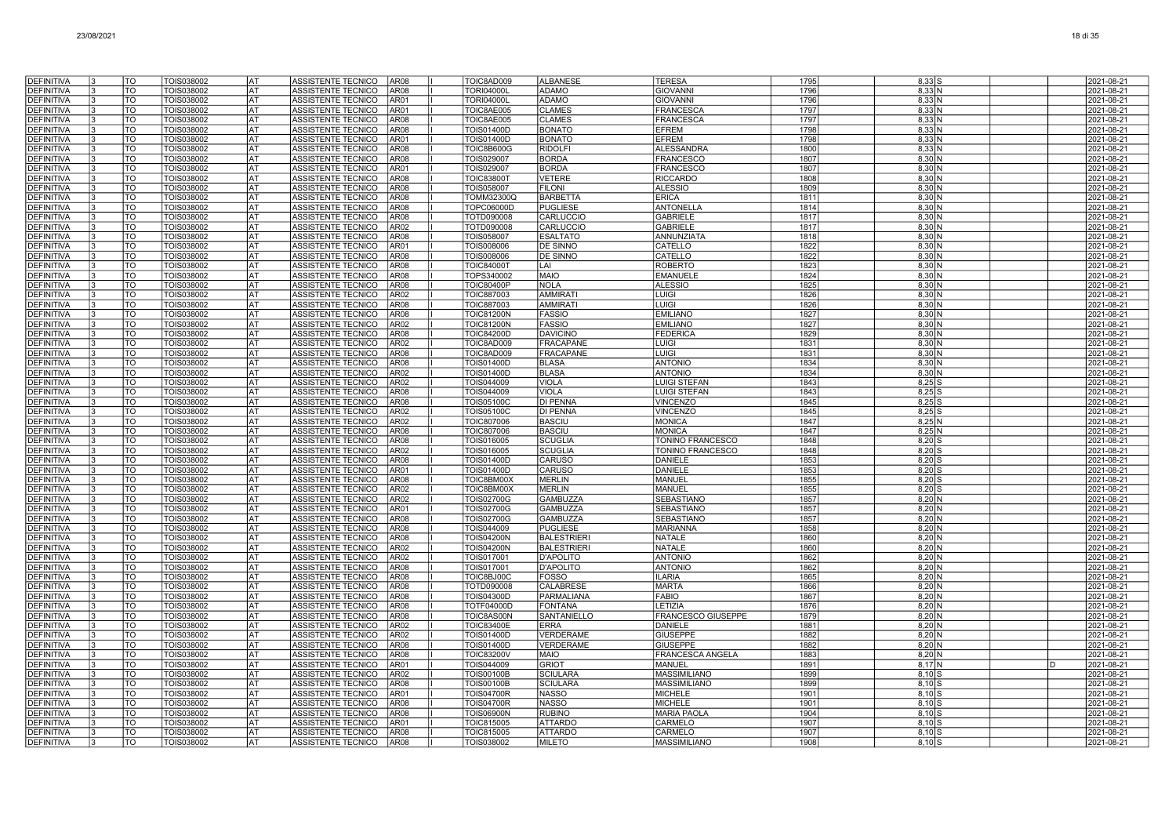| <b>DEFINITIVA</b>                      |    | TO              | TOIS038002               | lat                    | AR08<br>ASSISTENTE TECNICO                                                    | TOIC8AD009                      | <b>ALBANESE</b>                     | <b>TERESA</b>                    | 1795         | $8,33$ $S$                  |              | 2021-08-21               |
|----------------------------------------|----|-----------------|--------------------------|------------------------|-------------------------------------------------------------------------------|---------------------------------|-------------------------------------|----------------------------------|--------------|-----------------------------|--------------|--------------------------|
| <b>DEFINITIVA</b>                      |    | <b>TO</b>       | TOIS038002               | <b>AT</b>              | AR <sub>08</sub><br><b>ASSISTENTE TECNICO</b>                                 | <b>TORI04000L</b>               | <b>ADAMO</b>                        | <b>GIOVANNI</b>                  | 1796         | 8.33N                       |              | 2021-08-21               |
| <b>DEFINITIVA</b>                      |    | <b>TO</b>       | TOIS038002               | lat                    | ASSISTENTE TECNICO<br>AR01                                                    | <b>TORI04000L</b>               | <b>ADAMO</b>                        | <b>GIOVANNI</b>                  | 1796         | 8,33 N                      |              | 2021-08-21               |
| <b>DEFINITIVA</b>                      |    | <b>TO</b>       | TOIS038002               | lat                    | ASSISTENTE TECNICO<br>AR01                                                    | TOIC8AE005                      | <b>CLAMES</b>                       | <b>FRANCESCA</b>                 | 1797         | 8,33 N                      |              | 2021-08-21               |
| <b>DEFINITIVA</b>                      |    | TO              | TOIS038002               | AT                     | ASSISTENTE TECNICO<br><b>AR08</b>                                             | TOIC8AE005                      | <b>CLAMES</b>                       | <b>FRANCESCA</b>                 | 1797         | $8,33$ N                    |              | 2021-08-21               |
| <b>DEFINITIVA</b>                      |    | TO              | TOIS038002               | AT                     | ASSISTENTE TECNICO<br><b>AR08</b>                                             | <b>TOIS01400D</b>               | <b>BONATO</b>                       | <b>EFREM</b>                     | 1798         | 8,33 N                      |              | 2021-08-21               |
| <b>DEFINITIVA</b>                      | 13 | TO              | TOIS038002               | lat                    | ASSISTENTE TECNICO<br>AR01                                                    | <b>TOIS01400D</b>               | <b>BONATO</b>                       | <b>EFREM</b>                     | 1798         | 8,33 N                      |              | 2021-08-21               |
| <b>DEFINITIVA</b>                      |    | TO              | TOIS038002               | lat                    | <b>ASSISTENTE TECNICO</b><br><b>AR08</b>                                      | TOIC8B600G                      | <b>RIDOLFI</b>                      | <b>ALESSANDRA</b>                | 1800         | 8.33 <sub>N</sub>           |              | 2021-08-21               |
| <b>DEFINITIVA</b>                      |    | TO              | TOIS038002               | lat                    | ASSISTENTE TECNICO<br>AR08                                                    | TOIS029007                      | <b>BORDA</b>                        | <b>FRANCESCO</b>                 | 1807         | $8,30$ N                    |              | 2021-08-21               |
| <b>DEFINITIVA</b>                      |    | TO              | TOIS038002               | <b>AT</b>              | ASSISTENTE TECNICO<br>AR01                                                    | <b>TOIS029007</b>               | <b>BORDA</b>                        | FRANCESCO                        | 1807         | $8,30$ N                    |              | 2021-08-21               |
| <b>DEFINITIVA</b>                      |    | <b>TO</b><br>TO | TOIS038002               | <b>AT</b><br>lat       | <b>ASSISTENTE TECNICO</b><br><b>AR08</b><br><b>ASSISTENTE TECNICO</b><br>AR08 | <b>TOIC83800T</b>               | <b>VETERE</b><br><b>FILONI</b>      | <b>RICCARDO</b>                  | 1808<br>1809 | 8,30 N<br>8.30 <sub>N</sub> |              | 2021-08-21<br>2021-08-21 |
| DEFINITIVA<br><b>DEFINITIVA</b>        | 13 | TO              | TOIS038002<br>TOIS038002 | lat                    | ASSISTENTE TECNICO<br><b>AR08</b>                                             | TOIS058007<br>TOMM32300Q        | <b>BARBETTA</b>                     | <b>ALESSIO</b><br><b>ERICA</b>   | 1811         | 8,30 N                      |              | 2021-08-21               |
| <b>DEFINITIVA</b>                      |    | TO              | TOIS038002               | AT                     | ASSISTENTE TECNICO<br><b>AR08</b>                                             | TOPC06000D                      | <b>PUGLIESE</b>                     | <b>ANTONELLA</b>                 | 1814         | 8,30 N                      |              | 2021-08-21               |
| <b>DEFINITIVA</b>                      | l3 | TO              | TOIS038002               | AT                     | ASSISTENTE TECNICO<br><b>AR08</b>                                             | TOTD090008                      | CARLUCCIO                           | <b>GABRIELE</b>                  | 1817         | $8,30$ N                    |              | 2021-08-21               |
| <b>DEFINITIVA</b>                      | 13 | TO              | TOIS038002               | lat                    | ASSISTENTE TECNICO<br>AR02                                                    | TOTD090008                      | CARLUCCIO                           | <b>GABRIELE</b>                  | 1817         | $8,30$ N                    |              | 2021-08-21               |
| <b>DEFINITIVA</b>                      | 3  | TO              | TOIS038002               | lat                    | <b>ASSISTENTE TECNICO</b><br><b>AR08</b>                                      | TOIS058007                      | <b>ESALTATO</b>                     | <b>ANNUNZIATA</b>                | 1818         | 8.30 <sub>N</sub>           |              | 2021-08-21               |
| <b>DEFINITIVA</b>                      | I٩ | TO              | TOIS038002               | lat                    | ASSISTENTE TECNICO<br>AR01                                                    | TOIS008006                      | DE SINNO                            | CATELLO                          | 1822         | $8,30$ N                    |              | 2021-08-21               |
| <b>DEFINITIVA</b>                      |    | <b>TO</b>       | TOIS038002               | <b>AT</b>              | ASSISTENTE TECNICO<br><b>AR08</b>                                             | <b>TOIS008006</b>               | DE SINNO                            | CATELLO                          | 1822         | 8,30 N                      |              | 2021-08-21               |
| <b>DEFINITIVA</b>                      |    | lto             | TOIS038002               | <b>AT</b>              | <b>AR08</b><br><b>ASSISTENTE TECNICO</b>                                      | <b>TOIC84000T</b>               | LAI                                 | <b>ROBERTO</b>                   | 1823         | 8,30 N                      |              | 2021-08-21               |
| <b>DEFINITIVA</b>                      |    | <b>TO</b>       | TOIS038002               | lat                    | <b>ASSISTENTE TECNICO</b><br><b>AR08</b>                                      | TOPS340002                      | <b>MAIO</b>                         | <b>EMANUELE</b>                  | 1824         | $8.30\text{N}$              |              | 2021-08-21               |
| <b>DEFINITIVA</b>                      |    | <b>TO</b>       | TOIS038002               | lat                    | ASSISTENTE TECNICO<br><b>AR08</b>                                             | <b>TOIC80400P</b>               | <b>NOLA</b>                         | <b>ALESSIO</b>                   | 1825         | 8,30 N                      |              | 2021-08-21               |
| <b>DEFINITIVA</b>                      |    | <b>TO</b>       | TOIS038002               | lat                    | ASSISTENTE TECNICO<br><b>AR02</b>                                             | TOIC887003                      | <b>AMMIRAT</b>                      | <b>LUIGI</b>                     | 1826         | 8,30 N                      |              | 2021-08-21               |
| <b>DEFINITIVA</b>                      | l3 | TO              | TOIS038002               | AT                     | ASSISTENTE TECNICO<br><b>AR08</b>                                             | TOIC887003                      | <b>AMMIRATI</b>                     | <b>LUIGI</b>                     | 1826         | $8,30$ N                    |              | 2021-08-21               |
| <b>DEFINITIVA</b>                      |    | TO              | TOIS038002               | lat                    | ASSISTENTE TECNICO<br><b>AR08</b>                                             | <b>TOIC81200N</b>               | <b>FASSIO</b>                       | <b>EMILIANO</b>                  | 1827         | 8,30 N                      |              | 2021-08-21               |
| <b>DEFINITIVA</b>                      |    | TO<br><b>TO</b> | TOIS038002               | lat<br>lat             | ASSISTENTE TECNICO<br>AR <sub>02</sub>                                        | <b>TOIC81200N</b>               | <b>FASSIO</b>                       | <b>EMILIANO</b>                  | 1827         | 8.30 <sub>N</sub>           |              | 2021-08-21               |
| <b>DEFINITIVA</b>                      |    | TO              | TOIS038002               | AT                     | ASSISTENTE TECNICO<br><b>AR08</b><br><b>AR02</b>                              | <b>TOIC84200D</b>               | <b>DAVICINO</b><br><b>FRACAPANE</b> | FEDERICA                         | 1829         | $8,30$ N<br>8,30 N          |              | 2021-08-21<br>2021-08-21 |
| <b>DEFINITIVA</b><br><b>DEFINITIVA</b> |    | lto             | TOIS038002<br>TOIS038002 | lat                    | ASSISTENTE TECNICO<br>ASSISTENTE TECNICO<br><b>AR08</b>                       | TOIC8AD009<br>TOIC8AD009        | <b>FRACAPANE</b>                    | LUIGI<br>LUIGI                   | 1831<br>1831 | $8,30$ N                    |              | 2021-08-21               |
| DEFINITIVA                             |    | TO              | TOIS038002               | AT                     | <b>ASSISTENTE TECNICO</b><br><b>AR08</b>                                      | <b>TOIS01400D</b>               | <b>BLASA</b>                        | <b>ANTONIO</b>                   | 1834         | 8,30 N                      |              | 2021-08-21               |
| <b>DEFINITIVA</b>                      | 13 | TO              | TOIS038002               | AT                     | ASSISTENTE TECNICO<br>AR02                                                    | TOIS01400D                      | <b>BLASA</b>                        | <b>ANTONIO</b>                   | 1834         | 8,30 N                      |              | 2021-08-21               |
| <b>DEFINITIVA</b>                      |    | TO              | TOIS038002               | AT                     | ASSISTENTE TECNICO<br>AR02                                                    | TOIS044009                      | <b>VIOLA</b>                        | <b>LUIGI STEFAN</b>              | 1843         | $8,25$ S                    |              | 2021-08-21               |
| <b>DEFINITIVA</b>                      | 13 | TO              | TOIS038002               | AT                     | ASSISTENTE TECNICO<br><b>AR08</b>                                             | TOIS044009                      | <b>VIOLA</b>                        | <b>LUIGI STEFAN</b>              | 1843         | $8,25$ S                    |              | 2021-08-21               |
| <b>DEFINITIVA</b>                      | 13 | TO              | TOIS038002               | lat                    | ASSISTENTE TECNICO<br>AR08                                                    | <b>TOIS05100C</b>               | DI PENNA                            | <b>VINCENZO</b>                  | 1845         | $8,25$ S                    |              | 2021-08-21               |
| <b>DEFINITIVA</b>                      |    | <b>TO</b>       | TOIS038002               | l AT                   | ASSISTENTE TECNICO<br><b>AR02</b>                                             | <b>TOIS05100C</b>               | <b>DI PENNA</b>                     | <b>VINCENZO</b>                  | 1845         | $8,25$ S                    |              | 2021-08-21               |
| <b>DEFINITIVA</b>                      |    | TO              | TOIS038002               | lat                    | ASSISTENTE TECNICO<br>AR02                                                    | <b>TOIC807006</b>               | <b>BASCIU</b>                       | <b>MONICA</b>                    | 1847         | 8,25 N                      |              | 2021-08-21               |
| <b>DEFINITIVA</b>                      |    | <b>TO</b>       | TOIS038002               | AT                     | <b>AR08</b><br>ASSISTENTE TECNICO                                             | <b>TOIC807006</b>               | <b>BASCIU</b>                       | <b>MONICA</b>                    | 1847         | $8,25$ N                    |              | 2021-08-21               |
| <b>DEFINITIVA</b>                      |    | lto             | TOIS038002               | lat                    | ASSISTENTE TECNICO<br><b>AR08</b>                                             | TOIS016005                      | <b>SCUGLIA</b>                      | TONINO FRANCESCO                 | 1848         | $8,20$ S                    |              | 2021-08-21               |
| DEFINITIVA                             |    | TO              | TOIS038002               | lat                    | <b>AR02</b><br>ASSISTENTE TECNICO                                             | TOIS016005                      | <b>SCUGLIA</b>                      | TONINO FRANCESCO                 | 1848         | $8,20$ S                    |              | 2021-08-21               |
| <b>DEFINITIVA</b>                      |    | <b>TO</b><br>TO | TOIS038002               | lat<br>lat             | ASSISTENTE TECNICO<br>AR08<br>AR01                                            | <b>TOIS01400D</b>               | <b>CARUSO</b><br><b>CARUSO</b>      | <b>DANIELE</b><br><b>DANIELE</b> | 1853<br>1853 | $8,20$ S<br>$8,20$ S        |              | 2021-08-21<br>2021-08-21 |
| <b>DEFINITIVA</b><br><b>DEFINITIVA</b> |    | TO              | TOIS038002<br>TOIS038002 | lat                    | ASSISTENTE TECNICO<br><b>AR08</b><br>ASSISTENTE TECNICO                       | <b>TOIS01400D</b><br>TOIC8BM00X | <b>MERLIN</b>                       | <b>MANUEL</b>                    | 1855         | $8,20$ S                    |              | 2021-08-21               |
| <b>DEFINITIVA</b>                      |    | TO              | TOIS038002               | AT                     | ASSISTENTE TECNICO<br>AR02                                                    | TOIC8BM00X                      | <b>MERLIN</b>                       | <b>MANUEL</b>                    | 1855         | $8,20$ S                    |              | 2021-08-21               |
| <b>DEFINITIVA</b>                      |    | <b>TO</b>       | TOIS038002               | lat                    | <b>ASSISTENTE TECNICO</b><br>AR <sub>02</sub>                                 | <b>TOIS02700G</b>               | <b>GAMBUZZA</b>                     | <b>SEBASTIANO</b>                | 1857         | 8,20 N                      |              | 2021-08-21               |
| <b>DEFINITIVA</b>                      |    | TO              | TOIS038002               | lat                    | ASSISTENTE TECNICO<br>AR01                                                    | <b>TOIS02700G</b>               | GAMBUZZA                            | SEBASTIANO                       | 1857         | $8,20$ N                    |              | 2021-08-21               |
| <b>DEFINITIVA</b>                      |    | TO              | TOIS038002               | AT                     | ASSISTENTE TECNICO<br><b>AR08</b>                                             | <b>TOIS02700G</b>               | <b>GAMBUZZA</b>                     | <b>SEBASTIANO</b>                | 1857         | 8,20 N                      |              | 2021-08-21               |
| <b>DEFINITIVA</b>                      |    | TO              | TOIS038002               | lat                    | ASSISTENTE TECNICO<br>AR08                                                    | TOIS044009                      | <b>PUGLIESE</b>                     | <b>MARIANNA</b>                  | 1858         | 8,20 N                      |              | 2021-08-21               |
| <b>DEFINITIVA</b>                      |    | TO              | TOIS038002               | lat                    | <b>ASSISTENTE TECNICO</b><br><b>AR08</b>                                      | <b>TOIS04200N</b>               | <b>BALESTRIERI</b>                  | <b>NATALE</b>                    | 1860         | 8,20 N                      |              | 2021-08-21               |
| <b>DEFINITIVA</b>                      |    | TO              | TOIS038002               | AT                     | AR02<br>ASSISTENTE TECNICO                                                    | <b>TOIS04200N</b>               | <b>BALESTRIERI</b>                  | <b>NATALE</b>                    | 1860         | 8,20 N                      |              | 2021-08-21               |
| <b>DEFINITIVA</b>                      | l3 | TO              | TOIS038002               | IAT                    | <b>AR02</b><br>ASSISTENTE TECNICO                                             | TOIS017001                      | <b>D'APOLITO</b>                    | <b>ANTONIO</b>                   | 1862         | $8,20$ N                    |              | 2021-08-21               |
| <b>DEFINITIVA</b>                      | 13 | TO              | TOIS038002               | lat                    | ASSISTENTE TECNICO<br>AR08                                                    | TOIS017001                      | <b>D'APOLITO</b>                    | <b>ANTONIO</b>                   | 1862         | $8,20$ N                    |              | 2021-08-21               |
| <b>DEFINITIVA</b>                      | l3 | TO              | TOIS038002               | AT                     | ASSISTENTE TECNICO<br>AR08                                                    | TOIC8BJ00C                      | <b>FOSSO</b>                        | <b>ILARIA</b>                    | 1865         | 8,20 N                      |              | 2021-08-21               |
| <b>DEFINITIVA</b>                      | l3 | TO<br>TO        | TOIS038002               | l AT                   | ASSISTENTE TECNICO<br>AR08                                                    | TOTD090008                      | CALABRESE                           | <b>MARTA</b>                     | 1866         | 8,20 N                      |              | 2021-08-21               |
| <b>DEFINITIVA</b>                      |    | TO              | TOIS038002               | <b>AT</b><br><b>AT</b> | ASSISTENTE TECNICO<br><b>AR08</b><br>ASSISTENTE TECNICO<br><b>AR08</b>        | <b>TOIS04300D</b>               | PARMALIANA<br><b>FONTANA</b>        | <b>FABIO</b><br>LETIZIA          | 1867<br>1876 | 8,20 N                      |              | 2021-08-21               |
| <b>DEFINITIVA</b><br><b>DEFINITIVA</b> |    | <b>TO</b>       | TOIS038002<br>TOIS038002 | lat                    | ASSISTENTE TECNICO<br><b>AR08</b>                                             | TOTF04000D<br>TOIC8AS00N        | SANTANIELLO                         | FRANCESCO GIUSEPPE               | 1879         | 8,20 N<br>$8,20$ N          |              | 2021-08-21<br>2021-08-21 |
| <b>DEFINITIVA</b>                      |    | <b>TO</b>       | TOIS038002               | lat                    | <b>AR02</b><br>ASSISTENTE TECNICO                                             | <b>TOIC83400E</b>               | <b>ERRA</b>                         | <b>DANIELE</b>                   | 1881         | 8.20 N                      |              | 2021-08-21               |
| <b>DEFINITIVA</b>                      |    | TO              | TOIS038002               | AT                     | ASSISTENTE TECNICO<br>AR02                                                    | TOIS01400D                      | VERDERAME                           | <b>GIUSEPPE</b>                  | 1882         | 8,20 N                      |              | 2021-08-21               |
| <b>DEFINITIVA</b>                      |    | TO              | TOIS038002               | <b>AT</b>              | <b>AR08</b><br>ASSISTENTE TECNICO                                             | <b>TOIS01400D</b>               | <b>VERDERAME</b>                    | <b>GIUSEPPE</b>                  | 1882         | $8,20$ N                    |              | 2021-08-21               |
| <b>DEFINITIVA</b>                      |    | TO              | TOIS038002               | lat                    | ASSISTENTE TECNICO<br><b>AR08</b>                                             | <b>TOIC83200V</b>               | <b>MAIO</b>                         | FRANCESCA ANGELA                 | 1883         | $8,20$ N                    |              | 2021-08-21               |
| <b>DEFINITIVA</b>                      |    | TO              | TOIS038002               | <b>AT</b>              | <b>ASSISTENTE TECNICO</b><br>AR01                                             | TOIS044009                      | <b>GRIOT</b>                        | <b>MANUEL</b>                    | 1891         | $8,17$ N                    | <sub>D</sub> | 2021-08-21               |
| <b>DEFINITIVA</b>                      |    | <b>TO</b>       | TOIS038002               | lat                    | ASSISTENTE TECNICO<br><b>AR02</b>                                             | <b>TOIS00100B</b>               | <b>SCIULARA</b>                     | <b>MASSIMILIANO</b>              | 1899         | $8.10$ S                    |              | 2021-08-21               |
| <b>DEFINITIVA</b>                      |    | TO              | TOIS038002               | <b>AT</b>              | ASSISTENTE TECNICO<br><b>AR08</b>                                             | <b>TOIS00100B</b>               | <b>SCIULARA</b>                     | <b>MASSIMILIANO</b>              | 1899         | $8,10$ S                    |              | 2021-08-21               |
| <b>DEFINITIVA</b>                      |    | TO              | TOIS038002               | <b>AT</b>              | AR01<br>ASSISTENTE TECNICO                                                    | <b>TOIS04700R</b>               | <b>NASSO</b>                        | <b>MICHELE</b>                   | 1901         | $8,10$ S                    |              | 2021-08-21               |
| <b>DEFINITIVA</b>                      |    | TO              | TOIS038002               | l AT                   | <b>ASSISTENTE TECNICO</b><br>AR08                                             | <b>TOIS04700R</b>               | <b>NASSO</b>                        | <b>MICHELE</b>                   | 1901         | $8.10$ S                    |              | 2021-08-21               |
| <b>DEFINITIVA</b>                      |    | TO              | TOIS038002               | AT                     | ASSISTENTE TECNICO<br>AR08                                                    | <b>TOIS06900N</b>               | <b>RUBINO</b>                       | <b>MARIA PAOLA</b>               | 1904         | $8.10$ S                    |              | 2021-08-21               |
| <b>DEFINITIVA</b>                      |    | TO              | <b>FOIS038002</b>        | AT                     | ASSISTENTE TECNICO<br>AR01                                                    | TOIC815005                      | <b>ATTARDO</b>                      | CARMELO                          | 1907         | $8,10$ S                    |              | 2021-08-21               |
| <b>DEFINITIVA</b>                      | IЗ | TO              | TOIS038002               | AT                     | ASSISTENTE TECNICO<br><b>AR08</b>                                             | TOIC815005                      | <b>ATTARDO</b>                      | CARMELO                          | 1907         | $8,10$ S                    |              | 2021-08-21               |
| DEFINITIVA                             | 13 | TO              | TOIS038002               | lat                    | ASSISTENTE TECNICO<br><b>AR08</b>                                             | TOIS038002                      | <b>MILETO</b>                       | <b>MASSIMILIANO</b>              | 1908         | $8,10$ S                    |              | 2021-08-21               |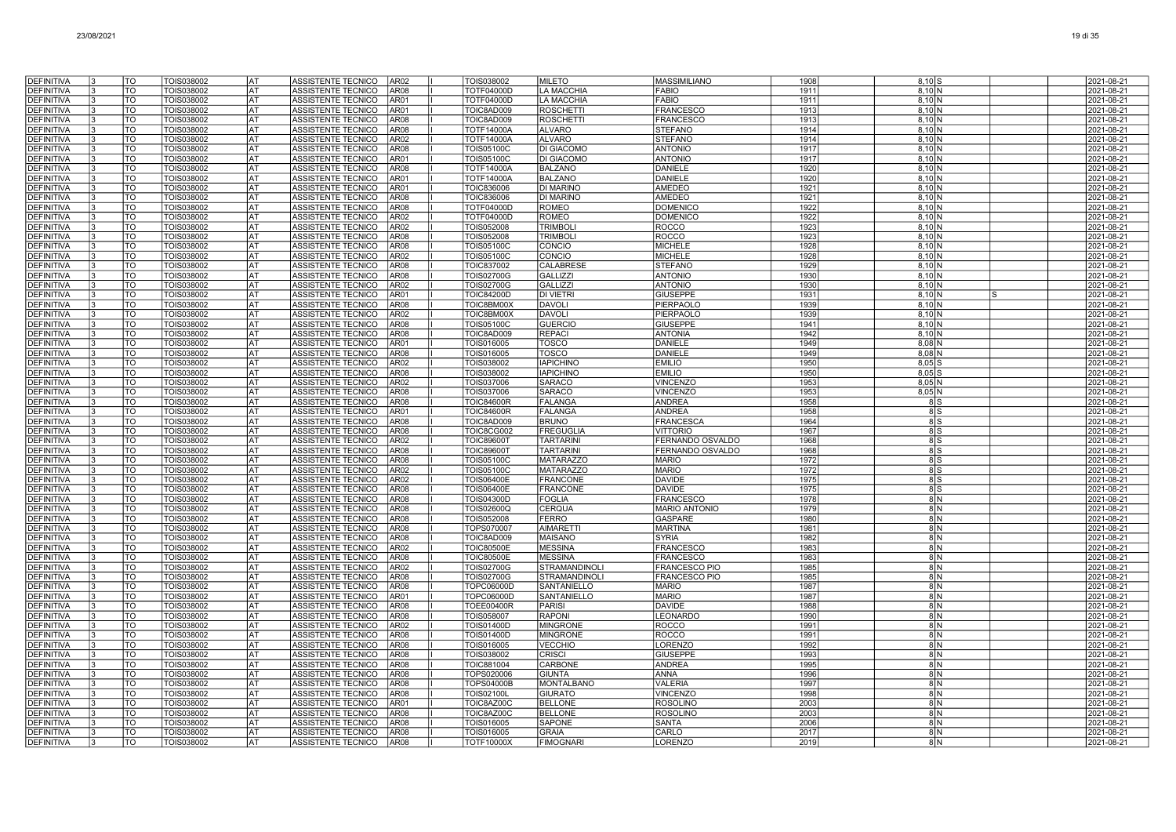| <b>DEFINITIVA</b>                      | TO              | TOIS038002               | lat              | ASSISTENTE TECNICO                              | AR <sub>02</sub>         | TOIS038002                             | <b>MILETO</b>                            | <b>MASSIMILIANO</b>              | 1908         | $8.10$ S                      |  | 2021-08-21               |
|----------------------------------------|-----------------|--------------------------|------------------|-------------------------------------------------|--------------------------|----------------------------------------|------------------------------------------|----------------------------------|--------------|-------------------------------|--|--------------------------|
| <b>DEFINITIVA</b>                      | $\overline{10}$ | TOIS038002               | <b>AT</b>        | ASSISTENTE TECNICO                              | AR <sub>08</sub>         | <b>TOTF04000D</b>                      | <b>LA MACCHIA</b>                        | <b>FABIO</b>                     | 1911         | $8,10$ N                      |  | 2021-08-21               |
| DEFINITIVA                             | <b>TO</b>       | TOIS038002               | <b>AT</b>        | ASSISTENTE TECNICO                              | AR01                     | <b>TOTF04000D</b>                      | <b>LA MACCHIA</b>                        | <b>FABIO</b>                     | 1911         | $8,10$ N                      |  | 2021-08-21               |
| <b>DEFINITIVA</b>                      | TO              | TOIS038002               | lat              | ASSISTENTE TECNICO                              | AR01                     | TOIC8AD009                             | <b>ROSCHETTI</b>                         | <b>FRANCESCO</b>                 | 1913         | $8,10$ N                      |  | 2021-08-21               |
| <b>DEFINITIVA</b>                      | TO              | TOIS038002               | <b>AT</b>        | ASSISTENTE TECNICO                              | AR <sub>08</sub>         | TOIC8AD009                             | <b>ROSCHETTI</b>                         | FRANCESCO                        | 1913         | $8,10$ N                      |  | 2021-08-21               |
| <b>DEFINITIVA</b>                      | TO              | TOIS038002               | <b>AT</b>        | ASSISTENTE TECNICO                              | <b>AR08</b>              | <b>TOTF14000A</b>                      | <b>ALVARO</b>                            | <b>STEFANO</b>                   | 1914         | $8,10$ N                      |  | 2021-08-21               |
| <b>DEFINITIVA</b>                      | TO              | TOIS038002               | AT               | ASSISTENTE TECNICO                              | AR02                     | TOTF14000A                             | <b>ALVARO</b>                            | <b>STEFANO</b>                   | 1914         | $8,10$ N                      |  | 2021-08-21               |
| <b>DEFINITIVA</b>                      | TO              | TOIS038002               | lat              | ASSISTENTE TECNICO                              | <b>AR08</b>              | <b>TOIS05100C</b>                      | <b>DI GIACOMO</b>                        | <b>ANTONIO</b>                   | 1917         | 8,10 N                        |  | 2021-08-21               |
| <b>DEFINITIVA</b>                      | TO              | TOIS038002               | lat              | ASSISTENTE TECNICO                              | AR01                     | <b>TOIS05100C</b>                      | <b>DI GIACOMO</b>                        | <b>ANTONIO</b>                   | 1917         | 8.10 <sub>N</sub>             |  | 2021-08-21               |
| <b>DEFINITIVA</b>                      | TO              | TOIS038002               | lat              | ASSISTENTE TECNICO                              | <b>AR08</b>              | <b>TOTF14000A</b>                      | <b>BALZANO</b>                           | <b>DANIELE</b>                   | 1920         | 8.10 <sub>N</sub>             |  | 2021-08-21               |
| <b>DEFINITIVA</b>                      | $\overline{10}$ | TOIS038002               | <b>AT</b>        | <b>ASSISTENTE TECNICO</b>                       | AR01                     | <b>TOTF14000A</b>                      | <b>BALZANO</b>                           | <b>DANIELE</b>                   | 192C         | $8,10$ N                      |  | 2021-08-21               |
| <b>DEFINITIVA</b>                      | <b>TO</b><br>TO | TOIS038002               | lat<br><b>AT</b> | <b>ASSISTENTE TECNICO</b>                       | AR01                     | <b>TOIC836006</b>                      | <b>DI MARINO</b>                         | <b>AMEDEO</b>                    | 1921         | 8.10 <sub>N</sub>             |  | 2021-08-21               |
| <b>DEFINITIVA</b><br><b>DEFINITIVA</b> | TO              | TOIS038002<br>TOIS038002 | AT               | <b>ASSISTENTE TECNICO</b><br>ASSISTENTE TECNICO | AR08<br>AR08             | <b>TOIC836006</b><br><b>FOTF04000E</b> | <b>DI MARINO</b><br><b>ROMEO</b>         | AMEDEO<br><b>DOMENICC</b>        | 1921<br>1922 | $8,10$ N<br>$8,10$ N          |  | 2021-08-21<br>2021-08-21 |
| <b>DEFINITIVA</b>                      | TO              | TOIS038002               | AT               | ASSISTENTE TECNICO                              | AR02                     | <b>TOTF04000D</b>                      | <b>ROMEO</b>                             | <b>DOMENICC</b>                  | 1922         | $8,10$ N                      |  | 2021-08-21               |
| <b>DEFINITIVA</b>                      | TO              | TOIS038002               | <b>AT</b>        | ASSISTENTE TECNICO                              | AR02                     | TOIS052008                             | <b>TRIMBOL</b>                           | <b>ROCCO</b>                     | 1923         | $8,10$ N                      |  | 2021-08-21               |
| <b>DEFINITIVA</b>                      | TO              | TOIS038002               | AT               | ASSISTENTE TECNICO                              | AR08                     | TOIS052008                             | <b>TRIMBOLI</b>                          | <b>ROCCO</b>                     | 1923         | $8,10$ N                      |  | 2021-08-21               |
| <b>DEFINITIVA</b>                      | TO              | TOIS038002               | AT               | ASSISTENTE TECNICO                              | AR08                     | <b>TOIS05100C</b>                      | CONCIO                                   | <b>MICHELE</b>                   | 1928         | 8.10 <sub>N</sub>             |  | 2021-08-21               |
| <b>DEFINITIVA</b>                      | TO              | TOIS038002               | <b>AT</b>        | ASSISTENTE TECNICO                              | AR02                     | <b>TOIS05100C</b>                      | CONCIO                                   | <b>MICHELE</b>                   | 1928         | $8,10$ N                      |  | 2021-08-21               |
| <b>DEFINITIVA</b>                      | $\overline{10}$ | TOIS038002               | <b>AT</b>        | <b>ASSISTENTE TECNICO</b>                       | AR <sub>08</sub>         | TOIC837002                             | CALABRESE                                | <b>STEFANO</b>                   | 1929         | $8,10$ N                      |  | 2021-08-21               |
| <b>DEFINITIVA</b>                      | <b>TO</b>       | TOIS038002               | <b>AT</b>        | ASSISTENTE TECNICO                              | AR <sub>08</sub>         | <b>TOIS02700G</b>                      | <b>GALLIZZI</b>                          | <b>ANTONIO</b>                   | 1930         | $8,10$ N                      |  | 2021-08-21               |
| <b>DEFINITIVA</b>                      | TO              | TOIS038002               | lat              | <b>ASSISTENTE TECNICO</b>                       | AR <sub>02</sub>         | <b>TOIS02700G</b>                      | <b>GALLIZZI</b>                          | <b>ANTONIO</b>                   | 1930         | $8,10$ N                      |  | 2021-08-21               |
| <b>DEFINITIVA</b>                      | <b>TO</b>       | TOIS038002               | <b>AT</b>        | ASSISTENTE TECNICO                              | AR01                     | <b>TOIC84200D</b>                      | <b>DI VIETRI</b>                         | <b>GIUSEPPE</b>                  | 1931         | $8,10$ N                      |  | 2021-08-21               |
| <b>DEFINITIVA</b>                      | TO              | TOIS038002               | <b>AT</b>        | ASSISTENTE TECNICO                              | <b>AR08</b>              | TOIC8BM00X                             | <b>DAVOLI</b>                            | PIERPAOLC                        | 1939         | $8,10$ N                      |  | 2021-08-21               |
| <b>DEFINITIVA</b>                      | TO              | TOIS038002               | <b>AT</b>        | ASSISTENTE TECNICO                              | AR <sub>02</sub>         | TOIC8BM00X                             | <b>DAVOLI</b>                            | PIERPAOLC                        | 1939         | $8,10$ N                      |  | 2021-08-21               |
| <b>DEFINITIVA</b>                      | TO              | TOIS038002<br>TOIS038002 | AT               | ASSISTENTE TECNICO                              | <b>AR08</b>              | <b>TOIS05100C</b><br>TOIC8AD009        | <b>GUERCIO</b><br><b>REPACI</b>          | <b>GIUSEPPE</b>                  | 1941<br>1942 | $8,10$ N<br>8.10 <sub>N</sub> |  | 2021-08-21               |
| <b>DEFINITIVA</b>                      | TO<br>TO        |                          | lat<br>l AT      | ASSISTENTE TECNICO                              | AR08<br>AR01             |                                        |                                          | <b>ANTONIA</b><br><b>DANIELE</b> | 1949         |                               |  | 2021-08-21               |
| <b>DEFINITIVA</b><br><b>DEFINITIVA</b> | TO              | TOIS038002<br>TOIS038002 | <b>AT</b>        | ASSISTENTE TECNICO<br><b>ASSISTENTE TECNICO</b> | <b>AR08</b>              | TOIS016005<br>TOIS016005               | <b>TOSCO</b><br><b>TOSCO</b>             | <b>DANIELE</b>                   | 1949         | $8,08$ N<br>$8,08$ N          |  | 2021-08-21<br>2021-08-21 |
| <b>DEFINITIVA</b>                      | <b>TO</b>       | TOIS038002               | <b>AT</b>        | <b>ASSISTENTE TECNICO</b>                       | AR02                     | TOIS038002                             | <b>IAPICHINO</b>                         | <b>EMILIO</b>                    | 1950         | $8,05$ S                      |  | 2021-08-21               |
| <b>DEFINITIVA</b>                      | TO              | TOIS038002               | lat              | ASSISTENTE TECNICO                              | AR08                     | TOIS038002                             | <b>IAPICHINO</b>                         | <b>EMILIO</b>                    | 1950         | $8,05$ $\frac{1}{3}$          |  | 2021-08-21               |
| <b>DEFINITIVA</b>                      | TO              | TOIS038002               | <b>AT</b>        | <b>ASSISTENTE TECNICO</b>                       | AR02                     | <b>FOIS037006</b>                      | <b>SARACO</b>                            | <b>VINCENZO</b>                  | 1953         | $8,05$ N                      |  | 2021-08-21               |
| <b>DEFINITIVA</b>                      | TO              | TOIS038002               | <b>AT</b>        | ASSISTENTE TECNICO                              | AR08                     | <b>FOIS037006</b>                      | <b>SARACO</b>                            | <b>VINCENZO</b>                  | 1953         | 8,05 N                        |  | 2021-08-21               |
| <b>DEFINITIVA</b>                      | TO              | TOIS038002               | <b>AT</b>        | ASSISTENTE TECNICO                              | AR08                     | <b>TOIC84600F</b>                      | <b>FALANGA</b>                           | <b>ANDREA</b>                    | 1958         | 8S                            |  | 2021-08-21               |
| <b>DEFINITIVA</b>                      | TO              | TOIS038002               | AT               | <b>ASSISTENTE TECNICO</b>                       | AR01                     | <b>TOIC84600R</b>                      | <b>FALANGA</b>                           | <b>ANDREA</b>                    | 1958         | 8S                            |  | 2021-08-21               |
| <b>DEFINITIVA</b>                      | TO              | TOIS038002               | <b>AT</b>        | ASSISTENTE TECNICO                              | <b>AR08</b>              | TOIC8AD009                             | <b>BRUNO</b>                             | <b>FRANCESCA</b>                 | 1964         | 8S                            |  | 2021-08-21               |
| DEFINITIVA                             | TO              | TOIS038002               | l AT             | ASSISTENTE TECNICO                              | AR08                     | <b>TOIC8CG002</b>                      | <b>FREGUGLIA</b>                         | <b>VITTORIO</b>                  | 1967         | 8S                            |  | 2021-08-21               |
| <b>DEFINITIVA</b>                      | TO              | TOIS038002               | <b>AT</b>        | ASSISTENTE TECNICO                              | AR <sub>02</sub>         | <b>TOIC89600T</b>                      | <b>TARTARINI</b>                         | FERNANDO OSVALDO                 | 1968         | 8S                            |  | 2021-08-21               |
| <b>DEFINITIVA</b>                      | $\overline{10}$ | TOIS038002               | <b>AT</b>        | ASSISTENTE TECNICO                              | AR <sub>08</sub>         | <b>TOIC89600T</b>                      | <b>TARTARINI</b>                         | FERNANDO OSVALDO                 | 1968         | 8S                            |  | 2021-08-21               |
| <b>DEFINITIVA</b><br><b>DEFINITIVA</b> | TO<br>TO        | TOIS038002               | lat<br>AT        | ASSISTENTE TECNICO                              | AR <sub>08</sub><br>AR02 | <b>TOIS05100C</b>                      | <b>MATARAZZO</b><br><b>MATARAZZO</b>     | <b>MARIO</b><br><b>MARIO</b>     | 1972<br>1972 | 8 S                           |  | 2021-08-21               |
| <b>DEFINITIVA</b>                      | TO              | TOIS038002<br>TOIS038002 | <b>AT</b>        | ASSISTENTE TECNICO<br>ASSISTENTE TECNICO        | AR <sub>02</sub>         | TOIS05100C<br>TOIS06400E               | <b>FRANCONE</b>                          | <b>DAVIDE</b>                    | 1975         | 8S<br>8S                      |  | 2021-08-21<br>2021-08-21 |
| <b>DEFINITIVA</b>                      | TO              | TOIS038002               | AT               | ASSISTENTE TECNICO                              | <b>AR08</b>              | <b>TOIS06400E</b>                      | <b>FRANCONE</b>                          | <b>DAVIDE</b>                    | 1975         | 8S                            |  | 2021-08-21               |
| <b>DEFINITIVA</b>                      | TO              | TOIS038002               | AT               | ASSISTENTE TECNICO                              | AR <sub>08</sub>         | <b>TOIS04300D</b>                      | <b>FOGLIA</b>                            | <b>FRANCESCO</b>                 | 1978         | 8 N                           |  | 2021-08-21               |
| <b>DEFINITIVA</b>                      | TO              | TOIS038002               | lat              | ASSISTENTE TECNICO                              | AR <sub>08</sub>         | TOIS02600Q                             | <b>CERQUA</b>                            | <b>MARIO ANTONIO</b>             | 1979         | 8 N                           |  | 2021-08-21               |
| <b>DEFINITIVA</b>                      | TO              | TOIS038002               | l AT             | ASSISTENTE TECNICO                              | <b>AR08</b>              | TOIS052008                             | <b>FERRO</b>                             | <b>GASPARE</b>                   | 1980         | 8 N                           |  | 2021-08-21               |
| <b>DEFINITIVA</b>                      | TO              | TOIS038002               | lat              | ASSISTENTE TECNICO                              | <b>AR08</b>              | TOPS070007                             | <b>AIMARETT</b>                          | <b>MARTINA</b>                   | 1981         | 8 N                           |  | 2021-08-21               |
| <b>DEFINITIVA</b>                      | $\overline{10}$ | TOIS038002               | <b>AT</b>        | <b>ASSISTENTE TECNICO</b>                       | AR08                     | TOIC8AD009                             | <b>MAISANO</b>                           | <b>SYRIA</b>                     | 1982         | 8 N                           |  | 2021-08-21               |
| <b>DEFINITIVA</b>                      | TO              | TOIS038002               | <b>AT</b>        | <b>ASSISTENTE TECNICO</b>                       | AR02                     | <b>TOIC80500E</b>                      | <b>MESSINA</b>                           | <b>FRANCESCO</b>                 | 1983         | 8 N                           |  | 2021-08-21               |
| <b>DEFINITIVA</b>                      | TO              | TOIS038002               | <b>AT</b>        | ASSISTENTE TECNICO                              | <b>AR08</b>              | <b>TOIC80500E</b>                      | <b>MESSINA</b>                           | FRANCESCO                        | 1983         | 8 N                           |  | 2021-08-21               |
| DEFINITIVA                             | TO              | TOIS038002               | AT               | <b>ASSISTENTE TECNICO</b>                       | AR02                     | TOIS02700G                             | <b>STRAMANDINOLI</b>                     | FRANCESCO PIO                    | 1985         | 8 N                           |  | 2021-08-21               |
| <b>DEFINITIVA</b>                      | TO              | TOIS038002               | AT               | ASSISTENTE TECNICO                              | <b>AR08</b>              | <b>TOIS02700G</b>                      | <b>STRAMANDINOLI</b>                     | FRANCESCO PIO                    | 1985         | 8 N                           |  | 2021-08-21               |
| <b>DEFINITIVA</b><br><b>DEFINITIVA</b> | TO<br>TO        | TOIS038002<br>TOIS038002 | AT<br> AT        | ASSISTENTE TECNICO<br>ASSISTENTE TECNICO        | AR08<br>AR01             | TOPC06000D<br>TOPC06000D               | <b>SANTANIELLO</b><br><b>SANTANIELLO</b> | <b>MARIO</b><br><b>MARIO</b>     | 1987<br>1987 | 8 N<br>8 N                    |  | 2021-08-21<br>2021-08-21 |
| <b>DEFINITIVA</b>                      | TO              | TOIS038002               | l AT             | ASSISTENTE TECNICO                              | AR08                     | <b>TOEE00400R</b>                      | <b>PARISI</b>                            | <b>DAVIDE</b>                    | 1988         | 8 N                           |  | 2021-08-21               |
| <b>DEFINITIVA</b>                      | TO              | TOIS038002               | lat              | ASSISTENTE TECNICO                              | AR08                     | TOIS058007                             | <b>RAPONI</b>                            | LEONARDO                         | 1990         | 8 N                           |  | 2021-08-21               |
| <b>DEFINITIVA</b>                      | $\overline{10}$ | TOIS038002               | <b>AT</b>        | ASSISTENTE TECNICO                              | AR <sub>02</sub>         | <b>TOIS01400D</b>                      | <b>MINGRONE</b>                          | <b>ROCCO</b>                     | 1991         | 8 N                           |  | 2021-08-21               |
| <b>DEFINITIVA</b>                      | TO              | TOIS038002               | lat              | ASSISTENTE TECNICO                              | AR <sub>08</sub>         | TOIS01400D                             | <b>MINGRONE</b>                          | <b>ROCCO</b>                     | 1991         | 8 N                           |  | 2021-08-21               |
| <b>DEFINITIVA</b>                      | TO              | TOIS038002               | AT               | ASSISTENTE TECNICO                              | AR <sub>08</sub>         | TOIS016005                             | <b>VECCHIO</b>                           | LORENZO                          | 1992         | 8 N                           |  | 2021-08-21               |
| <b>DEFINITIVA</b>                      | TO              | TOIS038002               | lat              | ASSISTENTE TECNICO                              | AR <sub>08</sub>         | TOIS038002                             | <b>CRISCI</b>                            | <b>GIUSEPPE</b>                  | 1993         | 8 N                           |  | 2021-08-21               |
| <b>DEFINITIVA</b>                      | TO              | TOIS038002               | <b>AT</b>        | ASSISTENTE TECNICO                              | AR <sub>08</sub>         | TOIC881004                             | <b>CARBONE</b>                           | <b>ANDREA</b>                    | 1995         | 8 N                           |  | 2021-08-21               |
| <b>DEFINITIVA</b>                      | TO              | TOIS038002               | lat              | ASSISTENTE TECNICO                              | AR <sub>08</sub>         | TOPS020006                             | <b>GIUNTA</b>                            | <b>ANNA</b>                      | 1996         | 8 N                           |  | 2021-08-21               |
| <b>DEFINITIVA</b>                      | TO              | TOIS038002               | AT               | ASSISTENTE TECNICO                              | <b>AR08</b>              | <b>TOPS04000B</b>                      | <b>MONTALBANO</b>                        | <b>VALERIA</b>                   | 1997         | 8N                            |  | 2021-08-21               |
| <b>DEFINITIVA</b>                      | TO              | TOIS038002               | l AT             | ASSISTENTE TECNICO                              | AR08                     | <b>TOIS02100L</b>                      | <b>GIURATO</b>                           | <b>VINCENZO</b>                  | 1998         | 8 N                           |  | 2021-08-21               |
| <b>DEFINITIVA</b>                      | TO              | TOIS038002               | l AT             | ASSISTENTE TECNICO                              | AR01                     | TOIC8AZ00C                             | <b>BELLONE</b>                           | <b>ROSOLINO</b>                  | 2003         | 8N                            |  | 2021-08-21               |
| <b>DEFINITIVA</b>                      | $\overline{10}$ | TOIS038002               | AT               | ASSISTENTE TECNICO                              | AR08                     | TOIC8AZ00C                             | <b>BELLONE</b>                           | <b>ROSOLINO</b>                  | 2003         | 8 N                           |  | 2021-08-21               |
| <b>DEFINITIVA</b>                      | TO              | TOIS038002               | lat              | ASSISTENTE TECNICO                              | AR08                     | TOIS016005                             | <b>SAPONE</b>                            | <b>SANTA</b>                     | 2006         | 8 N                           |  | 2021-08-21               |
| <b>DEFINITIVA</b>                      | TO<br>TO        | TOIS038002               | <b>AT</b><br> AT | ASSISTENTE TECNICO                              | AR <sub>08</sub><br>AR08 | TOIS016005                             | <b>GRAIA</b><br><b>FIMOGNARI</b>         | CARLO<br><b>LORENZO</b>          | 2017<br>2019 | 8 N<br>8 N                    |  | 2021-08-21               |
| DEFINITIVA                             |                 | TOIS038002               |                  | ASSISTENTE TECNICO                              |                          | <b>TOTF10000X</b>                      |                                          |                                  |              |                               |  | 2021-08-21               |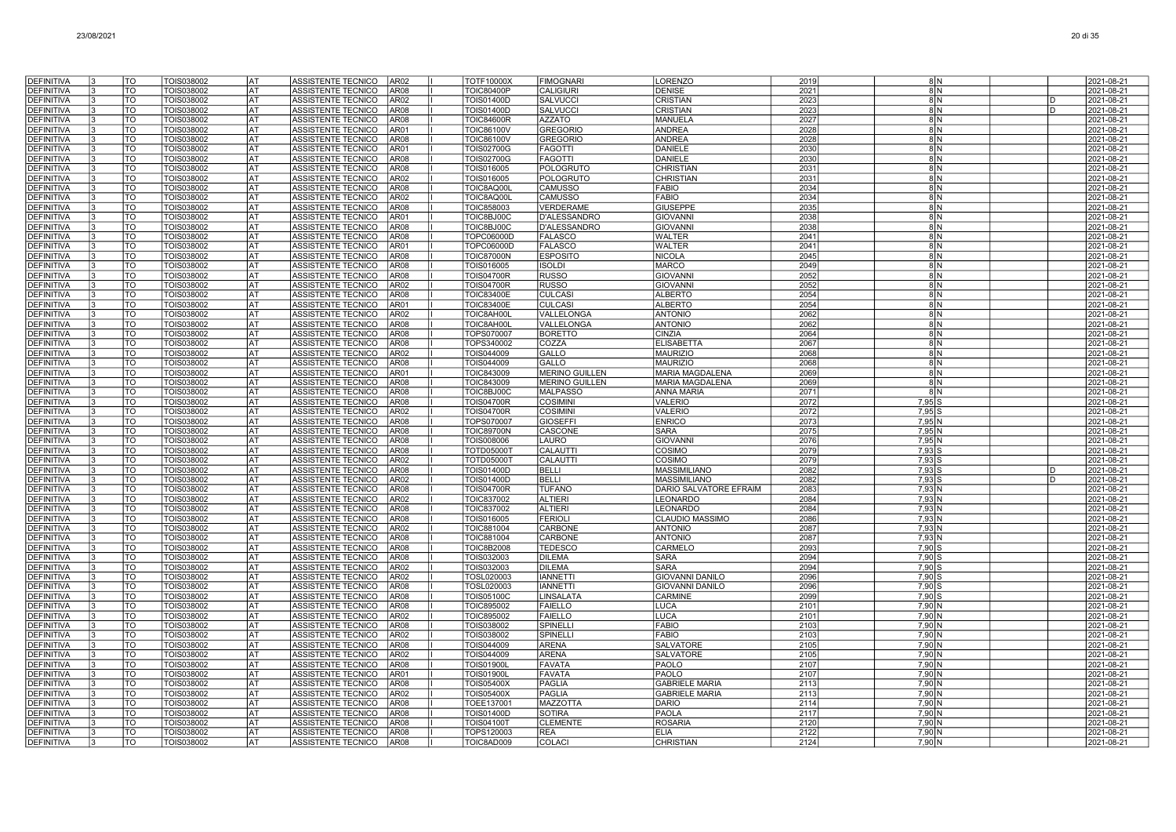| <b>DEFINITIVA</b>                      | TO                       | TOIS038002               | lat        | ASSISTENTE TECNICO<br>AR <sub>02</sub>                                                  | <b>TOTF10000X</b>               | <b>FIMOGNARI</b>                   | LORENZO                                   | 2019         |                  | 8 N |   | 2021-08-21               |
|----------------------------------------|--------------------------|--------------------------|------------|-----------------------------------------------------------------------------------------|---------------------------------|------------------------------------|-------------------------------------------|--------------|------------------|-----|---|--------------------------|
| <b>DEFINITIVA</b>                      | $\overline{\text{TO}}$   | TOIS038002               | <b>AT</b>  | AR <sub>08</sub><br>ASSISTENTE TECNICO                                                  | <b>TOIC80400P</b>               | <b>CALIGIURI</b>                   | <b>DENISE</b>                             | 2021         |                  | 8N  |   | 2021-08-21               |
| <b>DEFINITIVA</b>                      | <b>TO</b>                | TOIS038002               | lat        | ASSISTENTE TECNICO<br>AR <sub>02</sub>                                                  | <b>TOIS01400D</b>               | <b>SALVUCCI</b>                    | <b>CRISTIAN</b>                           | 2023         | 8 N              |     | D | 2021-08-21               |
| <b>DEFINITIVA</b>                      | TO                       | TOIS038002               | lat        | ASSISTENTE TECNICO<br>AR08                                                              | <b>TOIS01400D</b>               | <b>SALVUCCI</b>                    | CRISTIAN                                  | 2023         | 8 N              |     | n | 2021-08-21               |
| <b>DEFINITIVA</b>                      | TO                       | TOIS038002               | AT         | ASSISTENTE TECNICO<br>AR <sub>08</sub>                                                  | <b>TOIC84600R</b>               | <b>AZZATO</b>                      | MANUELA                                   | 2027         |                  | 8N  |   | 2021-08-21               |
| DEFINITIVA                             | TO                       | TOIS038002               | AT         | ASSISTENTE TECNICO<br>AR01                                                              | <b>TOIC86100V</b>               | <b>GREGORIO</b>                    | ANDREA                                    | 2028         | 8 N              |     |   | 2021-08-21               |
| <b>DEFINITIVA</b>                      | TO                       | TOIS038002               | AT         | ASSISTENTE TECNICO<br>AR <sub>08</sub>                                                  | <b>TOIC86100V</b>               | <b>GREGORIO</b>                    | <b>ANDREA</b>                             | 2028         | 8 N              |     |   | 2021-08-21               |
| <b>DEFINITIVA</b>                      | TO                       | TOIS038002               | lat        | ASSISTENTE TECNICO<br>AR01                                                              | <b>TOIS02700G</b>               | <b>FAGOTTI</b>                     | <b>DANIELE</b>                            | 2030         | -8 IN            |     |   | 2021-08-21               |
| DEFINITIVA                             | TO                       | TOIS038002               | lat        | <b>ASSISTENTE TECNICO</b><br>AR <sub>08</sub>                                           | <b>TOIS02700G</b>               | <b>FAGOTTI</b>                     | <b>DANIELE</b>                            | 2030         |                  | 8 N |   | 2021-08-21               |
| <b>DEFINITIVA</b>                      | TO                       | TOIS038002               | lat        | ASSISTENTE TECNICO<br>AR <sub>08</sub>                                                  | TOIS016005                      | POLOGRUTO                          | <b>CHRISTIAN</b>                          | 2031         |                  | 8N  |   | 2021-08-21               |
| <b>DEFINITIVA</b>                      | $\overline{\mathrm{TO}}$ | TOIS038002               | <b>AT</b>  | ASSISTENTE TECNICO<br>AR02                                                              | TOIS016005                      | POLOGRUTO                          | <b>CHRISTIAN</b>                          | 2031         | 8N               |     |   | 2021-08-21               |
| <b>DEFINITIVA</b>                      | TO                       | TOIS038002               | lat        | ASSISTENTE TECNICO<br>AR08                                                              | TOIC8AQ00L                      | <b>CAMUSSO</b>                     | <b>FABIO</b>                              | 2034         | 8 N              |     |   | 2021-08-21               |
| <b>DEFINITIVA</b>                      | TO                       | TOIS038002               | AT         | ASSISTENTE TECNICO<br>AR <sub>02</sub>                                                  | TOIC8AQ00L                      | <b>CAMUSSO</b>                     | <b>FABIO</b>                              | 2034         |                  | 8 N |   | 2021-08-21               |
| <b>DEFINITIVA</b>                      | TO                       | TOIS038002               | AT         | ASSISTENTE TECNICO<br>AR <sub>08</sub>                                                  | TOIC858003                      | VERDERAME                          | <b>GIUSEPPE</b>                           | 2035         |                  | 8N  |   | 2021-08-21               |
| DEFINITIVA                             | TO                       | TOIS038002               | AT         | ASSISTENTE TECNICO<br>AR01                                                              | TOIC8BJ00C                      | D'ALESSANDRO                       | <b>GIOVANNI</b>                           | 2038         | 8 N              |     |   | 2021-08-21               |
| <b>DEFINITIVA</b><br><b>DEFINITIVA</b> | TO<br>TO                 | TOIS038002<br>TOIS038002 | AT<br>AT   | ASSISTENTE TECNICO<br>AR <sub>08</sub><br>ASSISTENTE TECNICO<br>AR08                    | TOIC8BJ00C<br><b>TOPC06000D</b> | D'ALESSANDRO<br><b>FALASCO</b>     | <b>GIOVANN</b><br><b>WALTER</b>           | 2038<br>2041 | -8 IN<br>8 N     |     |   | 2021-08-21<br>2021-08-21 |
| <b>DEFINITIVA</b>                      | TO                       | TOIS038002               | AT         | ASSISTENTE TECNICO<br>AR01                                                              | <b>TOPC06000D</b>               | <b>FALASCO</b>                     | <b>WALTER</b>                             | 2041         |                  | 8 N |   | 2021-08-21               |
| <b>DEFINITIVA</b>                      | TO                       | TOIS038002               | <b>AT</b>  | <b>AR08</b><br>ASSISTENTE TECNICO                                                       | <b>TOIC87000N</b>               | <b>ESPOSITO</b>                    | <b>NICOLA</b>                             | 2045         |                  | 8N  |   | 2021-08-21               |
| <b>DEFINITIVA</b>                      | $\overline{10}$          | TOIS038002               | lat        | ASSISTENTE TECNICO<br>AR <sub>08</sub>                                                  | TOIS016005                      | <b>ISOLDI</b>                      | <b>MARCO</b>                              | 2049         | 8 N              |     |   | 2021-08-21               |
| <b>DEFINITIVA</b>                      | <b>TO</b>                | TOIS038002               | lat        | ASSISTENTE TECNICO<br>AR <sub>08</sub>                                                  | <b>TOIS04700R</b>               | <b>RUSSO</b>                       | <b>GIOVANNI</b>                           | 2052         | 8 N              |     |   | 2021-08-21               |
| <b>DEFINITIVA</b>                      | TO                       | TOIS038002               | AT         | ASSISTENTE TECNICO<br>AR <sub>02</sub>                                                  | <b>TOIS04700R</b>               | <b>RUSSO</b>                       | <b>GIOVANNI</b>                           | 2052         |                  | 8 N |   | 2021-08-21               |
| <b>DEFINITIVA</b>                      | TO                       | TOIS038002               | AT         | ASSISTENTE TECNICO<br>AR <sub>08</sub>                                                  | TOIC83400E                      | <b>CULCASI</b>                     | <b>ALBERTO</b>                            | 2054         | 8 N              |     |   | 2021-08-21               |
| <b>DEFINITIVA</b>                      | TO                       | TOIS038002               | AT         | ASSISTENTE TECNICO<br>AR01                                                              | TOIC83400E                      | <b>CULCASI</b>                     | <b>ALBERTO</b>                            | 2054         | 8 N              |     |   | 2021-08-21               |
| <b>DEFINITIVA</b>                      | TO                       | TOIS038002               | lat        | AR <sub>02</sub><br>ASSISTENTE TECNICO                                                  | TOIC8AH00L                      | VALLELONGA                         | <b>ANTONIO</b>                            | 2062         | -8 IN            |     |   | 2021-08-21               |
| <b>DEFINITIVA</b>                      | TO                       | TOIS038002               | lat        | <b>ASSISTENTE TECNICO</b><br>AR08                                                       | TOIC8AH00L                      | VALLELONGA                         | <b>ANTONIO</b>                            | 2062         |                  | 8 N |   | 2021-08-21               |
| <b>DEFINITIVA</b>                      | TO                       | TOIS038002               | l AT       | ASSISTENTE TECNICO<br>AR <sub>08</sub>                                                  | TOPS070007                      | <b>BORETTO</b>                     | CINZIA                                    | 2064         |                  | 8N  |   | 2021-08-21               |
| <b>DEFINITIVA</b>                      | <b>TO</b>                | TOIS038002               | <b>AT</b>  | ASSISTENTE TECNICO<br>AR08                                                              | TOPS340002                      | COZZA                              | <b>ELISABETTA</b>                         | 2067         | 8N               |     |   | 2021-08-21               |
| <b>DEFINITIVA</b>                      | TO                       | TOIS038002               | lat        | ASSISTENTE TECNICO<br>AR <sub>02</sub>                                                  | TOIS044009                      | GALLO                              | <b>MAURIZIO</b>                           | 2068         | 8 N              |     |   | 2021-08-21               |
| <b>DEFINITIVA</b>                      | TO                       | TOIS038002               | AT         | ASSISTENTE TECNICO<br>AR08                                                              | TOIS044009                      | GALLO                              | <b>MAURIZIO</b>                           | 2068         |                  | 8N  |   | 2021-08-21               |
| <b>DEFINITIVA</b>                      | TO                       | TOIS038002               | AT         | ASSISTENTE TECNICO<br>AR01                                                              | TOIC843009                      | <b>MERINO GUILLEN</b>              | <b>MARIA MAGDALENA</b>                    | 2069         |                  | 8 N |   | 2021-08-21               |
| DEFINITIVA                             | TO                       | TOIS038002               | AT         | ASSISTENTE TECNICO<br>AR08                                                              | <b>TOIC843009</b>               | <b>MERINO GUILLEN</b>              | MARIA MAGDALENA                           | 2069         | 8 N              |     |   | 2021-08-21               |
| <b>DEFINITIVA</b>                      | TO                       | TOIS038002               | AT         | ASSISTENTE TECNICO<br><b>AR08</b>                                                       | TOIC8BJ00C                      | <b>MALPASSO</b>                    | <b>ANNA MARIA</b>                         | 2071         | 8 N              |     |   | 2021-08-21               |
| <b>DEFINITIVA</b>                      | TO                       | TOIS038002               | AT         | ASSISTENTE TECNICO<br>AR08                                                              | <b>TOIS04700R</b>               | <b>COSIMINI</b>                    | <b>VALERIO</b>                            | 2072         | 7,95 S           |     |   | 2021-08-21               |
| <b>DEFINITIVA</b>                      | TO<br>TO                 | TOIS038002               | AT<br>l AT | ASSISTENTE TECNICO<br>AR02<br>AR <sub>08</sub>                                          | <b>TOIS04700R</b>               | <b>COSIMINI</b><br><b>GIOSEFFI</b> | <b>VALERIO</b>                            | 2072         | $7,95$ S         |     |   | 2021-08-21               |
| <b>DEFINITIVA</b><br><b>DEFINITIVA</b> | TO                       | TOIS038002<br>TOIS038002 | <b>AT</b>  | ASSISTENTE TECNICO<br>ASSISTENTE TECNICO<br>AR <sub>08</sub>                            | TOPS070007<br><b>TOIC89700N</b> | CASCONE                            | <b>ENRICO</b><br><b>SARA</b>              | 2073<br>2075 | 7,95 N<br>7,95 N |     |   | 2021-08-21<br>2021-08-21 |
| <b>DEFINITIVA</b>                      | <b>TO</b>                | TOIS038002               | <b>AT</b>  | AR <sub>08</sub><br>ASSISTENTE TECNICO                                                  | TOIS008006                      | LAURO                              | <b>GIOVANNI</b>                           | 2076         | 7,95 N           |     |   | 2021-08-21               |
| <b>DEFINITIVA</b>                      | TO                       | TOIS038002               | AT         | ASSISTENTE TECNICO<br>AR <sub>08</sub>                                                  | TOTD050001                      | CALAUTTI                           | COSIMO                                    | 2079         | $7.93$ S         |     |   | 2021-08-21               |
| <b>DEFINITIVA</b>                      | TO                       | TOIS038002               | AT         | ASSISTENTE TECNICO<br>AR <sub>02</sub>                                                  | <b>TOTD05000T</b>               | CALAUTTI                           | COSIMO                                    | 2079         | $7,93$ $S$       |     |   | 2021-08-21               |
| <b>DEFINITIVA</b>                      | $\overline{\mathrm{TO}}$ | TOIS038002               | AT         | ASSISTENTE TECNICO<br>AR <sub>08</sub>                                                  | TOIS01400D                      | <b>BELLI</b>                       | <b>MASSIMILIANO</b>                       | 2082         | $7,93$ S         |     | D | 2021-08-21               |
| <b>DEFINITIVA</b>                      | TO                       | TOIS038002               | AT         | ASSISTENTE TECNICO<br>AR <sub>02</sub>                                                  | <b>TOIS01400D</b>               | <b>BELLI</b>                       | <b>MASSIMILIANO</b>                       | 2082         | $7,93$ S         |     |   | 2021-08-21               |
| <b>DEFINITIVA</b>                      | TO                       | TOIS038002               | lat        | ASSISTENTE TECNICO<br>AR <sub>08</sub>                                                  | <b>TOIS04700R</b>               | <b>TUFANO</b>                      | DARIO SALVATORE EFRAIM                    | 2083         | 7,93 N           |     |   | 2021-08-21               |
| <b>DEFINITIVA</b>                      | TO                       | TOIS038002               | lat        | <b>ASSISTENTE TECNICO</b><br>AR <sub>02</sub>                                           | TOIC837002                      | <b>ALTIERI</b>                     | LEONARDO                                  | 2084         | 7,93 N           |     |   | 2021-08-21               |
| <b>DEFINITIVA</b>                      | TO                       | TOIS038002               | lat        | ASSISTENTE TECNICO<br>AR <sub>08</sub>                                                  | TOIC837002                      | <b>ALTIERI</b>                     | LEONARDO                                  | 2084         | 7,93 N           |     |   | 2021-08-21               |
| <b>DEFINITIVA</b>                      | TO                       | TOIS038002               | <b>AT</b>  | ASSISTENTE TECNICO<br>AR08                                                              | TOIS016005                      | <b>FERIOLI</b>                     | CLAUDIO MASSIMO                           | 2086         | $7,93$ N         |     |   | 2021-08-21               |
| <b>DEFINITIVA</b>                      | TO                       | TOIS038002               | <b>AT</b>  | ASSISTENTE TECNICO<br>AR <sub>02</sub>                                                  | TOIC881004                      | CARBONE                            | <b>ANTONIO</b>                            | 2087         | 7,93 N           |     |   | 2021-08-21               |
| <b>DEFINITIVA</b>                      | TO                       | TOIS038002               | AT         | ASSISTENTE TECNICO<br>AR08                                                              | <b>TOIC881004</b>               | CARBONE                            | <b>ANTONIO</b>                            | 2087         | $7.93$ N         |     |   | 2021-08-21               |
| DEFINITIVA                             | TO                       | TOIS038002               | AT         | ASSISTENTE TECNICO<br>AR08                                                              | TOIC8B2008                      | <b>TEDESCO</b>                     | CARMELO                                   | 2093         | $7,90$ S         |     |   | 2021-08-21               |
| <b>DEFINITIVA</b>                      | TO                       | TOIS038002               | AT         | ASSISTENTE TECNICO<br>AR <sub>08</sub>                                                  | TOIS032003                      | <b>DILEMA</b>                      | SARA                                      | 2094         | $7,90$ $S$       |     |   | 2021-08-21               |
| <b>DEFINITIVA</b>                      | TO                       | TOIS038002               | AT         | ASSISTENTE TECNICO<br>AR02                                                              | TOIS032003                      | <b>DILEMA</b>                      | <b>SARA</b>                               | 2094         | 7.90 S           |     |   | 2021-08-21               |
| <b>DEFINITIVA</b><br><b>DEFINITIVA</b> | TO<br>TO                 | TOIS038002<br>TOIS038002 | AT<br>AT   | ASSISTENTE TECNICO<br>AR <sub>02</sub><br><b>ASSISTENTE TECNICO</b><br>AR <sub>08</sub> | TOSL020003<br>TOSL020003        | <b>IANNETT</b><br><b>IANNETTI</b>  | <b>GIOVANNI DANILO</b><br>GIOVANNI DANILO | 2096<br>2096 | 7,90 S<br>7.90 S |     |   | 2021-08-21<br>2021-08-21 |
| <b>DEFINITIVA</b>                      | TO                       | TOIS038002               | lat        | ASSISTENTE TECNICO<br><b>AR08</b>                                                       | <b>TOIS05100C</b>               | LINSALATA                          | CARMINE                                   | 2099         | $7,90$ S         |     |   | 2021-08-21               |
| <b>DEFINITIVA</b>                      | $\overline{\mathrm{TO}}$ | TOIS038002               | AT         | ASSISTENTE TECNICO<br>AR <sub>08</sub>                                                  | <b>TOIC895002</b>               | <b>FAIELLO</b>                     | LUCA                                      | 2101         | 7,90 N           |     |   | 2021-08-21               |
| <b>DEFINITIVA</b>                      | TO                       | TOIS038002               | lat        | ASSISTENTE TECNICO<br>AR <sub>02</sub>                                                  | <b>TOIC895002</b>               | <b>FAIELLO</b>                     | <b>LUCA</b>                               | 2101         | 7,90 N           |     |   | 2021-08-21               |
| <b>DEFINITIVA</b>                      | TO                       | TOIS038002               | AT         | ASSISTENTE TECNICO<br>AR <sub>08</sub>                                                  | TOIS038002                      | SPINELLI                           | <b>FABIO</b>                              | 2103         | 7.90 N           |     |   | 2021-08-21               |
| <b>DEFINITIVA</b>                      | TO                       | TOIS038002               | AT         | AR <sub>02</sub><br>ASSISTENTE TECNICO                                                  | TOIS038002                      | <b>SPINELL</b>                     | <b>FABIO</b>                              | 2103         | 7,90 N           |     |   | 2021-08-21               |
| <b>DEFINITIVA</b>                      | TO                       | TOIS038002               | lat        | ASSISTENTE TECNICO<br>AR <sub>08</sub>                                                  | TOIS044009                      | <b>ARENA</b>                       | SALVATORE                                 | 2105         | 7,90 N           |     |   | 2021-08-21               |
| <b>DEFINITIVA</b>                      | TO                       | TOIS038002               | AT         | AR <sub>02</sub><br>ASSISTENTE TECNICO                                                  | TOIS044009                      | <b>ARENA</b>                       | SALVATORE                                 | 2105         | 7,90 N           |     |   | 2021-08-21               |
| <b>DEFINITIVA</b>                      | TO                       | TOIS038002               | IAT        | ASSISTENTE TECNICO<br>AR <sub>08</sub>                                                  | <b>TOIS01900L</b>               | <b>FAVATA</b>                      | PAOLO                                     | 2107         | 7,90 N           |     |   | 2021-08-21               |
| <b>DEFINITIVA</b>                      | TO                       | TOIS038002               | l AT       | <b>ASSISTENTE TECNICO</b><br>AR <sub>01</sub>                                           | <b>TOIS01900L</b>               | <b>FAVATA</b>                      | PAOLO                                     | 2107         | 7.90 N           |     |   | 2021-08-21               |
| <b>DEFINITIVA</b>                      | TO                       | TOIS038002               | lat        | ASSISTENTE TECNICO<br>AR08                                                              | <b>TOIS05400X</b>               | PAGLIA                             | <b>GABRIELE MARIA</b>                     | 2113         | 7,90 N           |     |   | 2021-08-21               |
| <b>DEFINITIVA</b>                      | TO                       | TOIS038002               | <b>AT</b>  | ASSISTENTE TECNICO<br>AR02                                                              | <b>TOIS05400X</b>               | <b>PAGLIA</b>                      | <b>GABRIELE MARIA</b>                     | 2113         | 7,90 N           |     |   | 2021-08-21               |
| <b>DEFINITIVA</b>                      | TO                       | TOIS038002               | AT         | ASSISTENTE TECNICO<br>AR08                                                              | TOEE137001                      | MAZZOTTA                           | <b>DARIO</b>                              | 2114         | 7.90 N           |     |   | 2021-08-21               |
| <b>DEFINITIVA</b>                      | TO                       | TOIS038002               | AT         | ASSISTENTE TECNICO<br>AR <sub>08</sub>                                                  | <b>TOIS01400D</b>               | <b>SOTIRA</b>                      | <b>PAOLA</b>                              | 2117         | 7.90 N           |     |   | 2021-08-21               |
| <b>DEFINITIVA</b>                      | TO                       | TOIS038002               | AT         | ASSISTENTE TECNICO<br>AR08                                                              | <b>TOIS04100T</b>               | <b>CLEMENTE</b>                    | <b>ROSARIA</b>                            | 2120         | 7,90 N           |     |   | 2021-08-21               |
| <b>DEFINITIVA</b>                      | TO                       | TOIS038002               | AT         | ASSISTENTE TECNICO<br>AR <sub>08</sub>                                                  | TOPS120003                      | <b>REA</b>                         | <b>FLIA</b>                               | 2122         | 7,90N            |     |   | 2021-08-21               |
| <b>DEFINITIVA</b>                      | TO                       | TOIS038002               | AT         | ASSISTENTE TECNICO<br>AR <sub>08</sub>                                                  | TOIC8AD009                      | COLACI                             | <b>CHRISTIAN</b>                          | 2124         | 7,90 N           |     |   | 2021-08-21               |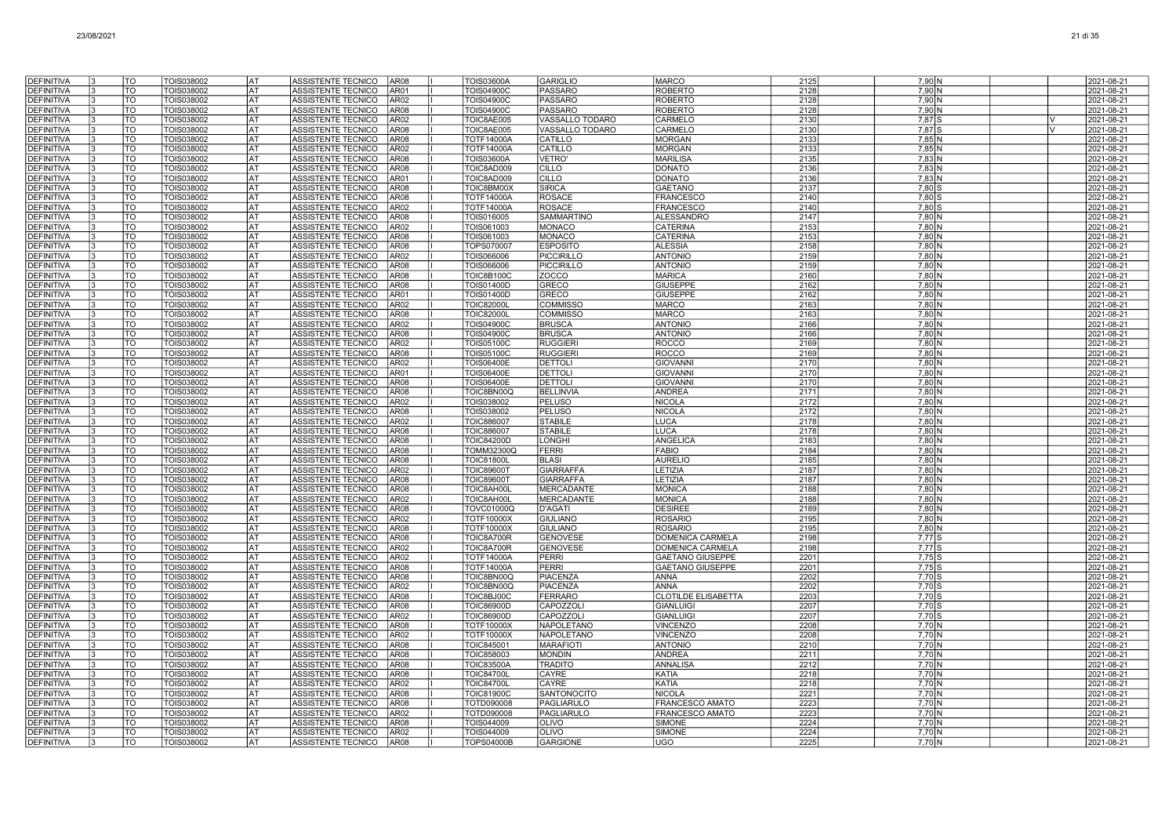| DEFINITIVA                             |    | TO                     | TOIS038002               | <b>AT</b>        | ASSISTENTE TECNICO                              | AR08                | <b>TOIS03600A</b>                      | <b>GARIGLIO</b>                        | <b>MARCO</b>                       | 2125         | 7,90 N             | 2021-08-21               |
|----------------------------------------|----|------------------------|--------------------------|------------------|-------------------------------------------------|---------------------|----------------------------------------|----------------------------------------|------------------------------------|--------------|--------------------|--------------------------|
| <b>DEFINITIVA</b>                      |    | $\overline{10}$        | TOIS038002               | AT               | ASSISTENTE TECNICO                              | AR <sub>01</sub>    | <b>TOIS04900C</b>                      | PASSARO                                | <b>ROBERTO</b>                     | 2128         | 7,90 N             | 2021-08-21               |
| <b>DEFINITIVA</b>                      |    | <b>TO</b>              | TOIS038002               | lat              | <b>ASSISTENTE TECNICO</b>                       | AR <sub>02</sub>    | <b>TOIS04900C</b>                      | PASSARO                                | <b>ROBERTO</b>                     | 2128         | 7.90 N             | 2021-08-21               |
| <b>DEFINITIVA</b>                      |    | <b>TO</b>              | TOIS038002               | IAT              | ASSISTENTE TECNICO                              | AR <sub>08</sub>    | <b>TOIS04900C</b>                      | PASSARO                                | <b>ROBERTO</b>                     | 2128         | 7,90 N             | 2021-08-21               |
| <b>DEFINITIVA</b>                      |    | TO                     | TOIS038002               | AT               | ASSISTENTE TECNICO                              | AR <sub>02</sub>    | TOIC8AE005                             | VASSALLO TODARO                        | CARMELO                            | 2130         | 7,87 S             | 2021-08-21<br>ΙV         |
| <b>DEFINITIVA</b>                      |    | TO                     | TOIS038002               | lat              | ASSISTENTE TECNICO                              | AR08                | TOIC8AE005                             | VASSALLO TODARO                        | CARMELO                            | 2130         | 7,87 S             | 2021-08-21<br>IV.        |
| <b>DEFINITIVA</b>                      |    | <b>TO</b>              | TOIS038002               | lat              | ASSISTENTE TECNICO                              | AR08                | <b>TOTF14000A</b>                      | <b>CATILLO</b>                         | <b>MORGAN</b>                      | 2133         | 7,85 N             | 2021-08-21               |
| <b>DEFINITIVA</b>                      |    | <b>TO</b>              | TOIS038002               | lat              | ASSISTENTE TECNICO                              | AR02                | <b>TOTF14000A</b>                      | CATILLO                                | <b>MORGAN</b>                      | 2133         | 7,85 N             | 2021-08-21               |
| <b>DEFINITIVA</b>                      |    | <b>TO</b>              | TOIS038002               | <b>AT</b>        | ASSISTENTE TECNICO                              | AR08                | <b>TOIS03600A</b>                      | VETRO'                                 | <b>MARILISA</b>                    | 2135         | $7,83$ N           | 2021-08-21               |
| DEFINITIVA                             |    | TO                     | TOIS038002               | <b>AT</b>        | ASSISTENTE TECNICO                              | AR08                | TOIC8AD009                             | <b>CILLO</b>                           | <b>DONATO</b>                      | 2136         | 7,83 N             | 2021-08-21               |
| <b>DEFINITIVA</b>                      |    | TO                     | TOIS038002               | l AT             | ASSISTENTE TECNICO                              | AR01                | TOIC8AD009                             | <b>CILLO</b>                           | <b>DONATO</b>                      | 2136         | 7,83 N             | 2021-08-21               |
| <b>DEFINITIVA</b>                      |    | <b>TO</b>              | TOIS038002               | AT               | ASSISTENTE TECNICO                              | AR08                | <b>FOIC8BM00X</b>                      | <b>SIRICA</b>                          | <b>GAETANO</b>                     | 2137         | $7,80$ S           | 2021-08-21               |
| <b>DEFINITIVA</b><br><b>DEFINITIVA</b> | 13 | TO<br>TO               | TOIS038002<br>TOIS038002 | AT<br>AT         | <b>ASSISTENTE TECNICO</b><br>ASSISTENTE TECNICO | AR08<br>AR02        | <b>TOTF14000A</b><br><b>TOTF14000A</b> | <b>ROSACE</b><br><b>ROSACE</b>         | FRANCESCC<br><b>FRANCESCO</b>      | 2140<br>2140 | $7,80$ S<br>7,80 S | 2021-08-21<br>2021-08-21 |
| <b>DEFINITIVA</b>                      | 13 | TO                     | TOIS038002               | AT               | ASSISTENTE TECNICO                              | AR08                | TOIS016005                             | <b>SAMMARTINO</b>                      | <b>ALESSANDRO</b>                  | 2147         | 7,80 N             | 2021-08-21               |
| <b>DEFINITIVA</b>                      |    | <b>TO</b>              | TOIS038002               | AT               | ASSISTENTE TECNICO                              | AR02                | TOIS061003                             | MONACO                                 | <b>CATERINA</b>                    | 2153         | 7,80 N             | 2021-08-21               |
| DEFINITIVA                             |    | <b>TO</b>              | TOIS038002               | lat              | ASSISTENTE TECNICO                              | <b>AR08</b>         | TOIS061003                             | MONACO                                 | <b>CATERINA</b>                    | 2153         | 7,80 N             | 2021-08-21               |
| <b>DEFINITIVA</b>                      |    | $\overline{10}$        | TOIS038002               | lat              | ASSISTENTE TECNICO                              | AR08                | TOPS070007                             | <b>ESPOSITO</b>                        | <b>ALESSIA</b>                     | 2158         | 7,80 N             | 2021-08-21               |
| <b>DEFINITIVA</b>                      |    | lto                    | TOIS038002               | lat              | ASSISTENTE TECNICO                              | AR <sub>02</sub>    | <b>TOIS066006</b>                      | PICCIRILLO                             | <b>ANTONIO</b>                     | 2159         | 7,80 N             | 2021-08-21               |
| <b>DEFINITIVA</b>                      |    | <b>TO</b>              | TOIS038002               | lat              | <b>ASSISTENTE TECNICO</b>                       | AR <sub>08</sub>    | TOIS066006                             | PICCIRILLO                             | <b>ANTONIO</b>                     | 2159         | 7.80 N             | 2021-08-21               |
| <b>DEFINITIVA</b>                      |    | <b>TO</b>              | TOIS038002               | AT               | ASSISTENTE TECNICO                              | AR <sub>08</sub>    | <b>TOIC8B100C</b>                      | <b>ZOCCO</b>                           | <b>MARICA</b>                      | 2160         | 7,80 N             | 2021-08-21               |
| <b>DEFINITIVA</b>                      |    | <b>TO</b>              | TOIS038002               | lat              | ASSISTENTE TECNICO                              | AR08                | <b>FOIS01400D</b>                      | GRECO                                  | <b>GIUSEPPE</b>                    | 2162         | 7,80 N             | 2021-08-21               |
| <b>DEFINITIVA</b>                      |    | TO                     | TOIS038002               | AT               | ASSISTENTE TECNICO                              | AR01                | <b>TOIS01400D</b>                      | GRECO                                  | <b>GIUSEPPE</b>                    | 2162         | 7,80 N             | 2021-08-21               |
| <b>DEFINITIVA</b>                      |    | TO                     | TOIS038002               | lat              | ASSISTENTE TECNICO                              | AR02                | <b>TOIC82000L</b>                      | <b>COMMISSO</b>                        | <b>MARCO</b>                       | 2163         | 7,80 N             | 2021-08-21               |
| <b>DEFINITIVA</b>                      |    | TO                     | TOIS038002               | lat              | <b>ASSISTENTE TECNICO</b>                       | AR08                | <b>TOIC82000</b>                       | <b>COMMISSO</b>                        | <b>MARCO</b>                       | 2163         | 7,80 N             | 2021-08-21               |
| DEFINITIVA                             |    | <b>TO</b>              | TOIS038002               | <b>AT</b>        | ASSISTENTE TECNICO                              | AR02                | TOIS04900C                             | <b>BRUSCA</b>                          | <b>ANTONIC</b>                     | 2166         | 7,80 N             | 2021-08-21               |
| <b>DEFINITIVA</b>                      |    | <b>TO</b>              | TOIS038002               | <b>AT</b>        | ASSISTENTE TECNICO                              | AR08                | <b>TOIS04900C</b>                      | <b>BRUSCA</b>                          | <b>ANTONIO</b>                     | 2166         | 7,80 N             | 2021-08-21               |
| <b>DEFINITIVA</b><br>DEFINITIVA        |    | lto<br><b>TO</b>       | TOIS038002<br>TOIS038002 | lat<br>AT        | ASSISTENTE TECNICO<br><b>ASSISTENTE TECNICO</b> | AR02<br>AR08        | <b>TOIS05100C</b><br><b>TOIS05100C</b> | <b>RUGGIERI</b><br><b>RUGGIERI</b>     | <b>ROCCO</b><br><b>ROCCO</b>       | 2169<br>2169 | 7,80 N<br>7.80 N   | 2021-08-21<br>2021-08-21 |
| <b>DEFINITIVA</b>                      |    | <b>TO</b>              | TOIS038002               | AT               | ASSISTENTE TECNICO                              | AR02                | <b>TOIS06400E</b>                      | <b>DETTOLI</b>                         | <b>GIOVANN</b>                     | 2170         | 7,80 N             | 2021-08-21               |
| <b>DEFINITIVA</b>                      |    | TO                     | TOIS038002               | AT               | ASSISTENTE TECNICO                              | AR01                | <b>TOIS06400E</b>                      | <b>DETTOLI</b>                         | <b>GIOVANN</b>                     | 2170         | 7,80 N             | 2021-08-21               |
| <b>DEFINITIVA</b>                      |    | <b>TO</b>              | TOIS038002               | AT               | <b>ASSISTENTE TECNICO</b>                       | AR08                | <b>TOIS06400E</b>                      | DETTOLI                                | <b>GIOVANN</b>                     | 2170         | 7,80 N             | 2021-08-21               |
| <b>DEFINITIVA</b>                      |    | TO                     | TOIS038002               | lat              | ASSISTENTE TECNICO                              | AR08                | TOIC8BN00Q                             | <b>BELLINVIA</b>                       | <b>ANDREA</b>                      | 2171         | 7,80 N             | 2021-08-21               |
| <b>DEFINITIVA</b>                      | IЗ | <b>TO</b>              | TOIS038002               | AT               | ASSISTENTE TECNICO                              | AR02                | TOIS038002                             | <b>PELUSO</b>                          | <b>NICOLA</b>                      | 2172         | 7,80 N             | 2021-08-21               |
| DEFINITIVA                             |    | <b>TO</b>              | TOIS038002               | <b>AT</b>        | ASSISTENTE TECNICO                              | <b>AR08</b>         | TOIS038002                             | PELUSO                                 | <b>NICOLA</b>                      | 2172         | 7,80 N             | 2021-08-21               |
| <b>DEFINITIVA</b>                      |    | lto                    | TOIS038002               | <b>AT</b>        | ASSISTENTE TECNICO                              | AR <sub>02</sub>    | <b>TOIC886007</b>                      | <b>STABILE</b>                         | <b>LUCA</b>                        | 2178         | 7,80 N             | 2021-08-21               |
| <b>DEFINITIVA</b>                      |    | TO                     | TOIS038002               | AT               | <b>ASSISTENTE TECNICO</b>                       | AR <sub>08</sub>    | <b>TOIC886007</b>                      | <b>STABILE</b>                         | <b>LUCA</b>                        | 2178         | 7,80 N             | 2021-08-21               |
| <b>DEFINITIVA</b>                      |    | <b>TO</b>              | TOIS038002               | lat              | <b>ASSISTENTE TECNICO</b>                       | AR <sub>08</sub>    | <b>TOIC84200D</b>                      | LONGHI                                 | <b>ANGELICA</b>                    | 2183         | 7.80 N             | 2021-08-21               |
| <b>DEFINITIVA</b>                      |    | <b>TO</b>              | TOIS038002               | l AT             | ASSISTENTE TECNICO                              | AR08                | <b>TOMM32300Q</b>                      | <b>FERRI</b>                           | <b>FABIO</b>                       | 2184         | 7,80 N             | 2021-08-21               |
| <b>DEFINITIVA</b>                      |    | TO                     | TOIS038002               | IAT              | <b>ASSISTENTE TECNICO</b>                       | AR08                | <b>TOIC81800L</b>                      | <b>BLASI</b>                           | <b>AURELIC</b>                     | 2185         | 7,80 N             | 2021-08-21               |
| <b>DEFINITIVA</b>                      |    | <b>TO</b>              | TOIS038002               | lat              | <b>ASSISTENTE TECNICO</b>                       | AR02                | <b>TOIC89600T</b>                      | <b>GIARRAFFA</b>                       | LETIZIA                            | 2187         | 7,80 N             | 2021-08-21               |
| <b>DEFINITIVA</b>                      |    | <b>TO</b><br><b>TO</b> | TOIS038002               | lat              | ASSISTENTE TECNICO                              | AR08                | <b>TOIC89600T</b>                      | <b>GIARRAFFA</b>                       | LETIZIA                            | 2187         | 7.80 N             | 2021-08-21               |
| <b>DEFINITIVA</b><br>DEFINITIVA        |    | <b>TO</b>              | TOIS038002<br>TOIS038002 | lat<br><b>AT</b> | <b>ASSISTENTE TECNICO</b><br>ASSISTENTE TECNICO | AR08<br><b>AR02</b> | TOIC8AH00L<br>TOIC8AH00L               | <b>MERCADANTE</b><br><b>MERCADANTE</b> | <b>MONICA</b><br><b>MONICA</b>     | 2188<br>2188 | 7,80 N<br>7,80 N   | 2021-08-21<br>2021-08-21 |
| DEFINITIVA                             |    | <b>TO</b>              | TOIS038002               | lat              | ASSISTENTE TECNICO                              | AR08                | <b>TOVC01000Q</b>                      | <b>D'AGATI</b>                         | <b>DESIREE</b>                     | 2189         | 7,80 N             | 2021-08-21               |
| <b>DEFINITIVA</b>                      |    | <b>TO</b>              | TOIS038002               | lat              | ASSISTENTE TECNICO                              | AR02                | <b>TOTF10000X</b>                      | <b>GIULIANO</b>                        | <b>ROSARIO</b>                     | 2195         | 7,80 N             | 2021-08-21               |
| <b>DEFINITIVA</b>                      |    | <b>TO</b>              | TOIS038002               | lat              | ASSISTENTE TECNICO                              | AR08                | TOTF10000X                             | <b>GIULIANO</b>                        | <b>ROSARIO</b>                     | 2195         | 7.80 N             | 2021-08-21               |
| <b>DEFINITIVA</b>                      |    | <b>TO</b>              | TOIS038002               | AT               | ASSISTENTE TECNICO                              | AR08                | TOIC8A700R                             | <b>GENOVESE</b>                        | DOMENICA CARMELA                   | 2198         | 7,77 S             | 2021-08-21               |
| <b>DEFINITIVA</b>                      | 13 | TO                     | TOIS038002               | AT               | ASSISTENTE TECNICO                              | AR02                | TOIC8A700R                             | <b>GENOVESE</b>                        | <b>DOMENICA CARMELA</b>            | 2198         | 7,77 S             | 2021-08-21               |
| <b>DEFINITIVA</b>                      | 13 | TO                     | TOIS038002               | AT               | ASSISTENTE TECNICO                              | AR02                | <b>TOTF14000A</b>                      | PERRI                                  | <b>GAETANO GIUSEPPE</b>            | 2201         | $7.75$ S           | 2021-08-21               |
| <b>DEFINITIVA</b>                      |    | <b>TO</b>              | TOIS038002               | lat              | ASSISTENTE TECNICO                              | AR08                | <b>TOTF14000A</b>                      | PERRI                                  | <b>GAETANO GIUSEPPE</b>            | 2201         | $7,75$ S           | 2021-08-21               |
| <b>DEFINITIVA</b>                      | I٩ | $\overline{10}$        | TOIS038002               | lat              | ASSISTENTE TECNICO                              | AR08                | TOIC8BN00Q                             | PIACENZA                               | <b>ANNA</b>                        | 2202         | 7,70 S             | 2021-08-21               |
| <b>DEFINITIVA</b>                      |    | <b>TO</b>              | TOIS038002               | <b>AT</b>        | ASSISTENTE TECNICO                              | <b>AR02</b>         | TOIC8BN00Q                             | PIACENZA                               | <b>ANNA</b>                        | 2202         | $7,70$ S           | 2021-08-21               |
| <b>DEFINITIVA</b>                      |    | <b>TO</b>              | TOIS038002               | <b>AT</b>        | ASSISTENTE TECNICO                              | AR <sub>08</sub>    | TOIC8BJ00C                             | FERRARO                                | <b>CLOTILDE ELISABETTA</b>         | 2203         | 7,70 S             | 2021-08-21               |
| <b>DEFINITIVA</b>                      |    | <b>TO</b>              | TOIS038002               | <b>AT</b>        | ASSISTENTE TECNICO                              | AR <sub>08</sub>    | <b>TOIC86900D</b>                      | CAPOZZOLI                              | <b>GIANLUIGI</b>                   | 2207         | 7,70 S             | 2021-08-21               |
| <b>DEFINITIVA</b>                      |    | <b>TO</b><br><b>TO</b> | TOIS038002               | lat<br>IAT       | <b>ASSISTENTE TECNICO</b>                       | AR <sub>02</sub>    | TOIC86900D                             | CAPOZZOLI                              | <b>GIANLUIGI</b>                   | 2207         | 7.70 S             | 2021-08-21               |
| <b>DEFINITIVA</b><br><b>DEFINITIVA</b> |    | TO                     | TOIS038002<br>TOIS038002 | AT               | ASSISTENTE TECNICO<br><b>ASSISTENTE TECNICO</b> | AR08<br>AR02        | <b>FOTF10000X</b><br>TOTF10000X        | NAPOLETANO<br>NAPOLETANO               | <b>VINCENZO</b><br><b>VINCENZO</b> | 2208<br>2208 | 7,70 N<br>7,70 N   | 2021-08-21<br>2021-08-21 |
| <b>DEFINITIVA</b>                      |    | TO                     | TOIS038002               | lat              | ASSISTENTE TECNICO                              | AR08                | <b>TOIC845001</b>                      | <b>MARAFIOTI</b>                       | <b>ANTONIO</b>                     | 2210         | 7,70 N             | 2021-08-21               |
| <b>DEFINITIVA</b>                      | IЗ | <b>TO</b>              | TOIS038002               | lat              | ASSISTENTE TECNICO                              | AR08                | <b>TOIC858003</b>                      | <b>MONDIN</b>                          | <b>ANDREA</b>                      | 2211         | 7.70 N             | 2021-08-21               |
| <b>DEFINITIVA</b>                      | I٩ | <b>TO</b>              | TOIS038002               | lat              | ASSISTENTE TECNICO                              | AR08                | <b>TOIC83500A</b>                      | <b>TRADITO</b>                         | <b>ANNALISA</b>                    | 2212         | 7,70 N             | 2021-08-21               |
| <b>DEFINITIVA</b>                      |    | <b>TO</b>              | TOIS038002               | <b>AT</b>        | <b>ASSISTENTE TECNICO</b>                       | <b>AR08</b>         | <b>TOIC84700L</b>                      | <b>CAYRE</b>                           | <b>KATIA</b>                       | 2218         | 7,70 N             | 2021-08-21               |
| DEFINITIVA                             |    | <b>TO</b>              | TOIS038002               | <b>AT</b>        | ASSISTENTE TECNICO                              | AR02                | <b>TOIC84700L</b>                      | <b>CAYRE</b>                           | <b>KATIA</b>                       | 2218         | 7,70 N             | 2021-08-21               |
| DEFINITIVA                             |    | <b>TO</b>              | TOIS038002               | AT               | ASSISTENTE TECNICO                              | AR08                | <b>TOIC81900C</b>                      | SANTONOCITO                            | <b>NICOLA</b>                      | 2221         | 7,70 N             | 2021-08-21               |
| <b>DEFINITIVA</b>                      |    | TO                     | TOIS038002               | AT               | ASSISTENTE TECNICO                              | AR08                | <b>FOTD090008</b>                      | PAGLIARULO                             | FRANCESCO AMATO                    | 2223         | 7,70 N             | 2021-08-21               |
| DEFINITIVA                             |    | TO                     | TOIS038002               | AT               | ASSISTENTE TECNICO                              | AR02                | FOTD090008                             | PAGLIARULO                             | FRANCESCO AMATO                    | 2223         | 7,70 N             | 2021-08-21               |
| DEFINITIVA                             |    | TO                     | TOIS038002               | AT               | ASSISTENTE TECNICO                              | AR08                | TOIS044009                             | <b>OLIVO</b>                           | <b>SIMONE</b>                      | 2224         | 7,70 N             | 2021-08-21               |
| <b>DEFINITIVA</b>                      |    | TO                     | TOIS038002               | AT               | ASSISTENTE TECNICO                              | AR <sub>02</sub>    | TOIS044009                             | <b>OLIVO</b>                           | <b>SIMONE</b>                      | 2224         | 7,70 N             | 2021-08-21               |
| DEFINITIVA                             | 13 | <b>TO</b>              | TOIS038002               | lat              | ASSISTENTE TECNICO                              | AR <sub>08</sub>    | <b>TOPS04000B</b>                      | <b>GARGIONE</b>                        | UGO                                | 2225         | 7.70 N             | 2021-08-21               |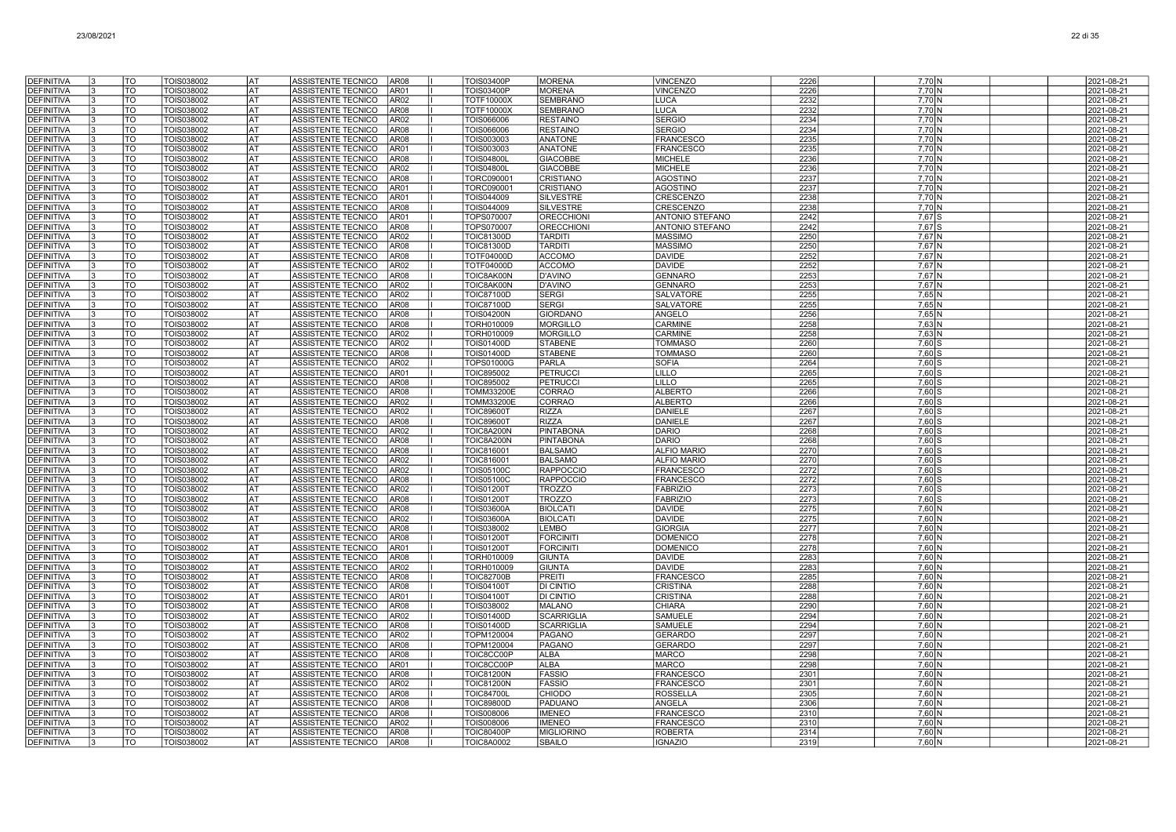| <b>DEFINITIVA</b>                      | TO                     | TOIS038002               | lat             | ASSISTENTE TECNICO<br><b>AR08</b>                        | <b>TOIS03400P</b>                      | <b>MORENA</b>                       | <b>VINCENZO</b>                    | 2226         | $7,70$ N           | 2021-08-21               |
|----------------------------------------|------------------------|--------------------------|-----------------|----------------------------------------------------------|----------------------------------------|-------------------------------------|------------------------------------|--------------|--------------------|--------------------------|
| <b>DEFINITIVA</b>                      | <b>TO</b>              | <b>TOIS038002</b>        | <b>AT</b>       | AR01<br>ASSISTENTE TECNICO                               | <b>TOIS03400P</b>                      | <b>MORENA</b>                       | <b>VINCENZO</b>                    | 2226         | $7,70$ N           | 2021-08-21               |
| <b>DEFINITIVA</b>                      | TO                     | TOIS038002               | lat             | AR02<br>ASSISTENTE TECNICO                               | <b>TOTF10000X</b>                      | <b>SEMBRANO</b>                     | <b>LUCA</b>                        | 2232         | 7,70 N             | 2021-08-21               |
| <b>DEFINITIVA</b>                      | $\overline{10}$        | TOIS038002               | <b>AT</b>       | ASSISTENTE TECNICO<br><b>AR08</b>                        | <b>TOTF10000X</b>                      | <b>SEMBRANO</b>                     | <b>LUCA</b>                        | 2232         | 7,70 N             | 2021-08-21               |
| <b>DEFINITIVA</b>                      | TO                     | TOIS038002               | AT              | ASSISTENTE TECNICO<br>AR02                               | TOIS066006                             | <b>RESTAINO</b>                     | <b>SERGIO</b>                      | 2234         | 7,70 N             | 2021-08-21               |
| DEFINITIVA                             | TO                     | TOIS038002               | AT              | AR08<br>ASSISTENTE TECNICO                               | TOIS066006                             | <b>RESTAINO</b>                     | <b>SERGIO</b>                      | 2234         | 7,70 N             | 2021-08-21               |
| <b>DEFINITIVA</b>                      | TO                     | TOIS038002               | AT              | ASSISTENTE TECNICO<br>AR08                               | TOIS003003                             | <b>ANATONE</b>                      | <b>FRANCESCO</b>                   | 2235         | 7,70 N             | 2021-08-21               |
| <b>DEFINITIVA</b>                      | TO                     | TOIS038002               | AT              | ASSISTENTE TECNICO<br>AR01                               | TOIS003003                             | <b>ANATONE</b>                      | <b>FRANCESCO</b>                   | 2235         | 7,70 N             | 2021-08-21               |
| <b>DEFINITIVA</b>                      | TO                     | TOIS038002               | AT              | ASSISTENTE TECNICO<br>AR08                               | <b>TOIS04800L</b>                      | <b>GIACOBBE</b>                     | <b>MICHELE</b>                     | 2236         | 7.70 N             | 2021-08-21               |
| <b>DEFINITIVA</b>                      | TO<br>$\overline{10}$  | TOIS038002               | l AT<br>lat     | ASSISTENTE TECNICO<br>AR02<br><b>ASSISTENTE TECNICO</b>  | <b>TOIS04800L</b>                      | <b>GIACOBBE</b><br><b>CRISTIANO</b> | <b>MICHELE</b>                     | 2236<br>2237 | 7,70 N<br>$7,70$ N | 2021-08-21               |
| <b>DEFINITIVA</b><br><b>DEFINITIVA</b> | TO                     | TOIS038002<br>TOIS038002 | <b>AT</b>       | AR08<br>ASSISTENTE TECNICO<br>AR01                       | TORC090001<br>TORC090001               | <b>CRISTIANO</b>                    | <b>AGOSTINO</b><br><b>AGOSTINO</b> | 2237         | 7,70 N             | 2021-08-21<br>2021-08-21 |
| <b>DEFINITIVA</b>                      | TO                     | TOIS038002               | AT              | ASSISTENTE TECNICO<br>AR01                               | TOIS044009                             | <b>SILVESTRE</b>                    | <b>CRESCENZO</b>                   | 2238         | 7.70 N             | 2021-08-21               |
| <b>DEFINITIVA</b>                      | TO                     | TOIS038002               | AT              | ASSISTENTE TECNICO<br>AR08                               | TOIS044009                             | <b>SILVESTRE</b>                    | <b>CRESCENZO</b>                   | 2238         | 7,70 N             | 2021-08-21               |
| DEFINITIVA                             | TO                     | TOIS038002               | AT              | ASSISTENTE TECNICO<br>AR01                               | TOPS070007                             | <b>ORECCHION</b>                    | ANTONIO STEFANO                    | 2242         | $7,67$ S           | 2021-08-21               |
| <b>DEFINITIVA</b>                      | TO                     | TOIS038002               | AT              | ASSISTENTE TECNICO<br>AR08                               | TOPS070007                             | <b>ORECCHIONI</b>                   | <b>ANTONIO STEFANO</b>             | 2242         | $7,67$ S           | 2021-08-21               |
| DEFINITIVA                             | TO                     | TOIS038002               | AT              | ASSISTENTE TECNICO<br>AR02                               | <b>TOIC81300D</b>                      | <b>TARDITI</b>                      | <b>MASSIMO</b>                     | 2250         | 7,67 N             | 2021-08-21               |
| <b>DEFINITIVA</b>                      | TO                     | TOIS038002               | AT              | ASSISTENTE TECNICO<br>AR08                               | <b>TOIC81300D</b>                      | <b>TARDITI</b>                      | <b>MASSIMO</b>                     | 2250         | $7.67$ N           | 2021-08-21               |
| <b>DEFINITIVA</b>                      | <b>TO</b>              | TOIS038002               | l AT            | <b>AR08</b><br>ASSISTENTE TECNICO                        | TOTF04000D                             | <b>ACCOMO</b>                       | <b>DAVIDE</b>                      | 2252         | 7,67 N             | 2021-08-21               |
| <b>DEFINITIVA</b>                      | $\overline{10}$        | TOIS038002               | lat             | AR02<br>ASSISTENTE TECNICO                               | <b>TOTF04000D</b>                      | <b>ACCOMO</b>                       | <b>DAVIDE</b>                      | 2252         | 7,67 N             | 2021-08-21               |
| <b>DEFINITIVA</b>                      | <b>TO</b>              | TOIS038002               | <b>AT</b>       | ASSISTENTE TECNICO<br><b>AR08</b>                        | TOIC8AK00N                             | <b>D'AVINO</b>                      | <b>GENNARO</b>                     | 2253         | 7,67 N             | 2021-08-21               |
| <b>DEFINITIVA</b>                      | TO                     | TOIS038002               | AT              | AR02<br><b>ASSISTENTE TECNICO</b>                        | TOIC8AK00N                             | <b>D'AVINO</b>                      | <b>GENNARO</b>                     | 2253         | 7.67 N             | 2021-08-21               |
| <b>DEFINITIVA</b>                      | TO<br>TO               | TOIS038002               | AT              | ASSISTENTE TECNICO<br>AR02<br>AR08                       | <b>TOIC87100D</b>                      | <b>SERGI</b><br><b>SERGI</b>        | <b>SALVATORI</b>                   | 2255         | 7,65 N             | 2021-08-21               |
| DEFINITIVA<br><b>DEFINITIVA</b>        | TO                     | TOIS038002<br>TOIS038002 | AT<br>AT        | ASSISTENTE TECNICO<br>AR08<br>ASSISTENTE TECNICO         | <b>TOIC87100D</b><br><b>TOIS04200N</b> | <b>GIORDANO</b>                     | SALVATORE<br><b>ANGELO</b>         | 2255<br>2256 | $7,65$ N<br>7,65 N | 2021-08-21<br>2021-08-21 |
| <b>DEFINITIVA</b>                      | TO                     | TOIS038002               | AT              | ASSISTENTE TECNICO<br>AR08                               | <b>TORH010009</b>                      | <b>MORGILLO</b>                     | <b>CARMINE</b>                     | 2258         | 7.63 <sub>N</sub>  | 2021-08-21               |
| <b>DEFINITIVA</b>                      | TO                     | TOIS038002               | l AT            | ASSISTENTE TECNICO<br>AR02                               | TORH010009                             | <b>MORGILLO</b>                     | CARMINE                            | 2258         | $7,63$ N           | 2021-08-21               |
| <b>DEFINITIVA</b>                      | <b>TO</b>              | TOIS038002               | <b>AT</b>       | ASSISTENTE TECNICO<br>AR02                               | <b>TOIS01400D</b>                      | <b>STABENE</b>                      | <b>TOMMASO</b>                     | 2260         | $7,60$ S           | 2021-08-21               |
| <b>DEFINITIVA</b>                      | TO                     | TOIS038002               | AT)             | ASSISTENTE TECNICO<br><b>AR08</b>                        | <b>TOIS01400D</b>                      | <b>STABENE</b>                      | <b>TOMMASO</b>                     | 2260         | $7,60$ S           | 2021-08-21               |
| <b>DEFINITIVA</b>                      | TO                     | TOIS038002               | <b>AT</b>       | ASSISTENTE TECNICO<br>AR02                               | <b>TOPS01000G</b>                      | <b>PARLA</b>                        | <b>SOFIA</b>                       | 2264         | $7,60$ S           | 2021-08-21               |
| <b>DEFINITIVA</b>                      | TO                     | TOIS038002               | AT              | <b>ASSISTENTE TECNICO</b><br>AR01                        | TOIC895002                             | <b>PETRUCCI</b>                     | LILLO                              | 2265         | 7.60 S             | 2021-08-21               |
| <b>DEFINITIVA</b>                      | TO                     | TOIS038002               | AT              | ASSISTENTE TECNICO<br>AR08                               | TOIC895002                             | <b>PETRUCC</b>                      | <b>LILLO</b>                       | 2265         | $7,60$ S           | 2021-08-21               |
| <b>DEFINITIVA</b>                      | TO                     | TOIS038002               | AT              | ASSISTENTE TECNICO<br><b>AR08</b>                        | TOMM33200E                             | CORRAO                              | <b>ALBERTC</b>                     | 2266         | $7,60$ S           | 2021-08-21               |
| <b>DEFINITIVA</b>                      | TO                     | TOIS038002               | AT              | ASSISTENTE TECNICO<br>AR02                               | <b>TOMM33200E</b>                      | <b>CORRAO</b>                       | ALBERTO                            | 2266         | $7,60$ S           | 2021-08-21               |
| DEFINITIVA                             | TO<br>TO               | TOIS038002               | AT<br><b>AT</b> | ASSISTENTE TECNICO<br>AR02<br>AR08                       | <b>TOIC89600T</b>                      | <b>RIZZA</b><br><b>RIZZA</b>        | <b>DANIELE</b><br><b>DANIELE</b>   | 2267         | 7.60 S<br>7.60 S   | 2021-08-21               |
| <b>DEFINITIVA</b><br><b>DEFINITIVA</b> | <b>TO</b>              | TOIS038002<br>TOIS038002 | l AT            | ASSISTENTE TECNICO<br>ASSISTENTE TECNICO<br>AR02         | <b>TOIC89600T</b><br>TOIC8A200N        | <b>PINTABONA</b>                    | <b>DARIO</b>                       | 2267<br>2268 | $7,60$ S           | 2021-08-21<br>2021-08-21 |
| <b>DEFINITIVA</b>                      | $\overline{\text{TO}}$ | TOIS038002               | <b>AT</b>       | ASSISTENTE TECNICO<br><b>AR08</b>                        | TOIC8A200N                             | <b>PINTABONA</b>                    | <b>DARIO</b>                       | 2268         | $7,60$ S           | 2021-08-21               |
| <b>DEFINITIVA</b>                      | <b>TO</b>              | TOIS038002               | l AT            | ASSISTENTE TECNICO<br><b>AR08</b>                        | TOIC816001                             | <b>BALSAMO</b>                      | <b>ALFIO MARIO</b>                 | 2270         | 7.60 S             | 2021-08-21               |
| <b>DEFINITIVA</b>                      | TO                     | TOIS038002               | AT              | ASSISTENTE TECNICO<br>AR02                               | <b>TOIC816001</b>                      | <b>BALSAMO</b>                      | <b>ALFIO MARIO</b>                 | 2270         | 7.60 S             | 2021-08-21               |
| <b>DEFINITIVA</b>                      | $\overline{10}$        | TOIS038002               | AT              | ASSISTENTE TECNICO<br>AR02                               | <b>TOIS05100C</b>                      | RAPPOCCIO                           | <b>FRANCESCO</b>                   | 2272         | $7,60$ S           | 2021-08-21               |
| <b>DEFINITIVA</b>                      | TO                     | TOIS038002               | AT              | ASSISTENTE TECNICO<br><b>AR08</b>                        | <b>TOIS05100C</b>                      | <b>RAPPOCCIO</b>                    | <b>FRANCESCO</b>                   | 2272         | $7,60$ S           | 2021-08-21               |
| <b>DEFINITIVA</b>                      | TO                     | TOIS038002               | <b>AT</b>       | ASSISTENTE TECNICO<br>AR02                               | <b>TOIS01200T</b>                      | <b>TROZZO</b>                       | <b>FABRIZIO</b>                    | 2273         | $7,60$ S           | 2021-08-21               |
| <b>DEFINITIVA</b>                      | <b>TO</b>              | TOIS038002               | AT              | ASSISTENTE TECNICO<br>AR08                               | <b>TOIS01200T</b>                      | <b>TROZZO</b>                       | <b>FABRIZIC</b>                    | 2273         | $7,60$ S           | 2021-08-21               |
| <b>DEFINITIVA</b>                      | TO                     | TOIS038002               | l AT            | ASSISTENTE TECNICO<br>AR08                               | <b>TOIS03600A</b>                      | <b>BIOLCATI</b>                     | <b>DAVIDE</b>                      | 2275         | 7,60 N             | 2021-08-21               |
| <b>DEFINITIVA</b>                      | <b>TO</b>              | TOIS038002               | lat             | ASSISTENTE TECNICO<br>AR02                               | <b>TOIS03600A</b>                      | <b>BIOLCATI</b>                     | <b>DAVIDE</b>                      | 2275         | 7,60 N             | 2021-08-21               |
| <b>DEFINITIVA</b><br><b>DEFINITIVA</b> | TO<br>TO               | TOIS038002<br>TOIS038002 | AT)<br>AT       | ASSISTENTE TECNICO<br>AR08<br>ASSISTENTE TECNICO<br>AR08 | TOIS038002<br><b>TOIS01200T</b>        | LEMBO<br><b>FORCINIT</b>            | <b>GIORGIA</b><br><b>DOMENICO</b>  | 2277<br>2278 | 7,60 N<br>7.60 N   | 2021-08-21<br>2021-08-21 |
| <b>DEFINITIVA</b>                      | TO                     | TOIS038002               | AT              | ASSISTENTE TECNICO<br>AR01                               | <b>TOIS01200T</b>                      | <b>FORCINITI</b>                    | <b>DOMENICC</b>                    | 2278         | 7,60 N             | 2021-08-21               |
| <b>DEFINITIVA</b>                      | TO                     | TOIS038002               | AT              | ASSISTENTE TECNICO<br>AR08                               | TORH010009                             | <b>GIUNTA</b>                       | <b>DAVIDE</b>                      | 2283         | 7,60 N             | 2021-08-21               |
| <b>DEFINITIVA</b>                      | TO                     | TOIS038002               | AT              | ASSISTENTE TECNICO<br>AR02                               | TORH010009                             | <b>GIUNTA</b>                       | <b>DAVIDE</b>                      | 2283         | 7,60 N             | 2021-08-21               |
| DEFINITIVA                             | TO                     | TOIS038002               | AT              | ASSISTENTE TECNICO<br>AR08                               | <b>TOIC82700B</b>                      | PREITI                              | <b>FRANCESCO</b>                   | 2285         | $7,60$ N           | 2021-08-21               |
| <b>DEFINITIVA</b>                      | TO                     | TOIS038002               | AT              | ASSISTENTE TECNICO<br>AR08                               | <b>TOIS04100T</b>                      | <b>DI CINTIO</b>                    | <b>CRISTINA</b>                    | 2288         | 7.60 <sub>N</sub>  | 2021-08-21               |
| <b>DEFINITIVA</b>                      | TO                     | TOIS038002               | lat             | ASSISTENTE TECNICO<br>AR01                               | <b>TOIS04100T</b>                      | <b>DI CINTIO</b>                    | <b>CRISTINA</b>                    | 2288         | 7,60 N             | 2021-08-21               |
| <b>DEFINITIVA</b>                      | $\overline{\text{TO}}$ | TOIS038002               | lat             | <b>AR08</b><br>ASSISTENTE TECNICO                        | TOIS038002                             | <b>MALANO</b>                       | <b>CHIARA</b>                      | 2290         | 7,60 N             | 2021-08-21               |
| <b>DEFINITIVA</b>                      | $\overline{10}$        | TOIS038002               | lat             | <b>AR02</b><br>ASSISTENTE TECNICO                        | <b>TOIS01400D</b>                      | <b>SCARRIGLIA</b>                   | <b>SAMUELE</b>                     | 2294         | 7,60 N             | 2021-08-21               |
| <b>DEFINITIVA</b>                      | TO                     | TOIS038002               | AT              | <b>AR08</b><br>ASSISTENTE TECNICO                        | <b>TOIS01400D</b>                      | <b>SCARRIGLIA</b>                   | <b>SAMUELE</b>                     | 2294         | 7.60 <sub>N</sub>  | 2021-08-21               |
| DEFINITIVA                             | TO                     | TOIS038002               | AT              | AR02<br>ASSISTENTE TECNICO                               | TOPM120004                             | PAGANO                              | <b>GERARDC</b>                     | 2297         | 7,60 N             | 2021-08-21               |
| <b>DEFINITIVA</b>                      | TO                     | TOIS038002               | AT              | AR08<br>ASSISTENTE TECNICO                               | TOPM120004                             | <b>PAGANO</b>                       | <b>GERARDO</b><br><b>MARCO</b>     | 2297         | 7,60 N             | 2021-08-21               |
| <b>DEFINITIVA</b><br><b>DEFINITIVA</b> | TO<br>TO               | TOIS038002<br>TOIS038002 | AT<br> AT       | AR08<br>ASSISTENTE TECNICO<br>ASSISTENTE TECNICO<br>AR01 | TOIC8CC00P<br>TOIC8CC00P               | <b>ALBA</b><br><b>ALBA</b>          | <b>MARCO</b>                       | 2298<br>2298 | 7,60 N<br>7,60 N   | 2021-08-21<br>2021-08-21 |
| <b>DEFINITIVA</b>                      | TO                     | TOIS038002               | l AT            | ASSISTENTE TECNICO<br>AR08                               | <b>TOIC81200N</b>                      | FASSIO                              | <b>FRANCESCO</b>                   | 2301         | 7.60 <sub>N</sub>  | 2021-08-21               |
| <b>DEFINITIVA</b>                      | TO                     | TOIS038002               | lat             | ASSISTENTE TECNICO<br>AR02                               | <b>TOIC81200N</b>                      | <b>FASSIO</b>                       | <b>FRANCESCO</b>                   | 2301         | 7,60 N             | 2021-08-21               |
| <b>DEFINITIVA</b>                      | $\overline{10}$        | TOIS038002               | lat             | ASSISTENTE TECNICO<br>AR08                               | <b>TOIC84700L</b>                      | <b>CHIODO</b>                       | <b>ROSSELLA</b>                    | 2305         | 7,60 N             | 2021-08-21               |
| DEFINITIVA                             | TO                     | TOIS038002               | AT              | <b>ASSISTENTE TECNICO</b><br>AR08                        | <b>TOIC89800D</b>                      | PADUANC                             | ANGELA                             | 2306         | 7.60 N             | 2021-08-21               |
| <b>DEFINITIVA</b>                      | TO                     | TOIS038002               | AT              | ASSISTENTE TECNICO<br>AR08                               | TOIS008006                             | <b>IMENEO</b>                       | <b>FRANCESCO</b>                   | 2310         | 7,60 N             | 2021-08-21               |
| <b>DEFINITIVA</b>                      | TO                     | TOIS038002               | AT              | ASSISTENTE TECNICO<br>AR02                               | TOIS008006                             | <b>MENEO</b>                        | <b>FRANCESCO</b>                   | 2310         | 7,60 N             | 2021-08-21               |
| <b>DEFINITIVA</b>                      | TO                     | TOIS038002               | AT              | ASSISTENTE TECNICO<br><b>AR08</b>                        | <b>TOIC80400P</b>                      | <b>MIGLIORINO</b>                   | <b>ROBERTA</b>                     | 2314         | 7,60 N             | 2021-08-21               |
| <b>DEFINITIVA</b>                      | TO                     | TOIS038002               | AT              | ASSISTENTE TECNICO<br><b>AR08</b>                        | <b>TOIC8A0002</b>                      | <b>SBAILO</b>                       | <b>IGNAZIO</b>                     | 2319         | 7,60 N             | 2021-08-21               |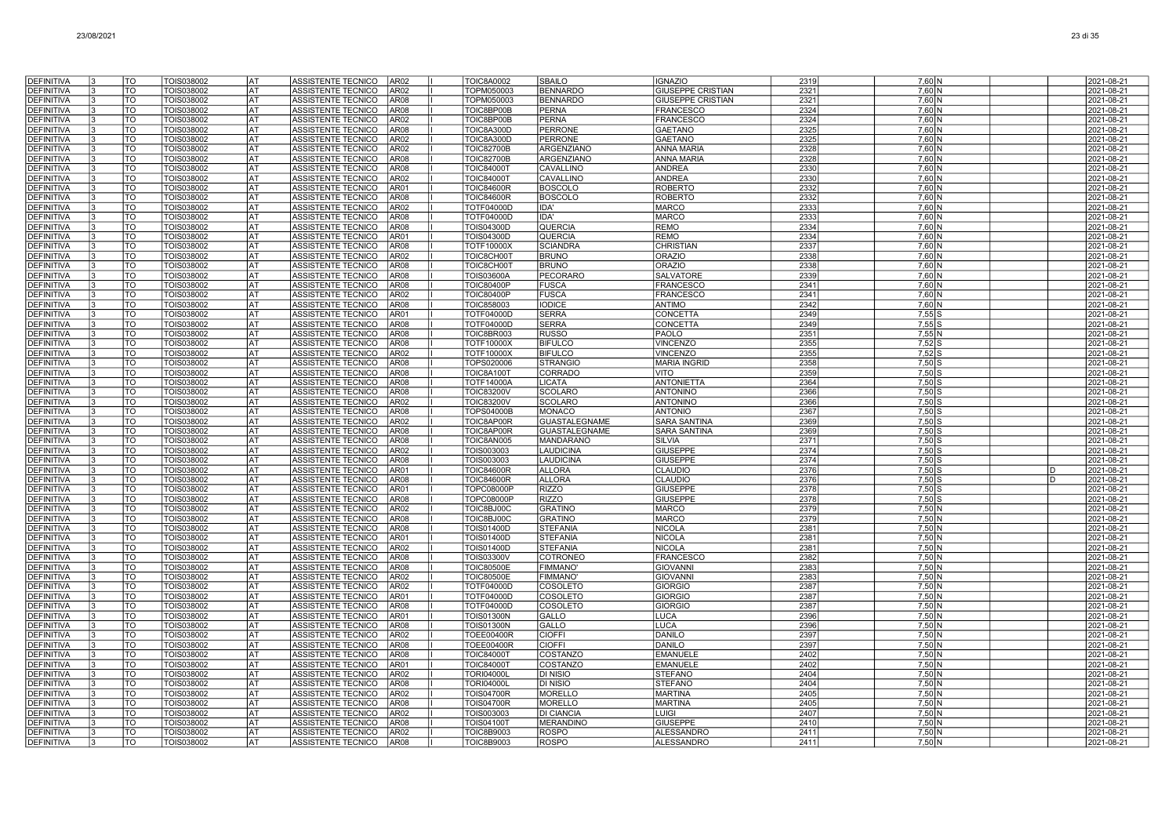| <b>DEFINITIVA</b>                      | l٩<br><b>TO</b>                     | TOIS038002               | lat       | ASSISTENTE TECNICO<br>AR02                                                    | <b>TOIC8A0002</b>                      | <b>SBAILO</b>                   | <b>IGNAZIO</b>                         | 2319         | $7,60$ N           | 2021-08-21               |
|----------------------------------------|-------------------------------------|--------------------------|-----------|-------------------------------------------------------------------------------|----------------------------------------|---------------------------------|----------------------------------------|--------------|--------------------|--------------------------|
| <b>DEFINITIVA</b>                      | TO                                  | TOIS038002               | <b>AT</b> | AR <sub>02</sub><br>ASSISTENTE TECNICO                                        | TOPM050003                             | <b>BENNARDO</b>                 | <b>GIUSEPPE CRISTIAN</b>               | 2321         | $7,60$ N           | 2021-08-21               |
| <b>DEFINITIVA</b>                      | <b>TO</b><br>13                     | TOIS038002               | <b>AT</b> | <b>AR08</b><br>ASSISTENTE TECNICO                                             | TOPM050003                             | <b>BENNARDO</b>                 | <b>GIUSEPPE CRISTIAN</b>               | 2321         | 7,60 N             | 2021-08-21               |
| <b>DEFINITIVA</b>                      | <b>TO</b>                           | TOIS038002               | AT        | ASSISTENTE TECNICO<br><b>AR08</b>                                             | TOIC8BP00B                             | PERNA                           | <b>FRANCESCO</b>                       | 2324         | $7,60$ N           | 2021-08-21               |
| <b>DEFINITIVA</b>                      | <b>TO</b>                           | TOIS038002               | AT        | ASSISTENTE TECNICO<br>AR02                                                    | TOIC8BP00B                             | PERNA                           | <b>FRANCESCO</b>                       | 2324         | $7,60$ N           | 2021-08-21               |
| <b>DEFINITIVA</b>                      | TO                                  | TOIS038002               | AT        | ASSISTENTE TECNICO<br>AR08                                                    | TOIC8A300D                             | <b>PERRONE</b>                  | <b>GAETANO</b>                         | 2325         | 7,60 N             | 2021-08-21               |
| <b>DEFINITIVA</b>                      | TO                                  | TOIS038002               | AT        | ASSISTENTE TECNICO<br>AR02                                                    | TOIC8A300D                             | <b>PERRONE</b>                  | <b>GAETANO</b>                         | 2325         | 7,60 N             | 2021-08-21               |
| <b>DEFINITIVA</b>                      | TO                                  | TOIS038002               | lat       | <b>ASSISTENTE TECNICO</b><br>AR02                                             | <b>TOIC82700B</b>                      | <b>ARGENZIANO</b>               | <b>ANNA MARI</b>                       | 2328         | 7,60 N             | 2021-08-21               |
| <b>DEFINITIVA</b>                      | TO<br>l3                            | TOIS038002               | AT        | <b>ASSISTENTE TECNICO</b><br>AR08                                             | <b>TOIC82700B</b>                      | <b>ARGENZIANO</b>               | <b>ANNA MARIA</b>                      | 2328         | 7,60 N             | 2021-08-21               |
| <b>DEFINITIVA</b>                      | <b>TO</b>                           | TOIS038002               | l AT      | ASSISTENTE TECNICO<br><b>AR08</b>                                             | <b>TOIC84000T</b>                      | CAVALLINO                       | <b>ANDREA</b>                          | 2330         | 7,60 N             | 2021-08-21               |
| <b>DEFINITIVA</b>                      | $\overline{10}$                     | TOIS038002               | lat       | <b>ASSISTENTE TECNICO</b><br>AR02                                             | <b>TOIC84000T</b>                      | CAVALLINO                       | ANDREA                                 | 2330         | $7,60$ N           | 2021-08-21               |
| <b>DEFINITIVA</b>                      | <b>TO</b>                           | TOIS038002               | AT        | ASSISTENTE TECNICO<br>AR01                                                    | <b>TOIC84600R</b>                      | <b>BOSCOLO</b>                  | <b>ROBERTO</b>                         | 2332         | 7,60 N             | 2021-08-21               |
| DEFINITIVA                             | TO                                  | TOIS038002               | AT        | <b>ASSISTENTE TECNICO</b><br>AR08                                             | <b>TOIC84600R</b>                      | <b>BOSCOLO</b>                  | <b>ROBERTO</b>                         | 2332         | 7.60 N             | 2021-08-21               |
| <b>DEFINITIVA</b>                      | TO                                  | TOIS038002               | AT        | ASSISTENTE TECNICO<br>AR02                                                    | TOTF04000D                             | IDA'                            | <b>MARCO</b>                           | 2333         | 7,60 N             | 2021-08-21               |
| <b>DEFINITIVA</b>                      | TO                                  | TOIS038002               | AT        | <b>ASSISTENTE TECNICO</b><br>AR08                                             | TOTF04000D                             | IDA'                            | <b>MARCO</b>                           | 2333         | 7,60 N             | 2021-08-21               |
| <b>DEFINITIVA</b>                      | TO<br>13                            | TOIS038002               | AT        | ASSISTENTE TECNICO<br>AR08                                                    | <b>TOIS04300D</b>                      | <b>QUERCIA</b>                  | <b>REMO</b>                            | 2334         | 7,60 N             | 2021-08-21               |
| <b>DEFINITIVA</b>                      | TO<br>13                            | TOIS038002               | AT        | ASSISTENTE TECNICO<br>AR01                                                    | <b>TOIS04300D</b>                      | <b>QUERCIA</b>                  | <b>REMO</b>                            | 2334         | 7,60 N             | 2021-08-21               |
| <b>DEFINITIVA</b>                      | <b>TO</b><br>I٩                     | TOIS038002               | AT        | ASSISTENTE TECNICO<br>AR08                                                    | TOTF10000X                             | <b>SCIANDRA</b>                 | <b>CHRISTIAN</b>                       | 2337         | 7.60 N             | 2021-08-21               |
| <b>DEFINITIVA</b>                      | <b>TO</b><br>$\overline{\text{TO}}$ | TOIS038002               | <b>AT</b> | ASSISTENTE TECNICO<br>AR02                                                    | TOIC8CH00T                             | <b>BRUNO</b>                    | <b>ORAZIO</b>                          | 2338         | 7,60 N             | 2021-08-21               |
| <b>DEFINITIVA</b><br><b>DEFINITIVA</b> | 13<br><b>TO</b>                     | TOIS038002<br>TOIS038002 | AT<br>AT  | ASSISTENTE TECNICO<br><b>AR08</b><br><b>ASSISTENTE TECNICO</b><br><b>AR08</b> | TOIC8CH001                             | <b>BRUNO</b><br><b>PECORARO</b> | <b>ORAZIO</b><br><b>SALVATORE</b>      | 2338<br>2339 | $7,60$ N<br>7.60 N | 2021-08-21<br>2021-08-21 |
| <b>DEFINITIVA</b>                      | <b>TO</b>                           | TOIS038002               | AT        | ASSISTENTE TECNICO<br><b>AR08</b>                                             | <b>TOIS03600A</b><br><b>TOIC80400P</b> | <b>FUSCA</b>                    | <b>FRANCESCO</b>                       | 2341         | 7.60 N             | 2021-08-21               |
| <b>DEFINITIVA</b>                      | <b>TO</b>                           | TOIS038002               | AT        | ASSISTENTE TECNICO<br>AR02                                                    | <b>TOIC80400P</b>                      | <b>FUSCA</b>                    | <b>FRANCESCO</b>                       | 2341         | $7,60$ N           | 2021-08-21               |
| <b>DEFINITIVA</b>                      | TO                                  | TOIS038002               | IAT       | ASSISTENTE TECNICO<br><b>AR08</b>                                             | TOIC858003                             | <b>IODICE</b>                   | <b>ANTIMO</b>                          | 2342         | 7,60 N             | 2021-08-21               |
| <b>DEFINITIVA</b>                      | TO                                  | TOIS038002               | lat       | ASSISTENTE TECNICO<br>AR01                                                    | <b>TOTF04000D</b>                      | <b>SERRA</b>                    | <b>CONCETTA</b>                        | 2349         | $7,55$ S           | 2021-08-21               |
| <b>DEFINITIVA</b>                      | TO<br>I٩                            | TOIS038002               | lat       | ASSISTENTE TECNICO<br>AR08                                                    | TOTF04000D                             | <b>SERRA</b>                    | <b>CONCETTA</b>                        | 2349         | $7,55$ S           | 2021-08-21               |
| <b>DEFINITIVA</b>                      | <b>TO</b><br>l3                     | TOIS038002               | lat       | ASSISTENTE TECNICO<br>AR08                                                    | TOIC8BR003                             | <b>RUSSO</b>                    | <b>PAOLO</b>                           | 2351         | $7,55$ N           | 2021-08-21               |
| <b>DEFINITIVA</b>                      | TO                                  | TOIS038002               | lat       | ASSISTENTE TECNICO<br>AR08                                                    | <b>TOTF10000X</b>                      | <b>BIFULCO</b>                  | <b>VINCENZO</b>                        | 2355         | $7,52$ S           | 2021-08-21               |
| <b>DEFINITIVA</b>                      | lto                                 | TOIS038002               | lat       | ASSISTENTE TECNICO<br>AR02                                                    | <b>TOTF10000X</b>                      | <b>BIFULCO</b>                  | <b>VINCENZO</b>                        | 2355         | $7,52$ S           | 2021-08-21               |
| DEFINITIVA                             | TO                                  | TOIS038002               | AT        | <b>ASSISTENTE TECNICO</b><br>AR08                                             | TOPS020006                             | <b>STRANGIO</b>                 | <b>MARIA INGRID</b>                    | 2358         | 7.50 S             | 2021-08-21               |
| <b>DEFINITIVA</b>                      | TO<br>l3                            | TOIS038002               | AT        | ASSISTENTE TECNICO<br>AR08                                                    | TOIC8A100T                             | CORRADO                         | VITO                                   | 2359         | $7,50$ S           | 2021-08-21               |
| <b>DEFINITIVA</b>                      | TO                                  | TOIS038002               | AT        | ASSISTENTE TECNICO<br>AR08                                                    | <b>TOTF14000A</b>                      | <b>LICATA</b>                   | <b>ANTONIETTA</b>                      | 2364         | $7,50$ S           | 2021-08-21               |
| <b>DEFINITIVA</b>                      | TO<br>13                            | TOIS038002               | AT        | ASSISTENTE TECNICO<br>AR08                                                    | <b>TOIC83200V</b>                      | <b>SCOLARO</b>                  | <b>ANTONINO</b>                        | 2366         | $7,50$ S           | 2021-08-21               |
| <b>DEFINITIVA</b>                      | TO<br>13                            | TOIS038002               | AT        | ASSISTENTE TECNICO<br>AR02                                                    | <b>TOIC83200V</b>                      | <b>SCOLARO</b>                  | <b>ANTONINO</b>                        | 2366         | $7,50$ S           | 2021-08-21               |
|                                        |                                     |                          |           |                                                                               |                                        |                                 |                                        |              |                    |                          |
| <b>DEFINITIVA</b>                      | <b>TO</b>                           | TOIS038002               | AT        | ASSISTENTE TECNICO<br>AR08                                                    | <b>TOPS04000B</b>                      | <b>MONACO</b>                   | <b>ANTONIO</b>                         | 2367         | $7,50$ S           | 2021-08-21               |
| <b>DEFINITIVA</b>                      | TO                                  | TOIS038002               | lat       | ASSISTENTE TECNICO<br>AR02                                                    | TOIC8AP00R                             | <b>GUASTALEGNAME</b>            | <b>SARA SANTINA</b>                    | 2369         | $7,50$ S           | 2021-08-21               |
| <b>DEFINITIVA</b>                      | <b>TO</b>                           | TOIS038002               | <b>AT</b> | <b>AR08</b><br>ASSISTENTE TECNICO                                             | TOIC8AP00R                             | <b>GUASTALEGNAME</b>            | <b>SARA SANTINA</b>                    | 2369         | $7,50$ S           | 2021-08-21               |
| <b>DEFINITIVA</b>                      | <b>TO</b>                           | TOIS038002               | lat       | ASSISTENTE TECNICO<br><b>AR08</b>                                             | TOIC8AN005                             | <b>MANDARANO</b>                | <b>SILVIA</b>                          | 2371         | $7,50$ S           | 2021-08-21               |
| <b>DEFINITIVA</b>                      | TO                                  | TOIS038002               | AT        | <b>AR02</b><br>ASSISTENTE TECNICO                                             | TOIS003003                             | LAUDICINA                       | <b>GIUSEPPE</b>                        | 2374         | $7,50$ S           | 2021-08-21               |
| <b>DEFINITIVA</b>                      | <b>TO</b>                           | TOIS038002               | AT        | <b>ASSISTENTE TECNICO</b><br>AR08                                             | TOIS003003                             | LAUDICINA                       | <b>GIUSEPPE</b>                        | 2374         | $7,50$ S           | 2021-08-21               |
| <b>DEFINITIVA</b>                      | TO                                  | TOIS038002               | AT        | AR01<br>ASSISTENTE TECNICO                                                    | <b>TOIC84600R</b>                      | <b>ALLORA</b>                   | <b>CLAUDIO</b>                         | 2376         | $7,50$ S           | 2021-08-21<br>D          |
| <b>DEFINITIVA</b>                      | TO<br>13                            | TOIS038002               | lat       | ASSISTENTE TECNICO<br>AR08                                                    | <b>TOIC84600R</b>                      | <b>ALLORA</b>                   | <b>CLAUDIO</b>                         | 2376         | $7,50$ S           | 2021-08-21<br>D          |
| <b>DEFINITIVA</b>                      | TO                                  | TOIS038002               | AT        | <b>ASSISTENTE TECNICO</b><br>AR01                                             | <b>TOPC08000P</b>                      | <b>RIZZO</b>                    | <b>GIUSEPPE</b>                        | 2378         | $7.50$ S           | 2021-08-21               |
| <b>DEFINITIVA</b>                      | TO                                  | TOIS038002               | l AT      | ASSISTENTE TECNICO<br>AR08                                                    | <b>TOPC08000P</b>                      | <b>RIZZO</b>                    | <b>GIUSEPPE</b>                        | 2378         | $7,50$ $S$         | 2021-08-21               |
| <b>DEFINITIVA</b>                      | TO                                  | TOIS038002               | <b>AT</b> | <b>ASSISTENTE TECNICO</b><br><b>AR02</b>                                      | TOIC8BJ00C                             | <b>GRATINO</b>                  | <b>MARCO</b>                           | 2379         | $7,50$ N           | 2021-08-21               |
| <b>DEFINITIVA</b>                      | <b>TO</b>                           | TOIS038002               | <b>AT</b> | <b>ASSISTENTE TECNICO</b><br>AR08                                             | TOIC8BJ00C                             | <b>GRATINO</b>                  | <b>MARCO</b>                           | 2379         | $7,50$ N           | 2021-08-21               |
| <b>DEFINITIVA</b>                      | TO                                  | TOIS038002               | AT        | ASSISTENTE TECNICO<br>AR08                                                    | <b>TOIS01400D</b>                      | <b>STEFANIA</b>                 | <b>NICOLA</b>                          | 2381         | 7,50 N             | 2021-08-21               |
| <b>DEFINITIVA</b>                      | <b>TO</b>                           | TOIS038002               | AT        | ASSISTENTE TECNICO<br>AR01                                                    | <b>TOIS01400D</b>                      | <b>STEFANIA</b>                 | <b>NICOLA</b>                          | 2381         | $7,50$ N           | 2021-08-21               |
| DEFINITIVA                             | TO                                  | TOIS038002               | AT        | ASSISTENTE TECNICO<br>AR02                                                    | <b>TOIS01400D</b>                      | <b>STEFANIA</b>                 | <b>NICOLA</b>                          | 2381         | 7,50 N             | 2021-08-21               |
| DEFINITIVA                             | TO<br>13                            | TOIS038002               | AT        | ASSISTENTE TECNICO<br>AR08                                                    | <b>TOIS03300V</b>                      | <b>COTRONEO</b>                 | <b>FRANCESCO</b>                       | 2382         | 7,50 N             | 2021-08-21               |
| <b>DEFINITIVA</b>                      | TO<br>l3                            | TOIS038002               | AT        | ASSISTENTE TECNICO<br>AR08                                                    | <b>TOIC80500E</b>                      | <b>FIMMANO'</b>                 | <b>GIOVANN</b>                         | 2383         | $7,50$ N           | 2021-08-21               |
| <b>DEFINITIVA</b>                      | TO<br>3                             | TOIS038002               | AT        | ASSISTENTE TECNICO<br>AR02                                                    | <b>TOIC80500E</b>                      | <b>FIMMANO</b>                  | <b>GIOVANNI</b>                        | 2383         | 7.50 N             | 2021-08-21               |
| <b>DEFINITIVA</b>                      | TO                                  | TOIS038002               | lat       | ASSISTENTE TECNICO<br>AR02                                                    | TOTF04000D                             | COSOLETO                        | <b>GIORGIO</b>                         | 2387         | $7,50$ N           | 2021-08-21               |
| <b>DEFINITIVA</b>                      | TO                                  | TOIS038002               | <b>AT</b> | ASSISTENTE TECNICO<br>AR01                                                    | TOTF04000D                             | <b>COSOLETO</b>                 | <b>GIORGIO</b>                         | 2387         | $7,50$ N           | 2021-08-21               |
| <b>DEFINITIVA</b>                      | <b>TO</b>                           | TOIS038002               | lat<br>AT | ASSISTENTE TECNICO<br>AR08                                                    | <b>TOTF04000D</b>                      | <b>COSOLETO</b>                 | <b>GIORGIO</b>                         | 2387         | $7,50$ N           | 2021-08-21               |
| <b>DEFINITIVA</b><br><b>DEFINITIVA</b> | <b>TO</b><br><b>TO</b>              | TOIS038002<br>TOIS038002 | AT        | ASSISTENTE TECNICO<br>AR01<br>ASSISTENTE TECNICO<br>AR08                      | <b>TOIS01300N</b><br><b>TOIS01300N</b> | <b>GALLO</b><br>GALLO           | <b>LUCA</b><br><b>LUCA</b>             | 2396<br>2396 | 7,50 N<br>$7,50$ N | 2021-08-21<br>2021-08-21 |
|                                        |                                     |                          |           |                                                                               |                                        | <b>CIOFFI</b>                   | <b>DANILO</b>                          |              |                    |                          |
| <b>DEFINITIVA</b><br><b>DEFINITIVA</b> | TO<br>TO<br>ıз                      | TOIS038002<br>TOIS038002 | AT<br> AT | ASSISTENTE TECNICO<br>AR02<br>AR08<br>ASSISTENTE TECNICO                      | <b>TOEE00400R</b><br><b>TOEE00400R</b> | <b>CIOFFI</b>                   | <b>DANILO</b>                          | 2397<br>2397 | $7,50$ N<br>7,50 N | 2021-08-21<br>2021-08-21 |
| <b>DEFINITIVA</b>                      | TO<br>l3                            | TOIS038002               | lat       | <b>ASSISTENTE TECNICO</b><br>AR08                                             | <b>TOIC84000T</b>                      | <b>COSTANZO</b>                 | <b>EMANUELE</b>                        | 2402         | 7.50 N             | 2021-08-21               |
| <b>DEFINITIVA</b>                      | 3<br>TO                             | TOIS038002               | lat       | <b>ASSISTENTE TECNICO</b><br>AR01                                             | <b>TOIC84000T</b>                      | <b>COSTANZO</b>                 | <b>EMANUELE</b>                        | 2402         | 7,50 N             | 2021-08-21               |
| <b>DEFINITIVA</b>                      | <b>TO</b>                           | TOIS038002               | <b>AT</b> | ASSISTENTE TECNICO<br><b>AR02</b>                                             | <b>TORI04000L</b>                      | <b>DI NISIO</b>                 | <b>STEFANO</b>                         | 2404         | $7,50$ N           | 2021-08-21               |
| <b>DEFINITIVA</b>                      | <b>TO</b>                           | TOIS038002               | lat       | <b>ASSISTENTE TECNICO</b><br><b>AR08</b>                                      | <b>TORI04000L</b>                      | <b>DI NISIO</b>                 | <b>STEFANO</b>                         | 2404         | 7,50 N             | 2021-08-21               |
| <b>DEFINITIVA</b>                      | <b>TO</b>                           | TOIS038002               | AT        | ASSISTENTE TECNICO<br>AR02                                                    | <b>TOIS04700R</b>                      | <b>MORELLO</b>                  | <b>MARTINA</b>                         | 2405         | $7,50$ N           | 2021-08-21               |
| DEFINITIVA                             | TO                                  | TOIS038002               | AT        | ASSISTENTE TECNICO<br>AR08                                                    | TOIS04700R                             | <b>MORELLO</b>                  | <b>MARTINA</b>                         | 2405         | 7,50 N             | 2021-08-21               |
| <b>DEFINITIVA</b>                      | TO                                  | <b>FOIS038002</b>        | AT        | AR02<br>ASSISTENTE TECNICO                                                    | TOIS003003                             | <b>DI CIANCIA</b>               | LUIGI                                  | 2407         | 7,50 N             | 2021-08-21               |
| <b>DEFINITIVA</b>                      | TO<br>l3                            | TOIS038002               | AT        | <b>AR08</b><br>ASSISTENTE TECNICO                                             | <b>TOIS04100T</b>                      | <b>MERANDINO</b>                | Giuseppe                               | 2410         | 7,50 N             | 2021-08-21               |
| <b>DEFINITIVA</b><br><b>DEFINITIVA</b> | TO<br>13<br><b>TO</b><br>13         | TOIS038002<br>TOIS038002 | AT<br>AT  | <b>ASSISTENTE TECNICO</b><br>AR02<br>ASSISTENTE TECNICO<br>AR08               | <b>TOIC8B9003</b><br><b>TOIC8B9003</b> | <b>ROSPO</b><br><b>ROSPO</b>    | <b>ALESSANDRC</b><br><b>ALESSANDRO</b> | 2411<br>2411 | 7.50 N<br>7.50 N   | 2021-08-21<br>2021-08-21 |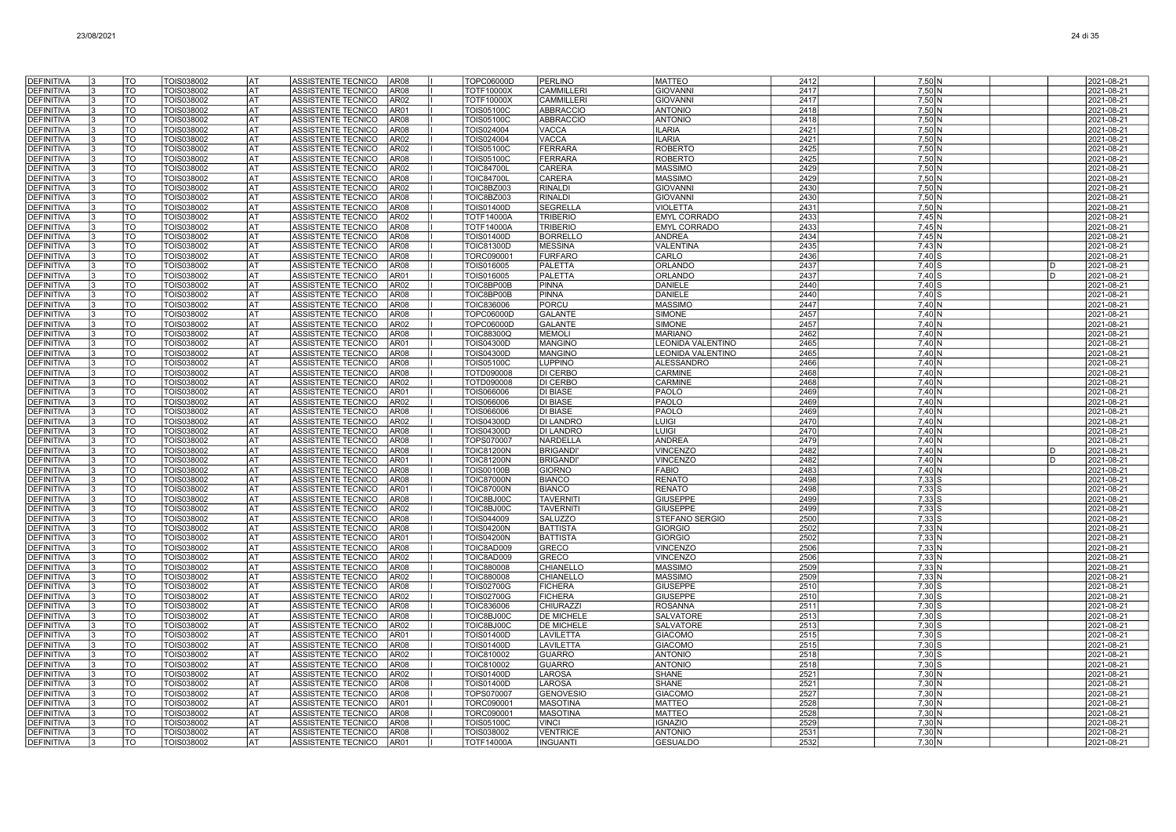| <b>DEFINITIVA</b>                      | TO                     | TOIS038002               | <b>AT</b>              | ASSISTENTE TECNICO<br>AR <sub>08</sub>                                           | TOPC06000D                             | <b>PERLINO</b>                     | <b>MATTEO</b>                      | 2412         | $7,50$ N                         | 2021-08-21                    |
|----------------------------------------|------------------------|--------------------------|------------------------|----------------------------------------------------------------------------------|----------------------------------------|------------------------------------|------------------------------------|--------------|----------------------------------|-------------------------------|
| <b>DEFINITIVA</b>                      | <b>TO</b>              | TOIS038002               | lat                    | ASSISTENTE TECNICO<br>AR <sub>08</sub>                                           | <b>TOTF10000X</b>                      | <b>CAMMILLERI</b>                  | <b>GIOVANNI</b>                    | 2417         | $7,50$ N                         | 2021-08-21                    |
| <b>DEFINITIVA</b>                      | <b>TO</b>              | TOIS038002               | lat                    | ASSISTENTE TECNICO<br>AR <sub>02</sub>                                           | <b>TOTF10000X</b>                      | <b>CAMMILLERI</b>                  | <b>GIOVANNI</b>                    | 2417         | 7,50 N                           | 2021-08-21                    |
| <b>DEFINITIVA</b>                      | TO                     | TOIS038002               | lat                    | ASSISTENTE TECNICO<br>AR01                                                       | <b>TOIS05100C</b>                      | <b>ABBRACCIO</b>                   | <b>ANTONIO</b>                     | 2418         | 7,50 N                           | 2021-08-21                    |
| <b>DEFINITIVA</b>                      | TO                     | TOIS038002               | lat                    | ASSISTENTE TECNICO<br>AR <sub>08</sub>                                           | TOIS05100C                             | ABBRACCIO                          | <b>ANTONIO</b>                     | 2418         | 7,50 N                           | 2021-08-21                    |
| <b>DEFINITIVA</b>                      | TO                     | TOIS038002               | IAT                    | ASSISTENTE TECNICO<br>AR <sub>08</sub>                                           | TOIS024004                             | <b>VACCA</b>                       | <b>ILARIA</b>                      | 2421         | 7,50 N                           | 2021-08-21                    |
| <b>DEFINITIVA</b>                      | TO                     | TOIS038002               | lat                    | ASSISTENTE TECNICO<br>AR <sub>02</sub>                                           | TOIS024004                             | <b>VACCA</b>                       | <b>ILARIA</b>                      | 2421         | 7,50 N                           | 2021-08-21                    |
| <b>DEFINITIVA</b><br><b>DEFINITIVA</b> | TO<br>TO               | TOIS038002               | lat<br><b>AT</b>       | ASSISTENTE TECNICO<br>AR <sub>02</sub><br>ASSISTENTE TECNICO<br>AR <sub>08</sub> | <b>TOIS05100C</b><br><b>TOIS05100C</b> | FERRARA<br><b>FERRARA</b>          | <b>ROBERTO</b><br><b>ROBERTO</b>   | 2425         | 7.50 N<br>$7,50$ N               | 2021-08-21<br>2021-08-21      |
| <b>DEFINITIVA</b>                      | TO                     | TOIS038002<br>TOIS038002 | <b>AT</b>              | <b>ASSISTENTE TECNICO</b><br>AR <sub>02</sub>                                    | <b>TOIC84700L</b>                      | <b>CARERA</b>                      | <b>MASSIMO</b>                     | 2425<br>2429 | $7,50$ N                         | 2021-08-21                    |
| <b>DEFINITIVA</b>                      | $\overline{10}$        | TOIS038002               | lat                    | <b>ASSISTENTE TECNICO</b><br>AR <sub>08</sub>                                    | <b>TOIC84700L</b>                      | CARERA                             | <b>MASSIMO</b>                     | 2429         | 7,50 N                           | 2021-08-21                    |
| <b>DEFINITIVA</b>                      | TO                     | TOIS038002               | lat                    | ASSISTENTE TECNICO<br>AR02                                                       | TOIC8BZ003                             | <b>RINALDI</b>                     | <b>GIOVANNI</b>                    | 2430         | 7.50 N                           | 2021-08-21                    |
| <b>DEFINITIVA</b>                      | TO                     | TOIS038002               | AT                     | ASSISTENTE TECNICO<br>AR <sub>08</sub>                                           | TOIC8BZ003                             | <b>RINALDI</b>                     | <b>GIOVANNI</b>                    | 2430         | 7,50 N                           | 2021-08-21                    |
| <b>DEFINITIVA</b>                      | TO                     | TOIS038002               | <b>AT</b>              | ASSISTENTE TECNICO<br>AR <sub>08</sub>                                           | TOIS01400D                             | <b>SEGRELLA</b>                    | VIOLETTA                           | 2431         | 7,50 N                           | 2021-08-21                    |
| DEFINITIVA                             | TO                     | TOIS038002               | <b>AT</b>              | ASSISTENTE TECNICO<br>AR <sub>02</sub>                                           | <b>TOTF14000A</b>                      | <b>TRIBERIO</b>                    | <b>EMYL CORRADO</b>                | 2433         | $7,45$ N                         | 2021-08-21                    |
| <b>DEFINITIVA</b>                      | TO                     | TOIS038002               | AT                     | ASSISTENTE TECNICO<br>AR08                                                       | <b>TOTF14000A</b>                      | <b>TRIBERIO</b>                    | <b>EMYL CORRADO</b>                | 2433         | $7,45$ N                         | 2021-08-21                    |
| DEFINITIVA                             | TO                     | TOIS038002               | <b>AT</b>              | ASSISTENTE TECNICO<br>AR <sub>08</sub>                                           | <b>TOIS01400D</b>                      | <b>BORRELLC</b>                    | <b>ANDREA</b>                      | 2434         | $7.45$ N                         | 2021-08-21                    |
| <b>DEFINITIVA</b>                      | TO                     | TOIS038002               | l AT                   | ASSISTENTE TECNICO<br>AR <sub>08</sub>                                           | <b>TOIC81300D</b>                      | <b>MESSINA</b>                     | VALENTINA                          | 2435         | 7,43 N                           | 2021-08-21                    |
| <b>DEFINITIVA</b><br><b>DEFINITIVA</b> | TO<br>$\overline{10}$  | TOIS038002<br>TOIS038002 | lat<br>lat             | ASSISTENTE TECNICO<br>AR <sub>08</sub><br>AR <sub>08</sub><br>ASSISTENTE TECNICO | TORC090001<br>TOIS016005               | <b>FURFARO</b><br>PALETTA          | CARLO<br>ORLANDO                   | 2436<br>2437 | $7,40$ S<br>$7,40$ S             | 2021-08-21<br>D<br>2021-08-21 |
| <b>DEFINITIVA</b>                      | TO                     | TOIS038002               | lat                    | ASSISTENTE TECNICO<br>AR01                                                       | TOIS016005                             | PALETTA                            | <b>ORLANDO</b>                     | 2437         | $7.40$ S                         | 2021-08-21<br>D               |
| <b>DEFINITIVA</b>                      | $\overline{10}$        | TOIS038002               | AT                     | ASSISTENTE TECNICO<br>AR <sub>02</sub>                                           | TOIC8BP00B                             | <b>PINNA</b>                       | <b>DANIELE</b>                     | 2440         | 7.40 S                           | 2021-08-21                    |
| <b>DEFINITIVA</b>                      | TO                     | TOIS038002               | lat                    | ASSISTENTE TECNICO<br>AR <sub>08</sub>                                           | TOIC8BP00B                             | <b>PINNA</b>                       | <b>DANIELE</b>                     | 2440         | $7,40$ S                         | 2021-08-21                    |
| <b>DEFINITIVA</b>                      | TO                     | TOIS038002               | AT                     | ASSISTENTE TECNICO<br>AR <sub>08</sub>                                           | <b>TOIC836006</b>                      | PORCU                              | <b>MASSIMO</b>                     | 2447         | 7,40 N                           | 2021-08-21                    |
| <b>DEFINITIVA</b>                      | TO                     | TOIS038002               | AT                     | ASSISTENTE TECNICO<br>AR <sub>08</sub>                                           | <b>TOPC06000D</b>                      | <b>GALANTE</b>                     | <b>SIMONE</b>                      | 2457         | $7,40$ N                         | 2021-08-21                    |
| <b>DEFINITIVA</b>                      | TO                     | TOIS038002               | l AT                   | ASSISTENTE TECNICO<br>AR02                                                       | TOPC06000D                             | <b>GALANTE</b>                     | <b>SIMONE</b>                      | 2457         | $7.40\text{N}$                   | 2021-08-21                    |
| <b>DEFINITIVA</b>                      | TO                     | TOIS038002               | <b>AT</b>              | ASSISTENTE TECNICO<br>AR <sub>08</sub>                                           | <b>TOIC88300Q</b>                      | <b>MEMOLI</b>                      | <b>MARIANO</b>                     | 2462         | 7,40 N                           | 2021-08-21                    |
| <b>DEFINITIVA</b>                      | TO                     | TOIS038002               | lат                    | <b>ASSISTENTE TECNICO</b><br>AR01                                                | <b>TOIS04300D</b>                      | <b>MANGINO</b>                     | <b>LEONIDA VALENTINO</b>           | 2465         | 7,40 N                           | 2021-08-21                    |
| <b>DEFINITIVA</b>                      | $\overline{10}$<br>TO  | TOIS038002               | <b>AT</b>              | ASSISTENTE TECNICO<br>AR <sub>08</sub><br>ASSISTENTE TECNICO                     | <b>TOIS04300D</b>                      | <b>MANGINO</b><br><b>LUPPINO</b>   | <b>LEONIDA VALENTINO</b>           | 2465<br>2466 | $7.40\text{N}$<br>$7.40\text{N}$ | 2021-08-21<br>2021-08-21      |
| DEFINITIVA<br><b>DEFINITIVA</b>        | TO                     | TOIS038002<br>TOIS038002 | AT<br>AT               | AR08<br>ASSISTENTE TECNICO<br>AR08                                               | <b>TOIS05100C</b><br>TOTD090008        | <b>DI CERBO</b>                    | ALESSANDRO<br>CARMINE              | 2468         | $7,40$ N                         | 2021-08-21                    |
| DEFINITIVA                             | TO                     | TOIS038002               | AT                     | ASSISTENTE TECNICO<br>AR <sub>02</sub>                                           | TOTD090008                             | DI CERBO                           | CARMINE                            | 2468         | 7,40 N                           | 2021-08-21                    |
| <b>DEFINITIVA</b>                      | TO                     | TOIS038002               | AT                     | ASSISTENTE TECNICO<br>AR01                                                       | TOIS066006                             | <b>DI BIASE</b>                    | PAOLO                              | 2469         | $7,40$ N                         | 2021-08-21                    |
| <b>DEFINITIVA</b>                      | TO                     | TOIS038002               | AT                     | ASSISTENTE TECNICO<br>AR02                                                       | TOIS066006                             | <b>DI BIASE</b>                    | <b>PAOLO</b>                       | 2469         | $7,40$ N                         | 2021-08-21                    |
| <b>DEFINITIVA</b>                      | TO                     | TOIS038002               | <b>AT</b>              | ASSISTENTE TECNICO<br>AR <sub>08</sub>                                           | TOIS066006                             | <b>DI BIASE</b>                    | PAOLO                              | 2469         | $7.40\text{N}$                   | 2021-08-21                    |
| <b>DEFINITIVA</b>                      | TO                     | TOIS038002               | <b>AT</b>              | ASSISTENTE TECNICO<br>AR <sub>02</sub>                                           | TOIS04300D                             | <b>DI LANDRO</b>                   | <b>LUIGI</b>                       | 2470         | 7,40 N                           | 2021-08-21                    |
| <b>DEFINITIVA</b>                      | $\overline{\text{TO}}$ | <b>TOIS038002</b>        | <b>AT</b>              | ASSISTENTE TECNICO<br>AR <sub>08</sub>                                           | <b>TOIS04300D</b>                      | <b>DI LANDRO</b>                   | <b>LUIGI</b>                       | 2470         | $7,40$ N                         | 2021-08-21                    |
| <b>DEFINITIVA</b>                      | TO                     | TOIS038002               | lat                    | ASSISTENTE TECNICO<br>AR <sub>08</sub>                                           | TOPS070007                             | <b>NARDELLA</b>                    | <b>ANDREA</b>                      | 2479         | $7,40$ N                         | 2021-08-21                    |
| <b>DEFINITIVA</b><br><b>DEFINITIVA</b> | TO<br>TO               | TOIS038002<br>TOIS038002 | AT<br>AT               | ASSISTENTE TECNICO<br>AR <sub>08</sub><br>ASSISTENTE TECNICO<br>AR01             | <b>TOIC81200N</b><br><b>TOIC81200N</b> | <b>BRIGANDI</b><br><b>BRIGANDI</b> | <b>VINCENZO</b><br><b>VINCENZO</b> | 2482<br>2482 | 7,40 N<br>$7,40$ N               | 2021-08-21<br>2021-08-21<br>D |
| <b>DEFINITIVA</b>                      | TO                     | TOIS038002               | lat                    | AR <sub>08</sub><br>ASSISTENTE TECNICO                                           | <b>TOIS00100B</b>                      | <b>GIORNO</b>                      | <b>FABIO</b>                       | 2483         | 7,40 N                           | 2021-08-21                    |
| <b>DEFINITIVA</b>                      | TO                     | TOIS038002               | lat                    | ASSISTENTE TECNICO<br>AR <sub>08</sub>                                           | <b>TOIC87000N</b>                      | <b>BIANCO</b>                      | <b>RENATO</b>                      | 2498         | $7,33$ $S$                       | 2021-08-21                    |
| <b>DEFINITIVA</b>                      | TO                     | TOIS038002               | AT                     | ASSISTENTE TECNICO<br>AR01                                                       | <b>TOIC87000N</b>                      | <b>BIANCO</b>                      | <b>RENATO</b>                      | 2498         | $7,33$ $S$                       | 2021-08-21                    |
| <b>DEFINITIVA</b>                      | TO                     | TOIS038002               | l AT                   | ASSISTENTE TECNICO<br>AR08                                                       | TOIC8BJ00C                             | <b>TAVERNIT</b>                    | <b>GIUSEPPE</b>                    | 2499         | $7,33$ S                         | 2021-08-21                    |
| <b>DEFINITIVA</b>                      | TO                     | TOIS038002               | <b>AT</b>              | ASSISTENTE TECNICO<br>AR <sub>02</sub>                                           | TOIC8BJ00C                             | <b>TAVERNITI</b>                   | <b>GIUSEPPE</b>                    | 2499         | $7,33$ $S$                       | 2021-08-21                    |
| <b>DEFINITIVA</b>                      | $\overline{\text{TO}}$ | TOIS038002               | <b>AT</b>              | ASSISTENTE TECNICO<br>AR <sub>08</sub>                                           | TOIS044009                             | <b>SALUZZO</b>                     | STEFANO SERGIO                     | 2500         | $7,33$ $S$                       | 2021-08-21                    |
| <b>DEFINITIVA</b>                      | TO                     | TOIS038002               | lat                    | ASSISTENTE TECNICO<br>AR08                                                       | <b>TOIS04200N</b>                      | <b>BATTISTA</b>                    | <b>GIORGIO</b>                     | 2502         | 7,33 N                           | 2021-08-21                    |
| <b>DEFINITIVA</b>                      | TO                     | TOIS038002               | AT                     | ASSISTENTE TECNICO<br>AR01                                                       | <b>TOIS04200N</b>                      | <b>BATTISTA</b>                    | <b>GIORGIO</b>                     | 2502         | 7,33 N                           | 2021-08-21                    |
| <b>DEFINITIVA</b><br>DEFINITIVA        | TO                     | TOIS038002               | <b>AT</b><br><b>AT</b> | ASSISTENTE TECNICO<br>AR08                                                       | TOIC8AD009<br>TOIC8AD009               | GRECO                              | VINCENZO                           | 2506         | $7,33$ N                         | 2021-08-21                    |
|                                        | TO<br>TO               | TOIS038002               | AT                     | ASSISTENTE TECNICO<br>AR <sub>02</sub><br>AR08                                   |                                        | <b>GRECO</b>                       | <b>VINCENZO</b>                    | 2506         | 7,33 N                           | 2021-08-21                    |
| <b>DEFINITIVA</b><br><b>DEFINITIVA</b> | TO                     | TOIS038002<br>TOIS038002 | AT                     | ASSISTENTE TECNICO<br>ASSISTENTE TECNICO<br>AR <sub>02</sub>                     | <b>TOIC880008</b><br><b>TOIC880008</b> | CHIANELLO<br>CHIANELLO             | <b>MASSIMO</b><br><b>MASSIMO</b>   | 2509<br>2509 | 7,33 N<br>7,33 N                 | 2021-08-21<br>2021-08-21      |
| <b>DEFINITIVA</b>                      | TO                     | TOIS038002               | l AT                   | ASSISTENTE TECNICO<br>AR <sub>08</sub>                                           | <b>TOIS02700G</b>                      | <b>FICHERA</b>                     | <b>GIUSEPPE</b>                    | 2510         | $7,30$ $S$                       | 2021-08-21                    |
| <b>DEFINITIVA</b>                      | TO                     | TOIS038002               | <b>AT</b>              | ASSISTENTE TECNICO<br>AR <sub>02</sub>                                           | <b>TOIS02700G</b>                      | <b>FICHERA</b>                     | <b>GIUSEPPE</b>                    | 2510         | $7,30$ S                         | 2021-08-21                    |
| <b>DEFINITIVA</b>                      | TO                     | TOIS038002               | lat                    | ASSISTENTE TECNICO<br>AR <sub>08</sub>                                           | <b>TOIC836006</b>                      | <b>CHIURAZZI</b>                   | <b>ROSANNA</b>                     | 2511         | $7,30$ S                         | 2021-08-21                    |
| <b>DEFINITIVA</b>                      | TO                     | TOIS038002               | <b>AT</b>              | ASSISTENTE TECNICO<br>AR <sub>08</sub>                                           | TOIC8BJ00C                             | <b>DE MICHELE</b>                  | <b>SALVATORE</b>                   | 2513         | $7,30$ S                         | 2021-08-21                    |
| <b>DEFINITIVA</b>                      | TO                     | TOIS038002               | AT                     | ASSISTENTE TECNICO<br>AR <sub>02</sub>                                           | TOIC8BJ00C                             | <b>DE MICHELE</b>                  | <b>SALVATORE</b>                   | 2513         | 7.30 S                           | 2021-08-21                    |
| <b>DEFINITIVA</b>                      | TO                     | TOIS038002               | lat                    | ASSISTENTE TECNICO<br>AR01                                                       | TOIS01400D                             | LAVILETTA                          | <b>GIACOMO</b>                     | 2515         | $7,30$ S                         | 2021-08-21                    |
| <b>DEFINITIVA</b>                      | TO                     | TOIS038002               | IAT                    | ASSISTENTE TECNICO<br>AR <sub>08</sub>                                           | <b>TOIS01400D</b>                      | <b>LAVILETTA</b>                   | <b>GIACOMO</b>                     | 2515         | $7,30$ S                         | 2021-08-21                    |
| <b>DEFINITIVA</b><br><b>DEFINITIVA</b> | TO<br>TO               | TOIS038002<br>TOIS038002 | lat<br> AT             | ASSISTENTE TECNICO<br>AR <sub>02</sub><br>ASSISTENTE TECNICO<br>AR <sub>08</sub> | <b>TOIC810002</b><br><b>TOIC810002</b> | <b>GUARRO</b><br><b>GUARRO</b>     | <b>ANTONIO</b><br><b>ANTONIO</b>   | 2518<br>2518 | $7,30$ S<br>$7,30$ S             | 2021-08-21<br>2021-08-21      |
| <b>DEFINITIVA</b>                      | TO                     | TOIS038002               | l AT                   | ASSISTENTE TECNICO<br>AR <sub>02</sub>                                           | <b>TOIS01400D</b>                      | LAROSA                             | <b>SHANE</b>                       | 2521         | 7,30 N                           | 2021-08-21                    |
| <b>DEFINITIVA</b>                      | TO                     | TOIS038002               | <b>AT</b>              | ASSISTENTE TECNICO<br>AR <sub>08</sub>                                           | <b>TOIS01400D</b>                      | LAROSA                             | <b>SHANE</b>                       | 2521         | 7,30 N                           | 2021-08-21                    |
| <b>DEFINITIVA</b>                      | TO                     | TOIS038002               | <b>AT</b>              | ASSISTENTE TECNICO<br>AR <sub>08</sub>                                           | TOPS070007                             | <b>GENOVESIO</b>                   | <b>GIACOMC</b>                     | 2527         | 7,30 N                           | 2021-08-21                    |
| DEFINITIVA                             | TO                     | TOIS038002               | <b>AT</b>              | ASSISTENTE TECNICO<br>AR01                                                       | TORC090001                             | <b>MASOTINA</b>                    | <b>MATTEO</b>                      | 2528         | 7.30 <sub>N</sub>                | 2021-08-21                    |
| <b>DEFINITIVA</b>                      | TO                     | TOIS038002               | AT                     | ASSISTENTE TECNICO<br>AR08                                                       | TORC090001                             | <b>MASOTINA</b>                    | <b>MATTEO</b>                      | 2528         | $7,30$ N                         | 2021-08-21                    |
|                                        |                        |                          |                        |                                                                                  |                                        |                                    |                                    |              |                                  |                               |
| <b>DEFINITIVA</b>                      | TO                     | TOIS038002               | <b>AT</b>              | ASSISTENTE TECNICO<br>AR08                                                       | <b>TOIS05100C</b>                      | VINCI                              | <b>GNAZIO</b>                      | 2529         | 7,30 N                           | 2021-08-21                    |
| <b>DEFINITIVA</b><br><b>DEFINITIVA</b> | TO<br>TO               | TOIS038002<br>TOIS038002 | <b>AT</b><br>lat       | ASSISTENTE TECNICO<br>AR <sub>08</sub><br>ASSISTENTE TECNICO<br>AR01             | TOIS038002<br><b>TOTF14000A</b>        | <b>VENTRICE</b><br><b>INGUANTI</b> | <b>ANTONIC</b><br><b>GESUALDO</b>  | 2531<br>2532 | $7,30$ N<br>$7,30$ N             | 2021-08-21<br>2021-08-21      |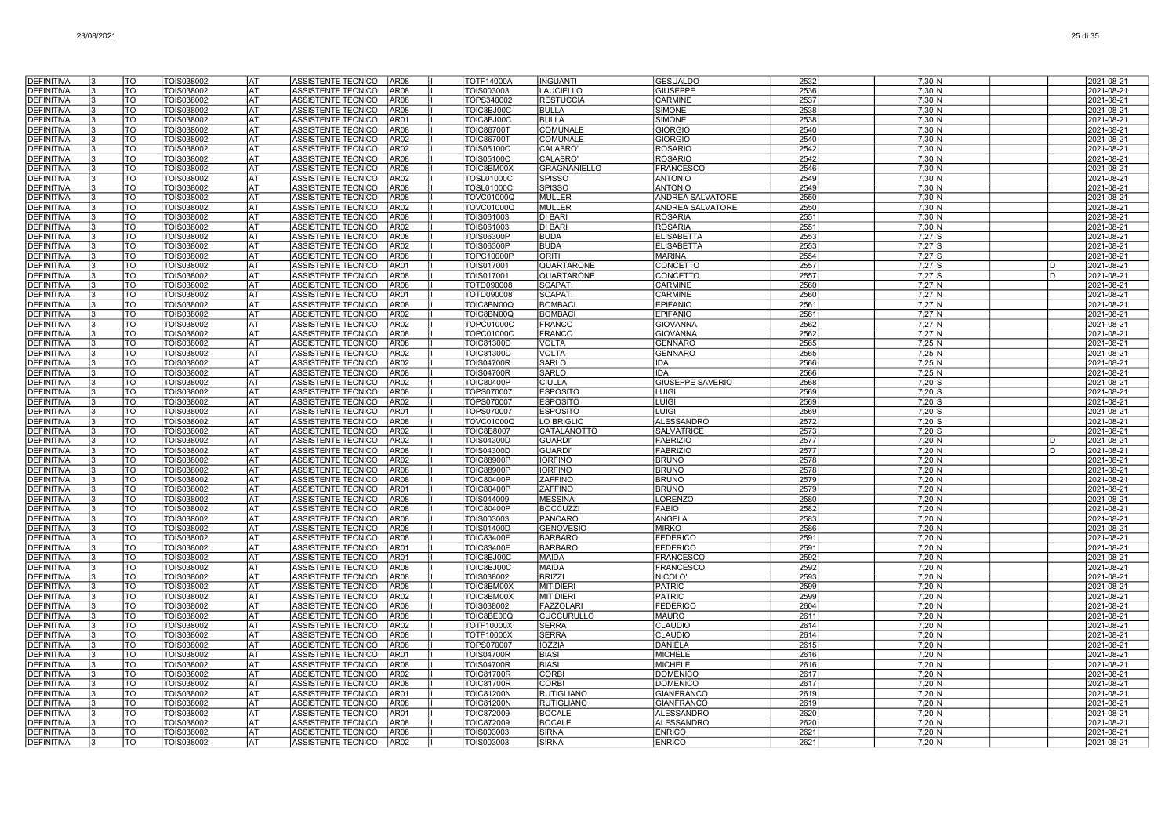| <b>DEFINITIVA</b>                      | TO                     | TOIS038002               | AT                     | ASSISTENTE TECNICO<br>AR08                                      | <b>TOTF14000A</b>               | <b>INGUANTI</b>                  | <b>GESUALDO</b>                | 2532         | $7,30$ N                   |              | 2021-08-21               |
|----------------------------------------|------------------------|--------------------------|------------------------|-----------------------------------------------------------------|---------------------------------|----------------------------------|--------------------------------|--------------|----------------------------|--------------|--------------------------|
| <b>DEFINITIVA</b>                      | TO                     | TOIS038002               | AT                     | <b>AR08</b><br>ASSISTENTE TECNICO                               | TOIS003003                      | <b>LAUCIELLO</b>                 | <b>GIUSEPPE</b>                | 2536         | $7.30\text{N}$             |              | 2021-08-21               |
| <b>DEFINITIVA</b>                      | <b>TO</b>              | TOIS038002               | AT                     | ASSISTENTE TECNICO<br>AR08                                      | TOPS340002                      | <b>RESTUCCIA</b>                 | CARMINE                        | 2537         | 7,30 N                     |              | 2021-08-21               |
| <b>DEFINITIVA</b>                      | TO                     | TOIS038002               | AT                     | ASSISTENTE TECNICO<br><b>AR08</b>                               | TOIC8BJ00C                      | <b>BULLA</b>                     | <b>SIMONE</b>                  | 2538         | $7,30$ N                   |              | 2021-08-21               |
| <b>DEFINITIVA</b>                      | TO                     | TOIS038002               | AT                     | ASSISTENTE TECNICO<br>AR01                                      | TOIC8BJ00C                      | <b>BULLA</b>                     | <b>SIMONE</b>                  | 2538         | $7,30$ N                   |              | 2021-08-21               |
| <b>DEFINITIVA</b>                      | TO                     | TOIS038002               | AT                     | ASSISTENTE TECNICO<br>AR08                                      | <b>TOIC86700T</b>               | <b>COMUNALE</b>                  | <b>GIORGIO</b>                 | 2540         | 7,30 N                     |              | 2021-08-21               |
| <b>DEFINITIVA</b>                      | TO                     | TOIS038002               | <b>AT</b>              | ASSISTENTE TECNICO<br>AR02                                      | <b>TOIC86700T</b>               | COMUNALE                         | <b>GIORGIO</b>                 | 2540         | $7.30\text{N}$             |              | 2021-08-21               |
| <b>DEFINITIVA</b>                      | TO                     | TOIS038002               | l AT                   | ASSISTENTE TECNICO<br>AR02                                      | <b>TOIS05100C</b>               | CALABRO'                         | <b>ROSARIO</b>                 | 2542         | $7,30$ N                   |              | 2021-08-21               |
| <b>DEFINITIVA</b>                      | $\overline{\text{TO}}$ | TOIS038002               | lat                    | ASSISTENTE TECNICO<br>AR08                                      | <b>TOIS05100C</b>               | CALABRO                          | <b>ROSARIO</b>                 | 2542         | $7,30$ N                   |              | 2021-08-21               |
| <b>DEFINITIVA</b>                      | TO                     | TOIS038002               | AT                     | ASSISTENTE TECNICO<br>AR08                                      | TOIC8BM00X                      | <b>GRAGNANIELLO</b>              | <b>FRANCESCO</b>               | 2546         | 7,30 N                     |              | 2021-08-21               |
| <b>DEFINITIVA</b>                      | TO                     | TOIS038002               | AT                     | ASSISTENTE TECNICO<br>AR02                                      | <b>TOSL01000C</b>               | <b>SPISSO</b>                    | <b>ANTONIO</b>                 | 2549         | 7.30 <sub>N</sub>          |              | 2021-08-21               |
| <b>DEFINITIVA</b>                      | TO                     | TOIS038002               | AT                     | ASSISTENTE TECNICO<br>AR08                                      | <b>TOSL01000C</b>               | <b>SPISSO</b>                    | <b>ANTONIO</b>                 | 2549         | 7,30 N                     |              | 2021-08-21               |
| <b>DEFINITIVA</b>                      | TO                     | TOIS038002               | AT                     | ASSISTENTE TECNICO<br>AR08                                      | TOVC01000Q                      | <b>MULLER</b>                    | ANDREA SALVATORE               | 2550         | 7,30 N                     |              | 2021-08-21               |
| <b>DEFINITIVA</b>                      | TO                     | TOIS038002               | AT                     | ASSISTENTE TECNICO<br>AR02                                      | <b>TOVC01000Q</b>               | MULLER                           | <b>ANDREA SALVATORE</b>        | 2550         | 7,30 N                     |              | 2021-08-21               |
| DEFINITIVA                             | TO                     | TOIS038002               | AT                     | ASSISTENTE TECNICO<br>AR08                                      | TOIS061003                      | <b>DI BARI</b>                   | <b>ROSARIA</b>                 | 2551         | $7,30$ N                   |              | 2021-08-21               |
| DEFINITIVA                             | TO                     | TOIS038002               | AT                     | ASSISTENTE TECNICO<br>AR02                                      | TOIS061003                      | <b>DI BARI</b>                   | <b>ROSARIA</b>                 | 2551         | 7.30 <sub>N</sub>          |              | 2021-08-21               |
| <b>DEFINITIVA</b>                      | TO<br>$\overline{10}$  | TOIS038002               | <b>AT</b><br><b>AT</b> | ASSISTENTE TECNICO<br>AR08                                      | <b>TOIS06300P</b>               | <b>BUDA</b>                      | <b>ELISABETTA</b>              | 2553         | $7,27$ S                   |              | 2021-08-21               |
| <b>DEFINITIVA</b>                      | TO                     | TOIS038002               |                        | ASSISTENTE TECNICO<br>AR02                                      | <b>TOIS06300P</b>               | <b>BUDA</b><br><b>ORITI</b>      | <b>ELISABETTA</b>              | 2553<br>2554 | $7,27$ S<br>$7.27$ S       |              | 2021-08-21               |
| <b>DEFINITIVA</b><br><b>DEFINITIVA</b> | $\overline{10}$        | TOIS038002<br>TOIS038002 | <b>AT</b><br>lat       | <b>AR08</b><br>ASSISTENTE TECNICO<br>ASSISTENTE TECNICO<br>AR01 | <b>TOPC10000P</b><br>TOIS017001 | QUARTARONE                       | <b>MARINA</b><br>CONCETTO      | 2557         | $7,27$ S                   | <sub>D</sub> | 2021-08-21<br>2021-08-21 |
| <b>DEFINITIVA</b>                      | <b>TO</b>              | TOIS038002               | AT                     | ASSISTENTE TECNICO<br>AR08                                      | TOIS017001                      | <b>QUARTARONE</b>                | CONCETTO                       | 2557         | $7,27$ S                   | <sub>D</sub> | 2021-08-21               |
| <b>DEFINITIVA</b>                      | TO                     | <b>TOIS038002</b>        | AT                     | ASSISTENTE TECNICO<br>AR08                                      | TOTD090008                      | <b>SCAPATI</b>                   | CARMINE                        | 2560         | $7,27$ N                   |              | 2021-08-21               |
| <b>DEFINITIVA</b>                      | TO                     | TOIS038002               | AT                     | ASSISTENTE TECNICO<br>AR01                                      | TOTD090008                      | <b>SCAPATI</b>                   | <b>CARMINE</b>                 | 2560         | 7,27 N                     |              | 2021-08-21               |
| <b>DEFINITIVA</b>                      | TO                     | TOIS038002               | AT                     | ASSISTENTE TECNICO<br>AR08                                      | TOIC8BN00Q                      | <b>BOMBAC</b>                    | <b>EPIFANIO</b>                | 2561         | 7,27 N                     |              | 2021-08-21               |
| <b>DEFINITIVA</b>                      | TO                     | TOIS038002               | AT                     | ASSISTENTE TECNICO<br>AR02                                      | TOIC8BN00Q                      | <b>BOMBAC</b>                    | EPIFANIC                       | 2561         | $7,27$ N                   |              | 2021-08-21               |
| <b>DEFINITIVA</b>                      | TO                     | TOIS038002               | <b>AT</b>              | ASSISTENTE TECNICO<br>AR02                                      | <b>TOPC01000C</b>               | <b>FRANCO</b>                    | <b>GIOVANNA</b>                | 2562         | $7,27$ N                   |              | 2021-08-21               |
| <b>DEFINITIVA</b>                      | $\overline{10}$        | TOIS038002               | lat                    | ASSISTENTE TECNICO<br>AR08                                      | <b>TOPC01000C</b>               | <b>FRANCO</b>                    | <b>GIOVANNA</b>                | 2562         | $7,27$ N                   |              | 2021-08-21               |
| <b>DEFINITIVA</b>                      | <b>TO</b>              | TOIS038002               | <b>AT</b>              | ASSISTENTE TECNICO<br>AR08                                      | TOIC81300D                      | <b>VOLTA</b>                     | <b>GENNARO</b>                 | 2565         | $7,25$ N                   |              | 2021-08-21               |
| DEFINITIVA                             | TO                     | TOIS038002               | AT                     | ASSISTENTE TECNICO<br>AR02                                      | <b>TOIC81300D</b>               | <b>VOLTA</b>                     | <b>GENNARO</b>                 | 2565         | 7,25 N                     |              | 2021-08-21               |
| DEFINITIVA                             | TO                     | TOIS038002               | AT                     | ASSISTENTE TECNICO<br>AR02                                      | <b>TOIS04700R</b>               | <b>SARLO</b>                     | <b>IDA</b>                     | 2566         | 7,25 N                     |              | 2021-08-21               |
| <b>DEFINITIVA</b>                      | TO                     | TOIS038002               | AT                     | ASSISTENTE TECNICO<br>AR08                                      | <b>TOIS04700R</b>               | SARLO                            | <b>IDA</b>                     | 2566         | $7,25$ N                   |              | 2021-08-21               |
| DEFINITIVA                             | TO                     | TOIS038002               | AT                     | ASSISTENTE TECNICO<br>AR02                                      | <b>TOIC80400P</b>               | <b>CIULLA</b>                    | <b>GIUSEPPE SAVERIO</b>        | 2568         | $7,20$ S                   |              | 2021-08-21               |
| <b>DEFINITIVA</b>                      | TO                     | TOIS038002               | AT                     | ASSISTENTE TECNICO<br>AR08                                      | <b>TOPS070007</b>               | <b>ESPOSITO</b>                  | <b>LUIGI</b>                   | 2569         | $7,20$ S                   |              | 2021-08-21               |
| <b>DEFINITIVA</b>                      | TO                     | TOIS038002               | AT                     | ASSISTENTE TECNICO<br>AR02                                      | TOPS070007                      | <b>ESPOSITO</b>                  | LUIGI                          | 2569         | $7,20$ S                   |              | 2021-08-21               |
| <b>DEFINITIVA</b>                      | TO                     | TOIS038002               | AT                     | ASSISTENTE TECNICO<br>AR01                                      | <b>TOPS070007</b>               | <b>ESPOSITO</b>                  | LUIGI                          | 2569         | $7.20$ S                   |              | 2021-08-21               |
| <b>DEFINITIVA</b>                      | TO                     | TOIS038002               | l AT                   | ASSISTENTE TECNICO<br>AR08                                      | TOVC01000Q                      | LO BRIGLIO                       | <b>ALESSANDRO</b>              | 2572         | $7,20$ S                   |              | 2021-08-21               |
| <b>DEFINITIVA</b>                      | $\overline{10}$        | TOIS038002               | lat                    | ASSISTENTE TECNICO<br>AR02                                      | <b>TOIC8B8007</b>               | CATALANOTTO                      | <b>SALVATRICE</b>              | 2573         | $7,20$ S                   |              | 2021-08-21               |
| <b>DEFINITIVA</b>                      | TO                     | TOIS038002               | AT                     | AR02<br>ASSISTENTE TECNICO                                      | <b>TOIS04300D</b>               | <b>GUARDI'</b>                   | <b>FABRIZIO</b>                | 2577         | $7,20$ N                   | <sub>D</sub> | 2021-08-21               |
| <b>DEFINITIVA</b>                      | TO                     | TOIS038002               | AT                     | ASSISTENTE TECNICO<br><b>AR08</b>                               | <b>TOIS04300D</b>               | <b>GUARDI</b>                    | <b>FABRIZIO</b>                | 2577         | 7,20 N                     | <sub>D</sub> | 2021-08-21               |
| <b>DEFINITIVA</b>                      | TO                     | TOIS038002               | AT                     | ASSISTENTE TECNICO<br>AR02                                      | <b>TOIC88900P</b>               | <b>IORFINO</b>                   | <b>BRUNO</b>                   | 2578         | $7,20$ N                   |              | 2021-08-21               |
| <b>DEFINITIVA</b>                      | $\overline{10}$        | TOIS038002               | <b>AT</b>              | ASSISTENTE TECNICO<br>AR08                                      | <b>TOIC88900P</b>               | <b>IORFINO</b>                   | <b>BRUNO</b>                   | 2578         | 7,20 N                     |              | 2021-08-21               |
| <b>DEFINITIVA</b>                      | TO                     | TOIS038002               | AT                     | AR08<br>ASSISTENTE TECNICO                                      | <b>TOIC80400F</b>               | <b>ZAFFINO</b>                   | <b>BRUNO</b>                   | 2579         | 7,20 N                     |              | 2021-08-21               |
| <b>DEFINITIVA</b><br>DEFINITIVA        | TO<br>TO               | TOIS038002               | <b>AT</b><br>AT        | ASSISTENTE TECNICO<br>AR01<br><b>ASSISTENTE TECNICO</b><br>AR08 | <b>TOIC80400P</b>               | <b>ZAFFINO</b><br><b>MESSINA</b> | <b>BRUNO</b><br><b>LORENZC</b> | 2579         | $7,20$ N<br>$7,20$ N       |              | 2021-08-21               |
| <b>DEFINITIVA</b>                      | TO                     | TOIS038002<br>TOIS038002 | l AT                   | ASSISTENTE TECNICO<br>AR08                                      | TOIS044009<br><b>TOIC80400P</b> | <b>BOCCUZZI</b>                  | <b>FABIO</b>                   | 2580<br>2582 | $7,20$ N                   |              | 2021-08-21<br>2021-08-21 |
| <b>DEFINITIVA</b>                      | TO                     | TOIS038002               | lat                    | ASSISTENTE TECNICO<br>AR08                                      | TOIS003003                      | <b>PANCARO</b>                   | ANGELA                         | 2583         | $7,20$ N                   |              | 2021-08-21               |
| <b>DEFINITIVA</b>                      | TO                     | TOIS038002               | lat                    | ASSISTENTE TECNICO<br>AR08                                      | <b>TOIS01400D</b>               | <b>GENOVESIO</b>                 | <b>MIRKO</b>                   | 2586         | $7,20$ N                   |              | 2021-08-21               |
| <b>DEFINITIVA</b>                      | TO                     | TOIS038002               | <b>AT</b>              | ASSISTENTE TECNICO<br>AR08                                      | <b>TOIC83400E</b>               | <b>BARBARO</b>                   | <b>FEDERICO</b>                | 2591         | 7,20 N                     |              | 2021-08-21               |
| <b>DEFINITIVA</b>                      | TO                     | TOIS038002               | AT                     | ASSISTENTE TECNICO<br>AR01                                      | <b>TOIC83400E</b>               | <b>BARBARO</b>                   | <b>FEDERICO</b>                | 2591         | 7,20 N                     |              | 2021-08-21               |
| <b>DEFINITIVA</b>                      | TO                     | TOIS038002               | AT                     | ASSISTENTE TECNICO<br>AR01                                      | TOIC8BJ00C                      | MAIDA                            | FRANCESCO                      | 2592         | 7,20 N                     |              | 2021-08-21               |
| DEFINITIVA                             | TO                     | TOIS038002               | AT                     | ASSISTENTE TECNICO<br>AR08                                      | TOIC8BJ00C                      | <b>MAIDA</b>                     | <b>FRANCESCO</b>               | 2592         | $7,20$ N                   |              | 2021-08-21               |
| <b>DEFINITIVA</b>                      | TO                     | TOIS038002               | AT                     | AR08<br>ASSISTENTE TECNICO                                      | TOIS038002                      | <b>BRIZZI</b>                    | NICOLO'                        | 2593         | 7,20 N                     |              | 2021-08-21               |
| <b>DEFINITIVA</b>                      | TO                     | TOIS038002               | AT                     | ASSISTENTE TECNICO<br>AR08                                      | TOIC8BM00X                      | <b>MITIDIER</b>                  | <b>PATRIC</b>                  | 2599         | $7.20\text{N}$             |              | 2021-08-21               |
| <b>DEFINITIVA</b>                      | TO                     | TOIS038002               | <b>AT</b>              | ASSISTENTE TECNICO<br>AR02                                      | TOIC8BM00X                      | <b>MITIDIERI</b>                 | <b>PATRIC</b>                  | 2599         | $7,20$ N                   |              | 2021-08-21               |
| <b>DEFINITIVA</b>                      | $\overline{10}$        | <b>TOIS038002</b>        | <b>AT</b>              | <b>AR08</b><br>ASSISTENTE TECNICO                               | <b>TOIS038002</b>               | <b>FAZZOLAR</b>                  | <b>FEDERICO</b>                | 2604         | $7,20$ N                   |              | 2021-08-21               |
| <b>DEFINITIVA</b>                      | TO                     | TOIS038002               | lat                    | ASSISTENTE TECNICO<br><b>AR08</b>                               | TOIC8BE00Q                      | <b>CUCCURULLO</b>                | <b>MAURO</b>                   | 2611         | 7,20 N                     |              | 2021-08-21               |
| <b>DEFINITIVA</b>                      | <b>TO</b>              | TOIS038002               | lat                    | ASSISTENTE TECNICO<br>AR02                                      | <b>TOTF10000X</b>               | <b>SERRA</b>                     | <b>CLAUDIO</b>                 | 2614         | 7,20 N                     |              | 2021-08-21               |
| <b>DEFINITIVA</b>                      | TO                     | TOIS038002               | AT                     | ASSISTENTE TECNICO<br>AR08                                      | <b>TOTF10000X</b>               | <b>SERRA</b>                     | CLAUDIO                        | 2614         | 7,20 N                     |              | 2021-08-21               |
| <b>DEFINITIVA</b>                      | TO                     | TOIS038002               | AT                     | ASSISTENTE TECNICO<br>AR08                                      | TOPS070007                      | <b>IOZZIA</b>                    | <b>DANIELA</b>                 | 2615         | $7,20$ N                   |              | 2021-08-21               |
| <b>DEFINITIVA</b>                      | TO                     | TOIS038002               | AT                     | ASSISTENTE TECNICO<br>AR01                                      | <b>TOIS04700R</b>               | <b>BIASI</b>                     | <b>MICHELE</b>                 | 2616         | $7,20$ N                   |              | 2021-08-21               |
|                                        |                        |                          | AT                     | AR08<br>ASSISTENTE TECNICO                                      | <b>TOIS04700R</b>               | <b>BIASI</b>                     | <b>MICHELE</b>                 | 2616         | $7,20$ N                   |              | 2021-08-21               |
| <b>DEFINITIVA</b>                      | TO                     | TOIS038002               |                        |                                                                 |                                 |                                  |                                |              |                            |              |                          |
| <b>DEFINITIVA</b>                      | TO                     | TOIS038002               | <b>AT</b>              | ASSISTENTE TECNICO<br>AR02                                      | <b>TOIC81700R</b>               | <b>CORBI</b>                     | <b>DOMENICC</b>                | 2617         | 7,20 N                     |              | 2021-08-21               |
| <b>DEFINITIVA</b>                      | TO                     | TOIS038002               | AT                     | <b>ASSISTENTE TECNICO</b><br>AR08                               | <b>TOIC81700R</b>               | <b>CORBI</b>                     | <b>DOMENICC</b>                | 2617         | $7.20\text{N}$             |              | 2021-08-21               |
| <b>DEFINITIVA</b>                      | TO                     | TOIS038002               | l AT                   | ASSISTENTE TECNICO<br>AR01                                      | <b>TOIC81200N</b>               | <b>RUTIGLIANO</b>                | <b>GIANFRANCO</b>              | 2619         | $7,20$ N                   |              | 2021-08-21               |
| <b>DEFINITIVA</b>                      | TO                     | TOIS038002               | lat                    | ASSISTENTE TECNICO<br>AR08                                      | <b>TOIC81200N</b>               | <b>RUTIGLIANO</b>                | <b>GIANFRANCO</b>              | 2619         | $7,20$ N                   |              | 2021-08-21               |
| <b>DEFINITIVA</b>                      | $\overline{10}$        | TOIS038002               | <b>AT</b>              | ASSISTENTE TECNICO<br>AR01                                      | TOIC872009                      | <b>BOCALE</b>                    | ALESSANDRO                     | 2620         | $7,20$ N                   |              | 2021-08-21               |
| DEFINITIVA                             | TO                     | TOIS038002               | <b>AT</b>              | ASSISTENTE TECNICO<br>AR08                                      | <b>TOIC872009</b>               | <b>BOCALE</b>                    | <b>ALESSANDRO</b>              | 2620         | $7.20\text{N}$             |              | 2021-08-21               |
| <b>DEFINITIVA</b><br><b>DEFINITIVA</b> | TO<br><b>TO</b>        | TOIS038002<br>TOIS038002 | AT<br> AT              | ASSISTENTE TECNICO<br><b>AR08</b><br>ASSISTENTE TECNICO<br>AR02 | TOIS003003<br>TOIS003003        | <b>SIRNA</b><br><b>SIRNA</b>     | <b>ENRICO</b><br><b>ENRICO</b> | 2621<br>2621 | $7.20\text{N}$<br>$7,20$ N |              | 2021-08-21<br>2021-08-21 |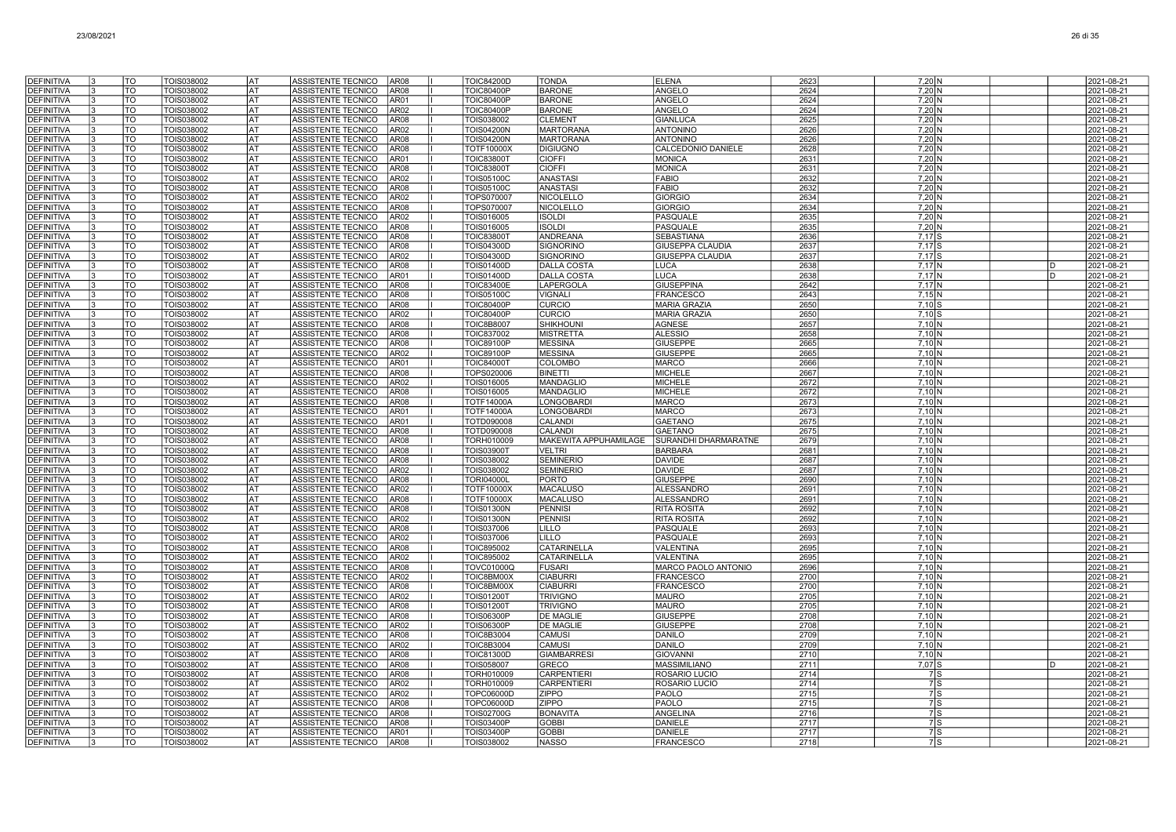| <b>DEFINITIVA</b>                      | ١R       | TO                     | TOIS038002               | lat              | ASSISTENTE TECNICO<br>AR <sub>08</sub>                                               | <b>TOIC84200D</b>                      | <b>TONDA</b>                      | <b>ELENA</b>                                 | 2623         | $7,20$ N                            |     |              | 2021-08-21               |
|----------------------------------------|----------|------------------------|--------------------------|------------------|--------------------------------------------------------------------------------------|----------------------------------------|-----------------------------------|----------------------------------------------|--------------|-------------------------------------|-----|--------------|--------------------------|
| <b>DEFINITIVA</b>                      |          | <b>TO</b>              | <b>TOIS038002</b>        | <b>AT</b>        | AR08<br>ASSISTENTE TECNICO                                                           | <b>TOIC80400P</b>                      | <b>BARONE</b>                     | ANGELO                                       | 2624         | $7,20$ N                            |     |              | 2021-08-21               |
| <b>DEFINITIVA</b>                      | 13       | <b>TO</b>              | TOIS038002               | <b>AT</b>        | AR01<br>ASSISTENTE TECNICO                                                           | <b>TOIC80400P</b>                      | <b>BARONE</b>                     | ANGELO                                       | 2624         | 7,20 N                              |     |              | 2021-08-21               |
| <b>DEFINITIVA</b>                      |          | <b>TO</b>              | TOIS038002               | lat              | ASSISTENTE TECNICO<br>AR02                                                           | <b>TOIC80400P</b>                      | <b>BARONE</b>                     | <b>ANGELO</b>                                | 2624         | 7,20 N                              |     |              | 2021-08-21               |
| <b>DEFINITIVA</b>                      |          | <b>TO</b>              | TOIS038002               | AT               | ASSISTENTE TECNICO<br>AR08                                                           | TOIS038002                             | <b>CLEMENT</b>                    | <b>GIANLUCA</b>                              | 2625         | 7,20 N                              |     |              | 2021-08-21               |
| <b>DEFINITIVA</b>                      |          | TO                     | TOIS038002               | AT               | ASSISTENTE TECNICO<br>AR <sub>02</sub>                                               | TOIS04200N                             | <b>MARTORANA</b>                  | <b>ANTONINO</b>                              | 2626         | $7,20$ N                            |     |              | 2021-08-21               |
| <b>DEFINITIVA</b>                      |          | TO                     | TOIS038002               | AT               | ASSISTENTE TECNICO<br><b>AR08</b>                                                    | <b>TOIS04200N</b>                      | <b>MARTORANA</b>                  | <b>ANTONINO</b>                              | 2626         | 7,20 N                              |     |              | 2021-08-21               |
| <b>DEFINITIVA</b>                      |          | <b>TO</b>              | TOIS038002               | lat              | ASSISTENTE TECNICO<br><b>AR08</b>                                                    | <b>TOTF10000X</b>                      | <b>DIGIUGNO</b>                   | CALCEDONIO DANIELE                           | 2628         | $7,20$ N                            |     |              | 2021-08-21               |
| <b>DEFINITIVA</b>                      | l3       | <b>TO</b>              | TOIS038002               | lat              | <b>ASSISTENTE TECNICO</b><br>AR01                                                    | <b>TOIC83800T</b>                      | <b>CIOFFI</b>                     | <b>MONICA</b>                                | 2631         | $7.20\text{N}$                      |     |              | 2021-08-21               |
| <b>DEFINITIVA</b>                      | ١R       | <b>TO</b>              | TOIS038002               | lat              | ASSISTENTE TECNICO<br><b>AR08</b>                                                    | <b>TOIC83800T</b>                      | CIOFFI                            | <b>MONICA</b>                                | 2631         | 7,20 N                              |     |              | 2021-08-21               |
| <b>DEFINITIVA</b>                      |          | <b>TO</b>              | TOIS038002               | <b>AT</b>        | <b>ASSISTENTE TECNICO</b><br>AR02                                                    | <b>TOIS05100C</b>                      | <b>ANASTASI</b>                   | <b>FABIO</b>                                 | 2632         | 7,20 N                              |     |              | 2021-08-21               |
| <b>DEFINITIVA</b>                      |          | <b>TO</b>              | TOIS038002               | lat              | ASSISTENTE TECNICO<br>AR08                                                           | <b>TOIS05100C</b>                      | ANASTASI                          | <b>FABIO</b>                                 | 2632         | 7,20 N                              |     |              | 2021-08-21               |
| DEFINITIVA                             |          | TO                     | TOIS038002               | l AT             | <b>ASSISTENTE TECNICO</b><br><b>AR02</b>                                             | TOPS070007                             | <b>NICOLELLO</b>                  | <b>GIORGIO</b>                               | 2634         | $7.20\text{N}$                      |     |              | 2021-08-21               |
| <b>DEFINITIVA</b>                      |          | TO                     | TOIS038002               | lat              | ASSISTENTE TECNICO<br><b>AR08</b>                                                    | TOPS070007                             | NICOLELLO                         | <b>GIORGIO</b>                               | 2634         | 7,20 N                              |     |              | 2021-08-21               |
| <b>DEFINITIVA</b>                      |          | TO                     | TOIS038002               | AT               | ASSISTENTE TECNICO<br>AR02                                                           | TOIS016005                             | <b>ISOLDI</b>                     | PASQUALE                                     | 2635         | $7,20 \, N$                         |     |              | 2021-08-21               |
| <b>DEFINITIVA</b>                      | 13       | <b>TO</b>              | TOIS038002               | lat              | <b>ASSISTENTE TECNICO</b><br><b>AR08</b>                                             | TOIS016005                             | <b>ISOLDI</b>                     | <b>PASQUALE</b>                              | 2635         | $7,20$ N                            |     |              | 2021-08-21               |
| <b>DEFINITIVA</b><br><b>DEFINITIVA</b> | 13<br>١R | TO<br>TO               | TOIS038002<br>TOIS038002 | lat<br>lat       | ASSISTENTE TECNICO<br>AR08<br>ASSISTENTE TECNICO<br><b>AR08</b>                      | <b>TOIC83800T</b>                      | ANDREANA<br><b>SIGNORINO</b>      | <b>SEBASTIANA</b><br><b>GIUSEPPA CLAUDIA</b> | 2636         | $7,17$ S<br>$7.17$ S                |     |              | 2021-08-21<br>2021-08-21 |
| <b>DEFINITIVA</b>                      |          | <b>TO</b>              | TOIS038002               | <b>AT</b>        | AR02<br>ASSISTENTE TECNICO                                                           | <b>TOIS04300D</b><br><b>TOIS04300D</b> | <b>SIGNORINO</b>                  | <b>GIUSEPPA CLAUDIA</b>                      | 2637<br>2637 | $7,17$ S                            |     |              | 2021-08-21               |
| <b>DEFINITIVA</b>                      | l3       | <b>TO</b>              | TOIS038002               | <b>AT</b>        | <b>AR08</b><br>ASSISTENTE TECNICO                                                    | <b>TOIS01400D</b>                      | <b>DALLA COSTA</b>                | <b>LUCA</b>                                  | 2638         | $7,17$ N                            |     | <sub>D</sub> | 2021-08-21               |
| <b>DEFINITIVA</b>                      |          | <b>TO</b>              | TOIS038002               | <b>AT</b>        | ASSISTENTE TECNICO<br>AR01                                                           | <b>TOIS01400D</b>                      | <b>DALLA COSTA</b>                | <b>LUCA</b>                                  | 2638         | $7,17$ N                            |     | n.           | 2021-08-21               |
| <b>DEFINITIVA</b>                      |          | <b>TO</b>              | TOIS038002               | lat              | ASSISTENTE TECNICO<br><b>AR08</b>                                                    | <b>TOIC83400E</b>                      | LAPERGOLA                         | <b>GIUSEPPINA</b>                            | 2642         | 7.17 <sub>N</sub>                   |     |              | 2021-08-21               |
| <b>DEFINITIVA</b>                      |          | <b>TO</b>              | TOIS038002               | lat              | ASSISTENTE TECNICO<br><b>AR08</b>                                                    | <b>TOIS05100C</b>                      | <b>VIGNALI</b>                    | FRANCESCO                                    | 2643         | 7,15N                               |     |              | 2021-08-21               |
| <b>DEFINITIVA</b>                      |          | TO                     | TOIS038002               | AT               | ASSISTENTE TECNICO<br><b>AR08</b>                                                    | <b>TOIC80400P</b>                      | <b>CURCIO</b>                     | <b>MARIA GRAZIA</b>                          | 2650         | $7,10$ S                            |     |              | 2021-08-21               |
| <b>DEFINITIVA</b>                      |          | <b>TO</b>              | TOIS038002               | lat              | <b>AR02</b><br><b>ASSISTENTE TECNICO</b>                                             | <b>TOIC80400F</b>                      | <b>CURCIO</b>                     | <b>MARIA GRAZIA</b>                          | 2650         | $7,10$ S                            |     |              | 2021-08-21               |
| <b>DEFINITIVA</b>                      |          | TO                     | TOIS038002               | lat              | ASSISTENTE TECNICO<br><b>AR08</b>                                                    | <b>TOIC8B8007</b>                      | <b>SHIKHOUN</b>                   | <b>AGNESE</b>                                | 2657         | 7.10 <sub>N</sub>                   |     |              | 2021-08-21               |
| <b>DEFINITIVA</b>                      | l3       | <b>TO</b>              | TOIS038002               | lat              | ASSISTENTE TECNICO<br><b>AR08</b>                                                    | TOIC837002                             | <b>MISTRETTA</b>                  | <b>ALESSIO</b>                               | 2658         | $7,10$ N                            |     |              | 2021-08-21               |
| <b>DEFINITIVA</b>                      |          | <b>TO</b>              | TOIS038002               | <b>AT</b>        | <b>ASSISTENTE TECNICO</b><br><b>AR08</b>                                             | <b>TOIC89100P</b>                      | <b>MESSINA</b>                    | <b>GIUSEPPE</b>                              | 2665         | $7,10$ N                            |     |              | 2021-08-21               |
| <b>DEFINITIVA</b>                      |          | TO                     | TOIS038002               | <b>AT</b>        | <b>ASSISTENTE TECNICO</b><br>AR02                                                    | <b>TOIC89100P</b>                      | <b>MESSINA</b>                    | GIUSEPPE                                     | 2665         | 7,10 N                              |     |              | 2021-08-21               |
| <b>DEFINITIVA</b>                      |          | TO                     | TOIS038002               | l AT             | ASSISTENTE TECNICO<br>AR01                                                           | <b>TOIC84000T</b>                      | COLOMBO                           | <b>MARCO</b>                                 | 2666         | $7,10$ N                            |     |              | 2021-08-21               |
| <b>DEFINITIVA</b>                      |          | TO                     | TOIS038002               | AT               | <b>ASSISTENTE TECNICO</b><br><b>AR08</b>                                             | TOPS020006                             | <b>BINETTI</b>                    | <b>MICHELE</b>                               | 2667         | 7.10 <sub>N</sub>                   |     |              | 2021-08-21               |
| <b>DEFINITIVA</b>                      |          | TO                     | <b>FOIS038002</b>        | AT               | ASSISTENTE TECNICO<br>AR02                                                           | TOIS016005                             | MANDAGLIO                         | <b>MICHELE</b>                               | 2672         | 7,10 N                              |     |              | 2021-08-21               |
| <b>DEFINITIVA</b>                      | 13       | TO                     | <b>FOIS038002</b>        | AT               | ASSISTENTE TECNICO<br><b>AR08</b>                                                    | TOIS016005                             | MANDAGLIO                         | <b>MICHELE</b>                               | 2672         | $7,10$ N                            |     |              | 2021-08-21               |
| <b>DEFINITIVA</b>                      | 13       | TO                     | TOIS038002               | AT               | ASSISTENTE TECNICO<br>AR08                                                           | <b>TOTF14000A</b>                      | LONGOBARDI                        | <b>MARCO</b>                                 | 2673         | 7,10 N                              |     |              | 2021-08-21               |
| <b>DEFINITIVA</b>                      | 13       | TO                     | TOIS038002               | lat              | ASSISTENTE TECNICO<br>AR01                                                           | <b>TOTF14000A</b>                      | <b>LONGOBARDI</b>                 | <b>MARCO</b>                                 | 2673         | $7.10\text{N}$                      |     |              | 2021-08-21               |
| <b>DEFINITIVA</b>                      | l3       | TO                     | TOIS038002               | lat              | ASSISTENTE TECNICO<br>AR01                                                           | TOTD090008                             | CALANDI                           | <b>GAETANO</b>                               | 2675         | $7.10\text{N}$                      |     |              | 2021-08-21               |
| <b>DEFINITIVA</b>                      |          | <b>TO</b>              | TOIS038002               | <b>AT</b>        | ASSISTENTE TECNICO<br><b>AR08</b>                                                    | TOTD090008                             | CALANDI                           | <b>GAETANO</b>                               | 2675         | $7,10$ N                            |     |              | 2021-08-21               |
| <b>DEFINITIVA</b>                      | 13       | TO                     | TOIS038002               | <b>AT</b>        | ASSISTENTE TECNICO<br>AR <sub>08</sub>                                               | <b>TORH010009</b>                      | MAKEWITA APPUHAMILAGE             | <b>SURANDHI DHARMARATNE</b>                  | 2679         | 7,10 N                              |     |              | 2021-08-21               |
| <b>DEFINITIVA</b><br><b>DEFINITIVA</b> |          | <b>TO</b><br><b>TO</b> | TOIS038002<br>TOIS038002 | lat<br>lat       | <b>ASSISTENTE TECNICO</b><br><b>AR08</b><br><b>ASSISTENTE TECNICO</b><br><b>AR08</b> | <b>TOIS03900T</b>                      | <b>VELTRI</b><br><b>SEMINERIO</b> | <b>BARBARA</b><br><b>DAVIDE</b>              | 2681<br>2687 | 7.10 <sub>N</sub><br>$7.10\text{N}$ |     |              | 2021-08-21               |
| <b>DEFINITIVA</b>                      | ıз       | $\overline{\text{TO}}$ | TOIS038002               | AT               | AR02                                                                                 | TOIS038002                             | <b>SEMINERIO</b>                  | <b>DAVIDE</b>                                | 2687         |                                     |     |              | 2021-08-21<br>2021-08-21 |
| <b>DEFINITIVA</b>                      |          | <b>TO</b>              | TOIS038002               | lat              | ASSISTENTE TECNICO<br><b>ASSISTENTE TECNICO</b><br><b>AR08</b>                       | TOIS038002<br><b>TORI04000</b>         | <b>PORTO</b>                      | <b>GIUSEPPE</b>                              | 2690         | 7,10 N<br>7,10 N                    |     |              | 2021-08-21               |
| <b>DEFINITIVA</b>                      |          | TO                     | TOIS038002               | lat              | ASSISTENTE TECNICO<br>AR02                                                           | <b>TOTF10000X</b>                      | <b>MACALUSO</b>                   | ALESSANDRO                                   | 2691         | 7,10 N                              |     |              | 2021-08-21               |
| <b>DEFINITIVA</b>                      |          | TO                     | TOIS038002               | lat              | ASSISTENTE TECNICO<br><b>AR08</b>                                                    | <b>TOTF10000X</b>                      | <b>MACALUSO</b>                   | <b>ALESSANDRO</b>                            | 2691         | 7.10 N                              |     |              | 2021-08-21               |
| <b>DEFINITIVA</b>                      |          | TO                     | TOIS038002               | lat              | <b>ASSISTENTE TECNICO</b><br>AR08                                                    | <b>TOIS01300N</b>                      | <b>PENNISI</b>                    | <b>RITA ROSITA</b>                           | 2692         | $7.10\text{N}$                      |     |              | 2021-08-21               |
| <b>DEFINITIVA</b>                      |          | <b>TO</b>              | TOIS038002               | <b>AT</b>        | ASSISTENTE TECNICO<br>AR02                                                           | <b>TOIS01300N</b>                      | <b>PENNISI</b>                    | <b>RITA ROSITA</b>                           | 2692         | $7,10$ N                            |     |              | 2021-08-21               |
| <b>DEFINITIVA</b>                      |          | <b>TO</b>              | TOIS038002               | <b>AT</b>        | ASSISTENTE TECNICO<br><b>AR08</b>                                                    | TOIS037006                             | <b>LILLO</b>                      | PASQUALE                                     | 2693         | 7,10 N                              |     |              | 2021-08-21               |
| <b>DEFINITIVA</b>                      |          | TO                     | TOIS038002               | lat              | <b>ASSISTENTE TECNICO</b><br><b>AR02</b>                                             | TOIS037006                             | <b>LILLO</b>                      | <b>PASQUALE</b>                              | 2693         | 7.10 <sub>N</sub>                   |     |              | 2021-08-21               |
| <b>DEFINITIVA</b>                      |          | TO                     | TOIS038002               | AT               | ASSISTENTE TECNICO<br>AR08                                                           | TOIC895002                             | CATARINELLA                       | VALENTINA                                    | 2695         | 7,10 N                              |     |              | 2021-08-21               |
| <b>DEFINITIVA</b>                      |          | TO                     | TOIS038002               | AT               | ASSISTENTE TECNICO<br>AR02                                                           | TOIC895002                             | <b>CATARINELLA</b>                | VALENTINA                                    | 2695         | $7,10$ N                            |     |              | 2021-08-21               |
| <b>DEFINITIVA</b>                      | 13       | <b>TO</b>              | TOIS038002               | lat              | ASSISTENTE TECNICO<br>AR08                                                           | <b>TOVC01000Q</b>                      | <b>FUSARI</b>                     | MARCO PAOLO ANTONIO                          | 2696         | $7,10$ N                            |     |              | 2021-08-21               |
| <b>DEFINITIVA</b>                      | 13       | TO                     | TOIS038002               | lat              | ASSISTENTE TECNICO<br>AR02                                                           | TOIC8BM00X                             | <b>CIABURRI</b>                   | <b>FRANCESCO</b>                             | 2700         | 7,10 N                              |     |              | 2021-08-21               |
| <b>DEFINITIVA</b>                      | l٩       | <b>TO</b>              | TOIS038002               | l AT             | ASSISTENTE TECNICO<br>AR08                                                           | TOIC8BM00X                             | <b>CIABURRI</b>                   | <b>FRANCESCO</b>                             | 2700         | $7.10\text{N}$                      |     |              | 2021-08-21               |
| <b>DEFINITIVA</b>                      |          | TO                     | TOIS038002               | lat              | ASSISTENTE TECNICO<br>AR02                                                           | <b>TOIS01200T</b>                      | <b>TRIVIGNO</b>                   | <b>MAURO</b>                                 | 2705         | $7.10\text{N}$                      |     |              | 2021-08-21               |
| <b>DEFINITIVA</b>                      |          | $\overline{10}$        | TOIS038002               | <b>AT</b>        | <b>AR08</b><br>ASSISTENTE TECNICO                                                    | <b>TOIS01200T</b>                      | <b>TRIVIGNO</b>                   | <b>MAURO</b>                                 | 2705         | $7,10$ N                            |     |              | 2021-08-21               |
| <b>DEFINITIVA</b>                      |          | <b>TO</b>              | TOIS038002               | lat              | ASSISTENTE TECNICO<br><b>AR08</b>                                                    | <b>TOIS06300P</b>                      | <b>DE MAGLIE</b>                  | GIUSEPPE                                     | 2708         | 7,10 N                              |     |              | 2021-08-21               |
| <b>DEFINITIVA</b>                      |          | <b>TO</b>              | TOIS038002               | lat              | <b>AR02</b><br>ASSISTENTE TECNICO                                                    | TOIS06300P                             | <b>DE MAGLIE</b>                  | <b>GIUSEPPE</b>                              | 2708         | 7.10 <sub>N</sub>                   |     |              | 2021-08-21               |
| <b>DEFINITIVA</b>                      |          | TO                     | TOIS038002               | AT               | <b>AR08</b><br>ASSISTENTE TECNICO                                                    | TOIC8B3004                             | CAMUSI                            | DANILO                                       | 2709         | $7,10$ N                            |     |              | 2021-08-21               |
| <b>DEFINITIVA</b>                      |          | TO                     | TOIS038002               | <b>AT</b>        | <b>AR02</b><br>ASSISTENTE TECNICO                                                    | TOIC8B3004                             | CAMUSI                            | <b>DANILO</b>                                | 2709         | $7,10$ N                            |     |              | 2021-08-21               |
| <b>DEFINITIVA</b>                      |          | TO                     | TOIS038002               | lat              | <b>AR08</b><br>ASSISTENTE TECNICO                                                    | <b>TOIC81300D</b>                      | <b>GIAMBARRESI</b>                | <b>GIOVANN</b>                               | 2710         | 7,10 N                              |     | D.           | 2021-08-21               |
| <b>DEFINITIVA</b>                      |          | TO<br><b>TO</b>        | TOIS038002               | <b>AT</b><br>lat | ASSISTENTE TECNICO<br><b>AR08</b><br><b>ASSISTENTE TECNICO</b><br><b>AR08</b>        | <b>TOIS058007</b><br><b>TORH010009</b> | GRECO                             | <b>MASSIMILIANO</b><br><b>ROSARIO LUCIC</b>  | 2711<br>2714 | 7,07 S                              | 7ls |              | 2021-08-21               |
| <b>DEFINITIVA</b><br><b>DEFINITIVA</b> |          | <b>TO</b>              | TOIS038002<br>TOIS038002 | <b>AT</b>        | ASSISTENTE TECNICO<br>AR02                                                           | <b>TORH010009</b>                      | <b>CARPENTIERI</b><br>CARPENTIERI | ROSARIO LUCIO                                | 2714         |                                     | 7S  |              | 2021-08-21<br>2021-08-21 |
| <b>DEFINITIVA</b>                      |          | TO                     | TOIS038002               | <b>AT</b>        | ASSISTENTE TECNICO<br>AR02                                                           | <b>TOPC06000D</b>                      | ZIPPO                             | PAOLO                                        | 2715         |                                     | 7s  |              | 2021-08-21               |
| <b>DEFINITIVA</b>                      |          | <b>TO</b>              | TOIS038002               | l AT             | <b>ASSISTENTE TECNICO</b><br>AR08                                                    | <b>TOPC06000D</b>                      | ZIPPO                             | <b>PAOLO</b>                                 | 2715         |                                     | 7ls |              | 2021-08-21               |
| <b>DEFINITIVA</b>                      |          | TO                     | TOIS038002               | AT               | ASSISTENTE TECNICO<br>AR08                                                           | TOIS02700G                             | <b>BONAVITA</b>                   | ANGELINA                                     | 2716         |                                     | 7S  |              | 2021-08-21               |
| <b>DEFINITIVA</b>                      |          | TO                     | <b>FOIS038002</b>        | AT               | ASSISTENTE TECNICO<br>AR08                                                           | <b>FOIS03400P</b>                      | <b>GOBBI</b>                      | DANIELE                                      | 2717         |                                     | 7 S |              | 2021-08-21               |
| <b>DEFINITIVA</b>                      | 13       | TO                     | TOIS038002               | AT               | ASSISTENTE TECNICO<br>AR01                                                           | <b>TOIS03400P</b>                      | <b>GOBB</b>                       | <b>DANIELE</b>                               | 2717         |                                     | 7 S |              | 2021-08-21               |
| DEFINITIVA                             | 13       | TO                     | TOIS038002               | lat              | ASSISTENTE TECNICO<br><b>AR08</b>                                                    | TOIS038002                             | <b>NASSO</b>                      | <b>FRANCESCO</b>                             | 2718         |                                     | 7S  |              | 2021-08-21               |
|                                        |          |                        |                          |                  |                                                                                      |                                        |                                   |                                              |              |                                     |     |              |                          |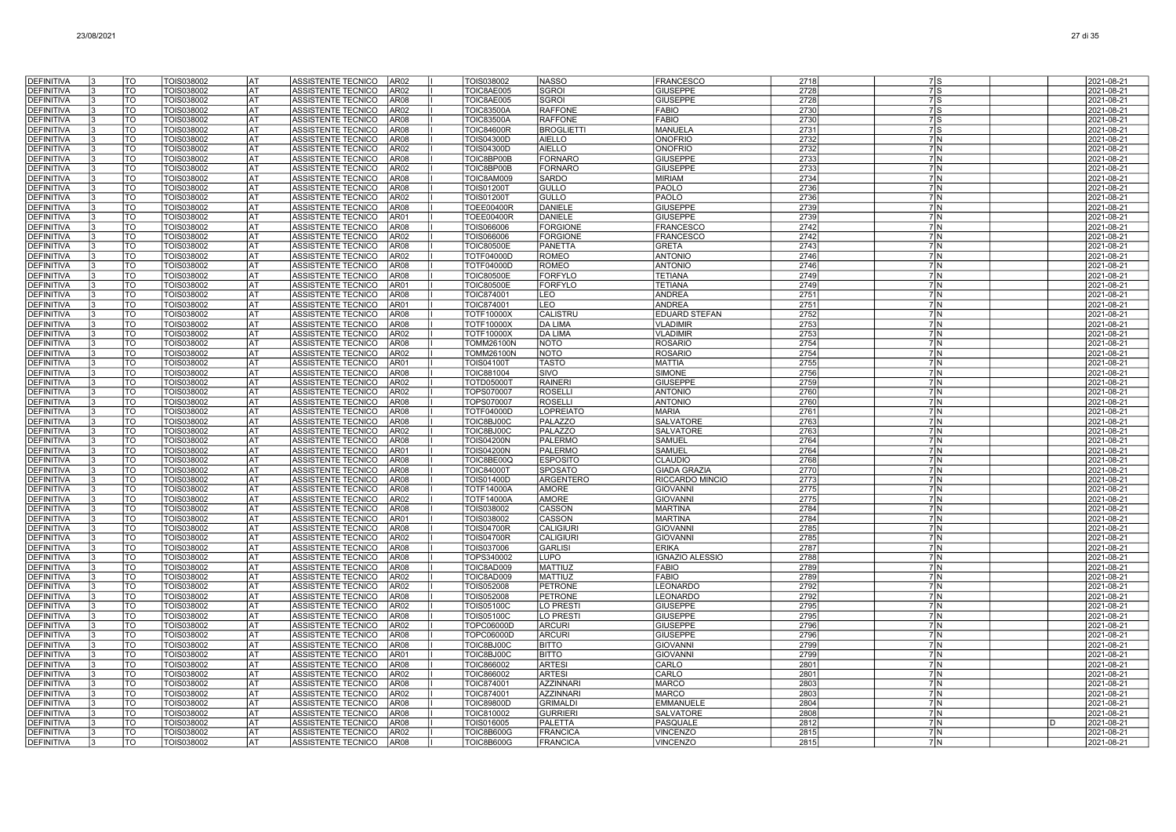| <b>DEFINITIVA</b>                      | TO                       | TOIS038002               | lat              | ASSISTENTE TECNICO<br>AR <sub>02</sub>                                           | TOIS038002                             | <b>NASSO</b>                  | <b>FRANCESCO</b>                        | 2718         | 7ls                              | 2021-08-21               |
|----------------------------------------|--------------------------|--------------------------|------------------|----------------------------------------------------------------------------------|----------------------------------------|-------------------------------|-----------------------------------------|--------------|----------------------------------|--------------------------|
| <b>DEFINITIVA</b>                      | $\overline{\text{TO}}$   | TOIS038002               | <b>AT</b>        | AR <sub>02</sub><br>ASSISTENTE TECNICO                                           | TOIC8AE005                             | <b>SGROI</b>                  | <b>GIUSEPPE</b>                         | 2728         | 7s                               | 2021-08-21               |
| <b>DEFINITIVA</b>                      | <b>TO</b>                | TOIS038002               | lat              | ASSISTENTE TECNICO<br>AR08                                                       | TOIC8AE005                             | <b>SGROI</b>                  | <b>GIUSEPPE</b>                         | 2728         | 7s                               | 2021-08-21               |
| <b>DEFINITIVA</b>                      | TO                       | TOIS038002               | AT               | ASSISTENTE TECNICO<br>AR <sub>02</sub>                                           | <b>TOIC83500A</b>                      | <b>RAFFONE</b>                | <b>FABIO</b>                            | 2730         | $7$ S                            | 2021-08-21               |
| <b>DEFINITIVA</b>                      | TO                       | TOIS038002               | AT               | ASSISTENTE TECNICO<br>AR <sub>08</sub>                                           | <b>TOIC83500A</b>                      | <b>RAFFONE</b>                | <b>FABIO</b>                            | 2730         | $7$ S                            | 2021-08-21               |
| DEFINITIVA                             | TO                       | TOIS038002               | AT               | ASSISTENTE TECNICO<br>AR <sub>08</sub>                                           | <b>TOIC84600R</b>                      | <b>BROGLIETTI</b>             | <b>MANUELA</b>                          | 2731         | $7$ S                            | 2021-08-21               |
| <b>DEFINITIVA</b>                      | TO                       | TOIS038002               | AT               | ASSISTENTE TECNICO<br>AR <sub>08</sub>                                           | <b>TOIS04300D</b>                      | <b>AIELLO</b>                 | <b>ONOFRIO</b>                          | 2732         | 7N                               | 2021-08-21               |
| <b>DEFINITIVA</b>                      | TO                       | TOIS038002               | lat              | ASSISTENTE TECNICO<br>AR <sub>02</sub>                                           | <b>TOIS04300D</b>                      | <b>AIELLO</b>                 | <b>ONOFRIO</b>                          | 2732         | 7N                               | 2021-08-21               |
| <b>DEFINITIVA</b>                      | TO                       | TOIS038002               | lat              | ASSISTENTE TECNICO<br>AR <sub>08</sub>                                           | TOIC8BP00B                             | <b>FORNARC</b>                | <b>GIUSEPPE</b>                         | 2733         | 7M                               | 2021-08-21               |
| <b>DEFINITIVA</b>                      | TO                       | TOIS038002               | lat              | ASSISTENTE TECNICO<br>AR <sub>02</sub>                                           | TOIC8BP00B                             | <b>FORNARO</b>                | <b>GIUSEPPE</b>                         | 2733         | 7N                               | 2021-08-21               |
| <b>DEFINITIVA</b>                      | TO<br><b>TO</b>          | TOIS038002               | lat<br>lat       | ASSISTENTE TECNICO<br>AR <sub>08</sub>                                           | TOIC8AM009                             | <b>SARDO</b>                  | MIRIAM                                  | 2734<br>2736 | 7N<br>7N                         | 2021-08-21               |
| <b>DEFINITIVA</b><br><b>DEFINITIVA</b> | TO                       | TOIS038002<br>TOIS038002 | AT               | ASSISTENTE TECNICO<br>AR08<br>ASSISTENTE TECNICO<br>AR <sub>02</sub>             | <b>TOIS01200T</b><br><b>TOIS01200T</b> | <b>GULLO</b><br>GULLO         | PAOLO<br>PAOLO                          | 2736         | 7N                               | 2021-08-21<br>2021-08-21 |
| <b>DEFINITIVA</b>                      | TO                       | TOIS038002               | AT               | ASSISTENTE TECNICO<br>AR <sub>08</sub>                                           | TOEE00400R                             | DANIELE                       | <b>GIUSEPPE</b>                         | 2739         | 7N                               | 2021-08-21               |
| <b>DEFINITIVA</b>                      | TO                       | TOIS038002               | AT               | ASSISTENTE TECNICO<br>AR01                                                       | TOEE00400R                             | DANIELE                       | <b>GIUSEPPE</b>                         | 2739         | 7 N                              | 2021-08-21               |
| <b>DEFINITIVA</b>                      | TO                       | TOIS038002               | AT               | ASSISTENTE TECNICO<br>AR <sub>08</sub>                                           | TOIS066006                             | <b>FORGIONE</b>               | <b>FRANCESCO</b>                        | 2742         | 7 N                              | 2021-08-21               |
| <b>DEFINITIVA</b>                      | TO                       | TOIS038002               | AT               | ASSISTENTE TECNICO<br>AR <sub>02</sub>                                           | TOIS066006                             | <b>FORGIONE</b>               | <b>FRANCESCO</b>                        | 2742         | 7 N                              | 2021-08-21               |
| <b>DEFINITIVA</b>                      | TO                       | TOIS038002               | AT               | ASSISTENTE TECNICO<br>AR <sub>08</sub>                                           | <b>TOIC80500E</b>                      | <b>PANETTA</b>                | <b>GRETA</b>                            | 2743         | 7N                               | 2021-08-21               |
| <b>DEFINITIVA</b>                      | TO                       | TOIS038002               | <b>AT</b>        | ASSISTENTE TECNICO<br>AR <sub>02</sub>                                           | TOTF04000D                             | <b>ROMEO</b>                  | <b>ANTONIO</b>                          | 2746         | 7N                               | 2021-08-21               |
| <b>DEFINITIVA</b>                      | $\overline{\mathrm{TO}}$ | TOIS038002               | <b>AT</b>        | ASSISTENTE TECNICO<br>AR <sub>08</sub>                                           | <b>TOTF04000D</b>                      | <b>ROMEO</b>                  | <b>ANTONIO</b>                          | 2746         | 7 N                              | 2021-08-21               |
| <b>DEFINITIVA</b>                      | <b>TO</b>                | TOIS038002               | AT               | ASSISTENTE TECNICO<br>AR <sub>08</sub>                                           | <b>TOIC80500E</b>                      | <b>FORFYLO</b>                | <b>TETIANA</b>                          | 2749         | 7N                               | 2021-08-21               |
| <b>DEFINITIVA</b>                      | TO                       | TOIS038002               | AT               | ASSISTENTE TECNICO<br>AR01                                                       | <b>TOIC80500E</b>                      | <b>FORFYLO</b>                | <b>TETIANA</b>                          | 2749         | 7 <sub>N</sub>                   | 2021-08-21               |
| DEFINITIVA                             | TO                       | TOIS038002               | AT               | ASSISTENTE TECNICO<br>AR <sub>08</sub>                                           | TOIC874001                             | LEO                           | <b>ANDREA</b>                           | 2751         | 7N                               | 2021-08-21               |
| <b>DEFINITIVA</b>                      | TO                       | TOIS038002               | AT<br>AT         | ASSISTENTE TECNICO<br>AR01                                                       | TOIC874001                             | LEO                           | <b>ANDREA</b>                           | 2751<br>2752 | 7N                               | 2021-08-21               |
| <b>DEFINITIVA</b><br><b>DEFINITIVA</b> | TO<br>TO                 | TOIS038002<br>TOIS038002 | lat              | ASSISTENTE TECNICO<br>AR <sub>08</sub><br>ASSISTENTE TECNICO<br>AR <sub>08</sub> | <b>TOTF10000X</b><br><b>TOTF10000X</b> | CALISTRU<br><b>DA LIMA</b>    | <b>EDUARD STEFAN</b><br><b>VLADIMIR</b> | 2753         | 7N<br>7N                         | 2021-08-21<br>2021-08-21 |
| <b>DEFINITIVA</b>                      | TO                       | TOIS038002               | l AT             | ASSISTENTE TECNICO<br>AR <sub>02</sub>                                           | <b>TOTF10000X</b>                      | <b>DA LIMA</b>                | <b>VLADIMIR</b>                         | 2753         | 7M                               | 2021-08-21               |
| <b>DEFINITIVA</b>                      | TO                       | TOIS038002               | lat              | ASSISTENTE TECNICO<br>AR08                                                       | <b>TOMM26100N</b>                      | <b>NOTO</b>                   | <b>ROSARIO</b>                          | 2754         | 7N                               | 2021-08-21               |
| <b>DEFINITIVA</b>                      | $\overline{10}$          | TOIS038002               | lat              | ASSISTENTE TECNICO<br>AR02                                                       | <b>TOMM26100N</b>                      | <b>NOTO</b>                   | <b>ROSARIO</b>                          | 2754         | 7N                               | 2021-08-21               |
| DEFINITIVA                             | TO                       | TOIS038002               | AT               | ASSISTENTE TECNICO<br>AR01                                                       | <b>TOIS04100T</b>                      | <b>TASTO</b>                  | <b>MATTIA</b>                           | 2755         | 7 N                              | 2021-08-21               |
| <b>DEFINITIVA</b>                      | TO                       | TOIS038002               | AT               | ASSISTENTE TECNICO<br>AR <sub>08</sub>                                           | TOIC881004                             | SIVO                          | SIMONE                                  | 2756         | 7 N                              | 2021-08-21               |
| <b>DEFINITIVA</b>                      | TO                       | TOIS038002               | AT               | ASSISTENTE TECNICO<br>AR <sub>02</sub>                                           | <b>TOTD05000T</b>                      | <b>RAINERI</b>                | <b>GIUSEPPE</b>                         | 2759         | 7 N                              | 2021-08-21               |
| <b>DEFINITIVA</b>                      | TO                       | TOIS038002               | AT               | ASSISTENTE TECNICO<br>AR02                                                       | TOPS070007                             | <b>ROSELL</b>                 | <b>ANTONIO</b>                          | 2760         | 7 N                              | 2021-08-21               |
| <b>DEFINITIVA</b>                      | TO                       | TOIS038002               | AT               | ASSISTENTE TECNICO<br>AR08                                                       | TOPS070007                             | <b>ROSELLI</b>                | <b>ANTONIO</b>                          | 2760         | 7N                               | 2021-08-21               |
| <b>DEFINITIVA</b>                      | TO                       | TOIS038002               | AT               | ASSISTENTE TECNICO<br>AR <sub>08</sub>                                           | TOTF04000D                             | <b>LOPREIATO</b>              | <b>MARIA</b>                            | 2761         | 7N                               | 2021-08-21               |
| <b>DEFINITIVA</b>                      | TO<br>$\overline{10}$    | TOIS038002               | lat<br><b>AT</b> | ASSISTENTE TECNICO<br>AR08                                                       | TOIC8BJ00C                             | PALAZZO<br><b>PALAZZO</b>     | SALVATORE                               | 2763<br>2763 | 7M<br>7N                         | 2021-08-21               |
| <b>DEFINITIVA</b><br><b>DEFINITIVA</b> | <b>TO</b>                | TOIS038002<br>TOIS038002 | lat              | ASSISTENTE TECNICO<br>AR <sub>02</sub><br>ASSISTENTE TECNICO<br>AR <sub>08</sub> | TOIC8BJ00C<br><b>TOIS04200N</b>        | <b>PALERMO</b>                | <b>SALVATORE</b><br>SAMUEL              | 2764         | 7 N                              | 2021-08-21<br>2021-08-21 |
| <b>DEFINITIVA</b>                      | TO                       | <b>TOIS038002</b>        | AT               | ASSISTENTE TECNICO<br>AR01                                                       | <b>TOIS04200N</b>                      | <b>PALERMO</b>                | SAMUEL                                  | 2764         | 7 N                              | 2021-08-21               |
| <b>DEFINITIVA</b>                      | TO                       | TOIS038002               | AT               | ASSISTENTE TECNICO<br>AR <sub>08</sub>                                           | TOIC8BE00Q                             | <b>ESPOSITO</b>               | CLAUDIO                                 | 2768         | 7M                               | 2021-08-21               |
| <b>DEFINITIVA</b>                      | TO                       | TOIS038002               | AT               | AR <sub>08</sub><br>ASSISTENTE TECNICO                                           | <b>TOIC84000T</b>                      | SPOSATO                       | <b>GIADA GRAZIA</b>                     | 2770         | 7N                               | 2021-08-21               |
| <b>DEFINITIVA</b>                      | TO                       | TOIS038002               | lat              | ASSISTENTE TECNICO<br>AR <sub>08</sub>                                           | <b>TOIS01400D</b>                      | <b>ARGENTERO</b>              | RICCARDO MINCIO                         | 2773         | 7N                               | 2021-08-21               |
| <b>DEFINITIVA</b>                      | TO                       | TOIS038002               | lat              | <b>ASSISTENTE TECNICO</b><br>AR <sub>08</sub>                                    | <b>TOTF14000A</b>                      | <b>AMORE</b>                  | <b>GIOVANNI</b>                         | 2775         | 7M                               | 2021-08-21               |
| <b>DEFINITIVA</b>                      | TO                       | TOIS038002               | lat              | ASSISTENTE TECNICO<br>AR <sub>02</sub>                                           | <b>TOTF14000A</b>                      | <b>AMORE</b>                  | <b>GIOVANNI</b>                         | 2775         | 7M                               | 2021-08-21               |
| <b>DEFINITIVA</b>                      | $\overline{\mathrm{co}}$ | TOIS038002               | <b>AT</b>        | ASSISTENTE TECNICO<br>AR <sub>08</sub>                                           | TOIS038002                             | CASSON                        | <b>MARTINA</b>                          | 2784         | 7N                               | 2021-08-21               |
| <b>DEFINITIVA</b>                      | <b>TO</b>                | TOIS038002               | lat              | ASSISTENTE TECNICO<br>AR01                                                       | TOIS038002                             | CASSON                        | <b>MARTINA</b>                          | 2784         | 7N                               | 2021-08-21               |
| DEFINITIVA                             | TO                       | TOIS038002               | AT               | ASSISTENTE TECNICO<br>AR08                                                       | <b>TOIS04700R</b>                      | <b>CALIGIURI</b>              | GIOVANNI                                | 2785         | 7N                               | 2021-08-21               |
| <b>DEFINITIVA</b>                      | TO<br>TO                 | TOIS038002               | AT               | ASSISTENTE TECNICO<br>AR <sub>02</sub><br>AR <sub>08</sub>                       | <b>TOIS04700R</b>                      | <b>CALIGIURI</b>              | <b>GIOVANNI</b>                         | 2785<br>2787 | 7 N                              | 2021-08-21               |
| DEFINITIVA<br><b>DEFINITIVA</b>        | TO                       | TOIS038002<br>TOIS038002 | AT<br>AT         | ASSISTENTE TECNICO<br>ASSISTENTE TECNICO<br>AR <sub>08</sub>                     | TOIS037006<br>TOPS340002               | <b>GARLISI</b><br><b>LUPO</b> | <b>ERIKA</b><br><b>IGNAZIO ALESSIO</b>  | 2788         | 7 N<br>7 N                       | 2021-08-21<br>2021-08-21 |
| <b>DEFINITIVA</b>                      | TO                       | TOIS038002               | AT               | ASSISTENTE TECNICO<br>AR08                                                       | TOIC8AD009                             | <b>MATTIUZ</b>                | <b>FABIO</b>                            | 2789         | 7N                               | 2021-08-21               |
| <b>DEFINITIVA</b>                      | TO                       | TOIS038002               | AT               | ASSISTENTE TECNICO<br>AR <sub>02</sub>                                           | TOIC8AD009                             | <b>MATTIUZ</b>                | <b>FABIO</b>                            | 2789         | 7 <sub>N</sub>                   | 2021-08-21               |
| <b>DEFINITIVA</b>                      | TO                       | TOIS038002               | lat              | ASSISTENTE TECNICO<br>AR02                                                       | TOIS052008                             | PETRONE                       | <b>EONARDO</b>                          | 2792         | 7 <sup>IN</sup>                  | 2021-08-21               |
| <b>DEFINITIVA</b>                      | TO                       | TOIS038002               | <b>AT</b>        | ASSISTENTE TECNICO<br>AR <sub>08</sub>                                           | TOIS052008                             | <b>PETRONE</b>                | LEONARDO                                | 2792         | 7N                               | 2021-08-21               |
| <b>DEFINITIVA</b>                      | $\overline{10}$          | TOIS038002               | lat              | ASSISTENTE TECNICO<br>AR <sub>02</sub>                                           | <b>TOIS05100C</b>                      | <b>LO PRESTI</b>              | <b>GIUSEPPE</b>                         | 2795         | 7N                               | 2021-08-21               |
| <b>DEFINITIVA</b>                      | TO                       | TOIS038002               | AT               | ASSISTENTE TECNICO<br>AR08                                                       | <b>TOIS05100C</b>                      | LO PRESTI                     | <b>GIUSEPPE</b>                         | 2795         | 7N                               | 2021-08-21               |
| <b>DEFINITIVA</b>                      | TO                       | TOIS038002               | AT               | ASSISTENTE TECNICO<br>AR <sub>02</sub>                                           | <b>TOPC06000D</b>                      | <b>ARCURI</b>                 | <b>GIUSEPPE</b>                         | 2796         | 7M                               | 2021-08-21               |
| <b>DEFINITIVA</b>                      | TO                       | TOIS038002               | AT               | AR <sub>08</sub><br>ASSISTENTE TECNICO                                           | <b>TOPC06000D</b>                      | <b>ARCURI</b>                 | <b>GIUSEPPE</b>                         | 2796         | 7 N                              | 2021-08-21               |
| <b>DEFINITIVA</b>                      | TO                       | TOIS038002               | AT               | ASSISTENTE TECNICO<br>AR08                                                       | TOIC8BJ00C                             | <b>BITTO</b>                  | <b>GIOVANNI</b>                         | 2799         | 7 N                              | 2021-08-21               |
| <b>DEFINITIVA</b><br><b>DEFINITIVA</b> | TO<br>TO                 | TOIS038002<br>TOIS038002 | lat<br>lat       | <b>ASSISTENTE TECNICO</b><br>AR01<br>ASSISTENTE TECNICO<br>AR <sub>08</sub>      | TOIC8BJ00C<br><b>TOIC866002</b>        | <b>BITTO</b><br><b>ARTES</b>  | <b>GIOVANNI</b><br>CARLO                | 2799<br>2801 | 7 <sub>N</sub><br>7 <sub>N</sub> | 2021-08-21<br>2021-08-21 |
| <b>DEFINITIVA</b>                      | TO                       | TOIS038002               | <b>AT</b>        | ASSISTENTE TECNICO<br>AR02                                                       | <b>TOIC866002</b>                      | <b>ARTESI</b>                 | CARLO                                   | 2801         | 7N                               | 2021-08-21               |
| <b>DEFINITIVA</b>                      | TO                       | TOIS038002               | lat              | ASSISTENTE TECNICO<br>AR08                                                       | <b>TOIC874001</b>                      | <b>AZZINNARI</b>              | <b>MARCO</b>                            | 2803         | 7N                               | 2021-08-21               |
| <b>DEFINITIVA</b>                      | TO                       | TOIS038002               | AT               | ASSISTENTE TECNICO<br>AR02                                                       | TOIC874001                             | <b>AZZINNARI</b>              | <b>MARCO</b>                            | 2803         | 7N                               | 2021-08-21               |
| <b>DEFINITIVA</b>                      | TO                       | TOIS038002               | AT               | ASSISTENTE TECNICO<br>AR <sub>08</sub>                                           | <b>TOIC89800D</b>                      | <b>GRIMALDI</b>               | <b>EMMANUELE</b>                        | 2804         | 7N                               | 2021-08-21               |
| DEFINITIVA                             | TO                       | TOIS038002               | AT               | ASSISTENTE TECNICO<br>AR <sub>08</sub>                                           | TOIC810002                             | <b>GURRIERI</b>               | SALVATORE                               | 2808         | 7N                               | 2021-08-21               |
| DEFINITIVA                             | TO                       | TOIS038002               | AT               | ASSISTENTE TECNICO<br>AR <sub>08</sub>                                           | TOIS016005                             | PALETTA                       | PASQUALE                                | 2812         | 7 N                              | 2021-08-21               |
| <b>DEFINITIVA</b>                      | TO                       | TOIS038002               | AT               | ASSISTENTE TECNICO<br>AR <sub>02</sub>                                           | <b>TOIC8B600G</b>                      | <b>FRANCICA</b>               | <b>VINCENZO</b>                         | 2815         | 7 <sub>IN</sub>                  | 2021-08-21               |
| <b>DEFINITIVA</b>                      | TO                       | TOIS038002               | AT               | ASSISTENTE TECNICO<br>AR <sub>08</sub>                                           | <b>TOIC8B600G</b>                      | <b>FRANCICA</b>               | <b>VINCENZO</b>                         | 2815         | 7 <sup>IN</sup>                  | 2021-08-21               |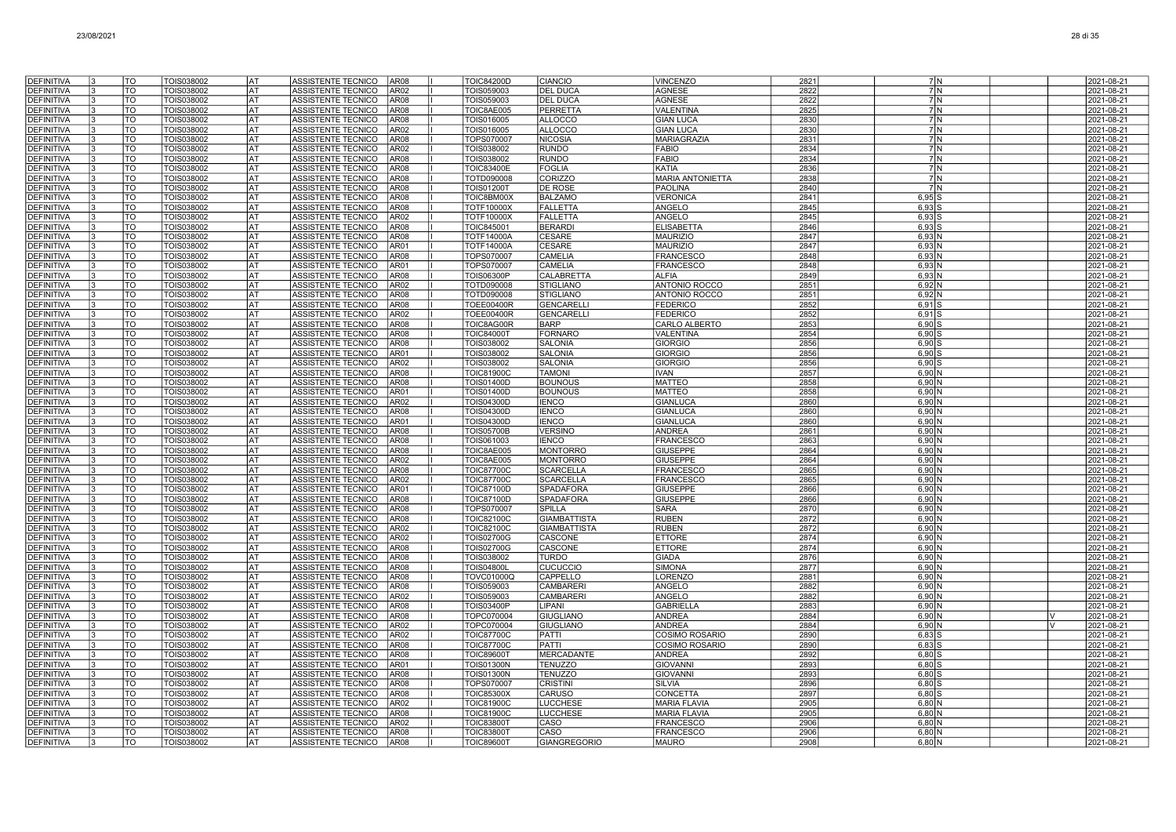| <b>DEFINITIVA</b>                      | TO                             | TOIS038002               | <b>AT</b>              | ASSISTENTE TECNICO<br>AR08                                                    | <b>TOIC84200D</b>                      | <b>CIANCIO</b>                   | <b>VINCENZO</b>                         | 2821         | 7 N                                | 2021-08-21               |
|----------------------------------------|--------------------------------|--------------------------|------------------------|-------------------------------------------------------------------------------|----------------------------------------|----------------------------------|-----------------------------------------|--------------|------------------------------------|--------------------------|
| <b>DEFINITIVA</b>                      | TO                             | TOIS038002               | AT                     | <b>AR02</b><br>ASSISTENTE TECNICO                                             | TOIS059003                             | <b>DEL DUCA</b>                  | <b>AGNESE</b>                           | 2822         | 7 <sup>IN</sup>                    | 2021-08-21               |
| <b>DEFINITIVA</b>                      | TO.                            | TOIS038002               | AT                     | ASSISTENTE TECNICO<br>AR <sub>08</sub>                                        | TOIS059003                             | DEL DUCA                         | <b>AGNESE</b>                           | 2822         | 7N                                 | 2021-08-21               |
| <b>DEFINITIVA</b>                      | TO                             | TOIS038002               | IAT                    | ASSISTENTE TECNICO<br><b>AR08</b>                                             | TOIC8AE005                             | PERRETTA                         | VALENTINA                               | 2825         | 7N                                 | 2021-08-21               |
| <b>DEFINITIVA</b>                      | TO                             | TOIS038002               | lat                    | <b>AR08</b><br>ASSISTENTE TECNICO                                             | TOIS016005                             | <b>ALLOCCO</b>                   | <b>GIAN LUCA</b>                        | 2830         | 7 N                                | 2021-08-2                |
| <b>DEFINITIVA</b>                      | TO                             | TOIS038002               | <b>AT</b>              | ASSISTENTE TECNICO<br>AR02                                                    | TOIS016005                             | <b>ALLOCCO</b>                   | GIAN LUCA                               | 2830         | 7N                                 | 2021-08-21               |
| <b>DEFINITIVA</b>                      | TO<br>TO                       | TOIS038002               | l AT<br>l AT           | ASSISTENTE TECNICO<br><b>AR08</b>                                             | TOPS070007                             | <b>NICOSIA</b>                   | <b>MARIAGRAZIA</b>                      | 2831         | 7M<br>7M                           | 2021-08-2                |
| <b>DEFINITIVA</b><br><b>DEFINITIVA</b> | $\overline{\mathrm{TO}}$       | TOIS038002<br>TOIS038002 | lat                    | ASSISTENTE TECNICO<br>AR02<br><b>ASSISTENTE TECNICO</b><br><b>AR08</b>        | TOIS038002<br>TOIS038002               | <b>RUNDO</b><br><b>RUNDO</b>     | <b>FABIO</b><br><b>FABIO</b>            | 2834<br>2834 | 7N                                 | 2021-08-21<br>2021-08-21 |
| <b>DEFINITIVA</b>                      | TO                             | TOIS038002               | AT                     | ASSISTENTE TECNICO<br><b>AR08</b>                                             | <b>TOIC83400E</b>                      | <b>FOGLIA</b>                    | KATIA                                   | 2836         | 7N                                 | 2021-08-21               |
| <b>DEFINITIVA</b>                      | TO                             | TOIS038002               | AT                     | <b>ASSISTENTE TECNICO</b><br>AR08                                             | TOTD090008                             | CORIZZO                          | <b>MARIA ANTONIETTA</b>                 | 2838         | 7N                                 | 2021-08-21               |
| <b>DEFINITIVA</b>                      | TO                             | TOIS038002               | AТ                     | ASSISTENTE TECNICO<br>AR08                                                    | <b>TOIS01200T</b>                      | DE ROSE                          | PAOLINA                                 | 2840         | 7N                                 | 2021-08-21               |
| DEFINITIVA                             | TO                             | TOIS038002               | AT                     | ASSISTENTE TECNICO<br>AR08                                                    | TOIC8BM00X                             | <b>BALZAMO</b>                   | <b>VERONICA</b>                         | 2841         | $6,95$ S                           | 2021-08-21               |
| <b>DEFINITIVA</b>                      | TO                             | TOIS038002               | AT                     | <b>ASSISTENTE TECNICO</b><br>AR08                                             | <b>TOTF10000X</b>                      | <b>FALLETTA</b>                  | ANGELO                                  | 2845         | $6,93$ :                           | 2021-08-21               |
| DEFINITIVA                             | TO                             | TOIS038002               | AT                     | ASSISTENTE TECNICO<br>AR02                                                    | <b>TOTF10000X</b>                      | <b>FALLETTA</b>                  | ANGELO                                  | 2845         | $6,93$ S                           | 2021-08-21               |
| <b>DEFINITIVA</b>                      | TO                             | TOIS038002               | AT                     | ASSISTENTE TECNICO<br>AR08                                                    | TOIC845001                             | <b>BERARDI</b>                   | <b>ELISABETTA</b>                       | 2846         | $6.93$ S                           | 2021-08-21               |
| <b>DEFINITIVA</b>                      | TO                             | TOIS038002               | <b>AT</b><br><b>AT</b> | ASSISTENTE TECNICO<br>AR08                                                    | <b>TOTF14000A</b>                      | <b>CESARE</b>                    | <b>MAURIZIO</b>                         | 2847         | $6,93$ N                           | 2021-08-21               |
| <b>DEFINITIVA</b><br><b>DEFINITIVA</b> | $\overline{\mathrm{TO}}$<br>TO | TOIS038002<br>TOIS038002 | <b>AT</b>              | ASSISTENTE TECNICO<br>AR01<br><b>AR08</b><br>ASSISTENTE TECNICO               | <b>TOTF14000A</b><br>TOPS070007        | <b>CESARE</b><br>CAMELIA         | <b>MAURIZIO</b><br><b>FRANCESCO</b>     | 2847<br>2848 | 6,93N<br>6,93N                     | 2021-08-21<br>2021-08-21 |
| <b>DEFINITIVA</b>                      | TO                             | TOIS038002               | <b>AT</b>              | ASSISTENTE TECNICO<br>AR01                                                    | TOPS070007                             | CAMELIA                          | <b>FRANCESCO</b>                        | 2848         | 6,93                               | 2021-08-21               |
| <b>DEFINITIVA</b>                      | TO <sup>-</sup>                | TOIS038002               | AT                     | ASSISTENTE TECNICO<br>AR08                                                    | <b>TOIS06300P</b>                      | CALABRETTA                       | <b>ALFIA</b>                            | 2849         | 6,93N                              | 2021-08-21               |
| <b>DEFINITIVA</b>                      | TO                             | TOIS038002               | AT                     | <b>AR02</b><br>ASSISTENTE TECNICO                                             | TOTD090008                             | <b>STIGLIANO</b>                 | <b>ANTONIO ROCCO</b>                    | 2851         | 6,92N                              | 2021-08-21               |
| <b>DEFINITIVA</b>                      | TO                             | TOIS038002               | AT                     | ASSISTENTE TECNICO<br><b>AR08</b>                                             | TOTD090008                             | <b>STIGLIANO</b>                 | ANTONIO ROCCO                           | 2851         | $6,92$ N                           | 2021-08-2                |
| <b>DEFINITIVA</b>                      | TO                             | TOIS038002               | AT                     | <b>ASSISTENTE TECNICO</b><br><b>AR08</b>                                      | <b>TOEE00400R</b>                      | GENCARELL                        | <b>FEDERICO</b>                         | 2852         | $6,91$ S                           | 2021-08-2                |
| <b>DEFINITIVA</b>                      | TO                             | TOIS038002               | <b>AT</b>              | <b>ASSISTENTE TECNICO</b><br><b>AR02</b>                                      | <b>TOEE00400R</b>                      | <b>GENCARELLI</b>                | <b>FEDERICO</b>                         | 2852         | $6,91$ S                           | 2021-08-21               |
| <b>DEFINITIVA</b>                      | TO                             | TOIS038002               | l AT                   | ASSISTENTE TECNICO<br>AR08                                                    | TOIC8AG00R                             | <b>BARP</b>                      | CARLO ALBERTO                           | 2853         | $6,90$ \$                          | 2021-08-21               |
| <b>DEFINITIVA</b>                      | $\overline{\mathrm{TO}}$       | TOIS038002               | <b>AT</b>              | ASSISTENTE TECNICO<br><b>AR08</b>                                             | <b>TOIC84000T</b>                      | <b>FORNARO</b>                   | VALENTINA                               | 2854         | $6,90$ S                           | 2021-08-21               |
| <b>DEFINITIVA</b><br>DEFINITIVA        | <b>TO</b><br>TO                | TOIS038002<br>TOIS038002 | <b>AT</b><br><b>AT</b> | <b>ASSISTENTE TECNICO</b><br>AR08<br>ASSISTENTE TECNICO<br>AR01               | TOIS038002<br>TOIS038002               | <b>SALONIA</b><br><b>SALONIA</b> | GIORGIO<br><b>GIORGIO</b>               | 2856<br>2856 | 6,90<br>6,90                       | 2021-08-2<br>2021-08-21  |
| DEFINITIVA                             | TO                             | TOIS038002               | AT                     | <b>ASSISTENTE TECNICO</b><br>AR02                                             | TOIS038002                             | <b>SALONIA</b>                   | GIORGIO                                 | 2856         | 6,90                               | 2021-08-21               |
| <b>DEFINITIVA</b>                      | TO                             | TOIS038002               | AT                     | ASSISTENTE TECNICO<br>AR08                                                    | <b>TOIC81900C</b>                      | <b>TAMONI</b>                    | <b>IVAN</b>                             | 2857         | 6,90N                              | 2021-08-21               |
| DEFINITIVA                             | TO                             | TOIS038002               | AT                     | ASSISTENTE TECNICO<br>AR08                                                    | TOIS01400D                             | <b>BOUNOUS</b>                   | <b>MATTEO</b>                           | 2858         | 6,90N                              | 2021-08-21               |
| <b>DEFINITIVA</b>                      | TO                             | TOIS038002               | AT                     | ASSISTENTE TECNICO<br>AR01                                                    | TOIS01400D                             | <b>BOUNOUS</b>                   | <b>MATTEO</b>                           | 2858         | $6,90$ N                           | 2021-08-21               |
| <b>DEFINITIVA</b>                      | TO                             | TOIS038002               | AT                     | ASSISTENTE TECNICO<br>AR02                                                    | <b>TOIS04300D</b>                      | <b>IENCO</b>                     | <b>GIANLUCA</b>                         | 2860         | 6,90N                              | 2021-08-21               |
| <b>DEFINITIVA</b>                      | TO                             | TOIS038002               | AT                     | ASSISTENTE TECNICO<br>AR08                                                    | TOIS04300D                             | <b>IENCO</b>                     | GIANLUCA                                | 2860         | 6,90 N                             | 2021-08-21               |
| <b>DEFINITIVA</b>                      | TO                             | TOIS038002               | l AT                   | ASSISTENTE TECNICO<br>AR01                                                    | <b>TOIS04300D</b>                      | <b>IENCO</b>                     | <b>GIANLUCA</b>                         | 2860         | $6,90$ N                           | 2021-08-21               |
| <b>DEFINITIVA</b>                      | $\overline{\mathrm{TO}}$       | TOIS038002               | lat                    | ASSISTENTE TECNICO<br><b>AR08</b>                                             | <b>TOIS05700B</b>                      | <b>VERSINO</b>                   | <b>ANDREA</b>                           | 2861         | 6,90N                              | 2021-08-21               |
| <b>DEFINITIVA</b><br><b>DEFINITIVA</b> | TO<br>TO                       | TOIS038002<br>TOIS038002 | AT<br>AT               | ASSISTENTE TECNICO<br><b>AR08</b><br><b>ASSISTENTE TECNICO</b><br><b>AR08</b> | TOIS061003<br>TOIC8AE005               | <b>IENCO</b><br><b>MONTORRO</b>  | <b>FRANCESCO</b><br><b>GIUSEPPE</b>     | 2863<br>2864 | $6,90$ N<br>6.90 <sub>h</sub>      | 2021-08-21<br>2021-08-21 |
| <b>DEFINITIVA</b>                      | <b>TO</b>                      | TOIS038002               | AT                     | ASSISTENTE TECNICO<br>AR02                                                    | TOIC8AE005                             | <b>MONTORRO</b>                  | <b>GIUSEPPE</b>                         | 2864         | 6,90N                              | 2021-08-21               |
| <b>DEFINITIVA</b>                      | $\overline{\mathrm{TO}}$       | TOIS038002               | <b>AT</b>              | ASSISTENTE TECNICO<br><b>AR08</b>                                             | <b>TOIC87700C</b>                      | <b>SCARCELLA</b>                 | <b>FRANCESCO</b>                        | 2865         | 6,90N                              | 2021-08-21               |
| <b>DEFINITIVA</b>                      | TO                             | TOIS038002               | <b>AT</b>              | AR <sub>02</sub><br><b>ASSISTENTE TECNICO</b>                                 | <b>TOIC87700C</b>                      | <b>SCARCELLA</b>                 | <b>FRANCESCO</b>                        | 2865         | 6,90N                              | 2021-08-2                |
| <b>DEFINITIVA</b>                      | TO                             | TOIS038002               | IAT                    | ASSISTENTE TECNICO<br>AR01                                                    | <b>TOIC87100D</b>                      | SPADAFORA                        | <b>GIUSEPPE</b>                         | 2866         | $6,90$ N                           | 2021-08-2                |
| DEFINITIVA                             | TO                             | TOIS038002               | <b>AT</b>              | ASSISTENTE TECNICO<br>AR08                                                    | <b>TOIC87100D</b>                      | <b>SPADAFORA</b>                 | <b>GIUSEPPE</b>                         | 2866         | 6,90N                              | 2021-08-2                |
| <b>DEFINITIVA</b>                      | TO                             | TOIS038002               | l AT                   | ASSISTENTE TECNICO<br><b>AR08</b>                                             | TOPS070007                             | <b>SPILLA</b>                    | <b>SARA</b>                             | 2870         | $6,90$ N                           | 2021-08-21               |
| <b>DEFINITIVA</b>                      | $\overline{10}$                | TOIS038002               | <b>AT</b>              | <b>ASSISTENTE TECNICO</b><br><b>AR08</b>                                      | <b>TOIC82100C</b>                      | <b>GIAMBATTISTA</b>              | <b>RUBEN</b>                            | 2872         | 6,90N                              | 2021-08-21               |
| <b>DEFINITIVA</b>                      | TO                             | TOIS038002               | lat                    | <b>ASSISTENTE TECNICO</b><br>AR02                                             | <b>TOIC82100C</b>                      | <b>GIAMBATTISTA</b>              | <b>RUBEN</b>                            | 2872         | $6,90$ N                           | 2021-08-21               |
| <b>DEFINITIVA</b><br><b>DEFINITIVA</b> | TO<br>TO                       | TOIS038002               | <b>AT</b><br>AT        | ASSISTENTE TECNICO<br>AR02<br><b>ASSISTENTE TECNICO</b><br>AR08               | TOIS02700G                             | CASCONE                          | <b>ETTORE</b><br><b>ETTORE</b>          | 2874<br>2874 | 6,90N                              | 2021-08-21               |
| <b>DEFINITIVA</b>                      | TO                             | TOIS038002<br>TOIS038002 | AT                     | AR08<br>ASSISTENTE TECNICO                                                    | <b>TOIS02700G</b><br>TOIS038002        | CASCONE<br><b>TURDO</b>          | <b>GIADA</b>                            | 2876         | 6,90N<br>6,90N                     | 2021-08-21<br>2021-08-21 |
| DEFINITIVA                             | TO                             | TOIS038002               | AT                     | ASSISTENTE TECNICO<br><b>AR08</b>                                             | <b>TOIS04800L</b>                      | <b>CUCUCCIO</b>                  | <b>SIMONA</b>                           | 2877         | 6,90N                              | 2021-08-21               |
| <b>DEFINITIVA</b>                      | TO                             | TOIS038002               | AT                     | AR08<br>ASSISTENTE TECNICO                                                    | <b>TOVC01000Q</b>                      | CAPPELLO                         | LORENZC                                 | 2881         | $6,90$ N                           | 2021-08-21               |
| DEFINITIVA                             | TO                             | TOIS038002               | AT                     | <b>ASSISTENTE TECNICO</b><br>AR08                                             | TOIS059003                             | <b>CAMBARERI</b>                 | ANGELO                                  | 2882         | 6.90 N                             | 2021-08-21               |
| <b>DEFINITIVA</b>                      | TO                             | TOIS038002               | <b>AT</b>              | ASSISTENTE TECNICO<br>AR02                                                    | TOIS059003                             | <b>CAMBARERI</b>                 | ANGELO                                  | 2882         | $6,90$ N                           | 2021-08-21               |
| <b>DEFINITIVA</b>                      | TO                             | TOIS038002               | <b>AT</b>              | AR08<br>ASSISTENTE TECNICO                                                    | <b>TOIS03400P</b>                      | LIPANI                           | <b>GABRIELLA</b>                        | 2883         | 6,90N                              | 2021-08-21               |
| <b>DEFINITIVA</b>                      | TO                             | TOIS038002               | lat                    | <b>AR08</b><br>ASSISTENTE TECNICO                                             | TOPC070004                             | <b>GIUGLIANO</b>                 | <b>ANDREA</b>                           | 2884         | $6,90$ N                           | 2021-08-21               |
| <b>DEFINITIVA</b>                      | TO                             | TOIS038002               | lat                    | ASSISTENTE TECNICO<br>AR02                                                    | TOPC070004                             | <b>GIUGLIANO</b>                 | <b>ANDREA</b>                           | 2884         | 6,90N                              | 2021-08-21               |
| <b>DEFINITIVA</b><br><b>DEFINITIVA</b> | TO<br>TO                       | TOIS038002               | AT<br>AT               | ASSISTENTE TECNICO<br>AR02<br>ASSISTENTE TECNICO<br>AR08                      | <b>TOIC87700C</b>                      | <b>PATTI</b><br><b>PATTI</b>     | COSIMO ROSARIO<br><b>COSIMO ROSARIO</b> | 2890<br>2890 | 6,83                               | 2021-08-21               |
| <b>DEFINITIVA</b>                      | TO                             | TOIS038002<br>TOIS038002 | AT                     | <b>AR08</b><br>ASSISTENTE TECNICO                                             | <b>TOIC87700C</b><br><b>TOIC89600T</b> | <b>MERCADANTE</b>                | <b>ANDREA</b>                           | 2892         | $6,83$ $ $<br>$6,80$ $\frac{1}{3}$ | 2021-08-21<br>2021-08-21 |
| <b>DEFINITIVA</b>                      | TO                             | TOIS038002               | AT                     | AR01<br>ASSISTENTE TECNICO                                                    | <b>TOIS01300N</b>                      | <b>TENUZZO</b>                   | <b>GIOVANN</b>                          | 2893         | $6,80$ S                           | 2021-08-21               |
| <b>DEFINITIVA</b>                      | TO                             | TOIS038002               | <b>AT</b>              | <b>ASSISTENTE TECNICO</b><br><b>AR08</b>                                      | <b>TOIS01300N</b>                      | <b>TENUZZO</b>                   | <b>GIOVANNI</b>                         | 2893         | 6,80                               | 2021-08-21               |
| <b>DEFINITIVA</b>                      | TO                             | TOIS038002               | AT                     | <b>ASSISTENTE TECNICO</b><br><b>AR08</b>                                      | TOPS070007                             | <b>CRISTINI</b>                  | <b>SILVIA</b>                           | 2896         | 6.8015                             | 2021-08-21               |
| <b>DEFINITIVA</b>                      | TO                             | TOIS038002               | l AT                   | ASSISTENTE TECNICO<br>AR08                                                    | <b>TOIC85300X</b>                      | <b>CARUSO</b>                    | CONCETTA                                | 2897         | $6,80$ \$                          | 2021-08-21               |
| <b>DEFINITIVA</b>                      | TO                             | TOIS038002               | lat                    | <b>ASSISTENTE TECNICO</b><br>AR02                                             | <b>TOIC81900C</b>                      | <b>LUCCHESE</b>                  | <b>MARIA FLAVIA</b>                     | 2905         | $6,80$ $N$                         | 2021-08-21               |
| <b>DEFINITIVA</b>                      | TO                             | TOIS038002               | AT                     | ASSISTENTE TECNICO<br><b>AR08</b>                                             | <b>TOIC81900C</b>                      | <b>LUCCHESE</b>                  | <b>MARIA FLAVIA</b>                     | 2905         | 6,80 N                             | 2021-08-21               |
| DEFINITIVA                             | TO                             | TOIS038002               | AT                     | <b>ASSISTENTE TECNICO</b><br><b>AR02</b>                                      | <b>TOIC83800T</b>                      | CASO                             | <b>FRANCESCO</b>                        | 2906         | 6.80                               | 2021-08-21               |
| <b>DEFINITIVA</b><br><b>DEFINITIVA</b> | TO<br>TO                       | TOIS038002<br>TOIS038002 | AT<br>AT               | ASSISTENTE TECNICO<br><b>AR08</b><br>ASSISTENTE TECNICO<br><b>AR08</b>        | <b>TOIC83800T</b><br><b>TOIC89600T</b> | CASO<br><b>GIANGREGORIO</b>      | <b>FRANCESCO</b><br><b>MAURO</b>        | 2906<br>2908 | 6.80 N<br>6,80N                    | 2021-08-21<br>2021-08-2  |
|                                        |                                |                          |                        |                                                                               |                                        |                                  |                                         |              |                                    |                          |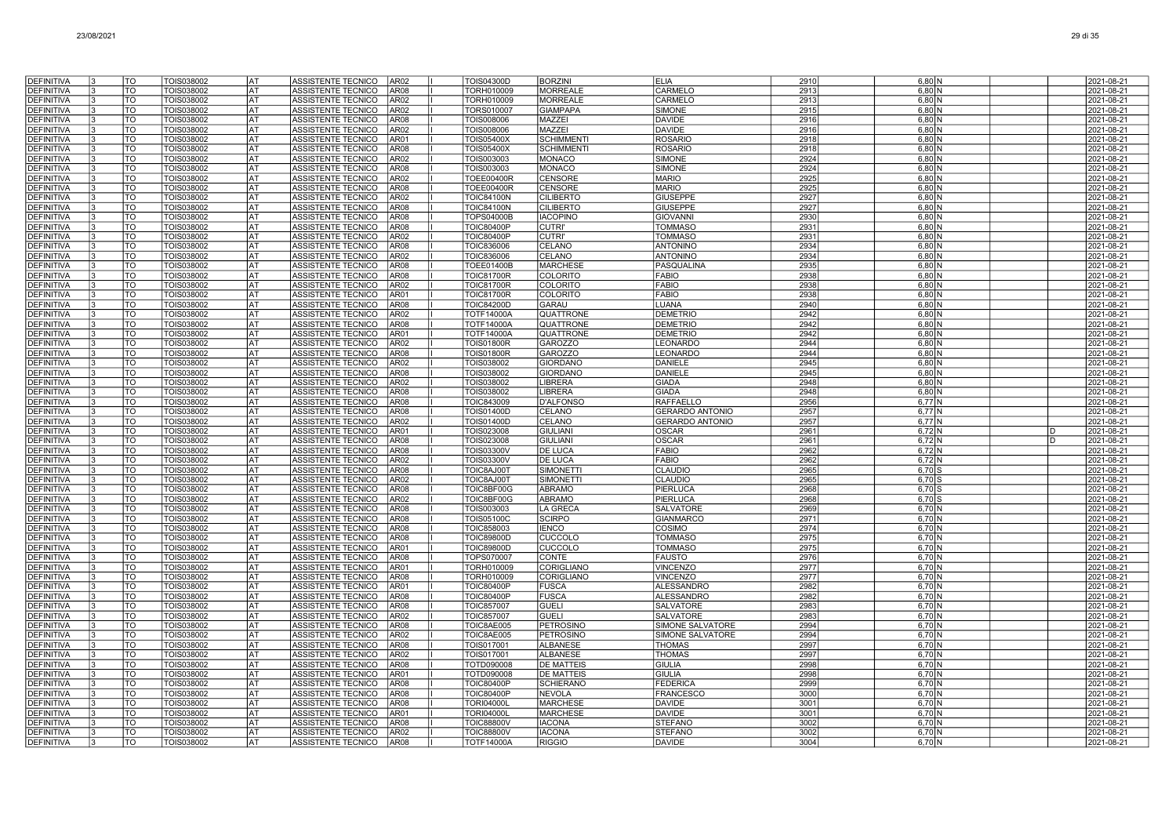| <b>DEFINITIVA</b>                      |    | TO                     | TOIS038002                      | lat                    | ASSISTENTE TECNICO<br>AR <sub>02</sub>                                        | TOIS04300D                             | <b>BORZINI</b>                    | <b>ELIA</b>                          | 2910         | $6,80$ N             |                    | 2021-08-21               |
|----------------------------------------|----|------------------------|---------------------------------|------------------------|-------------------------------------------------------------------------------|----------------------------------------|-----------------------------------|--------------------------------------|--------------|----------------------|--------------------|--------------------------|
| <b>DEFINITIVA</b>                      |    | $\overline{10}$        | TOIS038002                      | <b>AT</b>              | AR <sub>08</sub><br><b>ASSISTENTE TECNICO</b>                                 | TORH010009                             | <b>MORREALE</b>                   | CARMELO                              | 2913         | 6.80 N               |                    | 2021-08-21               |
| <b>DEFINITIVA</b>                      |    | <b>TO</b>              | TOIS038002                      | lat                    | ASSISTENTE TECNICO<br>AR02                                                    | TORH010009                             | <b>MORREALE</b>                   | CARMELO                              | 2913         | $6,80$ N             |                    | 2021-08-21               |
| <b>DEFINITIVA</b>                      |    | <b>TO</b>              | TOIS038002                      | lat                    | <b>ASSISTENTE TECNICO</b><br>AR <sub>02</sub>                                 | TORS010007                             | <b>GIAMPAPA</b>                   | <b>SIMONE</b>                        | 2915         | $6,80$ N             |                    | 2021-08-21               |
| <b>DEFINITIVA</b>                      |    | TO                     | TOIS038002                      | AT                     | ASSISTENTE TECNICO<br><b>AR08</b>                                             | TOIS008006                             | <b>MAZZEI</b>                     | <b>DAVIDE</b>                        | 2916         | $6,80$ N             |                    | 2021-08-21               |
| <b>DEFINITIVA</b>                      |    | TO                     | TOIS038002                      | AT                     | ASSISTENTE TECNICO<br>AR02                                                    | TOIS008006                             | <b>MAZZEI</b>                     | <b>DAVIDE</b>                        | 2916         | $6,80$ N             |                    | 2021-08-21               |
| <b>DEFINITIVA</b>                      |    | TO                     | TOIS038002                      | lat                    | ASSISTENTE TECNICO<br>AR01                                                    | <b>TOIS05400X</b>                      | <b>SCHIMMENT</b>                  | <b>ROSARIO</b>                       | 2918         | $6,80$ N             |                    | 2021-08-21               |
| <b>DEFINITIVA</b>                      |    | TO                     | TOIS038002                      | lat                    | <b>ASSISTENTE TECNICO</b><br><b>AR08</b>                                      | <b>TOIS05400X</b>                      | <b>SCHIMMENT</b>                  | <b>ROSARIC</b>                       | 2918         | 6.80 <sub>N</sub>    |                    | 2021-08-21               |
| <b>DEFINITIVA</b><br><b>DEFINITIVA</b> |    | <b>TO</b><br>TO        | TOIS038002<br>TOIS038002        | lat<br><b>AT</b>       | <b>ASSISTENTE TECNICO</b><br>AR02<br><b>ASSISTENTE TECNICO</b><br>AR08        | TOIS003003<br>TOIS003003               | <b>MONACO</b><br><b>MONACO</b>    | <b>SIMONE</b><br><b>SIMONE</b>       | 2924<br>2924 | $6,80$ N<br>$6,80$ N |                    | 2021-08-21<br>2021-08-21 |
| <b>DEFINITIVA</b>                      |    | <b>TO</b>              | TOIS038002                      | <b>AT</b>              | <b>ASSISTENTE TECNICO</b><br><b>AR02</b>                                      | <b>TOEE00400R</b>                      | <b>CENSORE</b>                    | <b>MARIO</b>                         | 2925         | $6,80$ N             |                    | 2021-08-21               |
| DEFINITIVA                             |    | TO                     | TOIS038002                      | lat                    | <b>ASSISTENTE TECNICO</b><br>AR08                                             | <b>TOEE00400R</b>                      | <b>CENSORE</b>                    | <b>MARIO</b>                         | 2925         | 6.80 <sub>N</sub>    |                    | 2021-08-21               |
| <b>DEFINITIVA</b>                      | 13 | TO                     | TOIS038002                      | lat                    | ASSISTENTE TECNICO<br>AR02                                                    | <b>TOIC84100N</b>                      | <b>CILIBERTO</b>                  | <b>GIUSEPPE</b>                      | 2927         | $6,80$ N             |                    | 2021-08-21               |
| <b>DEFINITIVA</b>                      |    | TO                     | TOIS038002                      | lat                    | ASSISTENTE TECNICO<br><b>AR08</b>                                             | <b>TOIC84100N</b>                      | <b>CILIBERTO</b>                  | <b>GIUSEPPE</b>                      | 2927         | $6,80$ N             |                    | 2021-08-21               |
| <b>DEFINITIVA</b>                      | 13 | TO                     | TOIS038002                      | AT                     | ASSISTENTE TECNICO<br><b>AR08</b>                                             | <b>TOPS04000B</b>                      | <b>IACOPINO</b>                   | <b>GIOVANN</b>                       | 2930         | $6,80$ N             |                    | 2021-08-21               |
| <b>DEFINITIVA</b>                      | 13 | TO                     | TOIS038002                      | lat                    | ASSISTENTE TECNICO<br>AR08                                                    | <b>TOIC80400P</b>                      | <b>CUTRI'</b>                     | <b>TOMMASO</b>                       | 2931         | $6,80$ N             |                    | 2021-08-21               |
| <b>DEFINITIVA</b>                      | 3  | TO                     | TOIS038002                      | lat                    | <b>ASSISTENTE TECNICO</b><br>AR02                                             | <b>TOIC80400P</b>                      | <b>CUTRI</b>                      | <b>TOMMASO</b>                       | 2931         | 6.80 <sub>N</sub>    |                    | 2021-08-21               |
| <b>DEFINITIVA</b>                      | l٩ | TO                     | TOIS038002                      | lat                    | ASSISTENTE TECNICO<br>AR08                                                    | <b>TOIC836006</b>                      | CELANO                            | <b>ANTONINO</b>                      | 2934         | $6,80$ N             |                    | 2021-08-21               |
| <b>DEFINITIVA</b><br><b>DEFINITIVA</b> |    | TO<br>lto              | TOIS038002                      | <b>AT</b><br><b>AT</b> | ASSISTENTE TECNICO<br>AR02<br><b>AR08</b><br><b>ASSISTENTE TECNICO</b>        | <b>TOIC836006</b>                      | CELANO<br><b>MARCHESE</b>         | <b>ANTONINO</b><br><b>PASQUALINA</b> | 2934<br>2935 | $6,80$ N             |                    | 2021-08-21               |
| <b>DEFINITIVA</b>                      |    | <b>TO</b>              | TOIS038002<br>TOIS038002        | lat                    | <b>ASSISTENTE TECNICO</b><br><b>AR08</b>                                      | <b>TOEE01400B</b><br><b>TOIC81700R</b> | <b>COLORITO</b>                   | <b>FABIO</b>                         | 2938         | $6,80$ N<br>$6.80$ N |                    | 2021-08-21<br>2021-08-21 |
| <b>DEFINITIVA</b>                      |    | <b>TO</b>              | TOIS038002                      | lat                    | ASSISTENTE TECNICO<br>AR02                                                    | <b>TOIC81700R</b>                      | <b>COLORITO</b>                   | <b>FABIO</b>                         | 2938         | $6,80$ N             |                    | 2021-08-21               |
| <b>DEFINITIVA</b>                      |    | <b>TO</b>              | TOIS038002                      | lat                    | ASSISTENTE TECNICO<br>AR01                                                    | <b>TOIC81700R</b>                      | <b>COLORITO</b>                   | <b>FABIO</b>                         | 2938         | $6,80$ N             |                    | 2021-08-21               |
| <b>DEFINITIVA</b>                      | l3 | TO                     | TOIS038002                      | <b>AT</b>              | ASSISTENTE TECNICO<br><b>AR08</b>                                             | TOIC84200D                             | GARAU                             | LUANA                                | 2940         | $6,80$ N             |                    | 2021-08-21               |
| <b>DEFINITIVA</b>                      |    | TO                     | TOIS038002                      | lat                    | ASSISTENTE TECNICO<br>AR02                                                    | TOTF14000A                             | QUATTRONE                         | <b>DEMETRIO</b>                      | 2942         | $6,80$ N             |                    | 2021-08-21               |
| <b>DEFINITIVA</b>                      |    | TO                     | TOIS038002                      | lat                    | ASSISTENTE TECNICO<br><b>AR08</b>                                             | <b>TOTF14000A</b>                      | QUATTRONE                         | <b>DEMETRIO</b>                      | 2942         | 6.80 <sub>N</sub>    |                    | 2021-08-21               |
| <b>DEFINITIVA</b>                      |    | <b>TO</b>              | TOIS038002                      | lat                    | ASSISTENTE TECNICO<br>AR01                                                    | <b>TOTF14000A</b>                      | QUATTRONE                         | <b>DEMETRIO</b>                      | 2942         | $6,80$ N             |                    | 2021-08-21               |
| <b>DEFINITIVA</b>                      |    | <b>TO</b><br>lto       | TOIS038002                      | AT                     | ASSISTENTE TECNICO<br><b>AR02</b>                                             | <b>TOIS01800R</b>                      | <b>GAROZZO</b>                    | LEONARDO                             | 2944         | $6,80$ N             |                    | 2021-08-21               |
| <b>DEFINITIVA</b><br>DEFINITIVA        |    | TO                     | TOIS038002<br>TOIS038002        | lat<br>AT              | <b>ASSISTENTE TECNICO</b><br><b>AR08</b><br><b>ASSISTENTE TECNICO</b><br>AR02 | <b>TOIS01800R</b><br>TOIS038002        | <b>GAROZZO</b><br><b>GIORDANO</b> | <b>LEONARDO</b><br><b>DANIELE</b>    | 2944<br>2945 | $6,80$ N<br>$6,80$ N |                    | 2021-08-21<br>2021-08-21 |
| <b>DEFINITIVA</b>                      | 13 | TO                     | TOIS038002                      | AT                     | ASSISTENTE TECNICO<br>AR08                                                    | TOIS038002                             | <b>GIORDANO</b>                   | <b>DANIELE</b>                       | 2945         | $6,80$ N             |                    | 2021-08-21               |
| <b>DEFINITIVA</b>                      |    | TO                     | TOIS038002                      | AT                     | ASSISTENTE TECNICO<br>AR02                                                    | TOIS038002                             | LIBRERA                           | <b>GIADA</b>                         | 2948         | $6,80$ N             |                    | 2021-08-21               |
| <b>DEFINITIVA</b>                      | 13 | TO                     | TOIS038002                      | AT                     | ASSISTENTE TECNICO<br>AR08                                                    | TOIS038002                             | <b>LIBRERA</b>                    | <b>GIADA</b>                         | 2948         | $6,80$ N             |                    | 2021-08-21               |
| <b>DEFINITIVA</b>                      | 13 | TO                     | TOIS038002                      | lat                    | ASSISTENTE TECNICO<br>AR08                                                    | TOIC843009                             | <b>D'ALFONSO</b>                  | <b>RAFFAELLO</b>                     | 2956         | 6,77 N               |                    | 2021-08-21               |
| <b>DEFINITIVA</b>                      |    | <b>TO</b>              | TOIS038002                      | lat                    | <b>ASSISTENTE TECNICO</b><br>AR08                                             | <b>TOIS01400D</b>                      | CELANO                            | <b>GERARDO ANTONIO</b>               | 2957         | 6.77N                |                    | 2021-08-21               |
| <b>DEFINITIVA</b>                      |    | TO                     | TOIS038002                      | lat                    | ASSISTENTE TECNICO<br>AR02                                                    | <b>TOIS01400D</b>                      | CELANO                            | <b>GERARDO ANTONIO</b>               | 2957         | $6,77$ N             |                    | 2021-08-21               |
| <b>DEFINITIVA</b><br><b>DEFINITIVA</b> |    | <b>TO</b><br>lto       | TOIS038002                      | AT<br><b>AT</b>        | ASSISTENTE TECNICO<br>AR01<br><b>AR08</b>                                     | TOIS023008                             | <b>GIULIANI</b>                   | <b>OSCAR</b><br><b>OSCAR</b>         | 2961<br>2961 | $6,72$ N             | n.<br><sub>D</sub> | 2021-08-21               |
| <b>DEFINITIVA</b>                      |    | TO                     | TOIS038002<br>TOIS038002        | lat                    | ASSISTENTE TECNICO<br><b>AR08</b><br>ASSISTENTE TECNICO                       | TOIS023008<br>TOIS03300V               | <b>GIULIANI</b><br>DE LUCA        | <b>FABIO</b>                         | 2962         | 6,72 N<br>6,72 N     |                    | 2021-08-21<br>2021-08-21 |
| <b>DEFINITIVA</b>                      |    | <b>TO</b>              | TOIS038002                      | lat                    | ASSISTENTE TECNICO<br>AR <sub>02</sub>                                        | TOIS03300V                             | DE LUCA                           | <b>FABIO</b>                         | 2962         | 6,72 N               |                    | 2021-08-21               |
| <b>DEFINITIVA</b>                      |    | TO                     | TOIS038002                      | lat                    | <b>AR08</b><br>ASSISTENTE TECNICO                                             | TOIC8AJ00T                             | <b>SIMONETT</b>                   | <b>CLAUDIC</b>                       | 2965         | $6,70$ S             |                    | 2021-08-21               |
| <b>DEFINITIVA</b>                      |    | TO                     | TOIS038002                      | lat                    | <b>AR02</b><br>ASSISTENTE TECNICO                                             | TOIC8AJ00T                             | <b>SIMONETT</b>                   | <b>CLAUDIC</b>                       | 2965         | $6,70$ S             |                    | 2021-08-21               |
| <b>DEFINITIVA</b>                      |    | TO                     | TOIS038002                      | AT                     | ASSISTENTE TECNICO<br><b>AR08</b>                                             | TOIC8BF00G                             | <b>ABRAMO</b>                     | <b>PIERLUCA</b>                      | 2968         | $6,70$ S             |                    | 2021-08-21               |
| <b>DEFINITIVA</b>                      |    | <b>TO</b>              | TOIS038002                      | lat                    | <b>ASSISTENTE TECNICO</b><br>AR <sub>02</sub>                                 | TOIC8BF00G                             | <b>ABRAMO</b>                     | PIERLUCA                             | 2968         | 6.70 S               |                    | 2021-08-21               |
| <b>DEFINITIVA</b>                      |    | TO                     | TOIS038002                      | <b>AT</b>              | <b>ASSISTENTE TECNICO</b><br><b>AR08</b>                                      | TOIS003003                             | LA GRECA                          | <b>SALVATORE</b>                     | 2969         | 6,70 N               |                    | 2021-08-21               |
| <b>DEFINITIVA</b><br><b>DEFINITIVA</b> |    | TO<br>TO               | TOIS038002                      | <b>AT</b><br>lat       | ASSISTENTE TECNICO<br><b>AR08</b><br>AR08                                     | <b>TOIS05100C</b>                      | <b>SCIRPO</b>                     | <b>GIANMARCO</b><br>COSIMO           | 2971         | 6,70 N               |                    | 2021-08-21<br>2021-08-21 |
| <b>DEFINITIVA</b>                      |    | TO                     | TOIS038002<br>TOIS038002        | lat                    | ASSISTENTE TECNICO<br><b>ASSISTENTE TECNICO</b><br><b>AR08</b>                | <b>TOIC858003</b><br><b>TOIC89800D</b> | <b>IENCO</b><br>CUCCOLO           | <b>TOMMASO</b>                       | 2974<br>2975 | 6,70 N<br>6,70 N     |                    | 2021-08-21               |
| <b>DEFINITIVA</b>                      |    | TO                     | TOIS038002                      | AT                     | ASSISTENTE TECNICO<br>AR01                                                    | <b>TOIC89800D</b>                      | CUCCOLO                           | <b>TOMMASO</b>                       | 2975         | 6,70 N               |                    | 2021-08-21               |
| <b>DEFINITIVA</b>                      | l3 | TO                     | TOIS038002                      | lat                    | AR08<br>ASSISTENTE TECNICO                                                    | TOPS070007                             | CONTE                             | <b>FAUSTO</b>                        | 2976         | $6,70$ N             |                    | 2021-08-21               |
| <b>DEFINITIVA</b>                      | 13 | TO                     | TOIS038002                      | lat                    | ASSISTENTE TECNICO<br>AR01                                                    | <b>TORH010009</b>                      | CORIGLIANO                        | <b>VINCENZO</b>                      | 2977         | 6,70 N               |                    | 2021-08-21               |
| <b>DEFINITIVA</b>                      | l3 | TO                     | TOIS038002                      | AT                     | ASSISTENTE TECNICO<br>AR08                                                    | TORH010009                             | CORIGLIANO                        | <b>VINCENZO</b>                      | 2977         | 6,70 N               |                    | 2021-08-21               |
| <b>DEFINITIVA</b>                      | l3 | TO                     | TOIS038002                      | l AT                   | ASSISTENTE TECNICO<br>AR01                                                    | <b>TOIC80400P</b>                      | <b>FUSCA</b>                      | <b>ALESSANDRO</b>                    | 2982         | 6.70 <sub>N</sub>    |                    | 2021-08-21               |
| <b>DEFINITIVA</b>                      |    | TO                     | TOIS038002                      | <b>AT</b>              | ASSISTENTE TECNICO<br><b>AR08</b>                                             | <b>TOIC80400P</b>                      | <b>FUSCA</b>                      | <b>ALESSANDRO</b>                    | 2982         | 6,70 N               |                    | 2021-08-21               |
| <b>DEFINITIVA</b>                      |    | $\overline{10}$        | TOIS038002                      | <b>AT</b>              | ASSISTENTE TECNICO<br><b>AR08</b>                                             | <b>TOIC857007</b>                      | <b>GUELI</b>                      | <b>SALVATORE</b>                     | 2983         | 6,70 N               |                    | 2021-08-21               |
| <b>DEFINITIVA</b><br><b>DEFINITIVA</b> |    | <b>TO</b><br><b>TO</b> | TOIS038002<br>TOIS038002        | lat<br>lat             | ASSISTENTE TECNICO<br>AR02<br><b>AR08</b><br>ASSISTENTE TECNICO               | <b>TOIC857007</b><br>TOIC8AE005        | <b>GUELI</b><br><b>PETROSINO</b>  | SALVATORE<br>SIMONE SALVATORE        | 2983<br>2994 | 6,70 N<br>6.70 N     |                    | 2021-08-21<br>2021-08-21 |
| <b>DEFINITIVA</b>                      |    | <b>TO</b>              | TOIS038002                      | AT                     | ASSISTENTE TECNICO<br>AR02                                                    | TOIC8AE005                             | PETROSINO                         | SIMONE SALVATORE                     | 2994         | 6,70 N               |                    | 2021-08-21               |
| <b>DEFINITIVA</b>                      |    | TO                     | TOIS038002                      | AT                     | ASSISTENTE TECNICO<br><b>AR08</b>                                             | TOIS017001                             | <b>ALBANESE</b>                   | <b>THOMAS</b>                        | 2997         | $6,70$ N             |                    | 2021-08-21               |
| <b>DEFINITIVA</b>                      |    | TO                     | TOIS038002                      | lat                    | ASSISTENTE TECNICO<br>AR02                                                    | TOIS017001                             | <b>ALBANESE</b>                   | <b>THOMAS</b>                        | 2997         | 6,70 N               |                    | 2021-08-21               |
| <b>DEFINITIVA</b>                      |    | TO                     | TOIS038002                      | <b>AT</b>              | <b>ASSISTENTE TECNICO</b><br><b>AR08</b>                                      | TOTD090008                             | <b>DE MATTEIS</b>                 | <b>GIULIA</b>                        | 2998         | 6,70 N               |                    | 2021-08-21               |
| <b>DEFINITIVA</b>                      |    | <b>TO</b>              | TOIS038002                      | lat                    | ASSISTENTE TECNICO<br>AR01                                                    | TOTD090008                             | <b>DE MATTEIS</b>                 | GIULIA                               | 2998         | $6.70\text{N}$       |                    | 2021-08-21               |
| <b>DEFINITIVA</b>                      |    | <b>TO</b>              | TOIS038002                      | <b>AT</b>              | ASSISTENTE TECNICO<br><b>AR08</b>                                             | <b>TOIC80400P</b>                      | <b>SCHIERANO</b>                  | FEDERICA                             | 2999         | $6,70$ N             |                    | 2021-08-21               |
| <b>DEFINITIVA</b>                      |    | TO                     | TOIS038002                      | <b>AT</b>              | ASSISTENTE TECNICO<br><b>AR08</b>                                             | <b>TOIC80400P</b>                      | <b>NEVOLA</b>                     | FRANCESCO                            | 3000         | 6,70 N               |                    | 2021-08-21               |
| <b>DEFINITIVA</b>                      |    | <b>TO</b>              | TOIS038002                      | l AT                   | <b>ASSISTENTE TECNICO</b><br>AR08                                             | <b>TORI04000L</b>                      | <b>MARCHESE</b>                   | <b>DAVIDE</b>                        | 3001         | 6.70 N               |                    | 2021-08-21               |
| <b>DEFINITIVA</b><br><b>DEFINITIVA</b> |    | TO<br>TO               | TOIS038002<br><b>FOIS038002</b> | AT<br>AT               | <b>ASSISTENTE TECNICO</b><br>AR01<br>ASSISTENTE TECNICO<br>AR08               | <b>TORI04000L</b><br>TOIC88800V        | <b>MARCHESE</b><br><b>IACONA</b>  | <b>DAVIDE</b><br><b>STEFANC</b>      | 3001<br>3002 | 6,70 N<br>6,70N      |                    | 2021-08-21<br>2021-08-21 |
| <b>DEFINITIVA</b>                      | IЗ | TO                     | TOIS038002                      | AT                     | ASSISTENTE TECNICO<br>AR02                                                    | <b>TOIC88800V</b>                      | <b>IACONA</b>                     | <b>STEFANO</b>                       | 3002         | $6,70$ N             |                    | 2021-08-21               |
|                                        | 13 | TO                     | TOIS038002                      | lat                    | ASSISTENTE TECNICO<br><b>AR08</b>                                             | <b>TOTF14000A</b>                      | <b>RIGGIO</b>                     | <b>DAVIDE</b>                        | 3004         | 6,70 N               |                    | 2021-08-21               |
| DEFINITIVA                             |    |                        |                                 |                        |                                                                               |                                        |                                   |                                      |              |                      |                    |                          |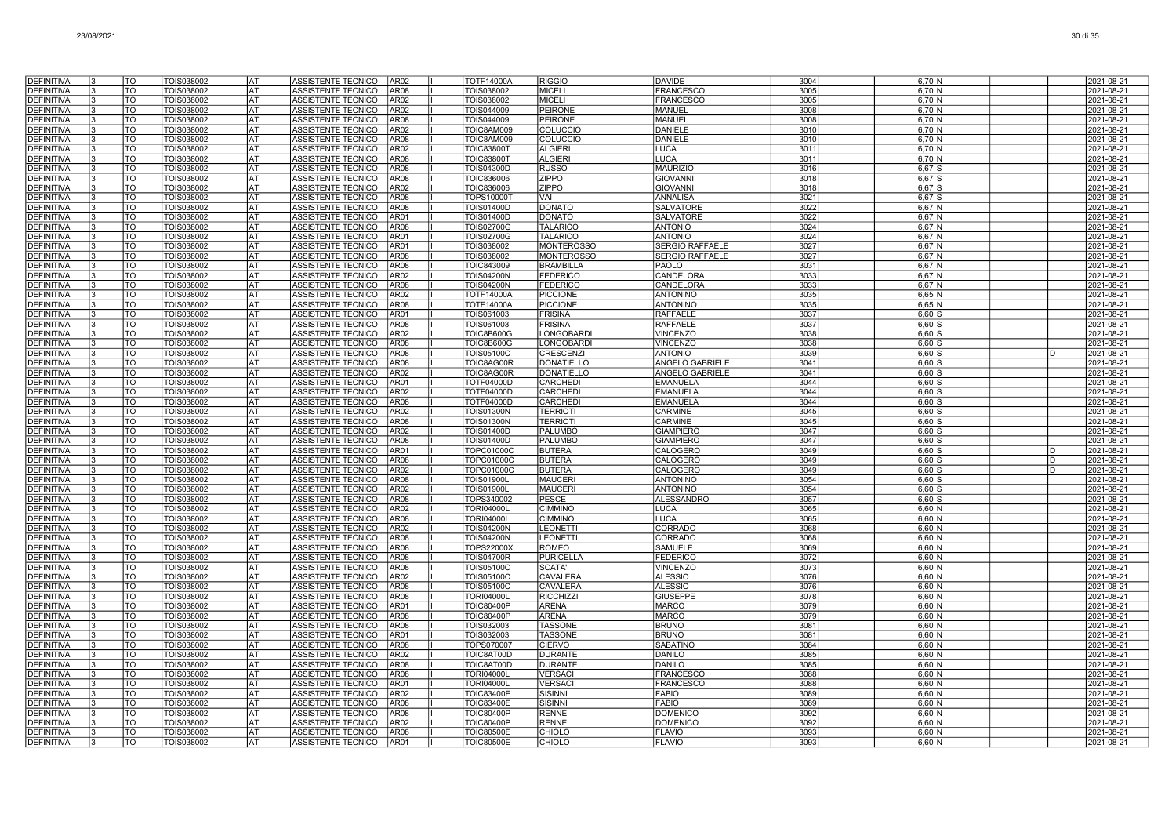| <b>DEFINITIVA</b>                      | TO                    | TOIS038002                      | lat              | ASSISTENTE TECNICO<br>AR <sub>02</sub>                                           | <b>TOTF14000A</b>                      | <b>RIGGIO</b>                          | <b>DAVIDE</b>                                    | 3004         | $6,70$ N             | 2021-08-21                    |
|----------------------------------------|-----------------------|---------------------------------|------------------|----------------------------------------------------------------------------------|----------------------------------------|----------------------------------------|--------------------------------------------------|--------------|----------------------|-------------------------------|
| <b>DEFINITIVA</b>                      | TO                    | TOIS038002                      | lat              | ASSISTENTE TECNICO<br>AR08                                                       | TOIS038002                             | <b>MICELI</b>                          | <b>FRANCESCO</b>                                 | 3005         | 6,70 N               | 2021-08-21                    |
| <b>DEFINITIVA</b>                      | TO                    | TOIS038002                      | lat              | ASSISTENTE TECNICO<br>AR02                                                       | TOIS038002                             | <b>MICELI</b>                          | <b>FRANCESCO</b>                                 | 3005         | 6.70 N               | 2021-08-21                    |
| <b>DEFINITIVA</b>                      | TO                    | TOIS038002                      | lat              | ASSISTENTE TECNICO<br>AR <sub>02</sub>                                           | TOIS044009                             | <b>PEIRONE</b>                         | MANUEL                                           | 3008         | 6,70 N               | 2021-08-21                    |
| <b>DEFINITIVA</b>                      | TO                    | TOIS038002                      | AT               | ASSISTENTE TECNICO<br>AR <sub>08</sub>                                           | TOIS044009                             | PEIRONE                                | MANUEL                                           | 3008         | $6,70$ N             | 2021-08-21                    |
| <b>DEFINITIVA</b>                      | TO                    | TOIS038002                      | lat              | ASSISTENTE TECNICO<br>AR <sub>02</sub>                                           | TOIC8AM009                             | <b>COLUCCIC</b>                        | <b>DANIELE</b>                                   | 3010         | 6,70 N               | 2021-08-21                    |
| <b>DEFINITIVA</b><br><b>DEFINITIVA</b> | TO<br>TO              | TOIS038002<br>TOIS038002        | lat<br>lat       | ASSISTENTE TECNICO<br>AR <sub>08</sub><br>ASSISTENTE TECNICO<br>AR <sub>02</sub> | TOIC8AM009<br><b>TOIC83800T</b>        | <b>COLUCCIC</b><br><b>ALGIERI</b>      | <b>DANIELE</b><br><b>LUCA</b>                    | 3010<br>3011 | 6,70 N<br>6,70 N     | 2021-08-21<br>2021-08-21      |
| <b>DEFINITIVA</b>                      | <b>TO</b>             | <b>TOIS038002</b>               | <b>AT</b>        | <b>ASSISTENTE TECNICO</b><br>AR <sub>08</sub>                                    | <b>TOIC83800T</b>                      | <b>ALGIERI</b>                         | <b>LUCA</b>                                      | 3011         | $6,70$ N             | 2021-08-21                    |
| <b>DEFINITIVA</b>                      | TO                    | TOIS038002                      | <b>AT</b>        | ASSISTENTE TECNICO<br>AR <sub>08</sub>                                           | <b>TOIS04300D</b>                      | <b>RUSSO</b>                           | <b>MAURIZIO</b>                                  | 3016         | $6,67$ $S$           | 2021-08-21                    |
| <b>DEFINITIVA</b>                      | TO                    | TOIS038002                      | lat              | ASSISTENTE TECNICO<br>AR08                                                       | <b>TOIC836006</b>                      | <b>ZIPPO</b>                           | <b>GIOVANNI</b>                                  | 3018         | $6,67$ S             | 2021-08-21                    |
| <b>DEFINITIVA</b>                      | TO                    | TOIS038002                      | AT               | ASSISTENTE TECNICO<br>AR02                                                       | <b>TOIC836006</b>                      | ZIPPO                                  | GIOVANNI                                         | 3018         | $6,67$ $S$           | 2021-08-21                    |
| <b>DEFINITIVA</b>                      | TO                    | TOIS038002                      | AT               | <b>ASSISTENTE TECNICO</b><br>AR08                                                | TOPS100001                             | VAI                                    | ANNALISA                                         | 3021         | $6,67$ S             | 2021-08-21                    |
| DEFINITIVA                             | TO                    | TOIS038002                      | AT               | ASSISTENTE TECNICO<br>AR <sub>08</sub>                                           | <b>TOIS01400D</b>                      | <b>DONATO</b>                          | <b>SALVATORE</b>                                 | 3022         | $6,67$ N             | 2021-08-21                    |
| <b>DEFINITIVA</b>                      | TO                    | TOIS038002                      | AT               | ASSISTENTE TECNICO<br>AR01                                                       | <b>TOIS01400D</b>                      | <b>DONATO</b>                          | <b>SALVATORE</b>                                 | 3022         | $6,67$ N             | 2021-08-21                    |
| <b>DEFINITIVA</b>                      | TO                    | TOIS038002                      | AT               | ASSISTENTE TECNICO<br>AR <sub>08</sub>                                           | <b>TOIS02700G</b>                      | <b>TALARICO</b>                        | <b>ANTONIO</b>                                   | 3024         | 6.67 N               | 2021-08-21                    |
| <b>DEFINITIVA</b>                      | TO<br>$\overline{10}$ | TOIS038002                      | lat<br><b>AT</b> | ASSISTENTE TECNICO<br>AR01                                                       | <b>TOIS02700G</b>                      | <b>TALARICO</b>                        | <b>ANTONIO</b>                                   | 3024         | $6,67$ N             | 2021-08-21                    |
| <b>DEFINITIVA</b><br><b>DEFINITIVA</b> | <b>TO</b>             | <b>TOIS038002</b><br>TOIS038002 | <b>AT</b>        | ASSISTENTE TECNICO<br>AR01<br>AR <sub>08</sub><br>ASSISTENTE TECNICO             | TOIS038002<br>TOIS038002               | <b>MONTEROSSO</b><br><b>MONTEROSSC</b> | <b>SERGIO RAFFAELE</b><br><b>SERGIO RAFFAELE</b> | 3027<br>3027 | $6,67$ N<br>$6,67$ N | 2021-08-21<br>2021-08-21      |
| <b>DEFINITIVA</b>                      | TO                    | TOIS038002                      | lat              | ASSISTENTE TECNICO<br>AR <sub>08</sub>                                           | <b>TOIC843009</b>                      | <b>BRAMBILLA</b>                       | PAOLO                                            | 3031         | $6,67$ N             | 2021-08-21                    |
| <b>DEFINITIVA</b>                      | TO <sub>1</sub>       | TOIS038002                      | AT               | ASSISTENTE TECNICO<br>AR <sub>02</sub>                                           | TOIS04200N                             | <b>FEDERICO</b>                        | CANDELORA                                        | 3033         | $6,67$ N             | 2021-08-21                    |
| DEFINITIVA                             | TO                    | TOIS038002                      | lat              | ASSISTENTE TECNICO<br>AR <sub>08</sub>                                           | <b>TOIS04200N</b>                      | <b>FEDERICO</b>                        | CANDELORA                                        | 3033         | 6,67 N               | 2021-08-21                    |
| <b>DEFINITIVA</b>                      | TO                    | TOIS038002                      | AT               | ASSISTENTE TECNICO<br>AR <sub>02</sub>                                           | <b>TOTF14000A</b>                      | <b>PICCIONE</b>                        | <b>ANTONINO</b>                                  | 3035         | $6,65$ N             | 2021-08-21                    |
| <b>DEFINITIVA</b>                      | TO                    | TOIS038002                      | lat              | ASSISTENTE TECNICO<br>AR <sub>08</sub>                                           | <b>TOTF14000A</b>                      | PICCIONE                               | <b>ANTONINO</b>                                  | 3035         | $6,65$ N             | 2021-08-21                    |
| <b>DEFINITIVA</b>                      | TO                    | TOIS038002                      | lat              | ASSISTENTE TECNICO<br>AR01                                                       | TOIS061003                             | FRISINA                                | <b>RAFFAELE</b>                                  | 3037         | $6.60$ S             | 2021-08-21                    |
| <b>DEFINITIVA</b>                      | TO                    | TOIS038002                      | l AT             | ASSISTENTE TECNICO<br>AR08                                                       | TOIS061003                             | <b>FRISINA</b>                         | <b>RAFFAELE</b>                                  | 3037         | $6,60$ S             | 2021-08-21                    |
| <b>DEFINITIVA</b>                      | $\overline{10}$       | TOIS038002                      | <b>AT</b>        | ASSISTENTE TECNICO<br>AR <sub>02</sub>                                           | <b>TOIC8B600G</b>                      | <b>LONGOBARDI</b>                      | <b>VINCENZO</b>                                  | 3038         | $6,60$ S             | 2021-08-21                    |
| <b>DEFINITIVA</b>                      | <b>TO</b><br>TO       | TOIS038002                      | lat<br>lat       | ASSISTENTE TECNICO<br>AR <sub>08</sub>                                           | <b>TOIC8B600G</b>                      | LONGOBARDI                             | <b>VINCENZO</b>                                  | 3038         | $6,60$ S             | 2021-08-21                    |
| <b>DEFINITIVA</b><br><b>DEFINITIVA</b> | TO <sup>-</sup>       | TOIS038002<br>TOIS038002        | AT               | ASSISTENTE TECNICO<br>AR08<br><b>ASSISTENTE TECNICO</b><br>AR <sub>08</sub>      | <b>TOIS05100C</b><br>TOIC8AG00R        | <b>CRESCENZI</b><br><b>DONATIELLO</b>  | <b>ANTONIO</b><br>ANGELO GABRIELE                | 3039<br>3041 | $6,60$ S<br>$6,60$ S | 2021-08-21<br>2021-08-21      |
| <b>DEFINITIVA</b>                      | TO                    | TOIS038002                      | <b>AT</b>        | ASSISTENTE TECNICO<br>AR02                                                       | TOIC8AG00R                             | <b>DONATIELLO</b>                      | ANGELO GABRIELE                                  | 3041         | $6,60$ S             | 2021-08-21                    |
| DEFINITIVA                             | TO                    | TOIS038002                      | <b>AT</b>        | ASSISTENTE TECNICO<br>AR01                                                       | <b>TOTF04000D</b>                      | CARCHEDI                               | <b>EMANUELA</b>                                  | 3044         | $6,60$ S             | 2021-08-21                    |
| <b>DEFINITIVA</b>                      | TO                    | TOIS038002                      | AT               | ASSISTENTE TECNICO<br>AR <sub>02</sub>                                           | <b>TOTF04000D</b>                      | <b>CARCHED</b>                         | <b>EMANUELA</b>                                  | 3044         | $6,60$ S             | 2021-08-21                    |
| DEFINITIVA                             | TO                    | TOIS038002                      | <b>AT</b>        | ASSISTENTE TECNICO<br>AR08                                                       | <b>TOTF04000D</b>                      | CARCHEDI                               | <b>EMANUELA</b>                                  | 3044         | $6.60$ S             | 2021-08-21                    |
| <b>DEFINITIVA</b>                      | TO                    | TOIS038002                      | l AT             | ASSISTENTE TECNICO<br>AR <sub>02</sub>                                           | <b>TOIS01300N</b>                      | <b>TERRIOTI</b>                        | CARMINE                                          | 3045         | $6,60$ S             | 2021-08-21                    |
| <b>DEFINITIVA</b>                      | $\overline{10}$       | TOIS038002                      | <b>AT</b>        | ASSISTENTE TECNICO<br>AR <sub>08</sub>                                           | <b>TOIS01300N</b>                      | <b>TERRIOTI</b>                        | CARMINE                                          | 3045         | $6,60$ S             | 2021-08-21                    |
| <b>DEFINITIVA</b>                      | <b>TO</b>             | TOIS038002                      | lat              | AR <sub>02</sub><br>ASSISTENTE TECNICO                                           | <b>TOIS01400D</b>                      | <b>PALUMBO</b>                         | <b>GIAMPIERO</b>                                 | 3047         | $6,60$ S             | 2021-08-21                    |
| <b>DEFINITIVA</b><br><b>DEFINITIVA</b> | TO<br><b>TO</b>       | TOIS038002<br><b>TOIS038002</b> | lat<br>AT        | ASSISTENTE TECNICO<br>AR08<br>ASSISTENTE TECNICO<br>AR01                         | <b>TOIS01400D</b><br><b>TOPC01000C</b> | PALUMBO<br><b>BUTERA</b>               | <b>GIAMPIERO</b><br>CALOGERO                     | 3047<br>3049 | $6,60$ S             | 2021-08-21<br>D               |
| <b>DEFINITIVA</b>                      | TO                    | TOIS038002                      | lat              | ASSISTENTE TECNICO<br>AR <sub>08</sub>                                           | TOPC01000C                             | <b>BUTERA</b>                          | CALOGERO                                         | 3049         | $6,60$ S<br>$6,60$ S | 2021-08-21<br>2021-08-21<br>D |
| <b>DEFINITIVA</b>                      | TO                    | TOIS038002                      | AT               | ASSISTENTE TECNICO<br>AR <sub>02</sub>                                           | <b>TOPC01000C</b>                      | <b>BUTERA</b>                          | CALOGERO                                         | 3049         | $6,60$ S             | 2021-08-21<br>D               |
| <b>DEFINITIVA</b>                      | TO                    | TOIS038002                      | AT)              | ASSISTENTE TECNICO<br>AR <sub>08</sub>                                           | <b>TOIS01900L</b>                      | <b>MAUCERI</b>                         | <b>ANTONINO</b>                                  | 3054         | $6,60$ S             | 2021-08-21                    |
| <b>DEFINITIVA</b>                      | TO                    | TOIS038002                      | lat              | ASSISTENTE TECNICO<br>AR <sub>02</sub>                                           | <b>TOIS01900L</b>                      | <b>MAUCERI</b>                         | <b>ANTONINO</b>                                  | 3054         | $6.60$ S             | 2021-08-21                    |
| <b>DEFINITIVA</b>                      | TO                    | TOIS038002                      | l AT             | ASSISTENTE TECNICO<br>AR <sub>08</sub>                                           | TOPS340002                             | <b>PESCE</b>                           | <b>ALESSANDRO</b>                                | 3057         | $6,60$ S             | 2021-08-21                    |
| <b>DEFINITIVA</b>                      | $\overline{10}$       | TOIS038002                      | <b>AT</b>        | ASSISTENTE TECNICO<br>AR <sub>02</sub>                                           | <b>TORI04000L</b>                      | <b>CIMMINO</b>                         | <b>LUCA</b>                                      | 3065         | $6,60$ N             | 2021-08-21                    |
| <b>DEFINITIVA</b>                      | <b>TO</b>             | TOIS038002                      | lat              | ASSISTENTE TECNICO<br>AR <sub>08</sub>                                           | <b>TORI04000L</b>                      | <b>CIMMINO</b>                         | <b>LUCA</b>                                      | 3065         | 6,60 N               | 2021-08-21                    |
| DEFINITIVA                             | TO                    | TOIS038002                      | lat              | ASSISTENTE TECNICO<br>AR <sub>02</sub>                                           | <b>TOIS04200N</b>                      | <b>LEONETTI</b>                        | CORRADO                                          | 3068         | $6,60$ N             | 2021-08-21                    |
| <b>DEFINITIVA</b>                      | <b>TO</b>             | TOIS038002                      | AT<br><b>AT</b>  | ASSISTENTE TECNICO<br>AR <sub>08</sub>                                           | <b>TOIS04200N</b>                      | <b>LEONETTI</b>                        | CORRADO                                          | 3068         | $6,60$ N             | 2021-08-21                    |
| <b>DEFINITIVA</b><br>DEFINITIVA        | TO<br>TO              | TOIS038002<br>TOIS038002        | <b>AT</b>        | ASSISTENTE TECNICO<br>AR08<br>ASSISTENTE TECNICO<br>AR <sub>08</sub>             | TOPS22000X<br><b>TOIS04700R</b>        | <b>ROMEO</b><br><b>PURICELLA</b>       | SAMUELE<br>FEDERICO                              | 3069<br>3072 | $6,60$ N<br>$6,60$ N | 2021-08-21<br>2021-08-21      |
| <b>DEFINITIVA</b>                      | TO                    | TOIS038002                      | AT               | ASSISTENTE TECNICO<br>AR08                                                       | <b>TOIS05100C</b>                      | SCATA'                                 | <b>VINCENZO</b>                                  | 3073         | $6,60$ N             | 2021-08-21                    |
| DEFINITIVA                             | TO                    | TOIS038002                      | <b>AT</b>        | ASSISTENTE TECNICO<br>AR <sub>02</sub>                                           | <b>TOIS05100C</b>                      | CAVALERA                               | <b>ALESSIO</b>                                   | 3076         | $6.60$ N             | 2021-08-21                    |
| <b>DEFINITIVA</b>                      | TO                    | TOIS038002                      | lat              | ASSISTENTE TECNICO<br>AR <sub>08</sub>                                           | <b>TOIS05100C</b>                      | <b>CAVALERA</b>                        | <b>ALESSIO</b>                                   | 3076         | 6,60 N               | 2021-08-21                    |
| <b>DEFINITIVA</b>                      | TO                    | <b>TOIS038002</b>               | <b>AT</b>        | <b>ASSISTENTE TECNICO</b><br>AR <sub>08</sub>                                    | <b>TORI04000L</b>                      | <b>RICCHIZZI</b>                       | <b>GIUSEPPE</b>                                  | 3078         | $6,60$ N             | 2021-08-21                    |
| <b>DEFINITIVA</b>                      | <b>TO</b>             | TOIS038002                      | lat              | ASSISTENTE TECNICO<br>AR01                                                       | <b>TOIC80400P</b>                      | <b>ARENA</b>                           | <b>MARCO</b>                                     | 3079         | $6,60$ N             | 2021-08-21                    |
| <b>DEFINITIVA</b>                      | TO                    | TOIS038002                      | <b>IAT</b>       | ASSISTENTE TECNICO<br>AR08                                                       | <b>TOIC80400P</b>                      | <b>ARENA</b>                           | <b>MARCO</b>                                     | 3079         | $6,60$ N             | 2021-08-21                    |
| <b>DEFINITIVA</b>                      | $\overline{10}$       | <b>TOIS038002</b>               | AT               | ASSISTENTE TECNICO<br>AR <sub>08</sub>                                           | TOIS032003                             | <b>TASSONE</b>                         | <b>BRUNO</b>                                     | 3081         | $6,60$ N             | 2021-08-21                    |
| <b>DEFINITIVA</b>                      | TO                    | TOIS038002                      | lat              | ASSISTENTE TECNICO<br>AR01                                                       | TOIS032003                             | <b>TASSONE</b>                         | <b>BRUNO</b>                                     | 3081         | $6,60$ N             | 2021-08-21                    |
| <b>DEFINITIVA</b><br><b>DEFINITIVA</b> | TO<br>TO              | TOIS038002<br>TOIS038002        | AT<br>lat        | ASSISTENTE TECNICO<br>AR <sub>08</sub><br>ASSISTENTE TECNICO<br>AR <sub>02</sub> | TOPS070007<br>TOIC8AT00D               | <b>CIERVO</b><br><b>DURANTE</b>        | <b>SABATINO</b><br><b>DANILO</b>                 | 3084<br>3085 | $6,60$ N<br>$6,60$ N | 2021-08-21<br>2021-08-21      |
| <b>DEFINITIVA</b>                      | TO                    | TOIS038002                      | lat              | ASSISTENTE TECNICO<br>AR <sub>08</sub>                                           | TOIC8AT00D                             | <b>DURANTE</b>                         | <b>DANILO</b>                                    | 3085         | $6.60$ N             | 2021-08-21                    |
| <b>DEFINITIVA</b>                      | TO                    | TOIS038002                      | l AT             | ASSISTENTE TECNICO<br>AR <sub>08</sub>                                           | <b>TORI04000L</b>                      | <b>VERSACI</b>                         | <b>FRANCESCO</b>                                 | 3088         | 6,60 N               | 2021-08-21                    |
| <b>DEFINITIVA</b>                      | TO                    | TOIS038002                      | <b>AT</b>        | ASSISTENTE TECNICO<br>AR01                                                       | <b>TORI04000L</b>                      | <b>VERSACI</b>                         | <b>FRANCESCO</b>                                 | 3088         | $6,60$ N             | 2021-08-21                    |
| <b>DEFINITIVA</b>                      | TO                    | TOIS038002                      | lat              | ASSISTENTE TECNICO<br>AR <sub>02</sub>                                           | <b>TOIC83400E</b>                      | SISINNI                                | <b>FABIO</b>                                     | 3089         | $6,60$ N             | 2021-08-21                    |
| DEFINITIVA                             | TO                    | TOIS038002                      | <b>AT</b>        | ASSISTENTE TECNICO<br>AR08                                                       | <b>TOIC83400E</b>                      | <b>SISINNI</b>                         | <b>FABIO</b>                                     | 3089         | 6.60 <sub>N</sub>    | 2021-08-21                    |
| <b>DEFINITIVA</b>                      | TO                    | TOIS038002                      | AT               | ASSISTENTE TECNICO<br>AR08                                                       | <b>TOIC80400P</b>                      | <b>RENNE</b>                           | <b>DOMENICO</b>                                  | 3092         | $6,60$ N             | 2021-08-21                    |
| <b>DEFINITIVA</b>                      | TO                    | TOIS038002                      | <b>AT</b>        | ASSISTENTE TECNICO<br>AR <sub>02</sub>                                           | <b>TOIC80400P</b>                      | <b>RENNE</b>                           | DOMENICO                                         | 3092         | $6,60$ N             | 2021-08-21                    |
| <b>DEFINITIVA</b>                      | TO                    | TOIS038002                      | <b>AT</b>        | ASSISTENTE TECNICO<br>AR <sub>08</sub>                                           | <b>TOIC80500E</b>                      | <b>CHIOLO</b>                          | <b>FLAVIO</b>                                    | 3093         | $6,60$ N             | 2021-08-21                    |
| <b>DEFINITIVA</b>                      | TO                    | TOIS038002                      | lat              | ASSISTENTE TECNICO<br>AR01                                                       | <b>TOIC80500E</b>                      | <b>CHIOLO</b>                          | <b>FLAVIO</b>                                    | 3093         | $6,60$ N             | 2021-08-21                    |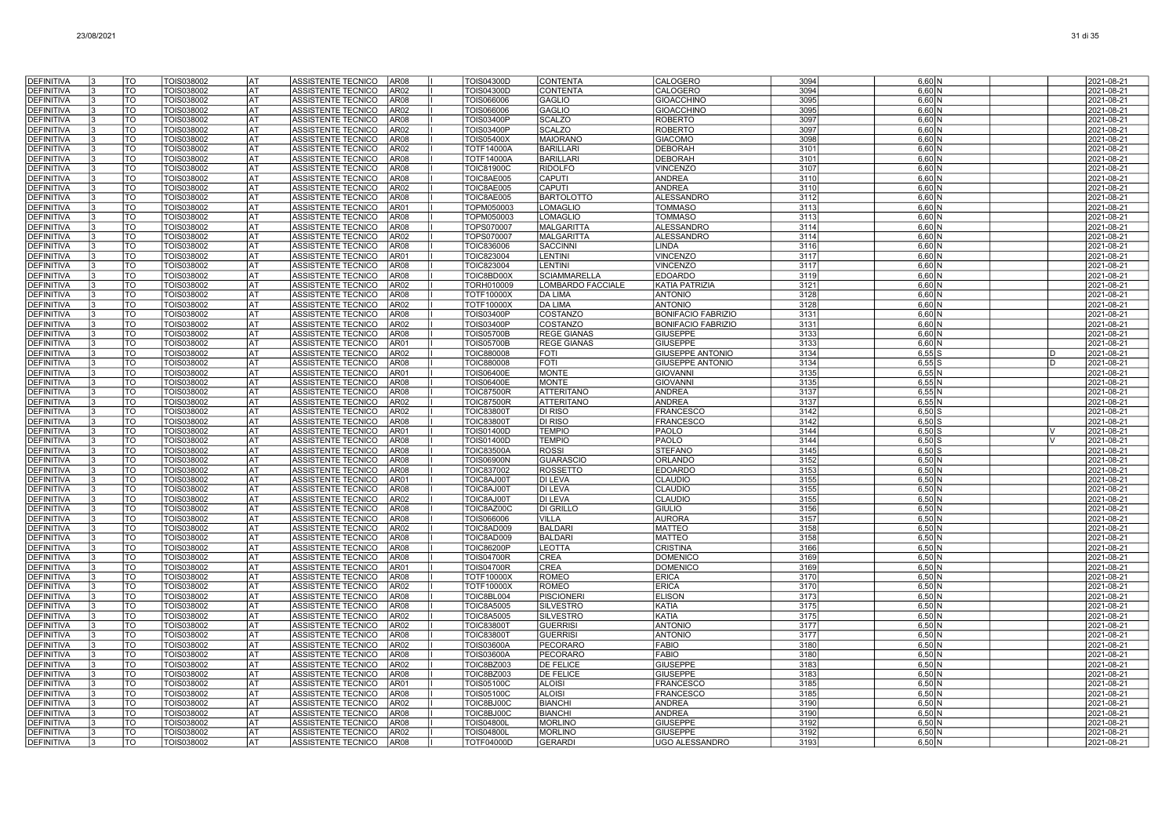| DEFINITIVA                             |    | TO               | TOIS038002               | AT                     | ASSISTENTE TECNICO<br>AR <sub>08</sub>                                           | <b>TOIS04300D</b>                      | <b>CONTENTA</b>                      | CALOGERO                                    | 3094         | $6,60$ N                      |              | 2021-08-21               |
|----------------------------------------|----|------------------|--------------------------|------------------------|----------------------------------------------------------------------------------|----------------------------------------|--------------------------------------|---------------------------------------------|--------------|-------------------------------|--------------|--------------------------|
| <b>DEFINITIVA</b>                      |    | TO               | TOIS038002               | AT)                    | ASSISTENTE TECNICO<br>AR <sub>02</sub>                                           | <b>TOIS04300D</b>                      | <b>CONTENTA</b>                      | CALOGERO                                    | 3094         | $6,60$ N                      |              | 2021-08-21               |
| <b>DEFINITIVA</b>                      |    | TO               | TOIS038002               | lat                    | ASSISTENTE TECNICO<br>AR <sub>08</sub>                                           | TOIS066006                             | <b>GAGLIO</b>                        | <b>GIOACCHINO</b>                           | 3095         | $6.60$ N                      |              | 2021-08-21               |
| <b>DEFINITIVA</b>                      |    | TO               | TOIS038002               | <b>IAT</b>             | ASSISTENTE TECNICO<br>AR02                                                       | TOIS066006                             | <b>GAGLIO</b>                        | <b>GIOACCHINO</b>                           | 3095         | $6,60$ N                      |              | 2021-08-21               |
| <b>DEFINITIVA</b>                      |    | TO               | TOIS038002               | AT                     | ASSISTENTE TECNICO<br>AR <sub>08</sub>                                           | <b>TOIS03400P</b>                      | <b>SCALZO</b>                        | <b>ROBERTO</b>                              | 3097         | $6,60$ N                      |              | 2021-08-21               |
| <b>DEFINITIVA</b>                      |    | TO               | TOIS038002               | <b>IAT</b>             | ASSISTENTE TECNICO<br>AR <sub>02</sub>                                           | <b>TOIS03400P</b>                      | <b>SCALZO</b>                        | <b>ROBERTO</b>                              | 3097         | $6,60$ N                      |              | 2021-08-21               |
| <b>DEFINITIVA</b>                      |    | TO               | TOIS038002               | <b>IAT</b>             | ASSISTENTE TECNICO<br>AR08                                                       | <b>TOIS05400X</b>                      | <b>MAIORANC</b>                      | <b>GIACOMO</b>                              | 3098         | $6,60$ N                      |              | 2021-08-21               |
| <b>DEFINITIVA</b>                      |    | TO               | TOIS038002               | <b>AT</b>              | ASSISTENTE TECNICO<br>AR <sub>02</sub>                                           | <b>TOTF14000A</b>                      | <b>BARILLARI</b>                     | <b>DEBORAH</b>                              | 3101         | $6,60$ N                      |              | 2021-08-21               |
| <b>DEFINITIVA</b>                      |    | $\overline{TO}$  | TOIS038002               | <b>AT</b>              | <b>ASSISTENTE TECNICO</b><br>AR <sub>08</sub>                                    | <b>TOTF14000A</b>                      | <b>BARILLARI</b>                     | <b>DEBORAH</b>                              | 3101         | $6,60$ N                      |              | 2021-08-21               |
| DEFINITIVA                             |    | <b>TO</b>        | TOIS038002               | <b>AT</b>              | ASSISTENTE TECNICO<br>AR <sub>08</sub>                                           | <b>TOIC81900C</b>                      | <b>RIDOLFO</b>                       | <b>VINCENZO</b>                             | 3107         | $6,60$ N                      |              | 2021-08-21               |
| <b>DEFINITIVA</b><br><b>DEFINITIVA</b> |    | TO<br>TO         | TOIS038002               | <b>AT</b><br>l AT      | ASSISTENTE TECNICO<br>AR08<br>AR02                                               | TOIC8AE005                             | CAPUTI<br>CAPUTI                     | <b>ANDREA</b><br><b>ANDREA</b>              | 3110<br>3110 | $6,60$ N                      |              | 2021-08-21               |
| <b>DEFINITIVA</b>                      |    | TO               | TOIS038002<br>TOIS038002 | lat                    | ASSISTENTE TECNICO<br>ASSISTENTE TECNICO<br>AR08                                 | TOIC8AE005<br>TOIC8AE005               | <b>BARTOLOTTO</b>                    | <b>ALESSANDRO</b>                           | 3112         | 6.60 <sub>N</sub>             |              | 2021-08-21<br>2021-08-21 |
| <b>DEFINITIVA</b>                      |    | TO               | TOIS038002               | AT                     | ASSISTENTE TECNICO<br>AR01                                                       | TOPM050003                             | LOMAGLIO                             | <b>TOMMASO</b>                              | 3113         | $6,60$ N<br>6,60 N            |              | 2021-08-21               |
| <b>DEFINITIVA</b>                      |    | TO               | TOIS038002               | lat                    | ASSISTENTE TECNICO<br>AR <sub>08</sub>                                           | TOPM050003                             | <b>LOMAGLIO</b>                      | <b>TOMMASO</b>                              | 3113         | $6,60$ N                      |              | 2021-08-21               |
| <b>DEFINITIVA</b>                      |    | TO               | TOIS038002               | lat                    | ASSISTENTE TECNICO<br>AR08                                                       | <b>TOPS070007</b>                      | <b>MALGARITTA</b>                    | <b>ALESSANDRO</b>                           | 3114         | 6.60 <sub>N</sub>             |              | 2021-08-21               |
| <b>DEFINITIVA</b>                      | I٩ | TO               | TOIS038002               | <b>IAT</b>             | ASSISTENTE TECNICO<br>AR <sub>02</sub>                                           | TOPS070007                             | <b>MALGARITTA</b>                    | <b>ALESSANDRO</b>                           | 3114         | $6,60$ N                      |              | 2021-08-21               |
| <b>DEFINITIVA</b>                      |    | $\overline{TO}$  | TOIS038002               | <b>IAT</b>             | ASSISTENTE TECNICO<br>AR <sub>08</sub>                                           | TOIC836006                             | <b>SACCINNI</b>                      | <b>LINDA</b>                                | 3116         | $6,60$ N                      |              | 2021-08-21               |
| <b>DEFINITIVA</b>                      |    | <b>TO</b>        | TOIS038002               | lat                    | AR01<br>ASSISTENTE TECNICO                                                       | TOIC823004                             | <b>LENTINI</b>                       | <b>VINCENZO</b>                             | 3117         | $6,60$ N                      |              | 2021-08-21               |
| <b>DEFINITIVA</b>                      |    | <b>TO</b>        | TOIS038002               | <b>IAT</b>             | ASSISTENTE TECNICO<br>AR <sub>08</sub>                                           | <b>TOIC823004</b>                      | <b>LENTINI</b>                       | <b>VINCENZO</b>                             | 3117         | $6,60$ N                      |              | 2021-08-21               |
| <b>DEFINITIVA</b>                      |    | <b>TO</b>        | TOIS038002               | l AT                   | ASSISTENTE TECNICO<br>AR <sub>08</sub>                                           | TOIC8BD00X                             | <b>SCIAMMARELLA</b>                  | <b>EDOARDO</b>                              | 3119         | $6,60$ N                      |              | 2021-08-21               |
| <b>DEFINITIVA</b>                      |    | TO               | TOIS038002               | lat                    | ASSISTENTE TECNICO<br>AR <sub>02</sub>                                           | TORH010009                             | LOMBARDO FACCIALE                    | <b>KATIA PATRIZIA</b>                       | 3121         | $6,60$ N                      |              | 2021-08-21               |
| <b>DEFINITIVA</b>                      |    | TO               | TOIS038002               | AT                     | ASSISTENTE TECNICO<br>AR <sub>08</sub>                                           | <b>TOTF10000X</b>                      | <b>DA LIMA</b>                       | <b>ANTONIO</b>                              | 3128         | 6,60 N                        |              | 2021-08-21               |
| <b>DEFINITIVA</b><br><b>DEFINITIVA</b> |    | TO<br>TO         | TOIS038002<br>TOIS038002 | lat<br><b>AT</b>       | ASSISTENTE TECNICO<br>AR <sub>02</sub><br>ASSISTENTE TECNICO<br>AR <sub>08</sub> | <b>TOTF10000X</b><br><b>TOIS03400P</b> | <b>DA LIMA</b><br><b>COSTANZO</b>    | <b>ANTONIO</b><br><b>BONIFACIO FABRIZIO</b> | 3128<br>3131 | $6,60$ N<br>6.60 <sub>N</sub> |              | 2021-08-21<br>2021-08-21 |
| <b>DEFINITIVA</b>                      |    | TO               | TOIS038002               | l AT                   | ASSISTENTE TECNICO<br>AR02                                                       | <b>TOIS03400P</b>                      | COSTANZO                             | <b>BONIFACIO FABRIZIO</b>                   | 3131         | $6,60$ N                      |              | 2021-08-21               |
| <b>DEFINITIVA</b>                      |    | $\overline{TO}$  | TOIS038002               | <b>AT</b>              | ASSISTENTE TECNICO<br>AR <sub>08</sub>                                           | <b>TOIS05700B</b>                      | <b>REGE GIANAS</b>                   | <b>GIUSEPPE</b>                             | 3133         | $6,60$ N                      |              | 2021-08-21               |
| <b>DEFINITIVA</b>                      |    | lto              | TOIS038002               | <b>AT</b>              | ASSISTENTE TECNICO<br>AR01                                                       | <b>TOIS05700B</b>                      | <b>REGE GIANAS</b>                   | <b>GIUSEPPE</b>                             | 3133         | $6,60$ N                      |              | 2021-08-21               |
| DEFINITIVA                             |    | TO               | TOIS038002               | lat                    | ASSISTENTE TECNICO<br>AR02                                                       | <b>TOIC880008</b>                      | <b>FOTI</b>                          | <b>GIUSEPPE ANTONIO</b>                     | 3134         | $6,55$ $S$                    | D            | 2021-08-21               |
| <b>DEFINITIVA</b>                      |    | TO               | TOIS038002               | l AT                   | ASSISTENTE TECNICO<br>AR08                                                       | <b>TOIC880008</b>                      | <b>FOTI</b>                          | <b>GIUSEPPE ANTONIO</b>                     | 3134         | 6,55S                         | <sub>D</sub> | 2021-08-21               |
| DEFINITIVA                             |    | TO               | TOIS038002               | l AT                   | ASSISTENTE TECNICO<br>AR01                                                       | <b>TOIS06400E</b>                      | <b>MONTE</b>                         | <b>GIOVANN</b>                              | 3135         | 6,55N                         |              | 2021-08-21               |
| <b>DEFINITIVA</b>                      |    | TO               | TOIS038002               | AT                     | ASSISTENTE TECNICO<br>AR <sub>08</sub>                                           | <b>TOIS06400E</b>                      | <b>MONTE</b>                         | <b>GIOVANN</b>                              | 3135         | $6,55$ N                      |              | 2021-08-21               |
| <b>DEFINITIVA</b>                      |    | TO               | TOIS038002               | AT                     | ASSISTENTE TECNICO<br>AR08                                                       | <b>TOIC87500R</b>                      | <b>ATTERITANO</b>                    | <b>ANDREA</b>                               | 3137         | $6,55$ N                      |              | 2021-08-21               |
| <b>DEFINITIVA</b>                      |    | TO               | TOIS038002               | lat                    | ASSISTENTE TECNICO<br>AR02                                                       | <b>TOIC87500R</b>                      | <b>ATTERITANO</b>                    | <b>ANDREA</b>                               | 3137         | 6.55N                         |              | 2021-08-21               |
| <b>DEFINITIVA</b><br><b>DEFINITIVA</b> |    | TO<br><b>TO</b>  | TOIS038002<br>TOIS038002 | l AT<br><b>AT</b>      | ASSISTENTE TECNICO<br>AR <sub>02</sub><br>ASSISTENTE TECNICO<br>AR <sub>08</sub> | <b>TOIC83800T</b><br><b>TOIC83800T</b> | DI RISO<br><b>DI RISO</b>            | <b>FRANCESCO</b><br><b>FRANCESCO</b>        | 3142<br>3142 | $6,50$ S<br>$6,50$ \$         |              | 2021-08-21<br>2021-08-21 |
| <b>DEFINITIVA</b>                      |    | lto              | TOIS038002               | <b>AT</b>              | ASSISTENTE TECNICO<br>AR01                                                       | TOIS01400D                             | <b>TEMPIO</b>                        | PAOLO                                       | 3144         | $6,50$ S                      | lv.          | 2021-08-21               |
| <b>DEFINITIVA</b>                      |    | <b>TO</b>        | TOIS038002               | <b>AT</b>              | ASSISTENTE TECNICO<br>AR <sub>08</sub>                                           | <b>TOIS01400D</b>                      | <b>TEMPIO</b>                        | <b>PAOLO</b>                                | 3144         | 6,50                          |              | 2021-08-21               |
| <b>DEFINITIVA</b>                      |    | <b>TO</b>        | TOIS038002               | lat                    | ASSISTENTE TECNICO<br>AR <sub>08</sub>                                           | <b>TOIC83500A</b>                      | <b>ROSSI</b>                         | <b>STEFANO</b>                              | 3145         | $6,50$ S                      |              | 2021-08-21               |
| <b>DEFINITIVA</b>                      |    | <b>TO</b>        | <b>TOIS038002</b>        | I AT                   | AR <sub>08</sub><br>ASSISTENTE TECNICO                                           | <b>TOIS06900N</b>                      | <b>GUARASCIO</b>                     | ORLANDC                                     | 3152         | 6,50N                         |              | 2021-08-21               |
| <b>DEFINITIVA</b>                      |    | TO               | TOIS038002               | AT                     | ASSISTENTE TECNICO<br>AR <sub>08</sub>                                           | <b>TOIC837002</b>                      | <b>ROSSETTO</b>                      | <b>EDOARDC</b>                              | 3153         | $6,50$ N                      |              | 2021-08-21               |
| <b>DEFINITIVA</b>                      |    | TO               | TOIS038002               | <b>AT</b>              | ASSISTENTE TECNICO<br>AR01                                                       | TOIC8AJ00T                             | <b>DI LEVA</b>                       | <b>CLAUDIO</b>                              | 3155         | $6,50$ N                      |              | 2021-08-21               |
| <b>DEFINITIVA</b>                      |    | TO               | TOIS038002               | <b>IAT</b>             | ASSISTENTE TECNICO<br>AR <sub>08</sub>                                           | TOIC8AJ00T                             | <b>DI LEVA</b>                       | <b>CLAUDIO</b>                              | 3155         | $6.50$ N                      |              | 2021-08-21               |
| <b>DEFINITIVA</b>                      |    | TO<br><b>TO</b>  | TOIS038002               | <b>AT</b><br><b>AT</b> | ASSISTENTE TECNICO<br>AR02                                                       | TOIC8AJ00T                             | <b>DI LEVA</b>                       | <b>CLAUDIO</b>                              | 3155         | $6,50$ N                      |              | 2021-08-21               |
| <b>DEFINITIVA</b><br><b>DEFINITIVA</b> |    | lto              | TOIS038002<br>TOIS038002 | <b>AT</b>              | ASSISTENTE TECNICO<br>AR <sub>08</sub><br>ASSISTENTE TECNICO<br>AR <sub>08</sub> | TOIC8AZ00C<br><b>TOIS066006</b>        | <b>DI GRILLO</b><br><b>VILLA</b>     | GIULIO<br><b>AURORA</b>                     | 3156<br>3157 | $6,50$ N<br>$6,50$ N          |              | 2021-08-21<br>2021-08-21 |
| DEFINITIVA                             |    | <b>TO</b>        | TOIS038002               | <b>AT</b>              | ASSISTENTE TECNICO<br>AR <sub>02</sub>                                           | TOIC8AD009                             | <b>BALDARI</b>                       | <b>MATTEO</b>                               | 3158         | $6,50$ N                      |              | 2021-08-21               |
| <b>DEFINITIVA</b>                      |    | $\overline{10}$  | TOIS038002               | lat                    | ASSISTENTE TECNICO<br>AR <sub>08</sub>                                           | TOIC8AD009                             | <b>BALDARI</b>                       | <b>MATTEO</b>                               | 3158         | $6,50$ N                      |              | 2021-08-21               |
| DEFINITIVA                             |    | TO               | TOIS038002               | lat                    | ASSISTENTE TECNICO<br>AR08                                                       | <b>TOIC86200P</b>                      | LEOTTA                               | <b>CRISTINA</b>                             | 3166         | $6,50$ N                      |              | 2021-08-21               |
| <b>DEFINITIVA</b>                      |    | TO               | TOIS038002               | AT                     | ASSISTENTE TECNICO<br>AR <sub>08</sub>                                           | <b>TOIS04700R</b>                      | CREA                                 | <b>DOMENICC</b>                             | 3169         | 6,50 N                        |              | 2021-08-21               |
| <b>DEFINITIVA</b>                      |    | TO               | TOIS038002               | AT                     | ASSISTENTE TECNICO<br>AR01                                                       | <b>TOIS04700R</b>                      | <b>CREA</b>                          | <b>DOMENICC</b>                             | 3169         | $6,50$ N                      |              | 2021-08-21               |
| <b>DEFINITIVA</b>                      |    | TO               | TOIS038002               | lat                    | ASSISTENTE TECNICO<br>AR <sub>08</sub>                                           | <b>TOTF10000X</b>                      | <b>ROMEO</b>                         | <b>ERICA</b>                                | 3170         | 6.50 <sub>N</sub>             |              | 2021-08-21               |
| <b>DEFINITIVA</b>                      |    | TO               | TOIS038002               | l AT                   | ASSISTENTE TECNICO<br>AR <sub>02</sub>                                           | <b>TOTF10000X</b>                      | <b>ROMEO</b>                         | <b>ERICA</b>                                | 3170         | $6,50$ N                      |              | 2021-08-21               |
| <b>DEFINITIVA</b>                      |    | TO               | TOIS038002               | <b>AT</b>              | ASSISTENTE TECNICO<br>AR <sub>08</sub>                                           | TOIC8BL004                             | <b>PISCIONERI</b>                    | <b>ELISON</b>                               | 3173         | $6,50$ N                      |              | 2021-08-21               |
| <b>DEFINITIVA</b><br><b>DEFINITIVA</b> |    | lto<br><b>TO</b> | TOIS038002<br>TOIS038002 | ĪАТ<br><b>IAT</b>      | ASSISTENTE TECNICO<br>AR <sub>08</sub><br>ASSISTENTE TECNICO<br>AR <sub>02</sub> | <b>TOIC8A5005</b><br><b>TOIC8A5005</b> | <b>SILVESTRO</b><br><b>SILVESTRO</b> | <b>KATIA</b><br><b>KATIA</b>                | 3175<br>3175 | $6,50$ N<br>$6,50$ N          |              | 2021-08-21<br>2021-08-21 |
| <b>DEFINITIVA</b>                      |    | $\overline{10}$  | TOIS038002               | lat                    | ASSISTENTE TECNICO<br>AR <sub>02</sub>                                           | <b>TOIC83800T</b>                      | <b>GUERRISI</b>                      | <b>ANTONIO</b>                              | 3177         | $6,50$ N                      |              | 2021-08-21               |
| <b>DEFINITIVA</b>                      |    | TO               | TOIS038002               | lat                    | ASSISTENTE TECNICO<br>AR <sub>08</sub>                                           | <b>TOIC83800T</b>                      | <b>GUERRISI</b>                      | <b>ANTONIO</b>                              | 3177         | 6,50N                         |              | 2021-08-21               |
| <b>DEFINITIVA</b>                      |    | TO               | TOIS038002               | AT                     | ASSISTENTE TECNICO<br>AR <sub>02</sub>                                           | <b>TOIS03600A</b>                      | PECORARO                             | <b>FABIO</b>                                | 3180         | 6,50 N                        |              | 2021-08-21               |
| <b>DEFINITIVA</b>                      |    | TO               | TOIS038002               | <b>AT</b>              | ASSISTENTE TECNICO<br>AR <sub>08</sub>                                           | <b>TOIS03600A</b>                      | <b>PECORARO</b>                      | <b>FABIO</b>                                | 3180         | $6,50$ N                      |              | 2021-08-21               |
| <b>DEFINITIVA</b>                      |    | TO               | TOIS038002               | <b>AT</b>              | ASSISTENTE TECNICO<br>AR <sub>02</sub>                                           | <b>TOIC8BZ003</b>                      | <b>DE FELICE</b>                     | <b>GIUSEPPE</b>                             | 3183         | 6.50 <sub>N</sub>             |              | 2021-08-21               |
| <b>DEFINITIVA</b>                      |    | TO               | TOIS038002               | <b>AT</b>              | ASSISTENTE TECNICO<br>AR <sub>08</sub>                                           | <b>TOIC8BZ003</b>                      | <b>DE FELICE</b>                     | <b>GIUSEPPE</b>                             | 3183         | 6,50 N                        |              | 2021-08-21               |
| <b>DEFINITIVA</b>                      |    | <b>TO</b>        | TOIS038002               | <b>AT</b>              | ASSISTENTE TECNICO<br>AR01                                                       | <b>TOIS05100C</b>                      | <b>ALOISI</b>                        | FRANCESCO                                   | 3185         | $6,50$ N                      |              | 2021-08-21               |
| <b>DEFINITIVA</b>                      |    | <b>TO</b>        | TOIS038002               | <b>AT</b>              | ASSISTENTE TECNICO<br>AR <sub>08</sub>                                           | <b>TOIS05100C</b>                      | <b>ALOISI</b>                        | <b>FRANCESCO</b>                            | 3185         | $6,50$ N                      |              | 2021-08-21               |
| DEFINITIVA                             |    | TO               | TOIS038002               | <b>AT</b>              | ASSISTENTE TECNICO<br>AR02                                                       | TOIC8BJ00C                             | <b>BIANCH</b>                        | <b>ANDREA</b>                               | 3190         | 6.50 <sub>N</sub>             |              | 2021-08-21               |
| <b>DEFINITIVA</b>                      |    | TO<br>TO         | TOIS038002               | lat<br>l AT            | ASSISTENTE TECNICO<br>AR08                                                       | TOIC8BJ00C                             | <b>BIANCHI</b>                       | <b>ANDREA</b>                               | 3190         | $6,50$ N                      |              | 2021-08-21               |
| <b>DEFINITIVA</b><br><b>DEFINITIVA</b> | ıз | TO               | TOIS038002<br>TOIS038002 | IAT                    | ASSISTENTE TECNICO<br>AR08<br>ASSISTENTE TECNICO<br>AR <sub>02</sub>             | <b>TOIS04800L</b><br><b>TOIS04800L</b> | <b>MORLINO</b><br><b>MORLINO</b>     | <b>GIUSEPPE</b><br><b>GIUSEPPE</b>          | 3192<br>3192 | 6,50N<br>6,50 N               |              | 2021-08-21<br>2021-08-21 |
| DEFINITIVA                             | 13 | TO               | TOIS038002               | <b>IAT</b>             | ASSISTENTE TECNICO<br>AR08                                                       | <b>TOTF04000D</b>                      | <b>GERARDI</b>                       | UGO ALESSANDRO                              | 3193         | $6,50$ N                      |              | 2021-08-21               |
|                                        |    |                  |                          |                        |                                                                                  |                                        |                                      |                                             |              |                               |              |                          |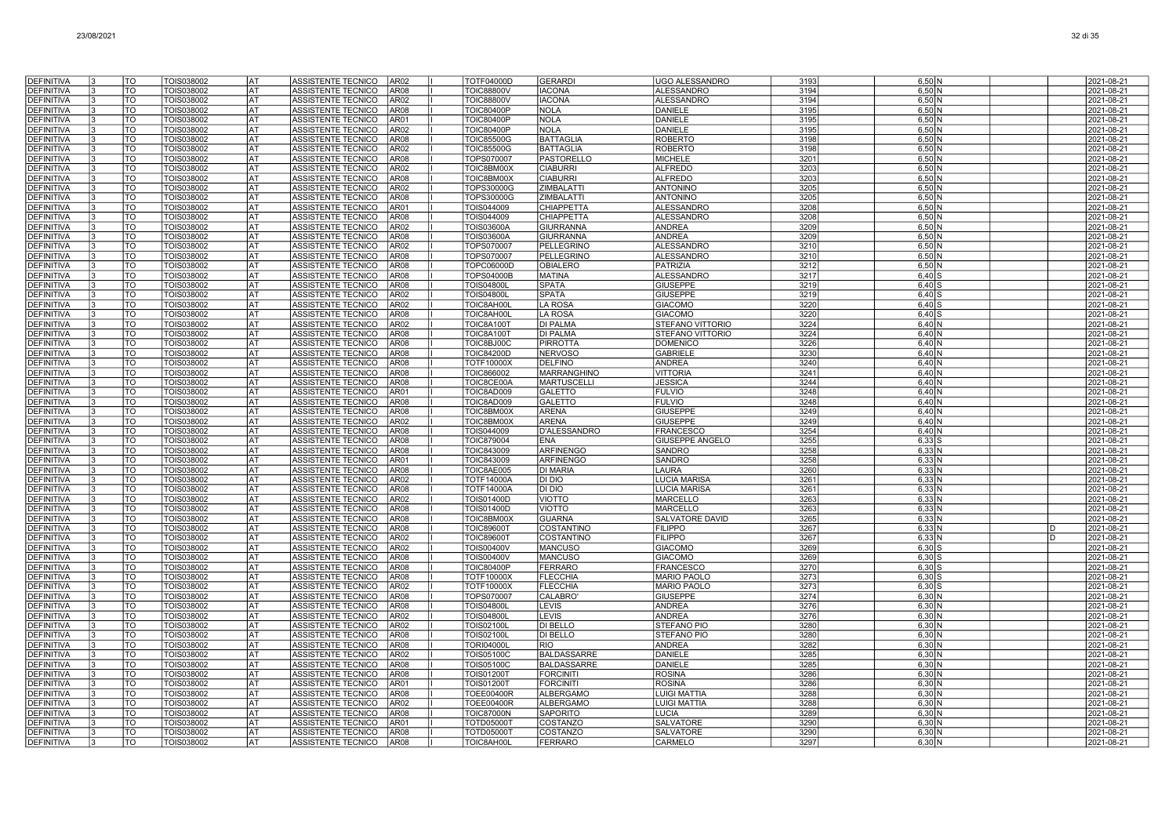| <b>DEFINITIVA</b>                      | TO                           | TOIS038002               | lat                    | ASSISTENTE TECNICO<br>AR <sub>02</sub>                                                  | <b>TOTF04000D</b>                      | <b>GERARDI</b>                       | UGO ALESSANDRO                        | 3193         | 6,50 N               | 2021-08-21               |
|----------------------------------------|------------------------------|--------------------------|------------------------|-----------------------------------------------------------------------------------------|----------------------------------------|--------------------------------------|---------------------------------------|--------------|----------------------|--------------------------|
| <b>DEFINITIVA</b>                      | $\overline{10}$              | <b>TOIS038002</b>        | AT                     | ASSISTENTE TECNICO<br>AR <sub>08</sub>                                                  | <b>TOIC88800V</b>                      | <b>IACONA</b>                        | <b>ALESSANDRO</b>                     | 3194         | $6,50$ N             | 2021-08-21               |
| <b>DEFINITIVA</b>                      | <b>TO</b>                    | TOIS038002               | I AT                   | ASSISTENTE TECNICO<br>AR02                                                              | <b>TOIC88800V</b>                      | <b>IACONA</b>                        | <b>ALESSANDRO</b>                     | 3194         | $6,50$ N             | 2021-08-21               |
| <b>DEFINITIVA</b>                      | TO                           | TOIS038002               | IAT                    | ASSISTENTE TECNICO<br>AR08                                                              | <b>TOIC80400P</b>                      | <b>NOLA</b>                          | DANIELE                               | 3195         | $6,50$ N             | 2021-08-21               |
| <b>DEFINITIVA</b>                      | TO                           | TOIS038002               | lat                    | ASSISTENTE TECNICO<br>AR01                                                              | <b>TOIC80400P</b>                      | <b>NOLA</b>                          | <b>DANIELE</b>                        | 3195         | 6,50 N               | 2021-08-21               |
| <b>DEFINITIVA</b>                      | TO                           | TOIS038002               | lat                    | ASSISTENTE TECNICO<br>AR <sub>02</sub>                                                  | <b>TOIC80400P</b>                      | <b>NOLA</b>                          | <b>DANIELE</b>                        | 3195         | 6.50 <sub>N</sub>    | 2021-08-21               |
| <b>DEFINITIVA</b>                      | TO<br>TO                     | TOIS038002               | l AT<br><b>AT</b>      | ASSISTENTE TECNICO<br>AR <sub>08</sub>                                                  | <b>TOIC85500G</b>                      | <b>BATTAGLIA</b>                     | <b>ROBERTO</b>                        | 3198         | 6,50 N               | 2021-08-21               |
| <b>DEFINITIVA</b><br><b>DEFINITIVA</b> | <b>TO</b>                    | TOIS038002<br>TOIS038002 | <b>AT</b>              | ASSISTENTE TECNICO<br>AR <sub>02</sub><br><b>ASSISTENTE TECNICO</b><br>AR <sub>08</sub> | <b>TOIC85500G</b><br>TOPS070007        | <b>BATTAGLIA</b><br>PASTORELLO       | <b>ROBERTO</b><br><b>MICHELE</b>      | 3198<br>3201 | $6,50$ N<br>$6,50$ N | 2021-08-21<br>2021-08-21 |
| DEFINITIVA                             | TO                           | TOIS038002               | lat                    | ASSISTENTE TECNICO<br>AR02                                                              | TOIC8BM00X                             | <b>CIABURRI</b>                      | <b>ALFREDO</b>                        | 3203         | 6,50 N               | 2021-08-21               |
| <b>DEFINITIVA</b>                      | TO                           | TOIS038002               | AT                     | ASSISTENTE TECNICO<br>AR08                                                              | TOIC8BM00X                             | <b>CIABURRI</b>                      | <b>ALFREDO</b>                        | 3203         | 6,50 N               | 2021-08-21               |
| <b>DEFINITIVA</b>                      | TO                           | TOIS038002               | <b>AT</b>              | ASSISTENTE TECNICO<br>AR02                                                              | TOPS30000G                             | ZIMBALATTI                           | <b>ANTONINO</b>                       | 3205         | $6,50$ N             | 2021-08-21               |
| DEFINITIVA                             | TO                           | TOIS038002               | <b>AT</b>              | ASSISTENTE TECNICO<br>AR <sub>08</sub>                                                  | TOPS30000G                             | <b>ZIMBALATTI</b>                    | <b>ANTONINO</b>                       | 3205         | $6,50$ N             | 2021-08-21               |
| <b>DEFINITIVA</b>                      | TO                           | TOIS038002               | AT                     | ASSISTENTE TECNICO<br>AR01                                                              | TOIS044009                             | CHIAPPETTA                           | <b>ALESSANDRC</b>                     | 3208         | 6,50 N               | 2021-08-21               |
| <b>DEFINITIVA</b>                      | TO                           | TOIS038002               | lat                    | ASSISTENTE TECNICO<br>AR <sub>08</sub>                                                  | TOIS044009                             | CHIAPPETTA                           | <b>ALESSANDRO</b>                     | 3208         | 6.50 <sub>N</sub>    | 2021-08-21               |
| <b>DEFINITIVA</b>                      | TO                           | TOIS038002               | l AT                   | ASSISTENTE TECNICO<br>AR <sub>02</sub>                                                  | <b>TOIS03600A</b>                      | <b>GIURRANNA</b>                     | <b>ANDREA</b>                         | 3209         | 6,50 N               | 2021-08-21               |
| <b>DEFINITIVA</b><br><b>DEFINITIVA</b> | TO<br>TO                     | TOIS038002<br>TOIS038002 | <b>AT</b><br><b>AT</b> | ASSISTENTE TECNICO<br>AR08<br>ASSISTENTE TECNICO<br>AR <sub>02</sub>                    | <b>TOIS03600A</b><br>TOPS070007        | <b>GIURRANNA</b><br>PELLEGRINO       | <b>ANDREA</b><br><b>ALESSANDRO</b>    | 3209<br>3210 | $6,50$ N<br>$6,50$ N | 2021-08-21<br>2021-08-21 |
| <b>DEFINITIVA</b>                      | TO                           | TOIS038002               | lat                    | ASSISTENTE TECNICO<br>AR <sub>08</sub>                                                  | TOPS070007                             | PELLEGRINO                           | <b>ALESSANDRO</b>                     | 3210         | $6,50$ N             | 2021-08-21               |
| <b>DEFINITIVA</b>                      | TO                           | TOIS038002               | lat                    | ASSISTENTE TECNICO<br>AR <sub>08</sub>                                                  | <b>TOPC06000D</b>                      | <b>OBIALERO</b>                      | <b>PATRIZIA</b>                       | 3212         | 6,50 N               | 2021-08-21               |
| <b>DEFINITIVA</b>                      | <b>TO</b>                    | TOIS038002               | l AT                   | ASSISTENTE TECNICO<br>AR08                                                              | <b>TOPS04000E</b>                      | <b>MATINA</b>                        | <b>ALESSANDRO</b>                     | 3217         | $6,40$ S             | 2021-08-21               |
| <b>DEFINITIVA</b>                      | TO                           | TOIS038002               | IAT                    | ASSISTENTE TECNICO<br>AR <sub>08</sub>                                                  | <b>TOIS04800L</b>                      | <b>SPATA</b>                         | <b>GIUSEPPE</b>                       | 3219         | $6,40$ S             | 2021-08-21               |
| <b>DEFINITIVA</b>                      | TO                           | TOIS038002               | lat                    | ASSISTENTE TECNICO<br>AR <sub>02</sub>                                                  | <b>TOIS04800</b>                       | <b>SPATA</b>                         | <b>GIUSEPPE</b>                       | 3219         | $6,40$ S             | 2021-08-21               |
| <b>DEFINITIVA</b>                      | TO                           | TOIS038002               | AT                     | ASSISTENTE TECNICO<br>AR <sub>02</sub>                                                  | TOIC8AH00I                             | <b>LA ROSA</b>                       | <b>GIACOMO</b>                        | 3220         | $6,40$ S             | 2021-08-21               |
| <b>DEFINITIVA</b>                      | TO                           | TOIS038002               | l AT                   | ASSISTENTE TECNICO<br>AR <sub>08</sub>                                                  | TOIC8AH00I                             | <b>LA ROSA</b>                       | <b>GIACOMO</b>                        | 3220         | $6,40$ S             | 2021-08-21               |
| <b>DEFINITIVA</b>                      | <b>TO</b><br>$\overline{10}$ | TOIS038002               | <b>AT</b><br> AT       | ASSISTENTE TECNICO<br>AR <sub>02</sub><br>AR <sub>08</sub>                              | <b>TOIC8A100T</b>                      | <b>DI PALMA</b><br><b>DI PALMA</b>   | STEFANO VITTORIO                      | 3224<br>3224 | 6,40 N<br>6,40 N     | 2021-08-21               |
| <b>DEFINITIVA</b><br>DEFINITIVA        | TO                           | TOIS038002<br>TOIS038002 | lat                    | ASSISTENTE TECNICO<br>ASSISTENTE TECNICO<br>AR08                                        | <b>TOIC8A100T</b><br>TOIC8BJ00C        | <b>PIRROTTA</b>                      | STEFANO VITTORIO<br><b>DOMENICO</b>   | 3226         | $6.40\text{N}$       | 2021-08-21<br>2021-08-21 |
| <b>DEFINITIVA</b>                      | TO                           | TOIS038002               | AT                     | ASSISTENTE TECNICO<br>AR <sub>08</sub>                                                  | TOIC84200D                             | <b>NERVOSO</b>                       | <b>GABRIELE</b>                       | 3230         | $6.40\text{N}$       | 2021-08-21               |
| <b>DEFINITIVA</b>                      | TO                           | TOIS038002               | <b>AT</b>              | ASSISTENTE TECNICO<br>AR08                                                              | TOTF10000X                             | <b>DELFINO</b>                       | <b>ANDREA</b>                         | 3240         | $6,40$ N             | 2021-08-21               |
| DEFINITIVA                             | TO                           | TOIS038002               | <b>AT</b>              | ASSISTENTE TECNICO<br>AR <sub>08</sub>                                                  | TOIC866002                             | MARRANGHINO                          | VITTORIA                              | 3241         | $6,40$ N             | 2021-08-21               |
| <b>DEFINITIVA</b>                      | TO                           | TOIS038002               | AT                     | ASSISTENTE TECNICO<br>AR08                                                              | TOIC8CE00A                             | <b>MARTUSCELLI</b>                   | JESSICA                               | 3244         | $6,40$ N             | 2021-08-21               |
| <b>DEFINITIVA</b>                      | TO                           | TOIS038002               | AT                     | ASSISTENTE TECNICO<br>AR01                                                              | TOIC8AD009                             | <b>GALETTO</b>                       | <b>FULVIO</b>                         | 3248         | $6,40$ N             | 2021-08-21               |
| <b>DEFINITIVA</b>                      | TO                           | TOIS038002               | l AT                   | ASSISTENTE TECNICO<br>AR <sub>08</sub>                                                  | TOIC8AD009                             | <b>GALETTO</b>                       | <b>FULVIO</b>                         | 3248         | $6.40\text{N}$       | 2021-08-21               |
| <b>DEFINITIVA</b>                      | TO<br>$\overline{\text{TO}}$ | TOIS038002<br>TOIS038002 | lat<br><b>AT</b>       | ASSISTENTE TECNICO<br>AR <sub>08</sub><br>AR <sub>02</sub>                              | TOIC8BM00X<br>TOIC8BM00X               | <b>ARENA</b><br><b>ARENA</b>         | <b>GIUSEPPE</b>                       | 3249<br>3249 | 6,40 N<br>6,40 N     | 2021-08-21               |
| <b>DEFINITIVA</b><br><b>DEFINITIVA</b> | TO                           | TOIS038002               | l AT                   | ASSISTENTE TECNICO<br>ASSISTENTE TECNICO<br>AR <sub>08</sub>                            | TOIS044009                             | D'ALESSANDRO                         | <b>GIUSEPPE</b><br><b>FRANCESCO</b>   | 3254         | $6.40\text{N}$       | 2021-08-21<br>2021-08-21 |
| <b>DEFINITIVA</b>                      | TO                           | TOIS038002               | AT                     | ASSISTENTE TECNICO<br>AR <sub>08</sub>                                                  | TOIC879004                             | <b>ENA</b>                           | <b>GIUSEPPE ANGELO</b>                | 3255         | $6,33$ S             | 2021-08-21               |
| <b>DEFINITIVA</b>                      | <b>TO</b>                    | TOIS038002               | lat                    | ASSISTENTE TECNICO<br>AR <sub>08</sub>                                                  | TOIC843009                             | <b>ARFINENGO</b>                     | SANDRO                                | 3258         | $6,33$ N             | 2021-08-21               |
| <b>DEFINITIVA</b>                      | TO                           | TOIS038002               | IAT                    | ASSISTENTE TECNICO<br>AR01                                                              | TOIC843009                             | <b>ARFINENGO</b>                     | <b>SANDRO</b>                         | 3258         | $6,33$ N             | 2021-08-21               |
| <b>DEFINITIVA</b>                      | TO                           | TOIS038002               | lat                    | ASSISTENTE TECNICO<br>AR <sub>08</sub>                                                  | TOIC8AE005                             | <b>DI MARIA</b>                      | LAURA                                 | 3260         | 6,33 N               | 2021-08-21               |
| <b>DEFINITIVA</b>                      | TO                           | TOIS038002               | lat                    | <b>ASSISTENTE TECNICO</b><br>AR02                                                       | <b>TOTF14000A</b>                      | DI DIO                               | <b>LUCIA MARISA</b>                   | 3261         | 6,33 N               | 2021-08-21               |
| <b>DEFINITIVA</b>                      | TO                           | TOIS038002               | l AT                   | ASSISTENTE TECNICO<br>AR <sub>08</sub>                                                  | <b>TOTF14000A</b>                      | <b>DI DIO</b>                        | <b>LUCIA MARISA</b>                   | 3261         | $6,33$ N             | 2021-08-21               |
| <b>DEFINITIVA</b>                      | <b>TO</b><br>$\overline{10}$ | TOIS038002<br>TOIS038002 | <b>AT</b><br><b>AT</b> | ASSISTENTE TECNICO<br>AR <sub>02</sub><br>ASSISTENTE TECNICO                            | <b>TOIS01400D</b>                      | <b>VIOTTO</b>                        | <b>MARCELLO</b><br><b>MARCELLO</b>    | 3263<br>3263 | 6,33 N<br>6,33 N     | 2021-08-21               |
| <b>DEFINITIVA</b><br>DEFINITIVA        | TO                           | TOIS038002               | lat                    | AR08<br>ASSISTENTE TECNICO<br>AR08                                                      | <b>TOIS01400D</b><br>TOIC8BM00X        | <b>VIOTTO</b><br><b>GUARNA</b>       | <b>SALVATORE DAVID</b>                | 3265         | $6.33$ N             | 2021-08-21<br>2021-08-21 |
| <b>DEFINITIVA</b>                      | TO                           | TOIS038002               | <b>AT</b>              | ASSISTENTE TECNICO<br>AR <sub>08</sub>                                                  | <b>TOIC89600T</b>                      | <b>COSTANTINO</b>                    | <b>FILIPPO</b>                        | 3267         | 6,33 N               | 2021-08-21               |
| DEFINITIVA                             | TO                           | TOIS038002               | AT                     | ASSISTENTE TECNICO<br>AR <sub>02</sub>                                                  | <b>TOIC89600T</b>                      | COSTANTINO                           | <b>FILIPPO</b>                        | 3267         | $6,33$ N             | 2021-08-21               |
| <b>DEFINITIVA</b>                      | TO                           | TOIS038002               | AT                     | ASSISTENTE TECNICO<br>AR <sub>02</sub>                                                  | <b>TOIS00400V</b>                      | <b>MANCUSO</b>                       | <b>GIACOMC</b>                        | 3269         | $6,30$ S             | 2021-08-21               |
| DEFINITIVA                             | TO                           | TOIS038002               | AT                     | ASSISTENTE TECNICO<br>AR <sub>08</sub>                                                  | <b>TOIS00400V</b>                      | <b>MANCUSO</b>                       | <b>GIACOMO</b>                        | 3269         | $6,30$ S             | 2021-08-21               |
| DEFINITIVA                             | TO                           | TOIS038002               | <b>AT</b>              | ASSISTENTE TECNICO<br>AR08                                                              | <b>TOIC80400P</b>                      | <b>FERRARO</b>                       | <b>FRANCESCO</b>                      | 3270         | $6,30$ S             | 2021-08-21               |
| <b>DEFINITIVA</b>                      | TO                           | TOIS038002               | l AT                   | ASSISTENTE TECNICO<br>AR <sub>08</sub>                                                  | <b>TOTF10000X</b>                      | <b>FLECCHIA</b>                      | <b>MARIO PAOLO</b>                    | 3273         | $6,30$ $S$           | 2021-08-21               |
| <b>DEFINITIVA</b><br><b>DEFINITIVA</b> | <b>TO</b><br>TO              | TOIS038002<br>TOIS038002 | <b>AT</b><br> AT       | ASSISTENTE TECNICO<br>AR <sub>02</sub><br>ASSISTENTE TECNICO<br>AR <sub>08</sub>        | <b>TOTF10000X</b><br>TOPS070007        | <b>FLECCHIA</b><br>CALABRO'          | <b>MARIO PAOLO</b><br><b>GIUSEPPE</b> | 3273<br>3274 | $6,30$ S<br>6,30 N   | 2021-08-21<br>2021-08-21 |
| <b>DEFINITIVA</b>                      | TO                           | TOIS038002               | AT                     | ASSISTENTE TECNICO<br>AR <sub>08</sub>                                                  | <b>TOIS04800L</b>                      | <b>LEVIS</b>                         | ANDREA                                | 3276         | $6,30$ N             | 2021-08-21               |
| <b>DEFINITIVA</b>                      | TO                           | TOIS038002               | AT                     | ASSISTENTE TECNICO<br>AR <sub>02</sub>                                                  | <b>TOIS04800L</b>                      | <b>LEVIS</b>                         | <b>ANDREA</b>                         | 3276         | $6.30$ N             | 2021-08-21               |
| <b>DEFINITIVA</b>                      | TO                           | TOIS038002               | lat                    | ASSISTENTE TECNICO<br>AR <sub>02</sub>                                                  | TOIS02100L                             | DI BELLO                             | <b>STEFANO PIO</b>                    | 3280         | $6,30$ N             | 2021-08-21               |
| <b>DEFINITIVA</b>                      | TO                           | TOIS038002               | AT                     | ASSISTENTE TECNICO<br>AR <sub>08</sub>                                                  | <b>TOIS02100L</b>                      | <b>DI BELLO</b>                      | STEFANO PIO                           | 3280         | $6,30$ N             | 2021-08-21               |
| <b>DEFINITIVA</b>                      | TO                           | TOIS038002               | lat                    | ASSISTENTE TECNICO<br>AR <sub>08</sub>                                                  | <b>TORI04000I</b>                      | <b>RIO</b>                           | <b>ANDREA</b>                         | 3282         | 6,30 N               | 2021-08-21               |
| DEFINITIVA                             | TO                           | TOIS038002               | lat                    | ASSISTENTE TECNICO<br>AR <sub>02</sub>                                                  | <b>TOIS05100C</b>                      | <b>BALDASSARRE</b>                   | <b>DANIELE</b>                        | 3285         | 6,30 N               | 2021-08-21               |
| <b>DEFINITIVA</b>                      | TO                           | TOIS038002               | l AT                   | ASSISTENTE TECNICO<br>AR <sub>08</sub>                                                  | <b>TOIS05100C</b>                      | <b>BALDASSARRE</b>                   | DANIELE                               | 3285         | 6,30 N               | 2021-08-21               |
| <b>DEFINITIVA</b>                      | <b>TO</b><br>TO              | TOIS038002               | <b>AT</b><br><b>AT</b> | <b>ASSISTENTE TECNICO</b><br>AR <sub>08</sub><br>ASSISTENTE TECNICO<br>AR01             | <b>TOIS01200T</b><br><b>TOIS01200T</b> | <b>FORCINITI</b>                     | <b>ROSINA</b><br><b>ROSINA</b>        | 3286<br>3286 | 6,30 N<br>6,30 N     | 2021-08-21               |
| <b>DEFINITIVA</b><br>DEFINITIVA        | TO                           | TOIS038002<br>TOIS038002 | <b>AT</b>              | ASSISTENTE TECNICO<br>AR08                                                              | <b>TOEE00400R</b>                      | <b>FORCINITI</b><br><b>ALBERGAMO</b> | <b>LUIGI MATTIA</b>                   | 3288         | 6,30 N               | 2021-08-21<br>2021-08-21 |
| <b>DEFINITIVA</b>                      | TO                           | TOIS038002               | AT                     | ASSISTENTE TECNICO<br>AR02                                                              | <b>TOEE00400R</b>                      | <b>ALBERGAMO</b>                     | <b>LUIGI MATTIA</b>                   | 3288         | $6,30$ N             | 2021-08-21               |
| DEFINITIVA                             | TO                           | TOIS038002               | AT                     | ASSISTENTE TECNICO<br>AR08                                                              | <b>TOIC87000N</b>                      | <b>SAPORITO</b>                      | LUCIA                                 | 3289         | $6,30$ N             | 2021-08-21               |
| DEFINITIVA                             | TO                           | TOIS038002               | AT                     | ASSISTENTE TECNICO<br>AR01                                                              | TOTD050001                             | COSTANZO                             | SALVATORE                             | 3290         | $6,30$ N             | 2021-08-21               |
| <b>DEFINITIVA</b>                      | TO                           | TOIS038002               | AT                     | ASSISTENTE TECNICO<br>AR <sub>08</sub>                                                  | <b>TOTD050001</b>                      | COSTANZO                             | <b>SALVATORE</b>                      | 3290         | $6,30$ N             | 2021-08-21               |
| <b>DEFINITIVA</b>                      | TO                           | TOIS038002               | lat                    | ASSISTENTE TECNICO<br>AR <sub>08</sub>                                                  | TOIC8AH00L                             | <b>FERRARO</b>                       | <b>CARMELO</b>                        | 3297         | $6.30$ N             | 2021-08-21               |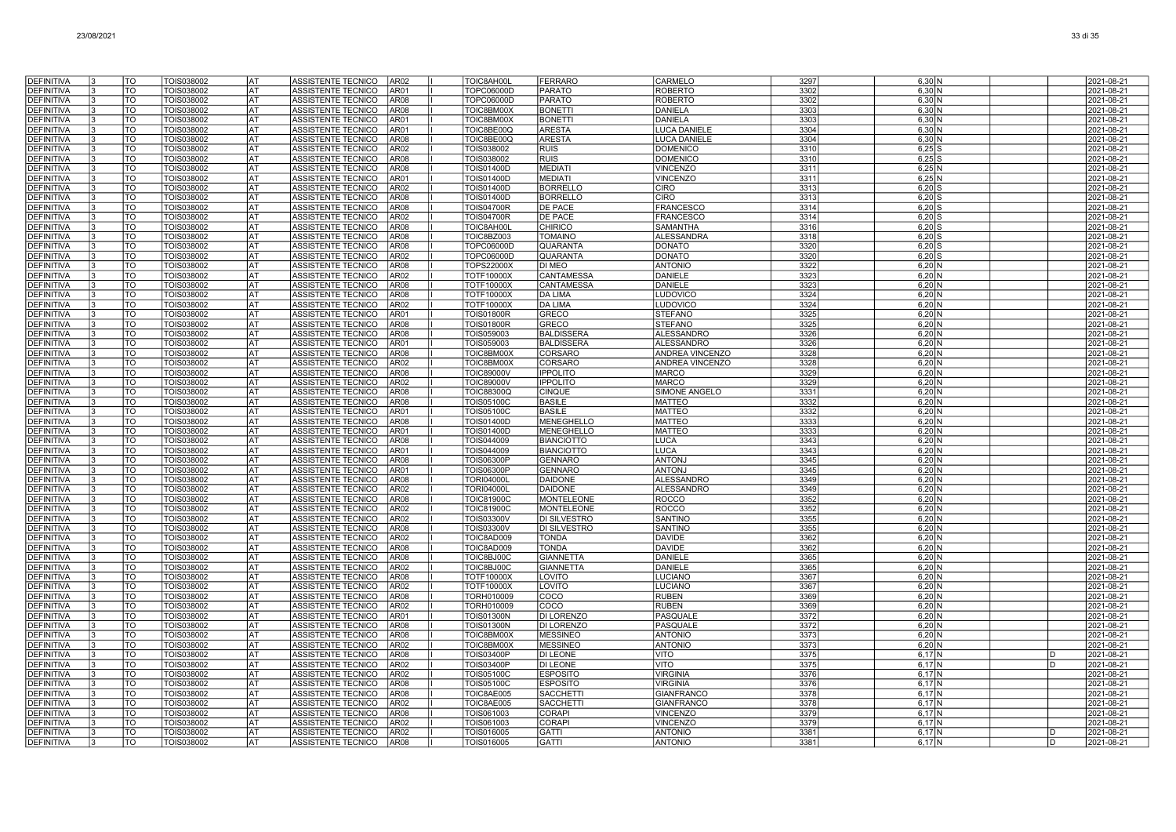| <b>DEFINITIVA</b>               | TO                       | TOIS038002               | AT        | ASSISTENTE TECNICO<br>AR02                               | TOIC8AH00L                      | <b>FERRARO</b>                    | CARMELO                              | 3297             | $6,30$ N                      |   | 2021-08-21               |
|---------------------------------|--------------------------|--------------------------|-----------|----------------------------------------------------------|---------------------------------|-----------------------------------|--------------------------------------|------------------|-------------------------------|---|--------------------------|
| <b>DEFINITIVA</b>               | TO                       | TOIS038002               | <b>AT</b> | ASSISTENTE TECNICO<br>AR01                               | TOPC06000D                      | <b>PARATO</b>                     | <b>ROBERTO</b>                       | 3302             | $6,30$ N                      |   | 2021-08-21               |
| <b>DEFINITIVA</b>               | TO                       | TOIS038002               | lat       | ASSISTENTE TECNICO<br><b>AR08</b>                        | TOPC06000D                      | <b>PARATO</b>                     | <b>ROBERTO</b>                       | 3302             | $6,30$ N                      |   | 2021-08-21               |
| <b>DEFINITIVA</b>               | TO                       | TOIS038002               | lat       | <b>ASSISTENTE TECNICO</b><br><b>AR08</b>                 | TOIC8BM00X                      | <b>BONETTI</b>                    | <b>DANIELA</b>                       | 3303             | $6,30$ N                      |   | 2021-08-21               |
| <b>DEFINITIVA</b>               | TO                       | TOIS038002               | AT        | <b>ASSISTENTE TECNICO</b><br>AR01                        | TOIC8BM00X                      | <b>BONETTI</b>                    | <b>DANIELA</b>                       | 3303             | 6,30N                         |   | 2021-08-21               |
| <b>DEFINITIVA</b>               | TO                       | TOIS038002               | AT        | ASSISTENTE TECNICO<br>AR01                               | TOIC8BE00Q                      | <b>ARESTA</b>                     | <b>LUCA DANIELE</b>                  | 3304             | $6,30$ N                      |   | 2021-08-21               |
| <b>DEFINITIVA</b>               | TO                       | TOIS038002               | AT        | ASSISTENTE TECNICO<br>AR08                               | TOIC8BE00Q                      | <b>ARESTA</b>                     | LUCA DANIELE                         | 3304             | 6,30 N                        |   | 2021-08-21               |
| <b>DEFINITIVA</b>               | TO                       | TOIS038002               | <b>AT</b> | ASSISTENTE TECNICO<br>AR02                               | TOIS038002                      | <b>RUIS</b>                       | <b>DOMENICO</b>                      | 3310             | $6,25$ S                      |   | 2021-08-21               |
| <b>DEFINITIVA</b>               | TO                       | TOIS038002               | AT        | ASSISTENTE TECNICO<br>AR08                               | TOIS038002                      | <b>RUIS</b>                       | <b>DOMENICC</b>                      | 3310             | $6,25$ S                      |   | 2021-08-21               |
| <b>DEFINITIVA</b>               | TO                       | TOIS038002               | AT        | ASSISTENTE TECNICO<br>AR08                               | <b>TOIS01400D</b>               | <b>MEDIAT</b>                     | <b>VINCENZO</b>                      | 3311             | 6.25N                         |   | 2021-08-21               |
| <b>DEFINITIVA</b>               | TO                       | TOIS038002               | l AT      | ASSISTENTE TECNICO<br>AR01                               | <b>TOIS01400D</b>               | <b>MEDIATI</b>                    | <b>VINCENZO</b>                      | 3311             | $6,25$ N                      |   | 2021-08-21               |
| <b>DEFINITIVA</b>               | TO                       | TOIS038002               | <b>AT</b> | <b>ASSISTENTE TECNICO</b><br>AR02                        | <b>TOIS01400D</b>               | <b>BORRELLC</b>                   | <b>CIRO</b>                          | 3313             | $6,20$ S                      |   | 2021-08-21               |
| <b>DEFINITIVA</b>               | $\overline{\mathrm{TO}}$ | TOIS038002               | <b>AT</b> | <b>ASSISTENTE TECNICO</b><br>AR08                        | <b>TOIS01400D</b>               | <b>BORRELLO</b>                   | <b>CIRO</b>                          | 3313             | $6,20$ S                      |   | 2021-08-21               |
| DEFINITIVA<br><b>DEFINITIVA</b> | TO<br>TO                 | TOIS038002<br>TOIS038002 | AT<br>AT  | ASSISTENTE TECNICO<br>AR08<br>ASSISTENTE TECNICO<br>AR02 | <b>TOIS04700R</b><br>TOIS04700R | DE PACE<br>DE PACE                | <b>FRANCESCO</b><br><b>FRANCESCO</b> | 3314<br>3314     | $6,20$ \$<br>$6,20$ S         |   | 2021-08-21<br>2021-08-21 |
| DEFINITIVA                      | TO                       | TOIS038002               | AT        | <b>ASSISTENTE TECNICO</b><br>AR08                        | TOIC8AH00L                      | <b>CHIRICO</b>                    | <b>SAMANTHA</b>                      | 3316             | $6,20$ $\frac{8}{3}$          |   | 2021-08-21               |
| <b>DEFINITIVA</b>               | TO                       | TOIS038002               | AT        | ASSISTENTE TECNICO<br>AR08                               | TOIC8BZ003                      | <b>TOMAINO</b>                    | <b>ALESSANDRA</b>                    | 3318             | $6,20$ S                      |   | 2021-08-21               |
| <b>DEFINITIVA</b>               | TO                       | TOIS038002               | AT        | <b>ASSISTENTE TECNICO</b><br>AR08                        | TOPC06000D                      | QUARANTA                          | <b>DONATO</b>                        | 3320             | $6.20$ S                      |   | 2021-08-21               |
| <b>DEFINITIVA</b>               | TO                       | TOIS038002               | AT        | ASSISTENTE TECNICO<br>AR02                               | TOPC06000D                      | QUARANTA                          | <b>DONATO</b>                        | 3320             | $6,20$ S                      |   | 2021-08-21               |
| <b>DEFINITIVA</b>               | $\overline{\mathrm{TO}}$ | <b>TOIS038002</b>        | <b>AT</b> | <b>AR08</b><br>ASSISTENTE TECNICO                        | <b>TOPS22000X</b>               | DI MEO                            | <b>ANTONIO</b>                       | 3322             | $6,20$ N                      |   | 2021-08-21               |
| <b>DEFINITIVA</b>               | <b>TO</b>                | TOIS038002               | lat       | ASSISTENTE TECNICO<br><b>AR02</b>                        | <b>TOTF10000X</b>               | CANTAMESSA                        | DANIELE                              | 3323             | $6,20$ N                      |   | 2021-08-21               |
| <b>DEFINITIVA</b>               | TO                       | TOIS038002               | <b>AT</b> | ASSISTENTE TECNICO<br><b>AR08</b>                        | <b>TOTF10000X</b>               | CANTAMESSA                        | <b>DANIELE</b>                       | 3323             | 6,20N                         |   | 2021-08-21               |
| <b>DEFINITIVA</b>               | <b>TO</b>                | TOIS038002               | AT        | ASSISTENTE TECNICO<br>AR08                               | <b>TOTF10000X</b>               | <b>DA LIMA</b>                    | LUDOVICO                             | 3324             | $6,20$ N                      |   | 2021-08-21               |
| <b>DEFINITIVA</b>               | TO                       | TOIS038002               | AT        | ASSISTENTE TECNICO<br>AR02                               | TOTF10000X                      | <b>DA LIMA</b>                    | LUDOVICO                             | 3324             | $6,20$ N                      |   | 2021-08-21               |
| <b>DEFINITIVA</b>               | TO                       | TOIS038002               | AT        | ASSISTENTE TECNICO<br>AR01                               | <b>TOIS01800R</b>               | GRECO                             | <b>STEFANO</b>                       | 3325             | 6,20 N                        |   | 2021-08-21               |
| <b>DEFINITIVA</b>               | TO                       | TOIS038002               | <b>AT</b> | <b>ASSISTENTE TECNICO</b><br>AR08                        | <b>TOIS01800R</b>               | GRECO                             | <b>STEFANO</b>                       | 3325             | $6,20$ N                      |   | 2021-08-21               |
| <b>DEFINITIVA</b>               | TO                       | TOIS038002               | AT        | <b>ASSISTENTE TECNICO</b><br>AR08                        | TOIS059003                      | <b>BALDISSERA</b>                 | <b>ALESSANDRO</b>                    | 3326             | 6.20 N                        |   | 2021-08-21               |
| DEFINITIVA                      | TO                       | TOIS038002               | <b>AT</b> | ASSISTENTE TECNICO<br>AR01                               | TOIS059003                      | <b>BALDISSERA</b>                 | <b>ALESSANDRO</b>                    | 3326             | $6,20$ N                      |   | 2021-08-21               |
| <b>DEFINITIVA</b>               | $\overline{\mathrm{TO}}$ | TOIS038002               | <b>AT</b> | <b>ASSISTENTE TECNICO</b><br><b>AR08</b>                 | TOIC8BM00X                      | <b>CORSARO</b>                    | <b>ANDREA VINCENZO</b>               | 3328             | $6,20$ N                      |   | 2021-08-21               |
| <b>DEFINITIVA</b>               | <b>TO</b>                | TOIS038002               | <b>AT</b> | ASSISTENTE TECNICO<br>AR02                               | TOIC8BM00X                      | CORSARO                           | <b>ANDREA VINCENZO</b>               | 3328             | $6,20$ N                      |   | 2021-08-21               |
| DEFINITIVA                      | TO<br>TO                 | TOIS038002               | AT<br>AT  | ASSISTENTE TECNICO<br>AR08                               | <b>TOIC89000V</b>               | <b>IPPOLITO</b>                   | <b>MARCO</b>                         | 3329             | $6,20$ N                      |   | 2021-08-21               |
| <b>DEFINITIVA</b><br>DEFINITIVA | TO                       | TOIS038002<br>TOIS038002 | AT        | ASSISTENTE TECNICO<br>AR02<br>AR08<br>ASSISTENTE TECNICO | <b>TOIC89000V</b><br>TOIC88300Q | <b>IPPOLITO</b><br><b>CINQUE</b>  | <b>MARCO</b><br>SIMONE ANGELO        | 3329<br>3331     | $6,20$ N                      |   | 2021-08-21<br>2021-08-21 |
| <b>DEFINITIVA</b>               | TO                       | TOIS038002               | AT        | ASSISTENTE TECNICO<br>AR08                               | <b>TOIS05100C</b>               | <b>BASILE</b>                     | <b>MATTEO</b>                        | 3332             | 6,20N<br>6,20N                |   | 2021-08-21               |
| <b>DEFINITIVA</b>               | TO                       | TOIS038002               | AT        | <b>ASSISTENTE TECNICO</b><br>AR01                        | <b>TOIS05100C</b>               | <b>BASILE</b>                     | <b>MATTEC</b>                        | 3332             | 6.20 <sub>N</sub>             |   | 2021-08-21               |
| <b>DEFINITIVA</b>               | TO                       | TOIS038002               | AT        | <b>ASSISTENTE TECNICO</b><br>AR08                        | <b>TOIS01400D</b>               | <b>MENEGHELLO</b>                 | <b>MATTEC</b>                        | 3333             | $6,20$ N                      |   | 2021-08-21               |
| <b>DEFINITIVA</b>               | TO                       | TOIS038002               | <b>AT</b> | ASSISTENTE TECNICO<br><b>AR01</b>                        | <b>TOIS01400D</b>               | MENEGHELLO                        | <b>MATTEC</b>                        | 3333             | $6,20$ N                      |   | 2021-08-21               |
| <b>DEFINITIVA</b>               | TO                       | TOIS038002               | lat       | ASSISTENTE TECNICO<br><b>AR08</b>                        | TOIS044009                      | <b>BIANCIOTTO</b>                 | <b>LUCA</b>                          | 3343             | $6,20$ N                      |   | 2021-08-21               |
| <b>DEFINITIVA</b>               | TO                       | TOIS038002               | <b>AT</b> | ASSISTENTE TECNICO<br>AR01                               | TOIS044009                      | <b>BIANCIOTTO</b>                 | <b>LUCA</b>                          | 3343             | $6,20$ N                      |   | 2021-08-21               |
| <b>DEFINITIVA</b>               | TO                       | TOIS038002               | AT        | ASSISTENTE TECNICO<br><b>AR08</b>                        | <b>TOIS06300P</b>               | <b>GENNARO</b>                    | <b>ANTONJ</b>                        | 3345             | 6.20 <sub>N</sub>             |   | 2021-08-21               |
| <b>DEFINITIVA</b>               | TO                       | TOIS038002               | AT        | ASSISTENTE TECNICO<br>AR01                               | <b>TOIS06300P</b>               | <b>GENNARO</b>                    | <b>ANTONJ</b>                        | 3345             | $6,20$ N                      |   | 2021-08-21               |
| <b>DEFINITIVA</b>               | TO                       | TOIS038002               | AT        | ASSISTENTE TECNICO<br>AR08                               | <b>TORI04000</b>                | <b>DAIDONE</b>                    | <b>ALESSANDRO</b>                    | 3349             | 6,20N                         |   | 2021-08-21               |
| <b>DEFINITIVA</b>               | TO                       | TOIS038002               | AT        | <b>ASSISTENTE TECNICO</b><br>AR02                        | <b>TORI04000L</b>               | <b>DAIDONE</b>                    | ALESSANDRO                           | 3349             | $6,20$ N                      |   | 2021-08-21               |
| <b>DEFINITIVA</b>               | TO                       | TOIS038002               | AT        | ASSISTENTE TECNICO<br>AR08                               | <b>TOIC81900C</b>               | <b>MONTELEONE</b>                 | <b>ROCCO</b>                         | 3352             | $6,20$ N                      |   | 2021-08-21               |
| <b>DEFINITIVA</b>               | TO                       | TOIS038002               | l AT      | ASSISTENTE TECNICO<br>AR02                               | <b>TOIC81900C</b>               | <b>MONTELEONE</b>                 | <b>ROCCO</b>                         | 3352             | $6,20$ N                      |   | 2021-08-21               |
| <b>DEFINITIVA</b>               | TO                       | <b>TOIS038002</b>        | l AT      | <b>ASSISTENTE TECNICO</b><br>AR02                        | <b>TOIS03300V</b>               | DI SILVESTRO                      | <b>SANTINO</b>                       | 3355             | $6,20$ N                      |   | 2021-08-21               |
| <b>DEFINITIVA</b>               | TO                       | TOIS038002               | <b>AT</b> | <b>ASSISTENTE TECNICO</b><br>AR08                        | <b>TOIS03300V</b>               | DI SILVESTRO                      | <b>SANTINO</b>                       | 3355             | $6,20$ N                      |   | 2021-08-21               |
| <b>DEFINITIVA</b>               | TO                       | TOIS038002               | AT        | ASSISTENTE TECNICO<br>AR02                               | TOIC8AD009                      | <b>TONDA</b>                      | <b>DAVIDE</b>                        | 3362             | 6,20N                         |   | 2021-08-21               |
| <b>DEFINITIVA</b><br>DEFINITIVA | TO<br>TO                 | TOIS038002<br>TOIS038002 | AT<br>AT  | ASSISTENTE TECNICO<br>AR08<br>AR08<br>ASSISTENTE TECNICO | TOIC8AD009<br>TOIC8BJ00C        | <b>TONDA</b><br><b>GIANNETTA</b>  | <b>DAVIDE</b><br><b>DANIELE</b>      | 3362<br>3365     | $6,20$ N<br>6,20N             |   | 2021-08-21<br>2021-08-21 |
| <b>DEFINITIVA</b>               | TO                       | TOIS038002               | AT        | <b>ASSISTENTE TECNICO</b><br>AR02                        | TOIC8BJ00C                      | <b>GIANNETTA</b>                  | <b>DANIELE</b>                       | 3365             | $6,20$ N                      |   | 2021-08-21               |
| <b>DEFINITIVA</b>               | TO                       | TOIS038002               | AT        | ASSISTENTE TECNICO<br>AR08                               | <b>TOTF10000X</b>               | LOVITO                            | <b>LUCIANO</b>                       | 3367             | $6,20$ N                      |   | 2021-08-21               |
| DEFINITIVA                      | TO                       | TOIS038002               | AT        | ASSISTENTE TECNICO<br>AR02                               | <b>TOTF10000X</b>               | LOVITO                            | <b>LUCIANO</b>                       | 3367             | $6,20$ N                      |   | 2021-08-21               |
| <b>DEFINITIVA</b>               | TO                       | TOIS038002               | <b>AT</b> | ASSISTENTE TECNICO<br>AR08                               | TORH010009                      | COCO                              | <b>RUBEN</b>                         | 3369             | $6,20$ N                      |   | 2021-08-21               |
| <b>DEFINITIVA</b>               | TO                       | TOIS038002               | <b>AT</b> | ASSISTENTE TECNICO<br>AR02                               | TORH010009                      | COCO                              | <b>RUBEN</b>                         | 3369             | $6,20$ N                      |   | 2021-08-21               |
| <b>DEFINITIVA</b>               | $\overline{\mathrm{TO}}$ | TOIS038002               | AT        | ASSISTENTE TECNICO<br>AR01                               | <b>TOIS01300N</b>               | DI LORENZO                        | PASQUALE                             | 3372             | $6,20$ N                      |   | 2021-08-21               |
| <b>DEFINITIVA</b>               | TO                       | TOIS038002               | AT        | <b>ASSISTENTE TECNICO</b><br><b>AR08</b>                 | <b>TOIS01300N</b>               | DI LORENZO                        | PASQUALE                             | 3372             | 6.20 <sub>N</sub>             |   | 2021-08-21               |
| DEFINITIVA                      | TO                       | TOIS038002               | AT        | AR08<br>ASSISTENTE TECNICO                               | TOIC8BM00X                      | <b>MESSINEO</b>                   | <b>ANTONIO</b>                       | 3373             | $6,20$ N                      |   | 2021-08-21               |
| DEFINITIVA                      | TO                       | TOIS038002               | AT        | AR02<br>ASSISTENTE TECNICO                               | TOIC8BM00X                      | <b>MESSINEO</b>                   | <b>ANTONIO</b>                       | 3373             | $6,20$ N                      |   | 2021-08-21               |
| <b>DEFINITIVA</b>               | TO                       | TOIS038002               | <b>AT</b> | AR08<br>ASSISTENTE TECNICO                               | <b>TOIS03400P</b>               | <b>DI LEONE</b>                   | <b>VITO</b>                          | 3375             | $6.17$ $N$                    | D | 2021-08-21               |
| <b>DEFINITIVA</b>               | TO                       | TOIS038002               | <b>AT</b> | <b>ASSISTENTE TECNICO</b><br>AR02                        | <b>TOIS03400P</b>               | <b>DI LEONE</b>                   | <b>VITO</b>                          | 3375             | 6,17N                         | D | 2021-08-21               |
| <b>DEFINITIVA</b>               | TO                       | TOIS038002               | <b>AT</b> | ASSISTENTE TECNICO<br>AR02                               | <b>TOIS05100C</b>               | <b>ESPOSITO</b>                   | <b>VIRGINIA</b>                      | 3376             | $6.17$ N                      |   | 2021-08-21               |
| <b>DEFINITIVA</b>               | TO                       | TOIS038002               | <b>AT</b> | ASSISTENTE TECNICO<br>AR08                               | <b>TOIS05100C</b>               | <b>ESPOSITO</b>                   | <b>VIRGINIA</b>                      | 3376             | $6,17$ N                      |   | 2021-08-21               |
| <b>DEFINITIVA</b>               | TO                       | TOIS038002               | lat       | <b>ASSISTENTE TECNICO</b><br>AR08                        | TOIC8AE005                      | <b>SACCHETTI</b>                  | <b>GIANFRANCO</b>                    | 3378             | $6,17$ N                      |   | 2021-08-21               |
| DEFINITIVA<br><b>DEFINITIVA</b> | TO<br>TO                 | TOIS038002<br>TOIS038002 | AT<br>AT  | <b>ASSISTENTE TECNICO</b><br>AR02<br>AR08                | TOIC8AE005                      | <b>SACCHETTI</b><br><b>CORAPI</b> | <b>GIANFRANCO</b><br><b>VINCENZO</b> | 3378<br>3379     | 6.17 <sub>N</sub><br>$6.17$ N |   | 2021-08-21<br>2021-08-21 |
| <b>DEFINITIVA</b>               | TO                       | TOIS038002               | AT        | ASSISTENTE TECNICO<br>AR02<br>ASSISTENTE TECNICO         | TOIS061003<br>TOIS061003        | <b>CORAPI</b>                     | <b>VINCENZO</b>                      | 3379             | 6,17N                         |   | 2021-08-21               |
| <b>DEFINITIVA</b>               | TO                       | TOIS038002               | AT        | <b>AR02</b><br>ASSISTENTE TECNICO                        | TOIS016005                      | <b>GATTI</b>                      | <b>ANTONIO</b>                       | 338 <sup>°</sup> | $6,17$ N                      | D | 2021-08-21               |
| <b>DEFINITIVA</b>               | TO                       | TOIS038002               | AT        | ASSISTENTE TECNICO<br>AR08                               | TOIS016005                      | <b>GATTI</b>                      | <b>ANTONIO</b>                       | 3381             | 6,17N                         | D | 2021-08-21               |
|                                 |                          |                          |           |                                                          |                                 |                                   |                                      |                  |                               |   |                          |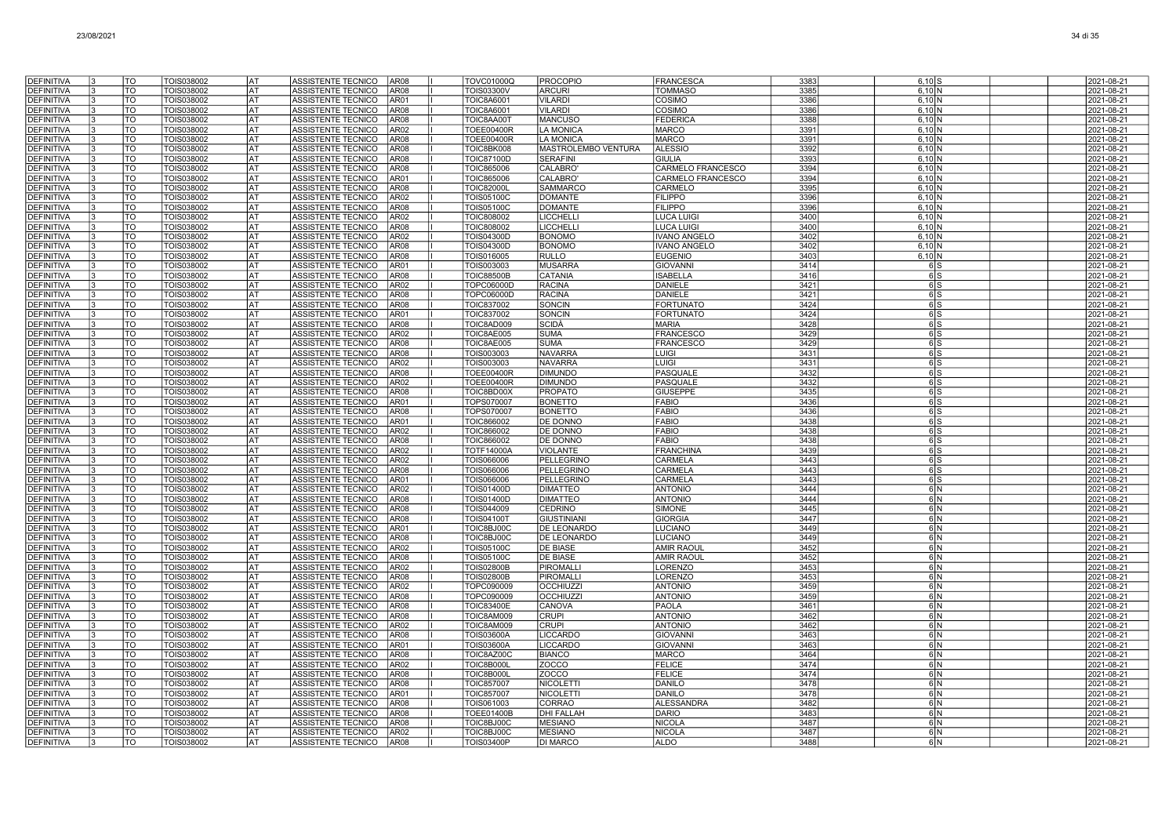| <b>DEFINITIVA</b>                      | TO                       | TOIS038002               | lat              | ASSISTENTE TECNICO<br>AR08                                             | <b>TOVC01000Q</b>               | <b>PROCOPIO</b>                   | <b>FRANCESCA</b>                   | 3383         | $6,10$ $S$           | 2021-08-21               |
|----------------------------------------|--------------------------|--------------------------|------------------|------------------------------------------------------------------------|---------------------------------|-----------------------------------|------------------------------------|--------------|----------------------|--------------------------|
| <b>DEFINITIVA</b>                      | TO                       | TOIS038002               | lat              | <b>AR08</b><br>ASSISTENTE TECNICO                                      | <b>TOIS03300V</b>               | <b>ARCURI</b>                     | <b>TOMMASO</b>                     | 3385         | $6,10$ N             | 2021-08-21               |
| <b>DEFINITIVA</b>                      | TO                       | TOIS038002               | <b>AT</b>        | ASSISTENTE TECNICO<br>AR01                                             | <b>TOIC8A6001</b>               | <b>VILARDI</b>                    | COSIMO                             | 3386         | 6,10N                | 2021-08-21               |
| <b>DEFINITIVA</b>                      | TO                       | TOIS038002               | AT               | <b>ASSISTENTE TECNICO</b><br><b>AR08</b>                               | <b>TOIC8A6001</b>               | <b>VILARDI</b>                    | COSIMO                             | 3386         | $6.10\text{N}$       | 2021-08-21               |
| <b>DEFINITIVA</b>                      | TO                       | TOIS038002               | AT               | ASSISTENTE TECNICO<br>AR08                                             | TOIC8AA00T                      | <b>MANCUSO</b>                    | FEDERIC/                           | 3388         | 6,10 N               | 2021-08-21               |
| <b>DEFINITIVA</b>                      | TO                       | TOIS038002               | AT               | ASSISTENTE TECNICO<br>AR02                                             | <b>TOEE00400R</b>               | LA MONICA                         | <b>MARCO</b>                       | 3391         | 6,10 N               | 2021-08-21               |
| <b>DEFINITIVA</b>                      | TO                       | TOIS038002               | AT               | AR08<br>ASSISTENTE TECNICO                                             | <b>TOEE00400R</b>               | <b>LA MONICA</b>                  | <b>MARCO</b>                       | 3391         | 6,10N                | 2021-08-21               |
| <b>DEFINITIVA</b>                      | TO                       | TOIS038002               | <b>AT</b>        | <b>ASSISTENTE TECNICO</b><br>AR08                                      | <b>TOIC8BK008</b>               | MASTROLEMBO VENTURA               | <b>ALESSIO</b>                     | 3392         | 6,10 N               | 2021-08-21               |
| <b>DEFINITIVA</b>                      | TO                       | TOIS038002               | <b>AT</b>        | ASSISTENTE TECNICO<br>AR08                                             | <b>TOIC87100D</b>               | <b>SERAFINI</b>                   | <b>GIULIA</b>                      | 3393         | 6.10 <sub>N</sub>    | 2021-08-21               |
| <b>DEFINITIVA</b>                      | TO                       | TOIS038002               | l AT             | ASSISTENTE TECNICO<br>AR08                                             | TOIC865006                      | <b>CALABRO</b>                    | CARMELO FRANCESCO                  | 3394         | $6,10$ N             | 2021-08-21               |
| <b>DEFINITIVA</b>                      | $\overline{\mathrm{TO}}$ | TOIS038002               | AT               | <b>ASSISTENTE TECNICO</b><br>AR01                                      | <b>TOIC865006</b>               | CALABRO'                          | CARMELO FRANCESCO                  | 3394         | $6,10$ N             | 2021-08-21               |
| DEFINITIVA                             | TO<br>TO                 | TOIS038002               | AT               | ASSISTENTE TECNICO<br>AR08<br><b>ASSISTENTE TECNICO</b>                | <b>TOIC82000L</b>               | SAMMARCC<br><b>DOMANTE</b>        | CARMELO<br><b>FILIPPO</b>          | 3395         | 6,10N                | 2021-08-21               |
| <b>DEFINITIVA</b><br>DEFINITIVA        | TO                       | TOIS038002               | AT<br>AT         | AR02<br>ASSISTENTE TECNICO<br>AR08                                     | <b>TOIS05100C</b>               | <b>DOMANTE</b>                    | <b>FILIPPO</b>                     | 3396<br>3396 | 6.10 N               | 2021-08-21               |
| <b>DEFINITIVA</b>                      | TO                       | TOIS038002<br>TOIS038002 | AT               | <b>ASSISTENTE TECNICO</b><br>AR02                                      | <b>TOIS05100C</b><br>TOIC808002 | <b>LICCHELLI</b>                  | LUCA LUIG                          | 3400         | 6,10N<br>6,10 N      | 2021-08-21<br>2021-08-21 |
| <b>DEFINITIVA</b>                      | TO                       | TOIS038002               | AT               | AR08<br><b>ASSISTENTE TECNICO</b>                                      | <b>TOIC808002</b>               | <b>LICCHELL</b>                   | <b>LUCA LUIGI</b>                  | 3400         | 6,10N                | 2021-08-21               |
| DEFINITIVA                             | TO                       | TOIS038002               | AT               | ASSISTENTE TECNICO<br>AR02                                             | <b>TOIS04300D</b>               | <b>BONOMO</b>                     | <b>IVANO ANGELO</b>                | 3402         | 6,10N                | 2021-08-21               |
| <b>DEFINITIVA</b>                      | TO                       | TOIS038002               | <b>AT</b>        | ASSISTENTE TECNICO<br>AR08                                             | <b>TOIS04300D</b>               | <b>BONOMO</b>                     | <b>IVANO ANGELO</b>                | 3402         | $6,10$ N             | 2021-08-21               |
| <b>DEFINITIVA</b>                      | TO                       | TOIS038002               | <b>AT</b>        | <b>AR08</b><br><b>ASSISTENTE TECNICO</b>                               | TOIS016005                      | <b>RULLO</b>                      | <b>EUGENIO</b>                     | 3403         | $6,10$ N             | 2021-08-21               |
| <b>DEFINITIVA</b>                      | $\overline{10}$          | TOIS038002               | lat              | AR01<br>ASSISTENTE TECNICO                                             | TOIS003003                      | <b>MUSARRA</b>                    | <b>GIOVANN</b>                     | 3414         | 6 S                  | 2021-08-21               |
| <b>DEFINITIVA</b>                      | TO                       | TOIS038002               | <b>AT</b>        | ASSISTENTE TECNICO<br><b>AR08</b>                                      | <b>TOIC88500B</b>               | CATANIA                           | <b>ISABELLA</b>                    | 3416         | 6S                   | 2021-08-21               |
| <b>DEFINITIVA</b>                      | TO                       | TOIS038002               | AT               | <b>AR02</b><br><b>ASSISTENTE TECNICO</b>                               | TOPC06000D                      | <b>RACINA</b>                     | <b>DANIELE</b>                     | 3421         | 6lS                  | 2021-08-21               |
| <b>DEFINITIVA</b>                      | TO                       | TOIS038002               | AT               | ASSISTENTE TECNICO<br>AR08                                             | TOPC06000D                      | <b>RACINA</b>                     | <b>DANIELE</b>                     | 3421         | 6S                   | 2021-08-21               |
| DEFINITIVA                             | TO                       | TOIS038002               | AT               | ASSISTENTE TECNICO<br>AR08                                             | TOIC837002                      | <b>SONCIN</b>                     | <b>FORTUNATO</b>                   | 3424         | 6 S                  | 2021-08-21               |
| <b>DEFINITIVA</b>                      | TO                       | TOIS038002               | AT               | AR01<br><b>ASSISTENTE TECNICO</b>                                      | TOIC837002                      | <b>SONCIN</b>                     | <b>FORTUNATO</b>                   | 3424         | 6S                   | 2021-08-21               |
| <b>DEFINITIVA</b>                      | TO                       | TOIS038002               | AT               | <b>ASSISTENTE TECNICO</b><br>AR08                                      | TOIC8AD009                      | SCIDÀ                             | <b>MARIA</b>                       | 3428         | 6 <sub>IS</sub>      | 2021-08-21               |
| <b>DEFINITIVA</b>                      | TO                       | TOIS038002               | AT               | ASSISTENTE TECNICO<br>AR02                                             | TOIC8AE005                      | <b>SUMA</b>                       | <b>FRANCESCO</b>                   | 3429         | 6S                   | 2021-08-21               |
| <b>DEFINITIVA</b>                      | TO                       | TOIS038002               | <b>AT</b>        | ASSISTENTE TECNICO<br><b>AR08</b>                                      | TOIC8AE005                      | <b>SUMA</b>                       | <b>FRANCESCO</b>                   | 3429         | 6S                   | 2021-08-21               |
| <b>DEFINITIVA</b>                      | TO<br>TO                 | TOIS038002               | lat<br><b>AT</b> | <b>ASSISTENTE TECNICO</b><br><b>AR08</b>                               | TOIS003003                      | <b>NAVARRA</b>                    | <b>LUIGI</b>                       | 3431<br>3431 | 6S                   | 2021-08-21               |
| <b>DEFINITIVA</b><br>DEFINITIVA        | TO                       | TOIS038002<br>TOIS038002 | AT               | ASSISTENTE TECNICO<br>AR02<br>ASSISTENTE TECNICO<br>AR08               | TOIS003003<br><b>TOEE00400R</b> | <b>NAVARRA</b><br><b>DIMUNDO</b>  | <b>LUIGI</b><br>PASQUALE           | 3432         | 6S<br>6 S            | 2021-08-21<br>2021-08-21 |
| <b>DEFINITIVA</b>                      | TO                       | TOIS038002               | AT               | ASSISTENTE TECNICO<br>AR02                                             | <b>TOEE00400R</b>               | <b>DIMUNDO</b>                    | <b>PASQUALE</b>                    | 3432         | 6S                   | 2021-08-21               |
| DEFINITIVA                             | TO                       | TOIS038002               | AT               | ASSISTENTE TECNICO<br>AR08                                             | TOIC8BD00X                      | <b>PROPATO</b>                    | <b>GIUSEPPE</b>                    | 3435         | 6 S                  | 2021-08-21               |
| <b>DEFINITIVA</b>                      | TO                       | TOIS038002               | AT               | <b>ASSISTENTE TECNICO</b><br>AR01                                      | TOPS070007                      | <b>BONETTO</b>                    | <b>FABIO</b>                       | 3436         | 6S                   | 2021-08-21               |
| <b>DEFINITIVA</b>                      | TO                       | TOIS038002               | AT               | <b>ASSISTENTE TECNICO</b><br>AR08                                      | TOPS070007                      | <b>BONETTO</b>                    | <b>FABIO</b>                       | 3436         | 6lS                  | 2021-08-21               |
| <b>DEFINITIVA</b>                      | TO                       | TOIS038002               | AT               | <b>ASSISTENTE TECNICO</b><br>AR01                                      | <b>TOIC866002</b>               | DE DONNO                          | <b>FABIO</b>                       | 3438         | 6 <sub>IS</sub>      | 2021-08-21               |
| <b>DEFINITIVA</b>                      | TO                       | TOIS038002               | <b>AT</b>        | ASSISTENTE TECNICO<br><b>AR02</b>                                      | <b>TOIC866002</b>               | DE DONNO                          | <b>FABIO</b>                       | 3438         | 6S                   | 2021-08-21               |
| <b>DEFINITIVA</b>                      | TO                       | TOIS038002               | lat              | ASSISTENTE TECNICO<br><b>AR08</b>                                      | <b>TOIC866002</b>               | DE DONNO                          | <b>FABIO</b>                       | 3438         | 6S                   | 2021-08-21               |
| <b>DEFINITIVA</b>                      | TO                       | TOIS038002               | <b>AT</b>        | ASSISTENTE TECNICO<br>AR02                                             | <b>TOTF14000A</b>               | <b>VIOLANTE</b>                   | <b>FRANCHINA</b>                   | 3439         | 6 S                  | 2021-08-21               |
| <b>DEFINITIVA</b>                      | TO                       | TOIS038002               | AT               | ASSISTENTE TECNICO<br>AR02                                             | TOIS066006                      | PELLEGRINO                        | CARMELA                            | 3443         | 6S                   | 2021-08-21               |
| <b>DEFINITIVA</b>                      | TO                       | TOIS038002               | AT               | <b>ASSISTENTE TECNICO</b><br>AR08                                      | TOIS066006                      | PELLEGRINO                        | CARMELA                            | 3443         | 6 <sub>IS</sub>      | 2021-08-21               |
| DEFINITIVA                             | TO                       | TOIS038002               | AT               | ASSISTENTE TECNICO<br>AR01                                             | TOIS066006                      | PELLEGRINO                        | CARMELA                            | 3443         | 6S                   | 2021-08-21               |
| <b>DEFINITIVA</b>                      | TO                       | TOIS038002               | AT<br><b>AT</b>  | AR02<br><b>ASSISTENTE TECNICO</b>                                      | <b>TOIS01400D</b>               | <b>DIMATTEO</b>                   | <b>ANTONIO</b>                     | 3444         | 6 N                  | 2021-08-21               |
| <b>DEFINITIVA</b><br><b>DEFINITIVA</b> | TO<br>TO                 | TOIS038002<br>TOIS038002 | AT               | <b>ASSISTENTE TECNICO</b><br>AR08<br><b>ASSISTENTE TECNICO</b><br>AR08 | <b>TOIS01400D</b><br>TOIS044009 | <b>DIMATTEO</b><br><b>CEDRINO</b> | <b>ANTONIO</b><br><b>SIMONE</b>    | 3444<br>3445 | 6N<br>6 <sup>N</sup> | 2021-08-21<br>2021-08-21 |
| <b>DEFINITIVA</b>                      | TO                       | TOIS038002               | l AT             | ASSISTENTE TECNICO<br>AR08                                             | <b>TOIS04100T</b>               | <b>GIUSTINIANI</b>                | <b>GIORGIA</b>                     | 3447         | 6 N                  | 2021-08-21               |
| <b>DEFINITIVA</b>                      | TO                       | TOIS038002               | l AT             | ASSISTENTE TECNICO<br>AR01                                             | TOIC8BJ00C                      | DE LEONARDO                       | <b>LUCIANO</b>                     | 3449         | 6N                   | 2021-08-21               |
| <b>DEFINITIVA</b>                      | TO                       | TOIS038002               | <b>AT</b>        | ASSISTENTE TECNICO<br>AR08                                             | TOIC8BJ00C                      | DE LEONARDO                       | <b>LUCIANO</b>                     | 3449         | 6 N                  | 2021-08-21               |
| DEFINITIVA                             | TO                       | TOIS038002               | AT               | <b>ASSISTENTE TECNICO</b><br>AR02                                      | <b>TOIS05100C</b>               | <b>DE BIASE</b>                   | <b>AMIR RAOU</b>                   | 3452         | 6 <sup>IN</sup>      | 2021-08-21               |
| <b>DEFINITIVA</b>                      | TO                       | TOIS038002               | AT               | ASSISTENTE TECNICO<br>AR08                                             | <b>TOIS05100C</b>               | <b>DE BIASE</b>                   | <b>AMIR RAOU</b>                   | 3452         | 6 N                  | 2021-08-21               |
| DEFINITIVA                             | TO                       | TOIS038002               | AT               | ASSISTENTE TECNICO<br>AR02                                             | <b>TOIS02800B</b>               | PIROMALL                          | <b>LORENZO</b>                     | 3453         | 6N                   | 2021-08-21               |
| DEFINITIVA                             | TO                       | TOIS038002               | AT               | ASSISTENTE TECNICO<br>AR08                                             | <b>TOIS02800B</b>               | PIROMALLI                         | <b>LORENZO</b>                     | 3453         | 6N                   | 2021-08-21               |
| <b>DEFINITIVA</b>                      | TO                       | TOIS038002               | AT               | ASSISTENTE TECNICO<br>AR02                                             | TOPC090009                      | <b>OCCHIUZZI</b>                  | <b>ANTONIO</b>                     | 3459         | 6N                   | 2021-08-21               |
| <b>DEFINITIVA</b>                      | TO                       | TOIS038002               | AT               | <b>ASSISTENTE TECNICO</b><br>AR08                                      | TOPC090009                      | <b>OCCHIUZZI</b>                  | <b>ANTONIO</b>                     | 3459         | 6N                   | 2021-08-21               |
| <b>DEFINITIVA</b>                      | TO                       | TOIS038002               | <b>AT</b>        | <b>ASSISTENTE TECNICO</b><br>AR08                                      | <b>TOIC83400E</b>               | CANOVA                            | <b>PAOLA</b>                       | 3461         | 6 N                  | 2021-08-21               |
| <b>DEFINITIVA</b>                      | TO                       | <b>TOIS038002</b>        | <b>AT</b>        | AR08<br>ASSISTENTE TECNICO                                             | TOIC8AM009                      | <b>CRUPI</b>                      | <b>ANTONIO</b>                     | 3462         | 6N                   | 2021-08-21               |
| <b>DEFINITIVA</b>                      | $\overline{10}$          | TOIS038002               | lat              | <b>AR02</b><br>ASSISTENTE TECNICO                                      | TOIC8AM009                      | <b>CRUPI</b>                      | <b>ANTONIO</b>                     | 3462         | 6 N                  | 2021-08-21               |
| DEFINITIVA<br><b>DEFINITIVA</b>        | TO<br>TO                 | TOIS038002               | AT<br>AT         | ASSISTENTE TECNICO<br>AR08<br>AR01                                     | <b>TOIS03600A</b>               | <b>LICCARDO</b>                   | <b>GIOVANNI</b><br><b>GIOVANNI</b> | 3463<br>3463 | 6 N                  | 2021-08-21               |
| DEFINITIVA                             | TO                       | TOIS038002<br>TOIS038002 | AT               | ASSISTENTE TECNICO<br>ASSISTENTE TECNICO<br>AR08                       | <b>TOIS03600A</b><br>TOIC8AZ00C | <b>LICCARDO</b><br><b>BIANCO</b>  | <b>MARCO</b>                       | 3464         | 6 N                  | 2021-08-21<br>2021-08-21 |
| <b>DEFINITIVA</b>                      | TO                       | TOIS038002               | AT               | <b>ASSISTENTE TECNICO</b><br>AR02                                      | <b>TOIC8B000I</b>               | ZOCCO                             | <b>FELICE</b>                      | 3474         | 6N<br>6 N            | 2021-08-21               |
| <b>DEFINITIVA</b>                      | TO                       | TOIS038002               | <b>AT</b>        | <b>ASSISTENTE TECNICO</b><br>AR08                                      | <b>TOIC8B000I</b>               | ZOCCO                             | <b>FELICE</b>                      | 3474         | 6N                   | 2021-08-21               |
| <b>DEFINITIVA</b>                      | TO                       | TOIS038002               | AT               | ASSISTENTE TECNICO<br><b>AR08</b>                                      | <b>TOIC857007</b>               | <b>NICOLETTI</b>                  | DANILO                             | 3478         | 6 N                  | 2021-08-21               |
| <b>DEFINITIVA</b>                      | TO                       | TOIS038002               | <b>AT</b>        | ASSISTENTE TECNICO<br>AR01                                             | <b>TOIC857007</b>               | <b>NICOLETTI</b>                  | <b>DANILO</b>                      | 3478         | 6IN                  | 2021-08-21               |
| <b>DEFINITIVA</b>                      | <b>TO</b>                | TOIS038002               | l AT             | <b>ASSISTENTE TECNICO</b><br>AR08                                      | TOIS061003                      | <b>CORRAO</b>                     | <b>ALESSANDRA</b>                  | 3482         | 6 N                  | 2021-08-21               |
| <b>DEFINITIVA</b>                      | TO                       | TOIS038002               | AT               | ASSISTENTE TECNICO<br>AR08                                             | <b>TOEE01400B</b>               | <b>DHI FALLAH</b>                 | <b>DARIO</b>                       | 3483         | 6 N                  | 2021-08-21               |
| DEFINITIVA                             | TO                       | TOIS038002               | AT               | <b>ASSISTENTE TECNICO</b><br>AR08                                      | TOIC8BJ00C                      | <b>MESIANO</b>                    | <b>NICOLA</b>                      | 3487         | 6 N                  | 2021-08-21               |
| <b>DEFINITIVA</b>                      | TO                       | TOIS038002               | AT               | ASSISTENTE TECNICO<br>AR02                                             | TOIC8BJ00C                      | <b>MESIANO</b>                    | <b>NICOLA</b>                      | 3487         | 6 N                  | 2021-08-21               |
| <b>DEFINITIVA</b>                      | TO                       | TOIS038002               | AT               | ASSISTENTE TECNICO<br><b>AR08</b>                                      | <b>TOIS03400P</b>               | <b>DI MARCO</b>                   | <b>ALDO</b>                        | 3488         | 6 N                  | 2021-08-21               |